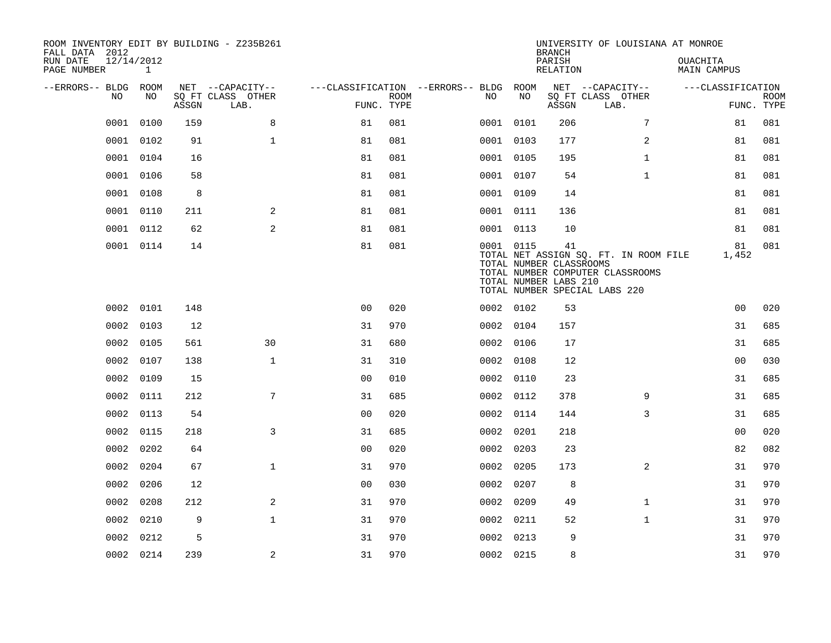| ROOM INVENTORY EDIT BY BUILDING - Z235B261<br>FALL DATA 2012 |                 |       |                           |                                        |             |           |      | <b>BRANCH</b>                                          |                                                                                                            |              | UNIVERSITY OF LOUISIANA AT MONROE |                   |             |
|--------------------------------------------------------------|-----------------|-------|---------------------------|----------------------------------------|-------------|-----------|------|--------------------------------------------------------|------------------------------------------------------------------------------------------------------------|--------------|-----------------------------------|-------------------|-------------|
| RUN DATE<br>PAGE NUMBER                                      | 12/14/2012<br>1 |       |                           |                                        |             |           |      | PARISH<br>RELATION                                     |                                                                                                            |              | <b>OUACHITA</b><br>MAIN CAMPUS    |                   |             |
| --ERRORS-- BLDG ROOM                                         |                 |       | NET --CAPACITY--          | ---CLASSIFICATION --ERRORS-- BLDG ROOM |             |           |      |                                                        | NET --CAPACITY--                                                                                           |              |                                   | ---CLASSIFICATION |             |
| NO                                                           | NO              | ASSGN | SQ FT CLASS OTHER<br>LAB. | FUNC. TYPE                             | <b>ROOM</b> | NO.       | NO   | ASSGN                                                  | SQ FT CLASS OTHER<br>LAB.                                                                                  |              |                                   | FUNC. TYPE        | <b>ROOM</b> |
| 0001                                                         | 0100            | 159   | 8                         | 81                                     | 081         | 0001 0101 |      | 206                                                    |                                                                                                            | 7            |                                   | 81                | 081         |
| 0001                                                         | 0102            | 91    | $\mathbf{1}$              | 81                                     | 081         | 0001 0103 |      | 177                                                    |                                                                                                            | 2            |                                   | 81                | 081         |
|                                                              | 0001 0104       | 16    |                           | 81                                     | 081         | 0001 0105 |      | 195                                                    |                                                                                                            | $\mathbf{1}$ |                                   | 81                | 081         |
| 0001                                                         | 0106            | 58    |                           | 81                                     | 081         | 0001 0107 |      | 54                                                     |                                                                                                            | $\mathbf{1}$ |                                   | 81                | 081         |
|                                                              | 0001 0108       | 8     |                           | 81                                     | 081         | 0001 0109 |      | 14                                                     |                                                                                                            |              |                                   | 81                | 081         |
| 0001                                                         | 0110            | 211   | 2                         | 81                                     | 081         | 0001 0111 |      | 136                                                    |                                                                                                            |              |                                   | 81                | 081         |
|                                                              | 0001 0112       | 62    | 2                         | 81                                     | 081         | 0001 0113 |      | 10                                                     |                                                                                                            |              |                                   | 81                | 081         |
|                                                              | 0001 0114       | 14    |                           | 81                                     | 081         | 0001 0115 |      | 41<br>TOTAL NUMBER CLASSROOMS<br>TOTAL NUMBER LABS 210 | TOTAL NET ASSIGN SQ. FT. IN ROOM FILE<br>TOTAL NUMBER COMPUTER CLASSROOMS<br>TOTAL NUMBER SPECIAL LABS 220 |              |                                   | 81<br>1,452       | 081         |
|                                                              | 0002 0101       | 148   |                           | 0 <sup>0</sup>                         | 020         | 0002 0102 |      | 53                                                     |                                                                                                            |              |                                   | 0 <sub>0</sub>    | 020         |
| 0002                                                         | 0103            | 12    |                           | 31                                     | 970         | 0002 0104 |      | 157                                                    |                                                                                                            |              |                                   | 31                | 685         |
| 0002                                                         | 0105            | 561   | 30                        | 31                                     | 680         | 0002 0106 |      | 17                                                     |                                                                                                            |              |                                   | 31                | 685         |
| 0002                                                         | 0107            | 138   | $\mathbf 1$               | 31                                     | 310         | 0002 0108 |      | 12                                                     |                                                                                                            |              |                                   | 0 <sub>0</sub>    | 030         |
| 0002                                                         | 0109            | 15    |                           | 0 <sub>0</sub>                         | 010         | 0002 0110 |      | 23                                                     |                                                                                                            |              |                                   | 31                | 685         |
| 0002                                                         | 0111            | 212   | 7                         | 31                                     | 685         | 0002 0112 |      | 378                                                    |                                                                                                            | 9            |                                   | 31                | 685         |
| 0002                                                         | 0113            | 54    |                           | 0 <sub>0</sub>                         | 020         | 0002 0114 |      | 144                                                    |                                                                                                            | 3            |                                   | 31                | 685         |
| 0002                                                         | 0115            | 218   | 3                         | 31                                     | 685         | 0002 0201 |      | 218                                                    |                                                                                                            |              |                                   | 00                | 020         |
| 0002                                                         | 0202            | 64    |                           | 0 <sub>0</sub>                         | 020         | 0002 0203 |      | 23                                                     |                                                                                                            |              |                                   | 82                | 082         |
| 0002                                                         | 0204            | 67    | $\mathbf{1}$              | 31                                     | 970         | 0002 0205 |      | 173                                                    |                                                                                                            | 2            |                                   | 31                | 970         |
| 0002                                                         | 0206            | 12    |                           | 0 <sub>0</sub>                         | 030         | 0002      | 0207 | 8                                                      |                                                                                                            |              |                                   | 31                | 970         |
| 0002                                                         | 0208            | 212   | 2                         | 31                                     | 970         | 0002 0209 |      | 49                                                     |                                                                                                            | $\mathbf{1}$ |                                   | 31                | 970         |
| 0002                                                         | 0210            | 9     | $\mathbf{1}$              | 31                                     | 970         | 0002 0211 |      | 52                                                     |                                                                                                            | $\mathbf{1}$ |                                   | 31                | 970         |
| 0002                                                         | 0212            | 5     |                           | 31                                     | 970         | 0002 0213 |      | 9                                                      |                                                                                                            |              |                                   | 31                | 970         |
|                                                              | 0002 0214       | 239   | $\mathbf{2}$              | 31                                     | 970         | 0002 0215 |      | 8                                                      |                                                                                                            |              |                                   | 31                | 970         |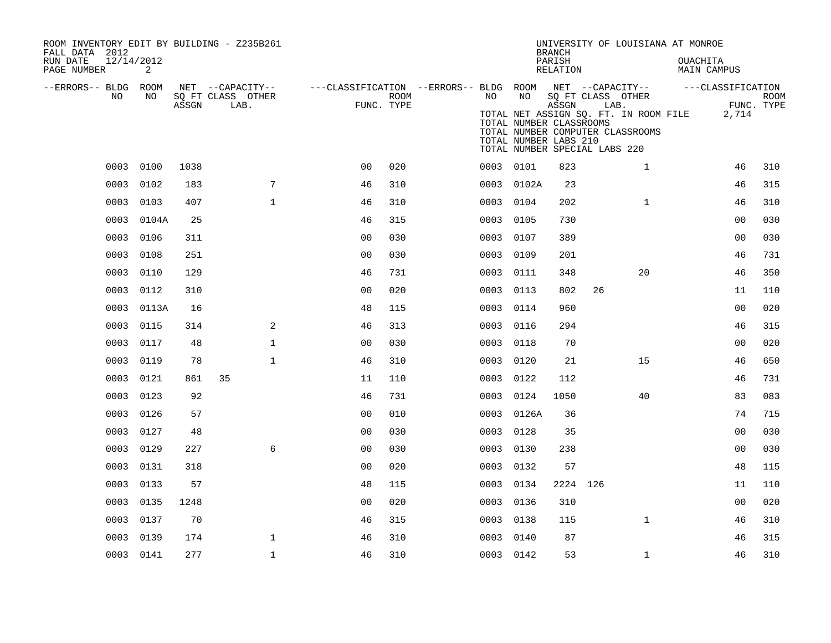| ROOM INVENTORY EDIT BY BUILDING - Z235B261<br>FALL DATA 2012 |            |       |                           |                                                                              |      |               | <b>BRANCH</b>                                             | UNIVERSITY OF LOUISIANA AT MONROE                                                                                                       |                                |             |
|--------------------------------------------------------------|------------|-------|---------------------------|------------------------------------------------------------------------------|------|---------------|-----------------------------------------------------------|-----------------------------------------------------------------------------------------------------------------------------------------|--------------------------------|-------------|
| 12/14/2012<br>RUN DATE<br>PAGE NUMBER                        | 2          |       |                           |                                                                              |      |               | PARISH<br>RELATION                                        |                                                                                                                                         | <b>OUACHITA</b><br>MAIN CAMPUS |             |
| --ERRORS-- BLDG ROOM                                         |            |       | NET --CAPACITY--          | ---CLASSIFICATION --ERRORS-- BLDG ROOM NET --CAPACITY--    ---CLASSIFICATION |      |               |                                                           |                                                                                                                                         |                                |             |
| NO                                                           | NO.        | ASSGN | SQ FT CLASS OTHER<br>LAB. | FUNC. TYPE                                                                   | ROOM | NO .<br>NO    | ASSGN<br>TOTAL NUMBER CLASSROOMS<br>TOTAL NUMBER LABS 210 | SQ FT CLASS OTHER<br>LAB.<br>TOTAL NET ASSIGN SQ. FT. IN ROOM FILE<br>TOTAL NUMBER COMPUTER CLASSROOMS<br>TOTAL NUMBER SPECIAL LABS 220 | FUNC. TYPE<br>2,714            | <b>ROOM</b> |
|                                                              | 0003 0100  | 1038  |                           | 0 <sub>0</sub>                                                               | 020  | 0003 0101     | 823                                                       | $\mathbf{1}$                                                                                                                            | 46                             | 310         |
|                                                              | 0003 0102  | 183   | 7                         | 46                                                                           | 310  | 0003 0102A    | 23                                                        |                                                                                                                                         | 46                             | 315         |
|                                                              | 0003 0103  | 407   | $\mathbf{1}$              | 46                                                                           | 310  | 0003 0104     | 202                                                       | $\mathbf{1}$                                                                                                                            | 46                             | 310         |
|                                                              | 0003 0104A | 25    |                           | 46                                                                           | 315  | 0003 0105     | 730                                                       |                                                                                                                                         | 0 <sub>0</sub>                 | 030         |
|                                                              | 0003 0106  | 311   |                           | 0 <sub>0</sub>                                                               | 030  | 0003 0107     | 389                                                       |                                                                                                                                         | 0 <sub>0</sub>                 | 030         |
|                                                              | 0003 0108  | 251   |                           | 0 <sub>0</sub>                                                               | 030  | 0003 0109     | 201                                                       |                                                                                                                                         | 46                             | 731         |
|                                                              | 0003 0110  | 129   |                           | 46                                                                           | 731  | 0003 0111     | 348                                                       | 20                                                                                                                                      | 46                             | 350         |
| 0003                                                         | 0112       | 310   |                           | 0 <sub>0</sub>                                                               | 020  | 0003 0113     | 802                                                       | 26                                                                                                                                      | 11                             | 110         |
|                                                              | 0003 0113A | 16    |                           | 48                                                                           | 115  | 0003 0114     | 960                                                       |                                                                                                                                         | 00                             | 020         |
|                                                              | 0003 0115  | 314   | 2                         | 46                                                                           | 313  | 0003 0116     | 294                                                       |                                                                                                                                         | 46                             | 315         |
| 0003                                                         | 0117       | 48    | $\mathbf{1}$              | 0 <sub>0</sub>                                                               | 030  | 0003<br>0118  | 70                                                        |                                                                                                                                         | 0 <sub>0</sub>                 | 020         |
| 0003                                                         | 0119       | 78    | $\mathbf 1$               | 46                                                                           | 310  | 0003 0120     | 21                                                        | 15                                                                                                                                      | 46                             | 650         |
| 0003                                                         | 0121       | 861   | 35                        | 11                                                                           | 110  | 0003<br>0122  | 112                                                       |                                                                                                                                         | 46                             | 731         |
| 0003                                                         | 0123       | 92    |                           | 46                                                                           | 731  | 0003 0124     | 1050                                                      | 40                                                                                                                                      | 83                             | 083         |
| 0003                                                         | 0126       | 57    |                           | 0 <sub>0</sub>                                                               | 010  | 0003<br>0126A | 36                                                        |                                                                                                                                         | 74                             | 715         |
| 0003                                                         | 0127       | 48    |                           | 0 <sub>0</sub>                                                               | 030  | 0003 0128     | 35                                                        |                                                                                                                                         | 00                             | 030         |
| 0003                                                         | 0129       | 227   | 6                         | 0 <sub>0</sub>                                                               | 030  | 0003<br>0130  | 238                                                       |                                                                                                                                         | 0 <sub>0</sub>                 | 030         |
| 0003                                                         | 0131       | 318   |                           | 0 <sub>0</sub>                                                               | 020  | 0003 0132     | 57                                                        |                                                                                                                                         | 48                             | 115         |
| 0003                                                         | 0133       | 57    |                           | 48                                                                           | 115  | 0003<br>0134  | 2224 126                                                  |                                                                                                                                         | 11                             | 110         |
| 0003                                                         | 0135       | 1248  |                           | 0 <sub>0</sub>                                                               | 020  | 0003 0136     | 310                                                       |                                                                                                                                         | 0 <sub>0</sub>                 | 020         |
| 0003                                                         | 0137       | 70    |                           | 46                                                                           | 315  | 0003<br>0138  | 115                                                       | $\mathbf{1}$                                                                                                                            | 46                             | 310         |
| 0003                                                         | 0139       | 174   | $\mathbf 1$               | 46                                                                           | 310  | 0003 0140     | 87                                                        |                                                                                                                                         | 46                             | 315         |
|                                                              | 0003 0141  | 277   | $\mathbf{1}$              | 46                                                                           | 310  | 0003 0142     | 53                                                        | $\mathbf{1}$                                                                                                                            | 46                             | 310         |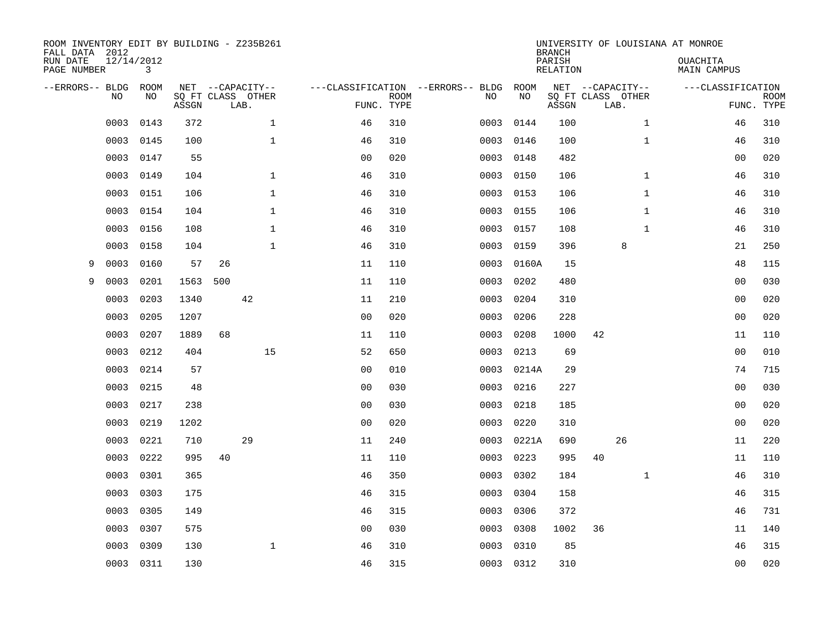| ROOM INVENTORY EDIT BY BUILDING - Z235B261<br>FALL DATA 2012<br>RUN DATE<br>PAGE NUMBER | 12/14/2012 | 3          |                                                |     |      |              |                                                 |             |           |            | <b>BRANCH</b><br>PARISH<br><b>RELATION</b> |                                               |              | UNIVERSITY OF LOUISIANA AT MONROE<br>OUACHITA<br><b>MAIN CAMPUS</b> |    |                           |
|-----------------------------------------------------------------------------------------|------------|------------|------------------------------------------------|-----|------|--------------|-------------------------------------------------|-------------|-----------|------------|--------------------------------------------|-----------------------------------------------|--------------|---------------------------------------------------------------------|----|---------------------------|
| --ERRORS-- BLDG                                                                         | NO         | ROOM<br>NO | NET --CAPACITY--<br>SQ FT CLASS OTHER<br>ASSGN |     | LAB. |              | ---CLASSIFICATION --ERRORS-- BLDG<br>FUNC. TYPE | <b>ROOM</b> | NO        | ROOM<br>NO | ASSGN                                      | NET --CAPACITY--<br>SQ FT CLASS OTHER<br>LAB. |              | ---CLASSIFICATION                                                   |    | <b>ROOM</b><br>FUNC. TYPE |
|                                                                                         | 0003       | 0143       | 372                                            |     |      | $\mathbf{1}$ | 46                                              | 310         | 0003      | 0144       | 100                                        |                                               | $\mathbf{1}$ | 46                                                                  |    | 310                       |
|                                                                                         | 0003       | 0145       | 100                                            |     |      | $\mathbf 1$  | 46                                              | 310         | 0003      | 0146       | 100                                        |                                               | $\mathbf{1}$ | 46                                                                  |    | 310                       |
|                                                                                         | 0003       | 0147       | 55                                             |     |      |              | 0 <sub>0</sub>                                  | 020         | 0003      | 0148       | 482                                        |                                               |              | 00                                                                  |    | 020                       |
|                                                                                         | 0003       | 0149       | 104                                            |     |      | $\mathbf 1$  | 46                                              | 310         | 0003      | 0150       | 106                                        |                                               | $\mathbf{1}$ | 46                                                                  |    | 310                       |
|                                                                                         | 0003       | 0151       | 106                                            |     |      | $\mathbf{1}$ | 46                                              | 310         | 0003      | 0153       | 106                                        |                                               | $\mathbf{1}$ | 46                                                                  |    | 310                       |
|                                                                                         | 0003       | 0154       | 104                                            |     |      | $\mathbf 1$  | 46                                              | 310         | 0003      | 0155       | 106                                        |                                               | $\mathbf{1}$ | 46                                                                  |    | 310                       |
|                                                                                         | 0003       | 0156       | 108                                            |     |      | $\mathbf{1}$ | 46                                              | 310         | 0003      | 0157       | 108                                        |                                               | $\mathbf{1}$ |                                                                     | 46 | 310                       |
|                                                                                         | 0003       | 0158       | 104                                            |     |      | $\mathbf{1}$ | 46                                              | 310         | 0003      | 0159       | 396                                        | 8                                             |              | 21                                                                  |    | 250                       |
| 9                                                                                       | 0003       | 0160       | 57                                             | 26  |      |              | 11                                              | 110         | 0003      | 0160A      | 15                                         |                                               |              | 48                                                                  |    | 115                       |
| 9                                                                                       | 0003       | 0201       | 1563                                           | 500 |      |              | 11                                              | 110         | 0003      | 0202       | 480                                        |                                               |              | 0 <sub>0</sub>                                                      |    | 030                       |
|                                                                                         | 0003       | 0203       | 1340                                           |     | 42   |              | 11                                              | 210         | 0003      | 0204       | 310                                        |                                               |              | 0 <sub>0</sub>                                                      |    | 020                       |
|                                                                                         | 0003       | 0205       | 1207                                           |     |      |              | 0 <sub>0</sub>                                  | 020         | 0003      | 0206       | 228                                        |                                               |              | 0 <sub>0</sub>                                                      |    | 020                       |
|                                                                                         | 0003       | 0207       | 1889                                           | 68  |      |              | 11                                              | 110         | 0003      | 0208       | 1000                                       | 42                                            |              | 11                                                                  |    | 110                       |
|                                                                                         | 0003       | 0212       | 404                                            |     |      | 15           | 52                                              | 650         | 0003      | 0213       | 69                                         |                                               |              | 00                                                                  |    | 010                       |
|                                                                                         | 0003       | 0214       | 57                                             |     |      |              | 0 <sup>0</sup>                                  | 010         | 0003      | 0214A      | 29                                         |                                               |              | 74                                                                  |    | 715                       |
|                                                                                         | 0003       | 0215       | 48                                             |     |      |              | 00                                              | 030         | 0003      | 0216       | 227                                        |                                               |              | 0 <sub>0</sub>                                                      |    | 030                       |
|                                                                                         | 0003       | 0217       | 238                                            |     |      |              | 0 <sub>0</sub>                                  | 030         | 0003      | 0218       | 185                                        |                                               |              | 0 <sub>0</sub>                                                      |    | 020                       |
|                                                                                         | 0003       | 0219       | 1202                                           |     |      |              | 0 <sub>0</sub>                                  | 020         | 0003      | 0220       | 310                                        |                                               |              | 00                                                                  |    | 020                       |
|                                                                                         | 0003       | 0221       | 710                                            |     | 29   |              | 11                                              | 240         | 0003      | 0221A      | 690                                        | 26                                            |              | 11                                                                  |    | 220                       |
|                                                                                         | 0003       | 0222       | 995                                            | 40  |      |              | 11                                              | 110         | 0003      | 0223       | 995                                        | 40                                            |              | 11                                                                  |    | 110                       |
|                                                                                         | 0003       | 0301       | 365                                            |     |      |              | 46                                              | 350         | 0003      | 0302       | 184                                        |                                               | $\mathbf{1}$ | 46                                                                  |    | 310                       |
|                                                                                         | 0003       | 0303       | 175                                            |     |      |              | 46                                              | 315         | 0003      | 0304       | 158                                        |                                               |              | 46                                                                  |    | 315                       |
|                                                                                         | 0003       | 0305       | 149                                            |     |      |              | 46                                              | 315         | 0003      | 0306       | 372                                        |                                               |              | 46                                                                  |    | 731                       |
|                                                                                         | 0003       | 0307       | 575                                            |     |      |              | 0 <sub>0</sub>                                  | 030         | 0003      | 0308       | 1002                                       | 36                                            |              | 11                                                                  |    | 140                       |
|                                                                                         | 0003       | 0309       | 130                                            |     |      | $\mathbf{1}$ | 46                                              | 310         | 0003      | 0310       | 85                                         |                                               |              | 46                                                                  |    | 315                       |
|                                                                                         | 0003 0311  |            | 130                                            |     |      |              | 46                                              | 315         | 0003 0312 |            | 310                                        |                                               |              | 00                                                                  |    | 020                       |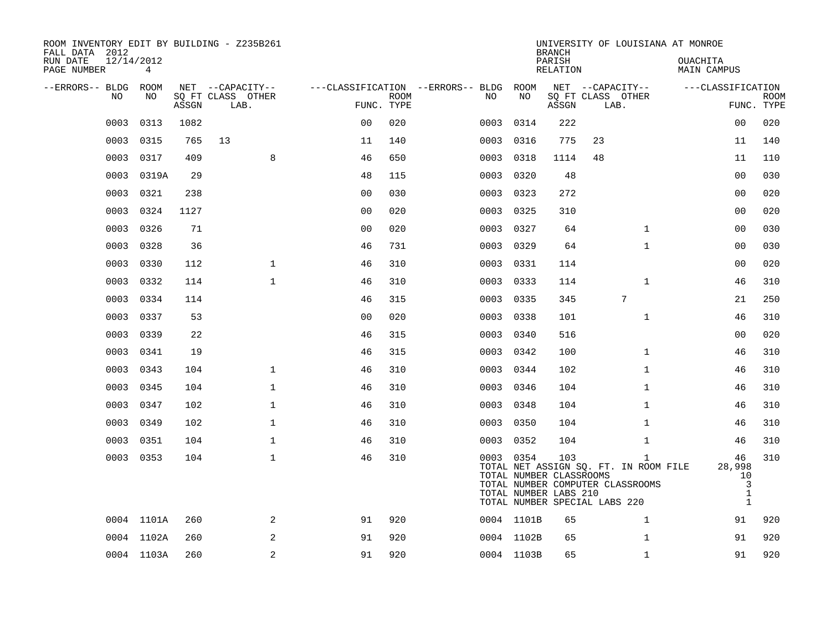| ROOM INVENTORY EDIT BY BUILDING - Z235B261<br>FALL DATA 2012 |                              |       |                           |                |             |                                               |            | <b>BRANCH</b>                                           | UNIVERSITY OF LOUISIANA AT MONROE                                                                                          |                                                         |                           |
|--------------------------------------------------------------|------------------------------|-------|---------------------------|----------------|-------------|-----------------------------------------------|------------|---------------------------------------------------------|----------------------------------------------------------------------------------------------------------------------------|---------------------------------------------------------|---------------------------|
| RUN DATE<br>PAGE NUMBER                                      | 12/14/2012<br>$\overline{4}$ |       |                           |                |             |                                               |            | PARISH<br><b>RELATION</b>                               |                                                                                                                            | OUACHITA<br>MAIN CAMPUS                                 |                           |
| --ERRORS-- BLDG ROOM<br>NO                                   | NO                           |       | NET --CAPACITY--          |                | <b>ROOM</b> | ---CLASSIFICATION --ERRORS-- BLDG ROOM<br>NO. | NO         |                                                         | NET --CAPACITY--                                                                                                           | ---CLASSIFICATION                                       |                           |
|                                                              |                              | ASSGN | SQ FT CLASS OTHER<br>LAB. | FUNC. TYPE     |             |                                               |            | ASSGN                                                   | SQ FT CLASS OTHER<br>LAB.                                                                                                  |                                                         | <b>ROOM</b><br>FUNC. TYPE |
| 0003                                                         | 0313                         | 1082  |                           | 0 <sub>0</sub> | 020         | 0003                                          | 0314       | 222                                                     |                                                                                                                            | 00                                                      | 020                       |
| 0003                                                         | 0315                         | 765   | 13                        | 11             | 140         | 0003                                          | 0316       | 775                                                     | 23                                                                                                                         | 11                                                      | 140                       |
| 0003                                                         | 0317                         | 409   | 8                         | 46             | 650         | 0003                                          | 0318       | 1114                                                    | 48                                                                                                                         | 11                                                      | 110                       |
| 0003                                                         | 0319A                        | 29    |                           | 48             | 115         | 0003                                          | 0320       | 48                                                      |                                                                                                                            | 0 <sub>0</sub>                                          | 030                       |
| 0003                                                         | 0321                         | 238   |                           | 0 <sub>0</sub> | 030         | 0003                                          | 0323       | 272                                                     |                                                                                                                            | 0 <sub>0</sub>                                          | 020                       |
| 0003                                                         | 0324                         | 1127  |                           | 0 <sub>0</sub> | 020         | 0003                                          | 0325       | 310                                                     |                                                                                                                            | 0 <sub>0</sub>                                          | 020                       |
| 0003                                                         | 0326                         | 71    |                           | 00             | 020         | 0003                                          | 0327       | 64                                                      | $\mathbf{1}$                                                                                                               | 00                                                      | 030                       |
| 0003                                                         | 0328                         | 36    |                           | 46             | 731         | 0003                                          | 0329       | 64                                                      | $\mathbf{1}$                                                                                                               | 0 <sub>0</sub>                                          | 030                       |
| 0003                                                         | 0330                         | 112   | $\mathbf 1$               | 46             | 310         |                                               | 0003 0331  | 114                                                     |                                                                                                                            | 00                                                      | 020                       |
| 0003                                                         | 0332                         | 114   | $\mathbf{1}$              | 46             | 310         | 0003                                          | 0333       | 114                                                     | $\mathbf{1}$                                                                                                               | 46                                                      | 310                       |
| 0003                                                         | 0334                         | 114   |                           | 46             | 315         |                                               | 0003 0335  | 345                                                     | 7                                                                                                                          | 21                                                      | 250                       |
| 0003                                                         | 0337                         | 53    |                           | 0 <sub>0</sub> | 020         | 0003                                          | 0338       | 101                                                     | $\mathbf{1}$                                                                                                               | 46                                                      | 310                       |
| 0003                                                         | 0339                         | 22    |                           | 46             | 315         |                                               | 0003 0340  | 516                                                     |                                                                                                                            | 00                                                      | 020                       |
| 0003                                                         | 0341                         | 19    |                           | 46             | 315         |                                               | 0003 0342  | 100                                                     | $\mathbf{1}$                                                                                                               | 46                                                      | 310                       |
| 0003                                                         | 0343                         | 104   | $\mathbf{1}$              | 46             | 310         |                                               | 0003 0344  | 102                                                     | $\mathbf{1}$                                                                                                               | 46                                                      | 310                       |
| 0003                                                         | 0345                         | 104   | $\mathbf 1$               | 46             | 310         | 0003                                          | 0346       | 104                                                     | $\mathbf{1}$                                                                                                               | 46                                                      | 310                       |
| 0003                                                         | 0347                         | 102   | $\mathbf 1$               | 46             | 310         | 0003                                          | 0348       | 104                                                     | $\mathbf{1}$                                                                                                               | 46                                                      | 310                       |
| 0003                                                         | 0349                         | 102   | 1                         | 46             | 310         |                                               | 0003 0350  | 104                                                     | $\mathbf{1}$                                                                                                               | 46                                                      | 310                       |
| 0003                                                         | 0351                         | 104   | $\mathbf 1$               | 46             | 310         | 0003                                          | 0352       | 104                                                     | $\mathbf{1}$                                                                                                               | 46                                                      | 310                       |
|                                                              | 0003 0353                    | 104   | $\mathbf 1$               | 46             | 310         |                                               | 0003 0354  | 103<br>TOTAL NUMBER CLASSROOMS<br>TOTAL NUMBER LABS 210 | $\mathbf{1}$<br>TOTAL NET ASSIGN SO. FT. IN ROOM FILE<br>TOTAL NUMBER COMPUTER CLASSROOMS<br>TOTAL NUMBER SPECIAL LABS 220 | 46<br>28,998<br>10<br>3<br>$\mathbf{1}$<br>$\mathbf{1}$ | 310                       |
|                                                              | 0004 1101A                   | 260   | 2                         | 91             | 920         |                                               | 0004 1101B | 65                                                      | $\mathbf{1}$                                                                                                               | 91                                                      | 920                       |
|                                                              | 0004 1102A                   | 260   | 2                         | 91             | 920         |                                               | 0004 1102B | 65                                                      | $\mathbf{1}$                                                                                                               | 91                                                      | 920                       |
|                                                              | 0004 1103A                   | 260   | 2                         | 91             | 920         |                                               | 0004 1103B | 65                                                      | $\mathbf{1}$                                                                                                               | 91                                                      | 920                       |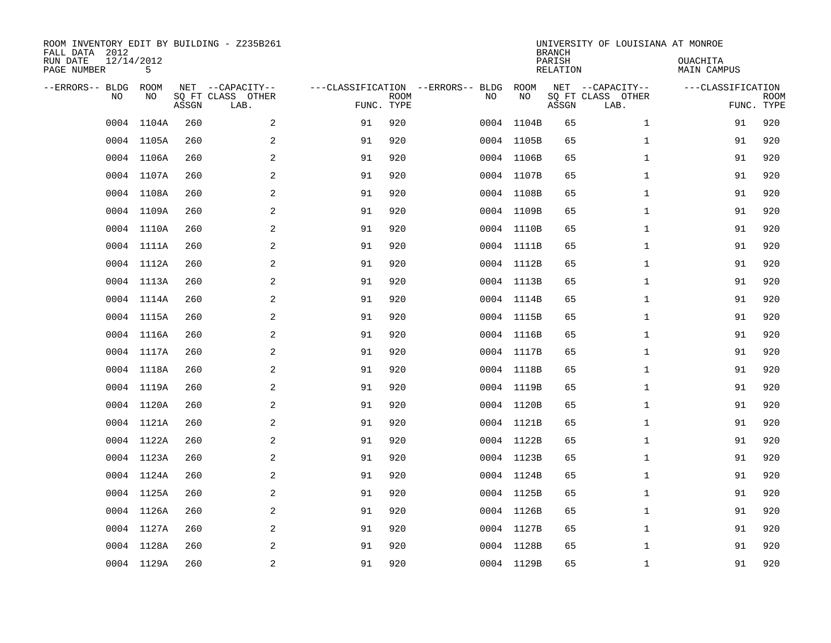| ROOM INVENTORY EDIT BY BUILDING - Z235B261<br>FALL DATA 2012<br>RUN DATE<br>PAGE NUMBER | 12/14/2012<br>5 |       |                                               |                                                 |             |      |            | <b>BRANCH</b><br>PARISH<br>RELATION | UNIVERSITY OF LOUISIANA AT MONROE             | <b>OUACHITA</b><br>MAIN CAMPUS |                           |
|-----------------------------------------------------------------------------------------|-----------------|-------|-----------------------------------------------|-------------------------------------------------|-------------|------|------------|-------------------------------------|-----------------------------------------------|--------------------------------|---------------------------|
| --ERRORS-- BLDG<br><b>NO</b>                                                            | ROOM<br>NO.     | ASSGN | NET --CAPACITY--<br>SQ FT CLASS OTHER<br>LAB. | ---CLASSIFICATION --ERRORS-- BLDG<br>FUNC. TYPE | <b>ROOM</b> | NO   | ROOM<br>NO | ASSGN                               | NET --CAPACITY--<br>SQ FT CLASS OTHER<br>LAB. | ---CLASSIFICATION              | <b>ROOM</b><br>FUNC. TYPE |
| 0004                                                                                    | 1104A           | 260   | 2                                             | 91                                              | 920         | 0004 | 1104B      | 65                                  | $\mathbf{1}$                                  | 91                             | 920                       |
|                                                                                         | 0004 1105A      | 260   | 2                                             | 91                                              | 920         |      | 0004 1105B | 65                                  | $\mathbf{1}$                                  | 91                             | 920                       |
| 0004                                                                                    | 1106A           | 260   | 2                                             | 91                                              | 920         |      | 0004 1106B | 65                                  | $\mathbf{1}$                                  | 91                             | 920                       |
|                                                                                         | 0004 1107A      | 260   | $\overline{2}$                                | 91                                              | 920         |      | 0004 1107B | 65                                  | $\mathbf{1}$                                  | 91                             | 920                       |
| 0004                                                                                    | 1108A           | 260   | 2                                             | 91                                              | 920         |      | 0004 1108B | 65                                  | $\mathbf{1}$                                  | 91                             | 920                       |
|                                                                                         | 0004 1109A      | 260   | 2                                             | 91                                              | 920         |      | 0004 1109B | 65                                  | $\mathbf{1}$                                  | 91                             | 920                       |
| 0004                                                                                    | 1110A           | 260   | 2                                             | 91                                              | 920         |      | 0004 1110B | 65                                  | $\mathbf{1}$                                  | 91                             | 920                       |
|                                                                                         | 0004 1111A      | 260   | 2                                             | 91                                              | 920         |      | 0004 1111B | 65                                  | $\mathbf{1}$                                  | 91                             | 920                       |
| 0004                                                                                    | 1112A           | 260   | 2                                             | 91                                              | 920         |      | 0004 1112B | 65                                  | $\mathbf{1}$                                  | 91                             | 920                       |
|                                                                                         | 0004 1113A      | 260   | 2                                             | 91                                              | 920         |      | 0004 1113B | 65                                  | $\mathbf{1}$                                  | 91                             | 920                       |
|                                                                                         | 0004 1114A      | 260   | 2                                             | 91                                              | 920         |      | 0004 1114B | 65                                  | $\mathbf{1}$                                  | 91                             | 920                       |
|                                                                                         | 0004 1115A      | 260   | 2                                             | 91                                              | 920         |      | 0004 1115B | 65                                  | $\mathbf{1}$                                  | 91                             | 920                       |
| 0004                                                                                    | 1116A           | 260   | 2                                             | 91                                              | 920         |      | 0004 1116B | 65                                  | $\mathbf{1}$                                  | 91                             | 920                       |
|                                                                                         | 0004 1117A      | 260   | 2                                             | 91                                              | 920         |      | 0004 1117B | 65                                  | $\mathbf{1}$                                  | 91                             | 920                       |
|                                                                                         | 0004 1118A      | 260   | $\overline{a}$                                | 91                                              | 920         |      | 0004 1118B | 65                                  | $\mathbf{1}$                                  | 91                             | 920                       |
|                                                                                         | 0004 1119A      | 260   | $\overline{a}$                                | 91                                              | 920         |      | 0004 1119B | 65                                  | $\mathbf{1}$                                  | 91                             | 920                       |
|                                                                                         | 0004 1120A      | 260   | 2                                             | 91                                              | 920         |      | 0004 1120B | 65                                  | $\mathbf{1}$                                  | 91                             | 920                       |
| 0004                                                                                    | 1121A           | 260   | 2                                             | 91                                              | 920         |      | 0004 1121B | 65                                  | $\mathbf{1}$                                  | 91                             | 920                       |
|                                                                                         | 0004 1122A      | 260   | 2                                             | 91                                              | 920         |      | 0004 1122B | 65                                  | $\mathbf{1}$                                  | 91                             | 920                       |
|                                                                                         | 0004 1123A      | 260   | 2                                             | 91                                              | 920         |      | 0004 1123B | 65                                  | $\mathbf{1}$                                  | 91                             | 920                       |
|                                                                                         | 0004 1124A      | 260   | 2                                             | 91                                              | 920         |      | 0004 1124B | 65                                  | $\mathbf{1}$                                  | 91                             | 920                       |
|                                                                                         | 0004 1125A      | 260   | 2                                             | 91                                              | 920         |      | 0004 1125B | 65                                  | $\mathbf{1}$                                  | 91                             | 920                       |
|                                                                                         | 0004 1126A      | 260   | 2                                             | 91                                              | 920         |      | 0004 1126B | 65                                  | $\mathbf{1}$                                  | 91                             | 920                       |
|                                                                                         | 0004 1127A      | 260   | 2                                             | 91                                              | 920         |      | 0004 1127B | 65                                  | $\mathbf{1}$                                  | 91                             | 920                       |
|                                                                                         | 0004 1128A      | 260   | 2                                             | 91                                              | 920         |      | 0004 1128B | 65                                  | $\mathbf{1}$                                  | 91                             | 920                       |
|                                                                                         | 0004 1129A      | 260   | $\overline{c}$                                | 91                                              | 920         |      | 0004 1129B | 65                                  | $\mathbf{1}$                                  | 91                             | 920                       |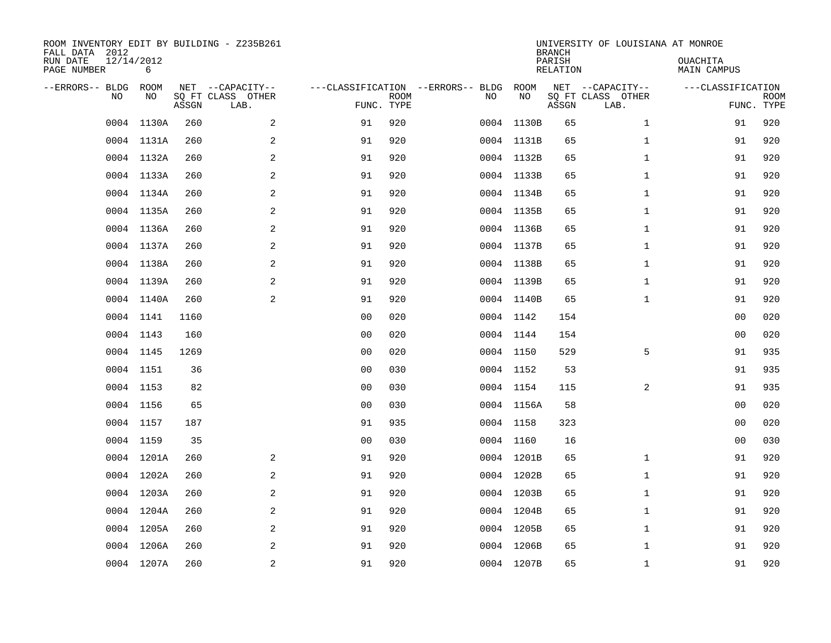| ROOM INVENTORY EDIT BY BUILDING - Z235B261<br>FALL DATA 2012<br>RUN DATE<br>PAGE NUMBER | 12/14/2012<br>6 |       |                                               |                                                 |             |    |            | <b>BRANCH</b><br>PARISH<br><b>RELATION</b> | UNIVERSITY OF LOUISIANA AT MONROE             | OUACHITA<br><b>MAIN CAMPUS</b>  |             |
|-----------------------------------------------------------------------------------------|-----------------|-------|-----------------------------------------------|-------------------------------------------------|-------------|----|------------|--------------------------------------------|-----------------------------------------------|---------------------------------|-------------|
| --ERRORS-- BLDG<br>NO                                                                   | ROOM<br>NO      | ASSGN | NET --CAPACITY--<br>SQ FT CLASS OTHER<br>LAB. | ---CLASSIFICATION --ERRORS-- BLDG<br>FUNC. TYPE | <b>ROOM</b> | NO | ROOM<br>NO | ASSGN                                      | NET --CAPACITY--<br>SQ FT CLASS OTHER<br>LAB. | ---CLASSIFICATION<br>FUNC. TYPE | <b>ROOM</b> |
| 0004                                                                                    | 1130A           | 260   | 2                                             | 91                                              | 920         |    | 0004 1130B | 65                                         | $\mathbf{1}$                                  | 91                              | 920         |
|                                                                                         | 0004 1131A      | 260   | 2                                             | 91                                              | 920         |    | 0004 1131B | 65                                         | $\mathbf{1}$                                  | 91                              | 920         |
|                                                                                         | 0004 1132A      | 260   | 2                                             | 91                                              | 920         |    | 0004 1132B | 65                                         | $\mathbf{1}$                                  | 91                              | 920         |
|                                                                                         | 0004 1133A      | 260   | $\mathbf{2}$                                  | 91                                              | 920         |    | 0004 1133B | 65                                         | $\mathbf{1}$                                  | 91                              | 920         |
| 0004                                                                                    | 1134A           | 260   | 2                                             | 91                                              | 920         |    | 0004 1134B | 65                                         | $\mathbf{1}$                                  | 91                              | 920         |
|                                                                                         | 0004 1135A      | 260   | 2                                             | 91                                              | 920         |    | 0004 1135B | 65                                         | $\mathbf{1}$                                  | 91                              | 920         |
|                                                                                         | 0004 1136A      | 260   | 2                                             | 91                                              | 920         |    | 0004 1136B | 65                                         | $\mathbf{1}$                                  | 91                              | 920         |
|                                                                                         | 0004 1137A      | 260   | 2                                             | 91                                              | 920         |    | 0004 1137B | 65                                         | $\mathbf{1}$                                  | 91                              | 920         |
|                                                                                         | 0004 1138A      | 260   | 2                                             | 91                                              | 920         |    | 0004 1138B | 65                                         | $\mathbf{1}$                                  | 91                              | 920         |
|                                                                                         | 0004 1139A      | 260   | 2                                             | 91                                              | 920         |    | 0004 1139B | 65                                         | $\mathbf{1}$                                  | 91                              | 920         |
|                                                                                         | 0004 1140A      | 260   | 2                                             | 91                                              | 920         |    | 0004 1140B | 65                                         | $\mathbf{1}$                                  | 91                              | 920         |
|                                                                                         | 0004 1141       | 1160  |                                               | 0 <sub>0</sub>                                  | 020         |    | 0004 1142  | 154                                        |                                               | 0 <sub>0</sub>                  | 020         |
|                                                                                         | 0004 1143       | 160   |                                               | 0 <sub>0</sub>                                  | 020         |    | 0004 1144  | 154                                        |                                               | 00                              | 020         |
|                                                                                         | 0004 1145       | 1269  |                                               | 0 <sub>0</sub>                                  | 020         |    | 0004 1150  | 529                                        | 5                                             | 91                              | 935         |
| 0004                                                                                    | 1151            | 36    |                                               | 0 <sub>0</sub>                                  | 030         |    | 0004 1152  | 53                                         |                                               | 91                              | 935         |
|                                                                                         | 0004 1153       | 82    |                                               | 0 <sub>0</sub>                                  | 030         |    | 0004 1154  | 115                                        | 2                                             | 91                              | 935         |
|                                                                                         | 0004 1156       | 65    |                                               | 0 <sub>0</sub>                                  | 030         |    | 0004 1156A | 58                                         |                                               | 00                              | 020         |
| 0004                                                                                    | 1157            | 187   |                                               | 91                                              | 935         |    | 0004 1158  | 323                                        |                                               | 0 <sub>0</sub>                  | 020         |
|                                                                                         | 0004 1159       | 35    |                                               | 0 <sub>0</sub>                                  | 030         |    | 0004 1160  | 16                                         |                                               | 0 <sub>0</sub>                  | 030         |
|                                                                                         | 0004 1201A      | 260   | 2                                             | 91                                              | 920         |    | 0004 1201B | 65                                         | $\mathbf{1}$                                  | 91                              | 920         |
|                                                                                         | 0004 1202A      | 260   | 2                                             | 91                                              | 920         |    | 0004 1202B | 65                                         | $\mathbf{1}$                                  | 91                              | 920         |
|                                                                                         | 0004 1203A      | 260   | 2                                             | 91                                              | 920         |    | 0004 1203B | 65                                         | $\mathbf{1}$                                  | 91                              | 920         |
|                                                                                         | 0004 1204A      | 260   | 2                                             | 91                                              | 920         |    | 0004 1204B | 65                                         | $\mathbf{1}$                                  | 91                              | 920         |
|                                                                                         | 0004 1205A      | 260   | 2                                             | 91                                              | 920         |    | 0004 1205B | 65                                         | $\mathbf{1}$                                  | 91                              | 920         |
|                                                                                         | 0004 1206A      | 260   | 2                                             | 91                                              | 920         |    | 0004 1206B | 65                                         | $\mathbf{1}$                                  | 91                              | 920         |
|                                                                                         | 0004 1207A      | 260   | $\overline{c}$                                | 91                                              | 920         |    | 0004 1207B | 65                                         | $\mathbf{1}$                                  | 91                              | 920         |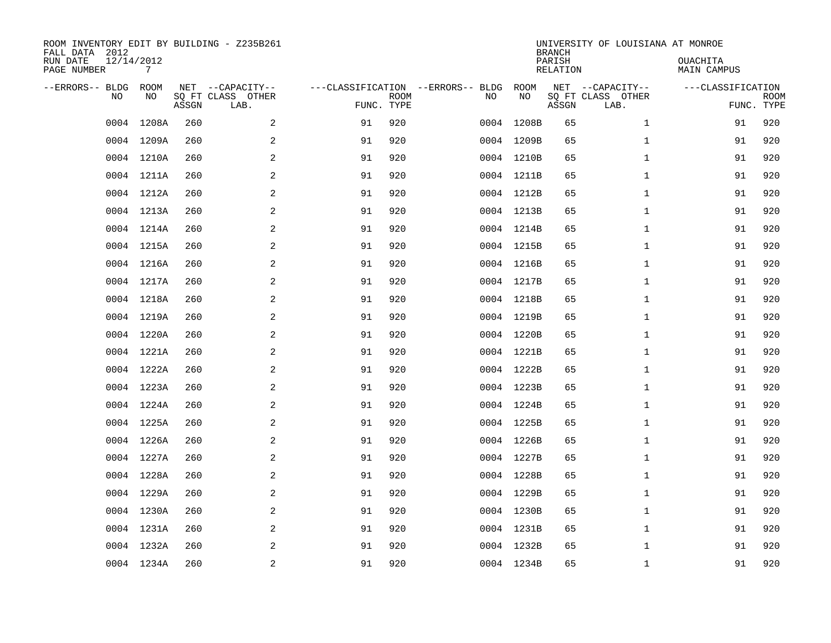| ROOM INVENTORY EDIT BY BUILDING - Z235B261<br>FALL DATA 2012<br>RUN DATE<br>PAGE NUMBER | 12/14/2012<br>7 |       |                                               |                                                 |             |      |            | <b>BRANCH</b><br>PARISH<br><b>RELATION</b> | UNIVERSITY OF LOUISIANA AT MONROE             | OUACHITA<br><b>MAIN CAMPUS</b>  |             |
|-----------------------------------------------------------------------------------------|-----------------|-------|-----------------------------------------------|-------------------------------------------------|-------------|------|------------|--------------------------------------------|-----------------------------------------------|---------------------------------|-------------|
| --ERRORS-- BLDG<br>NO                                                                   | ROOM<br>NO      | ASSGN | NET --CAPACITY--<br>SQ FT CLASS OTHER<br>LAB. | ---CLASSIFICATION --ERRORS-- BLDG<br>FUNC. TYPE | <b>ROOM</b> | NO   | ROOM<br>NO | ASSGN                                      | NET --CAPACITY--<br>SQ FT CLASS OTHER<br>LAB. | ---CLASSIFICATION<br>FUNC. TYPE | <b>ROOM</b> |
| 0004                                                                                    | 1208A           | 260   | 2                                             | 91                                              | 920         | 0004 | 1208B      | 65                                         | $\mathbf{1}$                                  | 91                              | 920         |
|                                                                                         | 0004 1209A      | 260   | $\sqrt{2}$                                    | 91                                              | 920         |      | 0004 1209B | 65                                         | $\mathbf{1}$                                  | 91                              | 920         |
|                                                                                         | 0004 1210A      | 260   | 2                                             | 91                                              | 920         |      | 0004 1210B | 65                                         | $\mathbf{1}$                                  | 91                              | 920         |
|                                                                                         | 0004 1211A      | 260   | 2                                             | 91                                              | 920         |      | 0004 1211B | 65                                         | $\mathbf{1}$                                  | 91                              | 920         |
| 0004                                                                                    | 1212A           | 260   | 2                                             | 91                                              | 920         |      | 0004 1212B | 65                                         | $\mathbf{1}$                                  | 91                              | 920         |
|                                                                                         | 0004 1213A      | 260   | 2                                             | 91                                              | 920         |      | 0004 1213B | 65                                         | $\mathbf{1}$                                  | 91                              | 920         |
|                                                                                         | 0004 1214A      | 260   | 2                                             | 91                                              | 920         |      | 0004 1214B | 65                                         | $\mathbf{1}$                                  | 91                              | 920         |
|                                                                                         | 0004 1215A      | 260   | 2                                             | 91                                              | 920         |      | 0004 1215B | 65                                         | $\mathbf{1}$                                  | 91                              | 920         |
|                                                                                         | 0004 1216A      | 260   | 2                                             | 91                                              | 920         |      | 0004 1216B | 65                                         | $\mathbf{1}$                                  | 91                              | 920         |
|                                                                                         | 0004 1217A      | 260   | 2                                             | 91                                              | 920         |      | 0004 1217B | 65                                         | $\mathbf{1}$                                  | 91                              | 920         |
|                                                                                         | 0004 1218A      | 260   | 2                                             | 91                                              | 920         |      | 0004 1218B | 65                                         | $\mathbf{1}$                                  | 91                              | 920         |
|                                                                                         | 0004 1219A      | 260   | 2                                             | 91                                              | 920         |      | 0004 1219B | 65                                         | $\mathbf{1}$                                  | 91                              | 920         |
|                                                                                         | 0004 1220A      | 260   | 2                                             | 91                                              | 920         |      | 0004 1220B | 65                                         | $\mathbf{1}$                                  | 91                              | 920         |
|                                                                                         | 0004 1221A      | 260   | 2                                             | 91                                              | 920         |      | 0004 1221B | 65                                         | $\mathbf{1}$                                  | 91                              | 920         |
|                                                                                         | 0004 1222A      | 260   | 2                                             | 91                                              | 920         |      | 0004 1222B | 65                                         | $\mathbf{1}$                                  | 91                              | 920         |
|                                                                                         | 0004 1223A      | 260   | 2                                             | 91                                              | 920         |      | 0004 1223B | 65                                         | $\mathbf{1}$                                  | 91                              | 920         |
|                                                                                         | 0004 1224A      | 260   | 2                                             | 91                                              | 920         |      | 0004 1224B | 65                                         | $\mathbf{1}$                                  | 91                              | 920         |
| 0004                                                                                    | 1225A           | 260   | $\overline{a}$                                | 91                                              | 920         |      | 0004 1225B | 65                                         | $\mathbf{1}$                                  | 91                              | 920         |
|                                                                                         | 0004 1226A      | 260   | 2                                             | 91                                              | 920         |      | 0004 1226B | 65                                         | $\mathbf{1}$                                  | 91                              | 920         |
|                                                                                         | 0004 1227A      | 260   | 2                                             | 91                                              | 920         |      | 0004 1227B | 65                                         | $\mathbf{1}$                                  | 91                              | 920         |
|                                                                                         | 0004 1228A      | 260   | 2                                             | 91                                              | 920         |      | 0004 1228B | 65                                         | $\mathbf{1}$                                  | 91                              | 920         |
|                                                                                         | 0004 1229A      | 260   | 2                                             | 91                                              | 920         |      | 0004 1229B | 65                                         | $\mathbf{1}$                                  | 91                              | 920         |
|                                                                                         | 0004 1230A      | 260   | 2                                             | 91                                              | 920         |      | 0004 1230B | 65                                         | $\mathbf{1}$                                  | 91                              | 920         |
|                                                                                         | 0004 1231A      | 260   | 2                                             | 91                                              | 920         |      | 0004 1231B | 65                                         | $\mathbf{1}$                                  | 91                              | 920         |
|                                                                                         | 0004 1232A      | 260   | 2                                             | 91                                              | 920         |      | 0004 1232B | 65                                         | $\mathbf{1}$                                  | 91                              | 920         |
|                                                                                         | 0004 1234A      | 260   | $\overline{c}$                                | 91                                              | 920         |      | 0004 1234B | 65                                         | $\mathbf{1}$                                  | 91                              | 920         |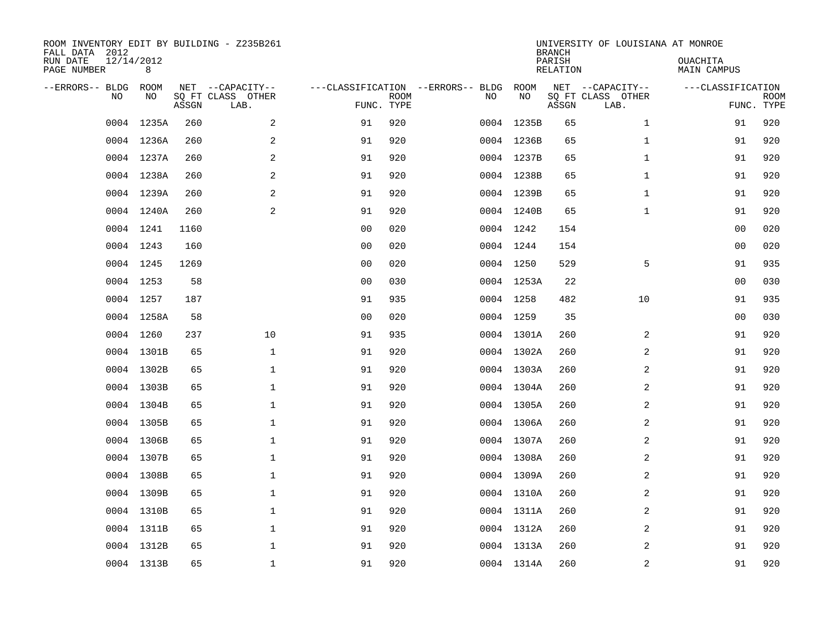| ROOM INVENTORY EDIT BY BUILDING - Z235B261<br>FALL DATA 2012<br>RUN DATE<br>PAGE NUMBER | 12/14/2012<br>8 |       |                                               |                                                 |             |    |            | <b>BRANCH</b><br>PARISH<br><b>RELATION</b> | UNIVERSITY OF LOUISIANA AT MONROE             | OUACHITA<br><b>MAIN CAMPUS</b>  |             |
|-----------------------------------------------------------------------------------------|-----------------|-------|-----------------------------------------------|-------------------------------------------------|-------------|----|------------|--------------------------------------------|-----------------------------------------------|---------------------------------|-------------|
| --ERRORS-- BLDG<br>NO                                                                   | ROOM<br>NO      | ASSGN | NET --CAPACITY--<br>SQ FT CLASS OTHER<br>LAB. | ---CLASSIFICATION --ERRORS-- BLDG<br>FUNC. TYPE | <b>ROOM</b> | NO | ROOM<br>NO | ASSGN                                      | NET --CAPACITY--<br>SQ FT CLASS OTHER<br>LAB. | ---CLASSIFICATION<br>FUNC. TYPE | <b>ROOM</b> |
| 0004                                                                                    | 1235A           | 260   | 2                                             | 91                                              | 920         |    | 0004 1235B | 65                                         | $\mathbf{1}$                                  | 91                              | 920         |
|                                                                                         | 0004 1236A      | 260   | 2                                             | 91                                              | 920         |    | 0004 1236B | 65                                         | $\mathbf{1}$                                  | 91                              | 920         |
|                                                                                         | 0004 1237A      | 260   | 2                                             | 91                                              | 920         |    | 0004 1237B | 65                                         | $\mathbf{1}$                                  | 91                              | 920         |
|                                                                                         | 0004 1238A      | 260   | $\overline{a}$                                | 91                                              | 920         |    | 0004 1238B | 65                                         | $\mathbf{1}$                                  | 91                              | 920         |
|                                                                                         | 0004 1239A      | 260   | 2                                             | 91                                              | 920         |    | 0004 1239B | 65                                         | $\mathbf{1}$                                  | 91                              | 920         |
|                                                                                         | 0004 1240A      | 260   | 2                                             | 91                                              | 920         |    | 0004 1240B | 65                                         | $\mathbf{1}$                                  | 91                              | 920         |
|                                                                                         | 0004 1241       | 1160  |                                               | 0 <sub>0</sub>                                  | 020         |    | 0004 1242  | 154                                        |                                               | 00                              | 020         |
|                                                                                         | 0004 1243       | 160   |                                               | 0 <sub>0</sub>                                  | 020         |    | 0004 1244  | 154                                        |                                               | 0 <sub>0</sub>                  | 020         |
|                                                                                         | 0004 1245       | 1269  |                                               | 0 <sub>0</sub>                                  | 020         |    | 0004 1250  | 529                                        | 5                                             | 91                              | 935         |
|                                                                                         | 0004 1253       | 58    |                                               | 0 <sub>0</sub>                                  | 030         |    | 0004 1253A | 22                                         |                                               | 00                              | 030         |
|                                                                                         | 0004 1257       | 187   |                                               | 91                                              | 935         |    | 0004 1258  | 482                                        | 10                                            | 91                              | 935         |
|                                                                                         | 0004 1258A      | 58    |                                               | 0 <sub>0</sub>                                  | 020         |    | 0004 1259  | 35                                         |                                               | 0 <sub>0</sub>                  | 030         |
|                                                                                         | 0004 1260       | 237   | 10                                            | 91                                              | 935         |    | 0004 1301A | 260                                        | 2                                             | 91                              | 920         |
|                                                                                         | 0004 1301B      | 65    | $\mathbf 1$                                   | 91                                              | 920         |    | 0004 1302A | 260                                        | 2                                             | 91                              | 920         |
|                                                                                         | 0004 1302B      | 65    | $\mathbf 1$                                   | 91                                              | 920         |    | 0004 1303A | 260                                        | 2                                             | 91                              | 920         |
|                                                                                         | 0004 1303B      | 65    | $\mathbf{1}$                                  | 91                                              | 920         |    | 0004 1304A | 260                                        | 2                                             | 91                              | 920         |
|                                                                                         | 0004 1304B      | 65    | $\mathbf 1$                                   | 91                                              | 920         |    | 0004 1305A | 260                                        | 2                                             | 91                              | 920         |
|                                                                                         | 0004 1305B      | 65    | $\mathbf{1}$                                  | 91                                              | 920         |    | 0004 1306A | 260                                        | $\overline{a}$                                | 91                              | 920         |
|                                                                                         | 0004 1306B      | 65    | $\mathbf{1}$                                  | 91                                              | 920         |    | 0004 1307A | 260                                        | $\overline{2}$                                | 91                              | 920         |
|                                                                                         | 0004 1307B      | 65    | $\mathbf 1$                                   | 91                                              | 920         |    | 0004 1308A | 260                                        | 2                                             | 91                              | 920         |
|                                                                                         | 0004 1308B      | 65    | $\mathbf 1$                                   | 91                                              | 920         |    | 0004 1309A | 260                                        | 2                                             | 91                              | 920         |
|                                                                                         | 0004 1309B      | 65    | $\mathbf 1$                                   | 91                                              | 920         |    | 0004 1310A | 260                                        | 2                                             | 91                              | 920         |
|                                                                                         | 0004 1310B      | 65    | $\mathbf 1$                                   | 91                                              | 920         |    | 0004 1311A | 260                                        | 2                                             | 91                              | 920         |
|                                                                                         | 0004 1311B      | 65    | $\mathbf 1$                                   | 91                                              | 920         |    | 0004 1312A | 260                                        | 2                                             | 91                              | 920         |
|                                                                                         | 0004 1312B      | 65    | $\mathbf{1}$                                  | 91                                              | 920         |    | 0004 1313A | 260                                        | 2                                             | 91                              | 920         |
|                                                                                         | 0004 1313B      | 65    | $\mathbf{1}$                                  | 91                                              | 920         |    | 0004 1314A | 260                                        | $\overline{2}$                                | 91                              | 920         |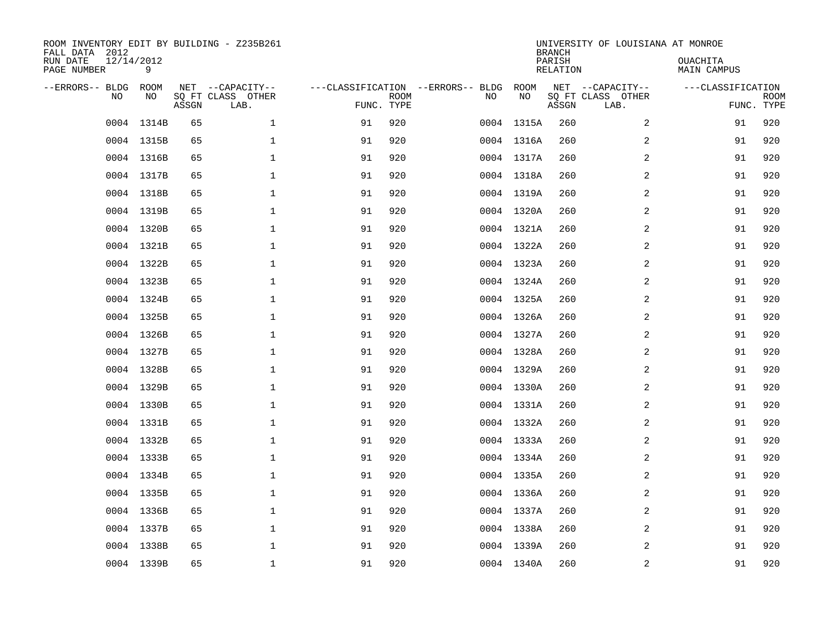| ROOM INVENTORY EDIT BY BUILDING - Z235B261<br>FALL DATA 2012<br>RUN DATE | 12/14/2012 |       |                           |                                   |             |    |            | <b>BRANCH</b><br>PARISH | UNIVERSITY OF LOUISIANA AT MONROE | OUACHITA           |                           |
|--------------------------------------------------------------------------|------------|-------|---------------------------|-----------------------------------|-------------|----|------------|-------------------------|-----------------------------------|--------------------|---------------------------|
| PAGE NUMBER                                                              | 9          |       |                           |                                   |             |    |            | <b>RELATION</b>         |                                   | <b>MAIN CAMPUS</b> |                           |
| --ERRORS-- BLDG                                                          | ROOM<br>NO |       | NET --CAPACITY--          | ---CLASSIFICATION --ERRORS-- BLDG |             |    | ROOM<br>NO |                         | NET --CAPACITY--                  | ---CLASSIFICATION  |                           |
| NO                                                                       |            | ASSGN | SQ FT CLASS OTHER<br>LAB. | FUNC. TYPE                        | <b>ROOM</b> | NO |            | ASSGN                   | SQ FT CLASS OTHER<br>LAB.         |                    | <b>ROOM</b><br>FUNC. TYPE |
| 0004                                                                     | 1314B      | 65    | $\mathbf 1$               | 91                                | 920         |    | 0004 1315A | 260                     | 2                                 | 91                 | 920                       |
|                                                                          | 0004 1315B | 65    | 1                         | 91                                | 920         |    | 0004 1316A | 260                     | 2                                 | 91                 | 920                       |
|                                                                          | 0004 1316B | 65    | 1                         | 91                                | 920         |    | 0004 1317A | 260                     | 2                                 | 91                 | 920                       |
|                                                                          | 0004 1317B | 65    | $\mathbf 1$               | 91                                | 920         |    | 0004 1318A | 260                     | 2                                 | 91                 | 920                       |
| 0004                                                                     | 1318B      | 65    | $\mathbf{1}$              | 91                                | 920         |    | 0004 1319A | 260                     | $\overline{a}$                    | 91                 | 920                       |
|                                                                          | 0004 1319B | 65    | $\mathbf{1}$              | 91                                | 920         |    | 0004 1320A | 260                     | $\overline{a}$                    | 91                 | 920                       |
|                                                                          | 0004 1320B | 65    | $\mathbf{1}$              | 91                                | 920         |    | 0004 1321A | 260                     | $\overline{a}$                    | 91                 | 920                       |
|                                                                          | 0004 1321B | 65    | $\mathbf 1$               | 91                                | 920         |    | 0004 1322A | 260                     | 2                                 | 91                 | 920                       |
|                                                                          | 0004 1322B | 65    | $\mathbf 1$               | 91                                | 920         |    | 0004 1323A | 260                     | 2                                 | 91                 | 920                       |
|                                                                          | 0004 1323B | 65    | $\mathbf 1$               | 91                                | 920         |    | 0004 1324A | 260                     | 2                                 | 91                 | 920                       |
|                                                                          | 0004 1324B | 65    | $\mathbf 1$               | 91                                | 920         |    | 0004 1325A | 260                     | 2                                 | 91                 | 920                       |
|                                                                          | 0004 1325B | 65    | $\mathbf{1}$              | 91                                | 920         |    | 0004 1326A | 260                     | $\overline{2}$                    | 91                 | 920                       |
|                                                                          | 0004 1326B | 65    | $\mathbf 1$               | 91                                | 920         |    | 0004 1327A | 260                     | 2                                 | 91                 | 920                       |
|                                                                          | 0004 1327B | 65    | $\mathbf 1$               | 91                                | 920         |    | 0004 1328A | 260                     | 2                                 | 91                 | 920                       |
|                                                                          | 0004 1328B | 65    | 1                         | 91                                | 920         |    | 0004 1329A | 260                     | 2                                 | 91                 | 920                       |
|                                                                          | 0004 1329B | 65    | $\mathbf 1$               | 91                                | 920         |    | 0004 1330A | 260                     | 2                                 | 91                 | 920                       |
|                                                                          | 0004 1330B | 65    | $\mathbf 1$               | 91                                | 920         |    | 0004 1331A | 260                     | 2                                 | 91                 | 920                       |
|                                                                          | 0004 1331B | 65    | $\mathbf{1}$              | 91                                | 920         |    | 0004 1332A | 260                     | $\overline{a}$                    | 91                 | 920                       |
|                                                                          | 0004 1332B | 65    | $\mathbf{1}$              | 91                                | 920         |    | 0004 1333A | 260                     | $\overline{a}$                    | 91                 | 920                       |
|                                                                          | 0004 1333B | 65    | $\mathbf 1$               | 91                                | 920         |    | 0004 1334A | 260                     | 2                                 | 91                 | 920                       |
|                                                                          | 0004 1334B | 65    | 1                         | 91                                | 920         |    | 0004 1335A | 260                     | 2                                 | 91                 | 920                       |
|                                                                          | 0004 1335B | 65    | $\mathbf 1$               | 91                                | 920         |    | 0004 1336A | 260                     | 2                                 | 91                 | 920                       |
|                                                                          | 0004 1336B | 65    | 1                         | 91                                | 920         |    | 0004 1337A | 260                     | 2                                 | 91                 | 920                       |
|                                                                          | 0004 1337B | 65    | $\mathbf 1$               | 91                                | 920         |    | 0004 1338A | 260                     | 2                                 | 91                 | 920                       |
|                                                                          | 0004 1338B | 65    | $\mathbf 1$               | 91                                | 920         |    | 0004 1339A | 260                     | 2                                 | 91                 | 920                       |
|                                                                          | 0004 1339B | 65    | $\mathbf{1}$              | 91                                | 920         |    | 0004 1340A | 260                     | 2                                 | 91                 | 920                       |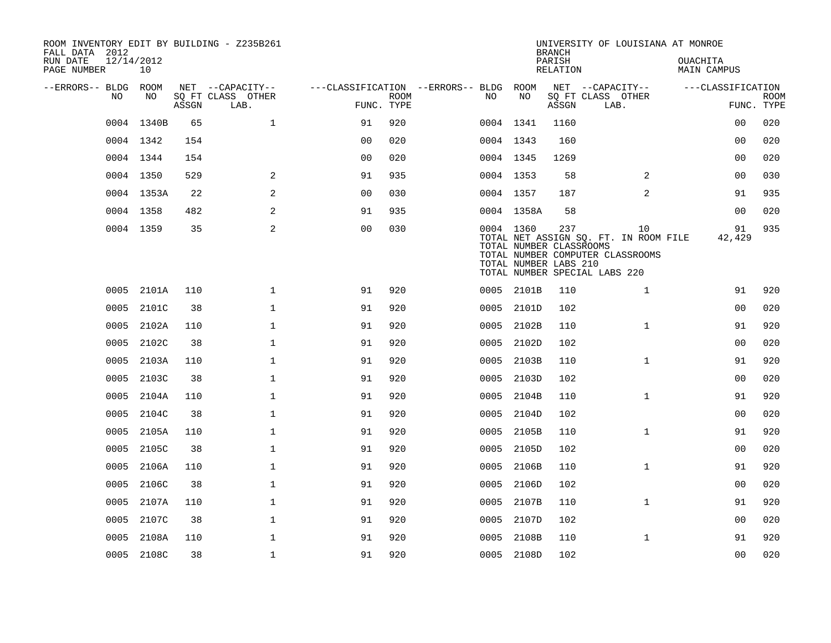| ROOM INVENTORY EDIT BY BUILDING - Z235B261<br>FALL DATA 2012 |                  |       |                           |                                        |             |           |                                                  | <b>BRANCH</b>             | UNIVERSITY OF LOUISIANA AT MONROE                                                                                |                         |                           |
|--------------------------------------------------------------|------------------|-------|---------------------------|----------------------------------------|-------------|-----------|--------------------------------------------------|---------------------------|------------------------------------------------------------------------------------------------------------------|-------------------------|---------------------------|
| RUN DATE<br>PAGE NUMBER                                      | 12/14/2012<br>10 |       |                           |                                        |             |           |                                                  | PARISH<br><b>RELATION</b> |                                                                                                                  | OUACHITA<br>MAIN CAMPUS |                           |
| --ERRORS-- BLDG ROOM                                         | NO               |       | NET --CAPACITY--          | ---CLASSIFICATION --ERRORS-- BLDG ROOM |             | NO.       | NO                                               |                           | NET --CAPACITY--                                                                                                 | ---CLASSIFICATION       |                           |
| NO                                                           |                  | ASSGN | SQ FT CLASS OTHER<br>LAB. | FUNC. TYPE                             | <b>ROOM</b> |           |                                                  | ASSGN                     | SQ FT CLASS OTHER<br>LAB.                                                                                        |                         | <b>ROOM</b><br>FUNC. TYPE |
|                                                              | 0004 1340B       | 65    | $\mathbf{1}$              | 91                                     | 920         | 0004 1341 |                                                  | 1160                      |                                                                                                                  | 00                      | 020                       |
|                                                              | 0004 1342        | 154   |                           | 00                                     | 020         | 0004 1343 |                                                  | 160                       |                                                                                                                  | 0 <sub>0</sub>          | 020                       |
|                                                              | 0004 1344        | 154   |                           | 0 <sub>0</sub>                         | 020         | 0004 1345 |                                                  | 1269                      |                                                                                                                  | 00                      | 020                       |
|                                                              | 0004 1350        | 529   | 2                         | 91                                     | 935         | 0004 1353 |                                                  | 58                        | 2                                                                                                                | 0 <sub>0</sub>          | 030                       |
|                                                              | 0004 1353A       | 22    | 2                         | 0 <sub>0</sub>                         | 030         | 0004 1357 |                                                  | 187                       | 2                                                                                                                | 91                      | 935                       |
|                                                              | 0004 1358        | 482   | 2                         | 91                                     | 935         |           | 0004 1358A                                       | 58                        |                                                                                                                  | 0 <sub>0</sub>          | 020                       |
|                                                              | 0004 1359        | 35    | 2                         | 0 <sub>0</sub>                         | 030         | 0004 1360 | TOTAL NUMBER CLASSROOMS<br>TOTAL NUMBER LABS 210 | 237                       | 10<br>TOTAL NET ASSIGN SQ. FT. IN ROOM FILE<br>TOTAL NUMBER COMPUTER CLASSROOMS<br>TOTAL NUMBER SPECIAL LABS 220 | 91<br>42,429            | 935                       |
| 0005                                                         | 2101A            | 110   | $\mathbf{1}$              | 91                                     | 920         |           | 0005 2101B                                       | 110                       | $\mathbf{1}$                                                                                                     | 91                      | 920                       |
| 0005                                                         | 2101C            | 38    | $\mathbf{1}$              | 91                                     | 920         | 0005      | 2101D                                            | 102                       |                                                                                                                  | 00                      | 020                       |
| 0005                                                         | 2102A            | 110   | $\mathbf 1$               | 91                                     | 920         |           | 0005 2102B                                       | 110                       | $\mathbf{1}$                                                                                                     | 91                      | 920                       |
| 0005                                                         | 2102C            | 38    | $\mathbf{1}$              | 91                                     | 920         | 0005      | 2102D                                            | 102                       |                                                                                                                  | 0 <sub>0</sub>          | 020                       |
| 0005                                                         | 2103A            | 110   | $\mathbf 1$               | 91                                     | 920         |           | 0005 2103B                                       | 110                       | $\mathbf{1}$                                                                                                     | 91                      | 920                       |
| 0005                                                         | 2103C            | 38    | $\mathbf{1}$              | 91                                     | 920         | 0005      | 2103D                                            | 102                       |                                                                                                                  | 0 <sub>0</sub>          | 020                       |
| 0005                                                         | 2104A            | 110   | $\mathbf 1$               | 91                                     | 920         | 0005      | 2104B                                            | 110                       | $\mathbf{1}$                                                                                                     | 91                      | 920                       |
| 0005                                                         | 2104C            | 38    | $\mathbf{1}$              | 91                                     | 920         | 0005      | 2104D                                            | 102                       |                                                                                                                  | 0 <sub>0</sub>          | 020                       |
| 0005                                                         | 2105A            | 110   | $\mathbf 1$               | 91                                     | 920         |           | 0005 2105B                                       | 110                       | $\mathbf{1}$                                                                                                     | 91                      | 920                       |
| 0005                                                         | 2105C            | 38    | $\mathbf 1$               | 91                                     | 920         | 0005      | 2105D                                            | 102                       |                                                                                                                  | 00                      | 020                       |
|                                                              | 0005 2106A       | 110   | $\mathbf 1$               | 91                                     | 920         | 0005      | 2106B                                            | 110                       | $\mathbf{1}$                                                                                                     | 91                      | 920                       |
| 0005                                                         | 2106C            | 38    | $\mathbf{1}$              | 91                                     | 920         | 0005      | 2106D                                            | 102                       |                                                                                                                  | 0 <sub>0</sub>          | 020                       |
|                                                              | 0005 2107A       | 110   | $\mathbf 1$               | 91                                     | 920         |           | 0005 2107B                                       | 110                       | $\mathbf{1}$                                                                                                     | 91                      | 920                       |
| 0005                                                         | 2107C            | 38    | $\mathbf 1$               | 91                                     | 920         | 0005      | 2107D                                            | 102                       |                                                                                                                  | 00                      | 020                       |
| 0005                                                         | 2108A            | 110   | $\mathbf 1$               | 91                                     | 920         | 0005      | 2108B                                            | 110                       | $\mathbf{1}$                                                                                                     | 91                      | 920                       |
|                                                              | 0005 2108C       | 38    | $\mathbf{1}$              | 91                                     | 920         |           | 0005 2108D                                       | 102                       |                                                                                                                  | 0 <sub>0</sub>          | 020                       |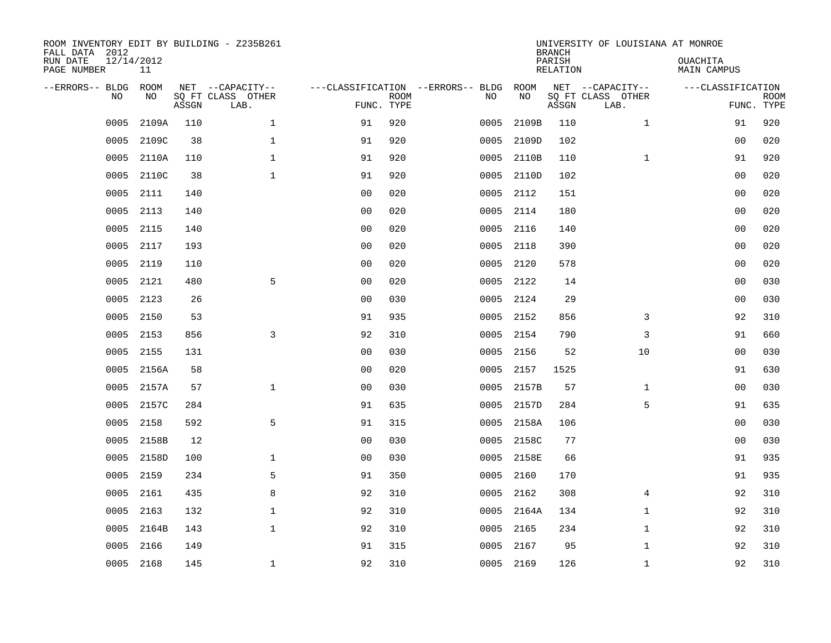| ROOM INVENTORY EDIT BY BUILDING - Z235B261<br>FALL DATA 2012<br>RUN DATE<br>PAGE NUMBER | 12/14/2012<br>11 |       |                                               |                                                 |             |           |            | <b>BRANCH</b><br>PARISH<br><b>RELATION</b> | UNIVERSITY OF LOUISIANA AT MONROE             | OUACHITA<br><b>MAIN CAMPUS</b> |                           |
|-----------------------------------------------------------------------------------------|------------------|-------|-----------------------------------------------|-------------------------------------------------|-------------|-----------|------------|--------------------------------------------|-----------------------------------------------|--------------------------------|---------------------------|
| --ERRORS-- BLDG<br>NO                                                                   | ROOM<br>NO       | ASSGN | NET --CAPACITY--<br>SQ FT CLASS OTHER<br>LAB. | ---CLASSIFICATION --ERRORS-- BLDG<br>FUNC. TYPE | <b>ROOM</b> | NO        | ROOM<br>NO | ASSGN                                      | NET --CAPACITY--<br>SQ FT CLASS OTHER<br>LAB. | ---CLASSIFICATION              | <b>ROOM</b><br>FUNC. TYPE |
| 0005                                                                                    | 2109A            | 110   | $\mathbf{1}$                                  | 91                                              | 920         | 0005      | 2109B      | 110                                        | $\mathbf{1}$                                  | 91                             | 920                       |
| 0005                                                                                    | 2109C            | 38    | 1                                             | 91                                              | 920         | 0005      | 2109D      | 102                                        |                                               | 00                             | 020                       |
| 0005                                                                                    | 2110A            | 110   | $\mathbf 1$                                   | 91                                              | 920         | 0005      | 2110B      | 110                                        | $\mathbf{1}$                                  | 91                             | 920                       |
| 0005                                                                                    | 2110C            | 38    | $\mathbf{1}$                                  | 91                                              | 920         | 0005      | 2110D      | 102                                        |                                               | 00                             | 020                       |
| 0005                                                                                    | 2111             | 140   |                                               | 0 <sub>0</sub>                                  | 020         | 0005      | 2112       | 151                                        |                                               | 0 <sub>0</sub>                 | 020                       |
| 0005                                                                                    | 2113             | 140   |                                               | 0 <sub>0</sub>                                  | 020         | 0005 2114 |            | 180                                        |                                               | 0 <sub>0</sub>                 | 020                       |
| 0005                                                                                    | 2115             | 140   |                                               | 0 <sub>0</sub>                                  | 020         | 0005      | 2116       | 140                                        |                                               | 0 <sub>0</sub>                 | 020                       |
| 0005                                                                                    | 2117             | 193   |                                               | 0 <sub>0</sub>                                  | 020         | 0005      | 2118       | 390                                        |                                               | 0 <sub>0</sub>                 | 020                       |
| 0005                                                                                    | 2119             | 110   |                                               | 0 <sub>0</sub>                                  | 020         | 0005      | 2120       | 578                                        |                                               | 0 <sub>0</sub>                 | 020                       |
| 0005                                                                                    | 2121             | 480   | 5                                             | 0 <sub>0</sub>                                  | 020         | 0005 2122 |            | 14                                         |                                               | 0 <sub>0</sub>                 | 030                       |
| 0005                                                                                    | 2123             | 26    |                                               | 0 <sub>0</sub>                                  | 030         | 0005      | 2124       | 29                                         |                                               | 00                             | 030                       |
| 0005                                                                                    | 2150             | 53    |                                               | 91                                              | 935         | 0005 2152 |            | 856                                        | 3                                             | 92                             | 310                       |
| 0005                                                                                    | 2153             | 856   | 3                                             | 92                                              | 310         | 0005      | 2154       | 790                                        | 3                                             | 91                             | 660                       |
| 0005                                                                                    | 2155             | 131   |                                               | 0 <sub>0</sub>                                  | 030         | 0005 2156 |            | 52                                         | 10                                            | 00                             | 030                       |
| 0005                                                                                    | 2156A            | 58    |                                               | 0 <sub>0</sub>                                  | 020         | 0005      | 2157       | 1525                                       |                                               | 91                             | 630                       |
| 0005                                                                                    | 2157A            | 57    | $\mathbf{1}$                                  | 0 <sub>0</sub>                                  | 030         | 0005      | 2157B      | 57                                         | $\mathbf{1}$                                  | 0 <sub>0</sub>                 | 030                       |
| 0005                                                                                    | 2157C            | 284   |                                               | 91                                              | 635         | 0005      | 2157D      | 284                                        | 5                                             | 91                             | 635                       |
| 0005                                                                                    | 2158             | 592   | 5                                             | 91                                              | 315         | 0005      | 2158A      | 106                                        |                                               | 00                             | 030                       |
| 0005                                                                                    | 2158B            | 12    |                                               | 0 <sub>0</sub>                                  | 030         | 0005      | 2158C      | 77                                         |                                               | 0 <sub>0</sub>                 | 030                       |
| 0005                                                                                    | 2158D            | 100   | $\mathbf 1$                                   | 0 <sub>0</sub>                                  | 030         | 0005      | 2158E      | 66                                         |                                               | 91                             | 935                       |
| 0005                                                                                    | 2159             | 234   | 5                                             | 91                                              | 350         | 0005      | 2160       | 170                                        |                                               | 91                             | 935                       |
| 0005                                                                                    | 2161             | 435   | 8                                             | 92                                              | 310         | 0005      | 2162       | 308                                        | 4                                             | 92                             | 310                       |
| 0005                                                                                    | 2163             | 132   | $\mathbf 1$                                   | 92                                              | 310         |           | 0005 2164A | 134                                        | $\mathbf{1}$                                  | 92                             | 310                       |
| 0005                                                                                    | 2164B            | 143   | $\mathbf{1}$                                  | 92                                              | 310         | 0005      | 2165       | 234                                        | $\mathbf{1}$                                  | 92                             | 310                       |
| 0005                                                                                    | 2166             | 149   |                                               | 91                                              | 315         | 0005      | 2167       | 95                                         | $\mathbf{1}$                                  | 92                             | 310                       |
| 0005                                                                                    | 2168             | 145   | $\mathbf{1}$                                  | 92                                              | 310         | 0005 2169 |            | 126                                        | $\mathbf{1}$                                  | 92                             | 310                       |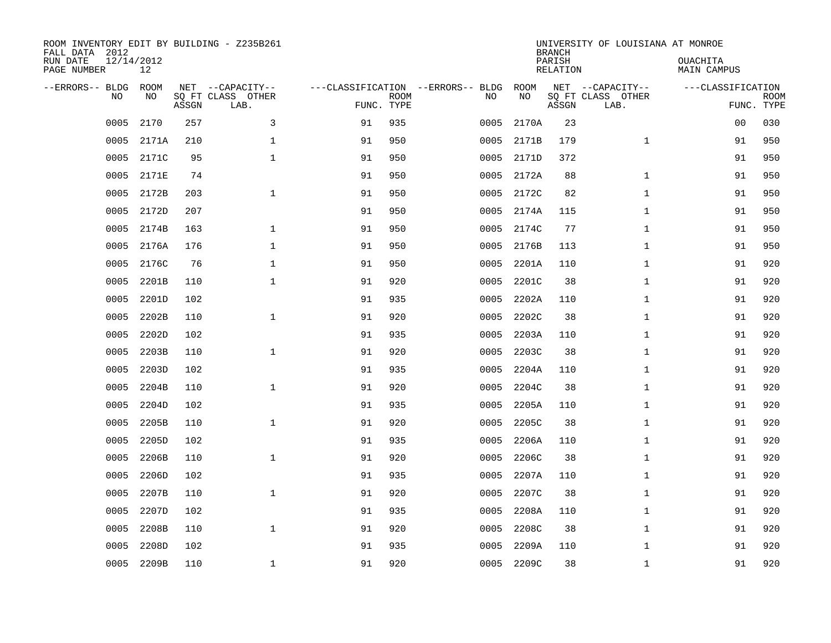| ROOM INVENTORY EDIT BY BUILDING - Z235B261<br>FALL DATA 2012<br>RUN DATE<br>PAGE NUMBER | 12/14/2012<br>12 |       |                                               |                                                 |             |      |            | <b>BRANCH</b><br>PARISH<br><b>RELATION</b> | UNIVERSITY OF LOUISIANA AT MONROE             | OUACHITA<br><b>MAIN CAMPUS</b>  |             |
|-----------------------------------------------------------------------------------------|------------------|-------|-----------------------------------------------|-------------------------------------------------|-------------|------|------------|--------------------------------------------|-----------------------------------------------|---------------------------------|-------------|
| --ERRORS-- BLDG<br>NO                                                                   | ROOM<br>NO       | ASSGN | NET --CAPACITY--<br>SQ FT CLASS OTHER<br>LAB. | ---CLASSIFICATION --ERRORS-- BLDG<br>FUNC. TYPE | <b>ROOM</b> | NO   | ROOM<br>NO | ASSGN                                      | NET --CAPACITY--<br>SQ FT CLASS OTHER<br>LAB. | ---CLASSIFICATION<br>FUNC. TYPE | <b>ROOM</b> |
| 0005                                                                                    | 2170             | 257   | 3                                             | 91                                              | 935         | 0005 | 2170A      | 23                                         |                                               | 0 <sub>0</sub>                  | 030         |
| 0005                                                                                    | 2171A            | 210   | $\mathbf{1}$                                  | 91                                              | 950         | 0005 | 2171B      | 179                                        | $\mathbf{1}$                                  | 91                              | 950         |
| 0005                                                                                    | 2171C            | 95    | $\mathbf 1$                                   | 91                                              | 950         | 0005 | 2171D      | 372                                        |                                               | 91                              | 950         |
| 0005                                                                                    | 2171E            | 74    |                                               | 91                                              | 950         | 0005 | 2172A      | 88                                         | $\mathbf{1}$                                  | 91                              | 950         |
| 0005                                                                                    | 2172B            | 203   | $\mathbf{1}$                                  | 91                                              | 950         | 0005 | 2172C      | 82                                         | $\mathbf{1}$                                  | 91                              | 950         |
| 0005                                                                                    | 2172D            | 207   |                                               | 91                                              | 950         | 0005 | 2174A      | 115                                        | $\mathbf{1}$                                  | 91                              | 950         |
| 0005                                                                                    | 2174B            | 163   | $\mathbf{1}$                                  | 91                                              | 950         | 0005 | 2174C      | 77                                         | $\mathbf{1}$                                  | 91                              | 950         |
| 0005                                                                                    | 2176A            | 176   | $\mathbf 1$                                   | 91                                              | 950         | 0005 | 2176B      | 113                                        | $\mathbf{1}$                                  | 91                              | 950         |
| 0005                                                                                    | 2176C            | 76    | $\mathbf 1$                                   | 91                                              | 950         | 0005 | 2201A      | 110                                        | $\mathbf{1}$                                  | 91                              | 920         |
| 0005                                                                                    | 2201B            | 110   | $\mathbf 1$                                   | 91                                              | 920         | 0005 | 2201C      | 38                                         | $\mathbf{1}$                                  | 91                              | 920         |
| 0005                                                                                    | 2201D            | 102   |                                               | 91                                              | 935         | 0005 | 2202A      | 110                                        | $\mathbf{1}$                                  | 91                              | 920         |
| 0005                                                                                    | 2202B            | 110   | $\mathbf 1$                                   | 91                                              | 920         | 0005 | 2202C      | 38                                         | $\mathbf{1}$                                  | 91                              | 920         |
| 0005                                                                                    | 2202D            | 102   |                                               | 91                                              | 935         | 0005 | 2203A      | 110                                        | $\mathbf{1}$                                  | 91                              | 920         |
| 0005                                                                                    | 2203B            | 110   | $\mathbf 1$                                   | 91                                              | 920         | 0005 | 2203C      | 38                                         | $\mathbf{1}$                                  | 91                              | 920         |
| 0005                                                                                    | 2203D            | 102   |                                               | 91                                              | 935         | 0005 | 2204A      | 110                                        | $\mathbf{1}$                                  | 91                              | 920         |
| 0005                                                                                    | 2204B            | 110   | $\mathbf{1}$                                  | 91                                              | 920         | 0005 | 2204C      | 38                                         | $\mathbf{1}$                                  | 91                              | 920         |
| 0005                                                                                    | 2204D            | 102   |                                               | 91                                              | 935         | 0005 | 2205A      | 110                                        | $\mathbf{1}$                                  | 91                              | 920         |
| 0005                                                                                    | 2205B            | 110   | $\mathbf{1}$                                  | 91                                              | 920         | 0005 | 2205C      | 38                                         | $\mathbf{1}$                                  | 91                              | 920         |
| 0005                                                                                    | 2205D            | 102   |                                               | 91                                              | 935         | 0005 | 2206A      | 110                                        | $\mathbf{1}$                                  | 91                              | 920         |
| 0005                                                                                    | 2206B            | 110   | $\mathbf 1$                                   | 91                                              | 920         | 0005 | 2206C      | 38                                         | $\mathbf{1}$                                  | 91                              | 920         |
| 0005                                                                                    | 2206D            | 102   |                                               | 91                                              | 935         | 0005 | 2207A      | 110                                        | $\mathbf{1}$                                  | 91                              | 920         |
| 0005                                                                                    | 2207B            | 110   | $\mathbf 1$                                   | 91                                              | 920         | 0005 | 2207C      | 38                                         | $\mathbf{1}$                                  | 91                              | 920         |
| 0005                                                                                    | 2207D            | 102   |                                               | 91                                              | 935         | 0005 | 2208A      | 110                                        | $\mathbf{1}$                                  | 91                              | 920         |
| 0005                                                                                    | 2208B            | 110   | $\mathbf{1}$                                  | 91                                              | 920         | 0005 | 2208C      | 38                                         | $\mathbf{1}$                                  | 91                              | 920         |
| 0005                                                                                    | 2208D            | 102   |                                               | 91                                              | 935         | 0005 | 2209A      | 110                                        | $\mathbf{1}$                                  | 91                              | 920         |
| 0005                                                                                    | 2209B            | 110   | $\mathbf{1}$                                  | 91                                              | 920         | 0005 | 2209C      | 38                                         | $\mathbf{1}$                                  | 91                              | 920         |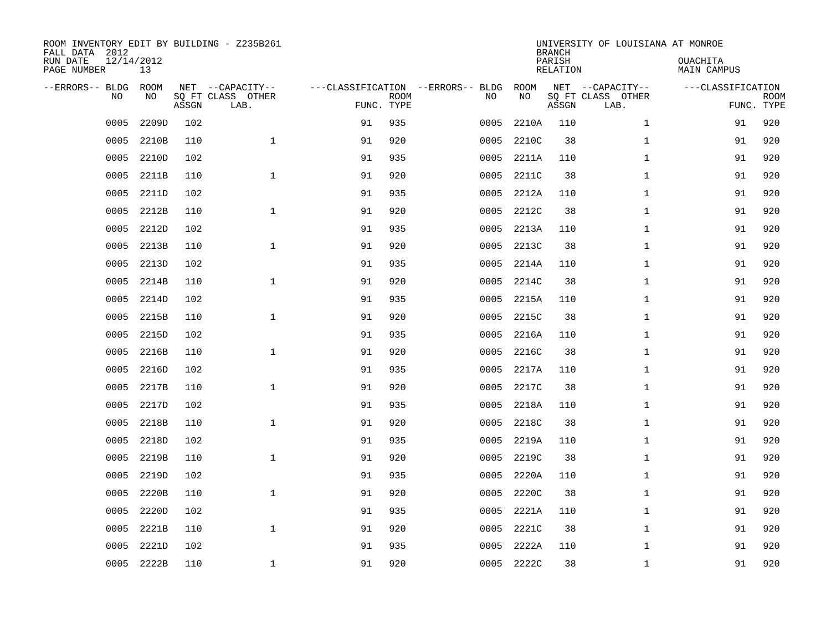| ROOM INVENTORY EDIT BY BUILDING - Z235B261<br>FALL DATA 2012<br>RUN DATE<br>PAGE NUMBER | 12/14/2012<br>13 |       |                                               |                                                 |             |      |            | <b>BRANCH</b><br>PARISH<br><b>RELATION</b> | UNIVERSITY OF LOUISIANA AT MONROE             | OUACHITA<br><b>MAIN CAMPUS</b>  |             |
|-----------------------------------------------------------------------------------------|------------------|-------|-----------------------------------------------|-------------------------------------------------|-------------|------|------------|--------------------------------------------|-----------------------------------------------|---------------------------------|-------------|
| --ERRORS-- BLDG<br>NO                                                                   | ROOM<br>NO       | ASSGN | NET --CAPACITY--<br>SQ FT CLASS OTHER<br>LAB. | ---CLASSIFICATION --ERRORS-- BLDG<br>FUNC. TYPE | <b>ROOM</b> | NO   | ROOM<br>NO | ASSGN                                      | NET --CAPACITY--<br>SQ FT CLASS OTHER<br>LAB. | ---CLASSIFICATION<br>FUNC. TYPE | <b>ROOM</b> |
| 0005                                                                                    | 2209D            | 102   |                                               | 91                                              | 935         | 0005 | 2210A      | 110                                        | $\mathbf{1}$                                  | 91                              | 920         |
| 0005                                                                                    | 2210B            | 110   | $\mathbf{1}$                                  | 91                                              | 920         | 0005 | 2210C      | 38                                         | $\mathbf{1}$                                  | 91                              | 920         |
| 0005                                                                                    | 2210D            | 102   |                                               | 91                                              | 935         | 0005 | 2211A      | 110                                        | $\mathbf{1}$                                  | 91                              | 920         |
| 0005                                                                                    | 2211B            | 110   | $\mathbf 1$                                   | 91                                              | 920         | 0005 | 2211C      | 38                                         | $\mathbf{1}$                                  | 91                              | 920         |
| 0005                                                                                    | 2211D            | 102   |                                               | 91                                              | 935         | 0005 | 2212A      | 110                                        | $\mathbf{1}$                                  | 91                              | 920         |
| 0005                                                                                    | 2212B            | 110   | $\mathbf{1}$                                  | 91                                              | 920         | 0005 | 2212C      | 38                                         | $\mathbf{1}$                                  | 91                              | 920         |
| 0005                                                                                    | 2212D            | 102   |                                               | 91                                              | 935         | 0005 | 2213A      | 110                                        | $\mathbf{1}$                                  | 91                              | 920         |
| 0005                                                                                    | 2213B            | 110   | $\mathbf{1}$                                  | 91                                              | 920         | 0005 | 2213C      | 38                                         | $\mathbf{1}$                                  | 91                              | 920         |
| 0005                                                                                    | 2213D            | 102   |                                               | 91                                              | 935         | 0005 | 2214A      | 110                                        | $\mathbf{1}$                                  | 91                              | 920         |
| 0005                                                                                    | 2214B            | 110   | $\mathbf{1}$                                  | 91                                              | 920         | 0005 | 2214C      | 38                                         | $\mathbf{1}$                                  | 91                              | 920         |
| 0005                                                                                    | 2214D            | 102   |                                               | 91                                              | 935         | 0005 | 2215A      | 110                                        | $\mathbf{1}$                                  | 91                              | 920         |
| 0005                                                                                    | 2215B            | 110   | $\mathbf{1}$                                  | 91                                              | 920         | 0005 | 2215C      | 38                                         | $\mathbf{1}$                                  | 91                              | 920         |
| 0005                                                                                    | 2215D            | 102   |                                               | 91                                              | 935         | 0005 | 2216A      | 110                                        | $\mathbf{1}$                                  | 91                              | 920         |
| 0005                                                                                    | 2216B            | 110   | $\mathbf 1$                                   | 91                                              | 920         | 0005 | 2216C      | 38                                         | $\mathbf{1}$                                  | 91                              | 920         |
| 0005                                                                                    | 2216D            | 102   |                                               | 91                                              | 935         | 0005 | 2217A      | 110                                        | $\mathbf{1}$                                  | 91                              | 920         |
| 0005                                                                                    | 2217B            | 110   | $\mathbf{1}$                                  | 91                                              | 920         | 0005 | 2217C      | 38                                         | $\mathbf{1}$                                  | 91                              | 920         |
| 0005                                                                                    | 2217D            | 102   |                                               | 91                                              | 935         | 0005 | 2218A      | 110                                        | $\mathbf{1}$                                  | 91                              | 920         |
| 0005                                                                                    | 2218B            | 110   | $\mathbf 1$                                   | 91                                              | 920         | 0005 | 2218C      | 38                                         | $\mathbf{1}$                                  | 91                              | 920         |
| 0005                                                                                    | 2218D            | 102   |                                               | 91                                              | 935         | 0005 | 2219A      | 110                                        | $\mathbf{1}$                                  | 91                              | 920         |
| 0005                                                                                    | 2219B            | 110   | $\mathbf 1$                                   | 91                                              | 920         | 0005 | 2219C      | 38                                         | $\mathbf{1}$                                  | 91                              | 920         |
| 0005                                                                                    | 2219D            | 102   |                                               | 91                                              | 935         | 0005 | 2220A      | 110                                        | $\mathbf{1}$                                  | 91                              | 920         |
| 0005                                                                                    | 2220B            | 110   | $\mathbf{1}$                                  | 91                                              | 920         | 0005 | 2220C      | 38                                         | $\mathbf{1}$                                  | 91                              | 920         |
| 0005                                                                                    | 2220D            | 102   |                                               | 91                                              | 935         | 0005 | 2221A      | 110                                        | $\mathbf{1}$                                  | 91                              | 920         |
| 0005                                                                                    | 2221B            | 110   | $\mathbf{1}$                                  | 91                                              | 920         | 0005 | 2221C      | 38                                         | $\mathbf{1}$                                  | 91                              | 920         |
| 0005                                                                                    | 2221D            | 102   |                                               | 91                                              | 935         | 0005 | 2222A      | 110                                        | $\mathbf{1}$                                  | 91                              | 920         |
| 0005                                                                                    | 2222B            | 110   | $\mathbf 1$                                   | 91                                              | 920         |      | 0005 2222C | 38                                         | $\mathbf{1}$                                  | 91                              | 920         |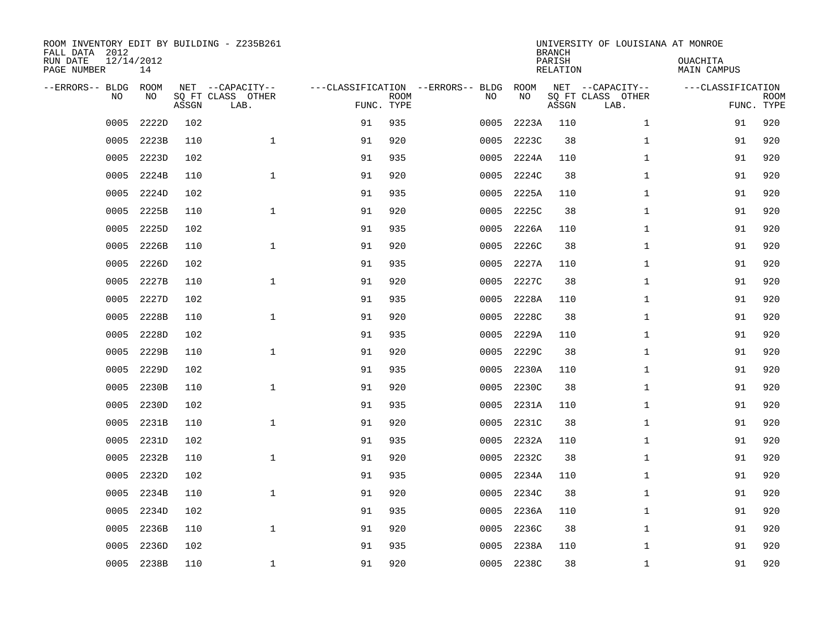| ROOM INVENTORY EDIT BY BUILDING - Z235B261<br>FALL DATA 2012<br>RUN DATE<br>PAGE NUMBER | 12/14/2012<br>14 |       |                                               |                                                 |             |      |            | <b>BRANCH</b><br>PARISH<br><b>RELATION</b> | UNIVERSITY OF LOUISIANA AT MONROE             | OUACHITA<br><b>MAIN CAMPUS</b>  |             |
|-----------------------------------------------------------------------------------------|------------------|-------|-----------------------------------------------|-------------------------------------------------|-------------|------|------------|--------------------------------------------|-----------------------------------------------|---------------------------------|-------------|
| --ERRORS-- BLDG<br>NO                                                                   | ROOM<br>NO       | ASSGN | NET --CAPACITY--<br>SQ FT CLASS OTHER<br>LAB. | ---CLASSIFICATION --ERRORS-- BLDG<br>FUNC. TYPE | <b>ROOM</b> | NO   | ROOM<br>NO | ASSGN                                      | NET --CAPACITY--<br>SQ FT CLASS OTHER<br>LAB. | ---CLASSIFICATION<br>FUNC. TYPE | <b>ROOM</b> |
| 0005                                                                                    | 2222D            | 102   |                                               | 91                                              | 935         | 0005 | 2223A      | 110                                        | $\mathbf{1}$                                  | 91                              | 920         |
| 0005                                                                                    | 2223B            | 110   | $\mathbf{1}$                                  | 91                                              | 920         | 0005 | 2223C      | 38                                         | $\mathbf{1}$                                  | 91                              | 920         |
| 0005                                                                                    | 2223D            | 102   |                                               | 91                                              | 935         | 0005 | 2224A      | 110                                        | $\mathbf{1}$                                  | 91                              | 920         |
| 0005                                                                                    | 2224B            | 110   | $\mathbf 1$                                   | 91                                              | 920         | 0005 | 2224C      | 38                                         | $\mathbf{1}$                                  | 91                              | 920         |
| 0005                                                                                    | 2224D            | 102   |                                               | 91                                              | 935         | 0005 | 2225A      | 110                                        | $\mathbf{1}$                                  | 91                              | 920         |
| 0005                                                                                    | 2225B            | 110   | $\mathbf{1}$                                  | 91                                              | 920         | 0005 | 2225C      | 38                                         | $\mathbf{1}$                                  | 91                              | 920         |
| 0005                                                                                    | 2225D            | 102   |                                               | 91                                              | 935         | 0005 | 2226A      | 110                                        | $\mathbf{1}$                                  | 91                              | 920         |
| 0005                                                                                    | 2226B            | 110   | $\mathbf{1}$                                  | 91                                              | 920         | 0005 | 2226C      | 38                                         | $\mathbf{1}$                                  | 91                              | 920         |
| 0005                                                                                    | 2226D            | 102   |                                               | 91                                              | 935         | 0005 | 2227A      | 110                                        | $\mathbf{1}$                                  | 91                              | 920         |
| 0005                                                                                    | 2227B            | 110   | $\mathbf{1}$                                  | 91                                              | 920         | 0005 | 2227C      | 38                                         | $\mathbf{1}$                                  | 91                              | 920         |
| 0005                                                                                    | 2227D            | 102   |                                               | 91                                              | 935         | 0005 | 2228A      | 110                                        | $\mathbf{1}$                                  | 91                              | 920         |
| 0005                                                                                    | 2228B            | 110   | $\mathbf{1}$                                  | 91                                              | 920         | 0005 | 2228C      | 38                                         | $\mathbf{1}$                                  | 91                              | 920         |
| 0005                                                                                    | 2228D            | 102   |                                               | 91                                              | 935         | 0005 | 2229A      | 110                                        | $\mathbf{1}$                                  | 91                              | 920         |
| 0005                                                                                    | 2229B            | 110   | $\mathbf 1$                                   | 91                                              | 920         | 0005 | 2229C      | 38                                         | $\mathbf{1}$                                  | 91                              | 920         |
| 0005                                                                                    | 2229D            | 102   |                                               | 91                                              | 935         | 0005 | 2230A      | 110                                        | $\mathbf{1}$                                  | 91                              | 920         |
| 0005                                                                                    | 2230B            | 110   | $\mathbf{1}$                                  | 91                                              | 920         | 0005 | 2230C      | 38                                         | $\mathbf{1}$                                  | 91                              | 920         |
| 0005                                                                                    | 2230D            | 102   |                                               | 91                                              | 935         | 0005 | 2231A      | 110                                        | $\mathbf{1}$                                  | 91                              | 920         |
| 0005                                                                                    | 2231B            | 110   | $\mathbf 1$                                   | 91                                              | 920         | 0005 | 2231C      | 38                                         | $\mathbf{1}$                                  | 91                              | 920         |
| 0005                                                                                    | 2231D            | 102   |                                               | 91                                              | 935         | 0005 | 2232A      | 110                                        | $\mathbf{1}$                                  | 91                              | 920         |
| 0005                                                                                    | 2232B            | 110   | $\mathbf 1$                                   | 91                                              | 920         | 0005 | 2232C      | 38                                         | $\mathbf{1}$                                  | 91                              | 920         |
| 0005                                                                                    | 2232D            | 102   |                                               | 91                                              | 935         | 0005 | 2234A      | 110                                        | $\mathbf{1}$                                  | 91                              | 920         |
| 0005                                                                                    | 2234B            | 110   | $\mathbf{1}$                                  | 91                                              | 920         | 0005 | 2234C      | 38                                         | $\mathbf{1}$                                  | 91                              | 920         |
| 0005                                                                                    | 2234D            | 102   |                                               | 91                                              | 935         | 0005 | 2236A      | 110                                        | $\mathbf{1}$                                  | 91                              | 920         |
| 0005                                                                                    | 2236B            | 110   | $\mathbf{1}$                                  | 91                                              | 920         | 0005 | 2236C      | 38                                         | $\mathbf{1}$                                  | 91                              | 920         |
| 0005                                                                                    | 2236D            | 102   |                                               | 91                                              | 935         | 0005 | 2238A      | 110                                        | $\mathbf{1}$                                  | 91                              | 920         |
| 0005                                                                                    | 2238B            | 110   | $\mathbf 1$                                   | 91                                              | 920         |      | 0005 2238C | 38                                         | $\mathbf{1}$                                  | 91                              | 920         |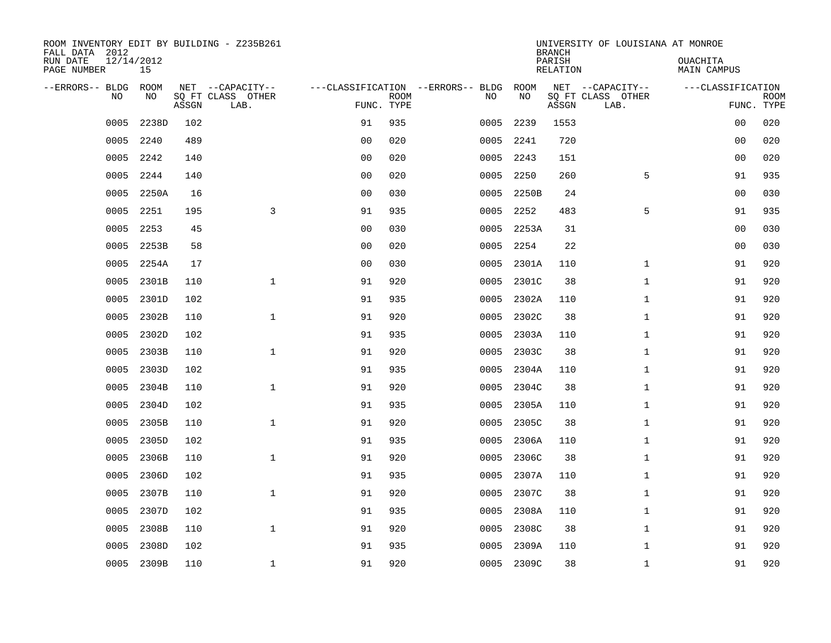| ROOM INVENTORY EDIT BY BUILDING - Z235B261<br>FALL DATA 2012 |                  |       |                           |                |             |                                   |            | <b>BRANCH</b>      | UNIVERSITY OF LOUISIANA AT MONROE |                         |             |
|--------------------------------------------------------------|------------------|-------|---------------------------|----------------|-------------|-----------------------------------|------------|--------------------|-----------------------------------|-------------------------|-------------|
| RUN DATE<br>PAGE NUMBER                                      | 12/14/2012<br>15 |       |                           |                |             |                                   |            | PARISH<br>RELATION |                                   | OUACHITA<br>MAIN CAMPUS |             |
| --ERRORS-- BLDG                                              | ROOM             |       | NET --CAPACITY--          |                |             | ---CLASSIFICATION --ERRORS-- BLDG | ROOM       |                    | NET --CAPACITY--                  | ---CLASSIFICATION       |             |
| N <sub>O</sub>                                               | NO.              | ASSGN | SO FT CLASS OTHER<br>LAB. | FUNC. TYPE     | <b>ROOM</b> | NO.                               | NO         | ASSGN              | SQ FT CLASS OTHER<br>LAB.         | FUNC. TYPE              | <b>ROOM</b> |
| 0005                                                         | 2238D            | 102   |                           | 91             | 935         | 0005                              | 2239       | 1553               |                                   | 00                      | 020         |
| 0005                                                         | 2240             | 489   |                           | 0 <sub>0</sub> | 020         | 0005                              | 2241       | 720                |                                   | 0 <sub>0</sub>          | 020         |
| 0005                                                         | 2242             | 140   |                           | 0 <sub>0</sub> | 020         | 0005                              | 2243       | 151                |                                   | 0 <sub>0</sub>          | 020         |
| 0005                                                         | 2244             | 140   |                           | 0 <sub>0</sub> | 020         | 0005                              | 2250       | 260                | 5                                 | 91                      | 935         |
| 0005                                                         | 2250A            | 16    |                           | 00             | 030         | 0005                              | 2250B      | 24                 |                                   | 00                      | 030         |
| 0005                                                         | 2251             | 195   | 3                         | 91             | 935         | 0005                              | 2252       | 483                | 5                                 | 91                      | 935         |
| 0005                                                         | 2253             | 45    |                           | 0 <sub>0</sub> | 030         | 0005                              | 2253A      | 31                 |                                   | 0 <sub>0</sub>          | 030         |
| 0005                                                         | 2253B            | 58    |                           | 0 <sub>0</sub> | 020         | 0005                              | 2254       | 22                 |                                   | 0 <sub>0</sub>          | 030         |
| 0005                                                         | 2254A            | 17    |                           | 0 <sub>0</sub> | 030         | 0005                              | 2301A      | 110                | $\mathbf{1}$                      | 91                      | 920         |
| 0005                                                         | 2301B            | 110   | $\mathbf 1$               | 91             | 920         | 0005                              | 2301C      | 38                 | $\mathbf{1}$                      | 91                      | 920         |
| 0005                                                         | 2301D            | 102   |                           | 91             | 935         | 0005                              | 2302A      | 110                | $\mathbf{1}$                      | 91                      | 920         |
| 0005                                                         | 2302B            | 110   | $\mathbf{1}$              | 91             | 920         | 0005                              | 2302C      | 38                 | $\mathbf{1}$                      | 91                      | 920         |
| 0005                                                         | 2302D            | 102   |                           | 91             | 935         | 0005                              | 2303A      | 110                | $\mathbf{1}$                      | 91                      | 920         |
| 0005                                                         | 2303B            | 110   | $\mathbf{1}$              | 91             | 920         | 0005                              | 2303C      | 38                 | $\mathbf{1}$                      | 91                      | 920         |
| 0005                                                         | 2303D            | 102   |                           | 91             | 935         | 0005                              | 2304A      | 110                | $\mathbf{1}$                      | 91                      | 920         |
| 0005                                                         | 2304B            | 110   | $\mathbf 1$               | 91             | 920         | 0005                              | 2304C      | 38                 | $\mathbf{1}$                      | 91                      | 920         |
| 0005                                                         | 2304D            | 102   |                           | 91             | 935         | 0005                              | 2305A      | 110                | $\mathbf{1}$                      | 91                      | 920         |
| 0005                                                         | 2305B            | 110   | $\mathbf 1$               | 91             | 920         | 0005                              | 2305C      | 38                 | $\mathbf{1}$                      | 91                      | 920         |
| 0005                                                         | 2305D            | 102   |                           | 91             | 935         | 0005                              | 2306A      | 110                | $\mathbf{1}$                      | 91                      | 920         |
| 0005                                                         | 2306B            | 110   | $\mathbf{1}$              | 91             | 920         | 0005                              | 2306C      | 38                 | $\mathbf{1}$                      | 91                      | 920         |
| 0005                                                         | 2306D            | 102   |                           | 91             | 935         | 0005                              | 2307A      | 110                | $\mathbf{1}$                      | 91                      | 920         |
| 0005                                                         | 2307B            | 110   | $\mathbf{1}$              | 91             | 920         | 0005                              | 2307C      | 38                 | $\mathbf{1}$                      | 91                      | 920         |
| 0005                                                         | 2307D            | 102   |                           | 91             | 935         | 0005                              | 2308A      | 110                | $\mathbf{1}$                      | 91                      | 920         |
| 0005                                                         | 2308B            | 110   | $\mathbf{1}$              | 91             | 920         | 0005                              | 2308C      | 38                 | $\mathbf{1}$                      | 91                      | 920         |
| 0005                                                         | 2308D            | 102   |                           | 91             | 935         | 0005                              | 2309A      | 110                | $\mathbf{1}$                      | 91                      | 920         |
| 0005                                                         | 2309B            | 110   | $\mathbf{1}$              | 91             | 920         |                                   | 0005 2309C | 38                 | $\mathbf{1}$                      | 91                      | 920         |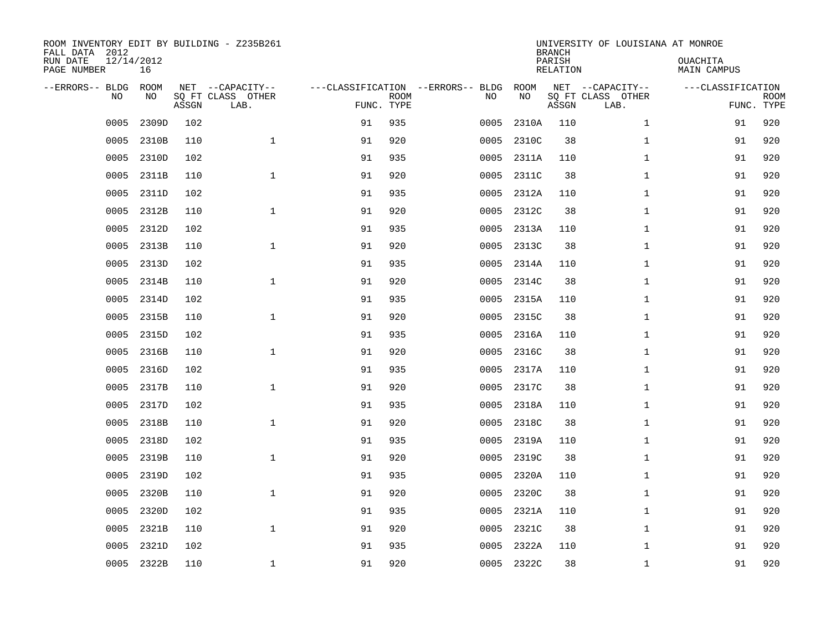| ROOM INVENTORY EDIT BY BUILDING - Z235B261<br>FALL DATA 2012<br>RUN DATE<br>PAGE NUMBER | 12/14/2012<br>16 |       |                                               |                                                 |             |      |            | <b>BRANCH</b><br>PARISH<br><b>RELATION</b> | UNIVERSITY OF LOUISIANA AT MONROE             | OUACHITA<br><b>MAIN CAMPUS</b>  |             |
|-----------------------------------------------------------------------------------------|------------------|-------|-----------------------------------------------|-------------------------------------------------|-------------|------|------------|--------------------------------------------|-----------------------------------------------|---------------------------------|-------------|
| --ERRORS-- BLDG<br>NO.                                                                  | ROOM<br>NO       | ASSGN | NET --CAPACITY--<br>SQ FT CLASS OTHER<br>LAB. | ---CLASSIFICATION --ERRORS-- BLDG<br>FUNC. TYPE | <b>ROOM</b> | NO   | ROOM<br>NO | ASSGN                                      | NET --CAPACITY--<br>SQ FT CLASS OTHER<br>LAB. | ---CLASSIFICATION<br>FUNC. TYPE | <b>ROOM</b> |
| 0005                                                                                    | 2309D            | 102   |                                               | 91                                              | 935         | 0005 | 2310A      | 110                                        | $\mathbf{1}$                                  | 91                              | 920         |
| 0005                                                                                    | 2310B            | 110   | $\mathbf{1}$                                  | 91                                              | 920         | 0005 | 2310C      | 38                                         | $\mathbf{1}$                                  | 91                              | 920         |
| 0005                                                                                    | 2310D            | 102   |                                               | 91                                              | 935         | 0005 | 2311A      | 110                                        | $\mathbf{1}$                                  | 91                              | 920         |
| 0005                                                                                    | 2311B            | 110   | $\mathbf 1$                                   | 91                                              | 920         | 0005 | 2311C      | 38                                         | $\mathbf{1}$                                  | 91                              | 920         |
| 0005                                                                                    | 2311D            | 102   |                                               | 91                                              | 935         | 0005 | 2312A      | 110                                        | $\mathbf{1}$                                  | 91                              | 920         |
| 0005                                                                                    | 2312B            | 110   | $\mathbf{1}$                                  | 91                                              | 920         | 0005 | 2312C      | 38                                         | $\mathbf{1}$                                  | 91                              | 920         |
| 0005                                                                                    | 2312D            | 102   |                                               | 91                                              | 935         | 0005 | 2313A      | 110                                        | $\mathbf{1}$                                  | 91                              | 920         |
| 0005                                                                                    | 2313B            | 110   | $\mathbf{1}$                                  | 91                                              | 920         | 0005 | 2313C      | 38                                         | $\mathbf{1}$                                  | 91                              | 920         |
| 0005                                                                                    | 2313D            | 102   |                                               | 91                                              | 935         | 0005 | 2314A      | 110                                        | $\mathbf{1}$                                  | 91                              | 920         |
| 0005                                                                                    | 2314B            | 110   | $\mathbf{1}$                                  | 91                                              | 920         | 0005 | 2314C      | 38                                         | $\mathbf{1}$                                  | 91                              | 920         |
| 0005                                                                                    | 2314D            | 102   |                                               | 91                                              | 935         | 0005 | 2315A      | 110                                        | $\mathbf{1}$                                  | 91                              | 920         |
| 0005                                                                                    | 2315B            | 110   | $\mathbf{1}$                                  | 91                                              | 920         | 0005 | 2315C      | 38                                         | $\mathbf{1}$                                  | 91                              | 920         |
| 0005                                                                                    | 2315D            | 102   |                                               | 91                                              | 935         | 0005 | 2316A      | 110                                        | $\mathbf{1}$                                  | 91                              | 920         |
| 0005                                                                                    | 2316B            | 110   | $\mathbf 1$                                   | 91                                              | 920         | 0005 | 2316C      | 38                                         | $\mathbf{1}$                                  | 91                              | 920         |
| 0005                                                                                    | 2316D            | 102   |                                               | 91                                              | 935         | 0005 | 2317A      | 110                                        | $\mathbf{1}$                                  | 91                              | 920         |
| 0005                                                                                    | 2317B            | 110   | $\mathbf{1}$                                  | 91                                              | 920         | 0005 | 2317C      | 38                                         | $\mathbf{1}$                                  | 91                              | 920         |
| 0005                                                                                    | 2317D            | 102   |                                               | 91                                              | 935         | 0005 | 2318A      | 110                                        | $\mathbf{1}$                                  | 91                              | 920         |
| 0005                                                                                    | 2318B            | 110   | $\mathbf 1$                                   | 91                                              | 920         | 0005 | 2318C      | 38                                         | $\mathbf{1}$                                  | 91                              | 920         |
| 0005                                                                                    | 2318D            | 102   |                                               | 91                                              | 935         | 0005 | 2319A      | 110                                        | $\mathbf{1}$                                  | 91                              | 920         |
| 0005                                                                                    | 2319B            | 110   | $\mathbf 1$                                   | 91                                              | 920         | 0005 | 2319C      | 38                                         | $\mathbf{1}$                                  | 91                              | 920         |
| 0005                                                                                    | 2319D            | 102   |                                               | 91                                              | 935         | 0005 | 2320A      | 110                                        | $\mathbf{1}$                                  | 91                              | 920         |
| 0005                                                                                    | 2320B            | 110   | $\mathbf{1}$                                  | 91                                              | 920         | 0005 | 2320C      | 38                                         | $\mathbf{1}$                                  | 91                              | 920         |
| 0005                                                                                    | 2320D            | 102   |                                               | 91                                              | 935         | 0005 | 2321A      | 110                                        | $\mathbf{1}$                                  | 91                              | 920         |
| 0005                                                                                    | 2321B            | 110   | $\mathbf{1}$                                  | 91                                              | 920         | 0005 | 2321C      | 38                                         | $\mathbf{1}$                                  | 91                              | 920         |
| 0005                                                                                    | 2321D            | 102   |                                               | 91                                              | 935         | 0005 | 2322A      | 110                                        | $\mathbf{1}$                                  | 91                              | 920         |
| 0005                                                                                    | 2322B            | 110   | $\mathbf 1$                                   | 91                                              | 920         |      | 0005 2322C | 38                                         | $\mathbf{1}$                                  | 91                              | 920         |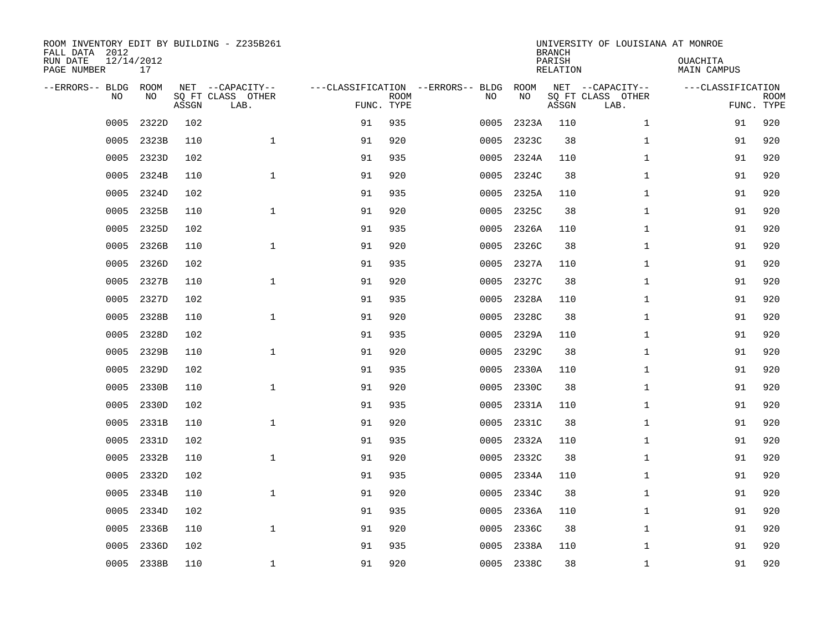| ROOM INVENTORY EDIT BY BUILDING - Z235B261<br>FALL DATA 2012<br>RUN DATE<br>PAGE NUMBER | 12/14/2012<br>17 |       |                                               |                                                 |             |      |            | <b>BRANCH</b><br>PARISH<br><b>RELATION</b> | UNIVERSITY OF LOUISIANA AT MONROE             | OUACHITA<br><b>MAIN CAMPUS</b>  |             |
|-----------------------------------------------------------------------------------------|------------------|-------|-----------------------------------------------|-------------------------------------------------|-------------|------|------------|--------------------------------------------|-----------------------------------------------|---------------------------------|-------------|
| --ERRORS-- BLDG<br>NO.                                                                  | ROOM<br>NO       | ASSGN | NET --CAPACITY--<br>SQ FT CLASS OTHER<br>LAB. | ---CLASSIFICATION --ERRORS-- BLDG<br>FUNC. TYPE | <b>ROOM</b> | NO   | ROOM<br>NO | ASSGN                                      | NET --CAPACITY--<br>SQ FT CLASS OTHER<br>LAB. | ---CLASSIFICATION<br>FUNC. TYPE | <b>ROOM</b> |
| 0005                                                                                    | 2322D            | 102   |                                               | 91                                              | 935         | 0005 | 2323A      | 110                                        | $\mathbf{1}$                                  | 91                              | 920         |
| 0005                                                                                    | 2323B            | 110   | $\mathbf{1}$                                  | 91                                              | 920         | 0005 | 2323C      | 38                                         | $\mathbf{1}$                                  | 91                              | 920         |
| 0005                                                                                    | 2323D            | 102   |                                               | 91                                              | 935         | 0005 | 2324A      | 110                                        | $\mathbf{1}$                                  | 91                              | 920         |
| 0005                                                                                    | 2324B            | 110   | $\mathbf 1$                                   | 91                                              | 920         | 0005 | 2324C      | 38                                         | $\mathbf{1}$                                  | 91                              | 920         |
| 0005                                                                                    | 2324D            | 102   |                                               | 91                                              | 935         | 0005 | 2325A      | 110                                        | $\mathbf{1}$                                  | 91                              | 920         |
| 0005                                                                                    | 2325B            | 110   | $\mathbf{1}$                                  | 91                                              | 920         | 0005 | 2325C      | 38                                         | $\mathbf{1}$                                  | 91                              | 920         |
| 0005                                                                                    | 2325D            | 102   |                                               | 91                                              | 935         | 0005 | 2326A      | 110                                        | $\mathbf{1}$                                  | 91                              | 920         |
| 0005                                                                                    | 2326B            | 110   | $\mathbf{1}$                                  | 91                                              | 920         | 0005 | 2326C      | 38                                         | $\mathbf{1}$                                  | 91                              | 920         |
| 0005                                                                                    | 2326D            | 102   |                                               | 91                                              | 935         | 0005 | 2327A      | 110                                        | $\mathbf{1}$                                  | 91                              | 920         |
| 0005                                                                                    | 2327B            | 110   | $\mathbf{1}$                                  | 91                                              | 920         | 0005 | 2327C      | 38                                         | $\mathbf{1}$                                  | 91                              | 920         |
| 0005                                                                                    | 2327D            | 102   |                                               | 91                                              | 935         | 0005 | 2328A      | 110                                        | $\mathbf{1}$                                  | 91                              | 920         |
| 0005                                                                                    | 2328B            | 110   | $\mathbf{1}$                                  | 91                                              | 920         | 0005 | 2328C      | 38                                         | $\mathbf{1}$                                  | 91                              | 920         |
| 0005                                                                                    | 2328D            | 102   |                                               | 91                                              | 935         | 0005 | 2329A      | 110                                        | $\mathbf{1}$                                  | 91                              | 920         |
| 0005                                                                                    | 2329B            | 110   | $\mathbf 1$                                   | 91                                              | 920         | 0005 | 2329C      | 38                                         | $\mathbf{1}$                                  | 91                              | 920         |
| 0005                                                                                    | 2329D            | 102   |                                               | 91                                              | 935         | 0005 | 2330A      | 110                                        | $\mathbf{1}$                                  | 91                              | 920         |
| 0005                                                                                    | 2330B            | 110   | $\mathbf{1}$                                  | 91                                              | 920         | 0005 | 2330C      | 38                                         | $\mathbf{1}$                                  | 91                              | 920         |
| 0005                                                                                    | 2330D            | 102   |                                               | 91                                              | 935         | 0005 | 2331A      | 110                                        | $\mathbf{1}$                                  | 91                              | 920         |
| 0005                                                                                    | 2331B            | 110   | $\mathbf 1$                                   | 91                                              | 920         | 0005 | 2331C      | 38                                         | $\mathbf{1}$                                  | 91                              | 920         |
| 0005                                                                                    | 2331D            | 102   |                                               | 91                                              | 935         | 0005 | 2332A      | 110                                        | $\mathbf{1}$                                  | 91                              | 920         |
| 0005                                                                                    | 2332B            | 110   | $\mathbf 1$                                   | 91                                              | 920         | 0005 | 2332C      | 38                                         | $\mathbf{1}$                                  | 91                              | 920         |
| 0005                                                                                    | 2332D            | 102   |                                               | 91                                              | 935         | 0005 | 2334A      | 110                                        | $\mathbf{1}$                                  | 91                              | 920         |
| 0005                                                                                    | 2334B            | 110   | $\mathbf{1}$                                  | 91                                              | 920         | 0005 | 2334C      | 38                                         | $\mathbf{1}$                                  | 91                              | 920         |
| 0005                                                                                    | 2334D            | 102   |                                               | 91                                              | 935         | 0005 | 2336A      | 110                                        | $\mathbf{1}$                                  | 91                              | 920         |
| 0005                                                                                    | 2336B            | 110   | $\mathbf{1}$                                  | 91                                              | 920         | 0005 | 2336C      | 38                                         | $\mathbf{1}$                                  | 91                              | 920         |
| 0005                                                                                    | 2336D            | 102   |                                               | 91                                              | 935         | 0005 | 2338A      | 110                                        | $\mathbf{1}$                                  | 91                              | 920         |
|                                                                                         | 0005 2338B       | 110   | $\mathbf 1$                                   | 91                                              | 920         |      | 0005 2338C | 38                                         | $\mathbf{1}$                                  | 91                              | 920         |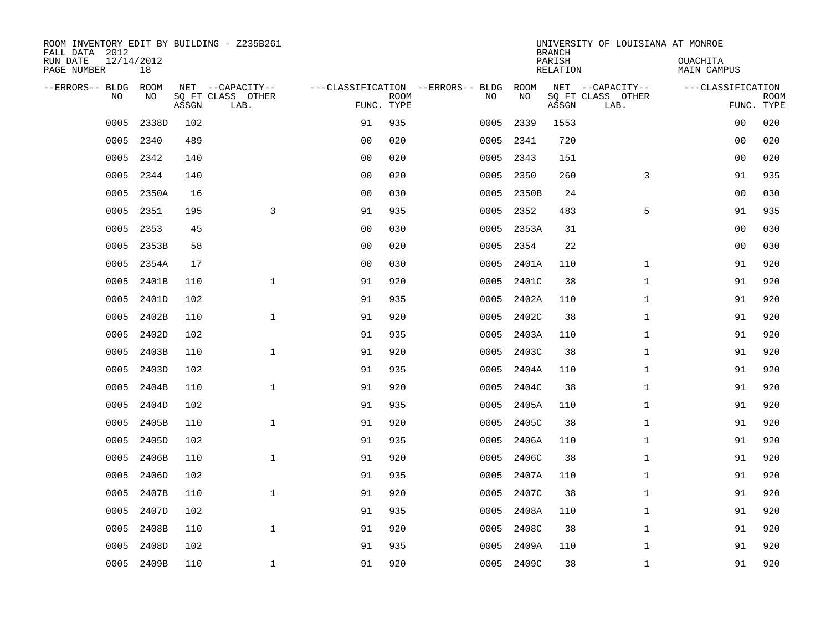| ROOM INVENTORY EDIT BY BUILDING - Z235B261<br>FALL DATA 2012 |                  |       |                           |                |             |                                   |            | <b>BRANCH</b>      | UNIVERSITY OF LOUISIANA AT MONROE |                         |                           |
|--------------------------------------------------------------|------------------|-------|---------------------------|----------------|-------------|-----------------------------------|------------|--------------------|-----------------------------------|-------------------------|---------------------------|
| RUN DATE<br>PAGE NUMBER                                      | 12/14/2012<br>18 |       |                           |                |             |                                   |            | PARISH<br>RELATION |                                   | OUACHITA<br>MAIN CAMPUS |                           |
| --ERRORS-- BLDG                                              | ROOM             |       | NET --CAPACITY--          |                |             | ---CLASSIFICATION --ERRORS-- BLDG | ROOM       |                    | NET --CAPACITY--                  | ---CLASSIFICATION       |                           |
| N <sub>O</sub>                                               | NO.              | ASSGN | SO FT CLASS OTHER<br>LAB. | FUNC. TYPE     | <b>ROOM</b> | NO.                               | NO         | ASSGN              | SQ FT CLASS OTHER<br>LAB.         |                         | <b>ROOM</b><br>FUNC. TYPE |
| 0005                                                         | 2338D            | 102   |                           | 91             | 935         | 0005                              | 2339       | 1553               |                                   | 00                      | 020                       |
| 0005                                                         | 2340             | 489   |                           | 0 <sub>0</sub> | 020         | 0005                              | 2341       | 720                |                                   | 0 <sub>0</sub>          | 020                       |
| 0005                                                         | 2342             | 140   |                           | 0 <sub>0</sub> | 020         | 0005                              | 2343       | 151                |                                   | 0 <sub>0</sub>          | 020                       |
| 0005                                                         | 2344             | 140   |                           | 0 <sub>0</sub> | 020         | 0005                              | 2350       | 260                | 3                                 | 91                      | 935                       |
| 0005                                                         | 2350A            | 16    |                           | 0 <sub>0</sub> | 030         | 0005                              | 2350B      | 24                 |                                   | 00                      | 030                       |
| 0005                                                         | 2351             | 195   | 3                         | 91             | 935         | 0005                              | 2352       | 483                | 5                                 | 91                      | 935                       |
| 0005                                                         | 2353             | 45    |                           | 0 <sub>0</sub> | 030         | 0005                              | 2353A      | 31                 |                                   | 0 <sub>0</sub>          | 030                       |
| 0005                                                         | 2353B            | 58    |                           | 0 <sub>0</sub> | 020         | 0005                              | 2354       | 22                 |                                   | 0 <sub>0</sub>          | 030                       |
| 0005                                                         | 2354A            | 17    |                           | 0 <sub>0</sub> | 030         | 0005                              | 2401A      | 110                | $\mathbf{1}$                      | 91                      | 920                       |
| 0005                                                         | 2401B            | 110   | $\mathbf{1}$              | 91             | 920         | 0005                              | 2401C      | 38                 | $\mathbf{1}$                      | 91                      | 920                       |
| 0005                                                         | 2401D            | 102   |                           | 91             | 935         | 0005                              | 2402A      | 110                | $\mathbf{1}$                      | 91                      | 920                       |
| 0005                                                         | 2402B            | 110   | $\mathbf{1}$              | 91             | 920         | 0005                              | 2402C      | 38                 | $\mathbf{1}$                      | 91                      | 920                       |
| 0005                                                         | 2402D            | 102   |                           | 91             | 935         | 0005                              | 2403A      | 110                | $\mathbf{1}$                      | 91                      | 920                       |
| 0005                                                         | 2403B            | 110   | $\mathbf 1$               | 91             | 920         | 0005                              | 2403C      | 38                 | $\mathbf{1}$                      | 91                      | 920                       |
| 0005                                                         | 2403D            | 102   |                           | 91             | 935         | 0005                              | 2404A      | 110                | $\mathbf{1}$                      | 91                      | 920                       |
| 0005                                                         | 2404B            | 110   | $\mathbf{1}$              | 91             | 920         | 0005                              | 2404C      | 38                 | $\mathbf{1}$                      | 91                      | 920                       |
| 0005                                                         | 2404D            | 102   |                           | 91             | 935         | 0005                              | 2405A      | 110                | $\mathbf{1}$                      | 91                      | 920                       |
| 0005                                                         | 2405B            | 110   | $\mathbf{1}$              | 91             | 920         | 0005                              | 2405C      | 38                 | $\mathbf{1}$                      | 91                      | 920                       |
| 0005                                                         | 2405D            | 102   |                           | 91             | 935         | 0005                              | 2406A      | 110                | $\mathbf{1}$                      | 91                      | 920                       |
| 0005                                                         | 2406B            | 110   | $\mathbf{1}$              | 91             | 920         | 0005                              | 2406C      | 38                 | $\mathbf{1}$                      | 91                      | 920                       |
| 0005                                                         | 2406D            | 102   |                           | 91             | 935         | 0005                              | 2407A      | 110                | $\mathbf{1}$                      | 91                      | 920                       |
| 0005                                                         | 2407B            | 110   | $\mathbf 1$               | 91             | 920         | 0005                              | 2407C      | 38                 | $\mathbf{1}$                      | 91                      | 920                       |
| 0005                                                         | 2407D            | 102   |                           | 91             | 935         | 0005                              | 2408A      | 110                | $\mathbf{1}$                      | 91                      | 920                       |
| 0005                                                         | 2408B            | 110   | $\mathbf{1}$              | 91             | 920         | 0005                              | 2408C      | 38                 | $\mathbf{1}$                      | 91                      | 920                       |
| 0005                                                         | 2408D            | 102   |                           | 91             | 935         | 0005                              | 2409A      | 110                | $\mathbf{1}$                      | 91                      | 920                       |
|                                                              | 0005 2409B       | 110   | $\mathbf 1$               | 91             | 920         |                                   | 0005 2409C | 38                 | $\mathbf{1}$                      | 91                      | 920                       |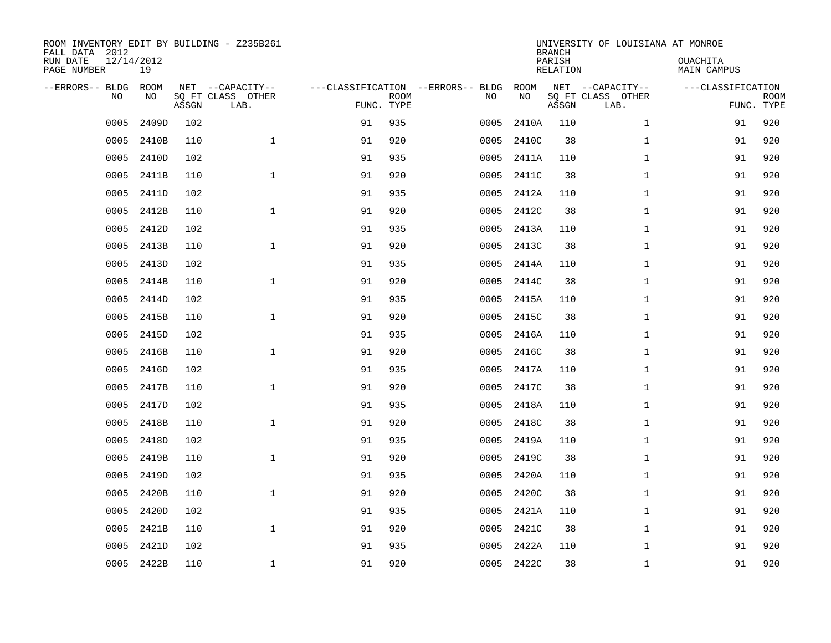| ROOM INVENTORY EDIT BY BUILDING - Z235B261<br>FALL DATA 2012<br>RUN DATE<br>PAGE NUMBER | 12/14/2012<br>19 |       |                                               |                                                 |             |      |            | <b>BRANCH</b><br>PARISH<br><b>RELATION</b> | UNIVERSITY OF LOUISIANA AT MONROE             | OUACHITA<br><b>MAIN CAMPUS</b>  |             |
|-----------------------------------------------------------------------------------------|------------------|-------|-----------------------------------------------|-------------------------------------------------|-------------|------|------------|--------------------------------------------|-----------------------------------------------|---------------------------------|-------------|
| --ERRORS-- BLDG<br>NO.                                                                  | ROOM<br>NO       | ASSGN | NET --CAPACITY--<br>SQ FT CLASS OTHER<br>LAB. | ---CLASSIFICATION --ERRORS-- BLDG<br>FUNC. TYPE | <b>ROOM</b> | NO   | ROOM<br>NO | ASSGN                                      | NET --CAPACITY--<br>SQ FT CLASS OTHER<br>LAB. | ---CLASSIFICATION<br>FUNC. TYPE | <b>ROOM</b> |
| 0005                                                                                    | 2409D            | 102   |                                               | 91                                              | 935         | 0005 | 2410A      | 110                                        | $\mathbf{1}$                                  | 91                              | 920         |
| 0005                                                                                    | 2410B            | 110   | $\mathbf{1}$                                  | 91                                              | 920         | 0005 | 2410C      | 38                                         | $\mathbf{1}$                                  | 91                              | 920         |
| 0005                                                                                    | 2410D            | 102   |                                               | 91                                              | 935         | 0005 | 2411A      | 110                                        | $\mathbf{1}$                                  | 91                              | 920         |
| 0005                                                                                    | 2411B            | 110   | $\mathbf 1$                                   | 91                                              | 920         | 0005 | 2411C      | 38                                         | $\mathbf{1}$                                  | 91                              | 920         |
| 0005                                                                                    | 2411D            | 102   |                                               | 91                                              | 935         | 0005 | 2412A      | 110                                        | $\mathbf{1}$                                  | 91                              | 920         |
| 0005                                                                                    | 2412B            | 110   | $\mathbf{1}$                                  | 91                                              | 920         | 0005 | 2412C      | 38                                         | $\mathbf{1}$                                  | 91                              | 920         |
| 0005                                                                                    | 2412D            | 102   |                                               | 91                                              | 935         | 0005 | 2413A      | 110                                        | $\mathbf{1}$                                  | 91                              | 920         |
| 0005                                                                                    | 2413B            | 110   | $\mathbf{1}$                                  | 91                                              | 920         | 0005 | 2413C      | 38                                         | $\mathbf{1}$                                  | 91                              | 920         |
| 0005                                                                                    | 2413D            | 102   |                                               | 91                                              | 935         | 0005 | 2414A      | 110                                        | $\mathbf{1}$                                  | 91                              | 920         |
| 0005                                                                                    | 2414B            | 110   | $\mathbf{1}$                                  | 91                                              | 920         | 0005 | 2414C      | 38                                         | $\mathbf{1}$                                  | 91                              | 920         |
| 0005                                                                                    | 2414D            | 102   |                                               | 91                                              | 935         | 0005 | 2415A      | 110                                        | $\mathbf{1}$                                  | 91                              | 920         |
| 0005                                                                                    | 2415B            | 110   | $\mathbf{1}$                                  | 91                                              | 920         | 0005 | 2415C      | 38                                         | $\mathbf{1}$                                  | 91                              | 920         |
| 0005                                                                                    | 2415D            | 102   |                                               | 91                                              | 935         | 0005 | 2416A      | 110                                        | $\mathbf{1}$                                  | 91                              | 920         |
| 0005                                                                                    | 2416B            | 110   | $\mathbf 1$                                   | 91                                              | 920         | 0005 | 2416C      | 38                                         | $\mathbf{1}$                                  | 91                              | 920         |
| 0005                                                                                    | 2416D            | 102   |                                               | 91                                              | 935         | 0005 | 2417A      | 110                                        | $\mathbf{1}$                                  | 91                              | 920         |
| 0005                                                                                    | 2417B            | 110   | $\mathbf{1}$                                  | 91                                              | 920         | 0005 | 2417C      | 38                                         | $\mathbf{1}$                                  | 91                              | 920         |
| 0005                                                                                    | 2417D            | 102   |                                               | 91                                              | 935         | 0005 | 2418A      | 110                                        | $\mathbf{1}$                                  | 91                              | 920         |
| 0005                                                                                    | 2418B            | 110   | $\mathbf 1$                                   | 91                                              | 920         | 0005 | 2418C      | 38                                         | $\mathbf{1}$                                  | 91                              | 920         |
| 0005                                                                                    | 2418D            | 102   |                                               | 91                                              | 935         | 0005 | 2419A      | 110                                        | $\mathbf{1}$                                  | 91                              | 920         |
| 0005                                                                                    | 2419B            | 110   | $\mathbf 1$                                   | 91                                              | 920         | 0005 | 2419C      | 38                                         | $\mathbf{1}$                                  | 91                              | 920         |
| 0005                                                                                    | 2419D            | 102   |                                               | 91                                              | 935         | 0005 | 2420A      | 110                                        | $\mathbf{1}$                                  | 91                              | 920         |
| 0005                                                                                    | 2420B            | 110   | $\mathbf{1}$                                  | 91                                              | 920         | 0005 | 2420C      | 38                                         | $\mathbf{1}$                                  | 91                              | 920         |
| 0005                                                                                    | 2420D            | 102   |                                               | 91                                              | 935         | 0005 | 2421A      | 110                                        | $\mathbf{1}$                                  | 91                              | 920         |
| 0005                                                                                    | 2421B            | 110   | $\mathbf{1}$                                  | 91                                              | 920         | 0005 | 2421C      | 38                                         | $\mathbf{1}$                                  | 91                              | 920         |
| 0005                                                                                    | 2421D            | 102   |                                               | 91                                              | 935         | 0005 | 2422A      | 110                                        | $\mathbf{1}$                                  | 91                              | 920         |
|                                                                                         | 0005 2422B       | 110   | $\mathbf 1$                                   | 91                                              | 920         |      | 0005 2422C | 38                                         | $\mathbf{1}$                                  | 91                              | 920         |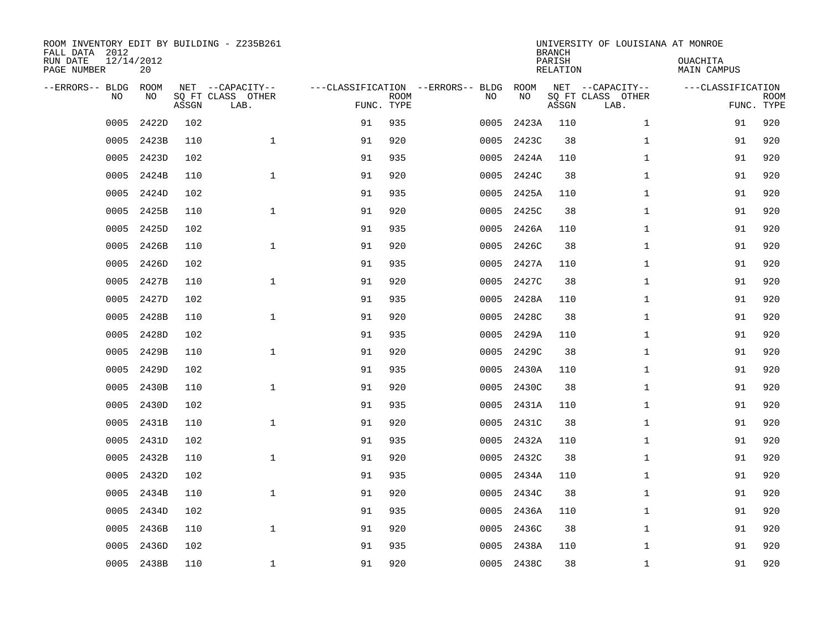| ROOM INVENTORY EDIT BY BUILDING - Z235B261<br>FALL DATA 2012<br>RUN DATE<br>PAGE NUMBER | 12/14/2012<br>20 |       |                                               |                                                 |             |      |            | <b>BRANCH</b><br>PARISH<br><b>RELATION</b> | UNIVERSITY OF LOUISIANA AT MONROE             | OUACHITA<br><b>MAIN CAMPUS</b>  |             |
|-----------------------------------------------------------------------------------------|------------------|-------|-----------------------------------------------|-------------------------------------------------|-------------|------|------------|--------------------------------------------|-----------------------------------------------|---------------------------------|-------------|
| --ERRORS-- BLDG<br>NO.                                                                  | ROOM<br>NO       | ASSGN | NET --CAPACITY--<br>SQ FT CLASS OTHER<br>LAB. | ---CLASSIFICATION --ERRORS-- BLDG<br>FUNC. TYPE | <b>ROOM</b> | NO   | ROOM<br>NO | ASSGN                                      | NET --CAPACITY--<br>SQ FT CLASS OTHER<br>LAB. | ---CLASSIFICATION<br>FUNC. TYPE | <b>ROOM</b> |
| 0005                                                                                    | 2422D            | 102   |                                               | 91                                              | 935         | 0005 | 2423A      | 110                                        | $\mathbf{1}$                                  | 91                              | 920         |
| 0005                                                                                    | 2423B            | 110   | $\mathbf{1}$                                  | 91                                              | 920         | 0005 | 2423C      | 38                                         | $\mathbf{1}$                                  | 91                              | 920         |
| 0005                                                                                    | 2423D            | 102   |                                               | 91                                              | 935         | 0005 | 2424A      | 110                                        | $\mathbf{1}$                                  | 91                              | 920         |
| 0005                                                                                    | 2424B            | 110   | $\mathbf 1$                                   | 91                                              | 920         | 0005 | 2424C      | 38                                         | $\mathbf{1}$                                  | 91                              | 920         |
| 0005                                                                                    | 2424D            | 102   |                                               | 91                                              | 935         | 0005 | 2425A      | 110                                        | $\mathbf{1}$                                  | 91                              | 920         |
| 0005                                                                                    | 2425B            | 110   | $\mathbf{1}$                                  | 91                                              | 920         | 0005 | 2425C      | 38                                         | $\mathbf{1}$                                  | 91                              | 920         |
| 0005                                                                                    | 2425D            | 102   |                                               | 91                                              | 935         | 0005 | 2426A      | 110                                        | $\mathbf{1}$                                  | 91                              | 920         |
| 0005                                                                                    | 2426B            | 110   | $\mathbf{1}$                                  | 91                                              | 920         | 0005 | 2426C      | 38                                         | $\mathbf{1}$                                  | 91                              | 920         |
| 0005                                                                                    | 2426D            | 102   |                                               | 91                                              | 935         | 0005 | 2427A      | 110                                        | $\mathbf{1}$                                  | 91                              | 920         |
| 0005                                                                                    | 2427B            | 110   | $\mathbf{1}$                                  | 91                                              | 920         | 0005 | 2427C      | 38                                         | $\mathbf{1}$                                  | 91                              | 920         |
| 0005                                                                                    | 2427D            | 102   |                                               | 91                                              | 935         | 0005 | 2428A      | 110                                        | $\mathbf{1}$                                  | 91                              | 920         |
| 0005                                                                                    | 2428B            | 110   | $\mathbf{1}$                                  | 91                                              | 920         | 0005 | 2428C      | 38                                         | $\mathbf{1}$                                  | 91                              | 920         |
| 0005                                                                                    | 2428D            | 102   |                                               | 91                                              | 935         | 0005 | 2429A      | 110                                        | $\mathbf{1}$                                  | 91                              | 920         |
| 0005                                                                                    | 2429B            | 110   | $\mathbf 1$                                   | 91                                              | 920         | 0005 | 2429C      | 38                                         | $\mathbf{1}$                                  | 91                              | 920         |
| 0005                                                                                    | 2429D            | 102   |                                               | 91                                              | 935         | 0005 | 2430A      | 110                                        | $\mathbf{1}$                                  | 91                              | 920         |
| 0005                                                                                    | 2430B            | 110   | $\mathbf{1}$                                  | 91                                              | 920         | 0005 | 2430C      | 38                                         | $\mathbf{1}$                                  | 91                              | 920         |
| 0005                                                                                    | 2430D            | 102   |                                               | 91                                              | 935         | 0005 | 2431A      | 110                                        | $\mathbf{1}$                                  | 91                              | 920         |
| 0005                                                                                    | 2431B            | 110   | $\mathbf 1$                                   | 91                                              | 920         | 0005 | 2431C      | 38                                         | $\mathbf{1}$                                  | 91                              | 920         |
| 0005                                                                                    | 2431D            | 102   |                                               | 91                                              | 935         | 0005 | 2432A      | 110                                        | $\mathbf{1}$                                  | 91                              | 920         |
| 0005                                                                                    | 2432B            | 110   | $\mathbf 1$                                   | 91                                              | 920         | 0005 | 2432C      | 38                                         | $\mathbf{1}$                                  | 91                              | 920         |
| 0005                                                                                    | 2432D            | 102   |                                               | 91                                              | 935         | 0005 | 2434A      | 110                                        | $\mathbf{1}$                                  | 91                              | 920         |
| 0005                                                                                    | 2434B            | 110   | $\mathbf{1}$                                  | 91                                              | 920         | 0005 | 2434C      | 38                                         | $\mathbf{1}$                                  | 91                              | 920         |
| 0005                                                                                    | 2434D            | 102   |                                               | 91                                              | 935         | 0005 | 2436A      | 110                                        | $\mathbf{1}$                                  | 91                              | 920         |
| 0005                                                                                    | 2436B            | 110   | $\mathbf{1}$                                  | 91                                              | 920         | 0005 | 2436C      | 38                                         | $\mathbf{1}$                                  | 91                              | 920         |
| 0005                                                                                    | 2436D            | 102   |                                               | 91                                              | 935         | 0005 | 2438A      | 110                                        | $\mathbf{1}$                                  | 91                              | 920         |
|                                                                                         | 0005 2438B       | 110   | $\mathbf 1$                                   | 91                                              | 920         |      | 0005 2438C | 38                                         | $\mathbf{1}$                                  | 91                              | 920         |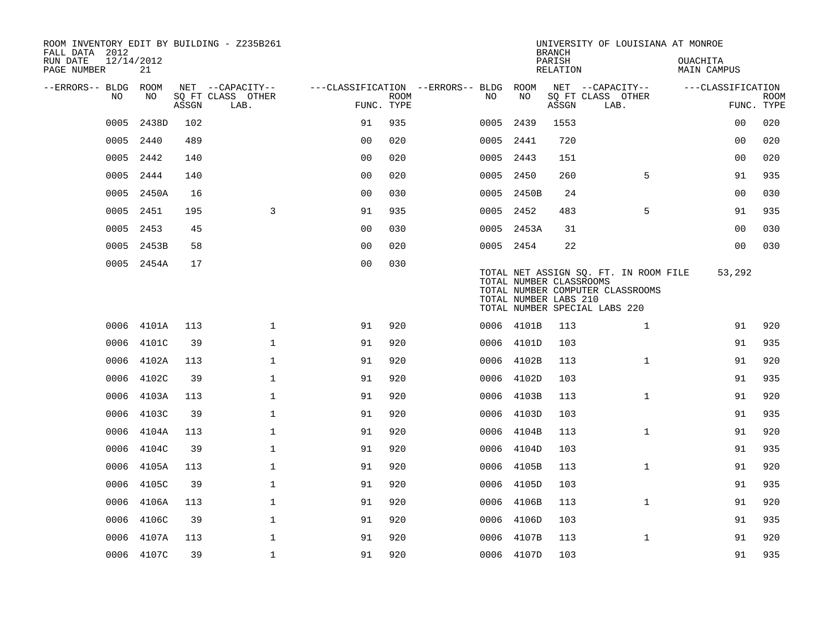| ROOM INVENTORY EDIT BY BUILDING - Z235B261<br>FALL DATA 2012 |                  |       |                           |                |             |                                        |      |            | <b>BRANCH</b>                                    | UNIVERSITY OF LOUISIANA AT MONROE                                                                          |                         |                           |
|--------------------------------------------------------------|------------------|-------|---------------------------|----------------|-------------|----------------------------------------|------|------------|--------------------------------------------------|------------------------------------------------------------------------------------------------------------|-------------------------|---------------------------|
| RUN DATE<br>PAGE NUMBER                                      | 12/14/2012<br>21 |       |                           |                |             |                                        |      |            | PARISH<br><b>RELATION</b>                        |                                                                                                            | OUACHITA<br>MAIN CAMPUS |                           |
| --ERRORS-- BLDG                                              | ROOM<br>NO       |       | NET --CAPACITY--          |                | <b>ROOM</b> | ---CLASSIFICATION --ERRORS-- BLDG ROOM | NO.  | NO         |                                                  | NET --CAPACITY--                                                                                           | ---CLASSIFICATION       |                           |
| NO                                                           |                  | ASSGN | SQ FT CLASS OTHER<br>LAB. | FUNC. TYPE     |             |                                        |      |            | ASSGN                                            | SQ FT CLASS OTHER<br>LAB.                                                                                  |                         | <b>ROOM</b><br>FUNC. TYPE |
| 0005                                                         | 2438D            | 102   |                           | 91             | 935         |                                        | 0005 | 2439       | 1553                                             |                                                                                                            | 00                      | 020                       |
| 0005                                                         | 2440             | 489   |                           | 0 <sub>0</sub> | 020         |                                        |      | 0005 2441  | 720                                              |                                                                                                            | 0 <sub>0</sub>          | 020                       |
| 0005                                                         | 2442             | 140   |                           | 0 <sub>0</sub> | 020         |                                        |      | 0005 2443  | 151                                              |                                                                                                            | 00                      | 020                       |
| 0005                                                         | 2444             | 140   |                           | 0 <sub>0</sub> | 020         |                                        | 0005 | 2450       | 260                                              | 5                                                                                                          | 91                      | 935                       |
| 0005                                                         | 2450A            | 16    |                           | 0 <sub>0</sub> | 030         |                                        |      | 0005 2450B | 24                                               |                                                                                                            | 00                      | 030                       |
| 0005                                                         | 2451             | 195   | 3                         | 91             | 935         |                                        |      | 0005 2452  | 483                                              | 5                                                                                                          | 91                      | 935                       |
|                                                              | 0005 2453        | 45    |                           | 0 <sub>0</sub> | 030         |                                        |      | 0005 2453A | 31                                               |                                                                                                            | 00                      | 030                       |
| 0005                                                         | 2453B            | 58    |                           | 0 <sub>0</sub> | 020         |                                        |      | 0005 2454  | 22                                               |                                                                                                            | 0 <sub>0</sub>          | 030                       |
|                                                              | 0005 2454A       | 17    |                           | 0 <sub>0</sub> | 030         |                                        |      |            | TOTAL NUMBER CLASSROOMS<br>TOTAL NUMBER LABS 210 | TOTAL NET ASSIGN SQ. FT. IN ROOM FILE<br>TOTAL NUMBER COMPUTER CLASSROOMS<br>TOTAL NUMBER SPECIAL LABS 220 | 53,292                  |                           |
|                                                              | 0006 4101A       | 113   | $\mathbf{1}$              | 91             | 920         |                                        |      | 0006 4101B | 113                                              | $\mathbf{1}$                                                                                               | 91                      | 920                       |
| 0006                                                         | 4101C            | 39    | $\mathbf{1}$              | 91             | 920         |                                        |      | 0006 4101D | 103                                              |                                                                                                            | 91                      | 935                       |
| 0006                                                         | 4102A            | 113   | $\mathbf{1}$              | 91             | 920         |                                        |      | 0006 4102B | 113                                              | $\mathbf{1}$                                                                                               | 91                      | 920                       |
| 0006                                                         | 4102C            | 39    | $\mathbf{1}$              | 91             | 920         |                                        |      | 0006 4102D | 103                                              |                                                                                                            | 91                      | 935                       |
| 0006                                                         | 4103A            | 113   | $\mathbf 1$               | 91             | 920         |                                        |      | 0006 4103B | 113                                              | $\mathbf{1}$                                                                                               | 91                      | 920                       |
| 0006                                                         | 4103C            | 39    | $\mathbf{1}$              | 91             | 920         |                                        | 0006 | 4103D      | 103                                              |                                                                                                            | 91                      | 935                       |
| 0006                                                         | 4104A            | 113   | $\mathbf 1$               | 91             | 920         |                                        |      | 0006 4104B | 113                                              | $\mathbf{1}$                                                                                               | 91                      | 920                       |
| 0006                                                         | 4104C            | 39    | $\mathbf 1$               | 91             | 920         |                                        | 0006 | 4104D      | 103                                              |                                                                                                            | 91                      | 935                       |
| 0006                                                         | 4105A            | 113   | $\mathbf 1$               | 91             | 920         |                                        |      | 0006 4105B | 113                                              | $\mathbf{1}$                                                                                               | 91                      | 920                       |
| 0006                                                         | 4105C            | 39    | $\mathbf{1}$              | 91             | 920         |                                        | 0006 | 4105D      | 103                                              |                                                                                                            | 91                      | 935                       |
| 0006                                                         | 4106A            | 113   | $\mathbf 1$               | 91             | 920         |                                        |      | 0006 4106B | 113                                              | $\mathbf{1}$                                                                                               | 91                      | 920                       |
| 0006                                                         | 4106C            | 39    | $\mathbf 1$               | 91             | 920         |                                        | 0006 | 4106D      | 103                                              |                                                                                                            | 91                      | 935                       |
| 0006                                                         | 4107A            | 113   | $\mathbf{1}$              | 91             | 920         |                                        | 0006 | 4107B      | 113                                              | $\mathbf{1}$                                                                                               | 91                      | 920                       |
|                                                              | 0006 4107C       | 39    | $\mathbf{1}$              | 91             | 920         |                                        |      | 0006 4107D | 103                                              |                                                                                                            | 91                      | 935                       |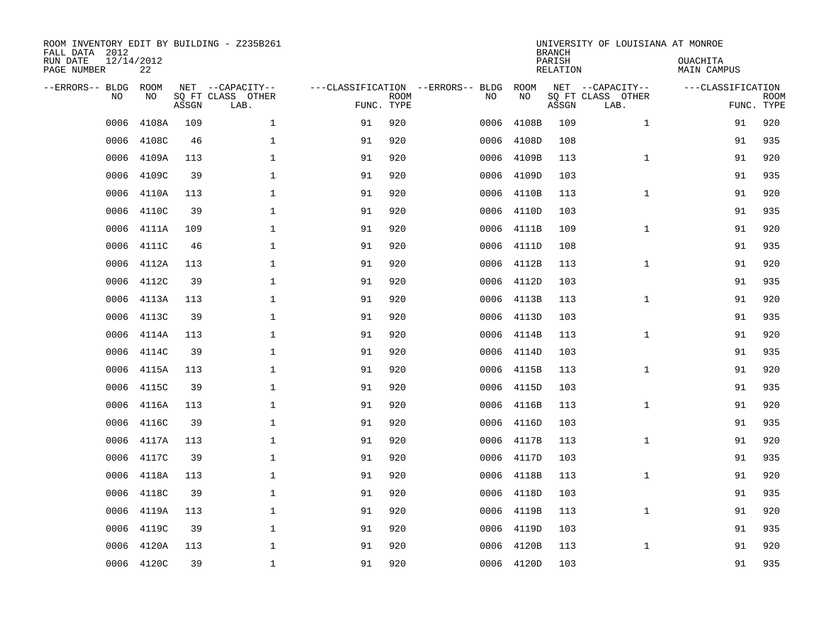| ROOM INVENTORY EDIT BY BUILDING - Z235B261<br>FALL DATA 2012<br>RUN DATE<br>PAGE NUMBER | 12/14/2012<br>22 |       |                                               |                                                 |             |      |            | <b>BRANCH</b><br>PARISH<br><b>RELATION</b> | UNIVERSITY OF LOUISIANA AT MONROE             | OUACHITA<br><b>MAIN CAMPUS</b>  |             |
|-----------------------------------------------------------------------------------------|------------------|-------|-----------------------------------------------|-------------------------------------------------|-------------|------|------------|--------------------------------------------|-----------------------------------------------|---------------------------------|-------------|
| --ERRORS-- BLDG<br>NO.                                                                  | ROOM<br>NO       | ASSGN | NET --CAPACITY--<br>SQ FT CLASS OTHER<br>LAB. | ---CLASSIFICATION --ERRORS-- BLDG<br>FUNC. TYPE | <b>ROOM</b> | NO   | ROOM<br>NO | ASSGN                                      | NET --CAPACITY--<br>SQ FT CLASS OTHER<br>LAB. | ---CLASSIFICATION<br>FUNC. TYPE | <b>ROOM</b> |
| 0006                                                                                    | 4108A            | 109   | $\mathbf 1$                                   | 91                                              | 920         | 0006 | 4108B      | 109                                        | $\mathbf{1}$                                  | 91                              | 920         |
| 0006                                                                                    | 4108C            | 46    | 1                                             | 91                                              | 920         | 0006 | 4108D      | 108                                        |                                               | 91                              | 935         |
| 0006                                                                                    | 4109A            | 113   | 1                                             | 91                                              | 920         | 0006 | 4109B      | 113                                        | $\mathbf{1}$                                  | 91                              | 920         |
| 0006                                                                                    | 4109C            | 39    | $\mathbf 1$                                   | 91                                              | 920         | 0006 | 4109D      | 103                                        |                                               | 91                              | 935         |
| 0006                                                                                    | 4110A            | 113   | $\mathbf{1}$                                  | 91                                              | 920         | 0006 | 4110B      | 113                                        | $\mathbf{1}$                                  | 91                              | 920         |
| 0006                                                                                    | 4110C            | 39    | $\mathbf{1}$                                  | 91                                              | 920         |      | 0006 4110D | 103                                        |                                               | 91                              | 935         |
| 0006                                                                                    | 4111A            | 109   | $\mathbf{1}$                                  | 91                                              | 920         | 0006 | 4111B      | 109                                        | $\mathbf{1}$                                  | 91                              | 920         |
| 0006                                                                                    | 4111C            | 46    | $\mathbf 1$                                   | 91                                              | 920         | 0006 | 4111D      | 108                                        |                                               | 91                              | 935         |
| 0006                                                                                    | 4112A            | 113   | $\mathbf 1$                                   | 91                                              | 920         | 0006 | 4112B      | 113                                        | $\mathbf{1}$                                  | 91                              | 920         |
| 0006                                                                                    | 4112C            | 39    | $\mathbf 1$                                   | 91                                              | 920         | 0006 | 4112D      | 103                                        |                                               | 91                              | 935         |
| 0006                                                                                    | 4113A            | 113   | $\mathbf 1$                                   | 91                                              | 920         | 0006 | 4113B      | 113                                        | $\mathbf{1}$                                  | 91                              | 920         |
| 0006                                                                                    | 4113C            | 39    | $\mathbf{1}$                                  | 91                                              | 920         | 0006 | 4113D      | 103                                        |                                               | 91                              | 935         |
| 0006                                                                                    | 4114A            | 113   | $\mathbf 1$                                   | 91                                              | 920         | 0006 | 4114B      | 113                                        | $\mathbf{1}$                                  | 91                              | 920         |
| 0006                                                                                    | 4114C            | 39    | $\mathbf 1$                                   | 91                                              | 920         | 0006 | 4114D      | 103                                        |                                               | 91                              | 935         |
| 0006                                                                                    | 4115A            | 113   | 1                                             | 91                                              | 920         | 0006 | 4115B      | 113                                        | $\mathbf{1}$                                  | 91                              | 920         |
| 0006                                                                                    | 4115C            | 39    | $\mathbf 1$                                   | 91                                              | 920         | 0006 | 4115D      | 103                                        |                                               | 91                              | 935         |
| 0006                                                                                    | 4116A            | 113   | $\mathbf 1$                                   | 91                                              | 920         | 0006 | 4116B      | 113                                        | $\mathbf{1}$                                  | 91                              | 920         |
| 0006                                                                                    | 4116C            | 39    | $\mathbf{1}$                                  | 91                                              | 920         | 0006 | 4116D      | 103                                        |                                               | 91                              | 935         |
| 0006                                                                                    | 4117A            | 113   | $\mathbf{1}$                                  | 91                                              | 920         | 0006 | 4117B      | 113                                        | $\mathbf{1}$                                  | 91                              | 920         |
| 0006                                                                                    | 4117C            | 39    | 1                                             | 91                                              | 920         | 0006 | 4117D      | 103                                        |                                               | 91                              | 935         |
| 0006                                                                                    | 4118A            | 113   | 1                                             | 91                                              | 920         | 0006 | 4118B      | 113                                        | $\mathbf{1}$                                  | 91                              | 920         |
| 0006                                                                                    | 4118C            | 39    | $\mathbf 1$                                   | 91                                              | 920         | 0006 | 4118D      | 103                                        |                                               | 91                              | 935         |
| 0006                                                                                    | 4119A            | 113   | 1                                             | 91                                              | 920         | 0006 | 4119B      | 113                                        | $\mathbf{1}$                                  | 91                              | 920         |
| 0006                                                                                    | 4119C            | 39    | $\mathbf 1$                                   | 91                                              | 920         | 0006 | 4119D      | 103                                        |                                               | 91                              | 935         |
| 0006                                                                                    | 4120A            | 113   | $\mathbf 1$                                   | 91                                              | 920         | 0006 | 4120B      | 113                                        | $\mathbf{1}$                                  | 91                              | 920         |
|                                                                                         | 0006 4120C       | 39    | $\mathbf{1}$                                  | 91                                              | 920         |      | 0006 4120D | 103                                        |                                               | 91                              | 935         |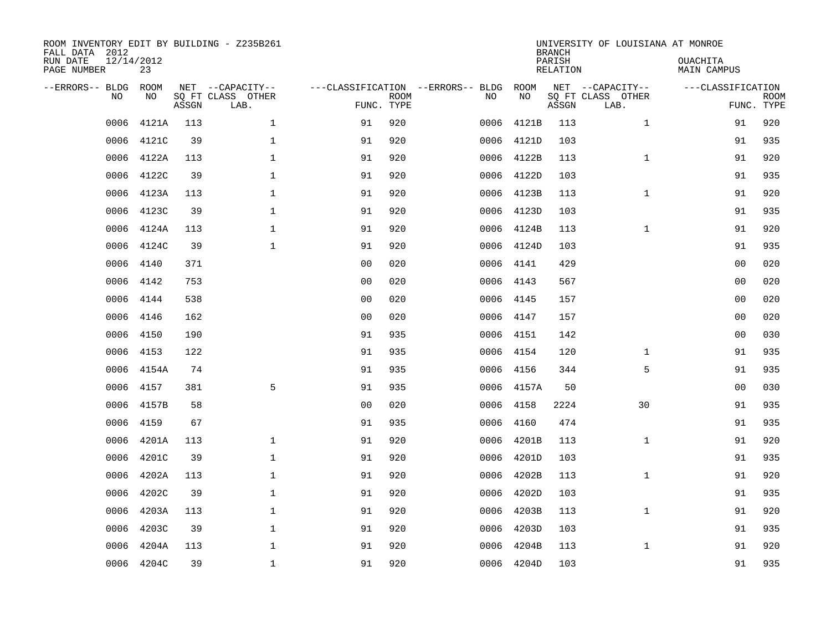| ROOM INVENTORY EDIT BY BUILDING - Z235B261<br>FALL DATA 2012<br>RUN DATE<br>PAGE NUMBER | 12/14/2012<br>23 |       |                                               |                                                 |             |      |            | <b>BRANCH</b><br>PARISH<br><b>RELATION</b> | UNIVERSITY OF LOUISIANA AT MONROE             | OUACHITA<br><b>MAIN CAMPUS</b>  |             |
|-----------------------------------------------------------------------------------------|------------------|-------|-----------------------------------------------|-------------------------------------------------|-------------|------|------------|--------------------------------------------|-----------------------------------------------|---------------------------------|-------------|
| --ERRORS-- BLDG<br>NO.                                                                  | ROOM<br>NO       | ASSGN | NET --CAPACITY--<br>SQ FT CLASS OTHER<br>LAB. | ---CLASSIFICATION --ERRORS-- BLDG<br>FUNC. TYPE | <b>ROOM</b> | NO   | ROOM<br>NO | ASSGN                                      | NET --CAPACITY--<br>SQ FT CLASS OTHER<br>LAB. | ---CLASSIFICATION<br>FUNC. TYPE | <b>ROOM</b> |
| 0006                                                                                    | 4121A            | 113   | $\mathbf 1$                                   | 91                                              | 920         | 0006 | 4121B      | 113                                        | $\mathbf{1}$                                  | 91                              | 920         |
| 0006                                                                                    | 4121C            | 39    | $\mathbf 1$                                   | 91                                              | 920         | 0006 | 4121D      | 103                                        |                                               | 91                              | 935         |
| 0006                                                                                    | 4122A            | 113   | $\mathbf 1$                                   | 91                                              | 920         | 0006 | 4122B      | 113                                        | $\mathbf{1}$                                  | 91                              | 920         |
| 0006                                                                                    | 4122C            | 39    | $\mathbf 1$                                   | 91                                              | 920         |      | 0006 4122D | 103                                        |                                               | 91                              | 935         |
| 0006                                                                                    | 4123A            | 113   | $\mathbf{1}$                                  | 91                                              | 920         | 0006 | 4123B      | 113                                        | $\mathbf{1}$                                  | 91                              | 920         |
| 0006                                                                                    | 4123C            | 39    | $\mathbf 1$                                   | 91                                              | 920         |      | 0006 4123D | 103                                        |                                               | 91                              | 935         |
| 0006                                                                                    | 4124A            | 113   | $\mathbf{1}$                                  | 91                                              | 920         | 0006 | 4124B      | 113                                        | $\mathbf{1}$                                  | 91                              | 920         |
| 0006                                                                                    | 4124C            | 39    | $\mathbf{1}$                                  | 91                                              | 920         |      | 0006 4124D | 103                                        |                                               | 91                              | 935         |
| 0006                                                                                    | 4140             | 371   |                                               | 0 <sub>0</sub>                                  | 020         | 0006 | 4141       | 429                                        |                                               | 0 <sub>0</sub>                  | 020         |
| 0006                                                                                    | 4142             | 753   |                                               | 0 <sub>0</sub>                                  | 020         | 0006 | 4143       | 567                                        |                                               | 0 <sub>0</sub>                  | 020         |
| 0006                                                                                    | 4144             | 538   |                                               | 0 <sub>0</sub>                                  | 020         | 0006 | 4145       | 157                                        |                                               | 00                              | 020         |
| 0006                                                                                    | 4146             | 162   |                                               | 0 <sub>0</sub>                                  | 020         | 0006 | 4147       | 157                                        |                                               | 00                              | 020         |
| 0006                                                                                    | 4150             | 190   |                                               | 91                                              | 935         | 0006 | 4151       | 142                                        |                                               | 00                              | 030         |
| 0006                                                                                    | 4153             | 122   |                                               | 91                                              | 935         | 0006 | 4154       | 120                                        | $\mathbf{1}$                                  | 91                              | 935         |
| 0006                                                                                    | 4154A            | 74    |                                               | 91                                              | 935         | 0006 | 4156       | 344                                        | 5                                             | 91                              | 935         |
| 0006                                                                                    | 4157             | 381   | 5                                             | 91                                              | 935         |      | 0006 4157A | 50                                         |                                               | 00                              | 030         |
| 0006                                                                                    | 4157B            | 58    |                                               | 0 <sub>0</sub>                                  | 020         | 0006 | 4158       | 2224                                       | 30                                            | 91                              | 935         |
| 0006                                                                                    | 4159             | 67    |                                               | 91                                              | 935         | 0006 | 4160       | 474                                        |                                               | 91                              | 935         |
| 0006                                                                                    | 4201A            | 113   | $\mathbf{1}$                                  | 91                                              | 920         | 0006 | 4201B      | 113                                        | $\mathbf{1}$                                  | 91                              | 920         |
| 0006                                                                                    | 4201C            | 39    | $\mathbf{1}$                                  | 91                                              | 920         | 0006 | 4201D      | 103                                        |                                               | 91                              | 935         |
| 0006                                                                                    | 4202A            | 113   | $\mathbf{1}$                                  | 91                                              | 920         | 0006 | 4202B      | 113                                        | $\mathbf{1}$                                  | 91                              | 920         |
| 0006                                                                                    | 4202C            | 39    | $\mathbf 1$                                   | 91                                              | 920         | 0006 | 4202D      | 103                                        |                                               | 91                              | 935         |
| 0006                                                                                    | 4203A            | 113   | 1                                             | 91                                              | 920         | 0006 | 4203B      | 113                                        | $\mathbf{1}$                                  | 91                              | 920         |
| 0006                                                                                    | 4203C            | 39    | $\mathbf 1$                                   | 91                                              | 920         | 0006 | 4203D      | 103                                        |                                               | 91                              | 935         |
| 0006                                                                                    | 4204A            | 113   | $\mathbf 1$                                   | 91                                              | 920         | 0006 | 4204B      | 113                                        | $\mathbf{1}$                                  | 91                              | 920         |
|                                                                                         | 0006 4204C       | 39    | $\mathbf{1}$                                  | 91                                              | 920         |      | 0006 4204D | 103                                        |                                               | 91                              | 935         |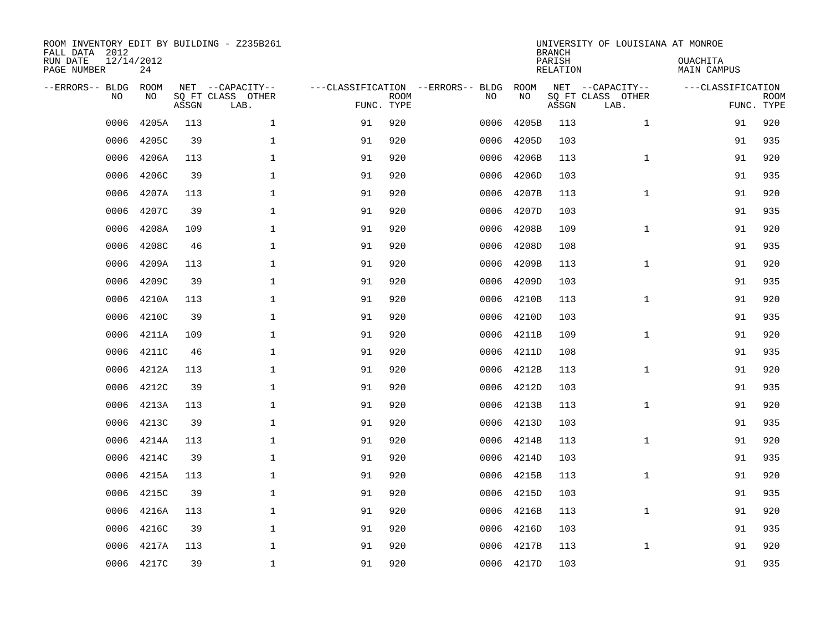| ROOM INVENTORY EDIT BY BUILDING - Z235B261<br>FALL DATA 2012 |                  |       |                           |            |             |                                          |                   | <b>BRANCH</b>      | UNIVERSITY OF LOUISIANA AT MONROE |                         |                           |
|--------------------------------------------------------------|------------------|-------|---------------------------|------------|-------------|------------------------------------------|-------------------|--------------------|-----------------------------------|-------------------------|---------------------------|
| RUN DATE<br>PAGE NUMBER                                      | 12/14/2012<br>24 |       |                           |            |             |                                          |                   | PARISH<br>RELATION |                                   | OUACHITA<br>MAIN CAMPUS |                           |
| --ERRORS-- BLDG<br>N <sub>O</sub>                            | ROOM<br>NO.      |       | NET --CAPACITY--          |            |             | ---CLASSIFICATION --ERRORS-- BLDG<br>NO. | <b>ROOM</b><br>NO |                    | NET --CAPACITY--                  | ---CLASSIFICATION       |                           |
|                                                              |                  | ASSGN | SO FT CLASS OTHER<br>LAB. | FUNC. TYPE | <b>ROOM</b> |                                          |                   | ASSGN              | SQ FT CLASS OTHER<br>LAB.         |                         | <b>ROOM</b><br>FUNC. TYPE |
| 0006                                                         | 4205A            | 113   | $\mathbf{1}$              | 91         | 920         | 0006                                     | 4205B             | 113                | $\mathbf{1}$                      | 91                      | 920                       |
| 0006                                                         | 4205C            | 39    | $\mathbf{1}$              | 91         | 920         | 0006                                     | 4205D             | 103                |                                   | 91                      | 935                       |
| 0006                                                         | 4206A            | 113   | $\mathbf 1$               | 91         | 920         | 0006                                     | 4206B             | 113                | $\mathbf{1}$                      | 91                      | 920                       |
| 0006                                                         | 4206C            | 39    | 1                         | 91         | 920         | 0006                                     | 4206D             | 103                |                                   | 91                      | 935                       |
| 0006                                                         | 4207A            | 113   | $\mathbf 1$               | 91         | 920         | 0006                                     | 4207B             | 113                | $\mathbf{1}$                      | 91                      | 920                       |
| 0006                                                         | 4207C            | 39    | $\mathbf 1$               | 91         | 920         | 0006                                     | 4207D             | 103                |                                   | 91                      | 935                       |
| 0006                                                         | 4208A            | 109   | $\mathbf{1}$              | 91         | 920         | 0006                                     | 4208B             | 109                | $\mathbf{1}$                      | 91                      | 920                       |
| 0006                                                         | 4208C            | 46    | $\mathbf{1}$              | 91         | 920         | 0006                                     | 4208D             | 108                |                                   | 91                      | 935                       |
| 0006                                                         | 4209A            | 113   | $\mathbf 1$               | 91         | 920         | 0006                                     | 4209B             | 113                | $\mathbf{1}$                      | 91                      | 920                       |
| 0006                                                         | 4209C            | 39    | $\mathbf 1$               | 91         | 920         | 0006                                     | 4209D             | 103                |                                   | 91                      | 935                       |
| 0006                                                         | 4210A            | 113   | $\mathbf{1}$              | 91         | 920         | 0006                                     | 4210B             | 113                | $\mathbf{1}$                      | 91                      | 920                       |
| 0006                                                         | 4210C            | 39    | $\mathbf{1}$              | 91         | 920         | 0006                                     | 4210D             | 103                |                                   | 91                      | 935                       |
| 0006                                                         | 4211A            | 109   | $\mathbf 1$               | 91         | 920         | 0006                                     | 4211B             | 109                | $\mathbf{1}$                      | 91                      | 920                       |
| 0006                                                         | 4211C            | 46    | 1                         | 91         | 920         | 0006                                     | 4211D             | 108                |                                   | 91                      | 935                       |
| 0006                                                         | 4212A            | 113   | $\mathbf 1$               | 91         | 920         | 0006                                     | 4212B             | 113                | $\mathbf{1}$                      | 91                      | 920                       |
| 0006                                                         | 4212C            | 39    | $\mathbf{1}$              | 91         | 920         | 0006                                     | 4212D             | 103                |                                   | 91                      | 935                       |
| 0006                                                         | 4213A            | 113   | $\mathbf{1}$              | 91         | 920         | 0006                                     | 4213B             | 113                | $\mathbf{1}$                      | 91                      | 920                       |
| 0006                                                         | 4213C            | 39    | $\mathbf 1$               | 91         | 920         | 0006                                     | 4213D             | 103                |                                   | 91                      | 935                       |
| 0006                                                         | 4214A            | 113   | 1                         | 91         | 920         | 0006                                     | 4214B             | 113                | $\mathbf{1}$                      | 91                      | 920                       |
| 0006                                                         | 4214C            | 39    | $\mathbf 1$               | 91         | 920         | 0006                                     | 4214D             | 103                |                                   | 91                      | 935                       |
| 0006                                                         | 4215A            | 113   | $\mathbf 1$               | 91         | 920         | 0006                                     | 4215B             | 113                | $\mathbf{1}$                      | 91                      | 920                       |
| 0006                                                         | 4215C            | 39    | $\mathbf 1$               | 91         | 920         | 0006                                     | 4215D             | 103                |                                   | 91                      | 935                       |
| 0006                                                         | 4216A            | 113   | 1                         | 91         | 920         | 0006                                     | 4216B             | 113                | $\mathbf{1}$                      | 91                      | 920                       |
| 0006                                                         | 4216C            | 39    | $\mathbf 1$               | 91         | 920         | 0006                                     | 4216D             | 103                |                                   | 91                      | 935                       |
| 0006                                                         | 4217A            | 113   | $\mathbf 1$               | 91         | 920         | 0006                                     | 4217B             | 113                | $\mathbf{1}$                      | 91                      | 920                       |
|                                                              | 0006 4217C       | 39    | $\mathbf{1}$              | 91         | 920         |                                          | 0006 4217D        | 103                |                                   | 91                      | 935                       |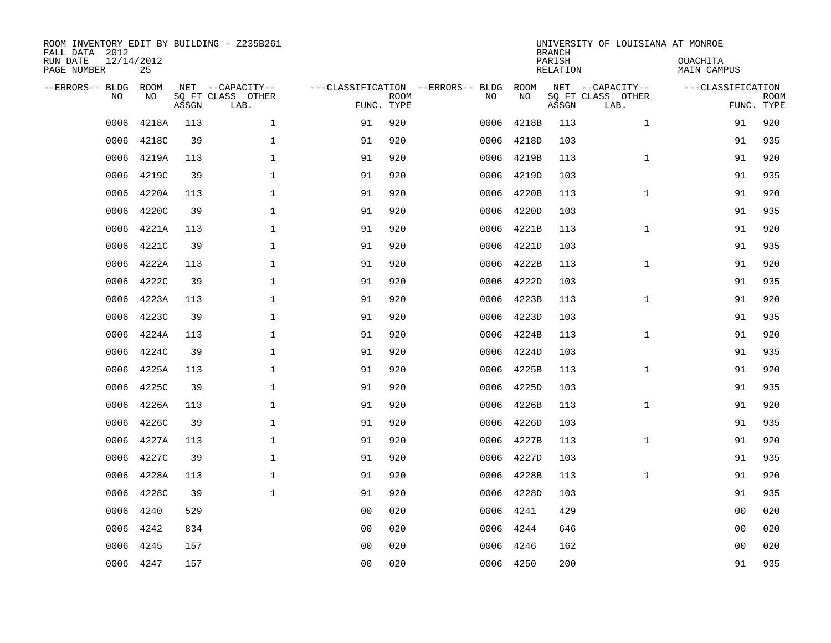| ROOM INVENTORY EDIT BY BUILDING - Z235B261<br>FALL DATA 2012<br>RUN DATE<br>PAGE NUMBER | 12/14/2012<br>25 |       |                                               |                                                 |             |           |            | <b>BRANCH</b><br>PARISH<br><b>RELATION</b> | UNIVERSITY OF LOUISIANA AT MONROE             | OUACHITA<br><b>MAIN CAMPUS</b>  |             |
|-----------------------------------------------------------------------------------------|------------------|-------|-----------------------------------------------|-------------------------------------------------|-------------|-----------|------------|--------------------------------------------|-----------------------------------------------|---------------------------------|-------------|
| --ERRORS-- BLDG<br>NO.                                                                  | ROOM<br>NO       | ASSGN | NET --CAPACITY--<br>SQ FT CLASS OTHER<br>LAB. | ---CLASSIFICATION --ERRORS-- BLDG<br>FUNC. TYPE | <b>ROOM</b> | NO        | ROOM<br>NO | ASSGN                                      | NET --CAPACITY--<br>SQ FT CLASS OTHER<br>LAB. | ---CLASSIFICATION<br>FUNC. TYPE | <b>ROOM</b> |
| 0006                                                                                    | 4218A            | 113   | $\mathbf 1$                                   | 91                                              | 920         | 0006      | 4218B      | 113                                        | $\mathbf{1}$                                  | 91                              | 920         |
| 0006                                                                                    | 4218C            | 39    | 1                                             | 91                                              | 920         | 0006      | 4218D      | 103                                        |                                               | 91                              | 935         |
| 0006                                                                                    | 4219A            | 113   | 1                                             | 91                                              | 920         | 0006      | 4219B      | 113                                        | $\mathbf{1}$                                  | 91                              | 920         |
| 0006                                                                                    | 4219C            | 39    | $\mathbf 1$                                   | 91                                              | 920         | 0006      | 4219D      | 103                                        |                                               | 91                              | 935         |
| 0006                                                                                    | 4220A            | 113   | $\mathbf{1}$                                  | 91                                              | 920         | 0006      | 4220B      | 113                                        | $\mathbf{1}$                                  | 91                              | 920         |
| 0006                                                                                    | 4220C            | 39    | $\mathbf 1$                                   | 91                                              | 920         | 0006      | 4220D      | 103                                        |                                               | 91                              | 935         |
| 0006                                                                                    | 4221A            | 113   | $\mathbf{1}$                                  | 91                                              | 920         | 0006      | 4221B      | 113                                        | $\mathbf{1}$                                  | 91                              | 920         |
| 0006                                                                                    | 4221C            | 39    | $\mathbf{1}$                                  | 91                                              | 920         | 0006      | 4221D      | 103                                        |                                               | 91                              | 935         |
| 0006                                                                                    | 4222A            | 113   | $\mathbf{1}$                                  | 91                                              | 920         | 0006      | 4222B      | 113                                        | $\mathbf{1}$                                  | 91                              | 920         |
| 0006                                                                                    | 4222C            | 39    | 1                                             | 91                                              | 920         | 0006      | 4222D      | 103                                        |                                               | 91                              | 935         |
| 0006                                                                                    | 4223A            | 113   | $\mathbf 1$                                   | 91                                              | 920         | 0006      | 4223B      | 113                                        | $\mathbf{1}$                                  | 91                              | 920         |
| 0006                                                                                    | 4223C            | 39    | $\mathbf 1$                                   | 91                                              | 920         | 0006      | 4223D      | 103                                        |                                               | 91                              | 935         |
| 0006                                                                                    | 4224A            | 113   | $\mathbf 1$                                   | 91                                              | 920         | 0006      | 4224B      | 113                                        | $\mathbf{1}$                                  | 91                              | 920         |
| 0006                                                                                    | 4224C            | 39    | $\mathbf 1$                                   | 91                                              | 920         | 0006      | 4224D      | 103                                        |                                               | 91                              | 935         |
| 0006                                                                                    | 4225A            | 113   | $\mathbf{1}$                                  | 91                                              | 920         | 0006      | 4225B      | 113                                        | $\mathbf{1}$                                  | 91                              | 920         |
| 0006                                                                                    | 4225C            | 39    | $\mathbf 1$                                   | 91                                              | 920         | 0006      | 4225D      | 103                                        |                                               | 91                              | 935         |
| 0006                                                                                    | 4226A            | 113   | $\mathbf 1$                                   | 91                                              | 920         | 0006      | 4226B      | 113                                        | $\mathbf{1}$                                  | 91                              | 920         |
| 0006                                                                                    | 4226C            | 39    | $\mathbf 1$                                   | 91                                              | 920         | 0006      | 4226D      | 103                                        |                                               | 91                              | 935         |
| 0006                                                                                    | 4227A            | 113   | $\mathbf 1$                                   | 91                                              | 920         | 0006      | 4227B      | 113                                        | $\mathbf{1}$                                  | 91                              | 920         |
| 0006                                                                                    | 4227C            | 39    | $\mathbf 1$                                   | 91                                              | 920         | 0006      | 4227D      | 103                                        |                                               | 91                              | 935         |
| 0006                                                                                    | 4228A            | 113   | $\mathbf{1}$                                  | 91                                              | 920         | 0006      | 4228B      | 113                                        | $\mathbf{1}$                                  | 91                              | 920         |
| 0006                                                                                    | 4228C            | 39    | $\mathbf{1}$                                  | 91                                              | 920         | 0006      | 4228D      | 103                                        |                                               | 91                              | 935         |
| 0006                                                                                    | 4240             | 529   |                                               | 0 <sub>0</sub>                                  | 020         | 0006      | 4241       | 429                                        |                                               | 0 <sub>0</sub>                  | 020         |
| 0006                                                                                    | 4242             | 834   |                                               | 00                                              | 020         | 0006      | 4244       | 646                                        |                                               | 0 <sub>0</sub>                  | 020         |
| 0006                                                                                    | 4245             | 157   |                                               | 0 <sub>0</sub>                                  | 020         | 0006      | 4246       | 162                                        |                                               | 0 <sub>0</sub>                  | 020         |
|                                                                                         | 0006 4247        | 157   |                                               | 00                                              | 020         | 0006 4250 |            | 200                                        |                                               | 91                              | 935         |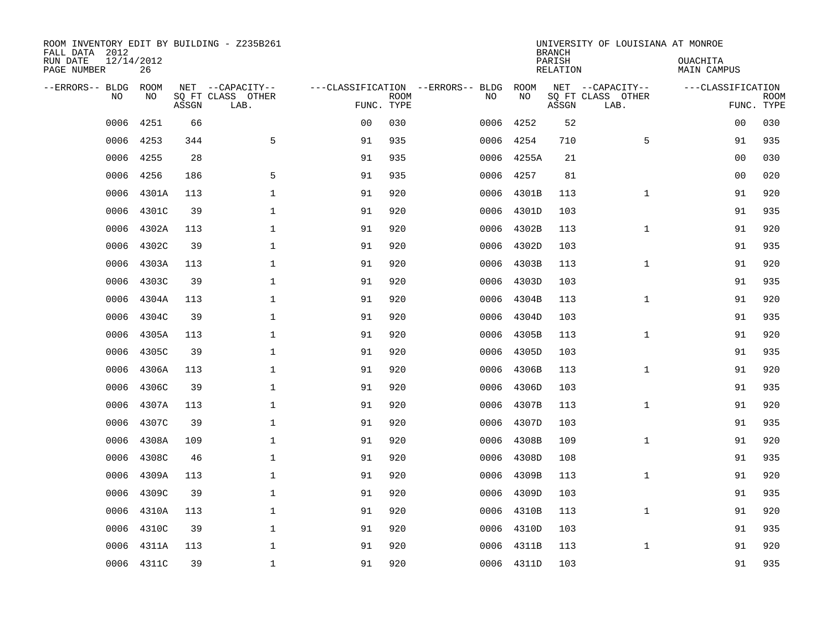| ROOM INVENTORY EDIT BY BUILDING - Z235B261<br>FALL DATA 2012 |                  |       |                           |                |             |                                   |             | <b>BRANCH</b>      | UNIVERSITY OF LOUISIANA AT MONROE |                         |                           |
|--------------------------------------------------------------|------------------|-------|---------------------------|----------------|-------------|-----------------------------------|-------------|--------------------|-----------------------------------|-------------------------|---------------------------|
| RUN DATE<br>PAGE NUMBER                                      | 12/14/2012<br>26 |       |                           |                |             |                                   |             | PARISH<br>RELATION |                                   | OUACHITA<br>MAIN CAMPUS |                           |
| --ERRORS-- BLDG                                              | <b>ROOM</b>      |       | NET --CAPACITY--          |                |             | ---CLASSIFICATION --ERRORS-- BLDG | <b>ROOM</b> |                    | NET --CAPACITY--                  | ---CLASSIFICATION       |                           |
| N <sub>O</sub>                                               | NO.              | ASSGN | SO FT CLASS OTHER<br>LAB. | FUNC. TYPE     | <b>ROOM</b> | NO.                               | NO          | ASSGN              | SQ FT CLASS OTHER<br>LAB.         |                         | <b>ROOM</b><br>FUNC. TYPE |
| 0006                                                         | 4251             | 66    |                           | 0 <sub>0</sub> | 030         | 0006                              | 4252        | 52                 |                                   | 00                      | 030                       |
| 0006                                                         | 4253             | 344   | 5                         | 91             | 935         | 0006                              | 4254        | 710                | 5                                 | 91                      | 935                       |
| 0006                                                         | 4255             | 28    |                           | 91             | 935         | 0006                              | 4255A       | 21                 |                                   | 00                      | 030                       |
| 0006                                                         | 4256             | 186   | 5                         | 91             | 935         | 0006                              | 4257        | 81                 |                                   | 0 <sub>0</sub>          | 020                       |
| 0006                                                         | 4301A            | 113   | $\mathbf 1$               | 91             | 920         | 0006                              | 4301B       | 113                | $\mathbf{1}$                      | 91                      | 920                       |
| 0006                                                         | 4301C            | 39    | $\mathbf{1}$              | 91             | 920         | 0006                              | 4301D       | 103                |                                   | 91                      | 935                       |
| 0006                                                         | 4302A            | 113   | $\mathbf 1$               | 91             | 920         | 0006                              | 4302B       | 113                | $\mathbf{1}$                      | 91                      | 920                       |
| 0006                                                         | 4302C            | 39    | $\mathbf 1$               | 91             | 920         | 0006                              | 4302D       | 103                |                                   | 91                      | 935                       |
| 0006                                                         | 4303A            | 113   | $\mathbf 1$               | 91             | 920         | 0006                              | 4303B       | 113                | $\mathbf{1}$                      | 91                      | 920                       |
| 0006                                                         | 4303C            | 39    | $\mathbf{1}$              | 91             | 920         | 0006                              | 4303D       | 103                |                                   | 91                      | 935                       |
| 0006                                                         | 4304A            | 113   | $\mathbf 1$               | 91             | 920         | 0006                              | 4304B       | 113                | $\mathbf{1}$                      | 91                      | 920                       |
| 0006                                                         | 4304C            | 39    | $\mathbf 1$               | 91             | 920         | 0006                              | 4304D       | 103                |                                   | 91                      | 935                       |
| 0006                                                         | 4305A            | 113   | $\mathbf{1}$              | 91             | 920         | 0006                              | 4305B       | 113                | $\mathbf{1}$                      | 91                      | 920                       |
| 0006                                                         | 4305C            | 39    | $\mathbf{1}$              | 91             | 920         | 0006                              | 4305D       | 103                |                                   | 91                      | 935                       |
| 0006                                                         | 4306A            | 113   | 1                         | 91             | 920         | 0006                              | 4306B       | 113                | $\mathbf{1}$                      | 91                      | 920                       |
| 0006                                                         | 4306C            | 39    | 1                         | 91             | 920         | 0006                              | 4306D       | 103                |                                   | 91                      | 935                       |
| 0006                                                         | 4307A            | 113   | $\mathbf{1}$              | 91             | 920         | 0006                              | 4307B       | 113                | $\mathbf{1}$                      | 91                      | 920                       |
| 0006                                                         | 4307C            | 39    | $\mathbf{1}$              | 91             | 920         | 0006                              | 4307D       | 103                |                                   | 91                      | 935                       |
| 0006                                                         | 4308A            | 109   | $\mathbf{1}$              | 91             | 920         | 0006                              | 4308B       | 109                | $\mathbf{1}$                      | 91                      | 920                       |
| 0006                                                         | 4308C            | 46    | 1                         | 91             | 920         | 0006                              | 4308D       | 108                |                                   | 91                      | 935                       |
| 0006                                                         | 4309A            | 113   | $\mathbf 1$               | 91             | 920         | 0006                              | 4309B       | 113                | $\mathbf{1}$                      | 91                      | 920                       |
| 0006                                                         | 4309C            | 39    | $\mathbf 1$               | 91             | 920         | 0006                              | 4309D       | 103                |                                   | 91                      | 935                       |
| 0006                                                         | 4310A            | 113   | 1                         | 91             | 920         | 0006                              | 4310B       | 113                | $\mathbf{1}$                      | 91                      | 920                       |
| 0006                                                         | 4310C            | 39    | $\mathbf 1$               | 91             | 920         | 0006                              | 4310D       | 103                |                                   | 91                      | 935                       |
| 0006                                                         | 4311A            | 113   | $\mathbf{1}$              | 91             | 920         | 0006                              | 4311B       | 113                | $\mathbf{1}$                      | 91                      | 920                       |
|                                                              | 0006 4311C       | 39    | $\mathbf 1$               | 91             | 920         |                                   | 0006 4311D  | 103                |                                   | 91                      | 935                       |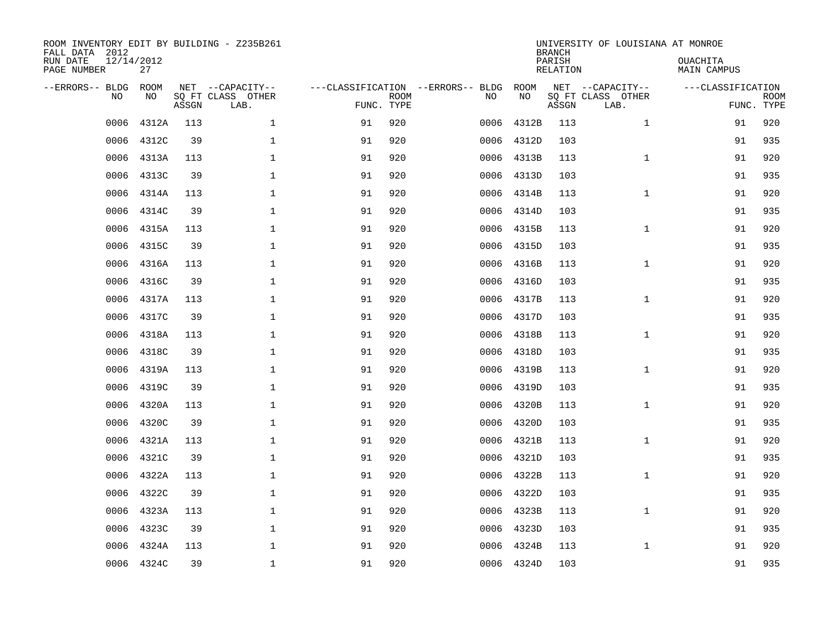| ROOM INVENTORY EDIT BY BUILDING - Z235B261<br>FALL DATA 2012<br>RUN DATE<br>PAGE NUMBER | 12/14/2012<br>27 |       |                                               |                                                 |             |      |            | <b>BRANCH</b><br>PARISH<br><b>RELATION</b> | UNIVERSITY OF LOUISIANA AT MONROE             | OUACHITA<br><b>MAIN CAMPUS</b>  |             |
|-----------------------------------------------------------------------------------------|------------------|-------|-----------------------------------------------|-------------------------------------------------|-------------|------|------------|--------------------------------------------|-----------------------------------------------|---------------------------------|-------------|
| --ERRORS-- BLDG<br>NO.                                                                  | ROOM<br>NO       | ASSGN | NET --CAPACITY--<br>SQ FT CLASS OTHER<br>LAB. | ---CLASSIFICATION --ERRORS-- BLDG<br>FUNC. TYPE | <b>ROOM</b> | NO   | ROOM<br>NO | ASSGN                                      | NET --CAPACITY--<br>SQ FT CLASS OTHER<br>LAB. | ---CLASSIFICATION<br>FUNC. TYPE | <b>ROOM</b> |
| 0006                                                                                    | 4312A            | 113   | $\mathbf 1$                                   | 91                                              | 920         | 0006 | 4312B      | 113                                        | $\mathbf{1}$                                  | 91                              | 920         |
| 0006                                                                                    | 4312C            | 39    | 1                                             | 91                                              | 920         | 0006 | 4312D      | 103                                        |                                               | 91                              | 935         |
| 0006                                                                                    | 4313A            | 113   | 1                                             | 91                                              | 920         | 0006 | 4313B      | 113                                        | $\mathbf{1}$                                  | 91                              | 920         |
| 0006                                                                                    | 4313C            | 39    | $\mathbf 1$                                   | 91                                              | 920         | 0006 | 4313D      | 103                                        |                                               | 91                              | 935         |
| 0006                                                                                    | 4314A            | 113   | $\mathbf{1}$                                  | 91                                              | 920         | 0006 | 4314B      | 113                                        | $\mathbf{1}$                                  | 91                              | 920         |
| 0006                                                                                    | 4314C            | 39    | $\mathbf{1}$                                  | 91                                              | 920         |      | 0006 4314D | 103                                        |                                               | 91                              | 935         |
| 0006                                                                                    | 4315A            | 113   | $\mathbf{1}$                                  | 91                                              | 920         | 0006 | 4315B      | 113                                        | $\mathbf{1}$                                  | 91                              | 920         |
| 0006                                                                                    | 4315C            | 39    | $\mathbf 1$                                   | 91                                              | 920         |      | 0006 4315D | 103                                        |                                               | 91                              | 935         |
| 0006                                                                                    | 4316A            | 113   | $\mathbf 1$                                   | 91                                              | 920         | 0006 | 4316B      | 113                                        | $\mathbf{1}$                                  | 91                              | 920         |
| 0006                                                                                    | 4316C            | 39    | $\mathbf 1$                                   | 91                                              | 920         | 0006 | 4316D      | 103                                        |                                               | 91                              | 935         |
| 0006                                                                                    | 4317A            | 113   | $\mathbf 1$                                   | 91                                              | 920         | 0006 | 4317B      | 113                                        | $\mathbf{1}$                                  | 91                              | 920         |
| 0006                                                                                    | 4317C            | 39    | $\mathbf{1}$                                  | 91                                              | 920         | 0006 | 4317D      | 103                                        |                                               | 91                              | 935         |
| 0006                                                                                    | 4318A            | 113   | $\mathbf 1$                                   | 91                                              | 920         | 0006 | 4318B      | 113                                        | $\mathbf{1}$                                  | 91                              | 920         |
| 0006                                                                                    | 4318C            | 39    | $\mathbf 1$                                   | 91                                              | 920         | 0006 | 4318D      | 103                                        |                                               | 91                              | 935         |
| 0006                                                                                    | 4319A            | 113   | 1                                             | 91                                              | 920         | 0006 | 4319B      | 113                                        | $\mathbf{1}$                                  | 91                              | 920         |
| 0006                                                                                    | 4319C            | 39    | $\mathbf 1$                                   | 91                                              | 920         | 0006 | 4319D      | 103                                        |                                               | 91                              | 935         |
| 0006                                                                                    | 4320A            | 113   | $\mathbf 1$                                   | 91                                              | 920         | 0006 | 4320B      | 113                                        | $\mathbf{1}$                                  | 91                              | 920         |
| 0006                                                                                    | 4320C            | 39    | $\mathbf{1}$                                  | 91                                              | 920         | 0006 | 4320D      | 103                                        |                                               | 91                              | 935         |
| 0006                                                                                    | 4321A            | 113   | $\mathbf{1}$                                  | 91                                              | 920         | 0006 | 4321B      | 113                                        | $\mathbf{1}$                                  | 91                              | 920         |
| 0006                                                                                    | 4321C            | 39    | 1                                             | 91                                              | 920         | 0006 | 4321D      | 103                                        |                                               | 91                              | 935         |
| 0006                                                                                    | 4322A            | 113   | 1                                             | 91                                              | 920         | 0006 | 4322B      | 113                                        | $\mathbf{1}$                                  | 91                              | 920         |
| 0006                                                                                    | 4322C            | 39    | $\mathbf 1$                                   | 91                                              | 920         | 0006 | 4322D      | 103                                        |                                               | 91                              | 935         |
| 0006                                                                                    | 4323A            | 113   | 1                                             | 91                                              | 920         | 0006 | 4323B      | 113                                        | $\mathbf{1}$                                  | 91                              | 920         |
| 0006                                                                                    | 4323C            | 39    | $\mathbf 1$                                   | 91                                              | 920         | 0006 | 4323D      | 103                                        |                                               | 91                              | 935         |
| 0006                                                                                    | 4324A            | 113   | $\mathbf 1$                                   | 91                                              | 920         | 0006 | 4324B      | 113                                        | $\mathbf{1}$                                  | 91                              | 920         |
|                                                                                         | 0006 4324C       | 39    | $\mathbf{1}$                                  | 91                                              | 920         |      | 0006 4324D | 103                                        |                                               | 91                              | 935         |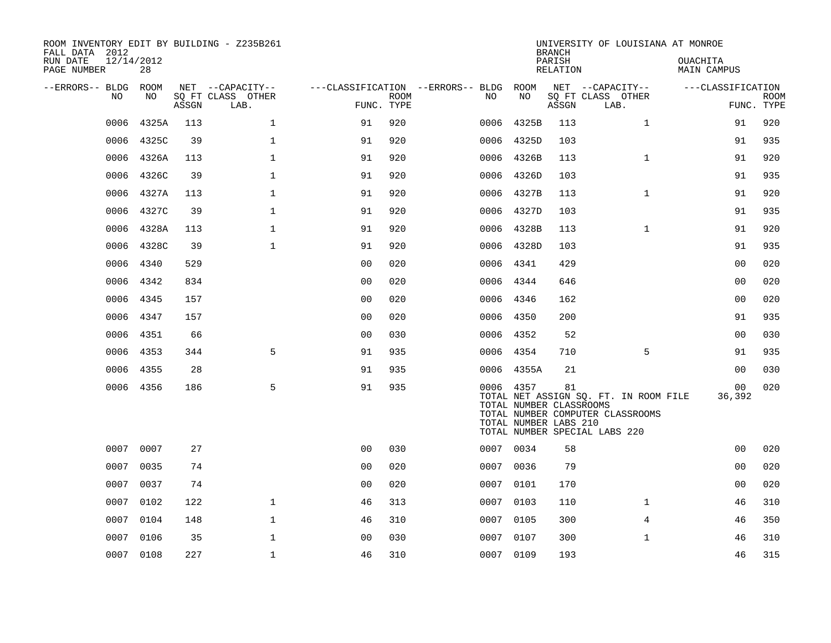| ROOM INVENTORY EDIT BY BUILDING - Z235B261<br>FALL DATA 2012 |           |       |                           |                |             |                                   |            | <b>BRANCH</b>                                          | UNIVERSITY OF LOUISIANA AT MONROE                                                                          |                                       |                           |
|--------------------------------------------------------------|-----------|-------|---------------------------|----------------|-------------|-----------------------------------|------------|--------------------------------------------------------|------------------------------------------------------------------------------------------------------------|---------------------------------------|---------------------------|
| RUN DATE<br>12/14/2012<br>PAGE NUMBER                        | 28        |       |                           |                |             |                                   |            | PARISH<br><b>RELATION</b>                              |                                                                                                            | <b>OUACHITA</b><br><b>MAIN CAMPUS</b> |                           |
| --ERRORS-- BLDG ROOM                                         |           |       | NET --CAPACITY--          |                |             | ---CLASSIFICATION --ERRORS-- BLDG | ROOM       |                                                        | NET --CAPACITY--                                                                                           | ---CLASSIFICATION                     |                           |
| NO                                                           | NO        | ASSGN | SO FT CLASS OTHER<br>LAB. | FUNC. TYPE     | <b>ROOM</b> | NO.                               | NO         | ASSGN                                                  | SQ FT CLASS OTHER<br>LAB.                                                                                  |                                       | <b>ROOM</b><br>FUNC. TYPE |
| 0006                                                         | 4325A     | 113   | $\mathbf{1}$              | 91             | 920         | 0006                              | 4325B      | 113                                                    | $\mathbf{1}$                                                                                               | 91                                    | 920                       |
| 0006                                                         | 4325C     | 39    | $\mathbf{1}$              | 91             | 920         | 0006                              | 4325D      | 103                                                    |                                                                                                            | 91                                    | 935                       |
| 0006                                                         | 4326A     | 113   | $\mathbf 1$               | 91             | 920         |                                   | 0006 4326B | 113                                                    | $\mathbf{1}$                                                                                               | 91                                    | 920                       |
| 0006                                                         | 4326C     | 39    | $\mathbf{1}$              | 91             | 920         | 0006                              | 4326D      | 103                                                    |                                                                                                            | 91                                    | 935                       |
| 0006                                                         | 4327A     | 113   | $\mathbf 1$               | 91             | 920         |                                   | 0006 4327B | 113                                                    | $\mathbf{1}$                                                                                               | 91                                    | 920                       |
| 0006                                                         | 4327C     | 39    | $\mathbf{1}$              | 91             | 920         |                                   | 0006 4327D | 103                                                    |                                                                                                            | 91                                    | 935                       |
| 0006                                                         | 4328A     | 113   | $\mathbf{1}$              | 91             | 920         |                                   | 0006 4328B | 113                                                    | $\mathbf{1}$                                                                                               | 91                                    | 920                       |
| 0006                                                         | 4328C     | 39    | $\mathbf{1}$              | 91             | 920         | 0006                              | 4328D      | 103                                                    |                                                                                                            | 91                                    | 935                       |
| 0006                                                         | 4340      | 529   |                           | 0 <sub>0</sub> | 020         | 0006 4341                         |            | 429                                                    |                                                                                                            | 0 <sub>0</sub>                        | 020                       |
| 0006                                                         | 4342      | 834   |                           | 0 <sub>0</sub> | 020         | 0006 4344                         |            | 646                                                    |                                                                                                            | 0 <sub>0</sub>                        | 020                       |
| 0006                                                         | 4345      | 157   |                           | 0 <sub>0</sub> | 020         | 0006 4346                         |            | 162                                                    |                                                                                                            | 0 <sub>0</sub>                        | 020                       |
| 0006                                                         | 4347      | 157   |                           | 00             | 020         | 0006                              | 4350       | 200                                                    |                                                                                                            | 91                                    | 935                       |
| 0006                                                         | 4351      | 66    |                           | 0 <sub>0</sub> | 030         | 0006 4352                         |            | 52                                                     |                                                                                                            | 00                                    | 030                       |
| 0006                                                         | 4353      | 344   | 5                         | 91             | 935         | 0006 4354                         |            | 710                                                    | 5                                                                                                          | 91                                    | 935                       |
| 0006                                                         | 4355      | 28    |                           | 91             | 935         |                                   | 0006 4355A | 21                                                     |                                                                                                            | 0 <sub>0</sub>                        | 030                       |
|                                                              | 0006 4356 | 186   | 5                         | 91             | 935         | 0006 4357                         |            | 81<br>TOTAL NUMBER CLASSROOMS<br>TOTAL NUMBER LABS 210 | TOTAL NET ASSIGN SQ. FT. IN ROOM FILE<br>TOTAL NUMBER COMPUTER CLASSROOMS<br>TOTAL NUMBER SPECIAL LABS 220 | 0 <sub>0</sub><br>36,392              | 020                       |
|                                                              | 0007 0007 | 27    |                           | 0 <sub>0</sub> | 030         | 0007 0034                         |            | 58                                                     |                                                                                                            | 0 <sub>0</sub>                        | 020                       |
|                                                              | 0007 0035 | 74    |                           | 0 <sub>0</sub> | 020         | 0007 0036                         |            | 79                                                     |                                                                                                            | 0 <sub>0</sub>                        | 020                       |
| 0007                                                         | 0037      | 74    |                           | 0 <sub>0</sub> | 020         | 0007                              | 0101       | 170                                                    |                                                                                                            | 00                                    | 020                       |
| 0007                                                         | 0102      | 122   | $\mathbf 1$               | 46             | 313         | 0007 0103                         |            | 110                                                    | $\mathbf{1}$                                                                                               | 46                                    | 310                       |
| 0007                                                         | 0104      | 148   | $\mathbf{1}$              | 46             | 310         | 0007                              | 0105       | 300                                                    | $\overline{4}$                                                                                             | 46                                    | 350                       |
| 0007                                                         | 0106      | 35    | $\mathbf{1}$              | 0 <sub>0</sub> | 030         | 0007 0107                         |            | 300                                                    | $\mathbf{1}$                                                                                               | 46                                    | 310                       |
|                                                              | 0007 0108 | 227   | $\mathbf{1}$              | 46             | 310         | 0007 0109                         |            | 193                                                    |                                                                                                            | 46                                    | 315                       |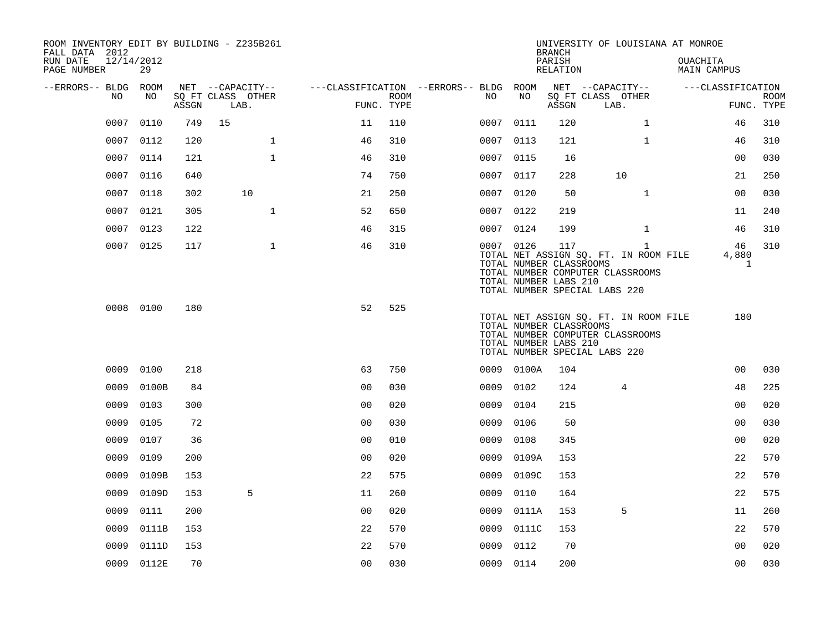| ROOM INVENTORY EDIT BY BUILDING - Z235B261<br>FALL DATA 2012 |                  |       |                           |                                        |      |           |                                                  | <b>BRANCH</b>      |                               |                                                                                           | UNIVERSITY OF LOUISIANA AT MONROE     |                   |                           |
|--------------------------------------------------------------|------------------|-------|---------------------------|----------------------------------------|------|-----------|--------------------------------------------------|--------------------|-------------------------------|-------------------------------------------------------------------------------------------|---------------------------------------|-------------------|---------------------------|
| RUN DATE<br>PAGE NUMBER                                      | 12/14/2012<br>29 |       |                           |                                        |      |           |                                                  | PARISH<br>RELATION |                               |                                                                                           | <b>OUACHITA</b><br><b>MAIN CAMPUS</b> |                   |                           |
| --ERRORS-- BLDG ROOM                                         |                  |       | NET --CAPACITY--          | ---CLASSIFICATION --ERRORS-- BLDG ROOM |      |           |                                                  |                    | NET --CAPACITY--              |                                                                                           |                                       | ---CLASSIFICATION |                           |
| NO                                                           | NO               | ASSGN | SQ FT CLASS OTHER<br>LAB. | FUNC. TYPE                             | ROOM | NO        | NO                                               | ASSGN              | SQ FT CLASS OTHER<br>LAB.     |                                                                                           |                                       |                   | <b>ROOM</b><br>FUNC. TYPE |
| 0007                                                         | 0110             | 749   | 15                        | 11                                     | 110  | 0007      | 0111                                             | 120                |                               | $\mathbf{1}$                                                                              |                                       | 46                | 310                       |
|                                                              | 0007 0112        | 120   | $\mathbf{1}$              | 46                                     | 310  | 0007 0113 |                                                  | 121                |                               | $\mathbf{1}$                                                                              |                                       | 46                | 310                       |
| 0007                                                         | 0114             | 121   | $\mathbf{1}$              | 46                                     | 310  | 0007 0115 |                                                  | 16                 |                               |                                                                                           |                                       | 0 <sub>0</sub>    | 030                       |
|                                                              | 0007 0116        | 640   |                           | 74                                     | 750  | 0007 0117 |                                                  | 228                |                               | 10                                                                                        |                                       | 21                | 250                       |
| 0007                                                         | 0118             | 302   | 10                        | 21                                     | 250  | 0007 0120 |                                                  | 50                 |                               | $\mathbf{1}$                                                                              |                                       | 00                | 030                       |
| 0007                                                         | 0121             | 305   | $\mathbf{1}$              | 52                                     | 650  | 0007 0122 |                                                  | 219                |                               |                                                                                           |                                       | 11                | 240                       |
| 0007                                                         | 0123             | 122   |                           | 46                                     | 315  | 0007 0124 |                                                  | 199                |                               | $\mathbf{1}$                                                                              |                                       | 46                | 310                       |
|                                                              | 0007 0125        | 117   | $\mathbf{1}$              | 46                                     | 310  | 0007 0126 | TOTAL NUMBER CLASSROOMS<br>TOTAL NUMBER LABS 210 | 117                | TOTAL NUMBER SPECIAL LABS 220 | $\mathbf{1}$<br>TOTAL NET ASSIGN SQ. FT. IN ROOM FILE<br>TOTAL NUMBER COMPUTER CLASSROOMS |                                       | 46<br>4,880<br>1  | 310                       |
|                                                              | 0008 0100        | 180   |                           | 52                                     | 525  |           | TOTAL NUMBER CLASSROOMS<br>TOTAL NUMBER LABS 210 |                    | TOTAL NUMBER SPECIAL LABS 220 | TOTAL NET ASSIGN SQ. FT. IN ROOM FILE<br>TOTAL NUMBER COMPUTER CLASSROOMS                 |                                       | 180               |                           |
| 0009                                                         | 0100             | 218   |                           | 63                                     | 750  |           | 0009 0100A                                       | 104                |                               |                                                                                           |                                       | 00                | 030                       |
| 0009                                                         | 0100B            | 84    |                           | 0 <sub>0</sub>                         | 030  | 0009      | 0102                                             | 124                |                               | 4                                                                                         |                                       | 48                | 225                       |
| 0009                                                         | 0103             | 300   |                           | 0 <sub>0</sub>                         | 020  | 0009      | 0104                                             | 215                |                               |                                                                                           |                                       | 00                | 020                       |
| 0009                                                         | 0105             | 72    |                           | 0 <sub>0</sub>                         | 030  | 0009      | 0106                                             | 50                 |                               |                                                                                           |                                       | 0 <sub>0</sub>    | 030                       |
| 0009                                                         | 0107             | 36    |                           | 0 <sub>0</sub>                         | 010  | 0009      | 0108                                             | 345                |                               |                                                                                           |                                       | 0 <sub>0</sub>    | 020                       |
| 0009                                                         | 0109             | 200   |                           | 0 <sub>0</sub>                         | 020  | 0009      | 0109A                                            | 153                |                               |                                                                                           |                                       | 22                | 570                       |
| 0009                                                         | 0109B            | 153   |                           | 22                                     | 575  | 0009      | 0109C                                            | 153                |                               |                                                                                           |                                       | 22                | 570                       |
| 0009                                                         | 0109D            | 153   | 5                         | 11                                     | 260  | 0009      | 0110                                             | 164                |                               |                                                                                           |                                       | 22                | 575                       |
| 0009                                                         | 0111             | 200   |                           | 0 <sub>0</sub>                         | 020  | 0009      | 0111A                                            | 153                |                               | 5                                                                                         |                                       | 11                | 260                       |
| 0009                                                         | 0111B            | 153   |                           | 22                                     | 570  | 0009      | 0111C                                            | 153                |                               |                                                                                           |                                       | 22                | 570                       |
| 0009                                                         | 0111D            | 153   |                           | 22                                     | 570  | 0009      | 0112                                             | 70                 |                               |                                                                                           |                                       | 0 <sub>0</sub>    | 020                       |
|                                                              | 0009 0112E       | 70    |                           | 0 <sub>0</sub>                         | 030  | 0009 0114 |                                                  | 200                |                               |                                                                                           |                                       | 0 <sub>0</sub>    | 030                       |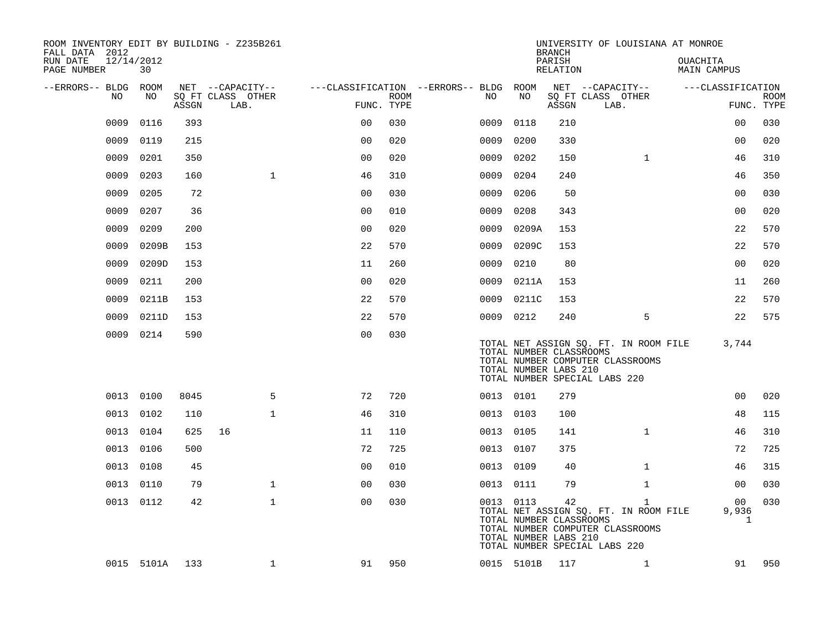| ROOM INVENTORY EDIT BY BUILDING - Z235B261<br>FALL DATA 2012 |            |       |                           |                  |                                        |      |           |                                                                                   | <b>BRANCH</b>      |                                                                                           | UNIVERSITY OF LOUISIANA AT MONROE     |                  |                           |
|--------------------------------------------------------------|------------|-------|---------------------------|------------------|----------------------------------------|------|-----------|-----------------------------------------------------------------------------------|--------------------|-------------------------------------------------------------------------------------------|---------------------------------------|------------------|---------------------------|
| RUN DATE<br>12/14/2012<br>PAGE NUMBER                        | 30         |       |                           |                  |                                        |      |           |                                                                                   | PARISH<br>RELATION |                                                                                           | OUACHITA<br><b>MAIN CAMPUS</b>        |                  |                           |
| --ERRORS-- BLDG ROOM                                         |            |       |                           | NET --CAPACITY-- | ---CLASSIFICATION --ERRORS-- BLDG ROOM |      |           |                                                                                   |                    | NET --CAPACITY--                                                                          | ---CLASSIFICATION                     |                  |                           |
| NO                                                           | NO         | ASSGN | SQ FT CLASS OTHER<br>LAB. |                  | FUNC. TYPE                             | ROOM | NO        | NO                                                                                | ASSGN              | SQ FT CLASS OTHER<br>LAB.                                                                 |                                       |                  | <b>ROOM</b><br>FUNC. TYPE |
| 0009                                                         | 0116       | 393   |                           |                  | 0 <sub>0</sub>                         | 030  | 0009      | 0118                                                                              | 210                |                                                                                           |                                       | 0 <sub>0</sub>   | 030                       |
| 0009                                                         | 0119       | 215   |                           |                  | 0 <sup>0</sup>                         | 020  | 0009      | 0200                                                                              | 330                |                                                                                           |                                       | 00               | 020                       |
| 0009                                                         | 0201       | 350   |                           |                  | 0 <sub>0</sub>                         | 020  | 0009      | 0202                                                                              | 150                | $\mathbf{1}$                                                                              |                                       | 46               | 310                       |
| 0009                                                         | 0203       | 160   |                           | $\mathbf{1}$     | 46                                     | 310  | 0009      | 0204                                                                              | 240                |                                                                                           |                                       | 46               | 350                       |
| 0009                                                         | 0205       | 72    |                           |                  | 0 <sub>0</sub>                         | 030  | 0009      | 0206                                                                              | 50                 |                                                                                           |                                       | 0 <sub>0</sub>   | 030                       |
| 0009                                                         | 0207       | 36    |                           |                  | 0 <sub>0</sub>                         | 010  | 0009      | 0208                                                                              | 343                |                                                                                           |                                       | 00               | 020                       |
| 0009                                                         | 0209       | 200   |                           |                  | 0 <sub>0</sub>                         | 020  | 0009      | 0209A                                                                             | 153                |                                                                                           |                                       | 22               | 570                       |
| 0009                                                         | 0209B      | 153   |                           |                  | 22                                     | 570  | 0009      | 0209C                                                                             | 153                |                                                                                           |                                       | 22               | 570                       |
| 0009                                                         | 0209D      | 153   |                           |                  | 11                                     | 260  | 0009      | 0210                                                                              | 80                 |                                                                                           |                                       | 0 <sub>0</sub>   | 020                       |
| 0009                                                         | 0211       | 200   |                           |                  | 0 <sub>0</sub>                         | 020  | 0009      | 0211A                                                                             | 153                |                                                                                           |                                       | 11               | 260                       |
| 0009                                                         | 0211B      | 153   |                           |                  | 22                                     | 570  |           | 0009 0211C                                                                        | 153                |                                                                                           |                                       | 22               | 570                       |
| 0009                                                         | 0211D      | 153   |                           |                  | 22                                     | 570  | 0009 0212 |                                                                                   | 240                | 5                                                                                         |                                       | 22               | 575                       |
| 0009                                                         | 0214       | 590   |                           |                  | 0 <sub>0</sub>                         | 030  |           | TOTAL NUMBER CLASSROOMS<br>TOTAL NUMBER LABS 210<br>TOTAL NUMBER SPECIAL LABS 220 |                    | TOTAL NUMBER COMPUTER CLASSROOMS                                                          | TOTAL NET ASSIGN SQ. FT. IN ROOM FILE | 3,744            |                           |
|                                                              | 0013 0100  | 8045  |                           | 5                | 72                                     | 720  | 0013 0101 |                                                                                   | 279                |                                                                                           |                                       | 0 <sub>0</sub>   | 020                       |
|                                                              | 0013 0102  | 110   |                           | $\mathbf{1}$     | 46                                     | 310  | 0013 0103 |                                                                                   | 100                |                                                                                           |                                       | 48               | 115                       |
|                                                              | 0013 0104  | 625   | 16                        |                  | 11                                     | 110  | 0013 0105 |                                                                                   | 141                | $\mathbf{1}$                                                                              |                                       | 46               | 310                       |
| 0013                                                         | 0106       | 500   |                           |                  | 72                                     | 725  | 0013 0107 |                                                                                   | 375                |                                                                                           |                                       | 72               | 725                       |
|                                                              | 0013 0108  | 45    |                           |                  | 0 <sub>0</sub>                         | 010  | 0013 0109 |                                                                                   | 40                 | $\mathbf{1}$                                                                              |                                       | 46               | 315                       |
|                                                              | 0013 0110  | 79    |                           | $\mathbf{1}$     | 0 <sub>0</sub>                         | 030  | 0013 0111 |                                                                                   | 79                 | $\mathbf{1}$                                                                              |                                       | 0 <sub>0</sub>   | 030                       |
|                                                              | 0013 0112  | 42    |                           | $\mathbf{1}$     | 0 <sub>0</sub>                         | 030  | 0013 0113 | TOTAL NUMBER CLASSROOMS<br>TOTAL NUMBER LABS 210<br>TOTAL NUMBER SPECIAL LABS 220 | 42                 | $\mathbf{1}$<br>TOTAL NET ASSIGN SQ. FT. IN ROOM FILE<br>TOTAL NUMBER COMPUTER CLASSROOMS |                                       | 00<br>9,936<br>1 | 030                       |
|                                                              | 0015 5101A | 133   |                           | $\mathbf{1}$     | 91                                     | 950  |           | 0015 5101B                                                                        | 117                | $\mathbf{1}$                                                                              |                                       | 91               | 950                       |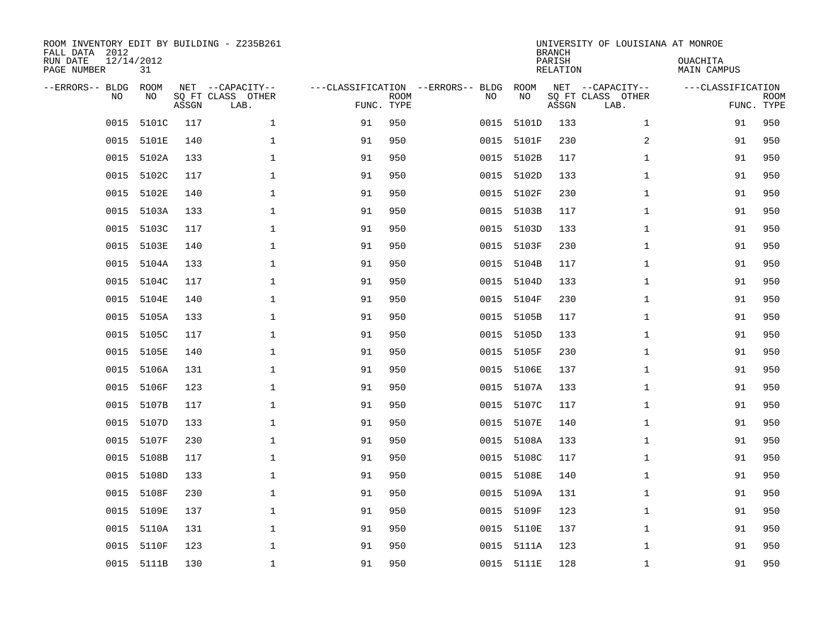| ROOM INVENTORY EDIT BY BUILDING - Z235B261<br>FALL DATA 2012<br>RUN DATE<br>PAGE NUMBER | 12/14/2012<br>31 |       |                                               |                                                 |             |      |            | <b>BRANCH</b><br>PARISH<br><b>RELATION</b> | UNIVERSITY OF LOUISIANA AT MONROE             | OUACHITA<br><b>MAIN CAMPUS</b>  |             |
|-----------------------------------------------------------------------------------------|------------------|-------|-----------------------------------------------|-------------------------------------------------|-------------|------|------------|--------------------------------------------|-----------------------------------------------|---------------------------------|-------------|
| --ERRORS-- BLDG<br>NO.                                                                  | ROOM<br>NO       | ASSGN | NET --CAPACITY--<br>SQ FT CLASS OTHER<br>LAB. | ---CLASSIFICATION --ERRORS-- BLDG<br>FUNC. TYPE | <b>ROOM</b> | NO   | ROOM<br>NO | ASSGN                                      | NET --CAPACITY--<br>SQ FT CLASS OTHER<br>LAB. | ---CLASSIFICATION<br>FUNC. TYPE | <b>ROOM</b> |
| 0015                                                                                    | 5101C            | 117   | $\mathbf{1}$                                  | 91                                              | 950         | 0015 | 5101D      | 133                                        | $\mathbf{1}$                                  | 91                              | 950         |
| 0015                                                                                    | 5101E            | 140   | $\mathbf 1$                                   | 91                                              | 950         | 0015 | 5101F      | 230                                        | 2                                             | 91                              | 950         |
| 0015                                                                                    | 5102A            | 133   | $\mathbf 1$                                   | 91                                              | 950         | 0015 | 5102B      | 117                                        | $\mathbf{1}$                                  | 91                              | 950         |
| 0015                                                                                    | 5102C            | 117   | $\mathbf 1$                                   | 91                                              | 950         | 0015 | 5102D      | 133                                        | $\mathbf{1}$                                  | 91                              | 950         |
| 0015                                                                                    | 5102E            | 140   | $\mathbf 1$                                   | 91                                              | 950         | 0015 | 5102F      | 230                                        | $\mathbf{1}$                                  | 91                              | 950         |
| 0015                                                                                    | 5103A            | 133   | $\mathbf{1}$                                  | 91                                              | 950         |      | 0015 5103B | 117                                        | $\mathbf{1}$                                  | 91                              | 950         |
| 0015                                                                                    | 5103C            | 117   | $\mathbf{1}$                                  | 91                                              | 950         | 0015 | 5103D      | 133                                        | $\mathbf{1}$                                  | 91                              | 950         |
| 0015                                                                                    | 5103E            | 140   | $\mathbf 1$                                   | 91                                              | 950         |      | 0015 5103F | 230                                        | $\mathbf{1}$                                  | 91                              | 950         |
| 0015                                                                                    | 5104A            | 133   | $\mathbf 1$                                   | 91                                              | 950         | 0015 | 5104B      | 117                                        | $\mathbf{1}$                                  | 91                              | 950         |
| 0015                                                                                    | 5104C            | 117   | $\mathbf 1$                                   | 91                                              | 950         | 0015 | 5104D      | 133                                        | $\mathbf{1}$                                  | 91                              | 950         |
| 0015                                                                                    | 5104E            | 140   | $\mathbf{1}$                                  | 91                                              | 950         | 0015 | 5104F      | 230                                        | $\mathbf{1}$                                  | 91                              | 950         |
| 0015                                                                                    | 5105A            | 133   | $\mathbf 1$                                   | 91                                              | 950         | 0015 | 5105B      | 117                                        | $\mathbf{1}$                                  | 91                              | 950         |
| 0015                                                                                    | 5105C            | 117   | $\mathbf{1}$                                  | 91                                              | 950         | 0015 | 5105D      | 133                                        | $\mathbf{1}$                                  | 91                              | 950         |
| 0015                                                                                    | 5105E            | 140   | $\mathbf{1}$                                  | 91                                              | 950         | 0015 | 5105F      | 230                                        | $\mathbf{1}$                                  | 91                              | 950         |
| 0015                                                                                    | 5106A            | 131   | 1                                             | 91                                              | 950         | 0015 | 5106E      | 137                                        | $\mathbf{1}$                                  | 91                              | 950         |
| 0015                                                                                    | 5106F            | 123   | 1                                             | 91                                              | 950         | 0015 | 5107A      | 133                                        | $\mathbf{1}$                                  | 91                              | 950         |
| 0015                                                                                    | 5107B            | 117   | $\mathbf 1$                                   | 91                                              | 950         | 0015 | 5107C      | 117                                        | $\mathbf{1}$                                  | 91                              | 950         |
| 0015                                                                                    | 5107D            | 133   | $\mathbf 1$                                   | 91                                              | 950         |      | 0015 5107E | 140                                        | $\mathbf{1}$                                  | 91                              | 950         |
| 0015                                                                                    | 5107F            | 230   | $\mathbf{1}$                                  | 91                                              | 950         |      | 0015 5108A | 133                                        | $\mathbf{1}$                                  | 91                              | 950         |
| 0015                                                                                    | 5108B            | 117   | $\mathbf 1$                                   | 91                                              | 950         |      | 0015 5108C | 117                                        | $\mathbf{1}$                                  | 91                              | 950         |
| 0015                                                                                    | 5108D            | 133   | $\mathbf{1}$                                  | 91                                              | 950         |      | 0015 5108E | 140                                        | $\mathbf{1}$                                  | 91                              | 950         |
| 0015                                                                                    | 5108F            | 230   | $\mathbf{1}$                                  | 91                                              | 950         | 0015 | 5109A      | 131                                        | $\mathbf{1}$                                  | 91                              | 950         |
|                                                                                         | 0015 5109E       | 137   | $\mathbf{1}$                                  | 91                                              | 950         |      | 0015 5109F | 123                                        | $\mathbf{1}$                                  | 91                              | 950         |
| 0015                                                                                    | 5110A            | 131   | $\mathbf 1$                                   | 91                                              | 950         |      | 0015 5110E | 137                                        | $\mathbf{1}$                                  | 91                              | 950         |
| 0015                                                                                    | 5110F            | 123   | $\mathbf 1$                                   | 91                                              | 950         |      | 0015 5111A | 123                                        | $\mathbf{1}$                                  | 91                              | 950         |
|                                                                                         | 0015 5111B       | 130   | 1                                             | 91                                              | 950         |      | 0015 5111E | 128                                        | $\mathbf{1}$                                  | 91                              | 950         |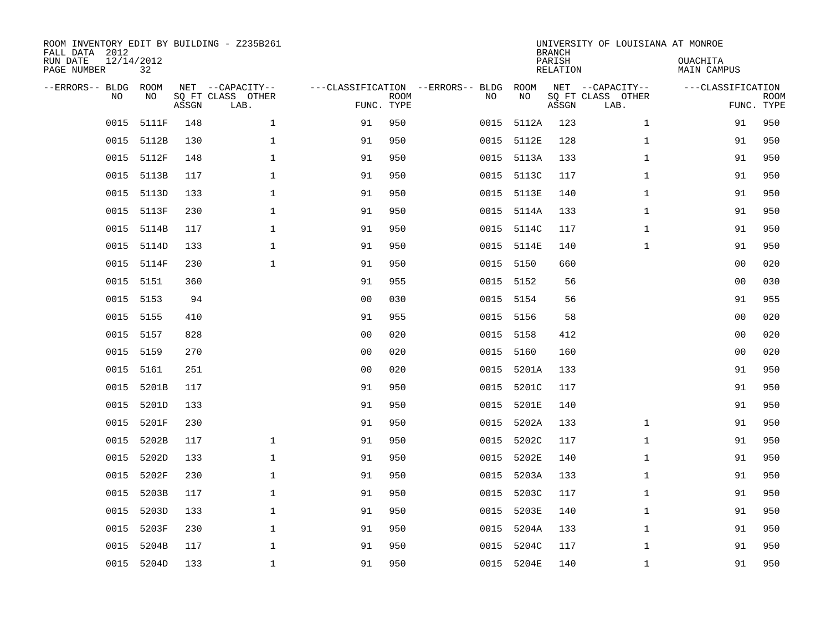| ROOM INVENTORY EDIT BY BUILDING - Z235B261<br>FALL DATA 2012<br>RUN DATE<br>PAGE NUMBER | 12/14/2012<br>32 |       |                                               |                                                      |             |           |            | <b>BRANCH</b><br>PARISH<br><b>RELATION</b> | UNIVERSITY OF LOUISIANA AT MONROE             | OUACHITA<br><b>MAIN CAMPUS</b> |                           |
|-----------------------------------------------------------------------------------------|------------------|-------|-----------------------------------------------|------------------------------------------------------|-------------|-----------|------------|--------------------------------------------|-----------------------------------------------|--------------------------------|---------------------------|
| --ERRORS-- BLDG ROOM<br>NO.                                                             | NO               | ASSGN | NET --CAPACITY--<br>SQ FT CLASS OTHER<br>LAB. | ---CLASSIFICATION --ERRORS-- BLDG ROOM<br>FUNC. TYPE | <b>ROOM</b> | NO        | NO         | ASSGN                                      | NET --CAPACITY--<br>SQ FT CLASS OTHER<br>LAB. | ---CLASSIFICATION              | <b>ROOM</b><br>FUNC. TYPE |
| 0015                                                                                    | 5111F            | 148   | $\mathbf 1$                                   | 91                                                   | 950         | 0015      | 5112A      | 123                                        | $\mathbf{1}$                                  | 91                             | 950                       |
| 0015                                                                                    | 5112B            | 130   | $\mathbf 1$                                   | 91                                                   | 950         |           | 0015 5112E | 128                                        | $\mathbf{1}$                                  | 91                             | 950                       |
| 0015                                                                                    | 5112F            | 148   | $\mathbf 1$                                   | 91                                                   | 950         |           | 0015 5113A | 133                                        | $\mathbf{1}$                                  | 91                             | 950                       |
| 0015                                                                                    | 5113B            | 117   | $\mathbf 1$                                   | 91                                                   | 950         |           | 0015 5113C | 117                                        | $\mathbf{1}$                                  | 91                             | 950                       |
| 0015                                                                                    | 5113D            | 133   | $\mathbf{1}$                                  | 91                                                   | 950         |           | 0015 5113E | 140                                        | $\mathbf{1}$                                  | 91                             | 950                       |
| 0015                                                                                    | 5113F            | 230   | $\mathbf{1}$                                  | 91                                                   | 950         |           | 0015 5114A | 133                                        | $\mathbf{1}$                                  | 91                             | 950                       |
| 0015                                                                                    | 5114B            | 117   | $\mathbf{1}$                                  | 91                                                   | 950         |           | 0015 5114C | 117                                        | $\mathbf{1}$                                  | 91                             | 950                       |
| 0015                                                                                    | 5114D            | 133   | $\mathbf 1$                                   | 91                                                   | 950         |           | 0015 5114E | 140                                        | $\mathbf{1}$                                  | 91                             | 950                       |
| 0015                                                                                    | 5114F            | 230   | $\mathbf{1}$                                  | 91                                                   | 950         | 0015      | 5150       | 660                                        |                                               | 00                             | 020                       |
|                                                                                         | 0015 5151        | 360   |                                               | 91                                                   | 955         |           | 0015 5152  | 56                                         |                                               | 0 <sub>0</sub>                 | 030                       |
| 0015                                                                                    | 5153             | 94    |                                               | 0 <sub>0</sub>                                       | 030         | 0015 5154 |            | 56                                         |                                               | 91                             | 955                       |
| 0015                                                                                    | 5155             | 410   |                                               | 91                                                   | 955         |           | 0015 5156  | 58                                         |                                               | 0 <sub>0</sub>                 | 020                       |
| 0015                                                                                    | 5157             | 828   |                                               | 0 <sub>0</sub>                                       | 020         | 0015      | 5158       | 412                                        |                                               | 00                             | 020                       |
| 0015                                                                                    | 5159             | 270   |                                               | 0 <sub>0</sub>                                       | 020         | 0015      | 5160       | 160                                        |                                               | 00                             | 020                       |
| 0015                                                                                    | 5161             | 251   |                                               | 0 <sub>0</sub>                                       | 020         | 0015      | 5201A      | 133                                        |                                               | 91                             | 950                       |
| 0015                                                                                    | 5201B            | 117   |                                               | 91                                                   | 950         | 0015      | 5201C      | 117                                        |                                               | 91                             | 950                       |
| 0015                                                                                    | 5201D            | 133   |                                               | 91                                                   | 950         | 0015      | 5201E      | 140                                        |                                               | 91                             | 950                       |
| 0015                                                                                    | 5201F            | 230   |                                               | 91                                                   | 950         | 0015      | 5202A      | 133                                        | $\mathbf{1}$                                  | 91                             | 950                       |
|                                                                                         | 0015 5202B       | 117   | $\mathbf{1}$                                  | 91                                                   | 950         |           | 0015 5202C | 117                                        | $\mathbf{1}$                                  | 91                             | 950                       |
| 0015                                                                                    | 5202D            | 133   | $\mathbf 1$                                   | 91                                                   | 950         |           | 0015 5202E | 140                                        | $\mathbf{1}$                                  | 91                             | 950                       |
| 0015                                                                                    | 5202F            | 230   | $\mathbf 1$                                   | 91                                                   | 950         |           | 0015 5203A | 133                                        | $\mathbf{1}$                                  | 91                             | 950                       |
| 0015                                                                                    | 5203B            | 117   | $\mathbf 1$                                   | 91                                                   | 950         | 0015      | 5203C      | 117                                        | $\mathbf{1}$                                  | 91                             | 950                       |
| 0015                                                                                    | 5203D            | 133   | $\mathbf 1$                                   | 91                                                   | 950         |           | 0015 5203E | 140                                        | $\mathbf{1}$                                  | 91                             | 950                       |
| 0015                                                                                    | 5203F            | 230   | $\mathbf 1$                                   | 91                                                   | 950         | 0015      | 5204A      | 133                                        | $\mathbf{1}$                                  | 91                             | 950                       |
| 0015                                                                                    | 5204B            | 117   | $\mathbf{1}$                                  | 91                                                   | 950         |           | 0015 5204C | 117                                        | $\mathbf{1}$                                  | 91                             | 950                       |
|                                                                                         | 0015 5204D       | 133   | $\mathbf{1}$                                  | 91                                                   | 950         |           | 0015 5204E | 140                                        | $\mathbf{1}$                                  | 91                             | 950                       |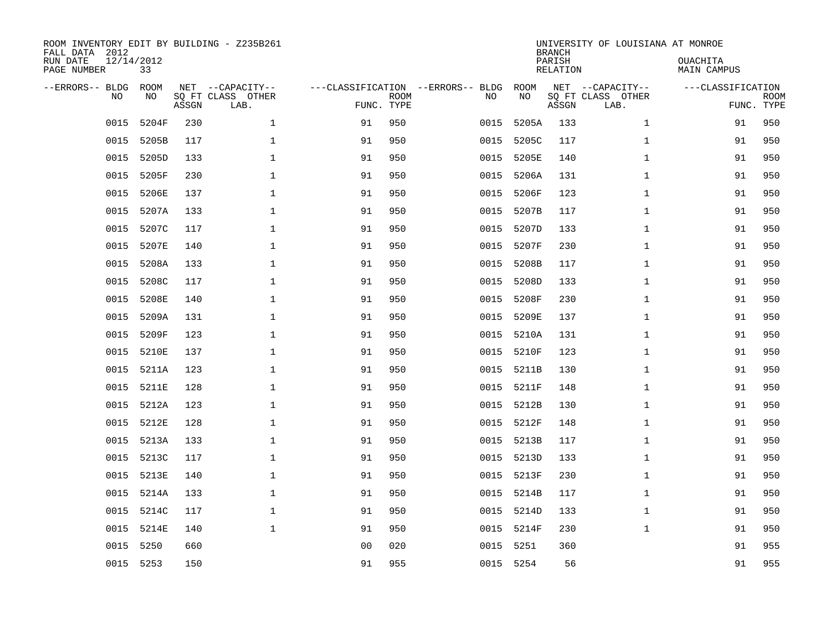| ROOM INVENTORY EDIT BY BUILDING - Z235B261<br>FALL DATA 2012<br>RUN DATE<br>PAGE NUMBER | 12/14/2012<br>33 |       |                                               |                                                 |             |           |            | <b>BRANCH</b><br>PARISH<br><b>RELATION</b> | UNIVERSITY OF LOUISIANA AT MONROE             | OUACHITA<br><b>MAIN CAMPUS</b>  |             |
|-----------------------------------------------------------------------------------------|------------------|-------|-----------------------------------------------|-------------------------------------------------|-------------|-----------|------------|--------------------------------------------|-----------------------------------------------|---------------------------------|-------------|
| --ERRORS-- BLDG<br>NO.                                                                  | ROOM<br>NO       | ASSGN | NET --CAPACITY--<br>SQ FT CLASS OTHER<br>LAB. | ---CLASSIFICATION --ERRORS-- BLDG<br>FUNC. TYPE | <b>ROOM</b> | NO        | ROOM<br>NO | ASSGN                                      | NET --CAPACITY--<br>SQ FT CLASS OTHER<br>LAB. | ---CLASSIFICATION<br>FUNC. TYPE | <b>ROOM</b> |
| 0015                                                                                    | 5204F            | 230   | $\mathbf{1}$                                  | 91                                              | 950         | 0015      | 5205A      | 133                                        | $\mathbf{1}$                                  | 91                              | 950         |
| 0015                                                                                    | 5205B            | 117   | 1                                             | 91                                              | 950         | 0015      | 5205C      | 117                                        | $\mathbf{1}$                                  | 91                              | 950         |
| 0015                                                                                    | 5205D            | 133   | $\mathbf 1$                                   | 91                                              | 950         | 0015      | 5205E      | 140                                        | $\mathbf{1}$                                  | 91                              | 950         |
| 0015                                                                                    | 5205F            | 230   | $\mathbf 1$                                   | 91                                              | 950         | 0015      | 5206A      | 131                                        | $\mathbf{1}$                                  | 91                              | 950         |
| 0015                                                                                    | 5206E            | 137   | $\mathbf{1}$                                  | 91                                              | 950         | 0015      | 5206F      | 123                                        | $\mathbf{1}$                                  | 91                              | 950         |
| 0015                                                                                    | 5207A            | 133   | $\mathbf 1$                                   | 91                                              | 950         | 0015      | 5207B      | 117                                        | $\mathbf{1}$                                  | 91                              | 950         |
| 0015                                                                                    | 5207C            | 117   | $\mathbf{1}$                                  | 91                                              | 950         | 0015      | 5207D      | 133                                        | $\mathbf{1}$                                  | 91                              | 950         |
| 0015                                                                                    | 5207E            | 140   | $\mathbf{1}$                                  | 91                                              | 950         | 0015      | 5207F      | 230                                        | $\mathbf{1}$                                  | 91                              | 950         |
| 0015                                                                                    | 5208A            | 133   | $\mathbf{1}$                                  | 91                                              | 950         | 0015      | 5208B      | 117                                        | $\mathbf{1}$                                  | 91                              | 950         |
| 0015                                                                                    | 5208C            | 117   | $\mathbf 1$                                   | 91                                              | 950         | 0015      | 5208D      | 133                                        | $\mathbf{1}$                                  | 91                              | 950         |
| 0015                                                                                    | 5208E            | 140   | $\mathbf 1$                                   | 91                                              | 950         | 0015      | 5208F      | 230                                        | $\mathbf{1}$                                  | 91                              | 950         |
| 0015                                                                                    | 5209A            | 131   | $\mathbf 1$                                   | 91                                              | 950         | 0015      | 5209E      | 137                                        | $\mathbf{1}$                                  | 91                              | 950         |
| 0015                                                                                    | 5209F            | 123   | $\mathbf 1$                                   | 91                                              | 950         | 0015      | 5210A      | 131                                        | $\mathbf{1}$                                  | 91                              | 950         |
| 0015                                                                                    | 5210E            | 137   | $\mathbf 1$                                   | 91                                              | 950         | 0015      | 5210F      | 123                                        | $\mathbf{1}$                                  | 91                              | 950         |
| 0015                                                                                    | 5211A            | 123   | $\mathbf 1$                                   | 91                                              | 950         | 0015      | 5211B      | 130                                        | $\mathbf{1}$                                  | 91                              | 950         |
| 0015                                                                                    | 5211E            | 128   | $\mathbf{1}$                                  | 91                                              | 950         | 0015      | 5211F      | 148                                        | $\mathbf{1}$                                  | 91                              | 950         |
| 0015                                                                                    | 5212A            | 123   | $\mathbf{1}$                                  | 91                                              | 950         | 0015      | 5212B      | 130                                        | $\mathbf{1}$                                  | 91                              | 950         |
| 0015                                                                                    | 5212E            | 128   | $\mathbf 1$                                   | 91                                              | 950         | 0015      | 5212F      | 148                                        | $\mathbf{1}$                                  | 91                              | 950         |
|                                                                                         | 0015 5213A       | 133   | 1                                             | 91                                              | 950         |           | 0015 5213B | 117                                        | $\mathbf{1}$                                  | 91                              | 950         |
| 0015                                                                                    | 5213C            | 117   | 1                                             | 91                                              | 950         |           | 0015 5213D | 133                                        | $\mathbf{1}$                                  | 91                              | 950         |
|                                                                                         | 0015 5213E       | 140   | $\mathbf 1$                                   | 91                                              | 950         |           | 0015 5213F | 230                                        | $\mathbf{1}$                                  | 91                              | 950         |
| 0015                                                                                    | 5214A            | 133   | $\mathbf 1$                                   | 91                                              | 950         | 0015      | 5214B      | 117                                        | $\mathbf{1}$                                  | 91                              | 950         |
| 0015                                                                                    | 5214C            | 117   | $\mathbf 1$                                   | 91                                              | 950         |           | 0015 5214D | 133                                        | $\mathbf{1}$                                  | 91                              | 950         |
| 0015                                                                                    | 5214E            | 140   | $\mathbf{1}$                                  | 91                                              | 950         |           | 0015 5214F | 230                                        | $\mathbf{1}$                                  | 91                              | 950         |
| 0015                                                                                    | 5250             | 660   |                                               | 0 <sub>0</sub>                                  | 020         | 0015 5251 |            | 360                                        |                                               | 91                              | 955         |
|                                                                                         | 0015 5253        | 150   |                                               | 91                                              | 955         | 0015 5254 |            | 56                                         |                                               | 91                              | 955         |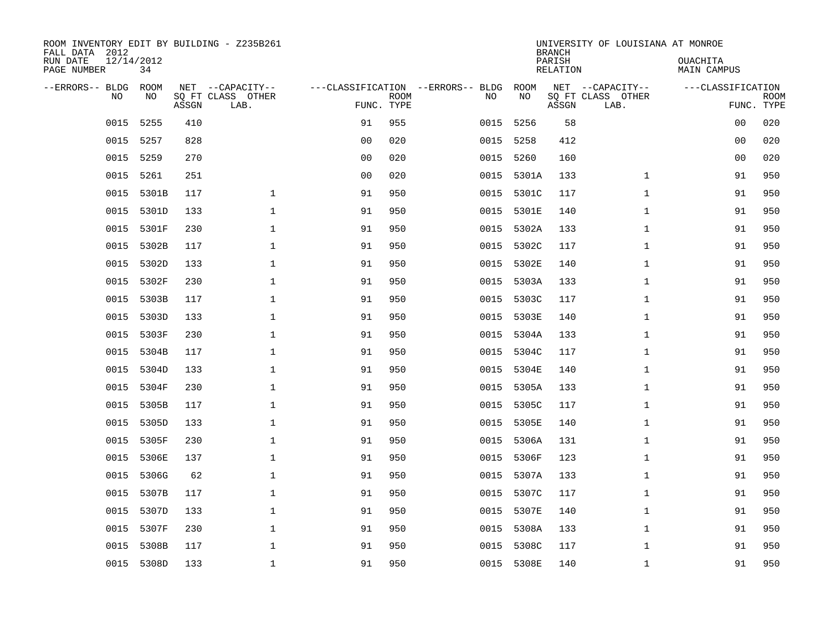| ROOM INVENTORY EDIT BY BUILDING - Z235B261<br>FALL DATA 2012 |                  |       |                           |                                   |             |      |            | <b>BRANCH</b>             | UNIVERSITY OF LOUISIANA AT MONROE |                                |             |
|--------------------------------------------------------------|------------------|-------|---------------------------|-----------------------------------|-------------|------|------------|---------------------------|-----------------------------------|--------------------------------|-------------|
| RUN DATE<br>PAGE NUMBER                                      | 12/14/2012<br>34 |       |                           |                                   |             |      |            | PARISH<br><b>RELATION</b> |                                   | OUACHITA<br><b>MAIN CAMPUS</b> |             |
| --ERRORS-- BLDG                                              | ROOM             |       | NET --CAPACITY--          | ---CLASSIFICATION --ERRORS-- BLDG |             |      | ROOM       |                           | NET --CAPACITY--                  | ---CLASSIFICATION              |             |
| NO                                                           | NO               | ASSGN | SQ FT CLASS OTHER<br>LAB. | FUNC. TYPE                        | <b>ROOM</b> | NO   | NO         | ASSGN                     | SQ FT CLASS OTHER<br>LAB.         | FUNC. TYPE                     | <b>ROOM</b> |
| 0015                                                         | 5255             | 410   |                           | 91                                | 955         | 0015 | 5256       | 58                        |                                   | 00                             | 020         |
| 0015                                                         | 5257             | 828   |                           | 0 <sub>0</sub>                    | 020         | 0015 | 5258       | 412                       |                                   | 00                             | 020         |
| 0015                                                         | 5259             | 270   |                           | 0 <sub>0</sub>                    | 020         | 0015 | 5260       | 160                       |                                   | 00                             | 020         |
| 0015                                                         | 5261             | 251   |                           | 0 <sub>0</sub>                    | 020         |      | 0015 5301A | 133                       | $\mathbf{1}$                      | 91                             | 950         |
| 0015                                                         | 5301B            | 117   | $\mathbf{1}$              | 91                                | 950         | 0015 | 5301C      | 117                       | $\mathbf{1}$                      | 91                             | 950         |
| 0015                                                         | 5301D            | 133   | $\mathbf{1}$              | 91                                | 950         |      | 0015 5301E | 140                       | $\mathbf{1}$                      | 91                             | 950         |
| 0015                                                         | 5301F            | 230   | $\mathbf{1}$              | 91                                | 950         | 0015 | 5302A      | 133                       | $\mathbf{1}$                      | 91                             | 950         |
| 0015                                                         | 5302B            | 117   | $\mathbf 1$               | 91                                | 950         | 0015 | 5302C      | 117                       | $\mathbf{1}$                      | 91                             | 950         |
| 0015                                                         | 5302D            | 133   | $\mathbf{1}$              | 91                                | 950         | 0015 | 5302E      | 140                       | $\mathbf{1}$                      | 91                             | 950         |
| 0015                                                         | 5302F            | 230   | $\mathbf 1$               | 91                                | 950         |      | 0015 5303A | 133                       | $\mathbf{1}$                      | 91                             | 950         |
| 0015                                                         | 5303B            | 117   | $\mathbf 1$               | 91                                | 950         | 0015 | 5303C      | 117                       | $\mathbf{1}$                      | 91                             | 950         |
| 0015                                                         | 5303D            | 133   | $\mathbf{1}$              | 91                                | 950         | 0015 | 5303E      | 140                       | $\mathbf{1}$                      | 91                             | 950         |
| 0015                                                         | 5303F            | 230   | $\mathbf 1$               | 91                                | 950         | 0015 | 5304A      | 133                       | $\mathbf{1}$                      | 91                             | 950         |
| 0015                                                         | 5304B            | 117   | $\mathbf 1$               | 91                                | 950         | 0015 | 5304C      | 117                       | $\mathbf{1}$                      | 91                             | 950         |
| 0015                                                         | 5304D            | 133   | $\mathbf 1$               | 91                                | 950         | 0015 | 5304E      | 140                       | $\mathbf{1}$                      | 91                             | 950         |
| 0015                                                         | 5304F            | 230   | $\mathbf 1$               | 91                                | 950         | 0015 | 5305A      | 133                       | $\mathbf{1}$                      | 91                             | 950         |
| 0015                                                         | 5305B            | 117   | $\mathbf 1$               | 91                                | 950         | 0015 | 5305C      | 117                       | $\mathbf{1}$                      | 91                             | 950         |
| 0015                                                         | 5305D            | 133   | $\mathbf{1}$              | 91                                | 950         | 0015 | 5305E      | 140                       | $\mathbf{1}$                      | 91                             | 950         |
| 0015                                                         | 5305F            | 230   | $\mathbf{1}$              | 91                                | 950         |      | 0015 5306A | 131                       | $\mathbf{1}$                      | 91                             | 950         |
| 0015                                                         | 5306E            | 137   | $\mathbf 1$               | 91                                | 950         |      | 0015 5306F | 123                       | $\mathbf{1}$                      | 91                             | 950         |
| 0015                                                         | 5306G            | 62    | $\mathbf 1$               | 91                                | 950         |      | 0015 5307A | 133                       | $\mathbf{1}$                      | 91                             | 950         |
| 0015                                                         | 5307B            | 117   | $\mathbf 1$               | 91                                | 950         | 0015 | 5307C      | 117                       | $\mathbf{1}$                      | 91                             | 950         |
| 0015                                                         | 5307D            | 133   | $\mathbf 1$               | 91                                | 950         |      | 0015 5307E | 140                       | $\mathbf{1}$                      | 91                             | 950         |
| 0015                                                         | 5307F            | 230   | $\mathbf 1$               | 91                                | 950         | 0015 | 5308A      | 133                       | $\mathbf{1}$                      | 91                             | 950         |
| 0015                                                         | 5308B            | 117   | $\mathbf{1}$              | 91                                | 950         |      | 0015 5308C | 117                       | $\mathbf{1}$                      | 91                             | 950         |
|                                                              | 0015 5308D       | 133   | $\mathbf{1}$              | 91                                | 950         |      | 0015 5308E | 140                       | $\mathbf{1}$                      | 91                             | 950         |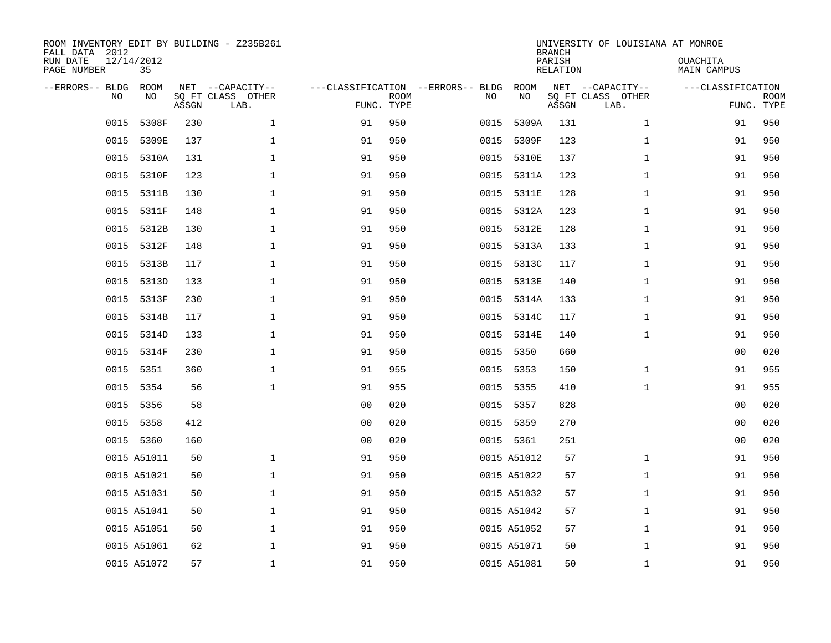| ROOM INVENTORY EDIT BY BUILDING - Z235B261<br>FALL DATA 2012<br>RUN DATE<br>PAGE NUMBER | 12/14/2012<br>35  |       |                                               |                |             |                                         |             | <b>BRANCH</b><br>PARISH<br><b>RELATION</b> | UNIVERSITY OF LOUISIANA AT MONROE             | OUACHITA<br>MAIN CAMPUS |                           |
|-----------------------------------------------------------------------------------------|-------------------|-------|-----------------------------------------------|----------------|-------------|-----------------------------------------|-------------|--------------------------------------------|-----------------------------------------------|-------------------------|---------------------------|
| --ERRORS-- BLDG<br>NO                                                                   | <b>ROOM</b><br>NO | ASSGN | NET --CAPACITY--<br>SQ FT CLASS OTHER<br>LAB. | FUNC. TYPE     | <b>ROOM</b> | ---CLASSIFICATION --ERRORS-- BLDG<br>NO | ROOM<br>NO  | ASSGN                                      | NET --CAPACITY--<br>SQ FT CLASS OTHER<br>LAB. | ---CLASSIFICATION       | <b>ROOM</b><br>FUNC. TYPE |
| 0015                                                                                    | 5308F             | 230   | $\mathbf{1}$                                  | 91             | 950         | 0015                                    | 5309A       | 131                                        | $\mathbf{1}$                                  | 91                      | 950                       |
| 0015                                                                                    | 5309E             | 137   | 1                                             | 91             | 950         | 0015                                    | 5309F       | 123                                        | $\mathbf{1}$                                  | 91                      | 950                       |
| 0015                                                                                    | 5310A             | 131   | $\mathbf 1$                                   | 91             | 950         | 0015                                    | 5310E       | 137                                        | $\mathbf{1}$                                  | 91                      | 950                       |
| 0015                                                                                    | 5310F             | 123   | $\mathbf 1$                                   | 91             | 950         |                                         | 0015 5311A  | 123                                        | $\mathbf{1}$                                  | 91                      | 950                       |
| 0015                                                                                    | 5311B             | 130   | $\mathbf{1}$                                  | 91             | 950         | 0015                                    | 5311E       | 128                                        | $\mathbf{1}$                                  | 91                      | 950                       |
| 0015                                                                                    | 5311F             | 148   | $\mathbf 1$                                   | 91             | 950         |                                         | 0015 5312A  | 123                                        | $\mathbf{1}$                                  | 91                      | 950                       |
| 0015                                                                                    | 5312B             | 130   | $\mathbf{1}$                                  | 91             | 950         | 0015                                    | 5312E       | 128                                        | $\mathbf{1}$                                  | 91                      | 950                       |
| 0015                                                                                    | 5312F             | 148   | $\mathbf 1$                                   | 91             | 950         |                                         | 0015 5313A  | 133                                        | $\mathbf{1}$                                  | 91                      | 950                       |
| 0015                                                                                    | 5313B             | 117   | $\mathbf 1$                                   | 91             | 950         | 0015                                    | 5313C       | 117                                        | $\mathbf{1}$                                  | 91                      | 950                       |
| 0015                                                                                    | 5313D             | 133   | $\mathbf 1$                                   | 91             | 950         | 0015                                    | 5313E       | 140                                        | $\mathbf{1}$                                  | 91                      | 950                       |
| 0015                                                                                    | 5313F             | 230   | $\mathbf 1$                                   | 91             | 950         | 0015                                    | 5314A       | 133                                        | $\mathbf{1}$                                  | 91                      | 950                       |
| 0015                                                                                    | 5314B             | 117   | $\mathbf 1$                                   | 91             | 950         | 0015                                    | 5314C       | 117                                        | $\mathbf{1}$                                  | 91                      | 950                       |
| 0015                                                                                    | 5314D             | 133   | $\mathbf 1$                                   | 91             | 950         | 0015                                    | 5314E       | 140                                        | $\mathbf{1}$                                  | 91                      | 950                       |
| 0015                                                                                    | 5314F             | 230   | $\mathbf 1$                                   | 91             | 950         |                                         | 0015 5350   | 660                                        |                                               | 00                      | 020                       |
| 0015                                                                                    | 5351              | 360   | $\mathbf 1$                                   | 91             | 955         | 0015                                    | 5353        | 150                                        | $\mathbf{1}$                                  | 91                      | 955                       |
| 0015                                                                                    | 5354              | 56    | $\mathbf{1}$                                  | 91             | 955         |                                         | 0015 5355   | 410                                        | $\mathbf{1}$                                  | 91                      | 955                       |
| 0015                                                                                    | 5356              | 58    |                                               | 0 <sub>0</sub> | 020         |                                         | 0015 5357   | 828                                        |                                               | 0 <sub>0</sub>          | 020                       |
| 0015                                                                                    | 5358              | 412   |                                               | 0 <sub>0</sub> | 020         |                                         | 0015 5359   | 270                                        |                                               | 00                      | 020                       |
|                                                                                         | 0015 5360         | 160   |                                               | 0 <sub>0</sub> | 020         |                                         | 0015 5361   | 251                                        |                                               | 00                      | 020                       |
|                                                                                         | 0015 A51011       | 50    | $\mathbf 1$                                   | 91             | 950         |                                         | 0015 A51012 | 57                                         | $\mathbf{1}$                                  | 91                      | 950                       |
|                                                                                         | 0015 A51021       | 50    | $\mathbf 1$                                   | 91             | 950         |                                         | 0015 A51022 | 57                                         | $\mathbf{1}$                                  | 91                      | 950                       |
|                                                                                         | 0015 A51031       | 50    | $\mathbf 1$                                   | 91             | 950         |                                         | 0015 A51032 | 57                                         | $\mathbf{1}$                                  | 91                      | 950                       |
|                                                                                         | 0015 A51041       | 50    | $\mathbf 1$                                   | 91             | 950         |                                         | 0015 A51042 | 57                                         | $\mathbf{1}$                                  | 91                      | 950                       |
|                                                                                         | 0015 A51051       | 50    | $\mathbf 1$                                   | 91             | 950         |                                         | 0015 A51052 | 57                                         | $\mathbf{1}$                                  | 91                      | 950                       |
|                                                                                         | 0015 A51061       | 62    | $\mathbf{1}$                                  | 91             | 950         |                                         | 0015 A51071 | 50                                         | $\mathbf{1}$                                  | 91                      | 950                       |
|                                                                                         | 0015 A51072       | 57    | $\mathbf{1}$                                  | 91             | 950         |                                         | 0015 A51081 | 50                                         | $\mathbf{1}$                                  | 91                      | 950                       |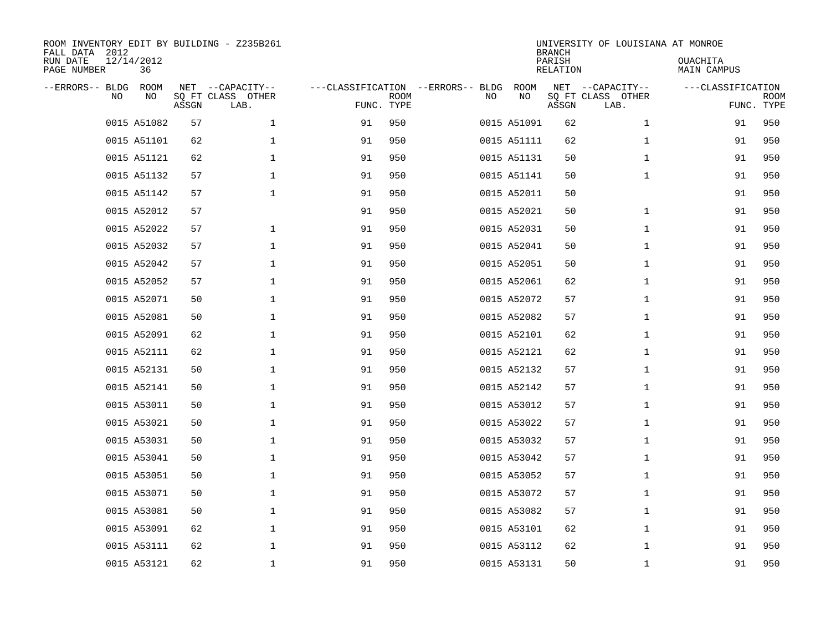| FALL DATA 2012<br>RUN DATE<br>PAGE NUMBER |     | 12/14/2012<br>36 |       | ROOM INVENTORY EDIT BY BUILDING - Z235B261    |                                   |                           |    |             | <b>BRANCH</b><br>PARISH<br>RELATION | UNIVERSITY OF LOUISIANA AT MONROE             | OUACHITA<br>MAIN CAMPUS         |             |
|-------------------------------------------|-----|------------------|-------|-----------------------------------------------|-----------------------------------|---------------------------|----|-------------|-------------------------------------|-----------------------------------------------|---------------------------------|-------------|
| --ERRORS-- BLDG                           | NO. | ROOM<br>NO       | ASSGN | NET --CAPACITY--<br>SQ FT CLASS OTHER<br>LAB. | ---CLASSIFICATION --ERRORS-- BLDG | <b>ROOM</b><br>FUNC. TYPE | NO | ROOM<br>NO  | ASSGN                               | NET --CAPACITY--<br>SQ FT CLASS OTHER<br>LAB. | ---CLASSIFICATION<br>FUNC. TYPE | <b>ROOM</b> |
|                                           |     | 0015 A51082      | 57    | $\mathbf{1}$                                  | 91                                | 950                       |    | 0015 A51091 | 62                                  | $\mathbf{1}$                                  | 91                              | 950         |
|                                           |     | 0015 A51101      | 62    | $\mathbf 1$                                   | 91                                | 950                       |    | 0015 A51111 | 62                                  | $\mathbf{1}$                                  | 91                              | 950         |
|                                           |     | 0015 A51121      | 62    | $\mathbf{1}$                                  | 91                                | 950                       |    | 0015 A51131 | 50                                  | $\mathbf{1}$                                  | 91                              | 950         |
|                                           |     | 0015 A51132      | 57    | $\mathbf{1}$                                  | 91                                | 950                       |    | 0015 A51141 | 50                                  | $\mathbf{1}$                                  | 91                              | 950         |
|                                           |     | 0015 A51142      | 57    | $\mathbf{1}$                                  | 91                                | 950                       |    | 0015 A52011 | 50                                  |                                               | 91                              | 950         |
|                                           |     | 0015 A52012      | 57    |                                               | 91                                | 950                       |    | 0015 A52021 | 50                                  | $\mathbf{1}$                                  | 91                              | 950         |
|                                           |     | 0015 A52022      | 57    | $\mathbf 1$                                   | 91                                | 950                       |    | 0015 A52031 | 50                                  | $\mathbf{1}$                                  | 91                              | 950         |
|                                           |     | 0015 A52032      | 57    | $\mathbf 1$                                   | 91                                | 950                       |    | 0015 A52041 | 50                                  | $\mathbf{1}$                                  | 91                              | 950         |
|                                           |     | 0015 A52042      | 57    | $\mathbf 1$                                   | 91                                | 950                       |    | 0015 A52051 | 50                                  | $\mathbf{1}$                                  | 91                              | 950         |
|                                           |     | 0015 A52052      | 57    | $\mathbf 1$                                   | 91                                | 950                       |    | 0015 A52061 | 62                                  | $\mathbf{1}$                                  | 91                              | 950         |
|                                           |     | 0015 A52071      | 50    | $\mathbf 1$                                   | 91                                | 950                       |    | 0015 A52072 | 57                                  | $\mathbf{1}$                                  | 91                              | 950         |
|                                           |     | 0015 A52081      | 50    | $\mathbf 1$                                   | 91                                | 950                       |    | 0015 A52082 | 57                                  | $\mathbf{1}$                                  | 91                              | 950         |
|                                           |     | 0015 A52091      | 62    | $\mathbf 1$                                   | 91                                | 950                       |    | 0015 A52101 | 62                                  | $\mathbf{1}$                                  | 91                              | 950         |
|                                           |     | 0015 A52111      | 62    | $\mathbf 1$                                   | 91                                | 950                       |    | 0015 A52121 | 62                                  | $\mathbf{1}$                                  | 91                              | 950         |
|                                           |     | 0015 A52131      | 50    | $\mathbf 1$                                   | 91                                | 950                       |    | 0015 A52132 | 57                                  | $\mathbf{1}$                                  | 91                              | 950         |
|                                           |     | 0015 A52141      | 50    | $\mathbf 1$                                   | 91                                | 950                       |    | 0015 A52142 | 57                                  | $\mathbf{1}$                                  | 91                              | 950         |
|                                           |     | 0015 A53011      | 50    | $\mathbf 1$                                   | 91                                | 950                       |    | 0015 A53012 | 57                                  | $\mathbf{1}$                                  | 91                              | 950         |
|                                           |     | 0015 A53021      | 50    | $\mathbf 1$                                   | 91                                | 950                       |    | 0015 A53022 | 57                                  | $\mathbf{1}$                                  | 91                              | 950         |
|                                           |     | 0015 A53031      | 50    | 1                                             | 91                                | 950                       |    | 0015 A53032 | 57                                  | $\mathbf{1}$                                  | 91                              | 950         |
|                                           |     | 0015 A53041      | 50    | $\mathbf 1$                                   | 91                                | 950                       |    | 0015 A53042 | 57                                  | $\mathbf{1}$                                  | 91                              | 950         |
|                                           |     | 0015 A53051      | 50    | $\mathbf 1$                                   | 91                                | 950                       |    | 0015 A53052 | 57                                  | $\mathbf{1}$                                  | 91                              | 950         |
|                                           |     | 0015 A53071      | 50    | $\mathbf 1$                                   | 91                                | 950                       |    | 0015 A53072 | 57                                  | $\mathbf{1}$                                  | 91                              | 950         |
|                                           |     | 0015 A53081      | 50    | $\mathbf 1$                                   | 91                                | 950                       |    | 0015 A53082 | 57                                  | $\mathbf{1}$                                  | 91                              | 950         |
|                                           |     | 0015 A53091      | 62    | $\mathbf 1$                                   | 91                                | 950                       |    | 0015 A53101 | 62                                  | $\mathbf{1}$                                  | 91                              | 950         |
|                                           |     | 0015 A53111      | 62    | 1                                             | 91                                | 950                       |    | 0015 A53112 | 62                                  | $\mathbf{1}$                                  | 91                              | 950         |
|                                           |     | 0015 A53121      | 62    | $\mathbf 1$                                   | 91                                | 950                       |    | 0015 A53131 | 50                                  | $\mathbf{1}$                                  | 91                              | 950         |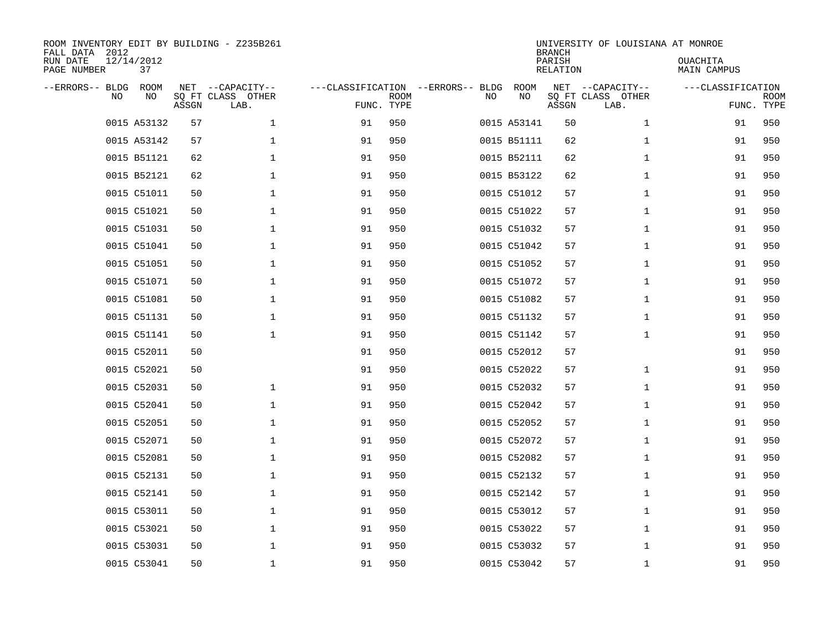| ROOM INVENTORY EDIT BY BUILDING - Z235B261<br>FALL DATA 2012<br>RUN DATE<br>PAGE NUMBER | 12/14/2012<br>37 |       |                                               |                                   |                           |    |             | <b>BRANCH</b><br>PARISH<br><b>RELATION</b> | UNIVERSITY OF LOUISIANA AT MONROE             | OUACHITA<br>MAIN CAMPUS |                           |
|-----------------------------------------------------------------------------------------|------------------|-------|-----------------------------------------------|-----------------------------------|---------------------------|----|-------------|--------------------------------------------|-----------------------------------------------|-------------------------|---------------------------|
| --ERRORS-- BLDG<br>NO                                                                   | ROOM<br>NO       | ASSGN | NET --CAPACITY--<br>SQ FT CLASS OTHER<br>LAB. | ---CLASSIFICATION --ERRORS-- BLDG | <b>ROOM</b><br>FUNC. TYPE | NO | ROOM<br>NO  | ASSGN                                      | NET --CAPACITY--<br>SQ FT CLASS OTHER<br>LAB. | ---CLASSIFICATION       | <b>ROOM</b><br>FUNC. TYPE |
|                                                                                         | 0015 A53132      | 57    | 1                                             | 91                                | 950                       |    | 0015 A53141 | 50                                         | $\mathbf{1}$                                  | 91                      | 950                       |
|                                                                                         | 0015 A53142      | 57    | 1                                             | 91                                | 950                       |    | 0015 B51111 | 62                                         | $\mathbf{1}$                                  | 91                      | 950                       |
|                                                                                         | 0015 B51121      | 62    | $\mathbf 1$                                   | 91                                | 950                       |    | 0015 B52111 | 62                                         | $\mathbf{1}$                                  | 91                      | 950                       |
|                                                                                         | 0015 B52121      | 62    | $\mathbf 1$                                   | 91                                | 950                       |    | 0015 B53122 | 62                                         | $\mathbf{1}$                                  | 91                      | 950                       |
|                                                                                         | 0015 C51011      | 50    | $\mathbf 1$                                   | 91                                | 950                       |    | 0015 C51012 | 57                                         | $\mathbf{1}$                                  | 91                      | 950                       |
|                                                                                         | 0015 C51021      | 50    | $\mathbf 1$                                   | 91                                | 950                       |    | 0015 C51022 | 57                                         | $\mathbf{1}$                                  | 91                      | 950                       |
|                                                                                         | 0015 C51031      | 50    | $\mathbf{1}$                                  | 91                                | 950                       |    | 0015 C51032 | 57                                         | $\mathbf{1}$                                  | 91                      | 950                       |
|                                                                                         | 0015 C51041      | 50    | $\mathbf 1$                                   | 91                                | 950                       |    | 0015 C51042 | 57                                         | $\mathbf{1}$                                  | 91                      | 950                       |
|                                                                                         | 0015 C51051      | 50    | $\mathbf 1$                                   | 91                                | 950                       |    | 0015 C51052 | 57                                         | $\mathbf{1}$                                  | 91                      | 950                       |
|                                                                                         | 0015 C51071      | 50    | $\mathbf 1$                                   | 91                                | 950                       |    | 0015 C51072 | 57                                         | $\mathbf{1}$                                  | 91                      | 950                       |
|                                                                                         | 0015 C51081      | 50    | $\mathbf 1$                                   | 91                                | 950                       |    | 0015 C51082 | 57                                         | $\mathbf{1}$                                  | 91                      | 950                       |
|                                                                                         | 0015 C51131      | 50    | $\mathbf 1$                                   | 91                                | 950                       |    | 0015 C51132 | 57                                         | $\mathbf{1}$                                  | 91                      | 950                       |
|                                                                                         | 0015 C51141      | 50    | $\mathbf 1$                                   | 91                                | 950                       |    | 0015 C51142 | 57                                         | $\mathbf{1}$                                  | 91                      | 950                       |
|                                                                                         | 0015 C52011      | 50    |                                               | 91                                | 950                       |    | 0015 C52012 | 57                                         |                                               | 91                      | 950                       |
|                                                                                         | 0015 C52021      | 50    |                                               | 91                                | 950                       |    | 0015 C52022 | 57                                         | $\mathbf{1}$                                  | 91                      | 950                       |
|                                                                                         | 0015 C52031      | 50    | $\mathbf 1$                                   | 91                                | 950                       |    | 0015 C52032 | 57                                         | $\mathbf{1}$                                  | 91                      | 950                       |
|                                                                                         | 0015 C52041      | 50    | 1                                             | 91                                | 950                       |    | 0015 C52042 | 57                                         | $\mathbf{1}$                                  | 91                      | 950                       |
|                                                                                         | 0015 C52051      | 50    | $\mathbf 1$                                   | 91                                | 950                       |    | 0015 C52052 | 57                                         | $\mathbf{1}$                                  | 91                      | 950                       |
|                                                                                         | 0015 C52071      | 50    | 1                                             | 91                                | 950                       |    | 0015 C52072 | 57                                         | $\mathbf{1}$                                  | 91                      | 950                       |
|                                                                                         | 0015 C52081      | 50    | $\mathbf 1$                                   | 91                                | 950                       |    | 0015 C52082 | 57                                         | $\mathbf{1}$                                  | 91                      | 950                       |
|                                                                                         | 0015 C52131      | 50    | $\mathbf 1$                                   | 91                                | 950                       |    | 0015 C52132 | 57                                         | $\mathbf{1}$                                  | 91                      | 950                       |
|                                                                                         | 0015 C52141      | 50    | $\mathbf 1$                                   | 91                                | 950                       |    | 0015 C52142 | 57                                         | $\mathbf{1}$                                  | 91                      | 950                       |
|                                                                                         | 0015 C53011      | 50    | $\mathbf 1$                                   | 91                                | 950                       |    | 0015 C53012 | 57                                         | $\mathbf{1}$                                  | 91                      | 950                       |
|                                                                                         | 0015 C53021      | 50    | $\mathbf 1$                                   | 91                                | 950                       |    | 0015 C53022 | 57                                         | $\mathbf{1}$                                  | 91                      | 950                       |
|                                                                                         | 0015 C53031      | 50    | 1                                             | 91                                | 950                       |    | 0015 C53032 | 57                                         | $\mathbf{1}$                                  | 91                      | 950                       |
|                                                                                         | 0015 C53041      | 50    | $\mathbf 1$                                   | 91                                | 950                       |    | 0015 C53042 | 57                                         | $\mathbf{1}$                                  | 91                      | 950                       |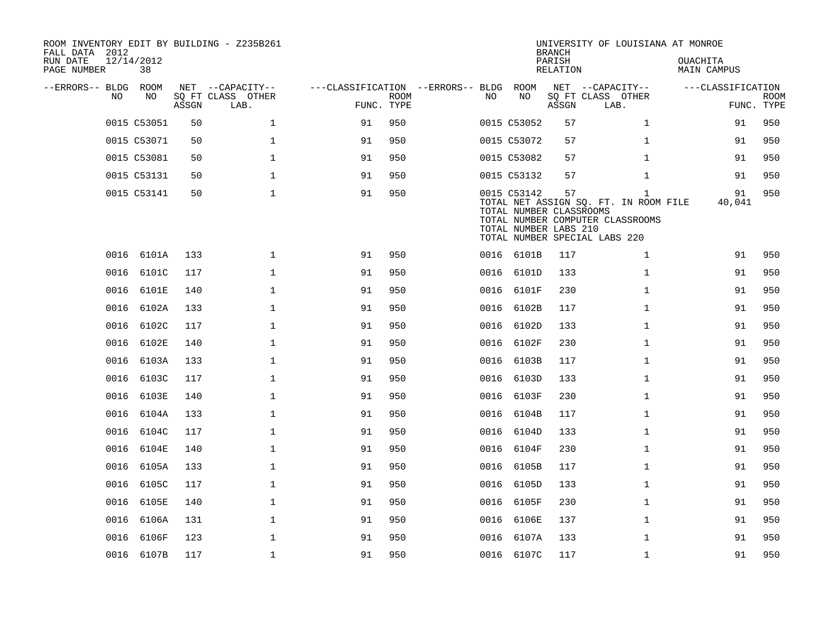| ROOM INVENTORY EDIT BY BUILDING - Z235B261<br>FALL DATA 2012<br>RUN DATE | 12/14/2012  |       |                                       |                                   |             |      |                                                                 | <b>BRANCH</b><br>PARISH | UNIVERSITY OF LOUISIANA AT MONROE                                                                                          | OUACHITA          |             |
|--------------------------------------------------------------------------|-------------|-------|---------------------------------------|-----------------------------------|-------------|------|-----------------------------------------------------------------|-------------------------|----------------------------------------------------------------------------------------------------------------------------|-------------------|-------------|
| PAGE NUMBER                                                              | 38          |       |                                       |                                   |             |      |                                                                 | RELATION                |                                                                                                                            | MAIN CAMPUS       |             |
| --ERRORS-- BLDG ROOM<br>NO.                                              | NO.         |       | NET --CAPACITY--<br>SO FT CLASS OTHER | ---CLASSIFICATION --ERRORS-- BLDG | <b>ROOM</b> | NO.  | ROOM<br>NO                                                      |                         | NET --CAPACITY--<br>SO FT CLASS OTHER                                                                                      | ---CLASSIFICATION | <b>ROOM</b> |
|                                                                          |             | ASSGN | LAB.                                  | FUNC. TYPE                        |             |      |                                                                 | ASSGN                   | LAB.                                                                                                                       |                   | FUNC. TYPE  |
|                                                                          | 0015 C53051 | 50    | $\mathbf{1}$                          | 91                                | 950         |      | 0015 C53052                                                     | 57                      | $\mathbf{1}$                                                                                                               | 91                | 950         |
|                                                                          | 0015 C53071 | 50    | $\mathbf{1}$                          | 91                                | 950         |      | 0015 C53072                                                     | 57                      | $\mathbf{1}$                                                                                                               | 91                | 950         |
|                                                                          | 0015 C53081 | 50    | $\mathbf{1}$                          | 91                                | 950         |      | 0015 C53082                                                     | 57                      | $\mathbf{1}$                                                                                                               | 91                | 950         |
|                                                                          | 0015 C53131 | 50    | $\mathbf{1}$                          | 91                                | 950         |      | 0015 C53132                                                     | 57                      | $\mathbf{1}$                                                                                                               | 91                | 950         |
|                                                                          | 0015 C53141 | 50    | $\mathbf{1}$                          | 91                                | 950         |      | 0015 C53142<br>TOTAL NUMBER CLASSROOMS<br>TOTAL NUMBER LABS 210 | 57                      | $\mathbf{1}$<br>TOTAL NET ASSIGN SQ. FT. IN ROOM FILE<br>TOTAL NUMBER COMPUTER CLASSROOMS<br>TOTAL NUMBER SPECIAL LABS 220 | 91<br>40,041      | 950         |
|                                                                          | 0016 6101A  | 133   | $\mathbf 1$                           | 91                                | 950         |      | 0016 6101B                                                      | 117                     | $\mathbf{1}$                                                                                                               | 91                | 950         |
| 0016                                                                     | 6101C       | 117   | $\mathbf 1$                           | 91                                | 950         | 0016 | 6101D                                                           | 133                     | $\mathbf{1}$                                                                                                               | 91                | 950         |
| 0016                                                                     | 6101E       | 140   | $\mathbf{1}$                          | 91                                | 950         |      | 0016 6101F                                                      | 230                     | $\mathbf{1}$                                                                                                               | 91                | 950         |
| 0016                                                                     | 6102A       | 133   | $\mathbf 1$                           | 91                                | 950         | 0016 | 6102B                                                           | 117                     | $\mathbf{1}$                                                                                                               | 91                | 950         |
|                                                                          | 0016 6102C  | 117   | $\mathbf{1}$                          | 91                                | 950         |      | 0016 6102D                                                      | 133                     | $\mathbf{1}$                                                                                                               | 91                | 950         |
| 0016                                                                     | 6102E       | 140   | $\mathbf{1}$                          | 91                                | 950         |      | 0016 6102F                                                      | 230                     | $\mathbf{1}$                                                                                                               | 91                | 950         |
| 0016                                                                     | 6103A       | 133   | $\mathbf{1}$                          | 91                                | 950         |      | 0016 6103B                                                      | 117                     | $\mathbf{1}$                                                                                                               | 91                | 950         |
| 0016                                                                     | 6103C       | 117   | $\mathbf{1}$                          | 91                                | 950         |      | 0016 6103D                                                      | 133                     | $\mathbf{1}$                                                                                                               | 91                | 950         |
| 0016                                                                     | 6103E       | 140   | $\mathbf 1$                           | 91                                | 950         |      | 0016 6103F                                                      | 230                     | $\mathbf{1}$                                                                                                               | 91                | 950         |
| 0016                                                                     | 6104A       | 133   | $\mathbf{1}$                          | 91                                | 950         |      | 0016 6104B                                                      | 117                     | $\mathbf{1}$                                                                                                               | 91                | 950         |
|                                                                          | 0016 6104C  | 117   | $\mathbf{1}$                          | 91                                | 950         |      | 0016 6104D                                                      | 133                     | $\mathbf{1}$                                                                                                               | 91                | 950         |
| 0016                                                                     | 6104E       | 140   | $\mathbf 1$                           | 91                                | 950         |      | 0016 6104F                                                      | 230                     | $\mathbf{1}$                                                                                                               | 91                | 950         |
| 0016                                                                     | 6105A       | 133   | $\mathbf{1}$                          | 91                                | 950         |      | 0016 6105B                                                      | 117                     | $\mathbf{1}$                                                                                                               | 91                | 950         |
| 0016                                                                     | 6105C       | 117   | $\mathbf 1$                           | 91                                | 950         | 0016 | 6105D                                                           | 133                     | $\mathbf{1}$                                                                                                               | 91                | 950         |
|                                                                          | 0016 6105E  | 140   | $\mathbf 1$                           | 91                                | 950         |      | 0016 6105F                                                      | 230                     | $\mathbf{1}$                                                                                                               | 91                | 950         |
| 0016                                                                     | 6106A       | 131   | $\mathbf{1}$                          | 91                                | 950         |      | 0016 6106E                                                      | 137                     | $\mathbf{1}$                                                                                                               | 91                | 950         |
| 0016                                                                     | 6106F       | 123   | $\mathbf{1}$                          | 91                                | 950         |      | 0016 6107A                                                      | 133                     | $\mathbf{1}$                                                                                                               | 91                | 950         |
|                                                                          | 0016 6107B  | 117   | $\mathbf{1}$                          | 91                                | 950         |      | 0016 6107C                                                      | 117                     | $\mathbf{1}$                                                                                                               | 91                | 950         |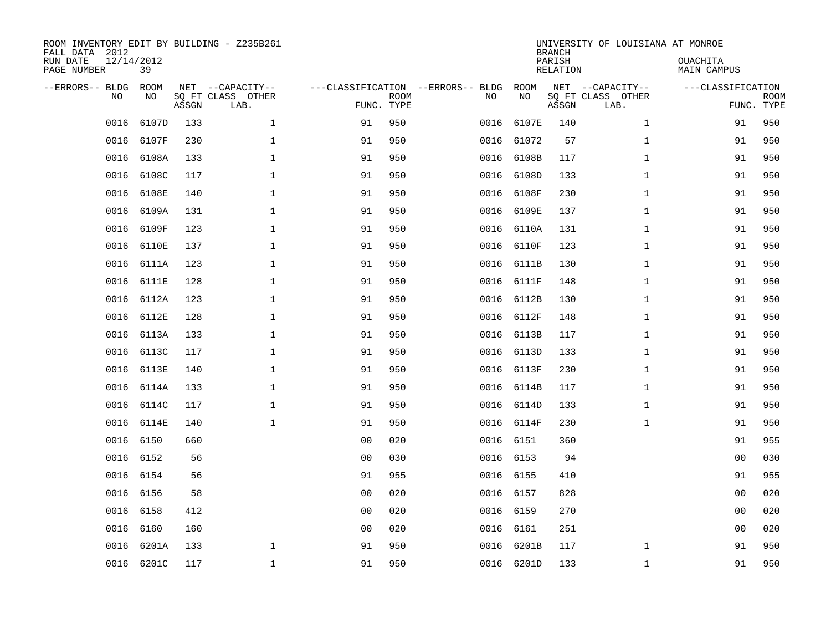| ROOM INVENTORY EDIT BY BUILDING - Z235B261<br>FALL DATA 2012<br>RUN DATE<br>PAGE NUMBER | 12/14/2012<br>39 |       |                                               |                                   |                           |      |            | <b>BRANCH</b><br>PARISH<br><b>RELATION</b> | UNIVERSITY OF LOUISIANA AT MONROE             | OUACHITA<br><b>MAIN CAMPUS</b>  |             |
|-----------------------------------------------------------------------------------------|------------------|-------|-----------------------------------------------|-----------------------------------|---------------------------|------|------------|--------------------------------------------|-----------------------------------------------|---------------------------------|-------------|
| --ERRORS-- BLDG<br>NO                                                                   | ROOM<br>NO       | ASSGN | NET --CAPACITY--<br>SQ FT CLASS OTHER<br>LAB. | ---CLASSIFICATION --ERRORS-- BLDG | <b>ROOM</b><br>FUNC. TYPE | NO   | ROOM<br>NO | ASSGN                                      | NET --CAPACITY--<br>SQ FT CLASS OTHER<br>LAB. | ---CLASSIFICATION<br>FUNC. TYPE | <b>ROOM</b> |
| 0016                                                                                    | 6107D            | 133   | $\mathbf{1}$                                  | 91                                | 950                       | 0016 | 6107E      | 140                                        | $\mathbf{1}$                                  | 91                              | 950         |
| 0016                                                                                    | 6107F            | 230   | $\mathbf 1$                                   | 91                                | 950                       |      | 0016 61072 | 57                                         | $\mathbf{1}$                                  | 91                              | 950         |
| 0016                                                                                    | 6108A            | 133   | $\mathbf 1$                                   | 91                                | 950                       |      | 0016 6108B | 117                                        | $\mathbf{1}$                                  | 91                              | 950         |
| 0016                                                                                    | 6108C            | 117   | $\mathbf 1$                                   | 91                                | 950                       |      | 0016 6108D | 133                                        | $\mathbf{1}$                                  | 91                              | 950         |
| 0016                                                                                    | 6108E            | 140   | $\mathbf 1$                                   | 91                                | 950                       | 0016 | 6108F      | 230                                        | $\mathbf{1}$                                  | 91                              | 950         |
| 0016                                                                                    | 6109A            | 131   | $\mathbf 1$                                   | 91                                | 950                       |      | 0016 6109E | 137                                        | $\mathbf{1}$                                  | 91                              | 950         |
| 0016                                                                                    | 6109F            | 123   | $\mathbf{1}$                                  | 91                                | 950                       |      | 0016 6110A | 131                                        | $\mathbf{1}$                                  | 91                              | 950         |
| 0016                                                                                    | 6110E            | 137   | $\mathbf 1$                                   | 91                                | 950                       |      | 0016 6110F | 123                                        | $\mathbf{1}$                                  | 91                              | 950         |
| 0016                                                                                    | 6111A            | 123   | $\mathbf{1}$                                  | 91                                | 950                       | 0016 | 6111B      | 130                                        | $\mathbf{1}$                                  | 91                              | 950         |
| 0016                                                                                    | 6111E            | 128   | $\mathbf 1$                                   | 91                                | 950                       |      | 0016 6111F | 148                                        | $\mathbf{1}$                                  | 91                              | 950         |
| 0016                                                                                    | 6112A            | 123   | $\mathbf{1}$                                  | 91                                | 950                       | 0016 | 6112B      | 130                                        | $\mathbf{1}$                                  | 91                              | 950         |
| 0016                                                                                    | 6112E            | 128   | $\mathbf 1$                                   | 91                                | 950                       |      | 0016 6112F | 148                                        | $\mathbf{1}$                                  | 91                              | 950         |
| 0016                                                                                    | 6113A            | 133   | $\mathbf{1}$                                  | 91                                | 950                       | 0016 | 6113B      | 117                                        | $\mathbf{1}$                                  | 91                              | 950         |
| 0016                                                                                    | 6113C            | 117   | $\mathbf 1$                                   | 91                                | 950                       |      | 0016 6113D | 133                                        | $\mathbf{1}$                                  | 91                              | 950         |
| 0016                                                                                    | 6113E            | 140   | 1                                             | 91                                | 950                       | 0016 | 6113F      | 230                                        | $\mathbf{1}$                                  | 91                              | 950         |
| 0016                                                                                    | 6114A            | 133   | $\mathbf 1$                                   | 91                                | 950                       |      | 0016 6114B | 117                                        | $\mathbf{1}$                                  | 91                              | 950         |
| 0016                                                                                    | 6114C            | 117   | $\mathbf 1$                                   | 91                                | 950                       | 0016 | 6114D      | 133                                        | $\mathbf{1}$                                  | 91                              | 950         |
| 0016                                                                                    | 6114E            | 140   | $\mathbf 1$                                   | 91                                | 950                       |      | 0016 6114F | 230                                        | $\mathbf{1}$                                  | 91                              | 950         |
| 0016                                                                                    | 6150             | 660   |                                               | 0 <sub>0</sub>                    | 020                       |      | 0016 6151  | 360                                        |                                               | 91                              | 955         |
| 0016                                                                                    | 6152             | 56    |                                               | 0 <sub>0</sub>                    | 030                       |      | 0016 6153  | 94                                         |                                               | 00                              | 030         |
| 0016                                                                                    | 6154             | 56    |                                               | 91                                | 955                       |      | 0016 6155  | 410                                        |                                               | 91                              | 955         |
| 0016                                                                                    | 6156             | 58    |                                               | 0 <sub>0</sub>                    | 020                       |      | 0016 6157  | 828                                        |                                               | 0 <sub>0</sub>                  | 020         |
| 0016                                                                                    | 6158             | 412   |                                               | 0 <sub>0</sub>                    | 020                       |      | 0016 6159  | 270                                        |                                               | 0 <sub>0</sub>                  | 020         |
| 0016                                                                                    | 6160             | 160   |                                               | 0 <sub>0</sub>                    | 020                       |      | 0016 6161  | 251                                        |                                               | 0 <sub>0</sub>                  | 020         |
| 0016                                                                                    | 6201A            | 133   | $\mathbf 1$                                   | 91                                | 950                       | 0016 | 6201B      | 117                                        | $\mathbf{1}$                                  | 91                              | 950         |
|                                                                                         | 0016 6201C       | 117   | 1                                             | 91                                | 950                       |      | 0016 6201D | 133                                        | $\mathbf{1}$                                  | 91                              | 950         |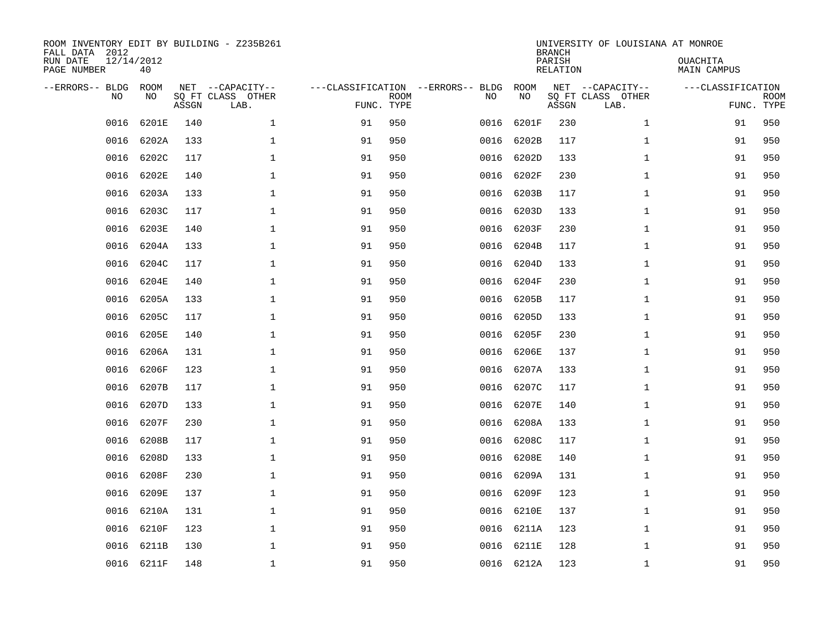| ROOM INVENTORY EDIT BY BUILDING - Z235B261<br>FALL DATA 2012<br>RUN DATE<br>PAGE NUMBER | 12/14/2012<br>40  |       |                                               |                                                 |             |      |            | <b>BRANCH</b><br>PARISH<br><b>RELATION</b> | UNIVERSITY OF LOUISIANA AT MONROE             | OUACHITA<br><b>MAIN CAMPUS</b>  |             |
|-----------------------------------------------------------------------------------------|-------------------|-------|-----------------------------------------------|-------------------------------------------------|-------------|------|------------|--------------------------------------------|-----------------------------------------------|---------------------------------|-------------|
| --ERRORS-- BLDG<br>NO                                                                   | <b>ROOM</b><br>NO | ASSGN | NET --CAPACITY--<br>SQ FT CLASS OTHER<br>LAB. | ---CLASSIFICATION --ERRORS-- BLDG<br>FUNC. TYPE | <b>ROOM</b> | NO   | ROOM<br>NO | ASSGN                                      | NET --CAPACITY--<br>SQ FT CLASS OTHER<br>LAB. | ---CLASSIFICATION<br>FUNC. TYPE | <b>ROOM</b> |
| 0016                                                                                    | 6201E             | 140   | $\mathbf{1}$                                  | 91                                              | 950         | 0016 | 6201F      | 230                                        | $\mathbf{1}$                                  | 91                              | 950         |
| 0016                                                                                    | 6202A             | 133   | $\mathbf{1}$                                  | 91                                              | 950         | 0016 | 6202B      | 117                                        | $\mathbf{1}$                                  | 91                              | 950         |
| 0016                                                                                    | 6202C             | 117   | $\mathbf 1$                                   | 91                                              | 950         | 0016 | 6202D      | 133                                        | $\mathbf{1}$                                  | 91                              | 950         |
| 0016                                                                                    | 6202E             | 140   | $\mathbf 1$                                   | 91                                              | 950         | 0016 | 6202F      | 230                                        | $\mathbf{1}$                                  | 91                              | 950         |
| 0016                                                                                    | 6203A             | 133   | $\mathbf{1}$                                  | 91                                              | 950         | 0016 | 6203B      | 117                                        | $\mathbf{1}$                                  | 91                              | 950         |
| 0016                                                                                    | 6203C             | 117   | $\mathbf{1}$                                  | 91                                              | 950         | 0016 | 6203D      | 133                                        | $\mathbf{1}$                                  | 91                              | 950         |
| 0016                                                                                    | 6203E             | 140   | $\mathbf{1}$                                  | 91                                              | 950         | 0016 | 6203F      | 230                                        | $\mathbf{1}$                                  | 91                              | 950         |
| 0016                                                                                    | 6204A             | 133   | $\mathbf{1}$                                  | 91                                              | 950         |      | 0016 6204B | 117                                        | $\mathbf{1}$                                  | 91                              | 950         |
| 0016                                                                                    | 6204C             | 117   | $\mathbf{1}$                                  | 91                                              | 950         | 0016 | 6204D      | 133                                        | $\mathbf{1}$                                  | 91                              | 950         |
| 0016                                                                                    | 6204E             | 140   | $\mathbf 1$                                   | 91                                              | 950         | 0016 | 6204F      | 230                                        | $\mathbf{1}$                                  | 91                              | 950         |
| 0016                                                                                    | 6205A             | 133   | $\mathbf 1$                                   | 91                                              | 950         | 0016 | 6205B      | 117                                        | $\mathbf{1}$                                  | 91                              | 950         |
| 0016                                                                                    | 6205C             | 117   | $\mathbf 1$                                   | 91                                              | 950         | 0016 | 6205D      | 133                                        | $\mathbf{1}$                                  | 91                              | 950         |
| 0016                                                                                    | <b>6205E</b>      | 140   | $\mathbf 1$                                   | 91                                              | 950         | 0016 | 6205F      | 230                                        | $\mathbf{1}$                                  | 91                              | 950         |
| 0016                                                                                    | 6206A             | 131   | $\mathbf 1$                                   | 91                                              | 950         | 0016 | 6206E      | 137                                        | $\mathbf{1}$                                  | 91                              | 950         |
| 0016                                                                                    | 6206F             | 123   | $\mathbf 1$                                   | 91                                              | 950         | 0016 | 6207A      | 133                                        | $\mathbf{1}$                                  | 91                              | 950         |
| 0016                                                                                    | 6207B             | 117   | $\mathbf{1}$                                  | 91                                              | 950         | 0016 | 6207C      | 117                                        | $\mathbf{1}$                                  | 91                              | 950         |
| 0016                                                                                    | 6207D             | 133   | 1                                             | 91                                              | 950         | 0016 | 6207E      | 140                                        | $\mathbf{1}$                                  | 91                              | 950         |
| 0016                                                                                    | 6207F             | 230   | $\mathbf 1$                                   | 91                                              | 950         | 0016 | 6208A      | 133                                        | $\mathbf{1}$                                  | 91                              | 950         |
| 0016                                                                                    | 6208B             | 117   | 1                                             | 91                                              | 950         | 0016 | 6208C      | 117                                        | $\mathbf{1}$                                  | 91                              | 950         |
| 0016                                                                                    | 6208D             | 133   | 1                                             | 91                                              | 950         | 0016 | 6208E      | 140                                        | $\mathbf{1}$                                  | 91                              | 950         |
| 0016                                                                                    | 6208F             | 230   | $\mathbf 1$                                   | 91                                              | 950         | 0016 | 6209A      | 131                                        | $\mathbf{1}$                                  | 91                              | 950         |
| 0016                                                                                    | 6209E             | 137   | $\mathbf 1$                                   | 91                                              | 950         | 0016 | 6209F      | 123                                        | $\mathbf{1}$                                  | 91                              | 950         |
| 0016                                                                                    | 6210A             | 131   | 1                                             | 91                                              | 950         | 0016 | 6210E      | 137                                        | $\mathbf{1}$                                  | 91                              | 950         |
| 0016                                                                                    | 6210F             | 123   | $\mathbf 1$                                   | 91                                              | 950         | 0016 | 6211A      | 123                                        | $\mathbf{1}$                                  | 91                              | 950         |
| 0016                                                                                    | 6211B             | 130   | $\mathbf 1$                                   | 91                                              | 950         | 0016 | 6211E      | 128                                        | $\mathbf{1}$                                  | 91                              | 950         |
|                                                                                         | 0016 6211F        | 148   | $\mathbf{1}$                                  | 91                                              | 950         |      | 0016 6212A | 123                                        | $\mathbf{1}$                                  | 91                              | 950         |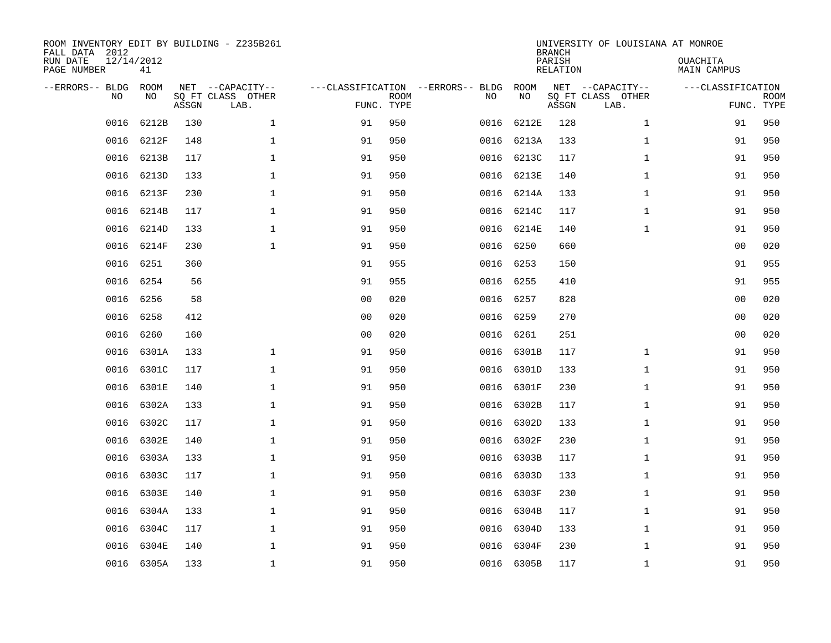| ROOM INVENTORY EDIT BY BUILDING - Z235B261<br>FALL DATA 2012<br>RUN DATE<br>PAGE NUMBER | 12/14/2012<br>41 |       |                                               |                                                 |             |      |            | <b>BRANCH</b><br>PARISH<br><b>RELATION</b> | UNIVERSITY OF LOUISIANA AT MONROE             | OUACHITA<br><b>MAIN CAMPUS</b> |                           |
|-----------------------------------------------------------------------------------------|------------------|-------|-----------------------------------------------|-------------------------------------------------|-------------|------|------------|--------------------------------------------|-----------------------------------------------|--------------------------------|---------------------------|
| --ERRORS-- BLDG<br>NO                                                                   | ROOM<br>NO       | ASSGN | NET --CAPACITY--<br>SQ FT CLASS OTHER<br>LAB. | ---CLASSIFICATION --ERRORS-- BLDG<br>FUNC. TYPE | <b>ROOM</b> | NO   | ROOM<br>NO | ASSGN                                      | NET --CAPACITY--<br>SQ FT CLASS OTHER<br>LAB. | ---CLASSIFICATION              | <b>ROOM</b><br>FUNC. TYPE |
| 0016                                                                                    | 6212B            | 130   | $\mathbf 1$                                   | 91                                              | 950         | 0016 | 6212E      | 128                                        | $\mathbf{1}$                                  | 91                             | 950                       |
| 0016                                                                                    | 6212F            | 148   | $\mathbf 1$                                   | 91                                              | 950         |      | 0016 6213A | 133                                        | $\mathbf{1}$                                  | 91                             | 950                       |
| 0016                                                                                    | 6213B            | 117   | $\mathbf 1$                                   | 91                                              | 950         | 0016 | 6213C      | 117                                        | $\mathbf{1}$                                  | 91                             | 950                       |
| 0016                                                                                    | 6213D            | 133   | $\mathbf 1$                                   | 91                                              | 950         |      | 0016 6213E | 140                                        | $\mathbf{1}$                                  | 91                             | 950                       |
| 0016                                                                                    | 6213F            | 230   | $\mathbf{1}$                                  | 91                                              | 950         | 0016 | 6214A      | 133                                        | $\mathbf{1}$                                  | 91                             | 950                       |
| 0016                                                                                    | 6214B            | 117   | $\mathbf{1}$                                  | 91                                              | 950         |      | 0016 6214C | 117                                        | $\mathbf{1}$                                  | 91                             | 950                       |
| 0016                                                                                    | 6214D            | 133   | $\mathbf{1}$                                  | 91                                              | 950         |      | 0016 6214E | 140                                        | $\mathbf{1}$                                  | 91                             | 950                       |
| 0016                                                                                    | 6214F            | 230   | $\mathbf{1}$                                  | 91                                              | 950         |      | 0016 6250  | 660                                        |                                               | 0 <sub>0</sub>                 | 020                       |
| 0016                                                                                    | 6251             | 360   |                                               | 91                                              | 955         | 0016 | 6253       | 150                                        |                                               | 91                             | 955                       |
| 0016                                                                                    | 6254             | 56    |                                               | 91                                              | 955         |      | 0016 6255  | 410                                        |                                               | 91                             | 955                       |
| 0016                                                                                    | 6256             | 58    |                                               | 0 <sub>0</sub>                                  | 020         | 0016 | 6257       | 828                                        |                                               | 0 <sub>0</sub>                 | 020                       |
| 0016                                                                                    | 6258             | 412   |                                               | 0 <sub>0</sub>                                  | 020         | 0016 | 6259       | 270                                        |                                               | 0 <sub>0</sub>                 | 020                       |
| 0016                                                                                    | 6260             | 160   |                                               | 0 <sub>0</sub>                                  | 020         | 0016 | 6261       | 251                                        |                                               | 00                             | 020                       |
| 0016                                                                                    | 6301A            | 133   | 1                                             | 91                                              | 950         | 0016 | 6301B      | 117                                        | $\mathbf{1}$                                  | 91                             | 950                       |
| 0016                                                                                    | 6301C            | 117   | $\mathbf 1$                                   | 91                                              | 950         | 0016 | 6301D      | 133                                        | $\mathbf{1}$                                  | 91                             | 950                       |
| 0016                                                                                    | 6301E            | 140   | $\mathbf 1$                                   | 91                                              | 950         | 0016 | 6301F      | 230                                        | $\mathbf{1}$                                  | 91                             | 950                       |
| 0016                                                                                    | 6302A            | 133   | $\mathbf 1$                                   | 91                                              | 950         | 0016 | 6302B      | 117                                        | $\mathbf{1}$                                  | 91                             | 950                       |
| 0016                                                                                    | 6302C            | 117   | $\mathbf{1}$                                  | 91                                              | 950         | 0016 | 6302D      | 133                                        | $\mathbf{1}$                                  | 91                             | 950                       |
| 0016                                                                                    | 6302E            | 140   | $\mathbf{1}$                                  | 91                                              | 950         |      | 0016 6302F | 230                                        | $\mathbf{1}$                                  | 91                             | 950                       |
| 0016                                                                                    | 6303A            | 133   | $\mathbf 1$                                   | 91                                              | 950         | 0016 | 6303B      | 117                                        | $\mathbf{1}$                                  | 91                             | 950                       |
| 0016                                                                                    | 6303C            | 117   | $\mathbf 1$                                   | 91                                              | 950         |      | 0016 6303D | 133                                        | $\mathbf{1}$                                  | 91                             | 950                       |
| 0016                                                                                    | 6303E            | 140   | $\mathbf 1$                                   | 91                                              | 950         | 0016 | 6303F      | 230                                        | $\mathbf{1}$                                  | 91                             | 950                       |
| 0016                                                                                    | 6304A            | 133   | $\mathbf 1$                                   | 91                                              | 950         | 0016 | 6304B      | 117                                        | $\mathbf{1}$                                  | 91                             | 950                       |
| 0016                                                                                    | 6304C            | 117   | $\mathbf 1$                                   | 91                                              | 950         |      | 0016 6304D | 133                                        | $\mathbf{1}$                                  | 91                             | 950                       |
| 0016                                                                                    | 6304E            | 140   | $\mathbf 1$                                   | 91                                              | 950         |      | 0016 6304F | 230                                        | $\mathbf{1}$                                  | 91                             | 950                       |
|                                                                                         | 0016 6305A       | 133   | $\mathbf{1}$                                  | 91                                              | 950         |      | 0016 6305B | 117                                        | $\mathbf{1}$                                  | 91                             | 950                       |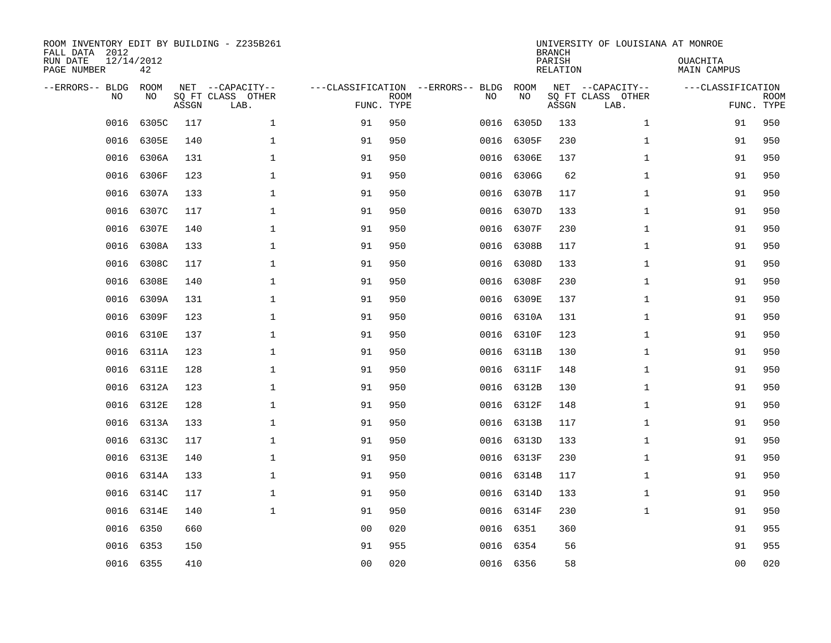| ROOM INVENTORY EDIT BY BUILDING - Z235B261<br>FALL DATA 2012<br>RUN DATE<br>PAGE NUMBER | 12/14/2012<br>42 |       |                                               |                |                           |                                         |            | <b>BRANCH</b><br>PARISH<br><b>RELATION</b> | UNIVERSITY OF LOUISIANA AT MONROE             | OUACHITA<br><b>MAIN CAMPUS</b> |                           |
|-----------------------------------------------------------------------------------------|------------------|-------|-----------------------------------------------|----------------|---------------------------|-----------------------------------------|------------|--------------------------------------------|-----------------------------------------------|--------------------------------|---------------------------|
| --ERRORS-- BLDG<br>NO                                                                   | ROOM<br>NO       | ASSGN | NET --CAPACITY--<br>SQ FT CLASS OTHER<br>LAB. |                | <b>ROOM</b><br>FUNC. TYPE | ---CLASSIFICATION --ERRORS-- BLDG<br>NO | ROOM<br>NO | ASSGN                                      | NET --CAPACITY--<br>SQ FT CLASS OTHER<br>LAB. | ---CLASSIFICATION              | <b>ROOM</b><br>FUNC. TYPE |
| 0016                                                                                    | 6305C            | 117   | $\mathbf{1}$                                  | 91             | 950                       | 0016                                    | 6305D      | 133                                        | $\mathbf{1}$                                  | 91                             | 950                       |
| 0016                                                                                    | 6305E            | 140   | $\mathbf{1}$                                  | 91             | 950                       | 0016                                    | 6305F      | 230                                        | $\mathbf{1}$                                  | 91                             | 950                       |
| 0016                                                                                    | 6306A            | 131   | $\mathbf 1$                                   | 91             | 950                       | 0016                                    | 6306E      | 137                                        | $\mathbf{1}$                                  | 91                             | 950                       |
| 0016                                                                                    | 6306F            | 123   | $\mathbf 1$                                   | 91             | 950                       |                                         | 0016 6306G | 62                                         | $\mathbf{1}$                                  | 91                             | 950                       |
| 0016                                                                                    | 6307A            | 133   | $\mathbf{1}$                                  | 91             | 950                       | 0016                                    | 6307B      | 117                                        | $\mathbf{1}$                                  | 91                             | 950                       |
| 0016                                                                                    | 6307C            | 117   | $\mathbf{1}$                                  | 91             | 950                       |                                         | 0016 6307D | 133                                        | $\mathbf{1}$                                  | 91                             | 950                       |
| 0016                                                                                    | 6307E            | 140   | $\mathbf{1}$                                  | 91             | 950                       |                                         | 0016 6307F | 230                                        | $\mathbf{1}$                                  | 91                             | 950                       |
| 0016                                                                                    | 6308A            | 133   | $\mathbf{1}$                                  | 91             | 950                       |                                         | 0016 6308B | 117                                        | $\mathbf{1}$                                  | 91                             | 950                       |
| 0016                                                                                    | 6308C            | 117   | $\mathbf{1}$                                  | 91             | 950                       | 0016                                    | 6308D      | 133                                        | $\mathbf{1}$                                  | 91                             | 950                       |
| 0016                                                                                    | 6308E            | 140   | $\mathbf 1$                                   | 91             | 950                       | 0016                                    | 6308F      | 230                                        | $\mathbf{1}$                                  | 91                             | 950                       |
| 0016                                                                                    | 6309A            | 131   | $\mathbf 1$                                   | 91             | 950                       | 0016                                    | 6309E      | 137                                        | $\mathbf{1}$                                  | 91                             | 950                       |
| 0016                                                                                    | 6309F            | 123   | $\mathbf 1$                                   | 91             | 950                       |                                         | 0016 6310A | 131                                        | $\mathbf{1}$                                  | 91                             | 950                       |
| 0016                                                                                    | 6310E            | 137   | $\mathbf 1$                                   | 91             | 950                       | 0016                                    | 6310F      | 123                                        | $\mathbf{1}$                                  | 91                             | 950                       |
| 0016                                                                                    | 6311A            | 123   | $\mathbf 1$                                   | 91             | 950                       | 0016                                    | 6311B      | 130                                        | $\mathbf{1}$                                  | 91                             | 950                       |
| 0016                                                                                    | 6311E            | 128   | $\mathbf 1$                                   | 91             | 950                       | 0016                                    | 6311F      | 148                                        | $\mathbf{1}$                                  | 91                             | 950                       |
| 0016                                                                                    | 6312A            | 123   | $\mathbf{1}$                                  | 91             | 950                       |                                         | 0016 6312B | 130                                        | $\mathbf{1}$                                  | 91                             | 950                       |
| 0016                                                                                    | 6312E            | 128   | 1                                             | 91             | 950                       | 0016                                    | 6312F      | 148                                        | $\mathbf{1}$                                  | 91                             | 950                       |
| 0016                                                                                    | 6313A            | 133   | $\mathbf 1$                                   | 91             | 950                       | 0016                                    | 6313B      | 117                                        | $\mathbf{1}$                                  | 91                             | 950                       |
| 0016                                                                                    | 6313C            | 117   | $\mathbf 1$                                   | 91             | 950                       |                                         | 0016 6313D | 133                                        | $\mathbf{1}$                                  | 91                             | 950                       |
| 0016                                                                                    | 6313E            | 140   | $\mathbf 1$                                   | 91             | 950                       |                                         | 0016 6313F | 230                                        | $\mathbf{1}$                                  | 91                             | 950                       |
| 0016                                                                                    | 6314A            | 133   | $\mathbf 1$                                   | 91             | 950                       |                                         | 0016 6314B | 117                                        | $\mathbf{1}$                                  | 91                             | 950                       |
| 0016                                                                                    | 6314C            | 117   | $\mathbf{1}$                                  | 91             | 950                       | 0016                                    | 6314D      | 133                                        | $\mathbf{1}$                                  | 91                             | 950                       |
| 0016                                                                                    | 6314E            | 140   | $\mathbf{1}$                                  | 91             | 950                       |                                         | 0016 6314F | 230                                        | $\mathbf{1}$                                  | 91                             | 950                       |
| 0016                                                                                    | 6350             | 660   |                                               | 0 <sub>0</sub> | 020                       |                                         | 0016 6351  | 360                                        |                                               | 91                             | 955                       |
| 0016                                                                                    | 6353             | 150   |                                               | 91             | 955                       |                                         | 0016 6354  | 56                                         |                                               | 91                             | 955                       |
|                                                                                         | 0016 6355        | 410   |                                               | 0 <sub>0</sub> | 020                       |                                         | 0016 6356  | 58                                         |                                               | 0 <sub>0</sub>                 | 020                       |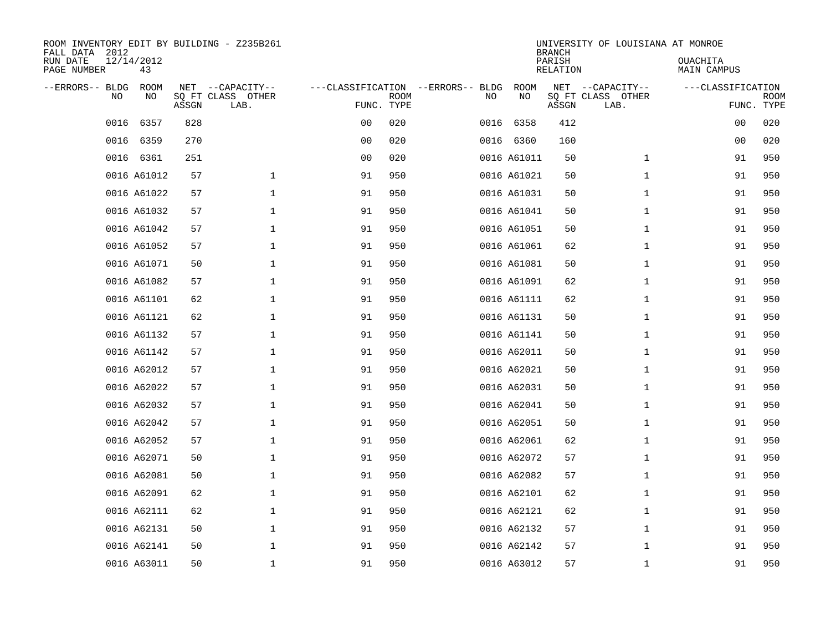| ROOM INVENTORY EDIT BY BUILDING - Z235B261<br>FALL DATA 2012 |                  |       |                           |                                   |             |      |             | <b>BRANCH</b>      | UNIVERSITY OF LOUISIANA AT MONROE |                         |             |
|--------------------------------------------------------------|------------------|-------|---------------------------|-----------------------------------|-------------|------|-------------|--------------------|-----------------------------------|-------------------------|-------------|
| RUN DATE<br>PAGE NUMBER                                      | 12/14/2012<br>43 |       |                           |                                   |             |      |             | PARISH<br>RELATION |                                   | OUACHITA<br>MAIN CAMPUS |             |
| --ERRORS-- BLDG                                              | ROOM             |       | NET --CAPACITY--          | ---CLASSIFICATION --ERRORS-- BLDG |             |      | <b>ROOM</b> |                    | NET --CAPACITY--                  | ---CLASSIFICATION       |             |
| NO                                                           | NO               | ASSGN | SQ FT CLASS OTHER<br>LAB. | FUNC. TYPE                        | <b>ROOM</b> | NO   | NO          | ASSGN              | SQ FT CLASS OTHER<br>LAB.         | FUNC. TYPE              | <b>ROOM</b> |
| 0016                                                         | 6357             | 828   |                           | 00                                | 020         | 0016 | 6358        | 412                |                                   | 00                      | 020         |
|                                                              | 0016 6359        | 270   |                           | 0 <sub>0</sub>                    | 020         |      | 0016 6360   | 160                |                                   | 00                      | 020         |
|                                                              | 0016 6361        | 251   |                           | 0 <sub>0</sub>                    | 020         |      | 0016 A61011 | 50                 | $\mathbf{1}$                      | 91                      | 950         |
|                                                              | 0016 A61012      | 57    | $\mathbf{1}$              | 91                                | 950         |      | 0016 A61021 | 50                 | $\mathbf{1}$                      | 91                      | 950         |
|                                                              | 0016 A61022      | 57    | $\mathbf{1}$              | 91                                | 950         |      | 0016 A61031 | 50                 | $\mathbf{1}$                      | 91                      | 950         |
|                                                              | 0016 A61032      | 57    | $\mathbf{1}$              | 91                                | 950         |      | 0016 A61041 | 50                 | $\mathbf{1}$                      | 91                      | 950         |
|                                                              | 0016 A61042      | 57    | $\mathbf 1$               | 91                                | 950         |      | 0016 A61051 | 50                 | $\mathbf{1}$                      | 91                      | 950         |
|                                                              | 0016 A61052      | 57    | $\mathbf 1$               | 91                                | 950         |      | 0016 A61061 | 62                 | $\mathbf{1}$                      | 91                      | 950         |
|                                                              | 0016 A61071      | 50    | $\mathbf{1}$              | 91                                | 950         |      | 0016 A61081 | 50                 | $\mathbf{1}$                      | 91                      | 950         |
|                                                              | 0016 A61082      | 57    | $\mathbf 1$               | 91                                | 950         |      | 0016 A61091 | 62                 | $\mathbf{1}$                      | 91                      | 950         |
|                                                              | 0016 A61101      | 62    | $\mathbf 1$               | 91                                | 950         |      | 0016 A61111 | 62                 | $\mathbf{1}$                      | 91                      | 950         |
|                                                              | 0016 A61121      | 62    | $\mathbf{1}$              | 91                                | 950         |      | 0016 A61131 | 50                 | $\mathbf{1}$                      | 91                      | 950         |
|                                                              | 0016 A61132      | 57    | $\mathbf{1}$              | 91                                | 950         |      | 0016 A61141 | 50                 | $\mathbf{1}$                      | 91                      | 950         |
|                                                              | 0016 A61142      | 57    | $\mathbf 1$               | 91                                | 950         |      | 0016 A62011 | 50                 | $\mathbf{1}$                      | 91                      | 950         |
|                                                              | 0016 A62012      | 57    | $\mathbf 1$               | 91                                | 950         |      | 0016 A62021 | 50                 | $\mathbf{1}$                      | 91                      | 950         |
|                                                              | 0016 A62022      | 57    | $\mathbf 1$               | 91                                | 950         |      | 0016 A62031 | 50                 | $\mathbf{1}$                      | 91                      | 950         |
|                                                              | 0016 A62032      | 57    | $\mathbf 1$               | 91                                | 950         |      | 0016 A62041 | 50                 | $\mathbf{1}$                      | 91                      | 950         |
|                                                              | 0016 A62042      | 57    | $\mathbf 1$               | 91                                | 950         |      | 0016 A62051 | 50                 | $\mathbf{1}$                      | 91                      | 950         |
|                                                              | 0016 A62052      | 57    | $\mathbf 1$               | 91                                | 950         |      | 0016 A62061 | 62                 | $\mathbf{1}$                      | 91                      | 950         |
|                                                              | 0016 A62071      | 50    | $\mathbf 1$               | 91                                | 950         |      | 0016 A62072 | 57                 | $\mathbf{1}$                      | 91                      | 950         |
|                                                              | 0016 A62081      | 50    | $\mathbf{1}$              | 91                                | 950         |      | 0016 A62082 | 57                 | $\mathbf{1}$                      | 91                      | 950         |
|                                                              | 0016 A62091      | 62    | $\mathbf 1$               | 91                                | 950         |      | 0016 A62101 | 62                 | $\mathbf{1}$                      | 91                      | 950         |
|                                                              | 0016 A62111      | 62    | $\mathbf 1$               | 91                                | 950         |      | 0016 A62121 | 62                 | $\mathbf{1}$                      | 91                      | 950         |
|                                                              | 0016 A62131      | 50    | $\mathbf 1$               | 91                                | 950         |      | 0016 A62132 | 57                 | $\mathbf{1}$                      | 91                      | 950         |
|                                                              | 0016 A62141      | 50    | $\mathbf 1$               | 91                                | 950         |      | 0016 A62142 | 57                 | $\mathbf{1}$                      | 91                      | 950         |
|                                                              | 0016 A63011      | 50    | $\mathbf{1}$              | 91                                | 950         |      | 0016 A63012 | 57                 | $\mathbf{1}$                      | 91                      | 950         |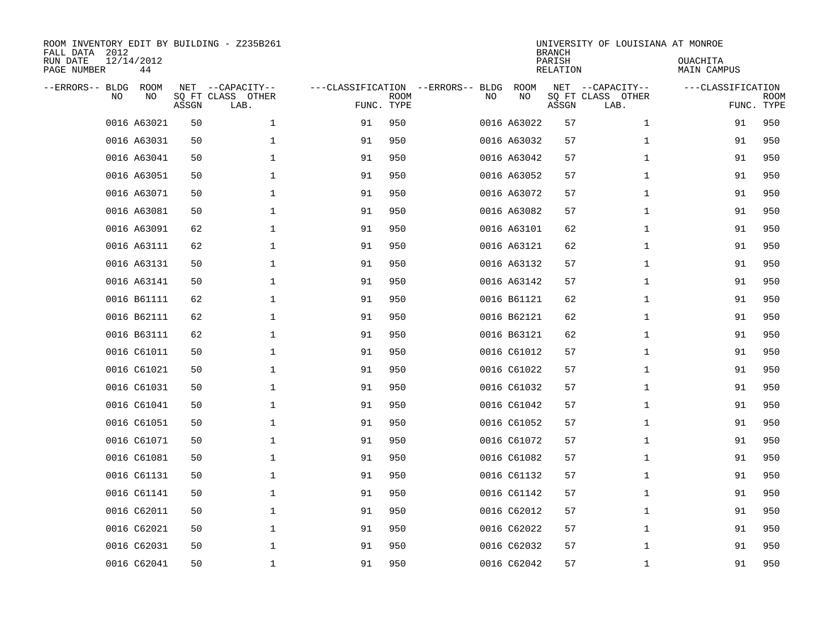| ROOM INVENTORY EDIT BY BUILDING - Z235B261<br>FALL DATA 2012<br>RUN DATE<br>PAGE NUMBER | 12/14/2012<br>44 |       |                                               |                                   |                           |    |             | <b>BRANCH</b><br>PARISH<br><b>RELATION</b> | UNIVERSITY OF LOUISIANA AT MONROE             | OUACHITA<br>MAIN CAMPUS |                           |
|-----------------------------------------------------------------------------------------|------------------|-------|-----------------------------------------------|-----------------------------------|---------------------------|----|-------------|--------------------------------------------|-----------------------------------------------|-------------------------|---------------------------|
| --ERRORS-- BLDG<br>NO                                                                   | ROOM<br>NO       | ASSGN | NET --CAPACITY--<br>SQ FT CLASS OTHER<br>LAB. | ---CLASSIFICATION --ERRORS-- BLDG | <b>ROOM</b><br>FUNC. TYPE | NO | ROOM<br>NO  | ASSGN                                      | NET --CAPACITY--<br>SQ FT CLASS OTHER<br>LAB. | ---CLASSIFICATION       | <b>ROOM</b><br>FUNC. TYPE |
|                                                                                         | 0016 A63021      | 50    | 1                                             | 91                                | 950                       |    | 0016 A63022 | 57                                         | $\mathbf{1}$                                  | 91                      | 950                       |
|                                                                                         | 0016 A63031      | 50    | $\mathbf{1}$                                  | 91                                | 950                       |    | 0016 A63032 | 57                                         | $\mathbf{1}$                                  | 91                      | 950                       |
|                                                                                         | 0016 A63041      | 50    | $\mathbf 1$                                   | 91                                | 950                       |    | 0016 A63042 | 57                                         | $\mathbf{1}$                                  | 91                      | 950                       |
|                                                                                         | 0016 A63051      | 50    | $\mathbf 1$                                   | 91                                | 950                       |    | 0016 A63052 | 57                                         | $\mathbf{1}$                                  | 91                      | 950                       |
|                                                                                         | 0016 A63071      | 50    | $\mathbf 1$                                   | 91                                | 950                       |    | 0016 A63072 | 57                                         | $\mathbf{1}$                                  | 91                      | 950                       |
|                                                                                         | 0016 A63081      | 50    | $\mathbf 1$                                   | 91                                | 950                       |    | 0016 A63082 | 57                                         | $\mathbf{1}$                                  | 91                      | 950                       |
|                                                                                         | 0016 A63091      | 62    | $\mathbf{1}$                                  | 91                                | 950                       |    | 0016 A63101 | 62                                         | $\mathbf{1}$                                  | 91                      | 950                       |
|                                                                                         | 0016 A63111      | 62    | $\mathbf 1$                                   | 91                                | 950                       |    | 0016 A63121 | 62                                         | $\mathbf{1}$                                  | 91                      | 950                       |
|                                                                                         | 0016 A63131      | 50    | $\mathbf 1$                                   | 91                                | 950                       |    | 0016 A63132 | 57                                         | $\mathbf{1}$                                  | 91                      | 950                       |
|                                                                                         | 0016 A63141      | 50    | $\mathbf{1}$                                  | 91                                | 950                       |    | 0016 A63142 | 57                                         | $\mathbf{1}$                                  | 91                      | 950                       |
|                                                                                         | 0016 B61111      | 62    | $\mathbf 1$                                   | 91                                | 950                       |    | 0016 B61121 | 62                                         | $\mathbf{1}$                                  | 91                      | 950                       |
|                                                                                         | 0016 B62111      | 62    | $\mathbf 1$                                   | 91                                | 950                       |    | 0016 B62121 | 62                                         | $\mathbf{1}$                                  | 91                      | 950                       |
|                                                                                         | 0016 B63111      | 62    | $\mathbf 1$                                   | 91                                | 950                       |    | 0016 B63121 | 62                                         | $\mathbf{1}$                                  | 91                      | 950                       |
|                                                                                         | 0016 C61011      | 50    | $\mathbf 1$                                   | 91                                | 950                       |    | 0016 C61012 | 57                                         | $\mathbf{1}$                                  | 91                      | 950                       |
|                                                                                         | 0016 C61021      | 50    | $\mathbf 1$                                   | 91                                | 950                       |    | 0016 C61022 | 57                                         | $\mathbf{1}$                                  | 91                      | 950                       |
|                                                                                         | 0016 C61031      | 50    | $\mathbf 1$                                   | 91                                | 950                       |    | 0016 C61032 | 57                                         | $\mathbf{1}$                                  | 91                      | 950                       |
|                                                                                         | 0016 C61041      | 50    | 1                                             | 91                                | 950                       |    | 0016 C61042 | 57                                         | $\mathbf{1}$                                  | 91                      | 950                       |
|                                                                                         | 0016 C61051      | 50    | $\mathbf 1$                                   | 91                                | 950                       |    | 0016 C61052 | 57                                         | $\mathbf{1}$                                  | 91                      | 950                       |
|                                                                                         | 0016 C61071      | 50    | $\mathbf{1}$                                  | 91                                | 950                       |    | 0016 C61072 | 57                                         | $\mathbf{1}$                                  | 91                      | 950                       |
|                                                                                         | 0016 C61081      | 50    | $\mathbf 1$                                   | 91                                | 950                       |    | 0016 C61082 | 57                                         | $\mathbf{1}$                                  | 91                      | 950                       |
|                                                                                         | 0016 C61131      | 50    | $\mathbf 1$                                   | 91                                | 950                       |    | 0016 C61132 | 57                                         | $\mathbf{1}$                                  | 91                      | 950                       |
|                                                                                         | 0016 C61141      | 50    | $\mathbf 1$                                   | 91                                | 950                       |    | 0016 C61142 | 57                                         | $\mathbf{1}$                                  | 91                      | 950                       |
|                                                                                         | 0016 C62011      | 50    | $\mathbf 1$                                   | 91                                | 950                       |    | 0016 C62012 | 57                                         | $\mathbf{1}$                                  | 91                      | 950                       |
|                                                                                         | 0016 C62021      | 50    | $\mathbf 1$                                   | 91                                | 950                       |    | 0016 C62022 | 57                                         | $\mathbf{1}$                                  | 91                      | 950                       |
|                                                                                         | 0016 C62031      | 50    | $\mathbf 1$                                   | 91                                | 950                       |    | 0016 C62032 | 57                                         | $\mathbf{1}$                                  | 91                      | 950                       |
|                                                                                         | 0016 C62041      | 50    | $\mathbf{1}$                                  | 91                                | 950                       |    | 0016 C62042 | 57                                         | $\mathbf{1}$                                  | 91                      | 950                       |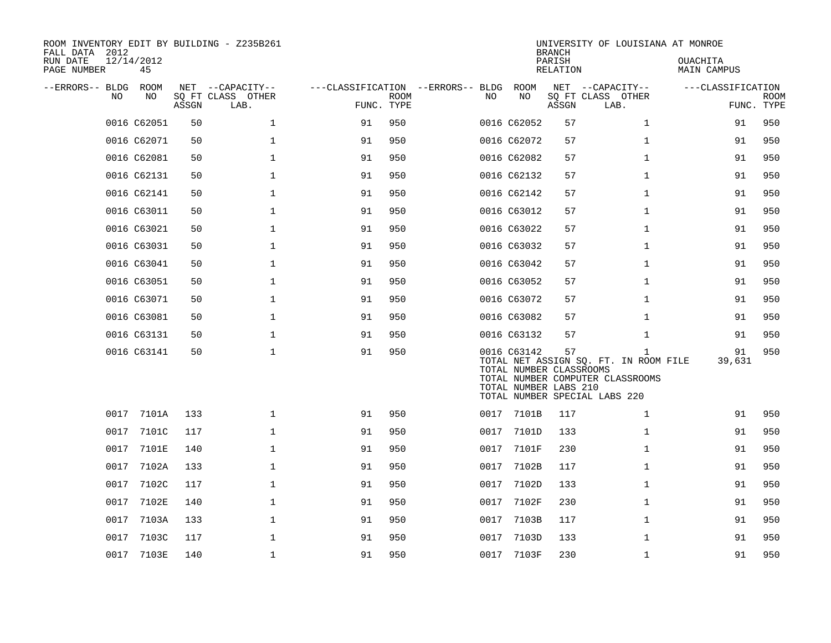| ROOM INVENTORY EDIT BY BUILDING - Z235B261<br>FALL DATA 2012<br>RUN DATE | 12/14/2012  |       |                           |                                   |             |      |                                                                 | <b>BRANCH</b><br>PARISH | UNIVERSITY OF LOUISIANA AT MONROE                                                                                          | OUACHITA          |                           |
|--------------------------------------------------------------------------|-------------|-------|---------------------------|-----------------------------------|-------------|------|-----------------------------------------------------------------|-------------------------|----------------------------------------------------------------------------------------------------------------------------|-------------------|---------------------------|
| PAGE NUMBER                                                              | 45          |       |                           |                                   |             |      |                                                                 | RELATION                |                                                                                                                            | MAIN CAMPUS       |                           |
| --ERRORS-- BLDG ROOM                                                     |             |       | NET --CAPACITY--          | ---CLASSIFICATION --ERRORS-- BLDG |             |      | ROOM                                                            |                         | NET --CAPACITY--                                                                                                           | ---CLASSIFICATION |                           |
| NO.                                                                      | NO          | ASSGN | SO FT CLASS OTHER<br>LAB. | FUNC. TYPE                        | <b>ROOM</b> | NO   | NO                                                              | ASSGN                   | SQ FT CLASS OTHER<br>LAB.                                                                                                  |                   | <b>ROOM</b><br>FUNC. TYPE |
|                                                                          | 0016 C62051 | 50    | $\mathbf{1}$              | 91                                | 950         |      | 0016 C62052                                                     | 57                      | $\mathbf{1}$                                                                                                               | 91                | 950                       |
|                                                                          | 0016 C62071 | 50    | $\mathbf 1$               | 91                                | 950         |      | 0016 C62072                                                     | 57                      | $\mathbf{1}$                                                                                                               | 91                | 950                       |
|                                                                          | 0016 C62081 | 50    | $\mathbf 1$               | 91                                | 950         |      | 0016 C62082                                                     | 57                      | $\mathbf{1}$                                                                                                               | 91                | 950                       |
|                                                                          | 0016 C62131 | 50    | $\mathbf{1}$              | 91                                | 950         |      | 0016 C62132                                                     | 57                      | $\mathbf{1}$                                                                                                               | 91                | 950                       |
|                                                                          | 0016 C62141 | 50    | $\mathbf 1$               | 91                                | 950         |      | 0016 C62142                                                     | 57                      | $\mathbf{1}$                                                                                                               | 91                | 950                       |
|                                                                          | 0016 C63011 | 50    | $\mathbf{1}$              | 91                                | 950         |      | 0016 C63012                                                     | 57                      | $\mathbf{1}$                                                                                                               | 91                | 950                       |
|                                                                          | 0016 C63021 | 50    | $\mathbf{1}$              | 91                                | 950         |      | 0016 C63022                                                     | 57                      | $\mathbf{1}$                                                                                                               | 91                | 950                       |
|                                                                          | 0016 C63031 | 50    | $\mathbf 1$               | 91                                | 950         |      | 0016 C63032                                                     | 57                      | $\mathbf{1}$                                                                                                               | 91                | 950                       |
|                                                                          | 0016 C63041 | 50    | $\mathbf{1}$              | 91                                | 950         |      | 0016 C63042                                                     | 57                      | $\mathbf{1}$                                                                                                               | 91                | 950                       |
|                                                                          | 0016 C63051 | 50    | $\mathbf 1$               | 91                                | 950         |      | 0016 C63052                                                     | 57                      | $\mathbf{1}$                                                                                                               | 91                | 950                       |
|                                                                          | 0016 C63071 | 50    | $\mathbf 1$               | 91                                | 950         |      | 0016 C63072                                                     | 57                      | $\mathbf{1}$                                                                                                               | 91                | 950                       |
|                                                                          | 0016 C63081 | 50    | $\mathbf 1$               | 91                                | 950         |      | 0016 C63082                                                     | 57                      | $\mathbf{1}$                                                                                                               | 91                | 950                       |
|                                                                          | 0016 C63131 | 50    | $\mathbf 1$               | 91                                | 950         |      | 0016 C63132                                                     | 57                      | $\mathbf{1}$                                                                                                               | 91                | 950                       |
|                                                                          | 0016 C63141 | 50    | $\mathbf{1}$              | 91                                | 950         |      | 0016 C63142<br>TOTAL NUMBER CLASSROOMS<br>TOTAL NUMBER LABS 210 | 57                      | $\mathbf{1}$<br>TOTAL NET ASSIGN SQ. FT. IN ROOM FILE<br>TOTAL NUMBER COMPUTER CLASSROOMS<br>TOTAL NUMBER SPECIAL LABS 220 | 91<br>39,631      | 950                       |
|                                                                          | 0017 7101A  | 133   | $\mathbf 1$               | 91                                | 950         |      | 0017 7101B                                                      | 117                     | $\mathbf{1}$                                                                                                               | 91                | 950                       |
| 0017                                                                     | 7101C       | 117   | $\mathbf 1$               | 91                                | 950         | 0017 | 7101D                                                           | 133                     | $\mathbf{1}$                                                                                                               | 91                | 950                       |
| 0017                                                                     | 7101E       | 140   | $\mathbf 1$               | 91                                | 950         | 0017 | 7101F                                                           | 230                     | $\mathbf{1}$                                                                                                               | 91                | 950                       |
| 0017                                                                     | 7102A       | 133   | $\mathbf 1$               | 91                                | 950         | 0017 | 7102B                                                           | 117                     | $\mathbf{1}$                                                                                                               | 91                | 950                       |
| 0017                                                                     | 7102C       | 117   | $\mathbf 1$               | 91                                | 950         | 0017 | 7102D                                                           | 133                     | $\mathbf{1}$                                                                                                               | 91                | 950                       |
| 0017                                                                     | 7102E       | 140   | $\mathbf 1$               | 91                                | 950         | 0017 | 7102F                                                           | 230                     | $\mathbf{1}$                                                                                                               | 91                | 950                       |
| 0017                                                                     | 7103A       | 133   | $\mathbf 1$               | 91                                | 950         | 0017 | 7103B                                                           | 117                     | $\mathbf{1}$                                                                                                               | 91                | 950                       |
| 0017                                                                     | 7103C       | 117   | $\mathbf 1$               | 91                                | 950         | 0017 | 7103D                                                           | 133                     | $\mathbf{1}$                                                                                                               | 91                | 950                       |
|                                                                          | 0017 7103E  | 140   | $\mathbf 1$               | 91                                | 950         | 0017 | 7103F                                                           | 230                     | $\mathbf{1}$                                                                                                               | 91                | 950                       |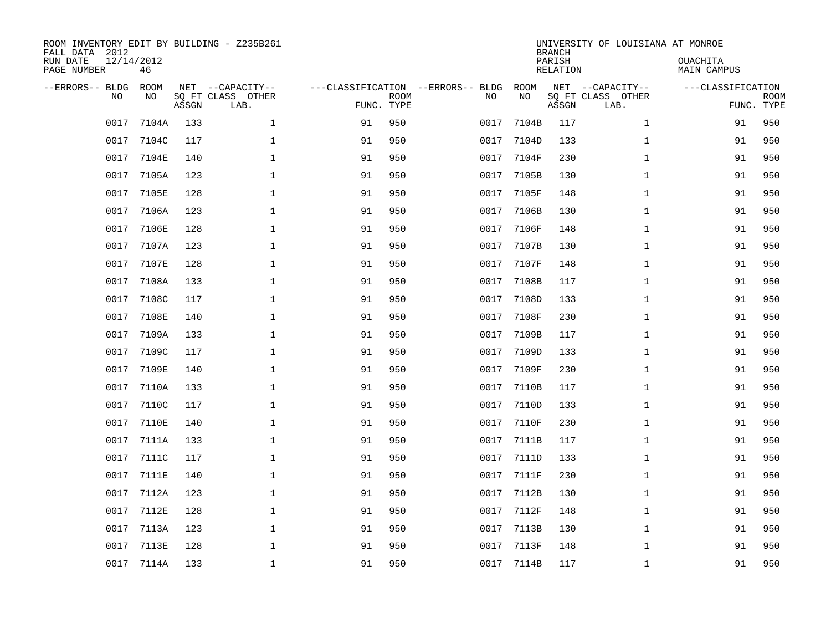| ROOM INVENTORY EDIT BY BUILDING - Z235B261<br>FALL DATA 2012<br>RUN DATE<br>PAGE NUMBER | 12/14/2012<br>46 |       |                                               |                                   |                           |      |            | <b>BRANCH</b><br>PARISH<br><b>RELATION</b> | UNIVERSITY OF LOUISIANA AT MONROE             | OUACHITA<br><b>MAIN CAMPUS</b>  |             |
|-----------------------------------------------------------------------------------------|------------------|-------|-----------------------------------------------|-----------------------------------|---------------------------|------|------------|--------------------------------------------|-----------------------------------------------|---------------------------------|-------------|
| --ERRORS-- BLDG<br>NO                                                                   | ROOM<br>NO       | ASSGN | NET --CAPACITY--<br>SQ FT CLASS OTHER<br>LAB. | ---CLASSIFICATION --ERRORS-- BLDG | <b>ROOM</b><br>FUNC. TYPE | NO   | ROOM<br>NO | ASSGN                                      | NET --CAPACITY--<br>SQ FT CLASS OTHER<br>LAB. | ---CLASSIFICATION<br>FUNC. TYPE | <b>ROOM</b> |
| 0017                                                                                    | 7104A            | 133   | $\mathbf{1}$                                  | 91                                | 950                       | 0017 | 7104B      | 117                                        | $\mathbf{1}$                                  | 91                              | 950         |
| 0017                                                                                    | 7104C            | 117   | $\mathbf 1$                                   | 91                                | 950                       | 0017 | 7104D      | 133                                        | $\mathbf{1}$                                  | 91                              | 950         |
| 0017                                                                                    | 7104E            | 140   | $\mathbf 1$                                   | 91                                | 950                       | 0017 | 7104F      | 230                                        | $\mathbf{1}$                                  | 91                              | 950         |
| 0017                                                                                    | 7105A            | 123   | $\mathbf 1$                                   | 91                                | 950                       | 0017 | 7105B      | 130                                        | $\mathbf{1}$                                  | 91                              | 950         |
| 0017                                                                                    | 7105E            | 128   | $\mathbf 1$                                   | 91                                | 950                       | 0017 | 7105F      | 148                                        | $\mathbf{1}$                                  | 91                              | 950         |
| 0017                                                                                    | 7106A            | 123   | $\mathbf 1$                                   | 91                                | 950                       | 0017 | 7106B      | 130                                        | $\mathbf{1}$                                  | 91                              | 950         |
| 0017                                                                                    | 7106E            | 128   | $\mathbf{1}$                                  | 91                                | 950                       | 0017 | 7106F      | 148                                        | $\mathbf{1}$                                  | 91                              | 950         |
| 0017                                                                                    | 7107A            | 123   | $\mathbf 1$                                   | 91                                | 950                       | 0017 | 7107B      | 130                                        | $\mathbf{1}$                                  | 91                              | 950         |
| 0017                                                                                    | 7107E            | 128   | $\mathbf 1$                                   | 91                                | 950                       | 0017 | 7107F      | 148                                        | $\mathbf{1}$                                  | 91                              | 950         |
| 0017                                                                                    | 7108A            | 133   | $\mathbf 1$                                   | 91                                | 950                       | 0017 | 7108B      | 117                                        | $\mathbf{1}$                                  | 91                              | 950         |
| 0017                                                                                    | 7108C            | 117   | $\mathbf{1}$                                  | 91                                | 950                       | 0017 | 7108D      | 133                                        | $\mathbf{1}$                                  | 91                              | 950         |
| 0017                                                                                    | 7108E            | 140   | $\mathbf 1$                                   | 91                                | 950                       | 0017 | 7108F      | 230                                        | $\mathbf{1}$                                  | 91                              | 950         |
| 0017                                                                                    | 7109A            | 133   | $\mathbf{1}$                                  | 91                                | 950                       | 0017 | 7109B      | 117                                        | $\mathbf{1}$                                  | 91                              | 950         |
| 0017                                                                                    | 7109C            | 117   | $\mathbf{1}$                                  | 91                                | 950                       | 0017 | 7109D      | 133                                        | $\mathbf{1}$                                  | 91                              | 950         |
| 0017                                                                                    | 7109E            | 140   | 1                                             | 91                                | 950                       | 0017 | 7109F      | 230                                        | $\mathbf{1}$                                  | 91                              | 950         |
| 0017                                                                                    | 7110A            | 133   | $\mathbf 1$                                   | 91                                | 950                       | 0017 | 7110B      | 117                                        | $\mathbf{1}$                                  | 91                              | 950         |
| 0017                                                                                    | 7110C            | 117   | $\mathbf 1$                                   | 91                                | 950                       | 0017 | 7110D      | 133                                        | $\mathbf{1}$                                  | 91                              | 950         |
| 0017                                                                                    | 7110E            | 140   | $\mathbf 1$                                   | 91                                | 950                       | 0017 | 7110F      | 230                                        | $\mathbf{1}$                                  | 91                              | 950         |
| 0017                                                                                    | 7111A            | 133   | $\mathbf 1$                                   | 91                                | 950                       | 0017 | 7111B      | 117                                        | $\mathbf{1}$                                  | 91                              | 950         |
| 0017                                                                                    | 7111C            | 117   | $\mathbf 1$                                   | 91                                | 950                       | 0017 | 7111D      | 133                                        | $\mathbf{1}$                                  | 91                              | 950         |
| 0017                                                                                    | 7111E            | 140   | $\mathbf{1}$                                  | 91                                | 950                       | 0017 | 7111F      | 230                                        | $\mathbf{1}$                                  | 91                              | 950         |
| 0017                                                                                    | 7112A            | 123   | $\mathbf{1}$                                  | 91                                | 950                       | 0017 | 7112B      | 130                                        | $\mathbf{1}$                                  | 91                              | 950         |
| 0017                                                                                    | 7112E            | 128   | $\mathbf{1}$                                  | 91                                | 950                       | 0017 | 7112F      | 148                                        | $\mathbf{1}$                                  | 91                              | 950         |
| 0017                                                                                    | 7113A            | 123   | $\mathbf 1$                                   | 91                                | 950                       | 0017 | 7113B      | 130                                        | $\mathbf{1}$                                  | 91                              | 950         |
| 0017                                                                                    | 7113E            | 128   | $\mathbf 1$                                   | 91                                | 950                       | 0017 | 7113F      | 148                                        | $\mathbf{1}$                                  | 91                              | 950         |
|                                                                                         | 0017 7114A       | 133   | $\mathbf 1$                                   | 91                                | 950                       |      | 0017 7114B | 117                                        | $\mathbf{1}$                                  | 91                              | 950         |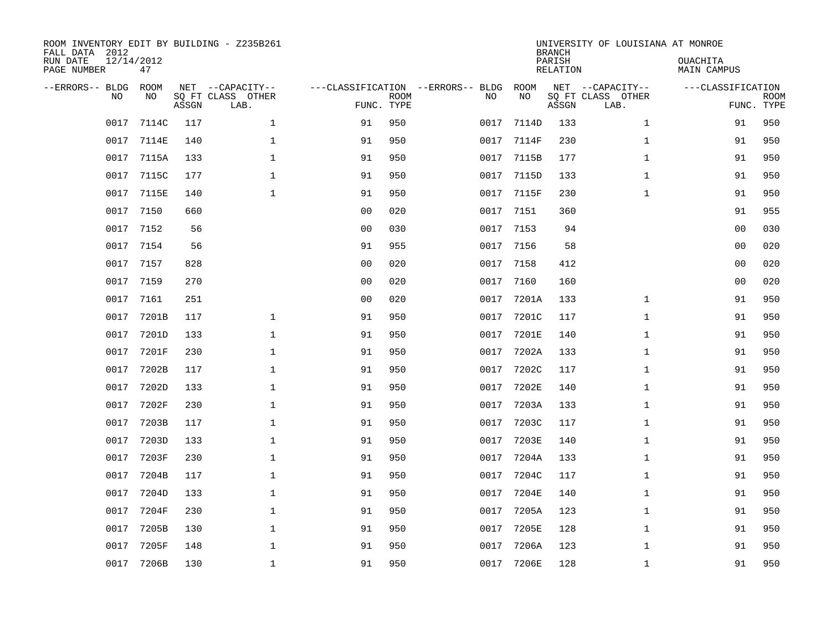| ROOM INVENTORY EDIT BY BUILDING - Z235B261<br>FALL DATA 2012<br>RUN DATE<br>PAGE NUMBER | 12/14/2012<br>47 |       |                                               |                                                 |             |      |            | <b>BRANCH</b><br>PARISH<br><b>RELATION</b> | UNIVERSITY OF LOUISIANA AT MONROE             | OUACHITA<br><b>MAIN CAMPUS</b>  |             |
|-----------------------------------------------------------------------------------------|------------------|-------|-----------------------------------------------|-------------------------------------------------|-------------|------|------------|--------------------------------------------|-----------------------------------------------|---------------------------------|-------------|
| --ERRORS-- BLDG<br>NO                                                                   | ROOM<br>NO       | ASSGN | NET --CAPACITY--<br>SQ FT CLASS OTHER<br>LAB. | ---CLASSIFICATION --ERRORS-- BLDG<br>FUNC. TYPE | <b>ROOM</b> | NO   | ROOM<br>NO | ASSGN                                      | NET --CAPACITY--<br>SQ FT CLASS OTHER<br>LAB. | ---CLASSIFICATION<br>FUNC. TYPE | <b>ROOM</b> |
| 0017                                                                                    | 7114C            | 117   | $\mathbf 1$                                   | 91                                              | 950         | 0017 | 7114D      | 133                                        | $\mathbf{1}$                                  | 91                              | 950         |
| 0017                                                                                    | 7114E            | 140   | 1                                             | 91                                              | 950         | 0017 | 7114F      | 230                                        | $\mathbf{1}$                                  | 91                              | 950         |
| 0017                                                                                    | 7115A            | 133   | 1                                             | 91                                              | 950         | 0017 | 7115B      | 177                                        | $\mathbf{1}$                                  | 91                              | 950         |
| 0017                                                                                    | 7115C            | 177   | $\mathbf 1$                                   | 91                                              | 950         |      | 0017 7115D | 133                                        | $\mathbf{1}$                                  | 91                              | 950         |
| 0017                                                                                    | 7115E            | 140   | $\mathbf{1}$                                  | 91                                              | 950         | 0017 | 7115F      | 230                                        | $\mathbf{1}$                                  | 91                              | 950         |
| 0017                                                                                    | 7150             | 660   |                                               | 0 <sub>0</sub>                                  | 020         | 0017 | 7151       | 360                                        |                                               | 91                              | 955         |
| 0017                                                                                    | 7152             | 56    |                                               | 0 <sub>0</sub>                                  | 030         | 0017 | 7153       | 94                                         |                                               | 00                              | 030         |
| 0017                                                                                    | 7154             | 56    |                                               | 91                                              | 955         | 0017 | 7156       | 58                                         |                                               | 0 <sub>0</sub>                  | 020         |
| 0017                                                                                    | 7157             | 828   |                                               | 0 <sub>0</sub>                                  | 020         | 0017 | 7158       | 412                                        |                                               | 0 <sub>0</sub>                  | 020         |
| 0017                                                                                    | 7159             | 270   |                                               | 0 <sub>0</sub>                                  | 020         | 0017 | 7160       | 160                                        |                                               | 0 <sub>0</sub>                  | 020         |
| 0017                                                                                    | 7161             | 251   |                                               | 0 <sub>0</sub>                                  | 020         | 0017 | 7201A      | 133                                        | $\mathbf{1}$                                  | 91                              | 950         |
| 0017                                                                                    | 7201B            | 117   | $\mathbf{1}$                                  | 91                                              | 950         | 0017 | 7201C      | 117                                        | $\mathbf{1}$                                  | 91                              | 950         |
| 0017                                                                                    | 7201D            | 133   | $\mathbf 1$                                   | 91                                              | 950         | 0017 | 7201E      | 140                                        | $\mathbf{1}$                                  | 91                              | 950         |
| 0017                                                                                    | 7201F            | 230   | $\mathbf 1$                                   | 91                                              | 950         | 0017 | 7202A      | 133                                        | $\mathbf{1}$                                  | 91                              | 950         |
| 0017                                                                                    | 7202B            | 117   | 1                                             | 91                                              | 950         | 0017 | 7202C      | 117                                        | $\mathbf{1}$                                  | 91                              | 950         |
| 0017                                                                                    | 7202D            | 133   | $\mathbf{1}$                                  | 91                                              | 950         | 0017 | 7202E      | 140                                        | $\mathbf{1}$                                  | 91                              | 950         |
| 0017                                                                                    | 7202F            | 230   | $\mathbf 1$                                   | 91                                              | 950         | 0017 | 7203A      | 133                                        | $\mathbf{1}$                                  | 91                              | 950         |
| 0017                                                                                    | 7203B            | 117   | $\mathbf{1}$                                  | 91                                              | 950         | 0017 | 7203C      | 117                                        | $\mathbf{1}$                                  | 91                              | 950         |
| 0017                                                                                    | 7203D            | 133   | $\mathbf{1}$                                  | 91                                              | 950         | 0017 | 7203E      | 140                                        | $\mathbf{1}$                                  | 91                              | 950         |
| 0017                                                                                    | 7203F            | 230   | $\mathbf 1$                                   | 91                                              | 950         | 0017 | 7204A      | 133                                        | $\mathbf{1}$                                  | 91                              | 950         |
| 0017                                                                                    | 7204B            | 117   | 1                                             | 91                                              | 950         | 0017 | 7204C      | 117                                        | $\mathbf{1}$                                  | 91                              | 950         |
| 0017                                                                                    | 7204D            | 133   | $\mathbf 1$                                   | 91                                              | 950         | 0017 | 7204E      | 140                                        | $\mathbf{1}$                                  | 91                              | 950         |
| 0017                                                                                    | 7204F            | 230   | 1                                             | 91                                              | 950         | 0017 | 7205A      | 123                                        | $\mathbf{1}$                                  | 91                              | 950         |
| 0017                                                                                    | 7205B            | 130   | $\mathbf 1$                                   | 91                                              | 950         | 0017 | 7205E      | 128                                        | $\mathbf{1}$                                  | 91                              | 950         |
| 0017                                                                                    | 7205F            | 148   | $\mathbf{1}$                                  | 91                                              | 950         | 0017 | 7206A      | 123                                        | $\mathbf{1}$                                  | 91                              | 950         |
|                                                                                         | 0017 7206B       | 130   | $\mathbf{1}$                                  | 91                                              | 950         | 0017 | 7206E      | 128                                        | $\mathbf{1}$                                  | 91                              | 950         |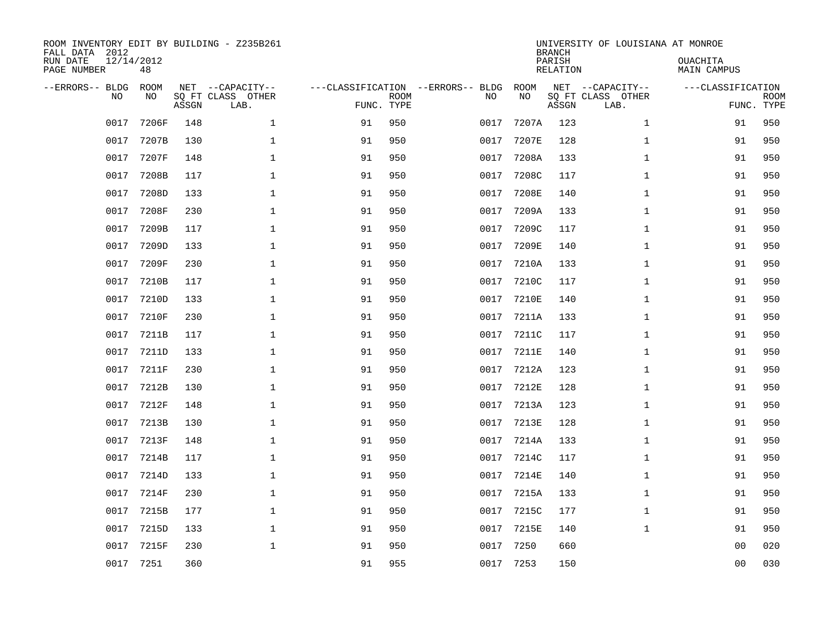| ROOM INVENTORY EDIT BY BUILDING - Z235B261<br>FALL DATA 2012<br>RUN DATE<br>PAGE NUMBER | 12/14/2012<br>48  |       |                                               |                                                 |             |           |            | <b>BRANCH</b><br>PARISH<br><b>RELATION</b> | UNIVERSITY OF LOUISIANA AT MONROE             | OUACHITA<br><b>MAIN CAMPUS</b>  |             |
|-----------------------------------------------------------------------------------------|-------------------|-------|-----------------------------------------------|-------------------------------------------------|-------------|-----------|------------|--------------------------------------------|-----------------------------------------------|---------------------------------|-------------|
| --ERRORS-- BLDG<br>NO                                                                   | <b>ROOM</b><br>NO | ASSGN | NET --CAPACITY--<br>SQ FT CLASS OTHER<br>LAB. | ---CLASSIFICATION --ERRORS-- BLDG<br>FUNC. TYPE | <b>ROOM</b> | NO        | ROOM<br>NO | ASSGN                                      | NET --CAPACITY--<br>SQ FT CLASS OTHER<br>LAB. | ---CLASSIFICATION<br>FUNC. TYPE | <b>ROOM</b> |
| 0017                                                                                    | 7206F             | 148   | $\mathbf{1}$                                  | 91                                              | 950         | 0017      | 7207A      | 123                                        | $\mathbf{1}$                                  | 91                              | 950         |
| 0017                                                                                    | 7207B             | 130   | 1                                             | 91                                              | 950         | 0017      | 7207E      | 128                                        | $\mathbf{1}$                                  | 91                              | 950         |
| 0017                                                                                    | 7207F             | 148   | $\mathbf 1$                                   | 91                                              | 950         | 0017      | 7208A      | 133                                        | $\mathbf{1}$                                  | 91                              | 950         |
| 0017                                                                                    | 7208B             | 117   | $\mathbf 1$                                   | 91                                              | 950         | 0017      | 7208C      | 117                                        | $\mathbf{1}$                                  | 91                              | 950         |
| 0017                                                                                    | 7208D             | 133   | $\mathbf{1}$                                  | 91                                              | 950         | 0017      | 7208E      | 140                                        | $\mathbf{1}$                                  | 91                              | 950         |
| 0017                                                                                    | 7208F             | 230   | $\mathbf 1$                                   | 91                                              | 950         | 0017      | 7209A      | 133                                        | $\mathbf{1}$                                  | 91                              | 950         |
| 0017                                                                                    | 7209B             | 117   | $\mathbf{1}$                                  | 91                                              | 950         | 0017      | 7209C      | 117                                        | $\mathbf{1}$                                  | 91                              | 950         |
| 0017                                                                                    | 7209D             | 133   | $\mathbf{1}$                                  | 91                                              | 950         | 0017      | 7209E      | 140                                        | $\mathbf{1}$                                  | 91                              | 950         |
| 0017                                                                                    | 7209F             | 230   | $\mathbf{1}$                                  | 91                                              | 950         | 0017      | 7210A      | 133                                        | $\mathbf{1}$                                  | 91                              | 950         |
| 0017                                                                                    | 7210B             | 117   | $\mathbf 1$                                   | 91                                              | 950         | 0017      | 7210C      | 117                                        | $\mathbf{1}$                                  | 91                              | 950         |
| 0017                                                                                    | 7210D             | 133   | $\mathbf 1$                                   | 91                                              | 950         | 0017      | 7210E      | 140                                        | $\mathbf{1}$                                  | 91                              | 950         |
| 0017                                                                                    | 7210F             | 230   | $\mathbf 1$                                   | 91                                              | 950         | 0017      | 7211A      | 133                                        | $\mathbf{1}$                                  | 91                              | 950         |
| 0017                                                                                    | 7211B             | 117   | $\mathbf 1$                                   | 91                                              | 950         | 0017      | 7211C      | 117                                        | $\mathbf{1}$                                  | 91                              | 950         |
| 0017                                                                                    | 7211D             | 133   | $\mathbf 1$                                   | 91                                              | 950         | 0017      | 7211E      | 140                                        | $\mathbf{1}$                                  | 91                              | 950         |
| 0017                                                                                    | 7211F             | 230   | $\mathbf 1$                                   | 91                                              | 950         | 0017      | 7212A      | 123                                        | $\mathbf{1}$                                  | 91                              | 950         |
| 0017                                                                                    | 7212B             | 130   | $\mathbf{1}$                                  | 91                                              | 950         | 0017      | 7212E      | 128                                        | $\mathbf{1}$                                  | 91                              | 950         |
| 0017                                                                                    | 7212F             | 148   | $\mathbf{1}$                                  | 91                                              | 950         | 0017      | 7213A      | 123                                        | $\mathbf{1}$                                  | 91                              | 950         |
| 0017                                                                                    | 7213B             | 130   | $\mathbf 1$                                   | 91                                              | 950         | 0017      | 7213E      | 128                                        | $\mathbf{1}$                                  | 91                              | 950         |
| 0017                                                                                    | 7213F             | 148   | 1                                             | 91                                              | 950         | 0017      | 7214A      | 133                                        | $\mathbf{1}$                                  | 91                              | 950         |
| 0017                                                                                    | 7214B             | 117   | 1                                             | 91                                              | 950         | 0017      | 7214C      | 117                                        | $\mathbf{1}$                                  | 91                              | 950         |
| 0017                                                                                    | 7214D             | 133   | 1                                             | 91                                              | 950         | 0017      | 7214E      | 140                                        | $\mathbf{1}$                                  | 91                              | 950         |
| 0017                                                                                    | 7214F             | 230   | $\mathbf 1$                                   | 91                                              | 950         | 0017      | 7215A      | 133                                        | $\mathbf{1}$                                  | 91                              | 950         |
| 0017                                                                                    | 7215B             | 177   | $\mathbf 1$                                   | 91                                              | 950         | 0017      | 7215C      | 177                                        | $\mathbf{1}$                                  | 91                              | 950         |
| 0017                                                                                    | 7215D             | 133   | $\mathbf 1$                                   | 91                                              | 950         | 0017      | 7215E      | 140                                        | $\mathbf{1}$                                  | 91                              | 950         |
| 0017                                                                                    | 7215F             | 230   | $\mathbf{1}$                                  | 91                                              | 950         | 0017      | 7250       | 660                                        |                                               | 0 <sub>0</sub>                  | 020         |
| 0017                                                                                    | 7251              | 360   |                                               | 91                                              | 955         | 0017 7253 |            | 150                                        |                                               | 0 <sub>0</sub>                  | 030         |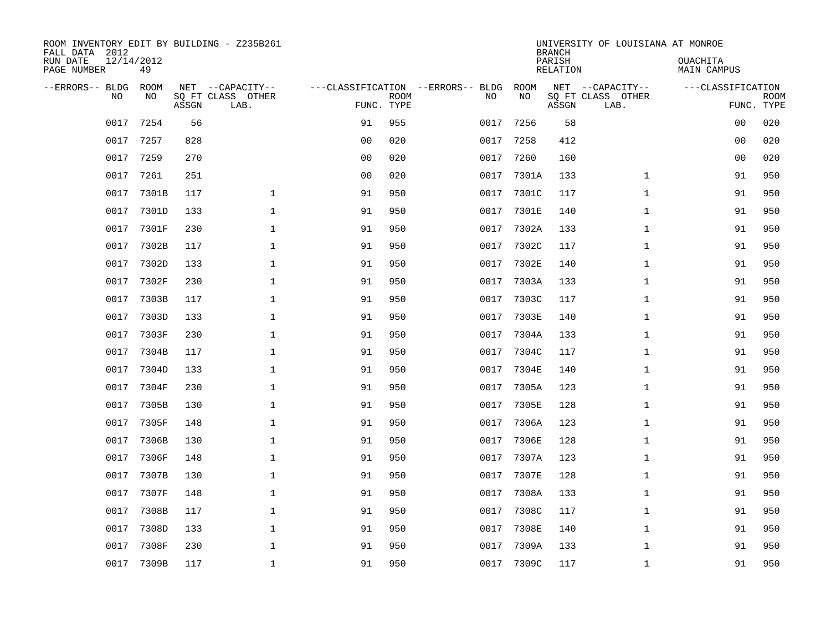| ROOM INVENTORY EDIT BY BUILDING - Z235B261<br>FALL DATA 2012 |                  |       |                           |                                   |             |      |       | <b>BRANCH</b>             | UNIVERSITY OF LOUISIANA AT MONROE |                                |             |
|--------------------------------------------------------------|------------------|-------|---------------------------|-----------------------------------|-------------|------|-------|---------------------------|-----------------------------------|--------------------------------|-------------|
| RUN DATE<br>PAGE NUMBER                                      | 12/14/2012<br>49 |       |                           |                                   |             |      |       | PARISH<br><b>RELATION</b> |                                   | OUACHITA<br><b>MAIN CAMPUS</b> |             |
| --ERRORS-- BLDG                                              | ROOM             |       | NET --CAPACITY--          | ---CLASSIFICATION --ERRORS-- BLDG |             |      | ROOM  |                           | NET --CAPACITY--                  | ---CLASSIFICATION              |             |
| NO                                                           | NO               | ASSGN | SQ FT CLASS OTHER<br>LAB. | FUNC. TYPE                        | <b>ROOM</b> | NO   | NO    | ASSGN                     | SQ FT CLASS OTHER<br>LAB.         | FUNC. TYPE                     | <b>ROOM</b> |
| 0017                                                         | 7254             | 56    |                           | 91                                | 955         | 0017 | 7256  | 58                        |                                   | 00                             | 020         |
| 0017                                                         | 7257             | 828   |                           | 0 <sub>0</sub>                    | 020         | 0017 | 7258  | 412                       |                                   | 00                             | 020         |
| 0017                                                         | 7259             | 270   |                           | 0 <sub>0</sub>                    | 020         | 0017 | 7260  | 160                       |                                   | 00                             | 020         |
| 0017                                                         | 7261             | 251   |                           | 0 <sub>0</sub>                    | 020         | 0017 | 7301A | 133                       | $\mathbf{1}$                      | 91                             | 950         |
| 0017                                                         | 7301B            | 117   | $\mathbf{1}$              | 91                                | 950         | 0017 | 7301C | 117                       | $\mathbf{1}$                      | 91                             | 950         |
| 0017                                                         | 7301D            | 133   | $\mathbf{1}$              | 91                                | 950         | 0017 | 7301E | 140                       | $\mathbf{1}$                      | 91                             | 950         |
| 0017                                                         | 7301F            | 230   | $\mathbf{1}$              | 91                                | 950         | 0017 | 7302A | 133                       | $\mathbf{1}$                      | 91                             | 950         |
| 0017                                                         | 7302B            | 117   | $\mathbf{1}$              | 91                                | 950         | 0017 | 7302C | 117                       | $\mathbf{1}$                      | 91                             | 950         |
| 0017                                                         | 7302D            | 133   | $\mathbf{1}$              | 91                                | 950         | 0017 | 7302E | 140                       | $\mathbf{1}$                      | 91                             | 950         |
| 0017                                                         | 7302F            | 230   | $\mathbf{1}$              | 91                                | 950         | 0017 | 7303A | 133                       | $\mathbf{1}$                      | 91                             | 950         |
| 0017                                                         | 7303B            | 117   | $\mathbf{1}$              | 91                                | 950         | 0017 | 7303C | 117                       | $\mathbf{1}$                      | 91                             | 950         |
| 0017                                                         | 7303D            | 133   | $\mathbf{1}$              | 91                                | 950         | 0017 | 7303E | 140                       | $\mathbf{1}$                      | 91                             | 950         |
| 0017                                                         | 7303F            | 230   | $\mathbf 1$               | 91                                | 950         | 0017 | 7304A | 133                       | $\mathbf{1}$                      | 91                             | 950         |
| 0017                                                         | 7304B            | 117   | $\mathbf 1$               | 91                                | 950         | 0017 | 7304C | 117                       | $\mathbf{1}$                      | 91                             | 950         |
| 0017                                                         | 7304D            | 133   | 1                         | 91                                | 950         | 0017 | 7304E | 140                       | $\mathbf{1}$                      | 91                             | 950         |
| 0017                                                         | 7304F            | 230   | $\mathbf 1$               | 91                                | 950         | 0017 | 7305A | 123                       | $\mathbf{1}$                      | 91                             | 950         |
| 0017                                                         | 7305B            | 130   | $\mathbf 1$               | 91                                | 950         | 0017 | 7305E | 128                       | $\mathbf{1}$                      | 91                             | 950         |
| 0017                                                         | 7305F            | 148   | $\mathbf{1}$              | 91                                | 950         | 0017 | 7306A | 123                       | $\mathbf{1}$                      | 91                             | 950         |
| 0017                                                         | 7306B            | 130   | $\mathbf{1}$              | 91                                | 950         | 0017 | 7306E | 128                       | $\mathbf{1}$                      | 91                             | 950         |
| 0017                                                         | 7306F            | 148   | $\mathbf 1$               | 91                                | 950         | 0017 | 7307A | 123                       | $\mathbf{1}$                      | 91                             | 950         |
| 0017                                                         | 7307B            | 130   | 1                         | 91                                | 950         | 0017 | 7307E | 128                       | $\mathbf{1}$                      | 91                             | 950         |
| 0017                                                         | 7307F            | 148   | $\mathbf 1$               | 91                                | 950         | 0017 | 7308A | 133                       | $\mathbf{1}$                      | 91                             | 950         |
| 0017                                                         | 7308B            | 117   | 1                         | 91                                | 950         | 0017 | 7308C | 117                       | $\mathbf{1}$                      | 91                             | 950         |
| 0017                                                         | 7308D            | 133   | $\mathbf 1$               | 91                                | 950         | 0017 | 7308E | 140                       | $\mathbf{1}$                      | 91                             | 950         |
| 0017                                                         | 7308F            | 230   | $\mathbf{1}$              | 91                                | 950         | 0017 | 7309A | 133                       | $\mathbf{1}$                      | 91                             | 950         |
|                                                              | 0017 7309B       | 117   | $\mathbf{1}$              | 91                                | 950         | 0017 | 7309C | 117                       | $\mathbf{1}$                      | 91                             | 950         |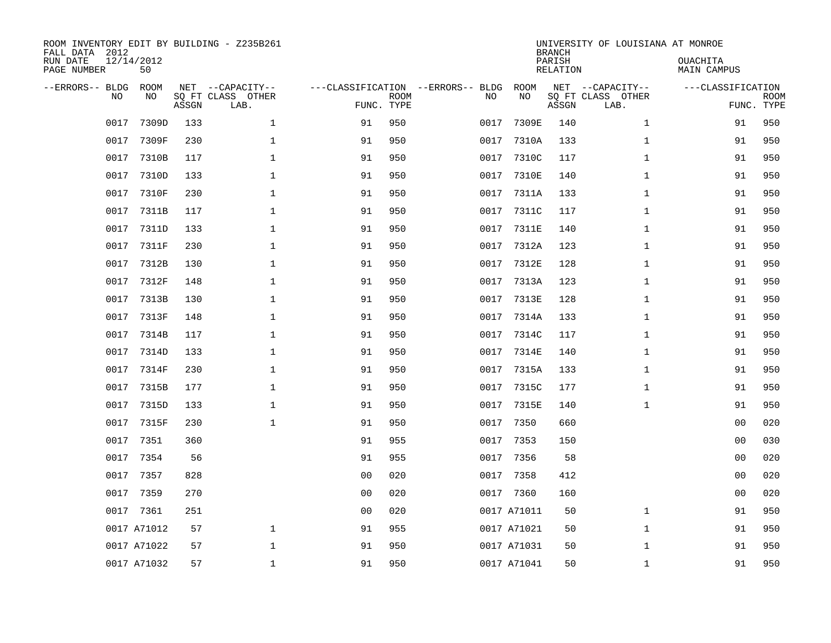| ROOM INVENTORY EDIT BY BUILDING - Z235B261<br>FALL DATA 2012<br>RUN DATE<br>PAGE NUMBER | 12/14/2012<br>50  |       |                                               |                                   |                           |      |              | <b>BRANCH</b><br>PARISH<br><b>RELATION</b> | UNIVERSITY OF LOUISIANA AT MONROE             | OUACHITA<br><b>MAIN CAMPUS</b>  |             |
|-----------------------------------------------------------------------------------------|-------------------|-------|-----------------------------------------------|-----------------------------------|---------------------------|------|--------------|--------------------------------------------|-----------------------------------------------|---------------------------------|-------------|
| --ERRORS-- BLDG<br>NO                                                                   | <b>ROOM</b><br>NO | ASSGN | NET --CAPACITY--<br>SQ FT CLASS OTHER<br>LAB. | ---CLASSIFICATION --ERRORS-- BLDG | <b>ROOM</b><br>FUNC. TYPE | NO   | ROOM<br>NO   | ASSGN                                      | NET --CAPACITY--<br>SQ FT CLASS OTHER<br>LAB. | ---CLASSIFICATION<br>FUNC. TYPE | <b>ROOM</b> |
| 0017                                                                                    | 7309D             | 133   | $\mathbf{1}$                                  | 91                                | 950                       | 0017 | 7309E        | 140                                        | $\mathbf{1}$                                  | 91                              | 950         |
| 0017                                                                                    | 7309F             | 230   | 1                                             | 91                                | 950                       | 0017 | 7310A        | 133                                        | $\mathbf{1}$                                  | 91                              | 950         |
| 0017                                                                                    | 7310B             | 117   | $\mathbf 1$                                   | 91                                | 950                       | 0017 | 7310C        | 117                                        | $\mathbf{1}$                                  | 91                              | 950         |
| 0017                                                                                    | 7310D             | 133   | $\mathbf 1$                                   | 91                                | 950                       | 0017 | <b>7310E</b> | 140                                        | $\mathbf{1}$                                  | 91                              | 950         |
| 0017                                                                                    | 7310F             | 230   | $\mathbf{1}$                                  | 91                                | 950                       | 0017 | 7311A        | 133                                        | $\mathbf{1}$                                  | 91                              | 950         |
| 0017                                                                                    | 7311B             | 117   | $\mathbf 1$                                   | 91                                | 950                       | 0017 | 7311C        | 117                                        | $\mathbf{1}$                                  | 91                              | 950         |
| 0017                                                                                    | 7311D             | 133   | $\mathbf{1}$                                  | 91                                | 950                       | 0017 | 7311E        | 140                                        | $\mathbf{1}$                                  | 91                              | 950         |
| 0017                                                                                    | 7311F             | 230   | $\mathbf{1}$                                  | 91                                | 950                       | 0017 | 7312A        | 123                                        | $\mathbf{1}$                                  | 91                              | 950         |
| 0017                                                                                    | 7312B             | 130   | $\mathbf{1}$                                  | 91                                | 950                       | 0017 | <b>7312E</b> | 128                                        | $\mathbf{1}$                                  | 91                              | 950         |
| 0017                                                                                    | 7312F             | 148   | $\mathbf 1$                                   | 91                                | 950                       | 0017 | 7313A        | 123                                        | $\mathbf{1}$                                  | 91                              | 950         |
| 0017                                                                                    | 7313B             | 130   | $\mathbf 1$                                   | 91                                | 950                       | 0017 | 7313E        | 128                                        | $\mathbf{1}$                                  | 91                              | 950         |
| 0017                                                                                    | 7313F             | 148   | $\mathbf 1$                                   | 91                                | 950                       | 0017 | 7314A        | 133                                        | $\mathbf{1}$                                  | 91                              | 950         |
| 0017                                                                                    | 7314B             | 117   | $\mathbf 1$                                   | 91                                | 950                       | 0017 | 7314C        | 117                                        | $\mathbf{1}$                                  | 91                              | 950         |
| 0017                                                                                    | 7314D             | 133   | $\mathbf 1$                                   | 91                                | 950                       | 0017 | 7314E        | 140                                        | $\mathbf{1}$                                  | 91                              | 950         |
| 0017                                                                                    | 7314F             | 230   | $\mathbf 1$                                   | 91                                | 950                       | 0017 | 7315A        | 133                                        | $\mathbf{1}$                                  | 91                              | 950         |
| 0017                                                                                    | 7315B             | 177   | $\mathbf{1}$                                  | 91                                | 950                       | 0017 | 7315C        | 177                                        | $\mathbf{1}$                                  | 91                              | 950         |
| 0017                                                                                    | 7315D             | 133   | 1                                             | 91                                | 950                       | 0017 | 7315E        | 140                                        | $\mathbf{1}$                                  | 91                              | 950         |
| 0017                                                                                    | 7315F             | 230   | $\mathbf{1}$                                  | 91                                | 950                       | 0017 | 7350         | 660                                        |                                               | 00                              | 020         |
| 0017                                                                                    | 7351              | 360   |                                               | 91                                | 955                       | 0017 | 7353         | 150                                        |                                               | 0 <sub>0</sub>                  | 030         |
| 0017                                                                                    | 7354              | 56    |                                               | 91                                | 955                       | 0017 | 7356         | 58                                         |                                               | 00                              | 020         |
| 0017                                                                                    | 7357              | 828   |                                               | 0 <sub>0</sub>                    | 020                       | 0017 | 7358         | 412                                        |                                               | 00                              | 020         |
| 0017                                                                                    | 7359              | 270   |                                               | 0 <sub>0</sub>                    | 020                       |      | 0017 7360    | 160                                        |                                               | 00                              | 020         |
|                                                                                         | 0017 7361         | 251   |                                               | 0 <sub>0</sub>                    | 020                       |      | 0017 A71011  | 50                                         | $\mathbf{1}$                                  | 91                              | 950         |
|                                                                                         | 0017 A71012       | 57    | $\mathbf{1}$                                  | 91                                | 955                       |      | 0017 A71021  | 50                                         | $\mathbf{1}$                                  | 91                              | 950         |
|                                                                                         | 0017 A71022       | 57    | $\mathbf{1}$                                  | 91                                | 950                       |      | 0017 A71031  | 50                                         | $\mathbf{1}$                                  | 91                              | 950         |
|                                                                                         | 0017 A71032       | 57    | $\mathbf{1}$                                  | 91                                | 950                       |      | 0017 A71041  | 50                                         | $\mathbf{1}$                                  | 91                              | 950         |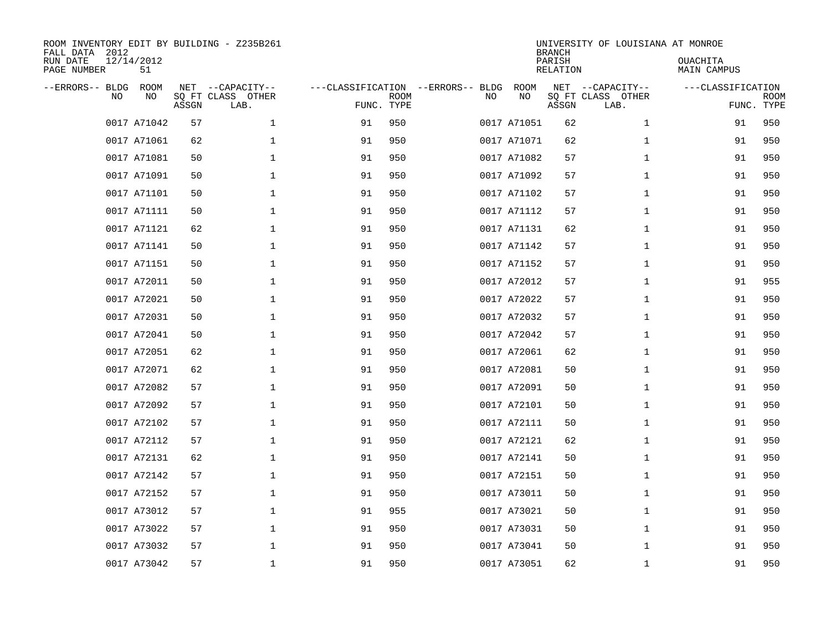| FALL DATA 2012<br>RUN DATE<br>PAGE NUMBER |     | 12/14/2012<br>51 |              | ROOM INVENTORY EDIT BY BUILDING - Z235B261 |                                                 |             |    |             | <b>BRANCH</b><br>PARISH<br>RELATION | UNIVERSITY OF LOUISIANA AT MONROE             | <b>OUACHITA</b><br>MAIN CAMPUS  |             |
|-------------------------------------------|-----|------------------|--------------|--------------------------------------------|-------------------------------------------------|-------------|----|-------------|-------------------------------------|-----------------------------------------------|---------------------------------|-------------|
| --ERRORS-- BLDG                           | NO. | ROOM<br>NO       | NET<br>ASSGN | --CAPACITY--<br>SQ FT CLASS OTHER<br>LAB.  | ---CLASSIFICATION --ERRORS-- BLDG<br>FUNC. TYPE | <b>ROOM</b> | NO | ROOM<br>NO  | ASSGN                               | NET --CAPACITY--<br>SQ FT CLASS OTHER<br>LAB. | ---CLASSIFICATION<br>FUNC. TYPE | <b>ROOM</b> |
|                                           |     | 0017 A71042      | 57           | $\mathbf{1}$                               | 91                                              | 950         |    | 0017 A71051 | 62                                  | $\mathbf{1}$                                  | 91                              | 950         |
|                                           |     | 0017 A71061      | 62           | $\mathbf 1$                                | 91                                              | 950         |    | 0017 A71071 | 62                                  | $\mathbf{1}$                                  | 91                              | 950         |
|                                           |     | 0017 A71081      | 50           | $\mathbf 1$                                | 91                                              | 950         |    | 0017 A71082 | 57                                  | $\mathbf{1}$                                  | 91                              | 950         |
|                                           |     | 0017 A71091      | 50           | $\mathbf{1}$                               | 91                                              | 950         |    | 0017 A71092 | 57                                  | $\mathbf{1}$                                  | 91                              | 950         |
|                                           |     | 0017 A71101      | 50           | $\mathbf{1}$                               | 91                                              | 950         |    | 0017 A71102 | 57                                  | $\mathbf{1}$                                  | 91                              | 950         |
|                                           |     | 0017 A71111      | 50           | $\mathbf{1}$                               | 91                                              | 950         |    | 0017 A71112 | 57                                  | $\mathbf{1}$                                  | 91                              | 950         |
|                                           |     | 0017 A71121      | 62           | $\mathbf{1}$                               | 91                                              | 950         |    | 0017 A71131 | 62                                  | $\mathbf{1}$                                  | 91                              | 950         |
|                                           |     | 0017 A71141      | 50           | $\mathbf 1$                                | 91                                              | 950         |    | 0017 A71142 | 57                                  | $\mathbf{1}$                                  | 91                              | 950         |
|                                           |     | 0017 A71151      | 50           | $\mathbf 1$                                | 91                                              | 950         |    | 0017 A71152 | 57                                  | $\mathbf{1}$                                  | 91                              | 950         |
|                                           |     | 0017 A72011      | 50           | $\mathbf 1$                                | 91                                              | 950         |    | 0017 A72012 | 57                                  | $\mathbf{1}$                                  | 91                              | 955         |
|                                           |     | 0017 A72021      | 50           | $\mathbf 1$                                | 91                                              | 950         |    | 0017 A72022 | 57                                  | $\mathbf{1}$                                  | 91                              | 950         |
|                                           |     | 0017 A72031      | 50           | $\mathbf 1$                                | 91                                              | 950         |    | 0017 A72032 | 57                                  | $\mathbf{1}$                                  | 91                              | 950         |
|                                           |     | 0017 A72041      | 50           | $\mathbf 1$                                | 91                                              | 950         |    | 0017 A72042 | 57                                  | $\mathbf{1}$                                  | 91                              | 950         |
|                                           |     | 0017 A72051      | 62           | $\mathbf 1$                                | 91                                              | 950         |    | 0017 A72061 | 62                                  | $\mathbf{1}$                                  | 91                              | 950         |
|                                           |     | 0017 A72071      | 62           | $\mathbf 1$                                | 91                                              | 950         |    | 0017 A72081 | 50                                  | $\mathbf{1}$                                  | 91                              | 950         |
|                                           |     | 0017 A72082      | 57           | $\mathbf 1$                                | 91                                              | 950         |    | 0017 A72091 | 50                                  | $\mathbf{1}$                                  | 91                              | 950         |
|                                           |     | 0017 A72092      | 57           | $\mathbf 1$                                | 91                                              | 950         |    | 0017 A72101 | 50                                  | $\mathbf{1}$                                  | 91                              | 950         |
|                                           |     | 0017 A72102      | 57           | $\mathbf{1}$                               | 91                                              | 950         |    | 0017 A72111 | 50                                  | $\mathbf{1}$                                  | 91                              | 950         |
|                                           |     | 0017 A72112      | 57           | $\mathbf{1}$                               | 91                                              | 950         |    | 0017 A72121 | 62                                  | $\mathbf{1}$                                  | 91                              | 950         |
|                                           |     | 0017 A72131      | 62           | $\mathbf 1$                                | 91                                              | 950         |    | 0017 A72141 | 50                                  | $\mathbf{1}$                                  | 91                              | 950         |
|                                           |     | 0017 A72142      | 57           | $\mathbf{1}$                               | 91                                              | 950         |    | 0017 A72151 | 50                                  | $\mathbf{1}$                                  | 91                              | 950         |
|                                           |     | 0017 A72152      | 57           | $\mathbf{1}$                               | 91                                              | 950         |    | 0017 A73011 | 50                                  | $\mathbf{1}$                                  | 91                              | 950         |
|                                           |     | 0017 A73012      | 57           | $\mathbf 1$                                | 91                                              | 955         |    | 0017 A73021 | 50                                  | $\mathbf{1}$                                  | 91                              | 950         |
|                                           |     | 0017 A73022      | 57           | $\mathbf 1$                                | 91                                              | 950         |    | 0017 A73031 | 50                                  | $\mathbf{1}$                                  | 91                              | 950         |
|                                           |     | 0017 A73032      | 57           | 1                                          | 91                                              | 950         |    | 0017 A73041 | 50                                  | $\mathbf{1}$                                  | 91                              | 950         |
|                                           |     | 0017 A73042      | 57           | 1                                          | 91                                              | 950         |    | 0017 A73051 | 62                                  | $\mathbf{1}$                                  | 91                              | 950         |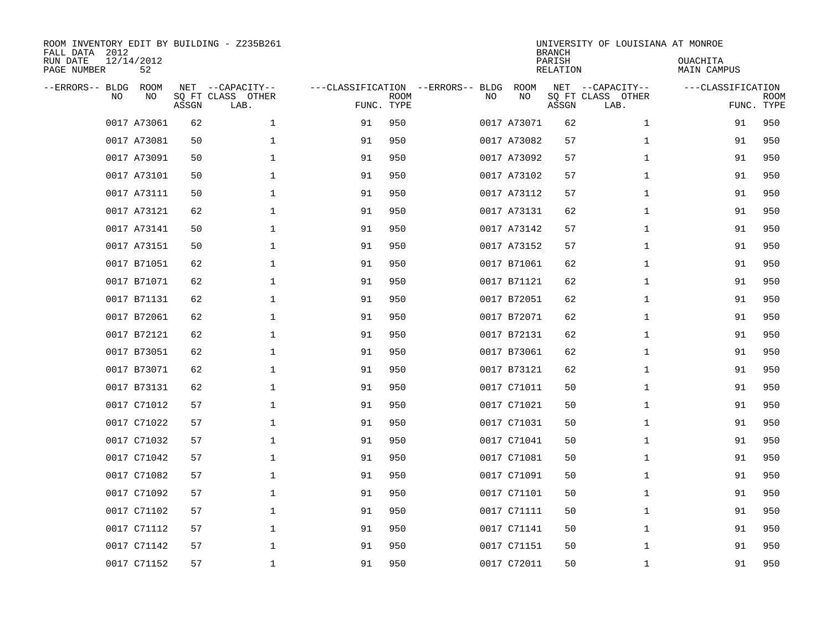| FALL DATA 2012<br>RUN DATE<br>PAGE NUMBER |     | 12/14/2012<br>52 |              | ROOM INVENTORY EDIT BY BUILDING - Z235B261 |                                                 |             |    |             | <b>BRANCH</b><br>PARISH<br>RELATION | UNIVERSITY OF LOUISIANA AT MONROE             | <b>OUACHITA</b><br>MAIN CAMPUS  |             |
|-------------------------------------------|-----|------------------|--------------|--------------------------------------------|-------------------------------------------------|-------------|----|-------------|-------------------------------------|-----------------------------------------------|---------------------------------|-------------|
| --ERRORS-- BLDG                           | NO. | ROOM<br>NO.      | NET<br>ASSGN | --CAPACITY--<br>SO FT CLASS OTHER<br>LAB.  | ---CLASSIFICATION --ERRORS-- BLDG<br>FUNC. TYPE | <b>ROOM</b> | NO | ROOM<br>NO  | ASSGN                               | NET --CAPACITY--<br>SQ FT CLASS OTHER<br>LAB. | ---CLASSIFICATION<br>FUNC. TYPE | <b>ROOM</b> |
|                                           |     | 0017 A73061      | 62           | $\mathbf{1}$                               | 91                                              | 950         |    | 0017 A73071 | 62                                  | $\mathbf{1}$                                  | 91                              | 950         |
|                                           |     | 0017 A73081      | 50           | $\mathbf 1$                                | 91                                              | 950         |    | 0017 A73082 | 57                                  | $\mathbf{1}$                                  | 91                              | 950         |
|                                           |     | 0017 A73091      | 50           | $\mathbf 1$                                | 91                                              | 950         |    | 0017 A73092 | 57                                  | $\mathbf{1}$                                  | 91                              | 950         |
|                                           |     | 0017 A73101      | 50           | $\mathbf{1}$                               | 91                                              | 950         |    | 0017 A73102 | 57                                  | $\mathbf{1}$                                  | 91                              | 950         |
|                                           |     | 0017 A73111      | 50           | $\mathbf{1}$                               | 91                                              | 950         |    | 0017 A73112 | 57                                  | $\mathbf{1}$                                  | 91                              | 950         |
|                                           |     | 0017 A73121      | 62           | $\mathbf{1}$                               | 91                                              | 950         |    | 0017 A73131 | 62                                  | $\mathbf{1}$                                  | 91                              | 950         |
|                                           |     | 0017 A73141      | 50           | $\mathbf{1}$                               | 91                                              | 950         |    | 0017 A73142 | 57                                  | $\mathbf{1}$                                  | 91                              | 950         |
|                                           |     | 0017 A73151      | 50           | $\mathbf 1$                                | 91                                              | 950         |    | 0017 A73152 | 57                                  | $\mathbf{1}$                                  | 91                              | 950         |
|                                           |     | 0017 B71051      | 62           | $\mathbf 1$                                | 91                                              | 950         |    | 0017 B71061 | 62                                  | $\mathbf{1}$                                  | 91                              | 950         |
|                                           |     | 0017 B71071      | 62           | $\mathbf 1$                                | 91                                              | 950         |    | 0017 B71121 | 62                                  | $\mathbf{1}$                                  | 91                              | 950         |
|                                           |     | 0017 B71131      | 62           | $\mathbf 1$                                | 91                                              | 950         |    | 0017 B72051 | 62                                  | $\mathbf{1}$                                  | 91                              | 950         |
|                                           |     | 0017 B72061      | 62           | $\mathbf 1$                                | 91                                              | 950         |    | 0017 B72071 | 62                                  | $\mathbf{1}$                                  | 91                              | 950         |
|                                           |     | 0017 B72121      | 62           | $\mathbf 1$                                | 91                                              | 950         |    | 0017 B72131 | 62                                  | $\mathbf{1}$                                  | 91                              | 950         |
|                                           |     | 0017 B73051      | 62           | $\mathbf 1$                                | 91                                              | 950         |    | 0017 B73061 | 62                                  | $\mathbf{1}$                                  | 91                              | 950         |
|                                           |     | 0017 B73071      | 62           | $\mathbf 1$                                | 91                                              | 950         |    | 0017 B73121 | 62                                  | $\mathbf{1}$                                  | 91                              | 950         |
|                                           |     | 0017 B73131      | 62           | $\mathbf 1$                                | 91                                              | 950         |    | 0017 C71011 | 50                                  | $\mathbf{1}$                                  | 91                              | 950         |
|                                           |     | 0017 C71012      | 57           | $\mathbf 1$                                | 91                                              | 950         |    | 0017 C71021 | 50                                  | $\mathbf{1}$                                  | 91                              | 950         |
|                                           |     | 0017 C71022      | 57           | $\mathbf{1}$                               | 91                                              | 950         |    | 0017 C71031 | 50                                  | $\mathbf{1}$                                  | 91                              | 950         |
|                                           |     | 0017 C71032      | 57           | $\mathbf{1}$                               | 91                                              | 950         |    | 0017 C71041 | 50                                  | $\mathbf{1}$                                  | 91                              | 950         |
|                                           |     | 0017 C71042      | 57           | $\mathbf 1$                                | 91                                              | 950         |    | 0017 C71081 | 50                                  | $\mathbf{1}$                                  | 91                              | 950         |
|                                           |     | 0017 C71082      | 57           | $\mathbf{1}$                               | 91                                              | 950         |    | 0017 C71091 | 50                                  | $\mathbf{1}$                                  | 91                              | 950         |
|                                           |     | 0017 C71092      | 57           | $\mathbf{1}$                               | 91                                              | 950         |    | 0017 C71101 | 50                                  | $\mathbf{1}$                                  | 91                              | 950         |
|                                           |     | 0017 C71102      | 57           | 1                                          | 91                                              | 950         |    | 0017 C71111 | 50                                  | $\mathbf{1}$                                  | 91                              | 950         |
|                                           |     | 0017 C71112      | 57           | 1                                          | 91                                              | 950         |    | 0017 C71141 | 50                                  | $\mathbf{1}$                                  | 91                              | 950         |
|                                           |     | 0017 C71142      | 57           | 1                                          | 91                                              | 950         |    | 0017 C71151 | 50                                  | $\mathbf{1}$                                  | 91                              | 950         |
|                                           |     | 0017 C71152      | 57           | 1                                          | 91                                              | 950         |    | 0017 C72011 | 50                                  | $\mathbf{1}$                                  | 91                              | 950         |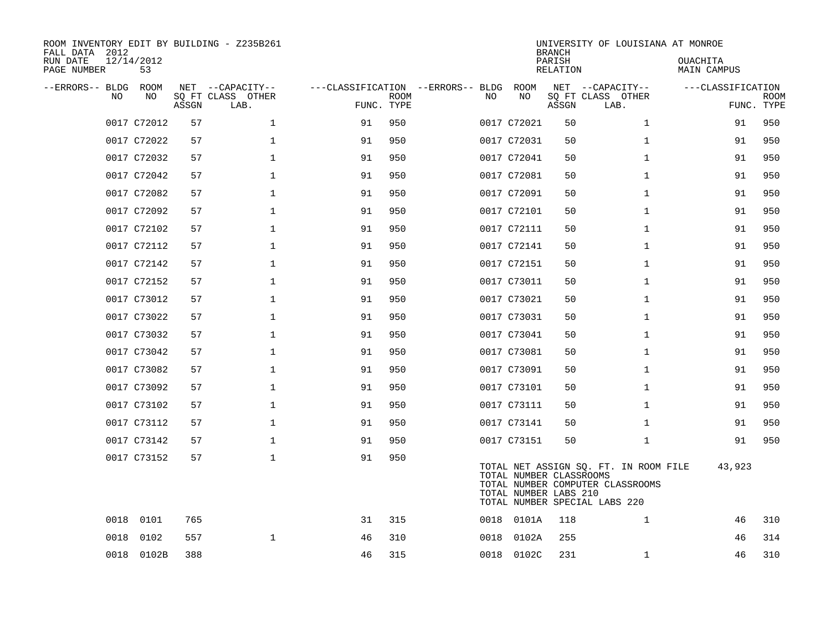| ROOM INVENTORY EDIT BY BUILDING - Z235B261<br>FALL DATA 2012<br>12/14/2012<br>RUN DATE |             |       |                                       |                                   |             |      |                                                  | <b>BRANCH</b><br>PARISH | UNIVERSITY OF LOUISIANA AT MONROE                                                                          | OUACHITA          |             |
|----------------------------------------------------------------------------------------|-------------|-------|---------------------------------------|-----------------------------------|-------------|------|--------------------------------------------------|-------------------------|------------------------------------------------------------------------------------------------------------|-------------------|-------------|
| PAGE NUMBER                                                                            | 53          |       |                                       |                                   |             |      |                                                  | RELATION                |                                                                                                            | MAIN CAMPUS       |             |
| --ERRORS-- BLDG<br>NO                                                                  | ROOM<br>NO  |       | NET --CAPACITY--<br>SQ FT CLASS OTHER | ---CLASSIFICATION --ERRORS-- BLDG | <b>ROOM</b> | NO.  | ROOM<br>NO                                       |                         | NET --CAPACITY--<br>SQ FT CLASS OTHER                                                                      | ---CLASSIFICATION | <b>ROOM</b> |
|                                                                                        |             | ASSGN | LAB.                                  | FUNC. TYPE                        |             |      |                                                  | ASSGN                   | LAB.                                                                                                       |                   | FUNC. TYPE  |
|                                                                                        | 0017 C72012 | 57    | $\mathbf 1$                           | 91                                | 950         |      | 0017 C72021                                      | 50                      | $\mathbf{1}$                                                                                               | 91                | 950         |
|                                                                                        | 0017 C72022 | 57    | $\mathbf 1$                           | 91                                | 950         |      | 0017 C72031                                      | 50                      | $\mathbf{1}$                                                                                               | 91                | 950         |
|                                                                                        | 0017 C72032 | 57    | $\mathbf{1}$                          | 91                                | 950         |      | 0017 C72041                                      | 50                      | $\mathbf{1}$                                                                                               | 91                | 950         |
|                                                                                        | 0017 C72042 | 57    | $\mathbf 1$                           | 91                                | 950         |      | 0017 C72081                                      | 50                      | $\mathbf{1}$                                                                                               | 91                | 950         |
|                                                                                        | 0017 C72082 | 57    | $\mathbf{1}$                          | 91                                | 950         |      | 0017 C72091                                      | 50                      | $\mathbf{1}$                                                                                               | 91                | 950         |
|                                                                                        | 0017 C72092 | 57    | $\mathbf{1}$                          | 91                                | 950         |      | 0017 C72101                                      | 50                      | $\mathbf{1}$                                                                                               | 91                | 950         |
|                                                                                        | 0017 C72102 | 57    | $\mathbf 1$                           | 91                                | 950         |      | 0017 C72111                                      | 50                      | $\mathbf{1}$                                                                                               | 91                | 950         |
|                                                                                        | 0017 C72112 | 57    | $\mathbf 1$                           | 91                                | 950         |      | 0017 C72141                                      | 50                      | $\mathbf{1}$                                                                                               | 91                | 950         |
|                                                                                        | 0017 C72142 | 57    | $\mathbf{1}$                          | 91                                | 950         |      | 0017 C72151                                      | 50                      | $\mathbf{1}$                                                                                               | 91                | 950         |
|                                                                                        | 0017 C72152 | 57    | $\mathbf 1$                           | 91                                | 950         |      | 0017 C73011                                      | 50                      | $\mathbf{1}$                                                                                               | 91                | 950         |
|                                                                                        | 0017 C73012 | 57    | $\mathbf 1$                           | 91                                | 950         |      | 0017 C73021                                      | 50                      | $\mathbf{1}$                                                                                               | 91                | 950         |
|                                                                                        | 0017 C73022 | 57    | $\mathbf{1}$                          | 91                                | 950         |      | 0017 C73031                                      | 50                      | $\mathbf{1}$                                                                                               | 91                | 950         |
|                                                                                        | 0017 C73032 | 57    | $\mathbf{1}$                          | 91                                | 950         |      | 0017 C73041                                      | 50                      | $\mathbf{1}$                                                                                               | 91                | 950         |
|                                                                                        | 0017 C73042 | 57    | $\mathbf 1$                           | 91                                | 950         |      | 0017 C73081                                      | 50                      | $\mathbf{1}$                                                                                               | 91                | 950         |
|                                                                                        | 0017 C73082 | 57    | $\mathbf{1}$                          | 91                                | 950         |      | 0017 C73091                                      | 50                      | $\mathbf{1}$                                                                                               | 91                | 950         |
|                                                                                        | 0017 C73092 | 57    | $\mathbf{1}$                          | 91                                | 950         |      | 0017 C73101                                      | 50                      | $\mathbf{1}$                                                                                               | 91                | 950         |
|                                                                                        | 0017 C73102 | 57    | $\mathbf{1}$                          | 91                                | 950         |      | 0017 C73111                                      | 50                      | $\mathbf{1}$                                                                                               | 91                | 950         |
|                                                                                        | 0017 C73112 | 57    | $\mathbf 1$                           | 91                                | 950         |      | 0017 C73141                                      | 50                      | $\mathbf{1}$                                                                                               | 91                | 950         |
|                                                                                        | 0017 C73142 | 57    | $\mathbf{1}$                          | 91                                | 950         |      | 0017 C73151                                      | 50                      | $\mathbf{1}$                                                                                               | 91                | 950         |
|                                                                                        | 0017 C73152 | 57    | $\mathbf{1}$                          | 91                                | 950         |      | TOTAL NUMBER CLASSROOMS<br>TOTAL NUMBER LABS 210 |                         | TOTAL NET ASSIGN SQ. FT. IN ROOM FILE<br>TOTAL NUMBER COMPUTER CLASSROOMS<br>TOTAL NUMBER SPECIAL LABS 220 | 43,923            |             |
| 0018                                                                                   | 0101        | 765   |                                       | 31                                | 315         |      | 0018 0101A                                       | 118                     | 1                                                                                                          | 46                | 310         |
| 0018                                                                                   | 0102        | 557   | $\mathbf{1}$                          | 46                                | 310         | 0018 | 0102A                                            | 255                     |                                                                                                            | 46                | 314         |
| 0018                                                                                   | 0102B       | 388   |                                       | 46                                | 315         |      | 0018 0102C                                       | 231                     | $\mathbf{1}$                                                                                               | 46                | 310         |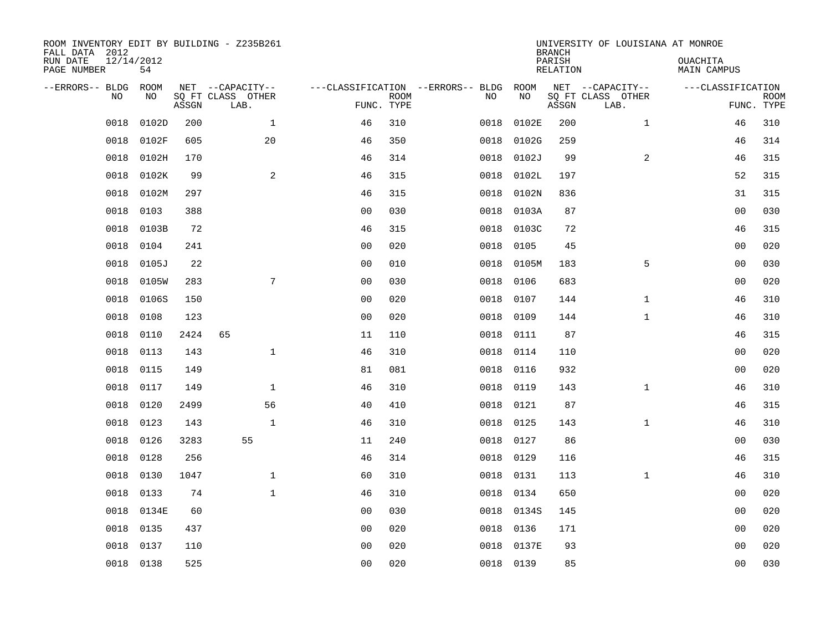| ROOM INVENTORY EDIT BY BUILDING - Z235B261<br>FALL DATA 2012<br>RUN DATE | 12/14/2012 |       |                           |                |                           |                                   |            | <b>BRANCH</b><br>PARISH | UNIVERSITY OF LOUISIANA AT MONROE | OUACHITA           |                           |
|--------------------------------------------------------------------------|------------|-------|---------------------------|----------------|---------------------------|-----------------------------------|------------|-------------------------|-----------------------------------|--------------------|---------------------------|
| PAGE NUMBER                                                              | 54         |       |                           |                |                           |                                   |            | <b>RELATION</b>         |                                   | <b>MAIN CAMPUS</b> |                           |
| --ERRORS-- BLDG                                                          | ROOM<br>NO |       | NET --CAPACITY--          |                |                           | ---CLASSIFICATION --ERRORS-- BLDG | ROOM<br>NO |                         | NET --CAPACITY--                  | ---CLASSIFICATION  |                           |
| NO                                                                       |            | ASSGN | SQ FT CLASS OTHER<br>LAB. |                | <b>ROOM</b><br>FUNC. TYPE | NO                                |            | ASSGN                   | SQ FT CLASS OTHER<br>LAB.         |                    | <b>ROOM</b><br>FUNC. TYPE |
| 0018                                                                     | 0102D      | 200   | $\mathbf{1}$              | 46             | 310                       | 0018                              | 0102E      | 200                     | $\mathbf{1}$                      | 46                 | 310                       |
| 0018                                                                     | 0102F      | 605   | 20                        | 46             | 350                       | 0018                              | 0102G      | 259                     |                                   | 46                 | 314                       |
| 0018                                                                     | 0102H      | 170   |                           | 46             | 314                       | 0018                              | 0102J      | 99                      | $\overline{2}$                    | 46                 | 315                       |
| 0018                                                                     | 0102K      | 99    | $\mathbf{2}$              | 46             | 315                       | 0018                              | 0102L      | 197                     |                                   | 52                 | 315                       |
| 0018                                                                     | 0102M      | 297   |                           | 46             | 315                       | 0018                              | 0102N      | 836                     |                                   | 31                 | 315                       |
| 0018                                                                     | 0103       | 388   |                           | 0 <sub>0</sub> | 030                       | 0018                              | 0103A      | 87                      |                                   | 0 <sub>0</sub>     | 030                       |
| 0018                                                                     | 0103B      | 72    |                           | 46             | 315                       | 0018                              | 0103C      | 72                      |                                   | 46                 | 315                       |
| 0018                                                                     | 0104       | 241   |                           | 0 <sub>0</sub> | 020                       | 0018                              | 0105       | 45                      |                                   | 0 <sub>0</sub>     | 020                       |
| 0018                                                                     | 0105J      | 22    |                           | 0 <sub>0</sub> | 010                       | 0018                              | 0105M      | 183                     | 5                                 | 0 <sub>0</sub>     | 030                       |
| 0018                                                                     | 0105W      | 283   | 7                         | 0 <sub>0</sub> | 030                       | 0018                              | 0106       | 683                     |                                   | 00                 | 020                       |
| 0018                                                                     | 0106S      | 150   |                           | 0 <sub>0</sub> | 020                       | 0018                              | 0107       | 144                     | $\mathbf{1}$                      | 46                 | 310                       |
| 0018                                                                     | 0108       | 123   |                           | 0 <sub>0</sub> | 020                       | 0018                              | 0109       | 144                     | $\mathbf{1}$                      | 46                 | 310                       |
| 0018                                                                     | 0110       | 2424  | 65                        | 11             | 110                       | 0018                              | 0111       | 87                      |                                   | 46                 | 315                       |
| 0018                                                                     | 0113       | 143   | $\mathbf{1}$              | 46             | 310                       | 0018                              | 0114       | 110                     |                                   | 00                 | 020                       |
| 0018                                                                     | 0115       | 149   |                           | 81             | 081                       | 0018                              | 0116       | 932                     |                                   | 0 <sub>0</sub>     | 020                       |
| 0018                                                                     | 0117       | 149   | 1                         | 46             | 310                       | 0018                              | 0119       | 143                     | $\mathbf{1}$                      | 46                 | 310                       |
| 0018                                                                     | 0120       | 2499  | 56                        | 40             | 410                       | 0018                              | 0121       | 87                      |                                   | 46                 | 315                       |
| 0018                                                                     | 0123       | 143   | $\mathbf 1$               | 46             | 310                       | 0018                              | 0125       | 143                     | $\mathbf{1}$                      | 46                 | 310                       |
| 0018                                                                     | 0126       | 3283  | 55                        | 11             | 240                       |                                   | 0018 0127  | 86                      |                                   | 00                 | 030                       |
| 0018                                                                     | 0128       | 256   |                           | 46             | 314                       | 0018                              | 0129       | 116                     |                                   | 46                 | 315                       |
| 0018                                                                     | 0130       | 1047  | $\mathbf{1}$              | 60             | 310                       |                                   | 0018 0131  | 113                     | $\mathbf{1}$                      | 46                 | 310                       |
| 0018                                                                     | 0133       | 74    | $\mathbf{1}$              | 46             | 310                       | 0018                              | 0134       | 650                     |                                   | 0 <sub>0</sub>     | 020                       |
| 0018                                                                     | 0134E      | 60    |                           | 0 <sub>0</sub> | 030                       |                                   | 0018 0134S | 145                     |                                   | 0 <sub>0</sub>     | 020                       |
| 0018                                                                     | 0135       | 437   |                           | 0 <sub>0</sub> | 020                       | 0018                              | 0136       | 171                     |                                   | 0 <sub>0</sub>     | 020                       |
| 0018                                                                     | 0137       | 110   |                           | 0 <sub>0</sub> | 020                       | 0018                              | 0137E      | 93                      |                                   | 0 <sub>0</sub>     | 020                       |
|                                                                          | 0018 0138  | 525   |                           | 00             | 020                       |                                   | 0018 0139  | 85                      |                                   | 0 <sub>0</sub>     | 030                       |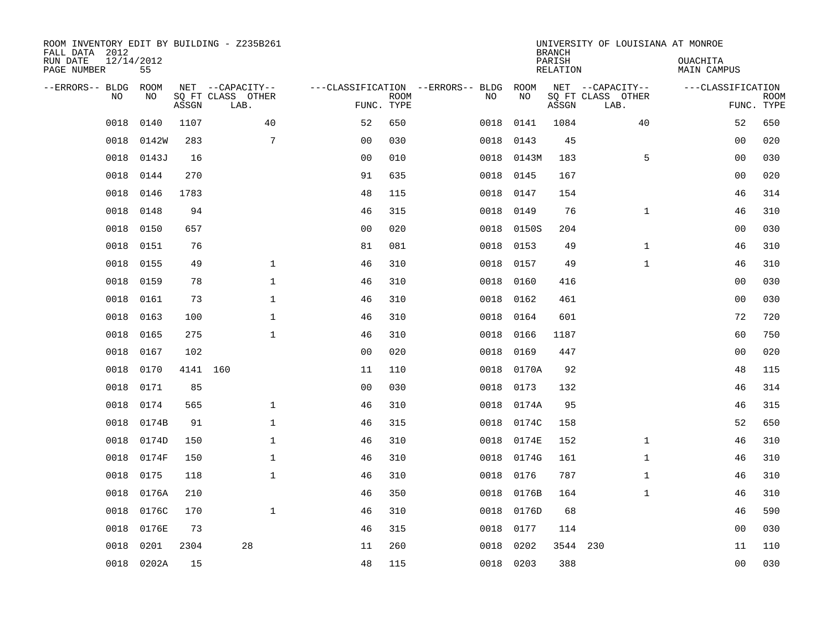| ROOM INVENTORY EDIT BY BUILDING - Z235B261<br>FALL DATA 2012<br>RUN DATE<br>PAGE NUMBER | 12/14/2012<br>55 |          |                                               |                |             |                                         |            | <b>BRANCH</b><br>PARISH<br><b>RELATION</b> | UNIVERSITY OF LOUISIANA AT MONROE             | OUACHITA<br><b>MAIN CAMPUS</b> |                           |
|-----------------------------------------------------------------------------------------|------------------|----------|-----------------------------------------------|----------------|-------------|-----------------------------------------|------------|--------------------------------------------|-----------------------------------------------|--------------------------------|---------------------------|
| --ERRORS-- BLDG<br>NO                                                                   | ROOM<br>NO       | ASSGN    | NET --CAPACITY--<br>SQ FT CLASS OTHER<br>LAB. | FUNC. TYPE     | <b>ROOM</b> | ---CLASSIFICATION --ERRORS-- BLDG<br>NO | ROOM<br>NO | ASSGN                                      | NET --CAPACITY--<br>SQ FT CLASS OTHER<br>LAB. | ---CLASSIFICATION              | <b>ROOM</b><br>FUNC. TYPE |
| 0018                                                                                    | 0140             | 1107     | 40                                            | 52             | 650         | 0018                                    | 0141       | 1084                                       | 40                                            | 52                             | 650                       |
| 0018                                                                                    | 0142W            | 283      | 7                                             | 0 <sub>0</sub> | 030         | 0018                                    | 0143       | 45                                         |                                               | 0 <sub>0</sub>                 | 020                       |
| 0018                                                                                    | 0143J            | 16       |                                               | 0 <sub>0</sub> | 010         | 0018                                    | 0143M      | 183                                        | 5                                             | 0 <sub>0</sub>                 | 030                       |
| 0018                                                                                    | 0144             | 270      |                                               | 91             | 635         | 0018                                    | 0145       | 167                                        |                                               | 0 <sub>0</sub>                 | 020                       |
| 0018                                                                                    | 0146             | 1783     |                                               | 48             | 115         | 0018                                    | 0147       | 154                                        |                                               | 46                             | 314                       |
| 0018                                                                                    | 0148             | 94       |                                               | 46             | 315         | 0018                                    | 0149       | 76                                         | $\mathbf{1}$                                  | 46                             | 310                       |
| 0018                                                                                    | 0150             | 657      |                                               | 0 <sub>0</sub> | 020         | 0018                                    | 0150S      | 204                                        |                                               | 00                             | 030                       |
| 0018                                                                                    | 0151             | 76       |                                               | 81             | 081         | 0018                                    | 0153       | 49                                         | $\mathbf{1}$                                  | 46                             | 310                       |
| 0018                                                                                    | 0155             | 49       | $\mathbf{1}$                                  | 46             | 310         | 0018                                    | 0157       | 49                                         | $\mathbf{1}$                                  | 46                             | 310                       |
| 0018                                                                                    | 0159             | 78       | $\mathbf 1$                                   | 46             | 310         | 0018                                    | 0160       | 416                                        |                                               | 0 <sub>0</sub>                 | 030                       |
| 0018                                                                                    | 0161             | 73       | $\mathbf{1}$                                  | 46             | 310         | 0018                                    | 0162       | 461                                        |                                               | 0 <sub>0</sub>                 | 030                       |
| 0018                                                                                    | 0163             | 100      | $\mathbf 1$                                   | 46             | 310         | 0018                                    | 0164       | 601                                        |                                               | 72                             | 720                       |
| 0018                                                                                    | 0165             | 275      | $\mathbf{1}$                                  | 46             | 310         | 0018                                    | 0166       | 1187                                       |                                               | 60                             | 750                       |
| 0018                                                                                    | 0167             | 102      |                                               | 0 <sub>0</sub> | 020         | 0018                                    | 0169       | 447                                        |                                               | 0 <sub>0</sub>                 | 020                       |
| 0018                                                                                    | 0170             | 4141 160 |                                               | 11             | 110         | 0018                                    | 0170A      | 92                                         |                                               | 48                             | 115                       |
| 0018                                                                                    | 0171             | 85       |                                               | 0 <sub>0</sub> | 030         | 0018                                    | 0173       | 132                                        |                                               | 46                             | 314                       |
| 0018                                                                                    | 0174             | 565      | $\mathbf 1$                                   | 46             | 310         | 0018                                    | 0174A      | 95                                         |                                               | 46                             | 315                       |
| 0018                                                                                    | 0174B            | 91       | $\mathbf{1}$                                  | 46             | 315         | 0018                                    | 0174C      | 158                                        |                                               | 52                             | 650                       |
| 0018                                                                                    | 0174D            | 150      | $\mathbf{1}$                                  | 46             | 310         | 0018                                    | 0174E      | 152                                        | $\mathbf{1}$                                  | 46                             | 310                       |
| 0018                                                                                    | 0174F            | 150      | $\mathbf 1$                                   | 46             | 310         | 0018                                    | 0174G      | 161                                        | $\mathbf{1}$                                  | 46                             | 310                       |
| 0018                                                                                    | 0175             | 118      | $\mathbf{1}$                                  | 46             | 310         | 0018                                    | 0176       | 787                                        | $\mathbf{1}$                                  | 46                             | 310                       |
| 0018                                                                                    | 0176A            | 210      |                                               | 46             | 350         | 0018                                    | 0176B      | 164                                        | $\mathbf{1}$                                  | 46                             | 310                       |
| 0018                                                                                    | 0176C            | 170      | $\mathbf{1}$                                  | 46             | 310         |                                         | 0018 0176D | 68                                         |                                               | 46                             | 590                       |
| 0018                                                                                    | 0176E            | 73       |                                               | 46             | 315         | 0018                                    | 0177       | 114                                        |                                               | 0 <sub>0</sub>                 | 030                       |
| 0018                                                                                    | 0201             | 2304     | 28                                            | 11             | 260         | 0018                                    | 0202       |                                            | 3544 230                                      | 11                             | 110                       |
|                                                                                         | 0018 0202A       | 15       |                                               | 48             | 115         |                                         | 0018 0203  | 388                                        |                                               | 00                             | 030                       |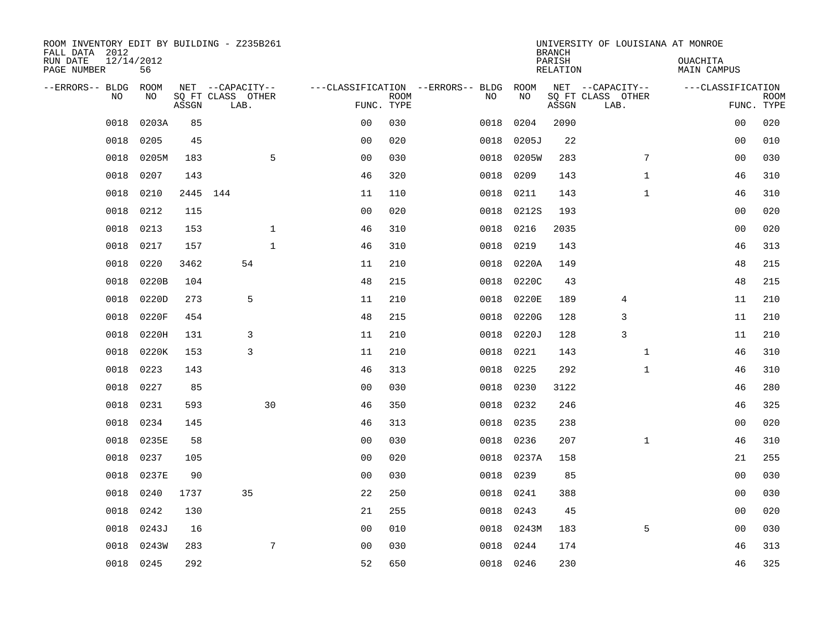| ROOM INVENTORY EDIT BY BUILDING - Z235B261<br>FALL DATA 2012 |                  |       |                           |              |                                        |             |           |            | <b>BRANCH</b>      | UNIVERSITY OF LOUISIANA AT MONROE |                                |                           |
|--------------------------------------------------------------|------------------|-------|---------------------------|--------------|----------------------------------------|-------------|-----------|------------|--------------------|-----------------------------------|--------------------------------|---------------------------|
| RUN DATE<br>PAGE NUMBER                                      | 12/14/2012<br>56 |       |                           |              |                                        |             |           |            | PARISH<br>RELATION |                                   | <b>OUACHITA</b><br>MAIN CAMPUS |                           |
| --ERRORS-- BLDG ROOM                                         |                  |       | NET --CAPACITY--          |              | ---CLASSIFICATION --ERRORS-- BLDG ROOM |             |           |            |                    | NET --CAPACITY--                  | ---CLASSIFICATION              |                           |
| NO.                                                          | NO.              | ASSGN | SQ FT CLASS OTHER<br>LAB. |              | FUNC. TYPE                             | <b>ROOM</b> | NO.       | NO         | ASSGN              | SQ FT CLASS OTHER<br>LAB.         |                                | <b>ROOM</b><br>FUNC. TYPE |
| 0018                                                         | 0203A            | 85    |                           |              | 0 <sub>0</sub>                         | 030         | 0018      | 0204       | 2090               |                                   | 0 <sub>0</sub>                 | 020                       |
| 0018                                                         | 0205             | 45    |                           |              | 0 <sub>0</sub>                         | 020         | 0018      | 0205J      | 22                 |                                   | 0 <sub>0</sub>                 | 010                       |
| 0018                                                         | 0205M            | 183   |                           | 5            | 0 <sub>0</sub>                         | 030         | 0018      | 0205W      | 283                | $7\phantom{.0}$                   | 0 <sub>0</sub>                 | 030                       |
| 0018                                                         | 0207             | 143   |                           |              | 46                                     | 320         | 0018      | 0209       | 143                | $\mathbf{1}$                      | 46                             | 310                       |
| 0018                                                         | 0210             |       | 2445 144                  |              | 11                                     | 110         | 0018      | 0211       | 143                | $\mathbf{1}$                      | 46                             | 310                       |
| 0018                                                         | 0212             | 115   |                           |              | 0 <sub>0</sub>                         | 020         |           | 0018 0212S | 193                |                                   | 00                             | 020                       |
| 0018                                                         | 0213             | 153   |                           | $\mathbf{1}$ | 46                                     | 310         | 0018      | 0216       | 2035               |                                   | 0 <sub>0</sub>                 | 020                       |
| 0018                                                         | 0217             | 157   |                           | $\mathbf{1}$ | 46                                     | 310         | 0018      | 0219       | 143                |                                   | 46                             | 313                       |
| 0018                                                         | 0220             | 3462  | 54                        |              | 11                                     | 210         | 0018      | 0220A      | 149                |                                   | 48                             | 215                       |
| 0018                                                         | 0220B            | 104   |                           |              | 48                                     | 215         | 0018      | 0220C      | 43                 |                                   | 48                             | 215                       |
| 0018                                                         | 0220D            | 273   | 5                         |              | 11                                     | 210         | 0018      | 0220E      | 189                | $\overline{4}$                    | 11                             | 210                       |
| 0018                                                         | 0220F            | 454   |                           |              | 48                                     | 215         | 0018      | 0220G      | 128                | 3                                 | 11                             | 210                       |
| 0018                                                         | 0220H            | 131   | 3                         |              | 11                                     | 210         | 0018      | 0220J      | 128                | 3                                 | 11                             | 210                       |
| 0018                                                         | 0220K            | 153   | 3                         |              | 11                                     | 210         | 0018      | 0221       | 143                | $\mathbf{1}$                      | 46                             | 310                       |
| 0018                                                         | 0223             | 143   |                           |              | 46                                     | 313         | 0018      | 0225       | 292                | $\mathbf{1}$                      | 46                             | 310                       |
| 0018                                                         | 0227             | 85    |                           |              | 0 <sub>0</sub>                         | 030         | 0018      | 0230       | 3122               |                                   | 46                             | 280                       |
| 0018                                                         | 0231             | 593   |                           | 30           | 46                                     | 350         | 0018      | 0232       | 246                |                                   | 46                             | 325                       |
| 0018                                                         | 0234             | 145   |                           |              | 46                                     | 313         | 0018      | 0235       | 238                |                                   | 00                             | 020                       |
| 0018                                                         | 0235E            | 58    |                           |              | 0 <sub>0</sub>                         | 030         | 0018      | 0236       | 207                | $\mathbf{1}$                      | 46                             | 310                       |
| 0018                                                         | 0237             | 105   |                           |              | 0 <sub>0</sub>                         | 020         | 0018      | 0237A      | 158                |                                   | 21                             | 255                       |
| 0018                                                         | 0237E            | 90    |                           |              | 0 <sub>0</sub>                         | 030         | 0018      | 0239       | 85                 |                                   | 0 <sub>0</sub>                 | 030                       |
| 0018                                                         | 0240             | 1737  | 35                        |              | 22                                     | 250         | 0018      | 0241       | 388                |                                   | 00                             | 030                       |
| 0018                                                         | 0242             | 130   |                           |              | 21                                     | 255         | 0018      | 0243       | 45                 |                                   | 0 <sub>0</sub>                 | 020                       |
| 0018                                                         | 0243J            | 16    |                           |              | 0 <sub>0</sub>                         | 010         |           | 0018 0243M | 183                | 5                                 | 00                             | 030                       |
| 0018                                                         | 0243W            | 283   |                           | 7            | 0 <sub>0</sub>                         | 030         | 0018      | 0244       | 174                |                                   | 46                             | 313                       |
|                                                              | 0018 0245        | 292   |                           |              | 52                                     | 650         | 0018 0246 |            | 230                |                                   | 46                             | 325                       |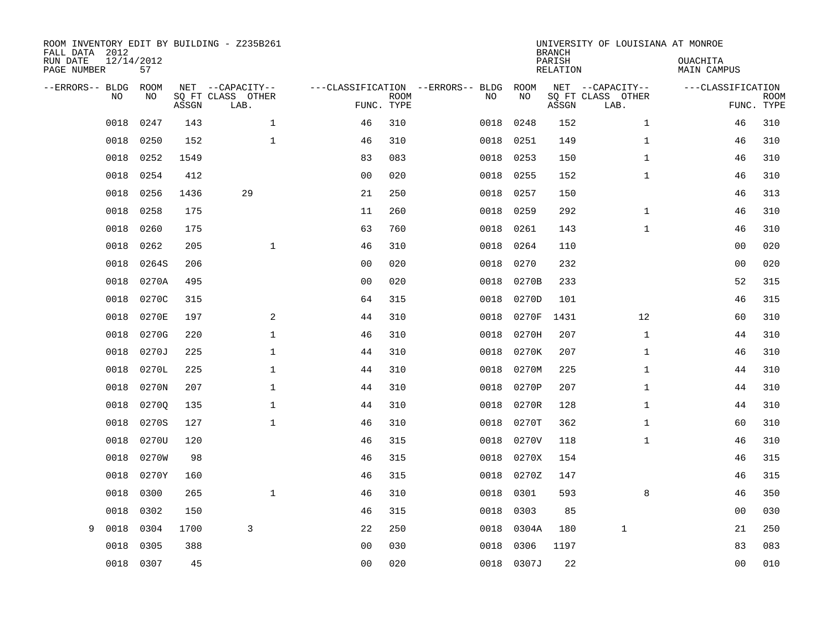| ROOM INVENTORY EDIT BY BUILDING - Z235B261<br>FALL DATA 2012<br>RUN DATE<br>PAGE NUMBER | 12/14/2012<br>57 |       |                                               |                |             |                                         |            | <b>BRANCH</b><br>PARISH<br><b>RELATION</b> | UNIVERSITY OF LOUISIANA AT MONROE             | OUACHITA<br><b>MAIN CAMPUS</b> |                           |
|-----------------------------------------------------------------------------------------|------------------|-------|-----------------------------------------------|----------------|-------------|-----------------------------------------|------------|--------------------------------------------|-----------------------------------------------|--------------------------------|---------------------------|
| --ERRORS-- BLDG<br>NO                                                                   | ROOM<br>NO       | ASSGN | NET --CAPACITY--<br>SQ FT CLASS OTHER<br>LAB. | FUNC. TYPE     | <b>ROOM</b> | ---CLASSIFICATION --ERRORS-- BLDG<br>NO | ROOM<br>NO | ASSGN                                      | NET --CAPACITY--<br>SQ FT CLASS OTHER<br>LAB. | ---CLASSIFICATION              | <b>ROOM</b><br>FUNC. TYPE |
| 0018                                                                                    | 0247             | 143   | $\mathbf{1}$                                  | 46             | 310         | 0018                                    | 0248       |                                            | 152<br>$\mathbf{1}$                           | 46                             | 310                       |
| 0018                                                                                    | 0250             | 152   | $\mathbf 1$                                   | 46             | 310         | 0018                                    | 0251       | 149                                        | $\mathbf{1}$                                  | 46                             | 310                       |
| 0018                                                                                    | 0252             | 1549  |                                               | 83             | 083         | 0018                                    | 0253       |                                            | 150<br>$\mathbf{1}$                           | 46                             | 310                       |
| 0018                                                                                    | 0254             | 412   |                                               | 0 <sub>0</sub> | 020         | 0018                                    | 0255       |                                            | $\mathbf{1}$<br>152                           | 46                             | 310                       |
| 0018                                                                                    | 0256             | 1436  | 29                                            | 21             | 250         | 0018                                    | 0257       |                                            | 150                                           | 46                             | 313                       |
| 0018                                                                                    | 0258             | 175   |                                               | 11             | 260         | 0018                                    | 0259       |                                            | $\mathbf{1}$<br>292                           | 46                             | 310                       |
| 0018                                                                                    | 0260             | 175   |                                               | 63             | 760         | 0018                                    | 0261       |                                            | $\mathbf{1}$<br>143                           | 46                             | 310                       |
| 0018                                                                                    | 0262             | 205   | $\mathbf{1}$                                  | 46             | 310         | 0018                                    | 0264       |                                            | 110                                           | 0 <sub>0</sub>                 | 020                       |
| 0018                                                                                    | 0264S            | 206   |                                               | 0 <sub>0</sub> | 020         | 0018                                    | 0270       |                                            | 232                                           | 0 <sub>0</sub>                 | 020                       |
| 0018                                                                                    | 0270A            | 495   |                                               | 0 <sub>0</sub> | 020         | 0018                                    | 0270B      |                                            | 233                                           | 52                             | 315                       |
| 0018                                                                                    | 0270C            | 315   |                                               | 64             | 315         | 0018                                    | 0270D      | 101                                        |                                               | 46                             | 315                       |
| 0018                                                                                    | 0270E            | 197   | 2                                             | 44             | 310         | 0018                                    |            | 0270F<br>1431                              | 12                                            | 60                             | 310                       |
| 0018                                                                                    | 0270G            | 220   | $\mathbf 1$                                   | 46             | 310         | 0018                                    | 0270H      |                                            | $\mathbf{1}$<br>207                           | 44                             | 310                       |
| 0018                                                                                    | 0270J            | 225   | $\mathbf 1$                                   | 44             | 310         | 0018                                    | 0270K      |                                            | 207<br>$\mathbf{1}$                           | 46                             | 310                       |
| 0018                                                                                    | 0270L            | 225   | $\mathbf{1}$                                  | 44             | 310         | 0018                                    |            | 0270M                                      | 225<br>$\mathbf{1}$                           | 44                             | 310                       |
| 0018                                                                                    | 0270N            | 207   | $\mathbf{1}$                                  | 44             | 310         | 0018                                    | 0270P      |                                            | $\mathbf{1}$<br>207                           | 44                             | 310                       |
| 0018                                                                                    | 02700            | 135   | $\mathbf{1}$                                  | 44             | 310         | 0018                                    |            | 0270R                                      | $\mathbf{1}$<br>128                           | 44                             | 310                       |
| 0018                                                                                    | 0270S            | 127   | $\mathbf{1}$                                  | 46             | 310         | 0018                                    | 0270T      |                                            | 362<br>$\mathbf{1}$                           | 60                             | 310                       |
| 0018                                                                                    | 0270U            | 120   |                                               | 46             | 315         | 0018                                    | 0270V      | 118                                        | $\mathbf{1}$                                  | 46                             | 310                       |
| 0018                                                                                    | 0270W            | 98    |                                               | 46             | 315         | 0018                                    | 0270X      | 154                                        |                                               | 46                             | 315                       |
| 0018                                                                                    | 0270Y            | 160   |                                               | 46             | 315         | 0018                                    | 0270Z      | 147                                        |                                               | 46                             | 315                       |
| 0018                                                                                    | 0300             | 265   | $\mathbf{1}$                                  | 46             | 310         | 0018                                    | 0301       |                                            | 593<br>8                                      | 46                             | 350                       |
| 0018                                                                                    | 0302             | 150   |                                               | 46             | 315         | 0018                                    | 0303       |                                            | 85                                            | 0 <sub>0</sub>                 | 030                       |
| 0018<br>9                                                                               | 0304             | 1700  | 3                                             | 22             | 250         | 0018                                    | 0304A      |                                            | 180<br>1                                      | 21                             | 250                       |
| 0018                                                                                    | 0305             | 388   |                                               | 0 <sub>0</sub> | 030         | 0018                                    | 0306       | 1197                                       |                                               | 83                             | 083                       |
|                                                                                         | 0018 0307        | 45    |                                               | 00             | 020         |                                         | 0018 0307J |                                            | 22                                            | 0 <sub>0</sub>                 | 010                       |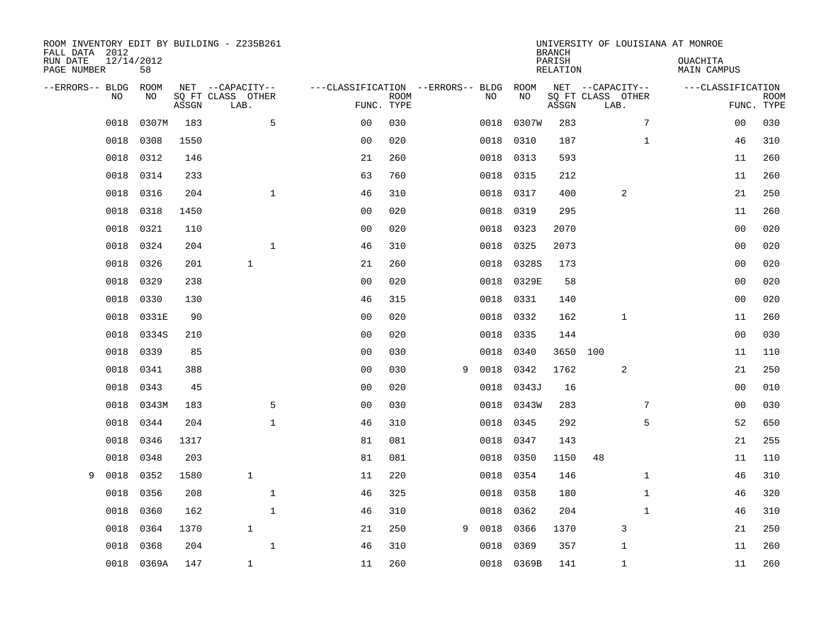| ROOM INVENTORY EDIT BY BUILDING - Z235B261<br>FALL DATA 2012 |                  |       |                           |                                   |             |   |      |            | <b>BRANCH</b>      | UNIVERSITY OF LOUISIANA AT MONROE |                                       |                           |
|--------------------------------------------------------------|------------------|-------|---------------------------|-----------------------------------|-------------|---|------|------------|--------------------|-----------------------------------|---------------------------------------|---------------------------|
| RUN DATE<br>PAGE NUMBER                                      | 12/14/2012<br>58 |       |                           |                                   |             |   |      |            | PARISH<br>RELATION |                                   | <b>OUACHITA</b><br><b>MAIN CAMPUS</b> |                           |
| --ERRORS-- BLDG                                              | <b>ROOM</b>      |       | NET --CAPACITY--          | ---CLASSIFICATION --ERRORS-- BLDG |             |   |      | ROOM       |                    | NET --CAPACITY--                  | ---CLASSIFICATION                     |                           |
| N <sub>O</sub>                                               | NO.              | ASSGN | SO FT CLASS OTHER<br>LAB. | FUNC. TYPE                        | <b>ROOM</b> |   | NO.  | NO         | ASSGN              | SQ FT CLASS OTHER<br>LAB.         |                                       | <b>ROOM</b><br>FUNC. TYPE |
| 0018                                                         | 0307M            | 183   | 5                         | 0 <sub>0</sub>                    | 030         |   | 0018 | 0307W      | 283                | 7                                 | 00                                    | 030                       |
| 0018                                                         | 0308             | 1550  |                           | 0 <sub>0</sub>                    | 020         |   | 0018 | 0310       | 187                | $\mathbf{1}$                      | 46                                    | 310                       |
| 0018                                                         | 0312             | 146   |                           | 21                                | 260         |   | 0018 | 0313       | 593                |                                   | 11                                    | 260                       |
| 0018                                                         | 0314             | 233   |                           | 63                                | 760         |   | 0018 | 0315       | 212                |                                   | 11                                    | 260                       |
| 0018                                                         | 0316             | 204   | $\mathbf{1}$              | 46                                | 310         |   | 0018 | 0317       | 400                | 2                                 | 21                                    | 250                       |
| 0018                                                         | 0318             | 1450  |                           | 0 <sub>0</sub>                    | 020         |   | 0018 | 0319       | 295                |                                   | 11                                    | 260                       |
| 0018                                                         | 0321             | 110   |                           | 0 <sub>0</sub>                    | 020         |   | 0018 | 0323       | 2070               |                                   | 0 <sub>0</sub>                        | 020                       |
| 0018                                                         | 0324             | 204   | $\mathbf{1}$              | 46                                | 310         |   | 0018 | 0325       | 2073               |                                   | 0 <sub>0</sub>                        | 020                       |
| 0018                                                         | 0326             | 201   | $\mathbf{1}$              | 21                                | 260         |   | 0018 | 0328S      | 173                |                                   | 0 <sub>0</sub>                        | 020                       |
| 0018                                                         | 0329             | 238   |                           | 0 <sub>0</sub>                    | 020         |   |      | 0018 0329E | 58                 |                                   | 00                                    | 020                       |
| 0018                                                         | 0330             | 130   |                           | 46                                | 315         |   | 0018 | 0331       | 140                |                                   | 0 <sub>0</sub>                        | 020                       |
| 0018                                                         | 0331E            | 90    |                           | 0 <sub>0</sub>                    | 020         |   | 0018 | 0332       | 162                | $\mathbf{1}$                      | 11                                    | 260                       |
| 0018                                                         | 0334S            | 210   |                           | 0 <sub>0</sub>                    | 020         |   | 0018 | 0335       | 144                |                                   | 0 <sub>0</sub>                        | 030                       |
| 0018                                                         | 0339             | 85    |                           | 0 <sub>0</sub>                    | 030         |   | 0018 | 0340       |                    | 3650 100                          | 11                                    | 110                       |
| 0018                                                         | 0341             | 388   |                           | 00                                | 030         | 9 | 0018 | 0342       | 1762               | $\overline{c}$                    | 21                                    | 250                       |
| 0018                                                         | 0343             | 45    |                           | 0 <sub>0</sub>                    | 020         |   | 0018 | 0343J      | 16                 |                                   | 00                                    | 010                       |
| 0018                                                         | 0343M            | 183   | 5                         | 0 <sub>0</sub>                    | 030         |   | 0018 | 0343W      | 283                | 7                                 | 00                                    | 030                       |
| 0018                                                         | 0344             | 204   | $\mathbf{1}$              | 46                                | 310         |   | 0018 | 0345       | 292                | 5                                 | 52                                    | 650                       |
| 0018                                                         | 0346             | 1317  |                           | 81                                | 081         |   | 0018 | 0347       | 143                |                                   | 21                                    | 255                       |
| 0018                                                         | 0348             | 203   |                           | 81                                | 081         |   | 0018 | 0350       | 1150               | 48                                | 11                                    | 110                       |
| 0018<br>9                                                    | 0352             | 1580  | $\mathbf{1}$              | 11                                | 220         |   | 0018 | 0354       | 146                | $\mathbf{1}$                      | 46                                    | 310                       |
| 0018                                                         | 0356             | 208   | $\mathbf 1$               | 46                                | 325         |   | 0018 | 0358       | 180                | $\mathbf{1}$                      | 46                                    | 320                       |
| 0018                                                         | 0360             | 162   | $\mathbf{1}$              | 46                                | 310         |   | 0018 | 0362       | 204                | $\mathbf{1}$                      | 46                                    | 310                       |
| 0018                                                         | 0364             | 1370  | $\mathbf{1}$              | 21                                | 250         | 9 | 0018 | 0366       | 1370               | 3                                 | 21                                    | 250                       |
| 0018                                                         | 0368             | 204   | $\mathbf{1}$              | 46                                | 310         |   | 0018 | 0369       | 357                | $\mathbf 1$                       | 11                                    | 260                       |
| 0018                                                         | 0369A            | 147   | $\mathbf{1}$              | 11                                | 260         |   |      | 0018 0369B | 141                | $\mathbf{1}$                      | 11                                    | 260                       |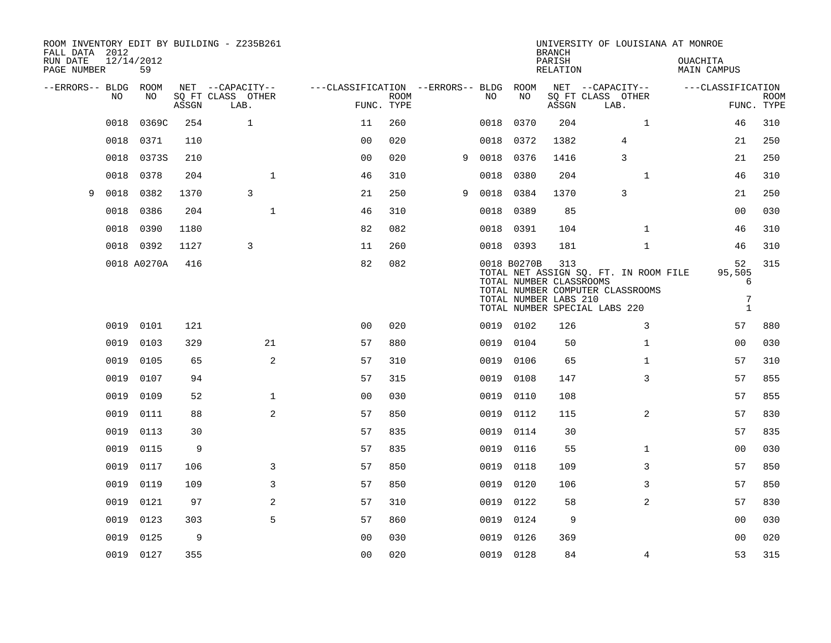| FALL DATA 2012          |      |                  |       | ROOM INVENTORY EDIT BY BUILDING - Z235B261 |                                   |             |   |      |             | <b>BRANCH</b>                  | UNIVERSITY OF LOUISIANA AT MONROE                                         |                                       |                           |
|-------------------------|------|------------------|-------|--------------------------------------------|-----------------------------------|-------------|---|------|-------------|--------------------------------|---------------------------------------------------------------------------|---------------------------------------|---------------------------|
| RUN DATE<br>PAGE NUMBER |      | 12/14/2012<br>59 |       |                                            |                                   |             |   |      |             | PARISH<br><b>RELATION</b>      |                                                                           | <b>OUACHITA</b><br><b>MAIN CAMPUS</b> |                           |
| --ERRORS-- BLDG         | NO.  | ROOM<br>NO.      |       | NET --CAPACITY--                           | ---CLASSIFICATION --ERRORS-- BLDG |             |   | NO.  | ROOM<br>NO  |                                | NET --CAPACITY--                                                          | ---CLASSIFICATION                     |                           |
|                         |      |                  | ASSGN | SQ FT CLASS OTHER<br>LAB.                  | FUNC. TYPE                        | <b>ROOM</b> |   |      |             | ASSGN                          | SQ FT CLASS OTHER<br>LAB.                                                 |                                       | <b>ROOM</b><br>FUNC. TYPE |
|                         | 0018 | 0369C            | 254   | $\mathbf{1}$                               | 11                                | 260         |   | 0018 | 0370        | 204                            | $\mathbf{1}$                                                              | 46                                    | 310                       |
|                         | 0018 | 0371             | 110   |                                            | 0 <sub>0</sub>                    | 020         |   | 0018 | 0372        | 1382                           | 4                                                                         | 21                                    | 250                       |
|                         | 0018 | 0373S            | 210   |                                            | 0 <sub>0</sub>                    | 020         | 9 | 0018 | 0376        | 1416                           | 3                                                                         | 21                                    | 250                       |
|                         | 0018 | 0378             | 204   | $\mathbf{1}$                               | 46                                | 310         |   | 0018 | 0380        | 204                            | $\mathbf{1}$                                                              | 46                                    | 310                       |
| 9                       | 0018 | 0382             | 1370  | 3                                          | 21                                | 250         | 9 | 0018 | 0384        | 1370                           | 3                                                                         | 21                                    | 250                       |
|                         | 0018 | 0386             | 204   | $\mathbf{1}$                               | 46                                | 310         |   | 0018 | 0389        | 85                             |                                                                           | 0 <sub>0</sub>                        | 030                       |
|                         | 0018 | 0390             | 1180  |                                            | 82                                | 082         |   | 0018 | 0391        | 104                            | $\mathbf{1}$                                                              | 46                                    | 310                       |
|                         | 0018 | 0392             | 1127  | 3                                          | 11                                | 260         |   |      | 0018 0393   | 181                            | $\mathbf{1}$                                                              | 46                                    | 310                       |
|                         |      | 0018 A0270A      | 416   |                                            | 82                                | 082         |   |      | 0018 B0270B | 313<br>TOTAL NUMBER CLASSROOMS | TOTAL NET ASSIGN SO. FT. IN ROOM FILE<br>TOTAL NUMBER COMPUTER CLASSROOMS | 52<br>95,505<br>6                     | 315                       |
|                         |      |                  |       |                                            |                                   |             |   |      |             | TOTAL NUMBER LABS 210          | TOTAL NUMBER SPECIAL LABS 220                                             | 7<br>$\mathbf{1}$                     |                           |
|                         | 0019 | 0101             | 121   |                                            | 0 <sub>0</sub>                    | 020         |   |      | 0019 0102   | 126                            | 3                                                                         | 57                                    | 880                       |
|                         | 0019 | 0103             | 329   | 21                                         | 57                                | 880         |   | 0019 | 0104        | 50                             | $\mathbf{1}$                                                              | 0 <sub>0</sub>                        | 030                       |
|                         | 0019 | 0105             | 65    | 2                                          | 57                                | 310         |   | 0019 | 0106        | 65                             | $\mathbf{1}$                                                              | 57                                    | 310                       |
|                         | 0019 | 0107             | 94    |                                            | 57                                | 315         |   | 0019 | 0108        | 147                            | 3                                                                         | 57                                    | 855                       |
|                         | 0019 | 0109             | 52    | $\mathbf{1}$                               | 0 <sub>0</sub>                    | 030         |   | 0019 | 0110        | 108                            |                                                                           | 57                                    | 855                       |
|                         | 0019 | 0111             | 88    | 2                                          | 57                                | 850         |   | 0019 | 0112        | 115                            | 2                                                                         | 57                                    | 830                       |
|                         | 0019 | 0113             | 30    |                                            | 57                                | 835         |   | 0019 | 0114        | 30                             |                                                                           | 57                                    | 835                       |
|                         | 0019 | 0115             | 9     |                                            | 57                                | 835         |   | 0019 | 0116        | 55                             | $\mathbf{1}$                                                              | 00                                    | 030                       |
|                         | 0019 | 0117             | 106   | 3                                          | 57                                | 850         |   | 0019 | 0118        | 109                            | 3                                                                         | 57                                    | 850                       |
|                         | 0019 | 0119             | 109   | 3                                          | 57                                | 850         |   | 0019 | 0120        | 106                            | 3                                                                         | 57                                    | 850                       |
|                         | 0019 | 0121             | 97    | 2                                          | 57                                | 310         |   | 0019 | 0122        | 58                             | $\overline{a}$                                                            | 57                                    | 830                       |
|                         | 0019 | 0123             | 303   | 5                                          | 57                                | 860         |   | 0019 | 0124        | 9                              |                                                                           | 00                                    | 030                       |
|                         | 0019 | 0125             | 9     |                                            | 0 <sub>0</sub>                    | 030         |   | 0019 | 0126        | 369                            |                                                                           | 00                                    | 020                       |
|                         |      | 0019 0127        | 355   |                                            | 0 <sub>0</sub>                    | 020         |   |      | 0019 0128   | 84                             | 4                                                                         | 53                                    | 315                       |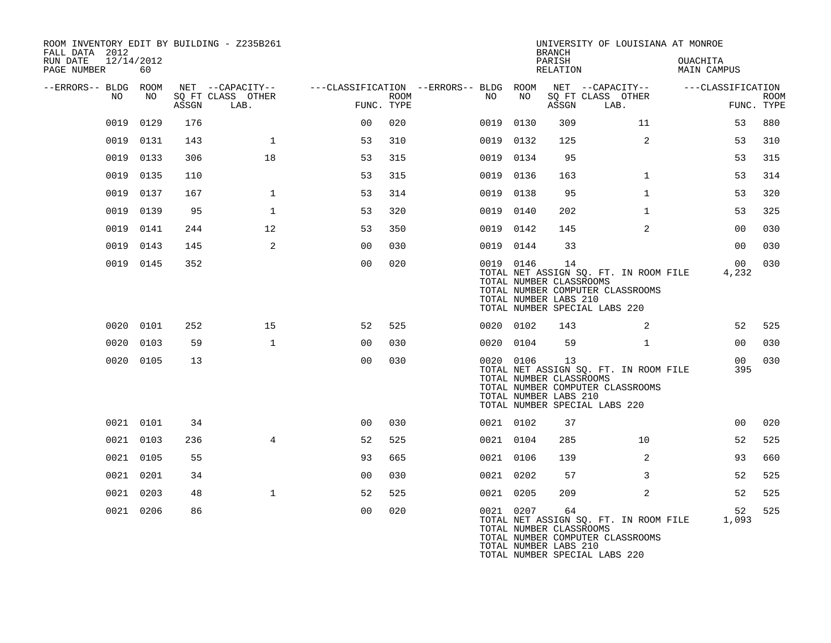| ROOM INVENTORY EDIT BY BUILDING - Z235B261<br>FALL DATA 2012 |           |       |                           |                |      |                                        |           | <b>BRANCH</b>                                          | UNIVERSITY OF LOUISIANA AT MONROE                                                                          |                                |                           |
|--------------------------------------------------------------|-----------|-------|---------------------------|----------------|------|----------------------------------------|-----------|--------------------------------------------------------|------------------------------------------------------------------------------------------------------------|--------------------------------|---------------------------|
| RUN DATE<br>12/14/2012<br>PAGE NUMBER                        | 60        |       |                           |                |      |                                        |           | PARISH<br>RELATION                                     |                                                                                                            | OUACHITA<br><b>MAIN CAMPUS</b> |                           |
| --ERRORS-- BLDG ROOM                                         |           |       | NET --CAPACITY--          |                |      | ---CLASSIFICATION --ERRORS-- BLDG ROOM |           |                                                        | NET --CAPACITY--                                                                                           | ---CLASSIFICATION              |                           |
| NO                                                           | NO        | ASSGN | SO FT CLASS OTHER<br>LAB. | FUNC. TYPE     | ROOM | NO                                     | NO        | ASSGN                                                  | SQ FT CLASS OTHER<br>LAB.                                                                                  |                                | <b>ROOM</b><br>FUNC. TYPE |
| 0019                                                         | 0129      | 176   |                           | 0 <sub>0</sub> | 020  | 0019                                   | 0130      | 309                                                    | 11                                                                                                         | 53                             | 880                       |
|                                                              | 0019 0131 | 143   | $\mathbf{1}$              | 53             | 310  |                                        | 0019 0132 | 125                                                    | 2                                                                                                          | 53                             | 310                       |
| 0019                                                         | 0133      | 306   | 18                        | 53             | 315  |                                        | 0019 0134 | 95                                                     |                                                                                                            | 53                             | 315                       |
| 0019                                                         | 0135      | 110   |                           | 53             | 315  |                                        | 0019 0136 | 163                                                    | $\mathbf{1}$                                                                                               | 53                             | 314                       |
| 0019                                                         | 0137      | 167   | $\mathbf{1}$              | 53             | 314  |                                        | 0019 0138 | 95                                                     | $\mathbf{1}$                                                                                               | 53                             | 320                       |
| 0019                                                         | 0139      | 95    | $\mathbf{1}$              | 53             | 320  |                                        | 0019 0140 | 202                                                    | $\mathbf{1}$                                                                                               | 53                             | 325                       |
| 0019                                                         | 0141      | 244   | 12                        | 53             | 350  |                                        | 0019 0142 | 145                                                    | 2                                                                                                          | 00                             | 030                       |
| 0019                                                         | 0143      | 145   | 2                         | 00             | 030  |                                        | 0019 0144 | 33                                                     |                                                                                                            | 00                             | 030                       |
|                                                              | 0019 0145 | 352   |                           | 0 <sub>0</sub> | 020  |                                        | 0019 0146 | 14<br>TOTAL NUMBER CLASSROOMS<br>TOTAL NUMBER LABS 210 | TOTAL NET ASSIGN SQ. FT. IN ROOM FILE<br>TOTAL NUMBER COMPUTER CLASSROOMS<br>TOTAL NUMBER SPECIAL LABS 220 | 00<br>4,232                    | 030                       |
|                                                              | 0020 0101 | 252   | 15                        | 52             | 525  |                                        | 0020 0102 | 143                                                    | 2                                                                                                          | 52                             | 525                       |
| 0020                                                         | 0103      | 59    | $\mathbf{1}$              | 0 <sub>0</sub> | 030  |                                        | 0020 0104 | 59                                                     | $\mathbf{1}$                                                                                               | 00                             | 030                       |
|                                                              | 0020 0105 | 13    |                           | 0 <sub>0</sub> | 030  |                                        | 0020 0106 | 13<br>TOTAL NUMBER CLASSROOMS<br>TOTAL NUMBER LABS 210 | TOTAL NET ASSIGN SQ. FT. IN ROOM FILE<br>TOTAL NUMBER COMPUTER CLASSROOMS<br>TOTAL NUMBER SPECIAL LABS 220 | 00 <sub>o</sub><br>395         | 030                       |
|                                                              | 0021 0101 | 34    |                           | 0 <sub>0</sub> | 030  |                                        | 0021 0102 | 37                                                     |                                                                                                            | 0 <sub>0</sub>                 | 020                       |
|                                                              | 0021 0103 | 236   | $\overline{4}$            | 52             | 525  |                                        | 0021 0104 | 285                                                    | 10                                                                                                         | 52                             | 525                       |
|                                                              | 0021 0105 | 55    |                           | 93             | 665  |                                        | 0021 0106 | 139                                                    | 2                                                                                                          | 93                             | 660                       |
|                                                              | 0021 0201 | 34    |                           | 0 <sub>0</sub> | 030  |                                        | 0021 0202 | 57                                                     | 3                                                                                                          | 52                             | 525                       |
|                                                              | 0021 0203 | 48    | $\mathbf{1}$              | 52             | 525  |                                        | 0021 0205 | 209                                                    | 2                                                                                                          | 52                             | 525                       |
|                                                              | 0021 0206 | 86    |                           | 0 <sub>0</sub> | 020  |                                        | 0021 0207 | 64<br>TOTAL NUMBER CLASSROOMS<br>TOTAL NUMBER LABS 210 | TOTAL NET ASSIGN SQ. FT. IN ROOM FILE<br>TOTAL NUMBER COMPUTER CLASSROOMS<br>TOTAL NUMBER SPECIAL LABS 220 | 52<br>1,093                    | 525                       |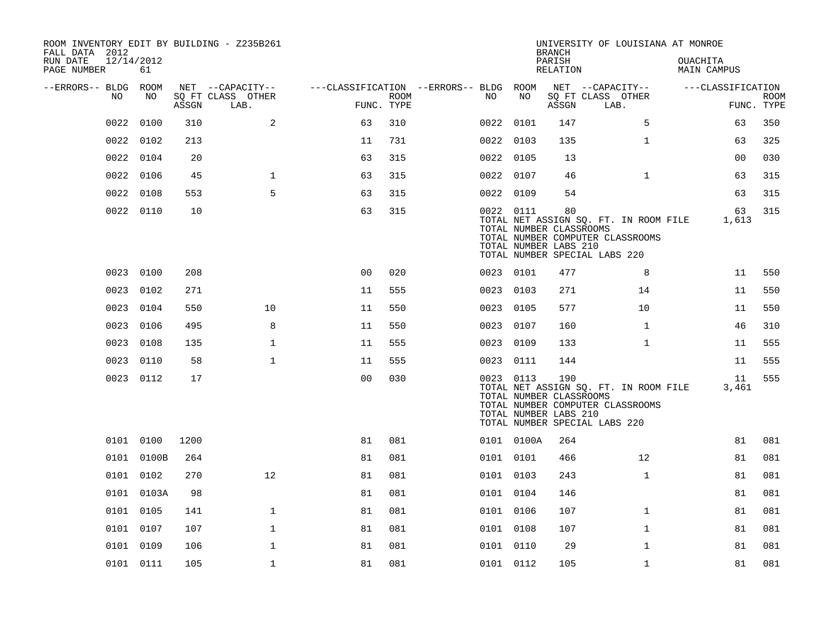| ROOM INVENTORY EDIT BY BUILDING - Z235B261<br>FALL DATA 2012 |                  |       |                           |                                        |                    |           |            | <b>BRANCH</b>                                           | UNIVERSITY OF LOUISIANA AT MONROE                                                                          |                                |                           |
|--------------------------------------------------------------|------------------|-------|---------------------------|----------------------------------------|--------------------|-----------|------------|---------------------------------------------------------|------------------------------------------------------------------------------------------------------------|--------------------------------|---------------------------|
| RUN DATE<br>PAGE NUMBER                                      | 12/14/2012<br>61 |       |                           |                                        |                    |           |            | PARISH<br>RELATION                                      |                                                                                                            | <b>OUACHITA</b><br>MAIN CAMPUS |                           |
| --ERRORS-- BLDG ROOM                                         |                  |       | NET --CAPACITY--          | ---CLASSIFICATION --ERRORS-- BLDG ROOM |                    |           |            |                                                         | NET --CAPACITY--                                                                                           | ---CLASSIFICATION              |                           |
| NO                                                           | NO               | ASSGN | SQ FT CLASS OTHER<br>LAB. |                                        | ROOM<br>FUNC. TYPE | NO.       | NO         | ASSGN                                                   | SQ FT CLASS OTHER<br>LAB.                                                                                  |                                | <b>ROOM</b><br>FUNC. TYPE |
| 0022                                                         | 0100             | 310   | 2                         | 63                                     | 310                | 0022 0101 |            | 147                                                     | 5                                                                                                          | 63                             | 350                       |
| 0022                                                         | 0102             | 213   |                           | 11                                     | 731                | 0022 0103 |            | 135                                                     | $\mathbf{1}$                                                                                               | 63                             | 325                       |
| 0022                                                         | 0104             | 20    |                           | 63                                     | 315                | 0022 0105 |            | 13                                                      |                                                                                                            | 0 <sub>0</sub>                 | 030                       |
| 0022                                                         | 0106             | 45    | $\mathbf 1$               | 63                                     | 315                | 0022 0107 |            | 46                                                      | $\mathbf{1}$                                                                                               | 63                             | 315                       |
| 0022                                                         | 0108             | 553   | 5                         | 63                                     | 315                | 0022 0109 |            | 54                                                      |                                                                                                            | 63                             | 315                       |
|                                                              | 0022 0110        | 10    |                           | 63                                     | 315                |           | 0022 0111  | 80<br>TOTAL NUMBER CLASSROOMS<br>TOTAL NUMBER LABS 210  | TOTAL NET ASSIGN SQ. FT. IN ROOM FILE<br>TOTAL NUMBER COMPUTER CLASSROOMS<br>TOTAL NUMBER SPECIAL LABS 220 | 63<br>1,613                    | 315                       |
|                                                              | 0023 0100        | 208   |                           | 0 <sub>0</sub>                         | 020                | 0023 0101 |            | 477                                                     | 8                                                                                                          | 11                             | 550                       |
| 0023                                                         | 0102             | 271   |                           | 11                                     | 555                | 0023 0103 |            | 271                                                     | 14                                                                                                         | 11                             | 550                       |
| 0023                                                         | 0104             | 550   | 10                        | 11                                     | 550                | 0023      | 0105       | 577                                                     | 10                                                                                                         | 11                             | 550                       |
| 0023                                                         | 0106             | 495   | 8                         | 11                                     | 550                | 0023 0107 |            | 160                                                     | $\mathbf{1}$                                                                                               | 46                             | 310                       |
| 0023                                                         | 0108             | 135   | $\mathbf{1}$              | 11                                     | 555                | 0023 0109 |            | 133                                                     | $\mathbf{1}$                                                                                               | 11                             | 555                       |
| 0023                                                         | 0110             | 58    | $\mathbf{1}$              | 11                                     | 555                | 0023 0111 |            | 144                                                     |                                                                                                            | 11                             | 555                       |
|                                                              | 0023 0112        | 17    |                           | 0 <sub>0</sub>                         | 030                | 0023 0113 |            | 190<br>TOTAL NUMBER CLASSROOMS<br>TOTAL NUMBER LABS 210 | TOTAL NET ASSIGN SQ. FT. IN ROOM FILE<br>TOTAL NUMBER COMPUTER CLASSROOMS<br>TOTAL NUMBER SPECIAL LABS 220 | 11<br>3,461                    | 555                       |
|                                                              | 0101 0100        | 1200  |                           | 81                                     | 081                |           | 0101 0100A | 264                                                     |                                                                                                            | 81                             | 081                       |
|                                                              | 0101 0100B       | 264   |                           | 81                                     | 081                | 0101 0101 |            | 466                                                     | 12                                                                                                         | 81                             | 081                       |
|                                                              | 0101 0102        | 270   | 12                        | 81                                     | 081                | 0101 0103 |            | 243                                                     | $\mathbf{1}$                                                                                               | 81                             | 081                       |
|                                                              | 0101 0103A       | 98    |                           | 81                                     | 081                | 0101 0104 |            | 146                                                     |                                                                                                            | 81                             | 081                       |
|                                                              | 0101 0105        | 141   | $\mathbf{1}$              | 81                                     | 081                | 0101 0106 |            | 107                                                     | $\mathbf{1}$                                                                                               | 81                             | 081                       |
|                                                              | 0101 0107        | 107   | $\mathbf{1}$              | 81                                     | 081                | 0101 0108 |            | 107                                                     | $\mathbf{1}$                                                                                               | 81                             | 081                       |
|                                                              | 0101 0109        | 106   | $\mathbf 1$               | 81                                     | 081                | 0101 0110 |            | 29                                                      | $\mathbf{1}$                                                                                               | 81                             | 081                       |
|                                                              | 0101 0111        | 105   | $\mathbf 1$               | 81                                     | 081                | 0101 0112 |            | 105                                                     | $\mathbf{1}$                                                                                               | 81                             | 081                       |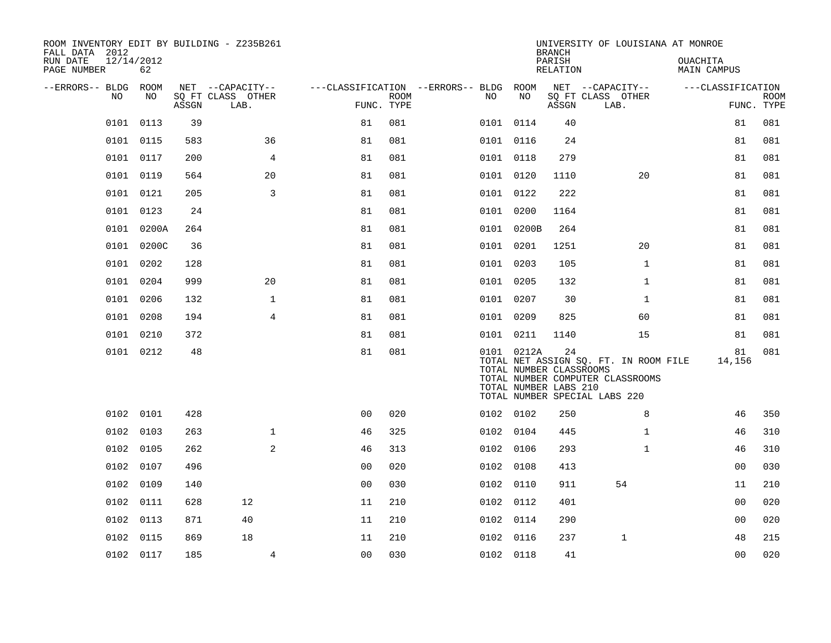| ROOM INVENTORY EDIT BY BUILDING - Z235B261<br>FALL DATA 2012 |                  |       |                           |                |      |                                        |            | <b>BRANCH</b>                                          | UNIVERSITY OF LOUISIANA AT MONROE                                                                          |                                |                           |
|--------------------------------------------------------------|------------------|-------|---------------------------|----------------|------|----------------------------------------|------------|--------------------------------------------------------|------------------------------------------------------------------------------------------------------------|--------------------------------|---------------------------|
| RUN DATE<br>PAGE NUMBER                                      | 12/14/2012<br>62 |       |                           |                |      |                                        |            | PARISH<br>RELATION                                     |                                                                                                            | <b>OUACHITA</b><br>MAIN CAMPUS |                           |
| --ERRORS-- BLDG ROOM                                         |                  |       | NET --CAPACITY--          |                |      | ---CLASSIFICATION --ERRORS-- BLDG ROOM |            |                                                        | NET --CAPACITY--                                                                                           | ---CLASSIFICATION              |                           |
| NO                                                           | NO               | ASSGN | SQ FT CLASS OTHER<br>LAB. | FUNC. TYPE     | ROOM | NO                                     | NO         | ASSGN                                                  | SQ FT CLASS OTHER<br>LAB.                                                                                  |                                | <b>ROOM</b><br>FUNC. TYPE |
|                                                              | 0101 0113        | 39    |                           | 81             | 081  |                                        | 0101 0114  | 40                                                     |                                                                                                            | 81                             | 081                       |
|                                                              | 0101 0115        | 583   | 36                        | 81             | 081  | 0101 0116                              |            | 24                                                     |                                                                                                            | 81                             | 081                       |
|                                                              | 0101 0117        | 200   | $\overline{4}$            | 81             | 081  |                                        | 0101 0118  | 279                                                    |                                                                                                            | 81                             | 081                       |
|                                                              | 0101 0119        | 564   | 20                        | 81             | 081  | 0101 0120                              |            | 1110                                                   | 20                                                                                                         | 81                             | 081                       |
|                                                              | 0101 0121        | 205   | 3                         | 81             | 081  |                                        | 0101 0122  | 222                                                    |                                                                                                            | 81                             | 081                       |
|                                                              | 0101 0123        | 24    |                           | 81             | 081  | 0101 0200                              |            | 1164                                                   |                                                                                                            | 81                             | 081                       |
|                                                              | 0101 0200A       | 264   |                           | 81             | 081  |                                        | 0101 0200B | 264                                                    |                                                                                                            | 81                             | 081                       |
| 0101                                                         | 0200C            | 36    |                           | 81             | 081  | 0101 0201                              |            | 1251                                                   | 20                                                                                                         | 81                             | 081                       |
|                                                              | 0101 0202        | 128   |                           | 81             | 081  | 0101 0203                              |            | 105                                                    | $\mathbf{1}$                                                                                               | 81                             | 081                       |
|                                                              | 0101 0204        | 999   | 20                        | 81             | 081  | 0101 0205                              |            | 132                                                    | $\mathbf{1}$                                                                                               | 81                             | 081                       |
|                                                              | 0101 0206        | 132   | $\mathbf{1}$              | 81             | 081  |                                        | 0101 0207  | 30                                                     | $\mathbf{1}$                                                                                               | 81                             | 081                       |
| 0101                                                         | 0208             | 194   | $\overline{4}$            | 81             | 081  | 0101 0209                              |            | 825                                                    | 60                                                                                                         | 81                             | 081                       |
|                                                              | 0101 0210        | 372   |                           | 81             | 081  |                                        | 0101 0211  | 1140                                                   | 15                                                                                                         | 81                             | 081                       |
|                                                              | 0101 0212        | 48    |                           | 81             | 081  |                                        | 0101 0212A | 24<br>TOTAL NUMBER CLASSROOMS<br>TOTAL NUMBER LABS 210 | TOTAL NET ASSIGN SQ. FT. IN ROOM FILE<br>TOTAL NUMBER COMPUTER CLASSROOMS<br>TOTAL NUMBER SPECIAL LABS 220 | 81<br>14,156                   | 081                       |
|                                                              | 0102 0101        | 428   |                           | 0 <sub>0</sub> | 020  | 0102 0102                              |            | 250                                                    | 8                                                                                                          | 46                             | 350                       |
|                                                              | 0102 0103        | 263   | $\mathbf{1}$              | 46             | 325  |                                        | 0102 0104  | 445                                                    | $\mathbf{1}$                                                                                               | 46                             | 310                       |
|                                                              | 0102 0105        | 262   | 2                         | 46             | 313  | 0102 0106                              |            | 293                                                    | $\mathbf{1}$                                                                                               | 46                             | 310                       |
|                                                              | 0102 0107        | 496   |                           | 0 <sub>0</sub> | 020  |                                        | 0102 0108  | 413                                                    |                                                                                                            | 0 <sub>0</sub>                 | 030                       |
|                                                              | 0102 0109        | 140   |                           | 0 <sub>0</sub> | 030  | 0102 0110                              |            | 911                                                    | 54                                                                                                         | 11                             | 210                       |
|                                                              | 0102 0111        | 628   | 12                        | 11             | 210  | 0102 0112                              |            | 401                                                    |                                                                                                            | 0 <sub>0</sub>                 | 020                       |
|                                                              | 0102 0113        | 871   | 40                        | 11             | 210  | 0102 0114                              |            | 290                                                    |                                                                                                            | 0 <sub>0</sub>                 | 020                       |
|                                                              | 0102 0115        | 869   | 18                        | 11             | 210  |                                        | 0102 0116  | 237                                                    | $\mathbf{1}$                                                                                               | 48                             | 215                       |
|                                                              | 0102 0117        | 185   | $\overline{4}$            | 0 <sub>0</sub> | 030  | 0102 0118                              |            | 41                                                     |                                                                                                            | 0 <sub>0</sub>                 | 020                       |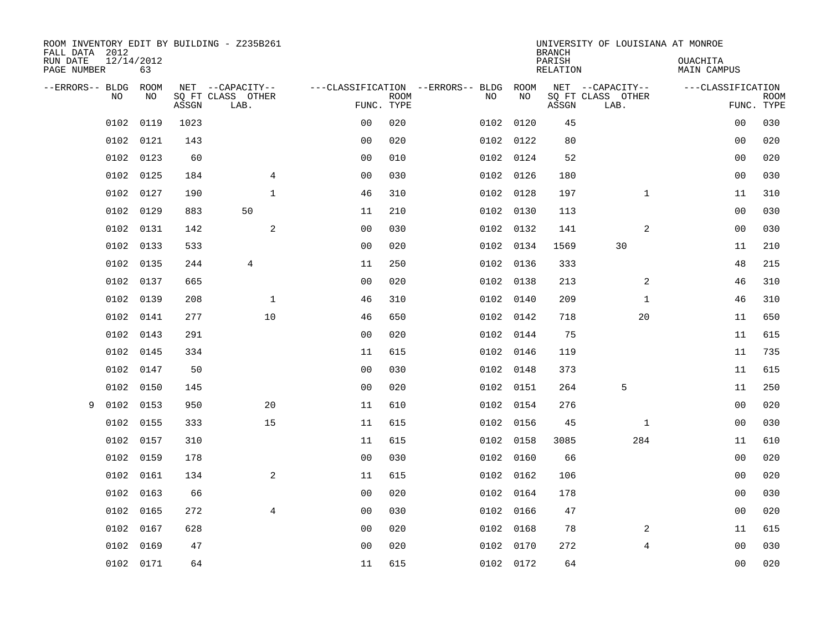| ROOM INVENTORY EDIT BY BUILDING - Z235B261<br>FALL DATA 2012 |                  |       |                           |                |             |                                   |           | <b>BRANCH</b>      | UNIVERSITY OF LOUISIANA AT MONROE |                                |                           |
|--------------------------------------------------------------|------------------|-------|---------------------------|----------------|-------------|-----------------------------------|-----------|--------------------|-----------------------------------|--------------------------------|---------------------------|
| RUN DATE<br>PAGE NUMBER                                      | 12/14/2012<br>63 |       |                           |                |             |                                   |           | PARISH<br>RELATION |                                   | <b>OUACHITA</b><br>MAIN CAMPUS |                           |
| --ERRORS-- BLDG                                              | <b>ROOM</b>      |       | NET --CAPACITY--          |                |             | ---CLASSIFICATION --ERRORS-- BLDG | ROOM      |                    | NET --CAPACITY--                  | ---CLASSIFICATION              |                           |
| N <sub>O</sub>                                               | NO.              | ASSGN | SO FT CLASS OTHER<br>LAB. | FUNC. TYPE     | <b>ROOM</b> | NO.                               | NO        | ASSGN              | SQ FT CLASS OTHER<br>LAB.         |                                | <b>ROOM</b><br>FUNC. TYPE |
| 0102                                                         | 0119             | 1023  |                           | 0 <sub>0</sub> | 020         |                                   | 0102 0120 | 45                 |                                   | 00                             | 030                       |
| 0102                                                         | 0121             | 143   |                           | 0 <sub>0</sub> | 020         |                                   | 0102 0122 | 80                 |                                   | 0 <sub>0</sub>                 | 020                       |
| 0102                                                         | 0123             | 60    |                           | 0 <sub>0</sub> | 010         |                                   | 0102 0124 | 52                 |                                   | 0 <sub>0</sub>                 | 020                       |
| 0102                                                         | 0125             | 184   | $\overline{4}$            | 0 <sub>0</sub> | 030         |                                   | 0102 0126 | 180                |                                   | 0 <sub>0</sub>                 | 030                       |
| 0102                                                         | 0127             | 190   | $\mathbf 1$               | 46             | 310         |                                   | 0102 0128 | 197                | $\mathbf{1}$                      | 11                             | 310                       |
| 0102                                                         | 0129             | 883   | 50                        | 11             | 210         |                                   | 0102 0130 | 113                |                                   | 00                             | 030                       |
| 0102                                                         | 0131             | 142   | 2                         | 0 <sub>0</sub> | 030         |                                   | 0102 0132 | 141                | 2                                 | 0 <sub>0</sub>                 | 030                       |
| 0102                                                         | 0133             | 533   |                           | 0 <sub>0</sub> | 020         |                                   | 0102 0134 | 1569               | 30                                | 11                             | 210                       |
| 0102                                                         | 0135             | 244   | $\overline{4}$            | 11             | 250         | 0102                              | 0136      | 333                |                                   | 48                             | 215                       |
| 0102                                                         | 0137             | 665   |                           | 0 <sub>0</sub> | 020         |                                   | 0102 0138 | 213                | 2                                 | 46                             | 310                       |
| 0102                                                         | 0139             | 208   | $\mathbf 1$               | 46             | 310         | 0102                              | 0140      | 209                | $\mathbf{1}$                      | 46                             | 310                       |
| 0102                                                         | 0141             | 277   | 10                        | 46             | 650         |                                   | 0102 0142 | 718                | 20                                | 11                             | 650                       |
| 0102                                                         | 0143             | 291   |                           | 0 <sub>0</sub> | 020         |                                   | 0102 0144 | 75                 |                                   | 11                             | 615                       |
| 0102                                                         | 0145             | 334   |                           | 11             | 615         |                                   | 0102 0146 | 119                |                                   | 11                             | 735                       |
| 0102                                                         | 0147             | 50    |                           | 00             | 030         | 0102                              | 0148      | 373                |                                   | 11                             | 615                       |
| 0102                                                         | 0150             | 145   |                           | 0 <sub>0</sub> | 020         |                                   | 0102 0151 | 264                | 5                                 | 11                             | 250                       |
| 0102<br>9                                                    | 0153             | 950   | 20                        | 11             | 610         |                                   | 0102 0154 | 276                |                                   | 00                             | 020                       |
| 0102                                                         | 0155             | 333   | 15                        | 11             | 615         |                                   | 0102 0156 | 45                 | $\mathbf{1}$                      | 00                             | 030                       |
| 0102                                                         | 0157             | 310   |                           | 11             | 615         |                                   | 0102 0158 | 3085               | 284                               | 11                             | 610                       |
| 0102                                                         | 0159             | 178   |                           | 0 <sub>0</sub> | 030         |                                   | 0102 0160 | 66                 |                                   | 0 <sub>0</sub>                 | 020                       |
| 0102                                                         | 0161             | 134   | 2                         | 11             | 615         |                                   | 0102 0162 | 106                |                                   | 00                             | 020                       |
| 0102                                                         | 0163             | 66    |                           | 0 <sub>0</sub> | 020         |                                   | 0102 0164 | 178                |                                   | 00                             | 030                       |
| 0102                                                         | 0165             | 272   | $\overline{4}$            | 0 <sub>0</sub> | 030         |                                   | 0102 0166 | 47                 |                                   | 0 <sub>0</sub>                 | 020                       |
| 0102                                                         | 0167             | 628   |                           | 0 <sub>0</sub> | 020         |                                   | 0102 0168 | 78                 | 2                                 | 11                             | 615                       |
| 0102                                                         | 0169             | 47    |                           | 0 <sub>0</sub> | 020         |                                   | 0102 0170 | 272                | $\overline{4}$                    | 00                             | 030                       |
|                                                              | 0102 0171        | 64    |                           | 11             | 615         |                                   | 0102 0172 | 64                 |                                   | 0 <sub>0</sub>                 | 020                       |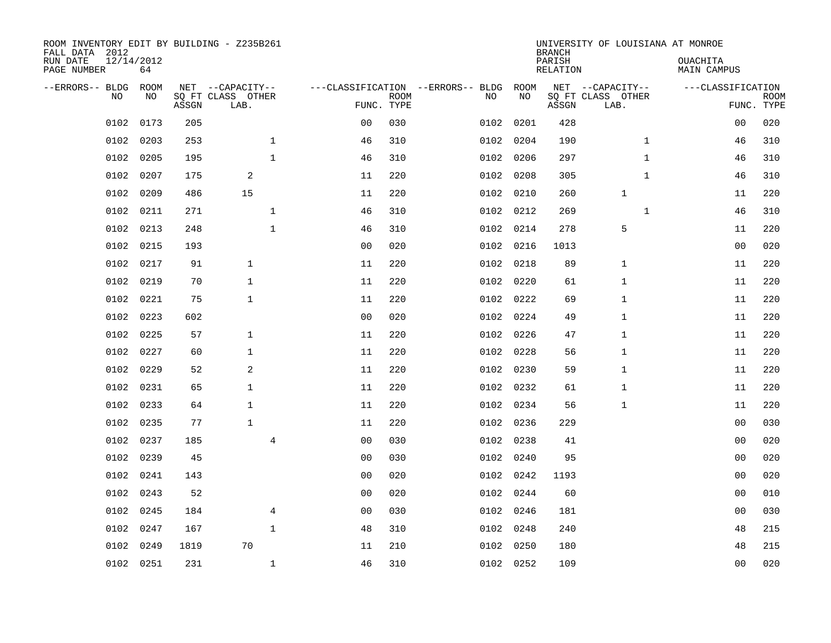| ROOM INVENTORY EDIT BY BUILDING - Z235B261<br>FALL DATA 2012<br>RUN DATE<br>PAGE NUMBER | 12/14/2012<br>64 |       |                                               |                |                           |                                         |            | <b>BRANCH</b><br>PARISH<br><b>RELATION</b> | UNIVERSITY OF LOUISIANA AT MONROE             | OUACHITA<br><b>MAIN CAMPUS</b>  |             |
|-----------------------------------------------------------------------------------------|------------------|-------|-----------------------------------------------|----------------|---------------------------|-----------------------------------------|------------|--------------------------------------------|-----------------------------------------------|---------------------------------|-------------|
| --ERRORS-- BLDG<br>NO.                                                                  | ROOM<br>NO       | ASSGN | NET --CAPACITY--<br>SQ FT CLASS OTHER<br>LAB. |                | <b>ROOM</b><br>FUNC. TYPE | ---CLASSIFICATION --ERRORS-- BLDG<br>NO | ROOM<br>NO | ASSGN                                      | NET --CAPACITY--<br>SQ FT CLASS OTHER<br>LAB. | ---CLASSIFICATION<br>FUNC. TYPE | <b>ROOM</b> |
| 0102                                                                                    | 0173             | 205   |                                               | 0 <sub>0</sub> | 030                       | 0102                                    | 0201       | 428                                        |                                               | 0 <sub>0</sub>                  | 020         |
| 0102                                                                                    | 0203             | 253   | $\mathbf 1$                                   | 46             | 310                       |                                         | 0102 0204  | 190                                        | $\mathbf{1}$                                  | 46                              | 310         |
| 0102                                                                                    | 0205             | 195   | $\mathbf{1}$                                  | 46             | 310                       | 0102                                    | 0206       | 297                                        | $\mathbf{1}$                                  | 46                              | 310         |
| 0102                                                                                    | 0207             | 175   | 2                                             | 11             | 220                       |                                         | 0102 0208  | 305                                        | $\mathbf{1}$                                  | 46                              | 310         |
| 0102                                                                                    | 0209             | 486   | 15                                            | 11             | 220                       |                                         | 0102 0210  | 260                                        | $\mathbf 1$                                   | 11                              | 220         |
| 0102                                                                                    | 0211             | 271   | $\mathbf 1$                                   | 46             | 310                       |                                         | 0102 0212  | 269                                        | $\mathbf{1}$                                  | 46                              | 310         |
| 0102                                                                                    | 0213             | 248   | $\mathbf{1}$                                  | 46             | 310                       |                                         | 0102 0214  | 278                                        | 5                                             | 11                              | 220         |
| 0102                                                                                    | 0215             | 193   |                                               | 0 <sub>0</sub> | 020                       |                                         | 0102 0216  | 1013                                       |                                               | 0 <sub>0</sub>                  | 020         |
| 0102                                                                                    | 0217             | 91    | $\mathbf{1}$                                  | 11             | 220                       | 0102                                    | 0218       | 89                                         | $\mathbf{1}$                                  | 11                              | 220         |
| 0102                                                                                    | 0219             | 70    | $\mathbf{1}$                                  | 11             | 220                       |                                         | 0102 0220  | 61                                         | 1                                             | 11                              | 220         |
| 0102                                                                                    | 0221             | 75    | $\mathbf{1}$                                  | 11             | 220                       | 0102                                    | 0222       | 69                                         | 1                                             | 11                              | 220         |
| 0102                                                                                    | 0223             | 602   |                                               | 0 <sub>0</sub> | 020                       |                                         | 0102 0224  | 49                                         | 1                                             | 11                              | 220         |
| 0102                                                                                    | 0225             | 57    | $\mathbf{1}$                                  | 11             | 220                       | 0102                                    | 0226       | 47                                         | 1                                             | 11                              | 220         |
| 0102                                                                                    | 0227             | 60    | $\mathbf{1}$                                  | 11             | 220                       |                                         | 0102 0228  | 56                                         | 1                                             | 11                              | 220         |
| 0102                                                                                    | 0229             | 52    | 2                                             | 11             | 220                       | 0102                                    | 0230       | 59                                         | 1                                             | 11                              | 220         |
| 0102                                                                                    | 0231             | 65    | 1                                             | 11             | 220                       |                                         | 0102 0232  | 61                                         | 1                                             | 11                              | 220         |
| 0102                                                                                    | 0233             | 64    | $\mathbf{1}$                                  | 11             | 220                       | 0102                                    | 0234       | 56                                         | $\mathbf{1}$                                  | 11                              | 220         |
| 0102                                                                                    | 0235             | 77    | $\mathbf{1}$                                  | 11             | 220                       |                                         | 0102 0236  | 229                                        |                                               | 00                              | 030         |
|                                                                                         | 0102 0237        | 185   | $\overline{4}$                                | 0 <sub>0</sub> | 030                       |                                         | 0102 0238  | 41                                         |                                               | 00                              | 020         |
| 0102                                                                                    | 0239             | 45    |                                               | 0 <sub>0</sub> | 030                       |                                         | 0102 0240  | 95                                         |                                               | 00                              | 020         |
| 0102                                                                                    | 0241             | 143   |                                               | 0 <sub>0</sub> | 020                       |                                         | 0102 0242  | 1193                                       |                                               | 0 <sub>0</sub>                  | 020         |
| 0102                                                                                    | 0243             | 52    |                                               | 0 <sub>0</sub> | 020                       |                                         | 0102 0244  | 60                                         |                                               | 0 <sub>0</sub>                  | 010         |
| 0102                                                                                    | 0245             | 184   | $\overline{4}$                                | 0 <sub>0</sub> | 030                       |                                         | 0102 0246  | 181                                        |                                               | 0 <sub>0</sub>                  | 030         |
| 0102                                                                                    | 0247             | 167   | $\mathbf{1}$                                  | 48             | 310                       |                                         | 0102 0248  | 240                                        |                                               | 48                              | 215         |
| 0102                                                                                    | 0249             | 1819  | 70                                            | 11             | 210                       |                                         | 0102 0250  | 180                                        |                                               | 48                              | 215         |
|                                                                                         | 0102 0251        | 231   | 1                                             | 46             | 310                       |                                         | 0102 0252  | 109                                        |                                               | 0 <sub>0</sub>                  | 020         |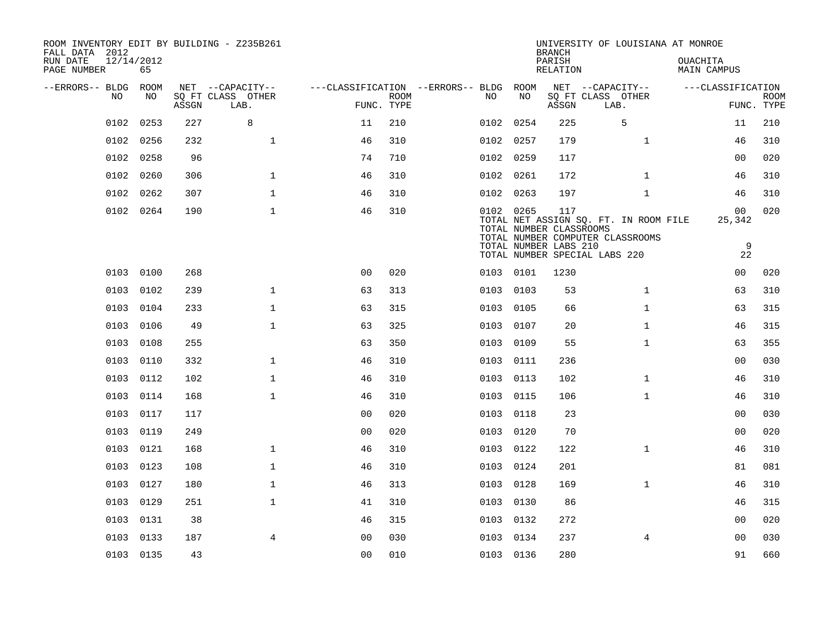| ROOM INVENTORY EDIT BY BUILDING - Z235B261<br>FALL DATA 2012<br>RUN DATE<br>PAGE NUMBER | 12/14/2012<br>65 |       |                                               |                |             |                                              |                                                               | <b>BRANCH</b><br>PARISH<br>RELATION | UNIVERSITY OF LOUISIANA AT MONROE                                                                          | OUACHITA<br>MAIN CAMPUS |                           |
|-----------------------------------------------------------------------------------------|------------------|-------|-----------------------------------------------|----------------|-------------|----------------------------------------------|---------------------------------------------------------------|-------------------------------------|------------------------------------------------------------------------------------------------------------|-------------------------|---------------------------|
| --ERRORS-- BLDG<br>NO.                                                                  | ROOM<br>NO.      | ASSGN | NET --CAPACITY--<br>SO FT CLASS OTHER<br>LAB. | FUNC. TYPE     | <b>ROOM</b> | ---CLASSIFICATION --ERRORS-- BLDG ROOM<br>NO | NO                                                            | ASSGN                               | NET --CAPACITY--<br>SO FT CLASS OTHER<br>LAB.                                                              | ---CLASSIFICATION       | <b>ROOM</b><br>FUNC. TYPE |
| 0102                                                                                    | 0253             | 227   | 8                                             | 11             | 210         |                                              | 0102 0254                                                     | 225                                 | 5                                                                                                          | 11                      | 210                       |
| 0102                                                                                    | 0256             | 232   | $\mathbf{1}$                                  | 46             | 310         |                                              | 0102 0257                                                     | 179                                 | $\mathbf{1}$                                                                                               | 46                      | 310                       |
|                                                                                         | 0102 0258        | 96    |                                               | 74             | 710         |                                              | 0102 0259                                                     | 117                                 |                                                                                                            | 00                      | 020                       |
| 0102                                                                                    | 0260             | 306   | $\mathbf{1}$                                  | 46             | 310         |                                              | 0102 0261                                                     | 172                                 | $\mathbf{1}$                                                                                               | 46                      | 310                       |
| 0102                                                                                    | 0262             | 307   | $\mathbf{1}$                                  | 46             | 310         |                                              | 0102 0263                                                     | 197                                 | $\mathbf{1}$                                                                                               | 46                      | 310                       |
|                                                                                         | 0102 0264        | 190   | $\mathbf{1}$                                  | 46             | 310         |                                              | 0102 0265<br>TOTAL NUMBER CLASSROOMS<br>TOTAL NUMBER LABS 210 | 117                                 | TOTAL NET ASSIGN SQ. FT. IN ROOM FILE<br>TOTAL NUMBER COMPUTER CLASSROOMS<br>TOTAL NUMBER SPECIAL LABS 220 | 00<br>25,342<br>9<br>22 | 020                       |
|                                                                                         | 0103 0100        | 268   |                                               | 0 <sub>0</sub> | 020         |                                              | 0103 0101                                                     | 1230                                |                                                                                                            | 00                      | 020                       |
|                                                                                         | 0103 0102        | 239   | $\mathbf{1}$                                  | 63             | 313         |                                              | 0103 0103                                                     | 53                                  | $\mathbf{1}$                                                                                               | 63                      | 310                       |
|                                                                                         | 0103 0104        | 233   | $\mathbf{1}$                                  | 63             | 315         | 0103                                         | 0105                                                          | 66                                  | $\mathbf{1}$                                                                                               | 63                      | 315                       |
|                                                                                         | 0103 0106        | 49    | $\mathbf{1}$                                  | 63             | 325         |                                              | 0103 0107                                                     | 20                                  | $\mathbf{1}$                                                                                               | 46                      | 315                       |
| 0103                                                                                    | 0108             | 255   |                                               | 63             | 350         | 0103                                         | 0109                                                          | 55                                  | $\mathbf{1}$                                                                                               | 63                      | 355                       |
|                                                                                         | 0103 0110        | 332   | $\mathbf{1}$                                  | 46             | 310         |                                              | 0103 0111                                                     | 236                                 |                                                                                                            | 0 <sub>0</sub>          | 030                       |
| 0103                                                                                    | 0112             | 102   | $\mathbf{1}$                                  | 46             | 310         | 0103                                         | 0113                                                          | 102                                 | $\mathbf{1}$                                                                                               | 46                      | 310                       |
|                                                                                         | 0103 0114        | 168   | $\mathbf{1}$                                  | 46             | 310         |                                              | 0103 0115                                                     | 106                                 | $\mathbf{1}$                                                                                               | 46                      | 310                       |
| 0103                                                                                    | 0117             | 117   |                                               | 00             | 020         | 0103                                         | 0118                                                          | 23                                  |                                                                                                            | 00                      | 030                       |
|                                                                                         | 0103 0119        | 249   |                                               | 0 <sub>0</sub> | 020         |                                              | 0103 0120                                                     | 70                                  |                                                                                                            | 0 <sub>0</sub>          | 020                       |
| 0103                                                                                    | 0121             | 168   | $\mathbf 1$                                   | 46             | 310         |                                              | 0103 0122                                                     | 122                                 | $\mathbf{1}$                                                                                               | 46                      | 310                       |
|                                                                                         | 0103 0123        | 108   | $\mathbf 1$                                   | 46             | 310         |                                              | 0103 0124                                                     | 201                                 |                                                                                                            | 81                      | 081                       |
| 0103                                                                                    | 0127             | 180   | $\mathbf{1}$                                  | 46             | 313         | 0103                                         | 0128                                                          | 169                                 | $\mathbf{1}$                                                                                               | 46                      | 310                       |
|                                                                                         | 0103 0129        | 251   | $\mathbf{1}$                                  | 41             | 310         |                                              | 0103 0130                                                     | 86                                  |                                                                                                            | 46                      | 315                       |
|                                                                                         | 0103 0131        | 38    |                                               | 46             | 315         |                                              | 0103 0132                                                     | 272                                 |                                                                                                            | 0 <sub>0</sub>          | 020                       |
|                                                                                         | 0103 0133        | 187   | $\overline{4}$                                | 0 <sub>0</sub> | 030         |                                              | 0103 0134                                                     | 237                                 | 4                                                                                                          | 00                      | 030                       |
|                                                                                         | 0103 0135        | 43    |                                               | 0 <sub>0</sub> | 010         |                                              | 0103 0136                                                     | 280                                 |                                                                                                            | 91                      | 660                       |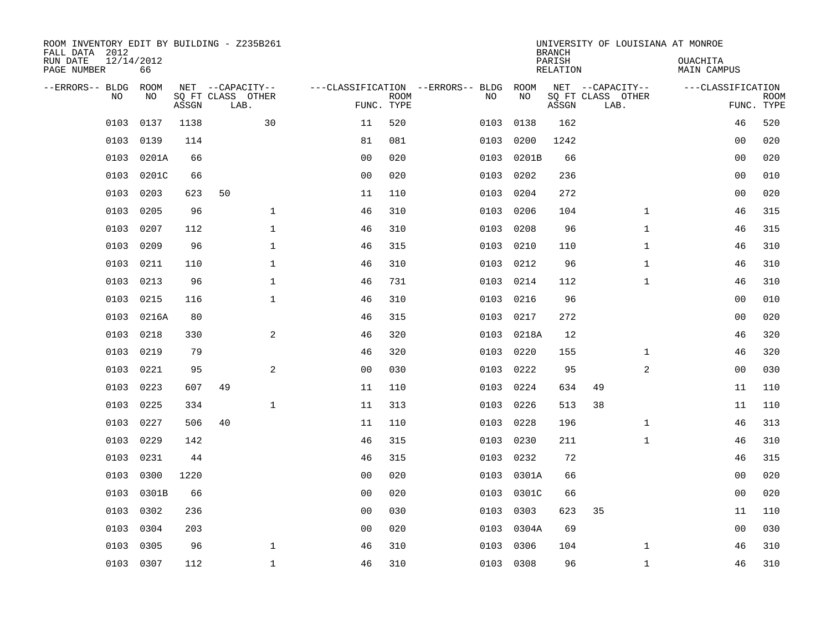| ROOM INVENTORY EDIT BY BUILDING - Z235B261<br>FALL DATA 2012<br>RUN DATE | 12/14/2012 |       |                           |                |                           |                                   |           | <b>BRANCH</b><br>PARISH | UNIVERSITY OF LOUISIANA AT MONROE | OUACHITA           |                           |
|--------------------------------------------------------------------------|------------|-------|---------------------------|----------------|---------------------------|-----------------------------------|-----------|-------------------------|-----------------------------------|--------------------|---------------------------|
| PAGE NUMBER                                                              | 66         |       |                           |                |                           |                                   |           | <b>RELATION</b>         |                                   | <b>MAIN CAMPUS</b> |                           |
| --ERRORS-- BLDG                                                          | ROOM       |       | NET --CAPACITY--          |                |                           | ---CLASSIFICATION --ERRORS-- BLDG | ROOM      |                         | NET --CAPACITY--                  | ---CLASSIFICATION  |                           |
| NO                                                                       | NO         | ASSGN | SQ FT CLASS OTHER<br>LAB. |                | <b>ROOM</b><br>FUNC. TYPE | NO                                | NO        | ASSGN                   | SQ FT CLASS OTHER<br>LAB.         |                    | <b>ROOM</b><br>FUNC. TYPE |
| 0103                                                                     | 0137       | 1138  | 30                        | 11             | 520                       | 0103                              | 0138      | 162                     |                                   | 46                 | 520                       |
| 0103                                                                     | 0139       | 114   |                           | 81             | 081                       | 0103                              | 0200      | 1242                    |                                   | 00                 | 020                       |
| 0103                                                                     | 0201A      | 66    |                           | 0 <sub>0</sub> | 020                       | 0103                              | 0201B     | 66                      |                                   | 0 <sub>0</sub>     | 020                       |
| 0103                                                                     | 0201C      | 66    |                           | 0 <sub>0</sub> | 020                       | 0103                              | 0202      | 236                     |                                   | 0 <sub>0</sub>     | 010                       |
| 0103                                                                     | 0203       | 623   | 50                        | 11             | 110                       | 0103                              | 0204      | 272                     |                                   | 0 <sub>0</sub>     | 020                       |
| 0103                                                                     | 0205       | 96    | $\mathbf{1}$              | 46             | 310                       | 0103                              | 0206      | 104                     | $\mathbf{1}$                      | 46                 | 315                       |
| 0103                                                                     | 0207       | 112   | $\mathbf{1}$              | 46             | 310                       | 0103                              | 0208      | 96                      | $\mathbf{1}$                      | 46                 | 315                       |
| 0103                                                                     | 0209       | 96    | $\mathbf 1$               | 46             | 315                       | 0103                              | 0210      | 110                     | $\mathbf{1}$                      | 46                 | 310                       |
| 0103                                                                     | 0211       | 110   | $\mathbf 1$               | 46             | 310                       | 0103                              | 0212      | 96                      | $\mathbf{1}$                      | 46                 | 310                       |
| 0103                                                                     | 0213       | 96    | $\mathbf 1$               | 46             | 731                       | 0103                              | 0214      | 112                     | $\mathbf{1}$                      | 46                 | 310                       |
| 0103                                                                     | 0215       | 116   | $\mathbf{1}$              | 46             | 310                       | 0103                              | 0216      | 96                      |                                   | 00                 | 010                       |
| 0103                                                                     | 0216A      | 80    |                           | 46             | 315                       | 0103                              | 0217      | 272                     |                                   | 00                 | 020                       |
| 0103                                                                     | 0218       | 330   | $\mathbf{2}$              | 46             | 320                       | 0103                              | 0218A     | 12                      |                                   | 46                 | 320                       |
| 0103                                                                     | 0219       | 79    |                           | 46             | 320                       | 0103                              | 0220      | 155                     | $\mathbf{1}$                      | 46                 | 320                       |
| 0103                                                                     | 0221       | 95    | 2                         | 0 <sub>0</sub> | 030                       | 0103                              | 0222      | 95                      | 2                                 | 00                 | 030                       |
| 0103                                                                     | 0223       | 607   | 49                        | 11             | 110                       | 0103                              | 0224      | 634                     | 49                                | 11                 | 110                       |
| 0103                                                                     | 0225       | 334   | $\mathbf{1}$              | 11             | 313                       | 0103                              | 0226      | 513                     | 38                                | 11                 | 110                       |
| 0103                                                                     | 0227       | 506   | 40                        | 11             | 110                       | 0103                              | 0228      | 196                     | $\mathbf{1}$                      | 46                 | 313                       |
| 0103                                                                     | 0229       | 142   |                           | 46             | 315                       | 0103                              | 0230      | 211                     | $\mathbf{1}$                      | 46                 | 310                       |
| 0103                                                                     | 0231       | 44    |                           | 46             | 315                       | 0103                              | 0232      | 72                      |                                   | 46                 | 315                       |
| 0103                                                                     | 0300       | 1220  |                           | 0 <sub>0</sub> | 020                       | 0103                              | 0301A     | 66                      |                                   | 0 <sub>0</sub>     | 020                       |
| 0103                                                                     | 0301B      | 66    |                           | 00             | 020                       | 0103                              | 0301C     | 66                      |                                   | 00                 | 020                       |
| 0103                                                                     | 0302       | 236   |                           | 0 <sub>0</sub> | 030                       | 0103                              | 0303      | 623                     | 35                                | 11                 | 110                       |
| 0103                                                                     | 0304       | 203   |                           | 0 <sub>0</sub> | 020                       | 0103                              | 0304A     | 69                      |                                   | 00                 | 030                       |
| 0103                                                                     | 0305       | 96    | $\mathbf 1$               | 46             | 310                       | 0103                              | 0306      | 104                     | $\mathbf{1}$                      | 46                 | 310                       |
|                                                                          | 0103 0307  | 112   | $\mathbf{1}$              | 46             | 310                       |                                   | 0103 0308 | 96                      | $\mathbf{1}$                      | 46                 | 310                       |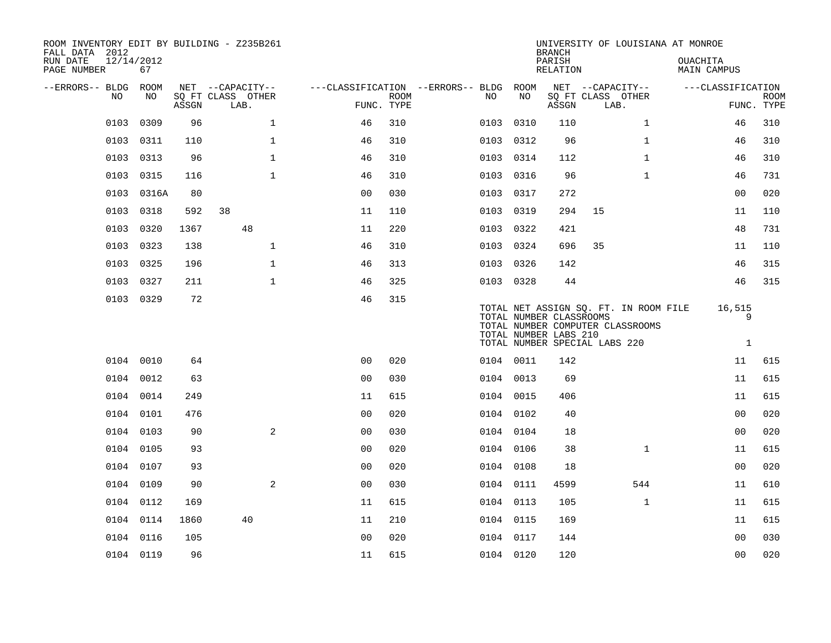| ROOM INVENTORY EDIT BY BUILDING - Z235B261<br>FALL DATA 2012 |                  |       |                           |                                        |                           |      |           | <b>BRANCH</b>                                    |                               |                                                                           | UNIVERSITY OF LOUISIANA AT MONROE |                             |             |
|--------------------------------------------------------------|------------------|-------|---------------------------|----------------------------------------|---------------------------|------|-----------|--------------------------------------------------|-------------------------------|---------------------------------------------------------------------------|-----------------------------------|-----------------------------|-------------|
| RUN DATE<br>PAGE NUMBER                                      | 12/14/2012<br>67 |       |                           |                                        |                           |      |           | PARISH<br><b>RELATION</b>                        |                               |                                                                           | OUACHITA<br><b>MAIN CAMPUS</b>    |                             |             |
| --ERRORS-- BLDG ROOM                                         |                  |       | NET --CAPACITY--          | ---CLASSIFICATION --ERRORS-- BLDG ROOM |                           |      |           |                                                  | NET --CAPACITY--              |                                                                           | ---CLASSIFICATION                 |                             |             |
| NO                                                           | NO               | ASSGN | SQ FT CLASS OTHER<br>LAB. |                                        | <b>ROOM</b><br>FUNC. TYPE | NO.  | NO        | ASSGN                                            | SQ FT CLASS OTHER<br>LAB.     |                                                                           |                                   | FUNC. TYPE                  | <b>ROOM</b> |
| 0103                                                         | 0309             | 96    | $\mathbf{1}$              | 46                                     | 310                       |      | 0103 0310 | 110                                              |                               | $\mathbf{1}$                                                              |                                   | 46                          | 310         |
| 0103                                                         | 0311             | 110   | $\mathbf{1}$              | 46                                     | 310                       | 0103 | 0312      | 96                                               |                               | $\mathbf{1}$                                                              |                                   | 46                          | 310         |
| 0103                                                         | 0313             | 96    | $\mathbf 1$               | 46                                     | 310                       |      | 0103 0314 | 112                                              |                               | $\mathbf{1}$                                                              |                                   | 46                          | 310         |
| 0103                                                         | 0315             | 116   | $\mathbf{1}$              | 46                                     | 310                       | 0103 | 0316      | 96                                               |                               | $\mathbf{1}$                                                              |                                   | 46                          | 731         |
| 0103                                                         | 0316A            | 80    |                           | 0 <sub>0</sub>                         | 030                       |      | 0103 0317 | 272                                              |                               |                                                                           |                                   | 00                          | 020         |
| 0103                                                         | 0318             | 592   | 38                        | 11                                     | 110                       | 0103 | 0319      | 294                                              | 15                            |                                                                           |                                   | 11                          | 110         |
| 0103                                                         | 0320             | 1367  | 48                        | 11                                     | 220                       |      | 0103 0322 | 421                                              |                               |                                                                           |                                   | 48                          | 731         |
| 0103                                                         | 0323             | 138   | $\mathbf{1}$              | 46                                     | 310                       | 0103 | 0324      | 696                                              | 35                            |                                                                           |                                   | 11                          | 110         |
| 0103                                                         | 0325             | 196   | $\mathbf 1$               | 46                                     | 313                       |      | 0103 0326 | 142                                              |                               |                                                                           |                                   | 46                          | 315         |
|                                                              | 0103 0327        | 211   | $\mathbf{1}$              | 46                                     | 325                       |      | 0103 0328 | 44                                               |                               |                                                                           |                                   | 46                          | 315         |
|                                                              | 0103 0329        | 72    |                           | 46                                     | 315                       |      |           | TOTAL NUMBER CLASSROOMS<br>TOTAL NUMBER LABS 210 | TOTAL NUMBER SPECIAL LABS 220 | TOTAL NET ASSIGN SQ. FT. IN ROOM FILE<br>TOTAL NUMBER COMPUTER CLASSROOMS |                                   | 16,515<br>9<br>$\mathbf{1}$ |             |
|                                                              | 0104 0010        | 64    |                           | 0 <sub>0</sub>                         | 020                       |      | 0104 0011 | 142                                              |                               |                                                                           |                                   | 11                          | 615         |
|                                                              | 0104 0012        | 63    |                           | 00                                     | 030                       |      | 0104 0013 | 69                                               |                               |                                                                           |                                   | 11                          | 615         |
|                                                              | 0104 0014        | 249   |                           | 11                                     | 615                       |      | 0104 0015 | 406                                              |                               |                                                                           |                                   | 11                          | 615         |
| 0104                                                         | 0101             | 476   |                           | 0 <sub>0</sub>                         | 020                       |      | 0104 0102 | 40                                               |                               |                                                                           |                                   | 0 <sub>0</sub>              | 020         |
|                                                              | 0104 0103        | 90    | $\overline{a}$            | 0 <sub>0</sub>                         | 030                       |      | 0104 0104 | 18                                               |                               |                                                                           |                                   | 0 <sub>0</sub>              | 020         |
|                                                              | 0104 0105        | 93    |                           | 0 <sub>0</sub>                         | 020                       |      | 0104 0106 | 38                                               |                               | $\mathbf{1}$                                                              |                                   | 11                          | 615         |
|                                                              | 0104 0107        | 93    |                           | 00                                     | 020                       |      | 0104 0108 | 18                                               |                               |                                                                           |                                   | 0 <sub>0</sub>              | 020         |
|                                                              | 0104 0109        | 90    | 2                         | 0 <sub>0</sub>                         | 030                       |      | 0104 0111 | 4599                                             |                               | 544                                                                       |                                   | 11                          | 610         |
|                                                              | 0104 0112        | 169   |                           | 11                                     | 615                       |      | 0104 0113 | 105                                              |                               | $\mathbf{1}$                                                              |                                   | 11                          | 615         |
|                                                              | 0104 0114        | 1860  | 40                        | 11                                     | 210                       |      | 0104 0115 | 169                                              |                               |                                                                           |                                   | 11                          | 615         |
|                                                              | 0104 0116        | 105   |                           | 0 <sub>0</sub>                         | 020                       |      | 0104 0117 | 144                                              |                               |                                                                           |                                   | 0 <sub>0</sub>              | 030         |
|                                                              | 0104 0119        | 96    |                           | 11                                     | 615                       |      | 0104 0120 | 120                                              |                               |                                                                           |                                   | 0 <sub>0</sub>              | 020         |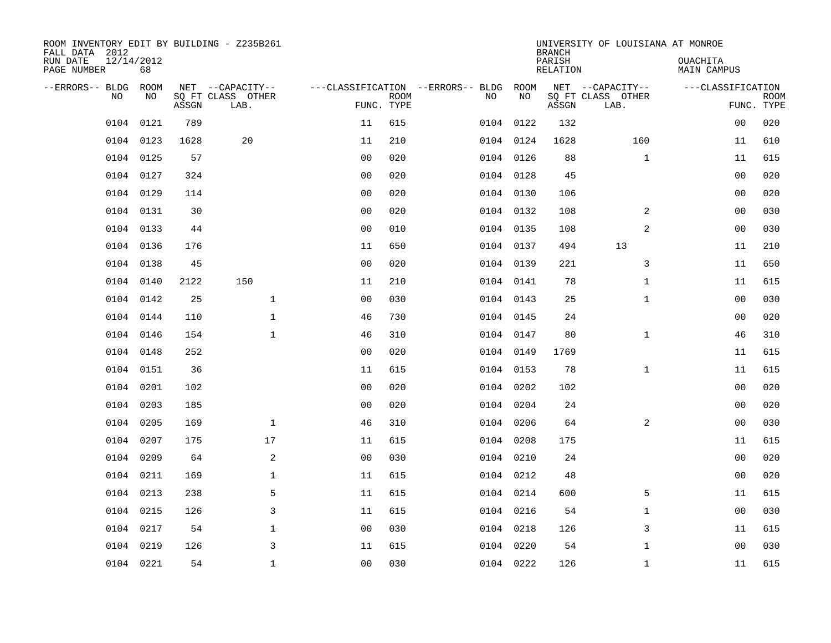| ROOM INVENTORY EDIT BY BUILDING - Z235B261<br>FALL DATA 2012 |                  |       |                           |                |             |                                   |           | <b>BRANCH</b>      | UNIVERSITY OF LOUISIANA AT MONROE |                                |             |
|--------------------------------------------------------------|------------------|-------|---------------------------|----------------|-------------|-----------------------------------|-----------|--------------------|-----------------------------------|--------------------------------|-------------|
| RUN DATE<br>PAGE NUMBER                                      | 12/14/2012<br>68 |       |                           |                |             |                                   |           | PARISH<br>RELATION |                                   | <b>OUACHITA</b><br>MAIN CAMPUS |             |
| --ERRORS-- BLDG                                              | ROOM             |       | NET --CAPACITY--          |                |             | ---CLASSIFICATION --ERRORS-- BLDG | ROOM      |                    | NET --CAPACITY--                  | ---CLASSIFICATION              |             |
| N <sub>O</sub>                                               | NO.              | ASSGN | SO FT CLASS OTHER<br>LAB. | FUNC. TYPE     | <b>ROOM</b> | NO.                               | NO        | ASSGN              | SQ FT CLASS OTHER<br>LAB.         | FUNC. TYPE                     | <b>ROOM</b> |
| 0104                                                         | 0121             | 789   |                           | 11             | 615         |                                   | 0104 0122 | 132                |                                   | 0 <sub>0</sub>                 | 020         |
|                                                              | 0104 0123        | 1628  | 20                        | 11             | 210         |                                   | 0104 0124 | 1628               | 160                               | 11                             | 610         |
|                                                              | 0104 0125        | 57    |                           | 0 <sub>0</sub> | 020         |                                   | 0104 0126 | 88                 | $\mathbf{1}$                      | 11                             | 615         |
| 0104                                                         | 0127             | 324   |                           | 0 <sub>0</sub> | 020         |                                   | 0104 0128 | 45                 |                                   | 0 <sub>0</sub>                 | 020         |
| 0104                                                         | 0129             | 114   |                           | 00             | 020         |                                   | 0104 0130 | 106                |                                   | 0 <sub>0</sub>                 | 020         |
|                                                              | 0104 0131        | 30    |                           | 0 <sub>0</sub> | 020         |                                   | 0104 0132 | 108                | 2                                 | 0 <sub>0</sub>                 | 030         |
| 0104                                                         | 0133             | 44    |                           | 0 <sub>0</sub> | 010         |                                   | 0104 0135 | 108                | 2                                 | 0 <sub>0</sub>                 | 030         |
|                                                              | 0104 0136        | 176   |                           | 11             | 650         |                                   | 0104 0137 | 494                | 13                                | 11                             | 210         |
| 0104                                                         | 0138             | 45    |                           | 0 <sub>0</sub> | 020         |                                   | 0104 0139 | 221                | 3                                 | 11                             | 650         |
|                                                              | 0104 0140        | 2122  | 150                       | 11             | 210         |                                   | 0104 0141 | 78                 | $\mathbf{1}$                      | 11                             | 615         |
| 0104                                                         | 0142             | 25    | $\mathbf 1$               | 0 <sub>0</sub> | 030         |                                   | 0104 0143 | 25                 | $\mathbf{1}$                      | 00                             | 030         |
|                                                              | 0104 0144        | 110   | $\mathbf 1$               | 46             | 730         |                                   | 0104 0145 | 24                 |                                   | 00                             | 020         |
| 0104                                                         | 0146             | 154   | $\mathbf{1}$              | 46             | 310         |                                   | 0104 0147 | 80                 | $\mathbf{1}$                      | 46                             | 310         |
| 0104                                                         | 0148             | 252   |                           | 0 <sub>0</sub> | 020         |                                   | 0104 0149 | 1769               |                                   | 11                             | 615         |
| 0104                                                         | 0151             | 36    |                           | 11             | 615         |                                   | 0104 0153 | 78                 | $\mathbf{1}$                      | 11                             | 615         |
| 0104                                                         | 0201             | 102   |                           | 0 <sub>0</sub> | 020         |                                   | 0104 0202 | 102                |                                   | 00                             | 020         |
| 0104                                                         | 0203             | 185   |                           | 0 <sub>0</sub> | 020         |                                   | 0104 0204 | 24                 |                                   | 0 <sub>0</sub>                 | 020         |
| 0104                                                         | 0205             | 169   | $\mathbf{1}$              | 46             | 310         |                                   | 0104 0206 | 64                 | 2                                 | 0 <sub>0</sub>                 | 030         |
| 0104                                                         | 0207             | 175   | 17                        | 11             | 615         |                                   | 0104 0208 | 175                |                                   | 11                             | 615         |
| 0104                                                         | 0209             | 64    | 2                         | 0 <sub>0</sub> | 030         |                                   | 0104 0210 | 24                 |                                   | 00                             | 020         |
| 0104                                                         | 0211             | 169   | $\mathbf 1$               | 11             | 615         |                                   | 0104 0212 | 48                 |                                   | 0 <sub>0</sub>                 | 020         |
| 0104                                                         | 0213             | 238   | 5                         | 11             | 615         |                                   | 0104 0214 | 600                | 5                                 | 11                             | 615         |
| 0104                                                         | 0215             | 126   | $\mathsf{3}$              | 11             | 615         |                                   | 0104 0216 | 54                 | $\mathbf{1}$                      | 00                             | 030         |
| 0104                                                         | 0217             | 54    | $\mathbf 1$               | 0 <sub>0</sub> | 030         |                                   | 0104 0218 | 126                | 3                                 | 11                             | 615         |
| 0104                                                         | 0219             | 126   | 3                         | 11             | 615         |                                   | 0104 0220 | 54                 | $\mathbf{1}$                      | 00                             | 030         |
|                                                              | 0104 0221        | 54    | $\mathbf 1$               | 0 <sub>0</sub> | 030         |                                   | 0104 0222 | 126                | $\mathbf{1}$                      | 11                             | 615         |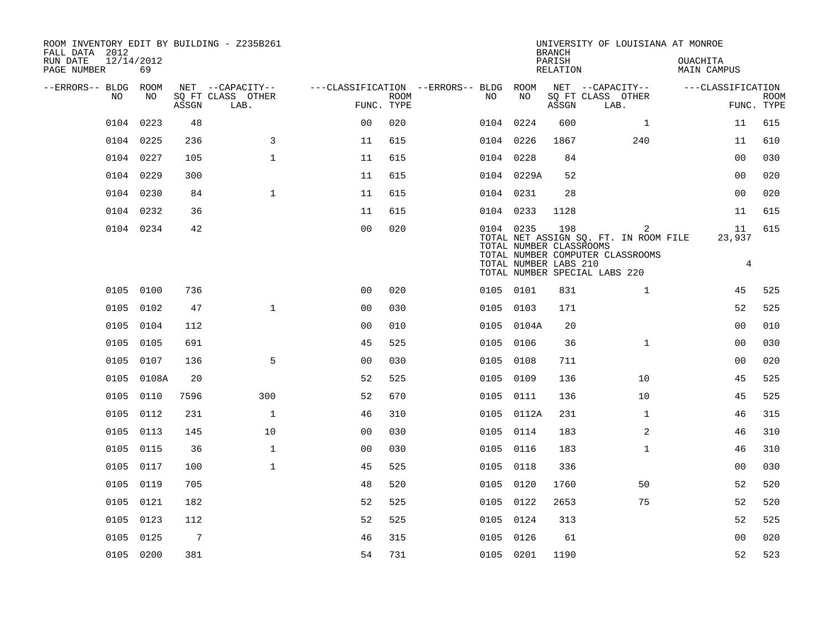| ROOM INVENTORY EDIT BY BUILDING - Z235B261<br>FALL DATA 2012 |                  |                 |                           |                                        |             |           |                                                  | <b>BRANCH</b>      | UNIVERSITY OF LOUISIANA AT MONROE                                                                               |                                |                           |
|--------------------------------------------------------------|------------------|-----------------|---------------------------|----------------------------------------|-------------|-----------|--------------------------------------------------|--------------------|-----------------------------------------------------------------------------------------------------------------|--------------------------------|---------------------------|
| RUN DATE<br>PAGE NUMBER                                      | 12/14/2012<br>69 |                 |                           |                                        |             |           |                                                  | PARISH<br>RELATION |                                                                                                                 | OUACHITA<br>MAIN CAMPUS        |                           |
| --ERRORS-- BLDG ROOM                                         |                  |                 | NET --CAPACITY--          | ---CLASSIFICATION --ERRORS-- BLDG ROOM |             |           |                                                  |                    | NET --CAPACITY--                                                                                                | ---CLASSIFICATION              |                           |
| NO                                                           | NO               | ASSGN           | SQ FT CLASS OTHER<br>LAB. | FUNC. TYPE                             | <b>ROOM</b> | NO        | NO                                               | ASSGN              | SQ FT CLASS OTHER<br>LAB.                                                                                       |                                | <b>ROOM</b><br>FUNC. TYPE |
| 0104                                                         | 0223             | 48              |                           | 0 <sub>0</sub>                         | 020         |           | 0104 0224                                        | 600                | $\mathbf{1}$                                                                                                    | 11                             | 615                       |
|                                                              | 0104 0225        | 236             | 3                         | 11                                     | 615         | 0104 0226 |                                                  | 1867               | 240                                                                                                             | 11                             | 610                       |
|                                                              | 0104 0227        | 105             | $\mathbf 1$               | 11                                     | 615         | 0104 0228 |                                                  | 84                 |                                                                                                                 | 0 <sub>0</sub>                 | 030                       |
|                                                              | 0104 0229        | 300             |                           | 11                                     | 615         |           | 0104 0229A                                       | 52                 |                                                                                                                 | 0 <sub>0</sub>                 | 020                       |
|                                                              | 0104 0230        | 84              | $\mathbf{1}$              | 11                                     | 615         | 0104 0231 |                                                  | 28                 |                                                                                                                 | 0 <sub>0</sub>                 | 020                       |
|                                                              | 0104 0232        | 36              |                           | 11                                     | 615         | 0104 0233 |                                                  | 1128               |                                                                                                                 | 11                             | 615                       |
|                                                              | 0104 0234        | 42              |                           | 0 <sub>0</sub>                         | 020         | 0104 0235 | TOTAL NUMBER CLASSROOMS<br>TOTAL NUMBER LABS 210 | 198                | 2<br>TOTAL NET ASSIGN SQ. FT. IN ROOM FILE<br>TOTAL NUMBER COMPUTER CLASSROOMS<br>TOTAL NUMBER SPECIAL LABS 220 | 11<br>23,937<br>$\overline{4}$ | 615                       |
|                                                              | 0105 0100        | 736             |                           | 0 <sub>0</sub>                         | 020         | 0105 0101 |                                                  | 831                | $\mathbf{1}$                                                                                                    | 45                             | 525                       |
| 0105                                                         | 0102             | 47              | $\mathbf{1}$              | 00                                     | 030         | 0105 0103 |                                                  | 171                |                                                                                                                 | 52                             | 525                       |
|                                                              | 0105 0104        | 112             |                           | 0 <sub>0</sub>                         | 010         |           | 0105 0104A                                       | 20                 |                                                                                                                 | 00                             | 010                       |
| 0105                                                         | 0105             | 691             |                           | 45                                     | 525         | 0105      | 0106                                             | 36                 | $\mathbf{1}$                                                                                                    | 00                             | 030                       |
|                                                              | 0105 0107        | 136             | 5                         | 0 <sub>0</sub>                         | 030         | 0105 0108 |                                                  | 711                |                                                                                                                 | 0 <sub>0</sub>                 | 020                       |
|                                                              | 0105 0108A       | 20              |                           | 52                                     | 525         | 0105      | 0109                                             | 136                | 10                                                                                                              | 45                             | 525                       |
|                                                              | 0105 0110        | 7596            | 300                       | 52                                     | 670         | 0105 0111 |                                                  | 136                | 10                                                                                                              | 45                             | 525                       |
| 0105                                                         | 0112             | 231             | $\mathbf{1}$              | 46                                     | 310         |           | 0105 0112A                                       | 231                | $\mathbf{1}$                                                                                                    | 46                             | 315                       |
|                                                              | 0105 0113        | 145             | 10                        | 0 <sub>0</sub>                         | 030         | 0105 0114 |                                                  | 183                | 2                                                                                                               | 46                             | 310                       |
| 0105                                                         | 0115             | 36              | $\mathbf{1}$              | 0 <sub>0</sub>                         | 030         | 0105 0116 |                                                  | 183                | $\mathbf{1}$                                                                                                    | 46                             | 310                       |
|                                                              | 0105 0117        | 100             | $\mathbf{1}$              | 45                                     | 525         | 0105 0118 |                                                  | 336                |                                                                                                                 | 0 <sub>0</sub>                 | 030                       |
| 0105                                                         | 0119             | 705             |                           | 48                                     | 520         | 0105 0120 |                                                  | 1760               | 50                                                                                                              | 52                             | 520                       |
|                                                              | 0105 0121        | 182             |                           | 52                                     | 525         | 0105 0122 |                                                  | 2653               | 75                                                                                                              | 52                             | 520                       |
| 0105                                                         | 0123             | 112             |                           | 52                                     | 525         | 0105 0124 |                                                  | 313                |                                                                                                                 | 52                             | 525                       |
|                                                              | 0105 0125        | $7\phantom{.0}$ |                           | 46                                     | 315         | 0105 0126 |                                                  | 61                 |                                                                                                                 | 0 <sub>0</sub>                 | 020                       |
|                                                              | 0105 0200        | 381             |                           | 54                                     | 731         | 0105 0201 |                                                  | 1190               |                                                                                                                 | 52                             | 523                       |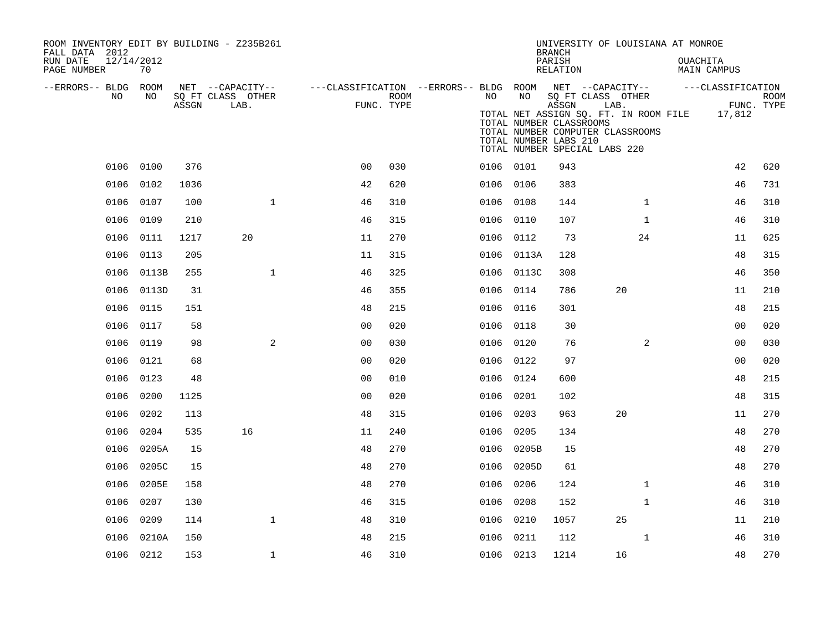| ROOM INVENTORY EDIT BY BUILDING - Z235B261<br>FALL DATA 2012 |                  |       |                                               |              |                                                         |                    |           |            | UNIVERSITY OF LOUISIANA AT MONROE<br><b>BRANCH</b>                                                                                                                                           |      |                |                 |                             |                           |
|--------------------------------------------------------------|------------------|-------|-----------------------------------------------|--------------|---------------------------------------------------------|--------------------|-----------|------------|----------------------------------------------------------------------------------------------------------------------------------------------------------------------------------------------|------|----------------|-----------------|-----------------------------|---------------------------|
| RUN DATE<br>PAGE NUMBER                                      | 12/14/2012<br>70 |       |                                               |              |                                                         |                    |           |            | PARISH<br>RELATION                                                                                                                                                                           |      |                | <b>OUACHITA</b> | <b>MAIN CAMPUS</b>          |                           |
| --ERRORS-- BLDG ROOM<br>NO.                                  | NO.              | ASSGN | NET --CAPACITY--<br>SQ FT CLASS OTHER<br>LAB. |              | ---CLASSIFICATION --ERRORS-- BLDG ROOM NET --CAPACITY-- | ROOM<br>FUNC. TYPE | NO        | NO         | SQ FT CLASS OTHER<br>ASSGN<br>TOTAL NET ASSIGN SQ. FT. IN ROOM FILE<br>TOTAL NUMBER CLASSROOMS<br>TOTAL NUMBER COMPUTER CLASSROOMS<br>TOTAL NUMBER LABS 210<br>TOTAL NUMBER SPECIAL LABS 220 | LAB. |                |                 | ---CLASSIFICATION<br>17,812 | <b>ROOM</b><br>FUNC. TYPE |
|                                                              | 0106 0100        | 376   |                                               |              | 0 <sub>0</sub>                                          | 030                | 0106 0101 |            | 943                                                                                                                                                                                          |      |                |                 | 42                          | 620                       |
|                                                              | 0106 0102        | 1036  |                                               |              | 42                                                      | 620                | 0106 0106 |            | 383                                                                                                                                                                                          |      |                |                 | 46                          | 731                       |
| 0106                                                         | 0107             | 100   |                                               | $\mathbf{1}$ | 46                                                      | 310                | 0106      | 0108       | 144                                                                                                                                                                                          |      | $\mathbf{1}$   |                 | 46                          | 310                       |
| 0106                                                         | 0109             | 210   |                                               |              | 46                                                      | 315                | 0106 0110 |            | 107                                                                                                                                                                                          |      | $\mathbf{1}$   |                 | 46                          | 310                       |
| 0106                                                         | 0111             | 1217  | 20                                            |              | 11                                                      | 270                | 0106      | 0112       | 73                                                                                                                                                                                           |      | 24             |                 | 11                          | 625                       |
| 0106                                                         | 0113             | 205   |                                               |              | 11                                                      | 315                |           | 0106 0113A | 128                                                                                                                                                                                          |      |                |                 | 48                          | 315                       |
| 0106                                                         | 0113B            | 255   |                                               | $\mathbf{1}$ | 46                                                      | 325                | 0106      | 0113C      | 308                                                                                                                                                                                          |      |                |                 | 46                          | 350                       |
|                                                              | 0106 0113D       | 31    |                                               |              | 46                                                      | 355                | 0106 0114 |            | 786                                                                                                                                                                                          | 20   |                |                 | 11                          | 210                       |
| 0106                                                         | 0115             | 151   |                                               |              | 48                                                      | 215                | 0106      | 0116       | 301                                                                                                                                                                                          |      |                |                 | 48                          | 215                       |
| 0106                                                         | 0117             | 58    |                                               |              | 0 <sub>0</sub>                                          | 020                | 0106 0118 |            | 30                                                                                                                                                                                           |      |                |                 | 00                          | 020                       |
| 0106                                                         | 0119             | 98    |                                               | 2            | 0 <sub>0</sub>                                          | 030                | 0106      | 0120       | 76                                                                                                                                                                                           |      | $\overline{2}$ |                 | 0 <sub>0</sub>              | 030                       |
|                                                              | 0106 0121        | 68    |                                               |              | 0 <sub>0</sub>                                          | 020                | 0106 0122 |            | 97                                                                                                                                                                                           |      |                |                 | 0 <sub>0</sub>              | 020                       |
| 0106                                                         | 0123             | 48    |                                               |              | 0 <sub>0</sub>                                          | 010                | 0106      | 0124       | 600                                                                                                                                                                                          |      |                |                 | 48                          | 215                       |
| 0106                                                         | 0200             | 1125  |                                               |              | 0 <sub>0</sub>                                          | 020                | 0106      | 0201       | 102                                                                                                                                                                                          |      |                |                 | 48                          | 315                       |
| 0106                                                         | 0202             | 113   |                                               |              | 48                                                      | 315                | 0106      | 0203       | 963                                                                                                                                                                                          | 20   |                |                 | 11                          | 270                       |
| 0106                                                         | 0204             | 535   | 16                                            |              | 11                                                      | 240                | 0106 0205 |            | 134                                                                                                                                                                                          |      |                |                 | 48                          | 270                       |
| 0106                                                         | 0205A            | 15    |                                               |              | 48                                                      | 270                |           | 0106 0205B | 15                                                                                                                                                                                           |      |                |                 | 48                          | 270                       |
| 0106                                                         | 0205C            | 15    |                                               |              | 48                                                      | 270                |           | 0106 0205D | 61                                                                                                                                                                                           |      |                |                 | 48                          | 270                       |
| 0106                                                         | 0205E            | 158   |                                               |              | 48                                                      | 270                | 0106      | 0206       | 124                                                                                                                                                                                          |      | $\mathbf{1}$   |                 | 46                          | 310                       |
| 0106                                                         | 0207             | 130   |                                               |              | 46                                                      | 315                | 0106 0208 |            | 152                                                                                                                                                                                          |      | $\mathbf{1}$   |                 | 46                          | 310                       |
| 0106                                                         | 0209             | 114   |                                               | $\mathbf{1}$ | 48                                                      | 310                | 0106      | 0210       | 1057                                                                                                                                                                                         | 25   |                |                 | 11                          | 210                       |
| 0106                                                         | 0210A            | 150   |                                               |              | 48                                                      | 215                | 0106 0211 |            | 112                                                                                                                                                                                          |      | $\mathbf{1}$   |                 | 46                          | 310                       |
|                                                              | 0106 0212        | 153   |                                               | $\mathbf{1}$ | 46                                                      | 310                | 0106 0213 |            | 1214                                                                                                                                                                                         | 16   |                |                 | 48                          | 270                       |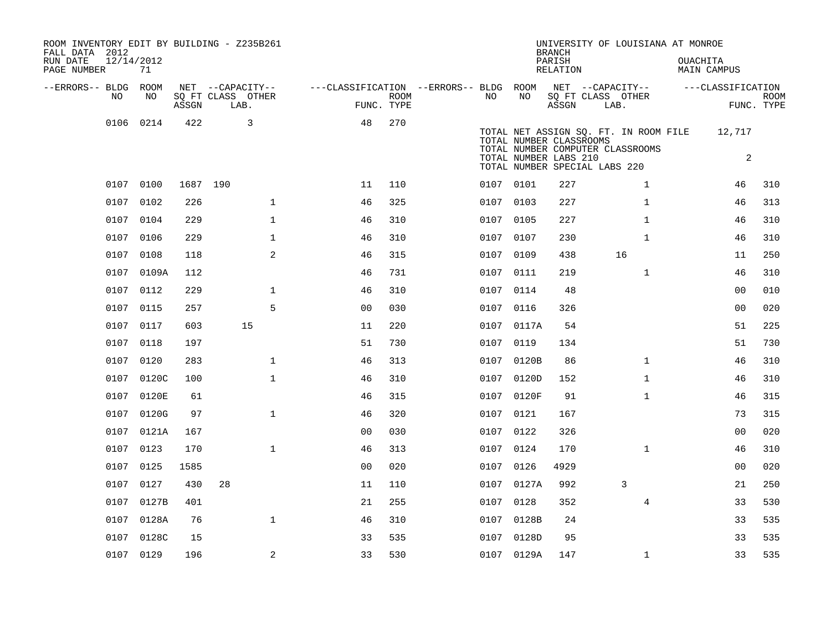| ROOM INVENTORY EDIT BY BUILDING - Z235B261<br>FALL DATA 2012 |                  |       |                           |                                        |             |           |                                                  | <b>BRANCH</b>      |                               |                                                                           | UNIVERSITY OF LOUISIANA AT MONROE |                |                           |
|--------------------------------------------------------------|------------------|-------|---------------------------|----------------------------------------|-------------|-----------|--------------------------------------------------|--------------------|-------------------------------|---------------------------------------------------------------------------|-----------------------------------|----------------|---------------------------|
| RUN DATE<br>PAGE NUMBER                                      | 12/14/2012<br>71 |       |                           |                                        |             |           |                                                  | PARISH<br>RELATION |                               |                                                                           | <b>OUACHITA</b><br>MAIN CAMPUS    |                |                           |
| --ERRORS-- BLDG ROOM                                         |                  |       | NET --CAPACITY--          | ---CLASSIFICATION --ERRORS-- BLDG ROOM |             |           |                                                  |                    |                               | NET --CAPACITY--                                                          | ---CLASSIFICATION                 |                |                           |
| NO                                                           | NO               | ASSGN | SQ FT CLASS OTHER<br>LAB. | FUNC. TYPE                             | <b>ROOM</b> | NO.       | NO                                               | ASSGN              | SQ FT CLASS OTHER<br>LAB.     |                                                                           |                                   |                | <b>ROOM</b><br>FUNC. TYPE |
|                                                              | 0106 0214        | 422   | 3                         | 48                                     | 270         |           | TOTAL NUMBER CLASSROOMS<br>TOTAL NUMBER LABS 210 |                    | TOTAL NUMBER SPECIAL LABS 220 | TOTAL NET ASSIGN SQ. FT. IN ROOM FILE<br>TOTAL NUMBER COMPUTER CLASSROOMS |                                   | 12,717<br>2    |                           |
|                                                              | 0107 0100        |       | 1687 190                  | 11                                     | 110         | 0107 0101 |                                                  | 227                |                               | $\mathbf{1}$                                                              |                                   | 46             | 310                       |
| 0107                                                         | 0102             | 226   | $\mathbf{1}$              | 46                                     | 325         | 0107 0103 |                                                  | 227                |                               | $\mathbf{1}$                                                              |                                   | 46             | 313                       |
| 0107                                                         | 0104             | 229   | $\mathbf{1}$              | 46                                     | 310         | 0107 0105 |                                                  | 227                |                               | $\mathbf{1}$                                                              |                                   | 46             | 310                       |
| 0107                                                         | 0106             | 229   | $\mathbf{1}$              | 46                                     | 310         | 0107 0107 |                                                  | 230                |                               | $\mathbf{1}$                                                              |                                   | 46             | 310                       |
|                                                              | 0107 0108        | 118   | 2                         | 46                                     | 315         |           | 0107 0109                                        | 438                |                               | 16                                                                        |                                   | 11             | 250                       |
|                                                              | 0107 0109A       | 112   |                           | 46                                     | 731         | 0107      | 0111                                             | 219                |                               | $\mathbf{1}$                                                              |                                   | 46             | 310                       |
|                                                              | 0107 0112        | 229   | $\mathbf 1$               | 46                                     | 310         |           | 0107 0114                                        | 48                 |                               |                                                                           |                                   | 00             | 010                       |
|                                                              | 0107 0115        | 257   | 5                         | 0 <sub>0</sub>                         | 030         | 0107 0116 |                                                  | 326                |                               |                                                                           |                                   | 00             | 020                       |
|                                                              | 0107 0117        | 603   | 15                        | 11                                     | 220         |           | 0107 0117A                                       | 54                 |                               |                                                                           |                                   | 51             | 225                       |
| 0107                                                         | 0118             | 197   |                           | 51                                     | 730         | 0107      | 0119                                             | 134                |                               |                                                                           |                                   | 51             | 730                       |
|                                                              | 0107 0120        | 283   | $\mathbf 1$               | 46                                     | 313         |           | 0107 0120B                                       | 86                 |                               | $\mathbf{1}$                                                              |                                   | 46             | 310                       |
| 0107                                                         | 0120C            | 100   | $\mathbf{1}$              | 46                                     | 310         |           | 0107 0120D                                       | 152                |                               | $\mathbf{1}$                                                              |                                   | 46             | 310                       |
|                                                              | 0107 0120E       | 61    |                           | 46                                     | 315         |           | 0107 0120F                                       | 91                 |                               | $\mathbf{1}$                                                              |                                   | 46             | 315                       |
|                                                              | 0107 0120G       | 97    | $\mathbf{1}$              | 46                                     | 320         | 0107      | 0121                                             | 167                |                               |                                                                           |                                   | 73             | 315                       |
|                                                              | 0107 0121A       | 167   |                           | 0 <sub>0</sub>                         | 030         | 0107 0122 |                                                  | 326                |                               |                                                                           |                                   | 0 <sub>0</sub> | 020                       |
| 0107                                                         | 0123             | 170   | $\mathbf{1}$              | 46                                     | 313         | 0107      | 0124                                             | 170                |                               | $\mathbf{1}$                                                              |                                   | 46             | 310                       |
|                                                              | 0107 0125        | 1585  |                           | 0 <sub>0</sub>                         | 020         | 0107 0126 |                                                  | 4929               |                               |                                                                           |                                   | 0 <sub>0</sub> | 020                       |
| 0107                                                         | 0127             | 430   | 28                        | 11                                     | 110         | 0107      | 0127A                                            | 992                |                               | 3                                                                         |                                   | 21             | 250                       |
|                                                              | 0107 0127B       | 401   |                           | 21                                     | 255         | 0107 0128 |                                                  | 352                |                               | 4                                                                         |                                   | 33             | 530                       |
| 0107                                                         | 0128A            | 76    | $\mathbf{1}$              | 46                                     | 310         |           | 0107 0128B                                       | 24                 |                               |                                                                           |                                   | 33             | 535                       |
|                                                              | 0107 0128C       | 15    |                           | 33                                     | 535         |           | 0107 0128D                                       | 95                 |                               |                                                                           |                                   | 33             | 535                       |
|                                                              | 0107 0129        | 196   | 2                         | 33                                     | 530         |           | 0107 0129A                                       | 147                |                               | $\mathbf{1}$                                                              |                                   | 33             | 535                       |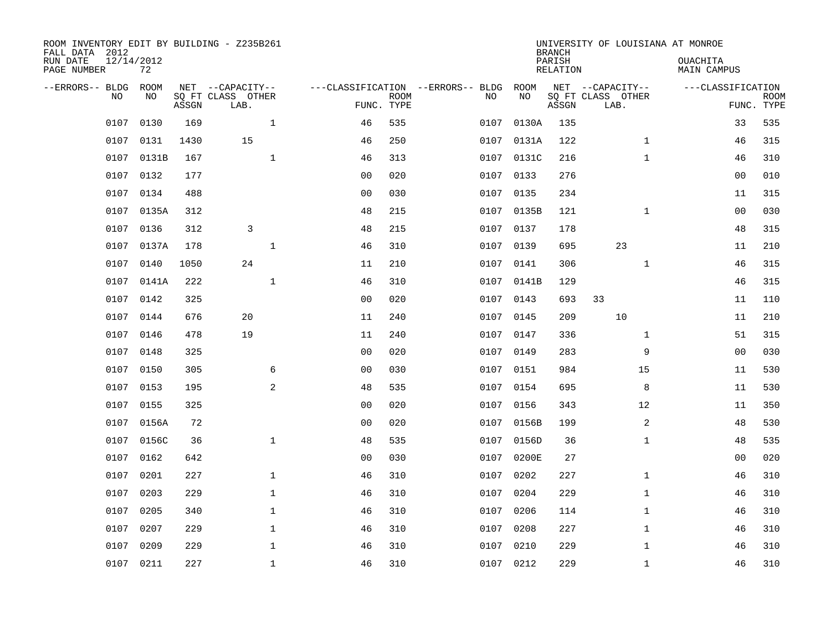| ROOM INVENTORY EDIT BY BUILDING - Z235B261<br>FALL DATA 2012 |                  |       |                           |                                   |                           |      |            | <b>BRANCH</b>      | UNIVERSITY OF LOUISIANA AT MONROE |                                       |                           |
|--------------------------------------------------------------|------------------|-------|---------------------------|-----------------------------------|---------------------------|------|------------|--------------------|-----------------------------------|---------------------------------------|---------------------------|
| RUN DATE<br>PAGE NUMBER                                      | 12/14/2012<br>72 |       |                           |                                   |                           |      |            | PARISH<br>RELATION |                                   | <b>OUACHITA</b><br><b>MAIN CAMPUS</b> |                           |
| --ERRORS-- BLDG                                              | <b>ROOM</b>      |       | NET --CAPACITY--          | ---CLASSIFICATION --ERRORS-- BLDG |                           |      | ROOM       |                    | NET --CAPACITY--                  | ---CLASSIFICATION                     |                           |
| N <sub>O</sub>                                               | NO.              | ASSGN | SO FT CLASS OTHER<br>LAB. |                                   | <b>ROOM</b><br>FUNC. TYPE | NO.  | NO         | ASSGN              | SQ FT CLASS OTHER<br>LAB.         |                                       | <b>ROOM</b><br>FUNC. TYPE |
| 0107                                                         | 0130             | 169   | $\mathbf{1}$              | 46                                | 535                       | 0107 | 0130A      | 135                |                                   | 33                                    | 535                       |
| 0107                                                         | 0131             | 1430  | 15                        | 46                                | 250                       |      | 0107 0131A | 122                | $\mathbf{1}$                      | 46                                    | 315                       |
| 0107                                                         | 0131B            | 167   | $\mathbf{1}$              | 46                                | 313                       |      | 0107 0131C | 216                | $\mathbf{1}$                      | 46                                    | 310                       |
| 0107                                                         | 0132             | 177   |                           | 0 <sub>0</sub>                    | 020                       |      | 0107 0133  | 276                |                                   | 0 <sub>0</sub>                        | 010                       |
| 0107                                                         | 0134             | 488   |                           | 00                                | 030                       | 0107 | 0135       | 234                |                                   | 11                                    | 315                       |
| 0107                                                         | 0135A            | 312   |                           | 48                                | 215                       |      | 0107 0135B | 121                | $\mathbf{1}$                      | 00                                    | 030                       |
| 0107                                                         | 0136             | 312   | 3                         | 48                                | 215                       | 0107 | 0137       | 178                |                                   | 48                                    | 315                       |
| 0107                                                         | 0137A            | 178   | $\mathbf{1}$              | 46                                | 310                       |      | 0107 0139  | 695                | 23                                | 11                                    | 210                       |
| 0107                                                         | 0140             | 1050  | 24                        | 11                                | 210                       | 0107 | 0141       | 306                | $\mathbf{1}$                      | 46                                    | 315                       |
|                                                              | 0107 0141A       | 222   | $\mathbf{1}$              | 46                                | 310                       |      | 0107 0141B | 129                |                                   | 46                                    | 315                       |
| 0107                                                         | 0142             | 325   |                           | 0 <sub>0</sub>                    | 020                       | 0107 | 0143       | 693                | 33                                | 11                                    | 110                       |
|                                                              | 0107 0144        | 676   | 20                        | 11                                | 240                       |      | 0107 0145  | 209                | 10                                | 11                                    | 210                       |
| 0107                                                         | 0146             | 478   | 19                        | 11                                | 240                       | 0107 | 0147       | 336                | $\mathbf{1}$                      | 51                                    | 315                       |
| 0107                                                         | 0148             | 325   |                           | 0 <sub>0</sub>                    | 020                       |      | 0107 0149  | 283                | 9                                 | 00                                    | 030                       |
| 0107                                                         | 0150             | 305   | 6                         | 00                                | 030                       | 0107 | 0151       | 984                | 15                                | 11                                    | 530                       |
| 0107                                                         | 0153             | 195   | $\sqrt{2}$                | 48                                | 535                       |      | 0107 0154  | 695                | 8                                 | 11                                    | 530                       |
| 0107                                                         | 0155             | 325   |                           | 0 <sub>0</sub>                    | 020                       | 0107 | 0156       | 343                | 12                                | 11                                    | 350                       |
| 0107                                                         | 0156A            | 72    |                           | 0 <sub>0</sub>                    | 020                       | 0107 | 0156B      | 199                | 2                                 | 48                                    | 530                       |
| 0107                                                         | 0156C            | 36    | $\mathbf{1}$              | 48                                | 535                       |      | 0107 0156D | 36                 | $\mathbf{1}$                      | 48                                    | 535                       |
| 0107                                                         | 0162             | 642   |                           | 0 <sub>0</sub>                    | 030                       | 0107 | 0200E      | 27                 |                                   | 0 <sub>0</sub>                        | 020                       |
| 0107                                                         | 0201             | 227   | $\mathbf 1$               | 46                                | 310                       | 0107 | 0202       | 227                | $\mathbf{1}$                      | 46                                    | 310                       |
| 0107                                                         | 0203             | 229   | $\mathbf 1$               | 46                                | 310                       | 0107 | 0204       | 229                | $\mathbf{1}$                      | 46                                    | 310                       |
| 0107                                                         | 0205             | 340   | $\mathbf 1$               | 46                                | 310                       | 0107 | 0206       | 114                | $\mathbf{1}$                      | 46                                    | 310                       |
| 0107                                                         | 0207             | 229   | $\mathbf 1$               | 46                                | 310                       | 0107 | 0208       | 227                | $\mathbf{1}$                      | 46                                    | 310                       |
| 0107                                                         | 0209             | 229   | $\mathbf{1}$              | 46                                | 310                       |      | 0107 0210  | 229                | $\mathbf{1}$                      | 46                                    | 310                       |
|                                                              | 0107 0211        | 227   | $\mathbf{1}$              | 46                                | 310                       |      | 0107 0212  | 229                | $\mathbf{1}$                      | 46                                    | 310                       |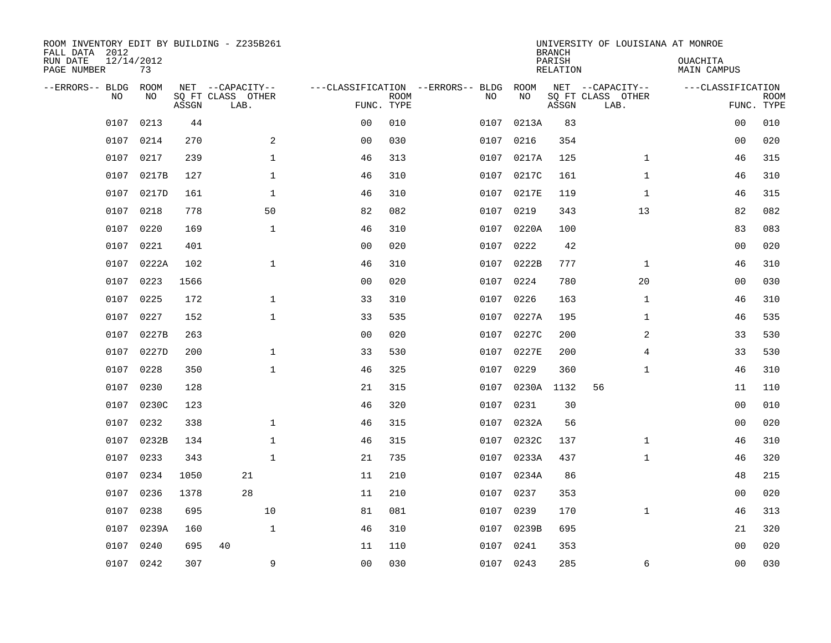| ROOM INVENTORY EDIT BY BUILDING - Z235B261<br>FALL DATA 2012<br>RUN DATE<br>PAGE NUMBER | 12/14/2012<br>73 |       |                                               |                |             |                                   |            |            | <b>BRANCH</b><br>PARISH<br><b>RELATION</b> | UNIVERSITY OF LOUISIANA AT MONROE             | OUACHITA<br><b>MAIN CAMPUS</b>  |             |
|-----------------------------------------------------------------------------------------|------------------|-------|-----------------------------------------------|----------------|-------------|-----------------------------------|------------|------------|--------------------------------------------|-----------------------------------------------|---------------------------------|-------------|
| --ERRORS-- BLDG<br>NO.                                                                  | ROOM<br>NO       | ASSGN | NET --CAPACITY--<br>SQ FT CLASS OTHER<br>LAB. | FUNC. TYPE     | <b>ROOM</b> | ---CLASSIFICATION --ERRORS-- BLDG | NO         | ROOM<br>NO | ASSGN                                      | NET --CAPACITY--<br>SQ FT CLASS OTHER<br>LAB. | ---CLASSIFICATION<br>FUNC. TYPE | <b>ROOM</b> |
| 0107                                                                                    | 0213             | 44    |                                               | 00             | 010         |                                   | 0107       | 0213A      | 83                                         |                                               | 0 <sub>0</sub>                  | 010         |
| 0107                                                                                    | 0214             | 270   | 2                                             | 0 <sub>0</sub> | 030         |                                   | 0107       | 0216       | 354                                        |                                               | 00                              | 020         |
| 0107                                                                                    | 0217             | 239   | $\mathbf 1$                                   | 46             | 313         |                                   | 0107       | 0217A      | 125                                        | $\mathbf{1}$                                  | 46                              | 315         |
| 0107                                                                                    | 0217B            | 127   | $\mathbf 1$                                   | 46             | 310         |                                   | 0107       | 0217C      | 161                                        | $\mathbf{1}$                                  | 46                              | 310         |
| 0107                                                                                    | 0217D            | 161   | $\mathbf{1}$                                  | 46             | 310         |                                   | 0107       | 0217E      | 119                                        | $\mathbf{1}$                                  | 46                              | 315         |
| 0107                                                                                    | 0218             | 778   | 50                                            | 82             | 082         |                                   | 0107 0219  |            | 343                                        | 13                                            | 82                              | 082         |
| 0107                                                                                    | 0220             | 169   | $\mathbf{1}$                                  | 46             | 310         |                                   | 0107       | 0220A      | 100                                        |                                               | 83                              | 083         |
| 0107                                                                                    | 0221             | 401   |                                               | 0 <sub>0</sub> | 020         |                                   | 0107 0222  |            | 42                                         |                                               | 0 <sub>0</sub>                  | 020         |
| 0107                                                                                    | 0222A            | 102   | $\mathbf{1}$                                  | 46             | 310         |                                   | 0107       | 0222B      | 777                                        | $\mathbf{1}$                                  | 46                              | 310         |
| 0107                                                                                    | 0223             | 1566  |                                               | 0 <sub>0</sub> | 020         |                                   | 0107 0224  |            | 780                                        | 20                                            | 0 <sub>0</sub>                  | 030         |
| 0107                                                                                    | 0225             | 172   | $\mathbf 1$                                   | 33             | 310         |                                   | 0107       | 0226       | 163                                        | $\mathbf{1}$                                  | 46                              | 310         |
| 0107                                                                                    | 0227             | 152   | $\mathbf 1$                                   | 33             | 535         |                                   |            | 0107 0227A | 195                                        | $\mathbf{1}$                                  | 46                              | 535         |
| 0107                                                                                    | 0227B            | 263   |                                               | 0 <sub>0</sub> | 020         |                                   | 0107       | 0227C      | 200                                        | 2                                             | 33                              | 530         |
| 0107                                                                                    | 0227D            | 200   | $\mathbf 1$                                   | 33             | 530         |                                   | 0107       | 0227E      | 200                                        | 4                                             | 33                              | 530         |
| 0107                                                                                    | 0228             | 350   | $\mathbf 1$                                   | 46             | 325         |                                   | 0107       | 0229       | 360                                        | $\mathbf{1}$                                  | 46                              | 310         |
| 0107                                                                                    | 0230             | 128   |                                               | 21             | 315         |                                   | 0107       | 0230A      | 1132                                       | 56                                            | 11                              | 110         |
| 0107                                                                                    | 0230C            | 123   |                                               | 46             | 320         |                                   | 0107       | 0231       | 30                                         |                                               | 0 <sub>0</sub>                  | 010         |
| 0107                                                                                    | 0232             | 338   | $\mathbf 1$                                   | 46             | 315         |                                   | 0107       | 0232A      | 56                                         |                                               | 00                              | 020         |
| 0107                                                                                    | 0232B            | 134   | $\mathbf 1$                                   | 46             | 315         |                                   | 0107       | 0232C      | 137                                        | $\mathbf{1}$                                  | 46                              | 310         |
| 0107                                                                                    | 0233             | 343   | $\mathbf{1}$                                  | 21             | 735         |                                   | 0107       | 0233A      | 437                                        | $\mathbf{1}$                                  | 46                              | 320         |
| 0107                                                                                    | 0234             | 1050  | 21                                            | 11             | 210         |                                   | 0107 0234A |            | 86                                         |                                               | 48                              | 215         |
| 0107                                                                                    | 0236             | 1378  | 28                                            | 11             | 210         |                                   | 0107       | 0237       | 353                                        |                                               | 00                              | 020         |
| 0107                                                                                    | 0238             | 695   | 10                                            | 81             | 081         |                                   | 0107       | 0239       | 170                                        | $\mathbf{1}$                                  | 46                              | 313         |
| 0107                                                                                    | 0239A            | 160   | $\mathbf{1}$                                  | 46             | 310         |                                   | 0107       | 0239B      | 695                                        |                                               | 21                              | 320         |
| 0107                                                                                    | 0240             | 695   | 40                                            | 11             | 110         |                                   | 0107       | 0241       | 353                                        |                                               | 0 <sub>0</sub>                  | 020         |
| 0107                                                                                    | 0242             | 307   | 9                                             | 0 <sub>0</sub> | 030         |                                   | 0107 0243  |            | 285                                        | 6                                             | 0 <sub>0</sub>                  | 030         |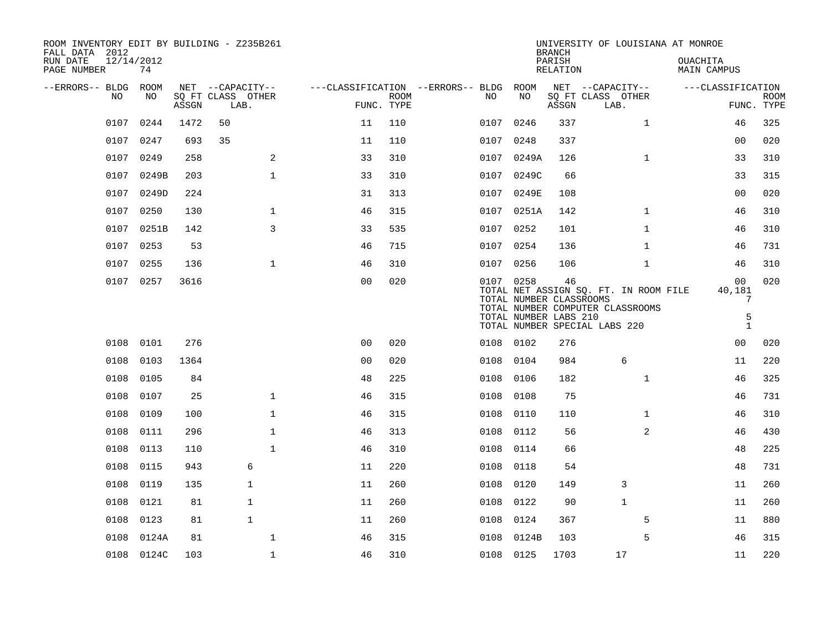| ROOM INVENTORY EDIT BY BUILDING - Z235B261<br>FALL DATA 2012 |                  |                                 |                           |                |                           |                                        |                                                               | <b>BRANCH</b>             | UNIVERSITY OF LOUISIANA AT MONROE                                                                          |                                                    |                           |
|--------------------------------------------------------------|------------------|---------------------------------|---------------------------|----------------|---------------------------|----------------------------------------|---------------------------------------------------------------|---------------------------|------------------------------------------------------------------------------------------------------------|----------------------------------------------------|---------------------------|
| RUN DATE<br>PAGE NUMBER                                      | 12/14/2012<br>74 |                                 |                           |                |                           |                                        |                                                               | PARISH<br><b>RELATION</b> |                                                                                                            | OUACHITA<br>MAIN CAMPUS                            |                           |
| --ERRORS-- BLDG                                              | ROOM             |                                 | NET --CAPACITY--          |                |                           | ---CLASSIFICATION --ERRORS-- BLDG ROOM |                                                               |                           | NET --CAPACITY--                                                                                           | ---CLASSIFICATION                                  |                           |
| NO                                                           | NO               | $\operatorname{\mathsf{ASSGN}}$ | SQ FT CLASS OTHER<br>LAB. |                | <b>ROOM</b><br>FUNC. TYPE | NO.                                    | NO                                                            | ASSGN                     | SQ FT CLASS OTHER<br>LAB.                                                                                  |                                                    | <b>ROOM</b><br>FUNC. TYPE |
| 0107                                                         | 0244             | 1472                            | 50                        | 11             | 110                       |                                        | 0107 0246                                                     | 337                       | $\mathbf{1}$                                                                                               | 46                                                 | 325                       |
| 0107                                                         | 0247             | 693                             | 35                        | 11             | 110                       | 0107                                   | 0248                                                          | 337                       |                                                                                                            | 00                                                 | 020                       |
| 0107                                                         | 0249             | 258                             | 2                         | 33             | 310                       |                                        | 0107 0249A                                                    | 126                       | $\mathbf{1}$                                                                                               | 33                                                 | 310                       |
| 0107                                                         | 0249B            | 203                             | $\mathbf{1}$              | 33             | 310                       | 0107                                   | 0249C                                                         | 66                        |                                                                                                            | 33                                                 | 315                       |
| 0107                                                         | 0249D            | 224                             |                           | 31             | 313                       | 0107                                   | 0249E                                                         | 108                       |                                                                                                            | 00                                                 | 020                       |
| 0107                                                         | 0250             | 130                             | $\mathbf 1$               | 46             | 315                       |                                        | 0107 0251A                                                    | 142                       | $\mathbf{1}$                                                                                               | 46                                                 | 310                       |
| 0107                                                         | 0251B            | 142                             | 3                         | 33             | 535                       |                                        | 0107 0252                                                     | 101                       | $\mathbf{1}$                                                                                               | 46                                                 | 310                       |
| 0107                                                         | 0253             | 53                              |                           | 46             | 715                       |                                        | 0107 0254                                                     | 136                       | $\mathbf{1}$                                                                                               | 46                                                 | 731                       |
| 0107                                                         | 0255             | 136                             | $\mathbf{1}$              | 46             | 310                       |                                        | 0107 0256                                                     | 106                       | $\mathbf{1}$                                                                                               | 46                                                 | 310                       |
|                                                              | 0107 0257        | 3616                            |                           | 0 <sub>0</sub> | 020                       |                                        | 0107 0258<br>TOTAL NUMBER CLASSROOMS<br>TOTAL NUMBER LABS 210 | 46                        | TOTAL NET ASSIGN SQ. FT. IN ROOM FILE<br>TOTAL NUMBER COMPUTER CLASSROOMS<br>TOTAL NUMBER SPECIAL LABS 220 | 0 <sub>0</sub><br>40,181<br>7<br>5<br>$\mathbf{1}$ | 020                       |
| 0108                                                         | 0101             | 276                             |                           | 0 <sub>0</sub> | 020                       |                                        | 0108 0102                                                     | 276                       |                                                                                                            | 0 <sub>0</sub>                                     | 020                       |
| 0108                                                         | 0103             | 1364                            |                           | 0 <sub>0</sub> | 020                       |                                        | 0108 0104                                                     | 984                       | 6                                                                                                          | 11                                                 | 220                       |
| 0108                                                         | 0105             | 84                              |                           | 48             | 225                       | 0108                                   | 0106                                                          | 182                       | $\mathbf{1}$                                                                                               | 46                                                 | 325                       |
| 0108                                                         | 0107             | 25                              | $\mathbf{1}$              | 46             | 315                       | 0108                                   | 0108                                                          | 75                        |                                                                                                            | 46                                                 | 731                       |
| 0108                                                         | 0109             | 100                             | $\mathbf{1}$              | 46             | 315                       | 0108                                   | 0110                                                          | 110                       | $\mathbf{1}$                                                                                               | 46                                                 | 310                       |
| 0108                                                         | 0111             | 296                             | $\mathbf 1$               | 46             | 313                       | 0108                                   | 0112                                                          | 56                        | 2                                                                                                          | 46                                                 | 430                       |
| 0108                                                         | 0113             | 110                             | $\mathbf{1}$              | 46             | 310                       | 0108                                   | 0114                                                          | 66                        |                                                                                                            | 48                                                 | 225                       |
| 0108                                                         | 0115             | 943                             | 6                         | 11             | 220                       | 0108                                   | 0118                                                          | 54                        |                                                                                                            | 48                                                 | 731                       |
| 0108                                                         | 0119             | 135                             | $\mathbf{1}$              | 11             | 260                       | 0108                                   | 0120                                                          | 149                       | 3                                                                                                          | 11                                                 | 260                       |
| 0108                                                         | 0121             | 81                              | $\mathbf{1}$              | 11             | 260                       | 0108                                   | 0122                                                          | 90                        | 1                                                                                                          | 11                                                 | 260                       |
| 0108                                                         | 0123             | 81                              | $\mathbf{1}$              | 11             | 260                       | 0108                                   | 0124                                                          | 367                       | 5                                                                                                          | 11                                                 | 880                       |
| 0108                                                         | 0124A            | 81                              | $\mathbf{1}$              | 46             | 315                       | 0108                                   | 0124B                                                         | 103                       | 5                                                                                                          | 46                                                 | 315                       |
|                                                              | 0108 0124C       | 103                             | $\mathbf{1}$              | 46             | 310                       |                                        | 0108 0125                                                     | 1703                      | 17                                                                                                         | 11                                                 | 220                       |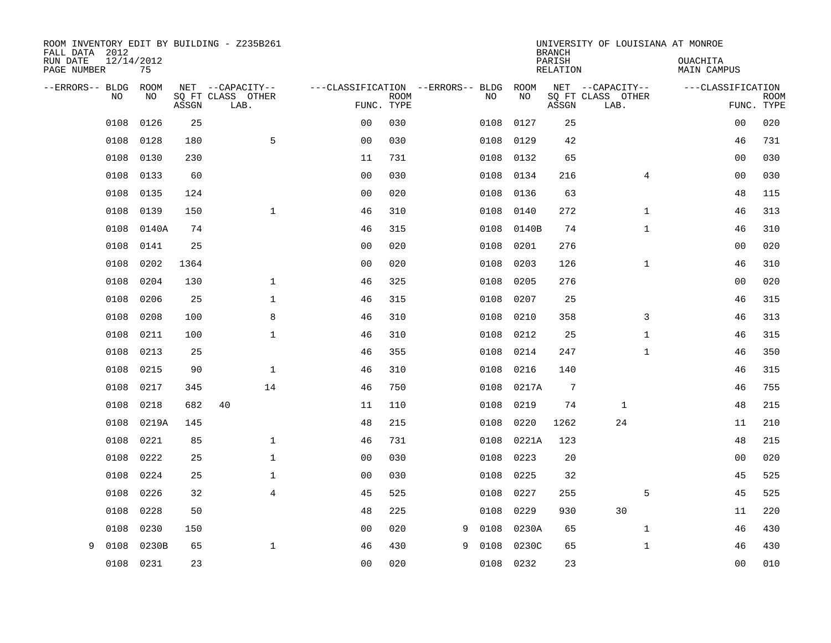| FALL DATA 2012<br>RUN DATE<br>PAGE NUMBER | 12/14/2012 | 75          |       | ROOM INVENTORY EDIT BY BUILDING - Z235B261    |                                                 |             |   |      |            | <b>BRANCH</b><br>PARISH<br>RELATION | UNIVERSITY OF LOUISIANA AT MONROE             | <b>OUACHITA</b><br>MAIN CAMPUS  |             |
|-------------------------------------------|------------|-------------|-------|-----------------------------------------------|-------------------------------------------------|-------------|---|------|------------|-------------------------------------|-----------------------------------------------|---------------------------------|-------------|
| --ERRORS-- BLDG                           | <b>NO</b>  | ROOM<br>NO. | ASSGN | NET --CAPACITY--<br>SO FT CLASS OTHER<br>LAB. | ---CLASSIFICATION --ERRORS-- BLDG<br>FUNC. TYPE | <b>ROOM</b> |   | NO   | ROOM<br>NO | ASSGN                               | NET --CAPACITY--<br>SQ FT CLASS OTHER<br>LAB. | ---CLASSIFICATION<br>FUNC. TYPE | <b>ROOM</b> |
|                                           | 0108       | 0126        | 25    |                                               | 0 <sub>0</sub>                                  | 030         |   | 0108 | 0127       | 25                                  |                                               | 0 <sub>0</sub>                  | 020         |
|                                           | 0108       | 0128        | 180   | 5                                             | 0 <sub>0</sub>                                  | 030         |   | 0108 | 0129       | 42                                  |                                               | 46                              | 731         |
|                                           | 0108       | 0130        | 230   |                                               | 11                                              | 731         |   | 0108 | 0132       | 65                                  |                                               | 0 <sub>0</sub>                  | 030         |
|                                           | 0108       | 0133        | 60    |                                               | 0 <sub>0</sub>                                  | 030         |   | 0108 | 0134       | 216                                 | $\overline{4}$                                | 0 <sub>0</sub>                  | 030         |
|                                           | 0108       | 0135        | 124   |                                               | 0 <sub>0</sub>                                  | 020         |   | 0108 | 0136       | 63                                  |                                               | 48                              | 115         |
|                                           | 0108       | 0139        | 150   | $\mathbf{1}$                                  | 46                                              | 310         |   | 0108 | 0140       | 272                                 | $\mathbf{1}$                                  | 46                              | 313         |
|                                           | 0108       | 0140A       | 74    |                                               | 46                                              | 315         |   | 0108 | 0140B      | 74                                  | $\mathbf{1}$                                  | 46                              | 310         |
|                                           | 0108       | 0141        | 25    |                                               | 0 <sub>0</sub>                                  | 020         |   | 0108 | 0201       | 276                                 |                                               | 0 <sub>0</sub>                  | 020         |
|                                           | 0108       | 0202        | 1364  |                                               | 0 <sub>0</sub>                                  | 020         |   | 0108 | 0203       | 126                                 | $\mathbf{1}$                                  | 46                              | 310         |
|                                           | 0108       | 0204        | 130   | $\mathbf 1$                                   | 46                                              | 325         |   | 0108 | 0205       | 276                                 |                                               | 0 <sub>0</sub>                  | 020         |
|                                           | 0108       | 0206        | 25    | $\mathbf 1$                                   | 46                                              | 315         |   | 0108 | 0207       | 25                                  |                                               | 46                              | 315         |
|                                           | 0108       | 0208        | 100   | 8                                             | 46                                              | 310         |   | 0108 | 0210       | 358                                 | 3                                             | 46                              | 313         |
|                                           | 0108       | 0211        | 100   | $\mathbf 1$                                   | 46                                              | 310         |   | 0108 | 0212       | 25                                  | $\mathbf{1}$                                  | 46                              | 315         |
|                                           | 0108       | 0213        | 25    |                                               | 46                                              | 355         |   | 0108 | 0214       | 247                                 | $\mathbf{1}$                                  | 46                              | 350         |
|                                           | 0108       | 0215        | 90    | $\mathbf{1}$                                  | 46                                              | 310         |   | 0108 | 0216       | 140                                 |                                               | 46                              | 315         |
|                                           | 0108       | 0217        | 345   | 14                                            | 46                                              | 750         |   | 0108 | 0217A      | $7\phantom{.0}$                     |                                               | 46                              | 755         |
|                                           | 0108       | 0218        | 682   | 40                                            | 11                                              | 110         |   | 0108 | 0219       | 74                                  | 1                                             | 48                              | 215         |
|                                           | 0108       | 0219A       | 145   |                                               | 48                                              | 215         |   | 0108 | 0220       | 1262                                | 24                                            | 11                              | 210         |
|                                           | 0108       | 0221        | 85    | $\mathbf{1}$                                  | 46                                              | 731         |   | 0108 | 0221A      | 123                                 |                                               | 48                              | 215         |
|                                           | 0108       | 0222        | 25    | $\mathbf{1}$                                  | 0 <sub>0</sub>                                  | 030         |   | 0108 | 0223       | 20                                  |                                               | 0 <sub>0</sub>                  | 020         |
|                                           | 0108       | 0224        | 25    | $\mathbf{1}$                                  | 0 <sub>0</sub>                                  | 030         |   | 0108 | 0225       | 32                                  |                                               | 45                              | 525         |
|                                           | 0108       | 0226        | 32    | $\overline{4}$                                | 45                                              | 525         |   | 0108 | 0227       | 255                                 | 5                                             | 45                              | 525         |
|                                           | 0108       | 0228        | 50    |                                               | 48                                              | 225         |   | 0108 | 0229       | 930                                 | 30                                            | 11                              | 220         |
|                                           | 0108       | 0230        | 150   |                                               | 00                                              | 020         | 9 | 0108 | 0230A      | 65                                  | $\mathbf{1}$                                  | 46                              | 430         |
| 9                                         | 0108       | 0230B       | 65    | 1                                             | 46                                              | 430         | 9 | 0108 | 0230C      | 65                                  | $\mathbf{1}$                                  | 46                              | 430         |
|                                           | 0108       | 0231        | 23    |                                               | 00                                              | 020         |   |      | 0108 0232  | 23                                  |                                               | 00                              | 010         |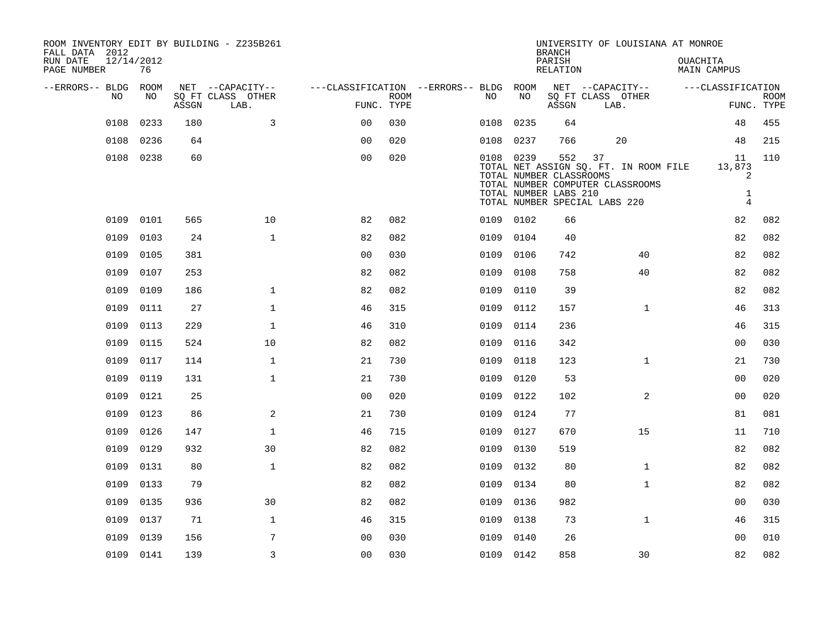| ROOM INVENTORY EDIT BY BUILDING - Z235B261<br>FALL DATA 2012 |                  |       |                           |                                        |                           |           |           | <b>BRANCH</b>                                                                            |    | UNIVERSITY OF LOUISIANA AT MONROE                                         |          |                             |                           |
|--------------------------------------------------------------|------------------|-------|---------------------------|----------------------------------------|---------------------------|-----------|-----------|------------------------------------------------------------------------------------------|----|---------------------------------------------------------------------------|----------|-----------------------------|---------------------------|
| RUN DATE<br>PAGE NUMBER                                      | 12/14/2012<br>76 |       |                           |                                        |                           |           |           | PARISH<br>RELATION                                                                       |    |                                                                           | OUACHITA | MAIN CAMPUS                 |                           |
| --ERRORS-- BLDG ROOM                                         |                  |       | NET --CAPACITY--          | ---CLASSIFICATION --ERRORS-- BLDG ROOM |                           |           |           |                                                                                          |    | NET --CAPACITY--                                                          |          | ---CLASSIFICATION           |                           |
| NO                                                           | NO               | ASSGN | SQ FT CLASS OTHER<br>LAB. |                                        | <b>ROOM</b><br>FUNC. TYPE | NO        | NO        | ASSGN                                                                                    |    | SQ FT CLASS OTHER<br>LAB.                                                 |          |                             | <b>ROOM</b><br>FUNC. TYPE |
| 0108                                                         | 0233             | 180   | 3                         | 0 <sup>0</sup>                         | 030                       | 0108      | 0235      | 64                                                                                       |    |                                                                           |          | 48                          | 455                       |
| 0108                                                         | 0236             | 64    |                           | 0 <sub>0</sub>                         | 020                       |           | 0108 0237 | 766                                                                                      |    | 20                                                                        |          | 48                          | 215                       |
|                                                              | 0108 0238        | 60    |                           | 0 <sub>0</sub>                         | 020                       | 0108 0239 |           | 552<br>TOTAL NUMBER CLASSROOMS<br>TOTAL NUMBER LABS 210<br>TOTAL NUMBER SPECIAL LABS 220 | 37 | TOTAL NET ASSIGN SQ. FT. IN ROOM FILE<br>TOTAL NUMBER COMPUTER CLASSROOMS |          | 11<br>13,873<br>2<br>1<br>4 | 110                       |
| 0109                                                         | 0101             | 565   | 10                        | 82                                     | 082                       | 0109 0102 |           | 66                                                                                       |    |                                                                           |          | 82                          | 082                       |
| 0109                                                         | 0103             | 24    | $\mathbf{1}$              | 82                                     | 082                       | 0109      | 0104      | 40                                                                                       |    |                                                                           |          | 82                          | 082                       |
| 0109                                                         | 0105             | 381   |                           | 0 <sub>0</sub>                         | 030                       | 0109      | 0106      | 742                                                                                      |    | 40                                                                        |          | 82                          | 082                       |
| 0109                                                         | 0107             | 253   |                           | 82                                     | 082                       | 0109      | 0108      | 758                                                                                      |    | 40                                                                        |          | 82                          | 082                       |
| 0109                                                         | 0109             | 186   | $\mathbf{1}$              | 82                                     | 082                       | 0109      | 0110      | 39                                                                                       |    |                                                                           |          | 82                          | 082                       |
| 0109                                                         | 0111             | 27    | $\mathbf{1}$              | 46                                     | 315                       | 0109      | 0112      | 157                                                                                      |    | $\mathbf{1}$                                                              |          | 46                          | 313                       |
| 0109                                                         | 0113             | 229   | $\mathbf{1}$              | 46                                     | 310                       | 0109      | 0114      | 236                                                                                      |    |                                                                           |          | 46                          | 315                       |
| 0109                                                         | 0115             | 524   | 10                        | 82                                     | 082                       | 0109      | 0116      | 342                                                                                      |    |                                                                           |          | 0 <sub>0</sub>              | 030                       |
| 0109                                                         | 0117             | 114   | $\mathbf{1}$              | 21                                     | 730                       | 0109      | 0118      | 123                                                                                      |    | $\mathbf{1}$                                                              |          | 21                          | 730                       |
| 0109                                                         | 0119             | 131   | $\mathbf{1}$              | 21                                     | 730                       | 0109      | 0120      | 53                                                                                       |    |                                                                           |          | 0 <sub>0</sub>              | 020                       |
| 0109                                                         | 0121             | 25    |                           | 0 <sub>0</sub>                         | 020                       | 0109      | 0122      | 102                                                                                      |    | 2                                                                         |          | 0 <sub>0</sub>              | 020                       |
| 0109                                                         | 0123             | 86    | 2                         | 21                                     | 730                       | 0109      | 0124      | 77                                                                                       |    |                                                                           |          | 81                          | 081                       |
| 0109                                                         | 0126             | 147   | $\mathbf 1$               | 46                                     | 715                       | 0109      | 0127      | 670                                                                                      |    | 15                                                                        |          | 11                          | 710                       |
| 0109                                                         | 0129             | 932   | 30                        | 82                                     | 082                       | 0109      | 0130      | 519                                                                                      |    |                                                                           |          | 82                          | 082                       |
| 0109                                                         | 0131             | 80    | $\mathbf{1}$              | 82                                     | 082                       | 0109      | 0132      | 80                                                                                       |    | $\mathbf{1}$                                                              |          | 82                          | 082                       |
| 0109                                                         | 0133             | 79    |                           | 82                                     | 082                       | 0109      | 0134      | 80                                                                                       |    | $\mathbf{1}$                                                              |          | 82                          | 082                       |
| 0109                                                         | 0135             | 936   | 30                        | 82                                     | 082                       | 0109      | 0136      | 982                                                                                      |    |                                                                           |          | 0 <sub>0</sub>              | 030                       |
| 0109                                                         | 0137             | 71    | $\mathbf{1}$              | 46                                     | 315                       | 0109      | 0138      | 73                                                                                       |    | $\mathbf{1}$                                                              |          | 46                          | 315                       |
| 0109                                                         | 0139             | 156   | 7                         | 0 <sub>0</sub>                         | 030                       | 0109      | 0140      | 26                                                                                       |    |                                                                           |          | 0 <sub>0</sub>              | 010                       |
|                                                              | 0109 0141        | 139   | $\overline{3}$            | 0 <sub>0</sub>                         | 030                       | 0109 0142 |           | 858                                                                                      |    | 30                                                                        |          | 82                          | 082                       |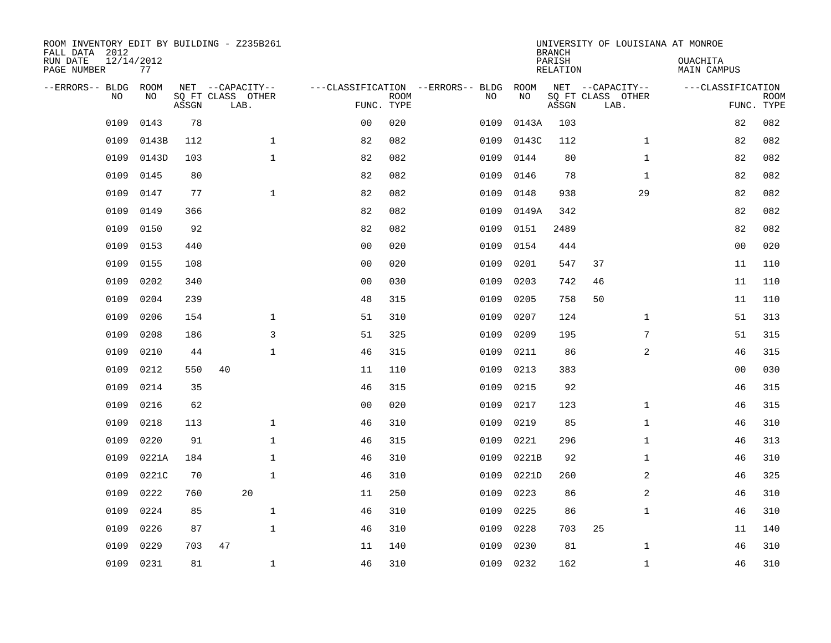| ROOM INVENTORY EDIT BY BUILDING - Z235B261<br>FALL DATA 2012<br>RUN DATE<br>PAGE NUMBER | 12/14/2012<br>77  |       |                                               |                |                           |                                   |      |            | <b>BRANCH</b><br>PARISH<br><b>RELATION</b> | UNIVERSITY OF LOUISIANA AT MONROE             | OUACHITA<br><b>MAIN CAMPUS</b> |                           |
|-----------------------------------------------------------------------------------------|-------------------|-------|-----------------------------------------------|----------------|---------------------------|-----------------------------------|------|------------|--------------------------------------------|-----------------------------------------------|--------------------------------|---------------------------|
| --ERRORS-- BLDG<br>NO                                                                   | <b>ROOM</b><br>NO | ASSGN | NET --CAPACITY--<br>SQ FT CLASS OTHER<br>LAB. |                | <b>ROOM</b><br>FUNC. TYPE | ---CLASSIFICATION --ERRORS-- BLDG | NO   | ROOM<br>NO | ASSGN                                      | NET --CAPACITY--<br>SQ FT CLASS OTHER<br>LAB. | ---CLASSIFICATION              | <b>ROOM</b><br>FUNC. TYPE |
| 0109                                                                                    | 0143              | 78    |                                               | 00             | 020                       |                                   | 0109 | 0143A      | 103                                        |                                               | 82                             | 082                       |
| 0109                                                                                    | 0143B             | 112   | $\mathbf 1$                                   | 82             | 082                       |                                   | 0109 | 0143C      | 112                                        | $\mathbf{1}$                                  | 82                             | 082                       |
| 0109                                                                                    | 0143D             | 103   | $\mathbf{1}$                                  | 82             | 082                       |                                   | 0109 | 0144       | 80                                         | $\mathbf{1}$                                  | 82                             | 082                       |
| 0109                                                                                    | 0145              | 80    |                                               | 82             | 082                       |                                   | 0109 | 0146       | 78                                         | $\mathbf{1}$                                  | 82                             | 082                       |
| 0109                                                                                    | 0147              | 77    | $\mathbf{1}$                                  | 82             | 082                       |                                   | 0109 | 0148       | 938                                        | 29                                            | 82                             | 082                       |
| 0109                                                                                    | 0149              | 366   |                                               | 82             | 082                       |                                   | 0109 | 0149A      | 342                                        |                                               | 82                             | 082                       |
| 0109                                                                                    | 0150              | 92    |                                               | 82             | 082                       |                                   | 0109 | 0151       | 2489                                       |                                               | 82                             | 082                       |
| 0109                                                                                    | 0153              | 440   |                                               | 0 <sub>0</sub> | 020                       |                                   | 0109 | 0154       | 444                                        |                                               | 0 <sub>0</sub>                 | 020                       |
| 0109                                                                                    | 0155              | 108   |                                               | 0 <sub>0</sub> | 020                       |                                   | 0109 | 0201       | 547                                        | 37                                            | 11                             | 110                       |
| 0109                                                                                    | 0202              | 340   |                                               | 0 <sub>0</sub> | 030                       |                                   | 0109 | 0203       | 742                                        | 46                                            | 11                             | 110                       |
| 0109                                                                                    | 0204              | 239   |                                               | 48             | 315                       |                                   | 0109 | 0205       | 758                                        | 50                                            | 11                             | 110                       |
| 0109                                                                                    | 0206              | 154   | $\mathbf 1$                                   | 51             | 310                       |                                   | 0109 | 0207       | 124                                        | $\mathbf{1}$                                  | 51                             | 313                       |
| 0109                                                                                    | 0208              | 186   | 3                                             | 51             | 325                       |                                   | 0109 | 0209       | 195                                        | 7                                             | 51                             | 315                       |
| 0109                                                                                    | 0210              | 44    | $\mathbf{1}$                                  | 46             | 315                       |                                   | 0109 | 0211       | 86                                         | $\overline{a}$                                | 46                             | 315                       |
| 0109                                                                                    | 0212              | 550   | 40                                            | 11             | 110                       |                                   | 0109 | 0213       | 383                                        |                                               | 00                             | 030                       |
| 0109                                                                                    | 0214              | 35    |                                               | 46             | 315                       |                                   | 0109 | 0215       | 92                                         |                                               | 46                             | 315                       |
| 0109                                                                                    | 0216              | 62    |                                               | 0 <sub>0</sub> | 020                       |                                   | 0109 | 0217       | 123                                        | $\mathbf{1}$                                  | 46                             | 315                       |
| 0109                                                                                    | 0218              | 113   | $\mathbf 1$                                   | 46             | 310                       |                                   | 0109 | 0219       | 85                                         | $\mathbf{1}$                                  | 46                             | 310                       |
| 0109                                                                                    | 0220              | 91    | $\mathbf 1$                                   | 46             | 315                       |                                   | 0109 | 0221       | 296                                        | $\mathbf{1}$                                  | 46                             | 313                       |
| 0109                                                                                    | 0221A             | 184   | $\mathbf 1$                                   | 46             | 310                       |                                   | 0109 | 0221B      | 92                                         | $\mathbf{1}$                                  | 46                             | 310                       |
| 0109                                                                                    | 0221C             | 70    | $\mathbf{1}$                                  | 46             | 310                       |                                   | 0109 | 0221D      | 260                                        | 2                                             | 46                             | 325                       |
| 0109                                                                                    | 0222              | 760   | 20                                            | 11             | 250                       |                                   | 0109 | 0223       | 86                                         | 2                                             | 46                             | 310                       |
| 0109                                                                                    | 0224              | 85    | $\mathbf{1}$                                  | 46             | 310                       |                                   | 0109 | 0225       | 86                                         | $\mathbf{1}$                                  | 46                             | 310                       |
| 0109                                                                                    | 0226              | 87    | $\mathbf{1}$                                  | 46             | 310                       |                                   | 0109 | 0228       | 703                                        | 25                                            | 11                             | 140                       |
| 0109                                                                                    | 0229              | 703   | 47                                            | 11             | 140                       |                                   | 0109 | 0230       | 81                                         | $\mathbf{1}$                                  | 46                             | 310                       |
| 0109                                                                                    | 0231              | 81    | $\mathbf 1$                                   | 46             | 310                       |                                   | 0109 | 0232       | 162                                        | $\mathbf{1}$                                  | 46                             | 310                       |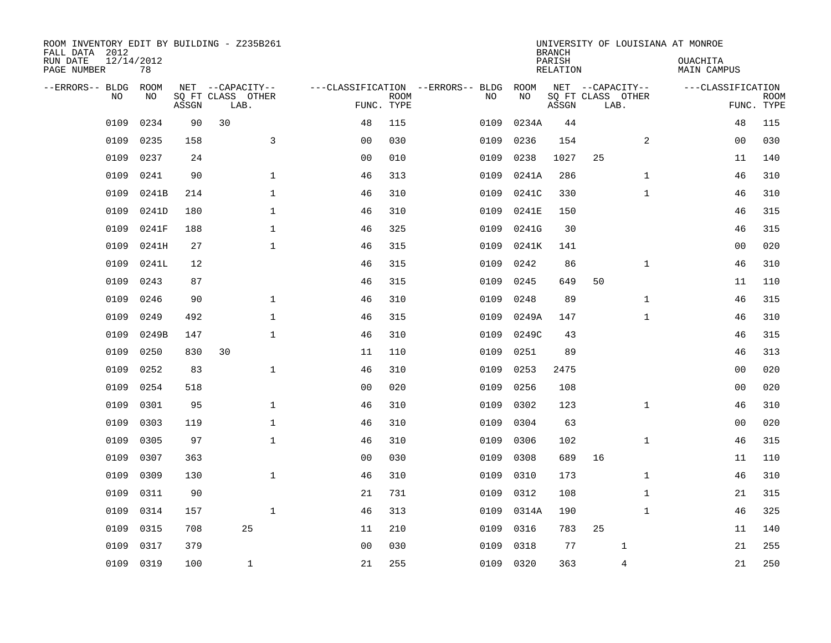| ROOM INVENTORY EDIT BY BUILDING - Z235B261<br>FALL DATA 2012<br>RUN DATE | 12/14/2012 |       |                           |                |                           |                                   |           | <b>BRANCH</b><br>PARISH |    |                           | UNIVERSITY OF LOUISIANA AT MONROE<br>OUACHITA |                           |
|--------------------------------------------------------------------------|------------|-------|---------------------------|----------------|---------------------------|-----------------------------------|-----------|-------------------------|----|---------------------------|-----------------------------------------------|---------------------------|
| PAGE NUMBER                                                              | 78         |       |                           |                |                           |                                   |           | <b>RELATION</b>         |    |                           | <b>MAIN CAMPUS</b>                            |                           |
| --ERRORS-- BLDG                                                          | ROOM       |       | NET --CAPACITY--          |                |                           | ---CLASSIFICATION --ERRORS-- BLDG | ROOM      |                         |    | NET --CAPACITY--          | ---CLASSIFICATION                             |                           |
| NO                                                                       | NO         | ASSGN | SQ FT CLASS OTHER<br>LAB. |                | <b>ROOM</b><br>FUNC. TYPE | NO                                | NO        | ASSGN                   |    | SQ FT CLASS OTHER<br>LAB. |                                               | <b>ROOM</b><br>FUNC. TYPE |
| 0109                                                                     | 0234       | 90    | 30                        | 48             | 115                       | 0109                              | 0234A     | 44                      |    |                           | 48                                            | 115                       |
| 0109                                                                     | 0235       | 158   | 3                         | 0 <sub>0</sub> | 030                       | 0109                              | 0236      | 154                     |    | 2                         | 00                                            | 030                       |
| 0109                                                                     | 0237       | 24    |                           | 0 <sub>0</sub> | 010                       | 0109                              | 0238      | 1027                    | 25 |                           | 11                                            | 140                       |
| 0109                                                                     | 0241       | 90    | $\mathbf 1$               | 46             | 313                       | 0109                              | 0241A     | 286                     |    | $\mathbf{1}$              | 46                                            | 310                       |
| 0109                                                                     | 0241B      | 214   | $\mathbf{1}$              | 46             | 310                       | 0109                              | 0241C     | 330                     |    | $\mathbf{1}$              | 46                                            | 310                       |
| 0109                                                                     | 0241D      | 180   | $\mathbf{1}$              | 46             | 310                       | 0109                              | 0241E     | 150                     |    |                           | 46                                            | 315                       |
| 0109                                                                     | 0241F      | 188   | $\mathbf{1}$              | 46             | 325                       | 0109                              | 0241G     | 30                      |    |                           | 46                                            | 315                       |
| 0109                                                                     | 0241H      | 27    | $\mathbf{1}$              | 46             | 315                       | 0109                              | 0241K     | 141                     |    |                           | 0 <sub>0</sub>                                | 020                       |
| 0109                                                                     | 0241L      | 12    |                           | 46             | 315                       | 0109                              | 0242      | 86                      |    | $\mathbf{1}$              | 46                                            | 310                       |
| 0109                                                                     | 0243       | 87    |                           | 46             | 315                       | 0109                              | 0245      | 649                     | 50 |                           | 11                                            | 110                       |
| 0109                                                                     | 0246       | 90    | $\mathbf{1}$              | 46             | 310                       | 0109                              | 0248      | 89                      |    | $\mathbf{1}$              | 46                                            | 315                       |
| 0109                                                                     | 0249       | 492   | $\mathbf{1}$              | 46             | 315                       | 0109                              | 0249A     | 147                     |    | $\mathbf{1}$              | 46                                            | 310                       |
| 0109                                                                     | 0249B      | 147   | $\mathbf 1$               | 46             | 310                       | 0109                              | 0249C     | 43                      |    |                           | 46                                            | 315                       |
| 0109                                                                     | 0250       | 830   | 30                        | 11             | 110                       | 0109                              | 0251      | 89                      |    |                           | 46                                            | 313                       |
| 0109                                                                     | 0252       | 83    | $\mathbf 1$               | 46             | 310                       | 0109                              | 0253      | 2475                    |    |                           | 00                                            | 020                       |
| 0109                                                                     | 0254       | 518   |                           | 0 <sub>0</sub> | 020                       | 0109                              | 0256      | 108                     |    |                           | 00                                            | 020                       |
| 0109                                                                     | 0301       | 95    | $\mathbf{1}$              | 46             | 310                       | 0109                              | 0302      | 123                     |    | $\mathbf{1}$              | 46                                            | 310                       |
| 0109                                                                     | 0303       | 119   | $\mathbf{1}$              | 46             | 310                       | 0109                              | 0304      | 63                      |    |                           | 0 <sub>0</sub>                                | 020                       |
| 0109                                                                     | 0305       | 97    | $\mathbf{1}$              | 46             | 310                       | 0109                              | 0306      | 102                     |    | $\mathbf{1}$              | 46                                            | 315                       |
| 0109                                                                     | 0307       | 363   |                           | 0 <sub>0</sub> | 030                       | 0109                              | 0308      | 689                     | 16 |                           | 11                                            | 110                       |
| 0109                                                                     | 0309       | 130   | $\mathbf 1$               | 46             | 310                       | 0109                              | 0310      | 173                     |    | $\mathbf{1}$              | 46                                            | 310                       |
| 0109                                                                     | 0311       | 90    |                           | 21             | 731                       | 0109                              | 0312      | 108                     |    | $\mathbf{1}$              | 21                                            | 315                       |
| 0109                                                                     | 0314       | 157   | $\mathbf{1}$              | 46             | 313                       | 0109                              | 0314A     | 190                     |    | $\mathbf{1}$              | 46                                            | 325                       |
| 0109                                                                     | 0315       | 708   | 25                        | 11             | 210                       | 0109                              | 0316      | 783                     | 25 |                           | 11                                            | 140                       |
| 0109                                                                     | 0317       | 379   |                           | 0 <sub>0</sub> | 030                       | 0109                              | 0318      | 77                      |    | 1                         | 21                                            | 255                       |
| 0109                                                                     | 0319       | 100   | $\mathbf{1}$              | 21             | 255                       |                                   | 0109 0320 | 363                     |    | 4                         | 21                                            | 250                       |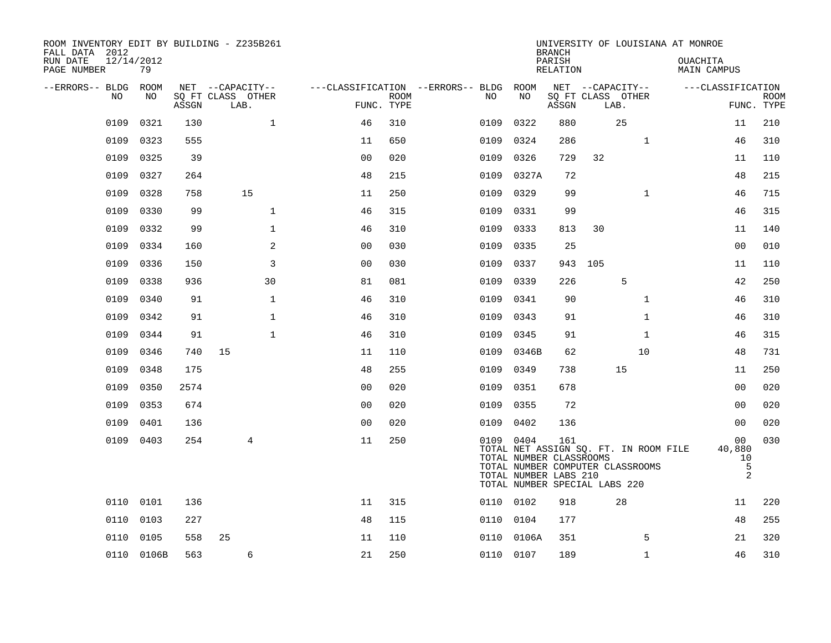| ROOM INVENTORY EDIT BY BUILDING - Z235B261<br>FALL DATA 2012<br>RUN DATE | 12/14/2012<br>79 |       |                                       |                |             |                                              |                                                                                                | <b>BRANCH</b><br>PARISH |     |                                                                           | UNIVERSITY OF LOUISIANA AT MONROE<br><b>OUACHITA</b> |                                         |             |
|--------------------------------------------------------------------------|------------------|-------|---------------------------------------|----------------|-------------|----------------------------------------------|------------------------------------------------------------------------------------------------|-------------------------|-----|---------------------------------------------------------------------------|------------------------------------------------------|-----------------------------------------|-------------|
| PAGE NUMBER                                                              |                  |       |                                       |                |             |                                              |                                                                                                | RELATION                |     |                                                                           | MAIN CAMPUS                                          |                                         |             |
| --ERRORS-- BLDG ROOM<br>NO                                               | NO               |       | NET --CAPACITY--<br>SQ FT CLASS OTHER |                | <b>ROOM</b> | ---CLASSIFICATION --ERRORS-- BLDG ROOM<br>NO | NO                                                                                             |                         |     | NET --CAPACITY--<br>SQ FT CLASS OTHER                                     | ---CLASSIFICATION                                    |                                         | <b>ROOM</b> |
|                                                                          |                  | ASSGN | LAB.                                  | FUNC. TYPE     |             |                                              |                                                                                                | ASSGN                   |     | LAB.                                                                      |                                                      |                                         | FUNC. TYPE  |
| 0109                                                                     | 0321             | 130   | $\mathbf{1}$                          | 46             | 310         | 0109                                         | 0322                                                                                           | 880                     |     | 25                                                                        |                                                      | 11                                      | 210         |
| 0109                                                                     | 0323             | 555   |                                       | 11             | 650         | 0109                                         | 0324                                                                                           | 286                     |     | $\mathbf{1}$                                                              |                                                      | 46                                      | 310         |
| 0109                                                                     | 0325             | 39    |                                       | 0 <sub>0</sub> | 020         | 0109                                         | 0326                                                                                           | 729                     | 32  |                                                                           |                                                      | 11                                      | 110         |
| 0109                                                                     | 0327             | 264   |                                       | 48             | 215         | 0109                                         | 0327A                                                                                          | 72                      |     |                                                                           |                                                      | 48                                      | 215         |
| 0109                                                                     | 0328             | 758   | 15                                    | 11             | 250         | 0109                                         | 0329                                                                                           | 99                      |     | $\mathbf{1}$                                                              |                                                      | 46                                      | 715         |
| 0109                                                                     | 0330             | 99    | $\mathbf{1}$                          | 46             | 315         | 0109                                         | 0331                                                                                           | 99                      |     |                                                                           |                                                      | 46                                      | 315         |
| 0109                                                                     | 0332             | 99    | $\mathbf{1}$                          | 46             | 310         | 0109                                         | 0333                                                                                           | 813                     | 30  |                                                                           |                                                      | 11                                      | 140         |
| 0109                                                                     | 0334             | 160   | $\overline{a}$                        | 00             | 030         | 0109                                         | 0335                                                                                           | 25                      |     |                                                                           |                                                      | 0 <sub>0</sub>                          | 010         |
| 0109                                                                     | 0336             | 150   | 3                                     | 0 <sub>0</sub> | 030         | 0109                                         | 0337                                                                                           | 943                     | 105 |                                                                           |                                                      | 11                                      | 110         |
| 0109                                                                     | 0338             | 936   | 30                                    | 81             | 081         | 0109                                         | 0339                                                                                           | 226                     |     | 5                                                                         |                                                      | 42                                      | 250         |
| 0109                                                                     | 0340             | 91    | $\mathbf{1}$                          | 46             | 310         | 0109                                         | 0341                                                                                           | 90                      |     | $\mathbf{1}$                                                              |                                                      | 46                                      | 310         |
| 0109                                                                     | 0342             | 91    | $\mathbf 1$                           | 46             | 310         | 0109                                         | 0343                                                                                           | 91                      |     | $\mathbf{1}$                                                              |                                                      | 46                                      | 310         |
| 0109                                                                     | 0344             | 91    | 1                                     | 46             | 310         | 0109                                         | 0345                                                                                           | 91                      |     | $\mathbf{1}$                                                              |                                                      | 46                                      | 315         |
| 0109                                                                     | 0346             | 740   | 15                                    | 11             | 110         | 0109                                         | 0346B                                                                                          | 62                      |     | 10                                                                        |                                                      | 48                                      | 731         |
| 0109                                                                     | 0348             | 175   |                                       | 48             | 255         | 0109                                         | 0349                                                                                           | 738                     |     | 15                                                                        |                                                      | 11                                      | 250         |
| 0109                                                                     | 0350             | 2574  |                                       | 0 <sub>0</sub> | 020         | 0109                                         | 0351                                                                                           | 678                     |     |                                                                           |                                                      | 0 <sub>0</sub>                          | 020         |
| 0109                                                                     | 0353             | 674   |                                       | 0 <sub>0</sub> | 020         | 0109                                         | 0355                                                                                           | 72                      |     |                                                                           |                                                      | 00                                      | 020         |
| 0109                                                                     | 0401             | 136   |                                       | 0 <sub>0</sub> | 020         | 0109                                         | 0402                                                                                           | 136                     |     |                                                                           |                                                      | 0 <sub>0</sub>                          | 020         |
|                                                                          | 0109 0403        | 254   | 4                                     | 11             | 250         |                                              | 0109 0404<br>TOTAL NUMBER CLASSROOMS<br>TOTAL NUMBER LABS 210<br>TOTAL NUMBER SPECIAL LABS 220 | 161                     |     | TOTAL NET ASSIGN SQ. FT. IN ROOM FILE<br>TOTAL NUMBER COMPUTER CLASSROOMS |                                                      | 00<br>40,880<br>10<br>5<br>$\mathbf{2}$ | 030         |
|                                                                          | 0110 0101        | 136   |                                       | 11             | 315         |                                              | 0110 0102                                                                                      | 918                     |     | 28                                                                        |                                                      | 11                                      | 220         |
| 0110                                                                     | 0103             | 227   |                                       | 48             | 115         | 0110                                         | 0104                                                                                           | 177                     |     |                                                                           |                                                      | 48                                      | 255         |
| 0110                                                                     | 0105             | 558   | 25                                    | 11             | 110         |                                              | 0110 0106A                                                                                     | 351                     |     | 5                                                                         |                                                      | 21                                      | 320         |
|                                                                          | 0110 0106B       | 563   | 6                                     | 21             | 250         |                                              | 0110 0107                                                                                      | 189                     |     | $\mathbf{1}$                                                              |                                                      | 46                                      | 310         |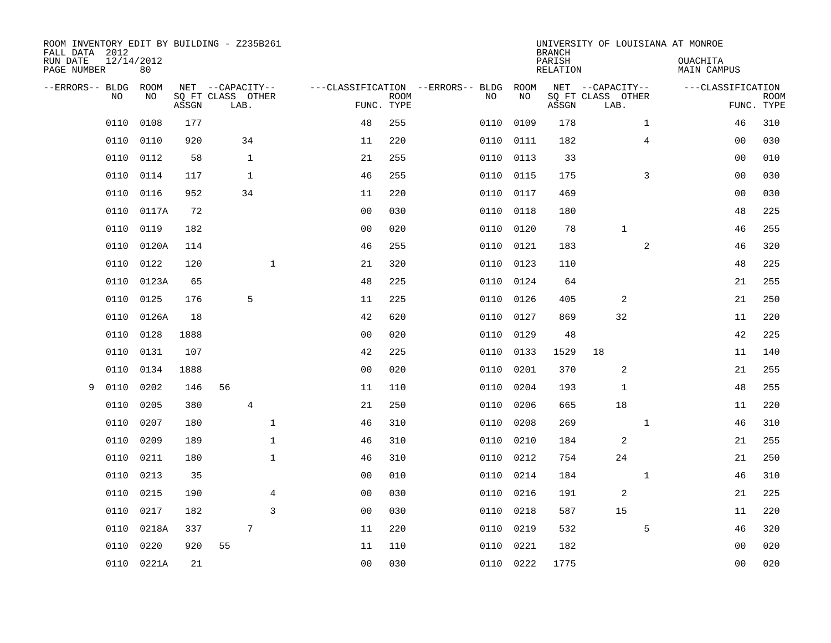| ROOM INVENTORY EDIT BY BUILDING - Z235B261<br>FALL DATA 2012 |                  |       |                           |              |                |             |                                   |           | <b>BRANCH</b>             | UNIVERSITY OF LOUISIANA AT MONROE |                |                                |                           |
|--------------------------------------------------------------|------------------|-------|---------------------------|--------------|----------------|-------------|-----------------------------------|-----------|---------------------------|-----------------------------------|----------------|--------------------------------|---------------------------|
| RUN DATE<br>PAGE NUMBER                                      | 12/14/2012<br>80 |       |                           |              |                |             |                                   |           | PARISH<br><b>RELATION</b> |                                   |                | OUACHITA<br><b>MAIN CAMPUS</b> |                           |
| --ERRORS-- BLDG                                              | ROOM             |       | NET --CAPACITY--          |              |                |             | ---CLASSIFICATION --ERRORS-- BLDG | ROOM      |                           | NET --CAPACITY--                  |                | ---CLASSIFICATION              |                           |
| N <sub>O</sub>                                               | NO.              | ASSGN | SO FT CLASS OTHER<br>LAB. |              | FUNC. TYPE     | <b>ROOM</b> | NO.                               | NO        | ASSGN                     | SQ FT CLASS OTHER<br>LAB.         |                |                                | <b>ROOM</b><br>FUNC. TYPE |
| 0110                                                         | 0108             | 177   |                           |              | 48             | 255         | 0110                              | 0109      | 178                       |                                   | $\mathbf{1}$   | 46                             | 310                       |
| 0110                                                         | 0110             | 920   | 34                        |              | 11             | 220         | 0110                              | 0111      | 182                       |                                   | $\overline{4}$ | 00                             | 030                       |
| 0110                                                         | 0112             | 58    | $\mathbf{1}$              |              | 21             | 255         | 0110                              | 0113      | 33                        |                                   |                | 00                             | 010                       |
| 0110                                                         | 0114             | 117   | $\mathbf{1}$              |              | 46             | 255         | 0110                              | 0115      | 175                       |                                   | 3              | 0 <sub>0</sub>                 | 030                       |
| 0110                                                         | 0116             | 952   | 34                        |              | 11             | 220         | 0110                              | 0117      | 469                       |                                   |                | 0 <sub>0</sub>                 | 030                       |
| 0110                                                         | 0117A            | 72    |                           |              | 0 <sub>0</sub> | 030         |                                   | 0110 0118 | 180                       |                                   |                | 48                             | 225                       |
| 0110                                                         | 0119             | 182   |                           |              | 0 <sub>0</sub> | 020         | 0110                              | 0120      | 78                        | $\mathbf 1$                       |                | 46                             | 255                       |
| 0110                                                         | 0120A            | 114   |                           |              | 46             | 255         |                                   | 0110 0121 | 183                       |                                   | $\overline{a}$ | 46                             | 320                       |
| 0110                                                         | 0122             | 120   |                           | $\mathbf{1}$ | 21             | 320         | 0110                              | 0123      | 110                       |                                   |                | 48                             | 225                       |
| 0110                                                         | 0123A            | 65    |                           |              | 48             | 225         |                                   | 0110 0124 | 64                        |                                   |                | 21                             | 255                       |
| 0110                                                         | 0125             | 176   | 5                         |              | 11             | 225         | 0110                              | 0126      | 405                       | 2                                 |                | 21                             | 250                       |
| 0110                                                         | 0126A            | 18    |                           |              | 42             | 620         | 0110                              | 0127      | 869                       | 32                                |                | 11                             | 220                       |
| 0110                                                         | 0128             | 1888  |                           |              | 0 <sub>0</sub> | 020         | 0110                              | 0129      | 48                        |                                   |                | 42                             | 225                       |
| 0110                                                         | 0131             | 107   |                           |              | 42             | 225         | 0110                              | 0133      | 1529                      | 18                                |                | 11                             | 140                       |
| 0110                                                         | 0134             | 1888  |                           |              | 0 <sub>0</sub> | 020         | 0110                              | 0201      | 370                       | 2                                 |                | 21                             | 255                       |
| 9<br>0110                                                    | 0202             | 146   | 56                        |              | 11             | 110         | 0110                              | 0204      | 193                       | 1                                 |                | 48                             | 255                       |
| 0110                                                         | 0205             | 380   | $\overline{4}$            |              | 21             | 250         | 0110                              | 0206      | 665                       | 18                                |                | 11                             | 220                       |
| 0110                                                         | 0207             | 180   |                           | $\mathbf 1$  | 46             | 310         | 0110                              | 0208      | 269                       |                                   | $\mathbf{1}$   | 46                             | 310                       |
| 0110                                                         | 0209             | 189   |                           | $\mathbf{1}$ | 46             | 310         | 0110                              | 0210      | 184                       | 2                                 |                | 21                             | 255                       |
| 0110                                                         | 0211             | 180   |                           | $\mathbf 1$  | 46             | 310         | 0110                              | 0212      | 754                       | 24                                |                | 21                             | 250                       |
| 0110                                                         | 0213             | 35    |                           |              | 0 <sub>0</sub> | 010         | 0110                              | 0214      | 184                       |                                   | $\mathbf{1}$   | 46                             | 310                       |
| 0110                                                         | 0215             | 190   |                           | 4            | 0 <sub>0</sub> | 030         | 0110                              | 0216      | 191                       | 2                                 |                | 21                             | 225                       |
| 0110                                                         | 0217             | 182   |                           | 3            | 0 <sub>0</sub> | 030         | 0110                              | 0218      | 587                       | 15                                |                | 11                             | 220                       |
| 0110                                                         | 0218A            | 337   | 7                         |              | 11             | 220         | 0110                              | 0219      | 532                       |                                   | 5              | 46                             | 320                       |
| 0110                                                         | 0220             | 920   | 55                        |              | 11             | 110         | 0110                              | 0221      | 182                       |                                   |                | 0 <sub>0</sub>                 | 020                       |
|                                                              | 0110 0221A       | 21    |                           |              | 00             | 030         |                                   | 0110 0222 | 1775                      |                                   |                | 0 <sub>0</sub>                 | 020                       |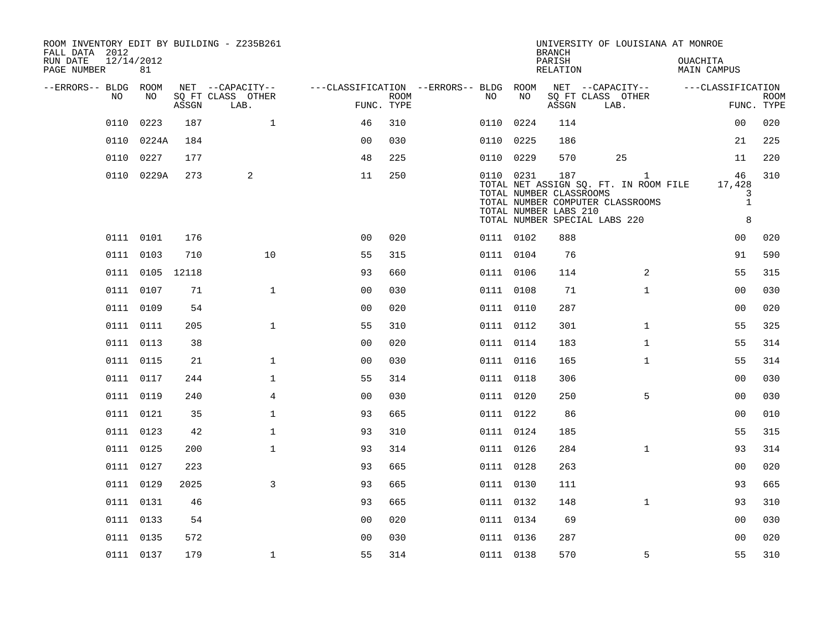| ROOM INVENTORY EDIT BY BUILDING - Z235B261<br>FALL DATA 2012 |                  |       |      |                           |                                        |             |           |    | <b>BRANCH</b>                                                                            |                           | UNIVERSITY OF LOUISIANA AT MONROE                                                         |                                        |                           |
|--------------------------------------------------------------|------------------|-------|------|---------------------------|----------------------------------------|-------------|-----------|----|------------------------------------------------------------------------------------------|---------------------------|-------------------------------------------------------------------------------------------|----------------------------------------|---------------------------|
| RUN DATE<br>PAGE NUMBER                                      | 12/14/2012<br>81 |       |      |                           |                                        |             |           |    | PARISH<br>RELATION                                                                       |                           |                                                                                           | <b>OUACHITA</b><br><b>MAIN CAMPUS</b>  |                           |
| --ERRORS-- BLDG ROOM                                         |                  |       |      | NET --CAPACITY--          | ---CLASSIFICATION --ERRORS-- BLDG ROOM |             |           |    |                                                                                          |                           | NET --CAPACITY--                                                                          | ---CLASSIFICATION                      |                           |
|                                                              | NO<br>NO         | ASSGN |      | SQ FT CLASS OTHER<br>LAB. | FUNC. TYPE                             | <b>ROOM</b> | NO        | NO | ASSGN                                                                                    | SQ FT CLASS OTHER<br>LAB. |                                                                                           |                                        | <b>ROOM</b><br>FUNC. TYPE |
|                                                              | 0223<br>0110     |       | 187  | $\mathbf{1}$              | 46                                     | 310         | 0110 0224 |    | 114                                                                                      |                           |                                                                                           | 0 <sub>0</sub>                         | 020                       |
|                                                              | 0110<br>0224A    |       | 184  |                           | 0 <sub>0</sub>                         | 030         | 0110 0225 |    | 186                                                                                      |                           |                                                                                           | 21                                     | 225                       |
|                                                              | 0110 0227        |       | 177  |                           | 48                                     | 225         | 0110 0229 |    | 570                                                                                      |                           | 25                                                                                        | 11                                     | 220                       |
|                                                              | 0110 0229A       |       | 273  | 2                         | 11                                     | 250         | 0110 0231 |    | 187<br>TOTAL NUMBER CLASSROOMS<br>TOTAL NUMBER LABS 210<br>TOTAL NUMBER SPECIAL LABS 220 |                           | $\mathbf{1}$<br>TOTAL NET ASSIGN SQ. FT. IN ROOM FILE<br>TOTAL NUMBER COMPUTER CLASSROOMS | 46<br>17,428<br>3<br>$\mathbf{1}$<br>8 | 310                       |
|                                                              | 0111 0101        |       | 176  |                           | 0 <sup>0</sup>                         | 020         | 0111 0102 |    | 888                                                                                      |                           |                                                                                           | 00                                     | 020                       |
|                                                              | 0111 0103        |       | 710  | 10                        | 55                                     | 315         | 0111 0104 |    | 76                                                                                       |                           |                                                                                           | 91                                     | 590                       |
|                                                              | 0111 0105 12118  |       |      |                           | 93                                     | 660         | 0111 0106 |    | 114                                                                                      |                           | $\overline{2}$                                                                            | 55                                     | 315                       |
|                                                              | 0111 0107        |       | 71   | $\mathbf{1}$              | 0 <sub>0</sub>                         | 030         | 0111 0108 |    | 71                                                                                       |                           | $\mathbf{1}$                                                                              | 0 <sub>0</sub>                         | 030                       |
|                                                              | 0111 0109        |       | 54   |                           | 0 <sub>0</sub>                         | 020         | 0111 0110 |    | 287                                                                                      |                           |                                                                                           | 0 <sub>0</sub>                         | 020                       |
|                                                              | 0111 0111        |       | 205  | $\mathbf{1}$              | 55                                     | 310         | 0111 0112 |    | 301                                                                                      |                           | $\mathbf{1}$                                                                              | 55                                     | 325                       |
|                                                              | 0111 0113        |       | 38   |                           | 0 <sub>0</sub>                         | 020         | 0111 0114 |    | 183                                                                                      |                           | $\mathbf{1}$                                                                              | 55                                     | 314                       |
|                                                              | 0111 0115        |       | 21   | $\mathbf{1}$              | 0 <sub>0</sub>                         | 030         | 0111 0116 |    | 165                                                                                      |                           | $\mathbf{1}$                                                                              | 55                                     | 314                       |
|                                                              | 0111 0117        |       | 244  | $\mathbf{1}$              | 55                                     | 314         | 0111 0118 |    | 306                                                                                      |                           |                                                                                           | 0 <sub>0</sub>                         | 030                       |
|                                                              | 0111 0119        |       | 240  | $\overline{4}$            | 0 <sub>0</sub>                         | 030         | 0111 0120 |    | 250                                                                                      |                           | 5                                                                                         | 0 <sub>0</sub>                         | 030                       |
|                                                              | 0111 0121        |       | 35   | $\mathbf{1}$              | 93                                     | 665         | 0111 0122 |    | 86                                                                                       |                           |                                                                                           | 0 <sub>0</sub>                         | 010                       |
|                                                              | 0111 0123        |       | 42   | $\mathbf 1$               | 93                                     | 310         | 0111 0124 |    | 185                                                                                      |                           |                                                                                           | 55                                     | 315                       |
|                                                              | 0111 0125        |       | 200  | $\mathbf{1}$              | 93                                     | 314         | 0111 0126 |    | 284                                                                                      |                           | $\mathbf{1}$                                                                              | 93                                     | 314                       |
|                                                              | 0111 0127        |       | 223  |                           | 93                                     | 665         | 0111 0128 |    | 263                                                                                      |                           |                                                                                           | 00                                     | 020                       |
|                                                              | 0111 0129        |       | 2025 | 3                         | 93                                     | 665         | 0111 0130 |    | 111                                                                                      |                           |                                                                                           | 93                                     | 665                       |
|                                                              | 0111 0131        |       | 46   |                           | 93                                     | 665         | 0111 0132 |    | 148                                                                                      |                           | $\mathbf{1}$                                                                              | 93                                     | 310                       |
|                                                              | 0111 0133        |       | 54   |                           | 00                                     | 020         | 0111 0134 |    | 69                                                                                       |                           |                                                                                           | 00                                     | 030                       |
|                                                              | 0111 0135        |       | 572  |                           | 0 <sub>0</sub>                         | 030         | 0111 0136 |    | 287                                                                                      |                           |                                                                                           | 00                                     | 020                       |
|                                                              | 0111 0137        |       | 179  | $\mathbf{1}$              | 55                                     | 314         | 0111 0138 |    | 570                                                                                      |                           | 5                                                                                         | 55                                     | 310                       |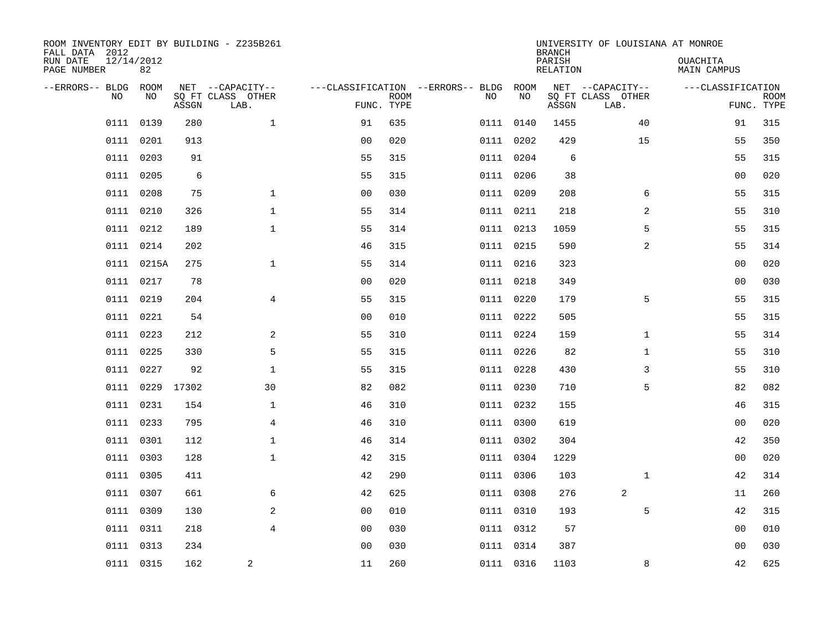| ROOM INVENTORY EDIT BY BUILDING - Z235B261<br>FALL DATA 2012 |                  |       |                           |                |             |                                        |           | <b>BRANCH</b>             | UNIVERSITY OF LOUISIANA AT MONROE |                                |             |
|--------------------------------------------------------------|------------------|-------|---------------------------|----------------|-------------|----------------------------------------|-----------|---------------------------|-----------------------------------|--------------------------------|-------------|
| RUN DATE<br>PAGE NUMBER                                      | 12/14/2012<br>82 |       |                           |                |             |                                        |           | PARISH<br><b>RELATION</b> |                                   | OUACHITA<br><b>MAIN CAMPUS</b> |             |
| --ERRORS-- BLDG                                              | ROOM             |       | NET --CAPACITY--          |                |             | ---CLASSIFICATION --ERRORS-- BLDG ROOM |           |                           | NET --CAPACITY--                  | ---CLASSIFICATION              |             |
| NO.                                                          | NO               | ASSGN | SQ FT CLASS OTHER<br>LAB. | FUNC. TYPE     | <b>ROOM</b> | NO                                     | NO        | ASSGN                     | SQ FT CLASS OTHER<br>LAB.         | FUNC. TYPE                     | <b>ROOM</b> |
| 0111                                                         | 0139             | 280   | $\mathbf{1}$              | 91             | 635         |                                        | 0111 0140 | 1455                      | 40                                | 91                             | 315         |
| 0111                                                         | 0201             | 913   |                           | 0 <sub>0</sub> | 020         |                                        | 0111 0202 | 429                       | 15                                | 55                             | 350         |
|                                                              | 0111 0203        | 91    |                           | 55             | 315         |                                        | 0111 0204 | 6                         |                                   | 55                             | 315         |
| 0111                                                         | 0205             | 6     |                           | 55             | 315         |                                        | 0111 0206 | 38                        |                                   | 0 <sub>0</sub>                 | 020         |
| 0111                                                         | 0208             | 75    | $\mathbf{1}$              | 00             | 030         |                                        | 0111 0209 | 208                       | 6                                 | 55                             | 315         |
| 0111                                                         | 0210             | 326   | $\mathbf 1$               | 55             | 314         |                                        | 0111 0211 | 218                       | $\overline{a}$                    | 55                             | 310         |
| 0111                                                         | 0212             | 189   | $\mathbf{1}$              | 55             | 314         |                                        | 0111 0213 | 1059                      | 5                                 | 55                             | 315         |
|                                                              | 0111 0214        | 202   |                           | 46             | 315         |                                        | 0111 0215 | 590                       | 2                                 | 55                             | 314         |
|                                                              | 0111 0215A       | 275   | $\mathbf{1}$              | 55             | 314         |                                        | 0111 0216 | 323                       |                                   | 0 <sub>0</sub>                 | 020         |
|                                                              | 0111 0217        | 78    |                           | 0 <sub>0</sub> | 020         |                                        | 0111 0218 | 349                       |                                   | 00                             | 030         |
| 0111                                                         | 0219             | 204   | $\overline{4}$            | 55             | 315         |                                        | 0111 0220 | 179                       | 5                                 | 55                             | 315         |
|                                                              | 0111 0221        | 54    |                           | 0 <sub>0</sub> | 010         |                                        | 0111 0222 | 505                       |                                   | 55                             | 315         |
| 0111                                                         | 0223             | 212   | 2                         | 55             | 310         |                                        | 0111 0224 | 159                       | $\mathbf{1}$                      | 55                             | 314         |
| 0111                                                         | 0225             | 330   | 5                         | 55             | 315         |                                        | 0111 0226 | 82                        | $\mathbf{1}$                      | 55                             | 310         |
| 0111                                                         | 0227             | 92    | $\mathbf{1}$              | 55             | 315         |                                        | 0111 0228 | 430                       | 3                                 | 55                             | 310         |
|                                                              | 0111 0229 17302  |       | 30                        | 82             | 082         |                                        | 0111 0230 | 710                       | 5                                 | 82                             | 082         |
| 0111                                                         | 0231             | 154   | 1                         | 46             | 310         |                                        | 0111 0232 | 155                       |                                   | 46                             | 315         |
| 0111                                                         | 0233             | 795   | 4                         | 46             | 310         |                                        | 0111 0300 | 619                       |                                   | 00                             | 020         |
|                                                              | 0111 0301        | 112   | $\mathbf 1$               | 46             | 314         |                                        | 0111 0302 | 304                       |                                   | 42                             | 350         |
|                                                              | 0111 0303        | 128   | $\mathbf{1}$              | 42             | 315         |                                        | 0111 0304 | 1229                      |                                   | 0 <sub>0</sub>                 | 020         |
|                                                              | 0111 0305        | 411   |                           | 42             | 290         |                                        | 0111 0306 | 103                       | $\mathbf{1}$                      | 42                             | 314         |
|                                                              | 0111 0307        | 661   | 6                         | 42             | 625         |                                        | 0111 0308 | 276                       | 2                                 | 11                             | 260         |
|                                                              | 0111 0309        | 130   | 2                         | 0 <sub>0</sub> | 010         |                                        | 0111 0310 | 193                       | 5                                 | 42                             | 315         |
|                                                              | 0111 0311        | 218   | $\overline{4}$            | 00             | 030         |                                        | 0111 0312 | 57                        |                                   | 00                             | 010         |
|                                                              | 0111 0313        | 234   |                           | 0 <sub>0</sub> | 030         |                                        | 0111 0314 | 387                       |                                   | 0 <sub>0</sub>                 | 030         |
|                                                              | 0111 0315        | 162   | 2                         | 11             | 260         |                                        | 0111 0316 | 1103                      | 8                                 | 42                             | 625         |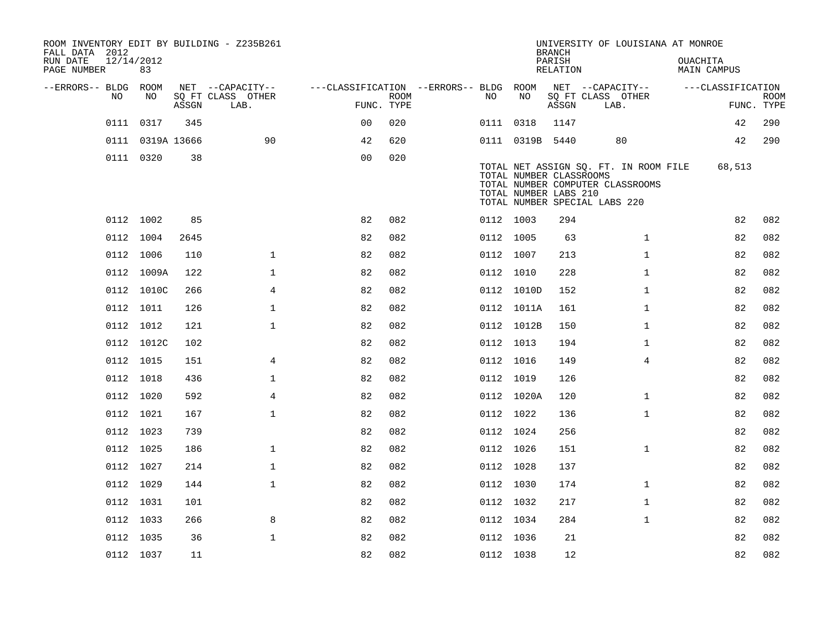| ROOM INVENTORY EDIT BY BUILDING - Z235B261<br>FALL DATA 2012 |                  |       |                           |                                        |             |           |                                                                                   | <b>BRANCH</b>             | UNIVERSITY OF LOUISIANA AT MONROE                                         |          |                   |                           |
|--------------------------------------------------------------|------------------|-------|---------------------------|----------------------------------------|-------------|-----------|-----------------------------------------------------------------------------------|---------------------------|---------------------------------------------------------------------------|----------|-------------------|---------------------------|
| RUN DATE<br>PAGE NUMBER                                      | 12/14/2012<br>83 |       |                           |                                        |             |           |                                                                                   | PARISH<br><b>RELATION</b> |                                                                           | OUACHITA | MAIN CAMPUS       |                           |
| --ERRORS-- BLDG ROOM                                         |                  |       | NET --CAPACITY--          | ---CLASSIFICATION --ERRORS-- BLDG ROOM |             |           |                                                                                   |                           | NET --CAPACITY--                                                          |          | ---CLASSIFICATION |                           |
| NO                                                           | NO               | ASSGN | SQ FT CLASS OTHER<br>LAB. | FUNC. TYPE                             | <b>ROOM</b> | NO.       | NO                                                                                | ASSGN                     | SQ FT CLASS OTHER<br>LAB.                                                 |          |                   | <b>ROOM</b><br>FUNC. TYPE |
|                                                              | 0111 0317        | 345   |                           | 0 <sup>0</sup>                         | 020         | 0111 0318 |                                                                                   | 1147                      |                                                                           |          | 42                | 290                       |
|                                                              | 0111 0319A 13666 |       | 90                        | 42                                     | 620         |           | 0111 0319B 5440                                                                   |                           | 80                                                                        |          | 42                | 290                       |
|                                                              | 0111 0320        | 38    |                           | 0 <sub>0</sub>                         | 020         |           | TOTAL NUMBER CLASSROOMS<br>TOTAL NUMBER LABS 210<br>TOTAL NUMBER SPECIAL LABS 220 |                           | TOTAL NET ASSIGN SQ. FT. IN ROOM FILE<br>TOTAL NUMBER COMPUTER CLASSROOMS |          | 68,513            |                           |
|                                                              | 0112 1002        | 85    |                           | 82                                     | 082         | 0112 1003 |                                                                                   | 294                       |                                                                           |          | 82                | 082                       |
|                                                              | 0112 1004        | 2645  |                           | 82                                     | 082         | 0112 1005 |                                                                                   | 63                        | $\mathbf{1}$                                                              |          | 82                | 082                       |
|                                                              | 0112 1006        | 110   | $\mathbf 1$               | 82                                     | 082         | 0112 1007 |                                                                                   | 213                       | $\mathbf{1}$                                                              |          | 82                | 082                       |
|                                                              | 0112 1009A       | 122   | $\mathbf{1}$              | 82                                     | 082         | 0112 1010 |                                                                                   | 228                       | $\mathbf{1}$                                                              |          | 82                | 082                       |
|                                                              | 0112 1010C       | 266   | 4                         | 82                                     | 082         |           | 0112 1010D                                                                        | 152                       | $\mathbf{1}$                                                              |          | 82                | 082                       |
|                                                              | 0112 1011        | 126   | $\mathbf{1}$              | 82                                     | 082         |           | 0112 1011A                                                                        | 161                       | $\mathbf{1}$                                                              |          | 82                | 082                       |
|                                                              | 0112 1012        | 121   | $\mathbf{1}$              | 82                                     | 082         |           | 0112 1012B                                                                        | 150                       | $\mathbf{1}$                                                              |          | 82                | 082                       |
|                                                              | 0112 1012C       | 102   |                           | 82                                     | 082         | 0112 1013 |                                                                                   | 194                       | $\mathbf{1}$                                                              |          | 82                | 082                       |
|                                                              | 0112 1015        | 151   | 4                         | 82                                     | 082         | 0112 1016 |                                                                                   | 149                       | 4                                                                         |          | 82                | 082                       |
|                                                              | 0112 1018        | 436   | $\mathbf{1}$              | 82                                     | 082         | 0112 1019 |                                                                                   | 126                       |                                                                           |          | 82                | 082                       |
|                                                              | 0112 1020        | 592   | $\overline{4}$            | 82                                     | 082         |           | 0112 1020A                                                                        | 120                       | $\mathbf{1}$                                                              |          | 82                | 082                       |
|                                                              | 0112 1021        | 167   | $\mathbf 1$               | 82                                     | 082         | 0112 1022 |                                                                                   | 136                       | $\mathbf{1}$                                                              |          | 82                | 082                       |
|                                                              | 0112 1023        | 739   |                           | 82                                     | 082         | 0112 1024 |                                                                                   | 256                       |                                                                           |          | 82                | 082                       |
|                                                              | 0112 1025        | 186   | $\mathbf{1}$              | 82                                     | 082         | 0112 1026 |                                                                                   | 151                       | $\mathbf{1}$                                                              |          | 82                | 082                       |
|                                                              | 0112 1027        | 214   | $\mathbf{1}$              | 82                                     | 082         | 0112 1028 |                                                                                   | 137                       |                                                                           |          | 82                | 082                       |
|                                                              | 0112 1029        | 144   | $\mathbf{1}$              | 82                                     | 082         | 0112 1030 |                                                                                   | 174                       | $\mathbf{1}$                                                              |          | 82                | 082                       |
|                                                              | 0112 1031        | 101   |                           | 82                                     | 082         | 0112 1032 |                                                                                   | 217                       | $\mathbf{1}$                                                              |          | 82                | 082                       |
|                                                              | 0112 1033        | 266   | 8                         | 82                                     | 082         | 0112 1034 |                                                                                   | 284                       | $\mathbf{1}$                                                              |          | 82                | 082                       |
|                                                              | 0112 1035        | 36    | $\mathbf 1$               | 82                                     | 082         | 0112 1036 |                                                                                   | 21                        |                                                                           |          | 82                | 082                       |
|                                                              | 0112 1037        | 11    |                           | 82                                     | 082         | 0112 1038 |                                                                                   | 12                        |                                                                           |          | 82                | 082                       |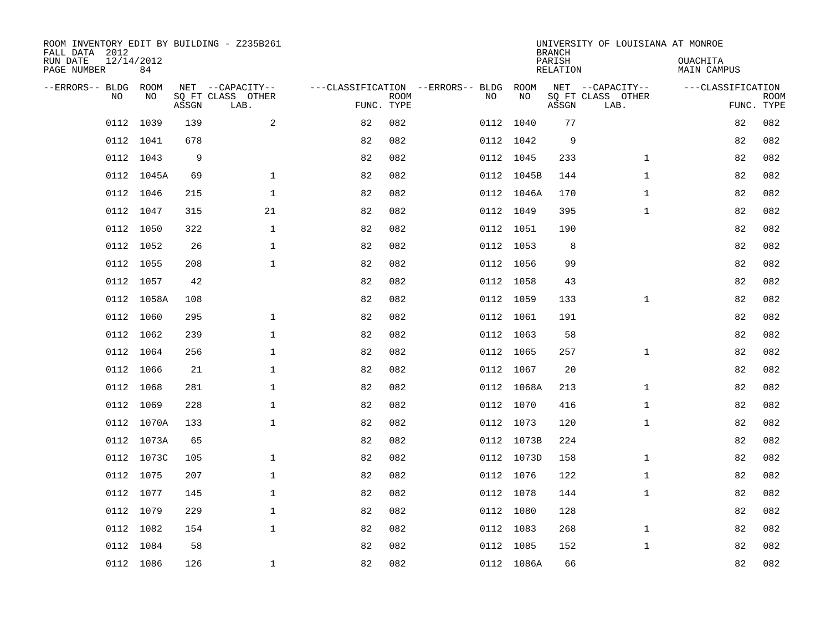| ROOM INVENTORY EDIT BY BUILDING - Z235B261<br>FALL DATA 2012 |                  |       |                           |                                        |             |    |            | <b>BRANCH</b>             | UNIVERSITY OF LOUISIANA AT MONROE |                                |                           |
|--------------------------------------------------------------|------------------|-------|---------------------------|----------------------------------------|-------------|----|------------|---------------------------|-----------------------------------|--------------------------------|---------------------------|
| RUN DATE<br>PAGE NUMBER                                      | 12/14/2012<br>84 |       |                           |                                        |             |    |            | PARISH<br><b>RELATION</b> |                                   | OUACHITA<br><b>MAIN CAMPUS</b> |                           |
| --ERRORS-- BLDG                                              | ROOM             |       | NET --CAPACITY--          | ---CLASSIFICATION --ERRORS-- BLDG ROOM |             |    |            |                           | NET --CAPACITY--                  | ---CLASSIFICATION              |                           |
| NO.                                                          | NO               | ASSGN | SQ FT CLASS OTHER<br>LAB. | FUNC. TYPE                             | <b>ROOM</b> | NO | NO         | ASSGN                     | SQ FT CLASS OTHER<br>LAB.         |                                | <b>ROOM</b><br>FUNC. TYPE |
| 0112                                                         | 1039             | 139   | 2                         | 82                                     | 082         |    | 0112 1040  | 77                        |                                   | 82                             | 082                       |
|                                                              | 0112 1041        | 678   |                           | 82                                     | 082         |    | 0112 1042  | 9                         |                                   | 82                             | 082                       |
| 0112                                                         | 1043             | 9     |                           | 82                                     | 082         |    | 0112 1045  | 233                       | $\mathbf{1}$                      | 82                             | 082                       |
|                                                              | 0112 1045A       | 69    | $\mathbf{1}$              | 82                                     | 082         |    | 0112 1045B | 144                       | $\mathbf{1}$                      | 82                             | 082                       |
| 0112                                                         | 1046             | 215   | $\mathbf{1}$              | 82                                     | 082         |    | 0112 1046A | 170                       | $\mathbf{1}$                      | 82                             | 082                       |
|                                                              | 0112 1047        | 315   | 21                        | 82                                     | 082         |    | 0112 1049  | 395                       | $\mathbf{1}$                      | 82                             | 082                       |
| 0112                                                         | 1050             | 322   | $\mathbf{1}$              | 82                                     | 082         |    | 0112 1051  | 190                       |                                   | 82                             | 082                       |
|                                                              | 0112 1052        | 26    | $\mathbf{1}$              | 82                                     | 082         |    | 0112 1053  | 8                         |                                   | 82                             | 082                       |
| 0112                                                         | 1055             | 208   | $\mathbf{1}$              | 82                                     | 082         |    | 0112 1056  | 99                        |                                   | 82                             | 082                       |
|                                                              | 0112 1057        | 42    |                           | 82                                     | 082         |    | 0112 1058  | 43                        |                                   | 82                             | 082                       |
|                                                              | 0112 1058A       | 108   |                           | 82                                     | 082         |    | 0112 1059  | 133                       | $\mathbf{1}$                      | 82                             | 082                       |
|                                                              | 0112 1060        | 295   | $\mathbf{1}$              | 82                                     | 082         |    | 0112 1061  | 191                       |                                   | 82                             | 082                       |
| 0112                                                         | 1062             | 239   | $\mathbf 1$               | 82                                     | 082         |    | 0112 1063  | 58                        |                                   | 82                             | 082                       |
|                                                              | 0112 1064        | 256   | $\mathbf 1$               | 82                                     | 082         |    | 0112 1065  | 257                       | $\mathbf{1}$                      | 82                             | 082                       |
| 0112                                                         | 1066             | 21    | 1                         | 82                                     | 082         |    | 0112 1067  | 20                        |                                   | 82                             | 082                       |
|                                                              | 0112 1068        | 281   | $\mathbf 1$               | 82                                     | 082         |    | 0112 1068A | 213                       | $\mathbf{1}$                      | 82                             | 082                       |
|                                                              | 0112 1069        | 228   | $\mathbf 1$               | 82                                     | 082         |    | 0112 1070  | 416                       | $\mathbf{1}$                      | 82                             | 082                       |
|                                                              | 0112 1070A       | 133   | $\mathbf{1}$              | 82                                     | 082         |    | 0112 1073  | 120                       | $\mathbf{1}$                      | 82                             | 082                       |
|                                                              | 0112 1073A       | 65    |                           | 82                                     | 082         |    | 0112 1073B | 224                       |                                   | 82                             | 082                       |
|                                                              | 0112 1073C       | 105   | $\mathbf 1$               | 82                                     | 082         |    | 0112 1073D | 158                       | $\mathbf{1}$                      | 82                             | 082                       |
|                                                              | 0112 1075        | 207   | $\mathbf 1$               | 82                                     | 082         |    | 0112 1076  | 122                       | $\mathbf{1}$                      | 82                             | 082                       |
|                                                              | 0112 1077        | 145   | $\mathbf 1$               | 82                                     | 082         |    | 0112 1078  | 144                       | $\mathbf{1}$                      | 82                             | 082                       |
|                                                              | 0112 1079        | 229   | $\mathbf 1$               | 82                                     | 082         |    | 0112 1080  | 128                       |                                   | 82                             | 082                       |
|                                                              | 0112 1082        | 154   | $\mathbf{1}$              | 82                                     | 082         |    | 0112 1083  | 268                       | $\mathbf{1}$                      | 82                             | 082                       |
|                                                              | 0112 1084        | 58    |                           | 82                                     | 082         |    | 0112 1085  | 152                       | $\mathbf{1}$                      | 82                             | 082                       |
|                                                              | 0112 1086        | 126   | $\mathbf 1$               | 82                                     | 082         |    | 0112 1086A | 66                        |                                   | 82                             | 082                       |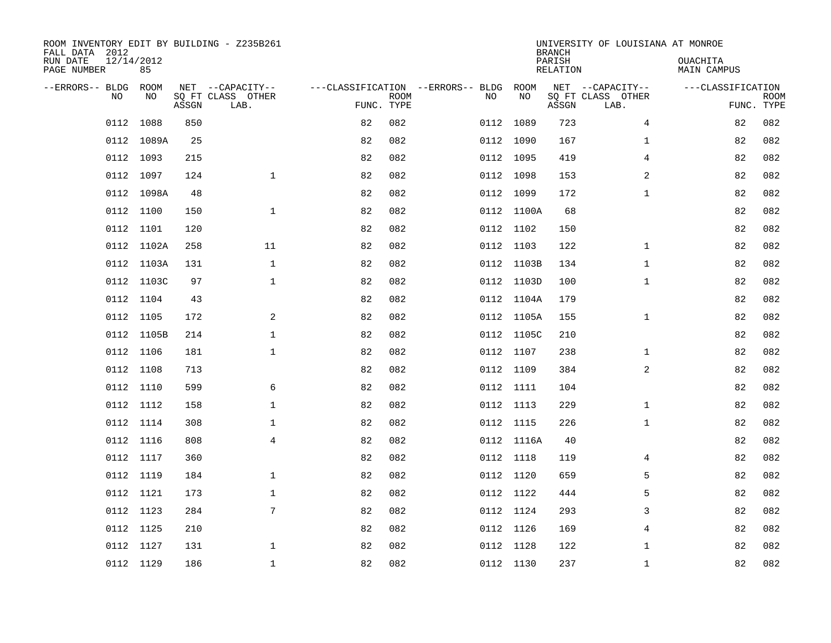| ROOM INVENTORY EDIT BY BUILDING - Z235B261<br>FALL DATA 2012 |                  |       |                           |                                   |             |     |            | <b>BRANCH</b>      | UNIVERSITY OF LOUISIANA AT MONROE |                         |                           |
|--------------------------------------------------------------|------------------|-------|---------------------------|-----------------------------------|-------------|-----|------------|--------------------|-----------------------------------|-------------------------|---------------------------|
| RUN DATE<br>PAGE NUMBER                                      | 12/14/2012<br>85 |       |                           |                                   |             |     |            | PARISH<br>RELATION |                                   | OUACHITA<br>MAIN CAMPUS |                           |
| --ERRORS-- BLDG                                              | ROOM             |       | NET --CAPACITY--          | ---CLASSIFICATION --ERRORS-- BLDG |             |     | ROOM       |                    | NET --CAPACITY--                  | ---CLASSIFICATION       |                           |
| N <sub>O</sub>                                               | NO.              | ASSGN | SO FT CLASS OTHER<br>LAB. | FUNC. TYPE                        | <b>ROOM</b> | NO. | NO         | ASSGN              | SQ FT CLASS OTHER<br>LAB.         |                         | <b>ROOM</b><br>FUNC. TYPE |
| 0112                                                         | 1088             | 850   |                           | 82                                | 082         |     | 0112 1089  | 723                | 4                                 | 82                      | 082                       |
|                                                              | 0112 1089A       | 25    |                           | 82                                | 082         |     | 0112 1090  | 167                | $\mathbf{1}$                      | 82                      | 082                       |
|                                                              | 0112 1093        | 215   |                           | 82                                | 082         |     | 0112 1095  | 419                | $\overline{4}$                    | 82                      | 082                       |
|                                                              | 0112 1097        | 124   | $\mathbf{1}$              | 82                                | 082         |     | 0112 1098  | 153                | 2                                 | 82                      | 082                       |
| 0112                                                         | 1098A            | 48    |                           | 82                                | 082         |     | 0112 1099  | 172                | $\mathbf{1}$                      | 82                      | 082                       |
|                                                              | 0112 1100        | 150   | $\mathbf 1$               | 82                                | 082         |     | 0112 1100A | 68                 |                                   | 82                      | 082                       |
| 0112                                                         | 1101             | 120   |                           | 82                                | 082         |     | 0112 1102  | 150                |                                   | 82                      | 082                       |
|                                                              | 0112 1102A       | 258   | 11                        | 82                                | 082         |     | 0112 1103  | 122                | $\mathbf{1}$                      | 82                      | 082                       |
| 0112                                                         | 1103A            | 131   | $\mathbf{1}$              | 82                                | 082         |     | 0112 1103B | 134                | $\mathbf{1}$                      | 82                      | 082                       |
|                                                              | 0112 1103C       | 97    | $\mathbf{1}$              | 82                                | 082         |     | 0112 1103D | 100                | $\mathbf{1}$                      | 82                      | 082                       |
| 0112                                                         | 1104             | 43    |                           | 82                                | 082         |     | 0112 1104A | 179                |                                   | 82                      | 082                       |
|                                                              | 0112 1105        | 172   | 2                         | 82                                | 082         |     | 0112 1105A | 155                | $\mathbf{1}$                      | 82                      | 082                       |
|                                                              | 0112 1105B       | 214   | $\mathbf{1}$              | 82                                | 082         |     | 0112 1105C | 210                |                                   | 82                      | 082                       |
|                                                              | 0112 1106        | 181   | $\mathbf{1}$              | 82                                | 082         |     | 0112 1107  | 238                | $\mathbf{1}$                      | 82                      | 082                       |
| 0112                                                         | 1108             | 713   |                           | 82                                | 082         |     | 0112 1109  | 384                | 2                                 | 82                      | 082                       |
|                                                              | 0112 1110        | 599   | 6                         | 82                                | 082         |     | 0112 1111  | 104                |                                   | 82                      | 082                       |
|                                                              | 0112 1112        | 158   | $\mathbf 1$               | 82                                | 082         |     | 0112 1113  | 229                | $\mathbf{1}$                      | 82                      | 082                       |
|                                                              | 0112 1114        | 308   | 1                         | 82                                | 082         |     | 0112 1115  | 226                | $\mathbf{1}$                      | 82                      | 082                       |
|                                                              | 0112 1116        | 808   | $\overline{4}$            | 82                                | 082         |     | 0112 1116A | 40                 |                                   | 82                      | 082                       |
|                                                              | 0112 1117        | 360   |                           | 82                                | 082         |     | 0112 1118  | 119                | 4                                 | 82                      | 082                       |
|                                                              | 0112 1119        | 184   | $\mathbf 1$               | 82                                | 082         |     | 0112 1120  | 659                | 5                                 | 82                      | 082                       |
|                                                              | 0112 1121        | 173   | $\mathbf 1$               | 82                                | 082         |     | 0112 1122  | 444                | 5                                 | 82                      | 082                       |
|                                                              | 0112 1123        | 284   | 7                         | 82                                | 082         |     | 0112 1124  | 293                | 3                                 | 82                      | 082                       |
|                                                              | 0112 1125        | 210   |                           | 82                                | 082         |     | 0112 1126  | 169                | 4                                 | 82                      | 082                       |
|                                                              | 0112 1127        | 131   | 1                         | 82                                | 082         |     | 0112 1128  | 122                | $\mathbf{1}$                      | 82                      | 082                       |
|                                                              | 0112 1129        | 186   | $\mathbf{1}$              | 82                                | 082         |     | 0112 1130  | 237                | $\mathbf{1}$                      | 82                      | 082                       |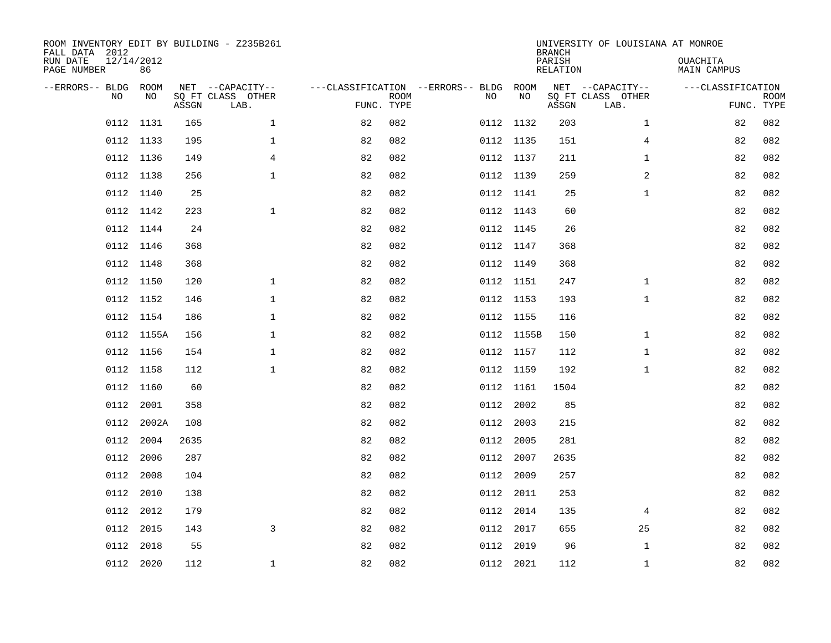| FALL DATA 2012<br>RUN DATE<br>PAGE NUMBER |           | 12/14/2012<br>86 |       | ROOM INVENTORY EDIT BY BUILDING - Z235B261    |                                                      |             |      |            | <b>BRANCH</b><br>PARISH<br>RELATION | UNIVERSITY OF LOUISIANA AT MONROE             | <b>OUACHITA</b><br>MAIN CAMPUS  |             |
|-------------------------------------------|-----------|------------------|-------|-----------------------------------------------|------------------------------------------------------|-------------|------|------------|-------------------------------------|-----------------------------------------------|---------------------------------|-------------|
| --ERRORS-- BLDG                           | <b>NO</b> | ROOM<br>NO.      | ASSGN | NET --CAPACITY--<br>SQ FT CLASS OTHER<br>LAB. | ---CLASSIFICATION --ERRORS-- BLDG ROOM<br>FUNC. TYPE | <b>ROOM</b> | NO   | NO         | ASSGN                               | NET --CAPACITY--<br>SQ FT CLASS OTHER<br>LAB. | ---CLASSIFICATION<br>FUNC. TYPE | <b>ROOM</b> |
|                                           | 0112      | 1131             | 165   | $\mathbf{1}$                                  | 82                                                   | 082         |      | 0112 1132  | 203                                 | $\mathbf{1}$                                  | 82                              | 082         |
|                                           |           | 0112 1133        | 195   | $\mathbf{1}$                                  | 82                                                   | 082         |      | 0112 1135  | 151                                 | $\overline{4}$                                | 82                              | 082         |
|                                           | 0112      | 1136             | 149   | $\overline{4}$                                | 82                                                   | 082         |      | 0112 1137  | 211                                 | $\mathbf{1}$                                  | 82                              | 082         |
|                                           |           | 0112 1138        | 256   | $\mathbf{1}$                                  | 82                                                   | 082         |      | 0112 1139  | 259                                 | 2                                             | 82                              | 082         |
|                                           |           | 0112 1140        | 25    |                                               | 82                                                   | 082         |      | 0112 1141  | 25                                  | $\mathbf{1}$                                  | 82                              | 082         |
|                                           |           | 0112 1142        | 223   | $\mathbf{1}$                                  | 82                                                   | 082         |      | 0112 1143  | 60                                  |                                               | 82                              | 082         |
|                                           |           | 0112 1144        | 24    |                                               | 82                                                   | 082         |      | 0112 1145  | 26                                  |                                               | 82                              | 082         |
|                                           |           | 0112 1146        | 368   |                                               | 82                                                   | 082         |      | 0112 1147  | 368                                 |                                               | 82                              | 082         |
|                                           |           | 0112 1148        | 368   |                                               | 82                                                   | 082         |      | 0112 1149  | 368                                 |                                               | 82                              | 082         |
|                                           |           | 0112 1150        | 120   | $\mathbf 1$                                   | 82                                                   | 082         |      | 0112 1151  | 247                                 | $\mathbf{1}$                                  | 82                              | 082         |
|                                           | 0112      | 1152             | 146   | $\mathbf 1$                                   | 82                                                   | 082         |      | 0112 1153  | 193                                 | $\mathbf{1}$                                  | 82                              | 082         |
|                                           |           | 0112 1154        | 186   | $\mathbf{1}$                                  | 82                                                   | 082         |      | 0112 1155  | 116                                 |                                               | 82                              | 082         |
|                                           |           | 0112 1155A       | 156   | $\mathbf{1}$                                  | 82                                                   | 082         |      | 0112 1155B | 150                                 | $\mathbf{1}$                                  | 82                              | 082         |
|                                           |           | 0112 1156        | 154   | $\mathbf{1}$                                  | 82                                                   | 082         |      | 0112 1157  | 112                                 | $\mathbf{1}$                                  | 82                              | 082         |
|                                           |           | 0112 1158        | 112   | $\mathbf{1}$                                  | 82                                                   | 082         |      | 0112 1159  | 192                                 | $\mathbf{1}$                                  | 82                              | 082         |
|                                           |           | 0112 1160        | 60    |                                               | 82                                                   | 082         |      | 0112 1161  | 1504                                |                                               | 82                              | 082         |
|                                           |           | 0112 2001        | 358   |                                               | 82                                                   | 082         |      | 0112 2002  | 85                                  |                                               | 82                              | 082         |
|                                           | 0112      | 2002A            | 108   |                                               | 82                                                   | 082         |      | 0112 2003  | 215                                 |                                               | 82                              | 082         |
|                                           | 0112      | 2004             | 2635  |                                               | 82                                                   | 082         | 0112 | 2005       | 281                                 |                                               | 82                              | 082         |
|                                           | 0112      | 2006             | 287   |                                               | 82                                                   | 082         |      | 0112 2007  | 2635                                |                                               | 82                              | 082         |
|                                           | 0112      | 2008             | 104   |                                               | 82                                                   | 082         |      | 0112 2009  | 257                                 |                                               | 82                              | 082         |
|                                           | 0112      | 2010             | 138   |                                               | 82                                                   | 082         |      | 0112 2011  | 253                                 |                                               | 82                              | 082         |
|                                           |           | 0112 2012        | 179   |                                               | 82                                                   | 082         |      | 0112 2014  | 135                                 | 4                                             | 82                              | 082         |
|                                           | 0112      | 2015             | 143   | 3                                             | 82                                                   | 082         |      | 0112 2017  | 655                                 | 25                                            | 82                              | 082         |
|                                           | 0112      | 2018             | 55    |                                               | 82                                                   | 082         | 0112 | 2019       | 96                                  | $\mathbf{1}$                                  | 82                              | 082         |
|                                           | 0112 2020 |                  | 112   | $\mathbf{1}$                                  | 82                                                   | 082         |      | 0112 2021  | 112                                 | $\mathbf{1}$                                  | 82                              | 082         |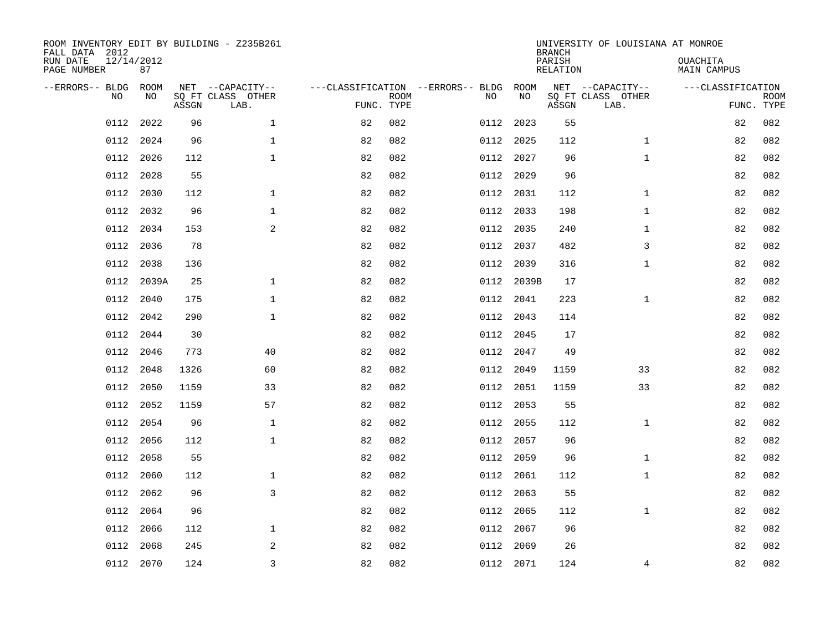| ROOM INVENTORY EDIT BY BUILDING - Z235B261<br>FALL DATA 2012<br>RUN DATE | 12/14/2012 |       |                           |                                   |             |           |            | <b>BRANCH</b><br>PARISH | UNIVERSITY OF LOUISIANA AT MONROE | OUACHITA           |             |
|--------------------------------------------------------------------------|------------|-------|---------------------------|-----------------------------------|-------------|-----------|------------|-------------------------|-----------------------------------|--------------------|-------------|
| PAGE NUMBER                                                              | 87         |       |                           |                                   |             |           |            | <b>RELATION</b>         |                                   | <b>MAIN CAMPUS</b> |             |
| --ERRORS-- BLDG                                                          | ROOM       |       | NET --CAPACITY--          | ---CLASSIFICATION --ERRORS-- BLDG |             |           | ROOM       |                         | NET --CAPACITY--                  | ---CLASSIFICATION  |             |
| NO                                                                       | NO         | ASSGN | SQ FT CLASS OTHER<br>LAB. | FUNC. TYPE                        | <b>ROOM</b> | NO        | NO         | ASSGN                   | SQ FT CLASS OTHER<br>LAB.         | FUNC. TYPE         | <b>ROOM</b> |
| 0112                                                                     | 2022       | 96    | $\mathbf 1$               | 82                                | 082         | 0112 2023 |            | 55                      |                                   | 82                 | 082         |
| 0112                                                                     | 2024       | 96    | $\mathbf 1$               | 82                                | 082         | 0112      | 2025       | 112                     | $\mathbf{1}$                      | 82                 | 082         |
| 0112                                                                     | 2026       | 112   | $\mathbf{1}$              | 82                                | 082         | 0112 2027 |            | 96                      | $\mathbf{1}$                      | 82                 | 082         |
| 0112                                                                     | 2028       | 55    |                           | 82                                | 082         | 0112 2029 |            | 96                      |                                   | 82                 | 082         |
| 0112                                                                     | 2030       | 112   | $\mathbf{1}$              | 82                                | 082         | 0112 2031 |            | 112                     | $\mathbf{1}$                      | 82                 | 082         |
| 0112                                                                     | 2032       | 96    | $\mathbf 1$               | 82                                | 082         | 0112 2033 |            | 198                     | $\mathbf{1}$                      | 82                 | 082         |
| 0112                                                                     | 2034       | 153   | 2                         | 82                                | 082         | 0112      | 2035       | 240                     | $\mathbf{1}$                      | 82                 | 082         |
| 0112                                                                     | 2036       | 78    |                           | 82                                | 082         | 0112 2037 |            | 482                     | 3                                 | 82                 | 082         |
| 0112                                                                     | 2038       | 136   |                           | 82                                | 082         | 0112      | 2039       | 316                     | $\mathbf{1}$                      | 82                 | 082         |
|                                                                          | 0112 2039A | 25    | $\mathbf 1$               | 82                                | 082         |           | 0112 2039B | 17                      |                                   | 82                 | 082         |
| 0112                                                                     | 2040       | 175   | $\mathbf 1$               | 82                                | 082         | 0112 2041 |            | 223                     | $\mathbf{1}$                      | 82                 | 082         |
| 0112                                                                     | 2042       | 290   | $\mathbf{1}$              | 82                                | 082         | 0112 2043 |            | 114                     |                                   | 82                 | 082         |
| 0112                                                                     | 2044       | 30    |                           | 82                                | 082         | 0112      | 2045       | 17                      |                                   | 82                 | 082         |
| 0112                                                                     | 2046       | 773   | 40                        | 82                                | 082         | 0112 2047 |            | 49                      |                                   | 82                 | 082         |
|                                                                          | 0112 2048  | 1326  | 60                        | 82                                | 082         | 0112 2049 |            | 1159                    | 33                                | 82                 | 082         |
| 0112                                                                     | 2050       | 1159  | 33                        | 82                                | 082         | 0112      | 2051       | 1159                    | 33                                | 82                 | 082         |
| 0112                                                                     | 2052       | 1159  | 57                        | 82                                | 082         | 0112 2053 |            | 55                      |                                   | 82                 | 082         |
| 0112                                                                     | 2054       | 96    | $\mathbf 1$               | 82                                | 082         | 0112      | 2055       | 112                     | $\mathbf{1}$                      | 82                 | 082         |
|                                                                          | 0112 2056  | 112   | $\mathbf 1$               | 82                                | 082         | 0112 2057 |            | 96                      |                                   | 82                 | 082         |
| 0112                                                                     | 2058       | 55    |                           | 82                                | 082         | 0112 2059 |            | 96                      | $\mathbf{1}$                      | 82                 | 082         |
| 0112                                                                     | 2060       | 112   | $\mathbf 1$               | 82                                | 082         | 0112 2061 |            | 112                     | $\mathbf{1}$                      | 82                 | 082         |
| 0112                                                                     | 2062       | 96    | 3                         | 82                                | 082         | 0112      | 2063       | 55                      |                                   | 82                 | 082         |
| 0112                                                                     | 2064       | 96    |                           | 82                                | 082         | 0112      | 2065       | 112                     | $\mathbf{1}$                      | 82                 | 082         |
| 0112                                                                     | 2066       | 112   | $\mathbf 1$               | 82                                | 082         | 0112      | 2067       | 96                      |                                   | 82                 | 082         |
| 0112                                                                     | 2068       | 245   | 2                         | 82                                | 082         | 0112      | 2069       | 26                      |                                   | 82                 | 082         |
|                                                                          | 0112 2070  | 124   | $\overline{3}$            | 82                                | 082         | 0112 2071 |            | 124                     | 4                                 | 82                 | 082         |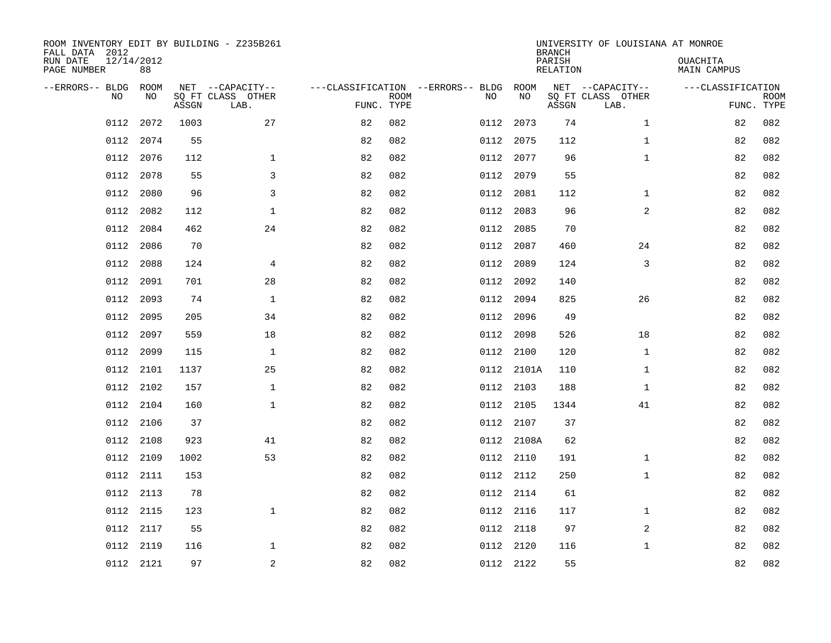| ROOM INVENTORY EDIT BY BUILDING - Z235B261<br>FALL DATA 2012<br>RUN DATE<br>PAGE NUMBER | 12/14/2012<br>88 |       |                                               |                                                      |             |      |            | <b>BRANCH</b><br>PARISH<br><b>RELATION</b> | UNIVERSITY OF LOUISIANA AT MONROE             | OUACHITA<br><b>MAIN CAMPUS</b>  |             |
|-----------------------------------------------------------------------------------------|------------------|-------|-----------------------------------------------|------------------------------------------------------|-------------|------|------------|--------------------------------------------|-----------------------------------------------|---------------------------------|-------------|
| --ERRORS-- BLDG<br>NO                                                                   | ROOM<br>NO       | ASSGN | NET --CAPACITY--<br>SQ FT CLASS OTHER<br>LAB. | ---CLASSIFICATION --ERRORS-- BLDG ROOM<br>FUNC. TYPE | <b>ROOM</b> | NO   | NO         | ASSGN                                      | NET --CAPACITY--<br>SQ FT CLASS OTHER<br>LAB. | ---CLASSIFICATION<br>FUNC. TYPE | <b>ROOM</b> |
| 0112                                                                                    | 2072             | 1003  | 27                                            | 82                                                   | 082         |      | 0112 2073  | 74                                         | $\mathbf{1}$                                  | 82                              | 082         |
|                                                                                         | 0112 2074        | 55    |                                               | 82                                                   | 082         |      | 0112 2075  | 112                                        | $\mathbf{1}$                                  | 82                              | 082         |
| 0112                                                                                    | 2076             | 112   | $\mathbf 1$                                   | 82                                                   | 082         |      | 0112 2077  | 96                                         | $\mathbf{1}$                                  | 82                              | 082         |
| 0112                                                                                    | 2078             | 55    | 3                                             | 82                                                   | 082         |      | 0112 2079  | 55                                         |                                               | 82                              | 082         |
| 0112                                                                                    | 2080             | 96    | $\overline{3}$                                | 82                                                   | 082         |      | 0112 2081  | 112                                        | $\mathbf{1}$                                  | 82                              | 082         |
| 0112                                                                                    | 2082             | 112   | $\mathbf{1}$                                  | 82                                                   | 082         |      | 0112 2083  | 96                                         | 2                                             | 82                              | 082         |
| 0112                                                                                    | 2084             | 462   | 24                                            | 82                                                   | 082         | 0112 | 2085       | 70                                         |                                               | 82                              | 082         |
| 0112                                                                                    | 2086             | 70    |                                               | 82                                                   | 082         |      | 0112 2087  | 460                                        | 24                                            | 82                              | 082         |
| 0112                                                                                    | 2088             | 124   | 4                                             | 82                                                   | 082         | 0112 | 2089       | 124                                        | 3                                             | 82                              | 082         |
| 0112                                                                                    | 2091             | 701   | 28                                            | 82                                                   | 082         |      | 0112 2092  | 140                                        |                                               | 82                              | 082         |
| 0112                                                                                    | 2093             | 74    | $\mathbf{1}$                                  | 82                                                   | 082         | 0112 | 2094       | 825                                        | 26                                            | 82                              | 082         |
| 0112                                                                                    | 2095             | 205   | 34                                            | 82                                                   | 082         |      | 0112 2096  | 49                                         |                                               | 82                              | 082         |
| 0112                                                                                    | 2097             | 559   | 18                                            | 82                                                   | 082         | 0112 | 2098       | 526                                        | 18                                            | 82                              | 082         |
| 0112                                                                                    | 2099             | 115   | $\mathbf 1$                                   | 82                                                   | 082         |      | 0112 2100  | 120                                        | $\mathbf{1}$                                  | 82                              | 082         |
| 0112                                                                                    | 2101             | 1137  | 25                                            | 82                                                   | 082         |      | 0112 2101A | 110                                        | $\mathbf{1}$                                  | 82                              | 082         |
| 0112                                                                                    | 2102             | 157   | $\mathbf{1}$                                  | 82                                                   | 082         |      | 0112 2103  | 188                                        | $\mathbf{1}$                                  | 82                              | 082         |
| 0112                                                                                    | 2104             | 160   | $\mathbf{1}$                                  | 82                                                   | 082         |      | 0112 2105  | 1344                                       | 41                                            | 82                              | 082         |
| 0112                                                                                    | 2106             | 37    |                                               | 82                                                   | 082         |      | 0112 2107  | 37                                         |                                               | 82                              | 082         |
| 0112                                                                                    | 2108             | 923   | 41                                            | 82                                                   | 082         |      | 0112 2108A | 62                                         |                                               | 82                              | 082         |
| 0112                                                                                    | 2109             | 1002  | 53                                            | 82                                                   | 082         |      | 0112 2110  | 191                                        | $\mathbf{1}$                                  | 82                              | 082         |
| 0112                                                                                    | 2111             | 153   |                                               | 82                                                   | 082         |      | 0112 2112  | 250                                        | $\mathbf{1}$                                  | 82                              | 082         |
| 0112                                                                                    | 2113             | 78    |                                               | 82                                                   | 082         |      | 0112 2114  | 61                                         |                                               | 82                              | 082         |
|                                                                                         | 0112 2115        | 123   | $\mathbf{1}$                                  | 82                                                   | 082         |      | 0112 2116  | 117                                        | $\mathbf{1}$                                  | 82                              | 082         |
| 0112                                                                                    | 2117             | 55    |                                               | 82                                                   | 082         |      | 0112 2118  | 97                                         | $\overline{a}$                                | 82                              | 082         |
| 0112                                                                                    | 2119             | 116   | 1                                             | 82                                                   | 082         |      | 0112 2120  | 116                                        | $\mathbf{1}$                                  | 82                              | 082         |
|                                                                                         | 0112 2121        | 97    | $\sqrt{2}$                                    | 82                                                   | 082         |      | 0112 2122  | 55                                         |                                               | 82                              | 082         |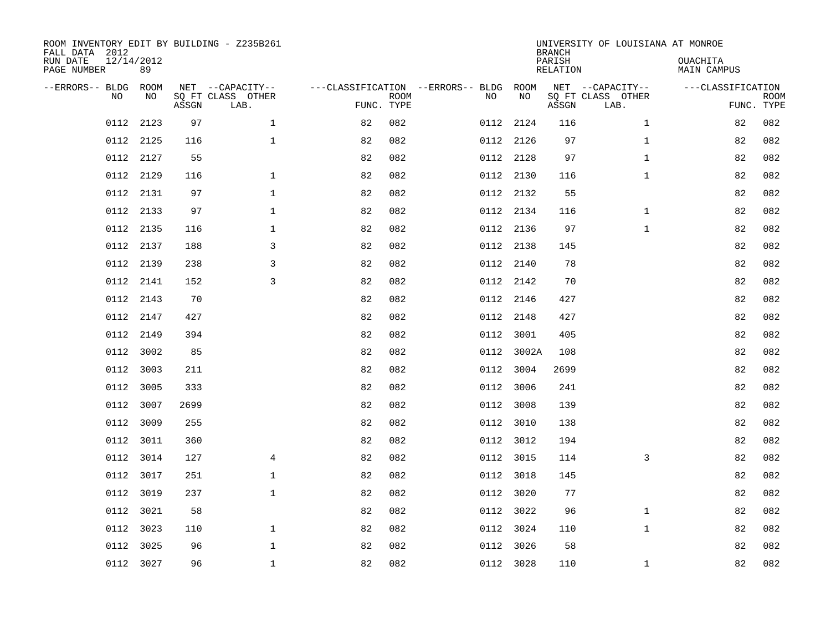| ROOM INVENTORY EDIT BY BUILDING - Z235B261<br>FALL DATA 2012<br>RUN DATE<br>PAGE NUMBER | 12/14/2012<br>89 |       |                                               |                                                      |             |           |            | <b>BRANCH</b><br>PARISH<br><b>RELATION</b> | UNIVERSITY OF LOUISIANA AT MONROE             | OUACHITA<br><b>MAIN CAMPUS</b>  |             |
|-----------------------------------------------------------------------------------------|------------------|-------|-----------------------------------------------|------------------------------------------------------|-------------|-----------|------------|--------------------------------------------|-----------------------------------------------|---------------------------------|-------------|
| --ERRORS-- BLDG ROOM<br>NO                                                              | NO               | ASSGN | NET --CAPACITY--<br>SQ FT CLASS OTHER<br>LAB. | ---CLASSIFICATION --ERRORS-- BLDG ROOM<br>FUNC. TYPE | <b>ROOM</b> | NO        | NO         | ASSGN                                      | NET --CAPACITY--<br>SQ FT CLASS OTHER<br>LAB. | ---CLASSIFICATION<br>FUNC. TYPE | <b>ROOM</b> |
| 0112                                                                                    | 2123             | 97    | $\mathbf 1$                                   | 82                                                   | 082         | 0112 2124 |            | 116                                        | $\mathbf{1}$                                  | 82                              | 082         |
|                                                                                         | 0112 2125        | 116   | $\mathbf{1}$                                  | 82                                                   | 082         | 0112 2126 |            | 97                                         | $\mathbf{1}$                                  | 82                              | 082         |
| 0112                                                                                    | 2127             | 55    |                                               | 82                                                   | 082         | 0112 2128 |            | 97                                         | $\mathbf{1}$                                  | 82                              | 082         |
| 0112                                                                                    | 2129             | 116   | $\mathbf 1$                                   | 82                                                   | 082         | 0112 2130 |            | 116                                        | $\mathbf{1}$                                  | 82                              | 082         |
| 0112                                                                                    | 2131             | 97    | $\mathbf{1}$                                  | 82                                                   | 082         | 0112 2132 |            | 55                                         |                                               | 82                              | 082         |
|                                                                                         | 0112 2133        | 97    | $\mathbf{1}$                                  | 82                                                   | 082         | 0112 2134 |            | 116                                        | $\mathbf{1}$                                  | 82                              | 082         |
| 0112                                                                                    | 2135             | 116   | $\mathbf{1}$                                  | 82                                                   | 082         | 0112 2136 |            | 97                                         | $\mathbf{1}$                                  | 82                              | 082         |
|                                                                                         | 0112 2137        | 188   | 3                                             | 82                                                   | 082         | 0112 2138 |            | 145                                        |                                               | 82                              | 082         |
| 0112                                                                                    | 2139             | 238   | 3                                             | 82                                                   | 082         | 0112 2140 |            | 78                                         |                                               | 82                              | 082         |
|                                                                                         | 0112 2141        | 152   | 3                                             | 82                                                   | 082         | 0112 2142 |            | 70                                         |                                               | 82                              | 082         |
| 0112                                                                                    | 2143             | 70    |                                               | 82                                                   | 082         | 0112 2146 |            | 427                                        |                                               | 82                              | 082         |
|                                                                                         | 0112 2147        | 427   |                                               | 82                                                   | 082         | 0112 2148 |            | 427                                        |                                               | 82                              | 082         |
| 0112                                                                                    | 2149             | 394   |                                               | 82                                                   | 082         | 0112 3001 |            | 405                                        |                                               | 82                              | 082         |
| 0112                                                                                    | 3002             | 85    |                                               | 82                                                   | 082         |           | 0112 3002A | 108                                        |                                               | 82                              | 082         |
| 0112                                                                                    | 3003             | 211   |                                               | 82                                                   | 082         | 0112 3004 |            | 2699                                       |                                               | 82                              | 082         |
| 0112                                                                                    | 3005             | 333   |                                               | 82                                                   | 082         | 0112 3006 |            | 241                                        |                                               | 82                              | 082         |
| 0112                                                                                    | 3007             | 2699  |                                               | 82                                                   | 082         | 0112 3008 |            | 139                                        |                                               | 82                              | 082         |
| 0112                                                                                    | 3009             | 255   |                                               | 82                                                   | 082         | 0112 3010 |            | 138                                        |                                               | 82                              | 082         |
|                                                                                         | 0112 3011        | 360   |                                               | 82                                                   | 082         | 0112 3012 |            | 194                                        |                                               | 82                              | 082         |
|                                                                                         | 0112 3014        | 127   | 4                                             | 82                                                   | 082         | 0112 3015 |            | 114                                        | 3                                             | 82                              | 082         |
|                                                                                         | 0112 3017        | 251   | $\mathbf 1$                                   | 82                                                   | 082         | 0112 3018 |            | 145                                        |                                               | 82                              | 082         |
| 0112                                                                                    | 3019             | 237   | $\mathbf{1}$                                  | 82                                                   | 082         | 0112 3020 |            | 77                                         |                                               | 82                              | 082         |
|                                                                                         | 0112 3021        | 58    |                                               | 82                                                   | 082         | 0112 3022 |            | 96                                         | $\mathbf{1}$                                  | 82                              | 082         |
| 0112                                                                                    | 3023             | 110   | $\mathbf{1}$                                  | 82                                                   | 082         | 0112 3024 |            | 110                                        | $\mathbf{1}$                                  | 82                              | 082         |
| 0112                                                                                    | 3025             | 96    | $\mathbf 1$                                   | 82                                                   | 082         | 0112 3026 |            | 58                                         |                                               | 82                              | 082         |
|                                                                                         | 0112 3027        | 96    | $\mathbf{1}$                                  | 82                                                   | 082         | 0112 3028 |            | 110                                        | $\mathbf{1}$                                  | 82                              | 082         |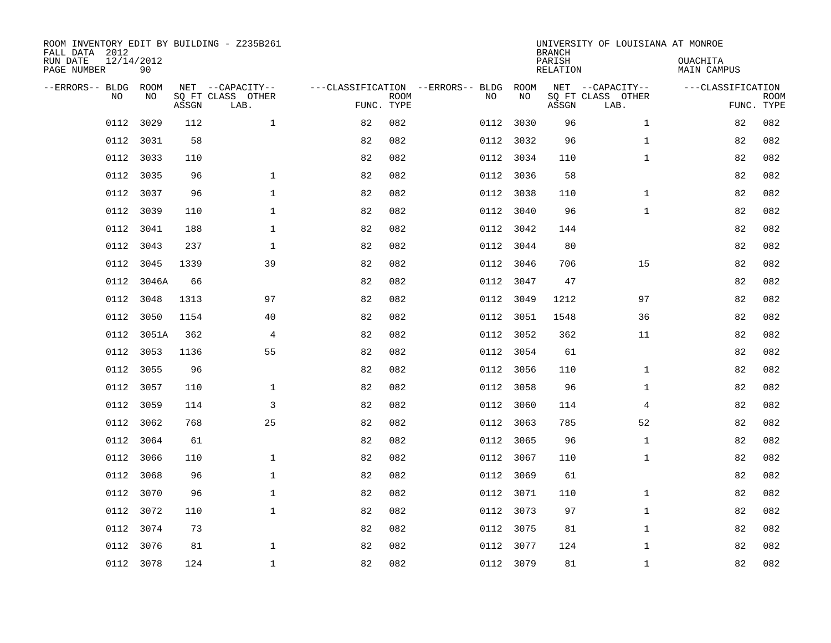| ROOM INVENTORY EDIT BY BUILDING - Z235B261<br>FALL DATA 2012<br>RUN DATE<br>PAGE NUMBER | 12/14/2012<br>90 |       |                                               |                                                 |             |      |            | <b>BRANCH</b><br>PARISH<br><b>RELATION</b> | UNIVERSITY OF LOUISIANA AT MONROE             | OUACHITA<br><b>MAIN CAMPUS</b>  |             |
|-----------------------------------------------------------------------------------------|------------------|-------|-----------------------------------------------|-------------------------------------------------|-------------|------|------------|--------------------------------------------|-----------------------------------------------|---------------------------------|-------------|
| --ERRORS-- BLDG<br>NO                                                                   | ROOM<br>NO       | ASSGN | NET --CAPACITY--<br>SQ FT CLASS OTHER<br>LAB. | ---CLASSIFICATION --ERRORS-- BLDG<br>FUNC. TYPE | <b>ROOM</b> | NO   | ROOM<br>NO | ASSGN                                      | NET --CAPACITY--<br>SQ FT CLASS OTHER<br>LAB. | ---CLASSIFICATION<br>FUNC. TYPE | <b>ROOM</b> |
| 0112                                                                                    | 3029             | 112   | $\mathbf 1$                                   | 82                                              | 082         |      | 0112 3030  | 96                                         | $\mathbf{1}$                                  | 82                              | 082         |
|                                                                                         | 0112 3031        | 58    |                                               | 82                                              | 082         |      | 0112 3032  | 96                                         | $\mathbf{1}$                                  | 82                              | 082         |
| 0112                                                                                    | 3033             | 110   |                                               | 82                                              | 082         |      | 0112 3034  | 110                                        | $\mathbf{1}$                                  | 82                              | 082         |
| 0112                                                                                    | 3035             | 96    | $\mathbf 1$                                   | 82                                              | 082         |      | 0112 3036  | 58                                         |                                               | 82                              | 082         |
| 0112                                                                                    | 3037             | 96    | $\mathbf{1}$                                  | 82                                              | 082         |      | 0112 3038  | 110                                        | $\mathbf{1}$                                  | 82                              | 082         |
| 0112                                                                                    | 3039             | 110   | $\mathbf{1}$                                  | 82                                              | 082         |      | 0112 3040  | 96                                         | $\mathbf{1}$                                  | 82                              | 082         |
| 0112                                                                                    | 3041             | 188   | $\mathbf{1}$                                  | 82                                              | 082         |      | 0112 3042  | 144                                        |                                               | 82                              | 082         |
| 0112                                                                                    | 3043             | 237   | $\mathbf{1}$                                  | 82                                              | 082         |      | 0112 3044  | 80                                         |                                               | 82                              | 082         |
| 0112                                                                                    | 3045             | 1339  | 39                                            | 82                                              | 082         | 0112 | 3046       | 706                                        | 15                                            | 82                              | 082         |
| 0112                                                                                    | 3046A            | 66    |                                               | 82                                              | 082         |      | 0112 3047  | 47                                         |                                               | 82                              | 082         |
| 0112                                                                                    | 3048             | 1313  | 97                                            | 82                                              | 082         | 0112 | 3049       | 1212                                       | 97                                            | 82                              | 082         |
| 0112                                                                                    | 3050             | 1154  | 40                                            | 82                                              | 082         |      | 0112 3051  | 1548                                       | 36                                            | 82                              | 082         |
| 0112                                                                                    | 3051A            | 362   | 4                                             | 82                                              | 082         | 0112 | 3052       | 362                                        | 11                                            | 82                              | 082         |
| 0112                                                                                    | 3053             | 1136  | 55                                            | 82                                              | 082         |      | 0112 3054  | 61                                         |                                               | 82                              | 082         |
| 0112                                                                                    | 3055             | 96    |                                               | 82                                              | 082         |      | 0112 3056  | 110                                        | $\mathbf{1}$                                  | 82                              | 082         |
| 0112                                                                                    | 3057             | 110   | $\mathbf 1$                                   | 82                                              | 082         |      | 0112 3058  | 96                                         | $\mathbf{1}$                                  | 82                              | 082         |
| 0112                                                                                    | 3059             | 114   | 3                                             | 82                                              | 082         |      | 0112 3060  | 114                                        | 4                                             | 82                              | 082         |
| 0112                                                                                    | 3062             | 768   | 25                                            | 82                                              | 082         |      | 0112 3063  | 785                                        | 52                                            | 82                              | 082         |
| 0112                                                                                    | 3064             | 61    |                                               | 82                                              | 082         |      | 0112 3065  | 96                                         | $\mathbf{1}$                                  | 82                              | 082         |
| 0112                                                                                    | 3066             | 110   | $\mathbf 1$                                   | 82                                              | 082         |      | 0112 3067  | 110                                        | $\mathbf{1}$                                  | 82                              | 082         |
| 0112                                                                                    | 3068             | 96    | $\mathbf 1$                                   | 82                                              | 082         |      | 0112 3069  | 61                                         |                                               | 82                              | 082         |
| 0112                                                                                    | 3070             | 96    | $\mathbf 1$                                   | 82                                              | 082         |      | 0112 3071  | 110                                        | $\mathbf{1}$                                  | 82                              | 082         |
|                                                                                         | 0112 3072        | 110   | $\mathbf{1}$                                  | 82                                              | 082         |      | 0112 3073  | 97                                         | $\mathbf{1}$                                  | 82                              | 082         |
| 0112                                                                                    | 3074             | 73    |                                               | 82                                              | 082         |      | 0112 3075  | 81                                         | $\mathbf{1}$                                  | 82                              | 082         |
| 0112                                                                                    | 3076             | 81    | $\mathbf 1$                                   | 82                                              | 082         |      | 0112 3077  | 124                                        | $\mathbf{1}$                                  | 82                              | 082         |
|                                                                                         | 0112 3078        | 124   | $\mathbf{1}$                                  | 82                                              | 082         |      | 0112 3079  | 81                                         | $\mathbf{1}$                                  | 82                              | 082         |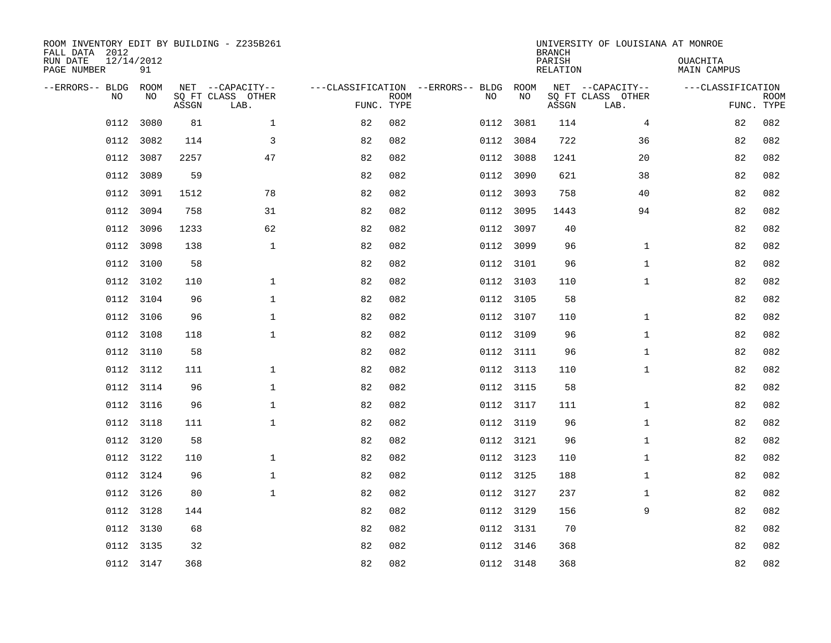| ROOM INVENTORY EDIT BY BUILDING - Z235B261<br>FALL DATA 2012<br>RUN DATE<br>PAGE NUMBER | 12/14/2012<br>91 |       |                                               |            |             |                                              |           | <b>BRANCH</b><br>PARISH<br><b>RELATION</b> | UNIVERSITY OF LOUISIANA AT MONROE             | OUACHITA<br><b>MAIN CAMPUS</b>  |             |
|-----------------------------------------------------------------------------------------|------------------|-------|-----------------------------------------------|------------|-------------|----------------------------------------------|-----------|--------------------------------------------|-----------------------------------------------|---------------------------------|-------------|
| --ERRORS-- BLDG<br>NO                                                                   | ROOM<br>NO       | ASSGN | NET --CAPACITY--<br>SQ FT CLASS OTHER<br>LAB. | FUNC. TYPE | <b>ROOM</b> | ---CLASSIFICATION --ERRORS-- BLDG ROOM<br>NO | NO        | ASSGN                                      | NET --CAPACITY--<br>SQ FT CLASS OTHER<br>LAB. | ---CLASSIFICATION<br>FUNC. TYPE | <b>ROOM</b> |
| 0112                                                                                    | 3080             | 81    | $\mathbf 1$                                   | 82         | 082         |                                              | 0112 3081 | 114                                        | $\overline{4}$                                | 82                              | 082         |
| 0112                                                                                    | 3082             | 114   | 3                                             | 82         | 082         |                                              | 0112 3084 | 722                                        | 36                                            | 82                              | 082         |
| 0112                                                                                    | 3087             | 2257  | 47                                            | 82         | 082         |                                              | 0112 3088 | 1241                                       | 20                                            | 82                              | 082         |
| 0112                                                                                    | 3089             | 59    |                                               | 82         | 082         |                                              | 0112 3090 | 621                                        | 38                                            | 82                              | 082         |
| 0112                                                                                    | 3091             | 1512  | 78                                            | 82         | 082         |                                              | 0112 3093 | 758                                        | 40                                            | 82                              | 082         |
| 0112                                                                                    | 3094             | 758   | 31                                            | 82         | 082         |                                              | 0112 3095 | 1443                                       | 94                                            | 82                              | 082         |
| 0112                                                                                    | 3096             | 1233  | 62                                            | 82         | 082         |                                              | 0112 3097 | 40                                         |                                               | 82                              | 082         |
|                                                                                         | 0112 3098        | 138   | $\mathbf{1}$                                  | 82         | 082         |                                              | 0112 3099 | 96                                         | $\mathbf{1}$                                  | 82                              | 082         |
| 0112                                                                                    | 3100             | 58    |                                               | 82         | 082         |                                              | 0112 3101 | 96                                         | $\mathbf{1}$                                  | 82                              | 082         |
| 0112                                                                                    | 3102             | 110   | $\mathbf{1}$                                  | 82         | 082         |                                              | 0112 3103 | 110                                        | $\mathbf{1}$                                  | 82                              | 082         |
| 0112                                                                                    | 3104             | 96    | $\mathbf{1}$                                  | 82         | 082         |                                              | 0112 3105 | 58                                         |                                               | 82                              | 082         |
| 0112                                                                                    | 3106             | 96    | $\mathbf 1$                                   | 82         | 082         |                                              | 0112 3107 | 110                                        | $\mathbf{1}$                                  | 82                              | 082         |
| 0112                                                                                    | 3108             | 118   | $\mathbf{1}$                                  | 82         | 082         |                                              | 0112 3109 | 96                                         | $\mathbf{1}$                                  | 82                              | 082         |
| 0112                                                                                    | 3110             | 58    |                                               | 82         | 082         |                                              | 0112 3111 | 96                                         | $\mathbf{1}$                                  | 82                              | 082         |
| 0112                                                                                    | 3112             | 111   | $\mathbf 1$                                   | 82         | 082         |                                              | 0112 3113 | 110                                        | $\mathbf{1}$                                  | 82                              | 082         |
| 0112                                                                                    | 3114             | 96    | $\mathbf{1}$                                  | 82         | 082         |                                              | 0112 3115 | 58                                         |                                               | 82                              | 082         |
| 0112                                                                                    | 3116             | 96    | $\mathbf{1}$                                  | 82         | 082         |                                              | 0112 3117 | 111                                        | $\mathbf{1}$                                  | 82                              | 082         |
| 0112                                                                                    | 3118             | 111   | $\mathbf 1$                                   | 82         | 082         |                                              | 0112 3119 | 96                                         | $\mathbf{1}$                                  | 82                              | 082         |
|                                                                                         | 0112 3120        | 58    |                                               | 82         | 082         |                                              | 0112 3121 | 96                                         | $\mathbf{1}$                                  | 82                              | 082         |
|                                                                                         | 0112 3122        | 110   | $\mathbf 1$                                   | 82         | 082         |                                              | 0112 3123 | 110                                        | $\mathbf{1}$                                  | 82                              | 082         |
|                                                                                         | 0112 3124        | 96    | $\mathbf{1}$                                  | 82         | 082         |                                              | 0112 3125 | 188                                        | $\mathbf{1}$                                  | 82                              | 082         |
|                                                                                         | 0112 3126        | 80    | $\mathbf{1}$                                  | 82         | 082         |                                              | 0112 3127 | 237                                        | $\mathbf{1}$                                  | 82                              | 082         |
|                                                                                         | 0112 3128        | 144   |                                               | 82         | 082         |                                              | 0112 3129 | 156                                        | 9                                             | 82                              | 082         |
| 0112                                                                                    | 3130             | 68    |                                               | 82         | 082         |                                              | 0112 3131 | 70                                         |                                               | 82                              | 082         |
|                                                                                         | 0112 3135        | 32    |                                               | 82         | 082         |                                              | 0112 3146 | 368                                        |                                               | 82                              | 082         |
|                                                                                         | 0112 3147        | 368   |                                               | 82         | 082         |                                              | 0112 3148 | 368                                        |                                               | 82                              | 082         |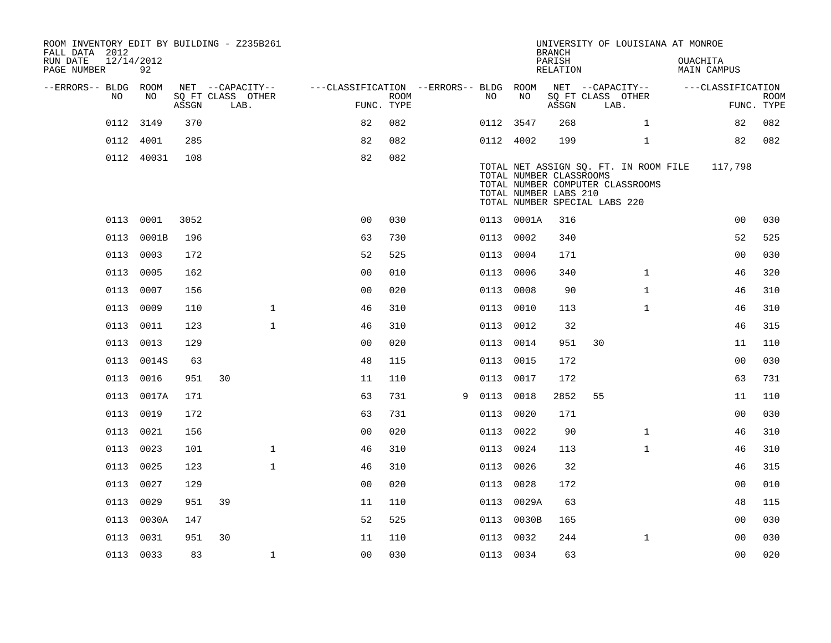| ROOM INVENTORY EDIT BY BUILDING - Z235B261<br>FALL DATA 2012 |            |            |       |    |                           |                                        |                           |   |           |            | <b>BRANCH</b>                                                                     |    | UNIVERSITY OF LOUISIANA AT MONROE                                         |          |                   |                           |
|--------------------------------------------------------------|------------|------------|-------|----|---------------------------|----------------------------------------|---------------------------|---|-----------|------------|-----------------------------------------------------------------------------------|----|---------------------------------------------------------------------------|----------|-------------------|---------------------------|
| RUN DATE<br>PAGE NUMBER                                      | 12/14/2012 | 92         |       |    |                           |                                        |                           |   |           |            | PARISH<br>RELATION                                                                |    |                                                                           | OUACHITA | MAIN CAMPUS       |                           |
| --ERRORS-- BLDG ROOM                                         |            |            |       |    | NET --CAPACITY--          | ---CLASSIFICATION --ERRORS-- BLDG ROOM |                           |   |           |            |                                                                                   |    | NET --CAPACITY--                                                          |          | ---CLASSIFICATION |                           |
| NO                                                           |            | NO         | ASSGN |    | SQ FT CLASS OTHER<br>LAB. |                                        | <b>ROOM</b><br>FUNC. TYPE |   | NO        | NO         | ASSGN                                                                             |    | SQ FT CLASS OTHER<br>LAB.                                                 |          |                   | <b>ROOM</b><br>FUNC. TYPE |
|                                                              | 0112       | 3149       | 370   |    |                           | 82                                     | 082                       |   |           | 0112 3547  | 268                                                                               |    | $\mathbf{1}$                                                              |          | 82                | 082                       |
|                                                              | 0112 4001  |            | 285   |    |                           | 82                                     | 082                       |   |           | 0112 4002  | 199                                                                               |    | $\mathbf{1}$                                                              |          | 82                | 082                       |
|                                                              |            | 0112 40031 | 108   |    |                           | 82                                     | 082                       |   |           |            | TOTAL NUMBER CLASSROOMS<br>TOTAL NUMBER LABS 210<br>TOTAL NUMBER SPECIAL LABS 220 |    | TOTAL NET ASSIGN SQ. FT. IN ROOM FILE<br>TOTAL NUMBER COMPUTER CLASSROOMS |          | 117,798           |                           |
|                                                              | 0113 0001  |            | 3052  |    |                           | 0 <sub>0</sub>                         | 030                       |   |           | 0113 0001A | 316                                                                               |    |                                                                           |          | 0 <sub>0</sub>    | 030                       |
|                                                              | 0113       | 0001B      | 196   |    |                           | 63                                     | 730                       |   | 0113      | 0002       | 340                                                                               |    |                                                                           |          | 52                | 525                       |
|                                                              | 0113 0003  |            | 172   |    |                           | 52                                     | 525                       |   | 0113 0004 |            | 171                                                                               |    |                                                                           |          | 00                | 030                       |
|                                                              | 0113       | 0005       | 162   |    |                           | 0 <sub>0</sub>                         | 010                       |   | 0113      | 0006       | 340                                                                               |    | $\mathbf{1}$                                                              |          | 46                | 320                       |
|                                                              | 0113       | 0007       | 156   |    |                           | 0 <sub>0</sub>                         | 020                       |   |           | 0113 0008  | 90                                                                                |    | $\mathbf{1}$                                                              |          | 46                | 310                       |
|                                                              | 0113       | 0009       | 110   |    | $\mathbf{1}$              | 46                                     | 310                       |   | 0113      | 0010       | 113                                                                               |    | $\mathbf{1}$                                                              |          | 46                | 310                       |
|                                                              | 0113 0011  |            | 123   |    | $\mathbf{1}$              | 46                                     | 310                       |   |           | 0113 0012  | 32                                                                                |    |                                                                           |          | 46                | 315                       |
|                                                              | 0113       | 0013       | 129   |    |                           | 0 <sub>0</sub>                         | 020                       |   | 0113      | 0014       | 951                                                                               | 30 |                                                                           |          | 11                | 110                       |
|                                                              |            | 0113 0014S | 63    |    |                           | 48                                     | 115                       |   | 0113 0015 |            | 172                                                                               |    |                                                                           |          | 0 <sub>0</sub>    | 030                       |
|                                                              | 0113       | 0016       | 951   | 30 |                           | 11                                     | 110                       |   | 0113 0017 |            | 172                                                                               |    |                                                                           |          | 63                | 731                       |
|                                                              |            | 0113 0017A | 171   |    |                           | 63                                     | 731                       | 9 | 0113 0018 |            | 2852                                                                              | 55 |                                                                           |          | 11                | 110                       |
|                                                              | 0113       | 0019       | 172   |    |                           | 63                                     | 731                       |   | 0113 0020 |            | 171                                                                               |    |                                                                           |          | 0 <sub>0</sub>    | 030                       |
|                                                              | 0113 0021  |            | 156   |    |                           | 0 <sub>0</sub>                         | 020                       |   |           | 0113 0022  | 90                                                                                |    | $\mathbf{1}$                                                              |          | 46                | 310                       |
|                                                              | 0113       | 0023       | 101   |    | $\mathbf{1}$              | 46                                     | 310                       |   |           | 0113 0024  | 113                                                                               |    | $\mathbf{1}$                                                              |          | 46                | 310                       |
|                                                              | 0113 0025  |            | 123   |    | $\mathbf 1$               | 46                                     | 310                       |   |           | 0113 0026  | 32                                                                                |    |                                                                           |          | 46                | 315                       |
|                                                              | 0113       | 0027       | 129   |    |                           | 0 <sub>0</sub>                         | 020                       |   |           | 0113 0028  | 172                                                                               |    |                                                                           |          | 0 <sub>0</sub>    | 010                       |
|                                                              | 0113       | 0029       | 951   | 39 |                           | 11                                     | 110                       |   |           | 0113 0029A | 63                                                                                |    |                                                                           |          | 48                | 115                       |
|                                                              |            | 0113 0030A | 147   |    |                           | 52                                     | 525                       |   |           | 0113 0030B | 165                                                                               |    |                                                                           |          | 00                | 030                       |
|                                                              | 0113 0031  |            | 951   | 30 |                           | 11                                     | 110                       |   | 0113      | 0032       | 244                                                                               |    | $\mathbf{1}$                                                              |          | 0 <sub>0</sub>    | 030                       |
|                                                              | 0113 0033  |            | 83    |    | $\mathbf 1$               | 0 <sub>0</sub>                         | 030                       |   |           | 0113 0034  | 63                                                                                |    |                                                                           |          | 0 <sub>0</sub>    | 020                       |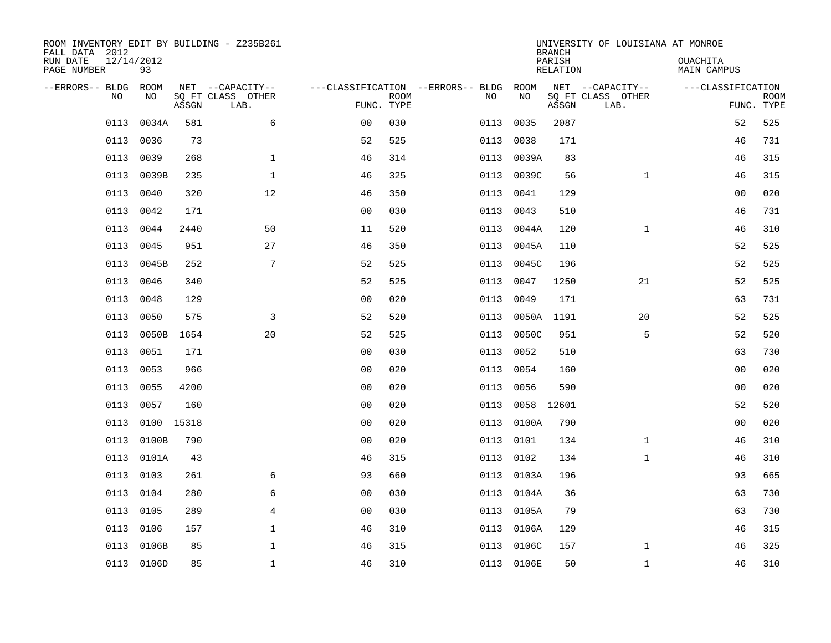| ROOM INVENTORY EDIT BY BUILDING - Z235B261<br>FALL DATA 2012 |                  |       |                           |                |             |                                               |            | <b>BRANCH</b>      | UNIVERSITY OF LOUISIANA AT MONROE |                         |                           |
|--------------------------------------------------------------|------------------|-------|---------------------------|----------------|-------------|-----------------------------------------------|------------|--------------------|-----------------------------------|-------------------------|---------------------------|
| RUN DATE<br>PAGE NUMBER                                      | 12/14/2012<br>93 |       |                           |                |             |                                               |            | PARISH<br>RELATION |                                   | OUACHITA<br>MAIN CAMPUS |                           |
| --ERRORS-- BLDG<br>N <sub>O</sub>                            | ROOM<br>NO.      |       | NET --CAPACITY--          |                |             | ---CLASSIFICATION --ERRORS-- BLDG ROOM<br>NO. | NO         |                    | NET --CAPACITY--                  | ---CLASSIFICATION       |                           |
|                                                              |                  | ASSGN | SO FT CLASS OTHER<br>LAB. | FUNC. TYPE     | <b>ROOM</b> |                                               |            | ASSGN              | SQ FT CLASS OTHER<br>LAB.         |                         | <b>ROOM</b><br>FUNC. TYPE |
| 0113                                                         | 0034A            | 581   | 6                         | 0 <sub>0</sub> | 030         | 0113                                          | 0035       | 2087               |                                   | 52                      | 525                       |
| 0113                                                         | 0036             | 73    |                           | 52             | 525         | 0113                                          | 0038       | 171                |                                   | 46                      | 731                       |
| 0113                                                         | 0039             | 268   | $\mathbf{1}$              | 46             | 314         | 0113                                          | 0039A      | 83                 |                                   | 46                      | 315                       |
| 0113                                                         | 0039B            | 235   | $\mathbf{1}$              | 46             | 325         | 0113                                          | 0039C      | 56                 | $\mathbf{1}$                      | 46                      | 315                       |
| 0113                                                         | 0040             | 320   | 12                        | 46             | 350         | 0113                                          | 0041       | 129                |                                   | 00                      | 020                       |
| 0113                                                         | 0042             | 171   |                           | 0 <sub>0</sub> | 030         | 0113                                          | 0043       | 510                |                                   | 46                      | 731                       |
| 0113                                                         | 0044             | 2440  | 50                        | 11             | 520         | 0113                                          | 0044A      | 120                | $\mathbf{1}$                      | 46                      | 310                       |
| 0113                                                         | 0045             | 951   | 27                        | 46             | 350         | 0113                                          | 0045A      | 110                |                                   | 52                      | 525                       |
| 0113                                                         | 0045B            | 252   | 7                         | 52             | 525         | 0113                                          | 0045C      | 196                |                                   | 52                      | 525                       |
| 0113                                                         | 0046             | 340   |                           | 52             | 525         | 0113                                          | 0047       | 1250               | 21                                | 52                      | 525                       |
| 0113                                                         | 0048             | 129   |                           | 0 <sub>0</sub> | 020         | 0113                                          | 0049       | 171                |                                   | 63                      | 731                       |
| 0113                                                         | 0050             | 575   | 3                         | 52             | 520         | 0113                                          | 0050A      | 1191               | 20                                | 52                      | 525                       |
| 0113                                                         | 0050B            | 1654  | 20                        | 52             | 525         | 0113                                          | 0050C      | 951                | 5                                 | 52                      | 520                       |
| 0113                                                         | 0051             | 171   |                           | 0 <sub>0</sub> | 030         | 0113                                          | 0052       | 510                |                                   | 63                      | 730                       |
| 0113                                                         | 0053             | 966   |                           | 00             | 020         | 0113                                          | 0054       | 160                |                                   | 00                      | 020                       |
| 0113                                                         | 0055             | 4200  |                           | 0 <sub>0</sub> | 020         | 0113                                          | 0056       | 590                |                                   | 00                      | 020                       |
| 0113                                                         | 0057             | 160   |                           | 0 <sub>0</sub> | 020         | 0113                                          | 0058       | 12601              |                                   | 52                      | 520                       |
| 0113                                                         | 0100             | 15318 |                           | 0 <sub>0</sub> | 020         | 0113                                          | 0100A      | 790                |                                   | 00                      | 020                       |
| 0113                                                         | 0100B            | 790   |                           | 0 <sub>0</sub> | 020         | 0113                                          | 0101       | 134                | $\mathbf{1}$                      | 46                      | 310                       |
|                                                              | 0113 0101A       | 43    |                           | 46             | 315         |                                               | 0113 0102  | 134                | $\mathbf{1}$                      | 46                      | 310                       |
| 0113                                                         | 0103             | 261   | 6                         | 93             | 660         | 0113                                          | 0103A      | 196                |                                   | 93                      | 665                       |
| 0113                                                         | 0104             | 280   | 6                         | 0 <sub>0</sub> | 030         | 0113                                          | 0104A      | 36                 |                                   | 63                      | 730                       |
| 0113                                                         | 0105             | 289   | $\overline{4}$            | 0 <sub>0</sub> | 030         | 0113                                          | 0105A      | 79                 |                                   | 63                      | 730                       |
| 0113                                                         | 0106             | 157   | $\mathbf 1$               | 46             | 310         | 0113                                          | 0106A      | 129                |                                   | 46                      | 315                       |
| 0113                                                         | 0106B            | 85    | $\mathbf{1}$              | 46             | 315         | 0113                                          | 0106C      | 157                | $\mathbf{1}$                      | 46                      | 325                       |
|                                                              | 0113 0106D       | 85    | $\mathbf{1}$              | 46             | 310         |                                               | 0113 0106E | 50                 | $\mathbf{1}$                      | 46                      | 310                       |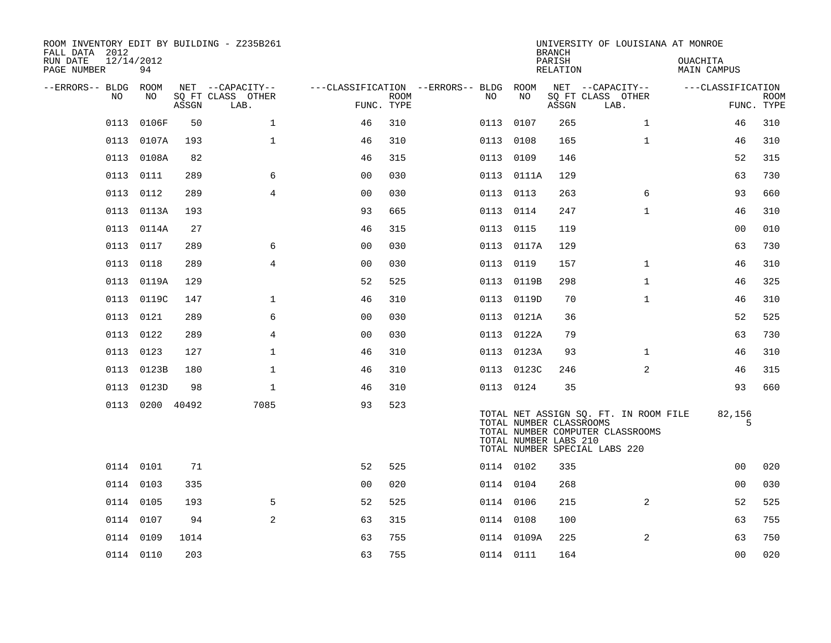| ROOM INVENTORY EDIT BY BUILDING - Z235B261<br>FALL DATA 2012<br>12/14/2012<br>RUN DATE |                 |       |                                       |                |             |                                               |                                                  | <b>BRANCH</b><br>PARISH | UNIVERSITY OF LOUISIANA AT MONROE                                                                          | OUACHITA          |             |
|----------------------------------------------------------------------------------------|-----------------|-------|---------------------------------------|----------------|-------------|-----------------------------------------------|--------------------------------------------------|-------------------------|------------------------------------------------------------------------------------------------------------|-------------------|-------------|
| PAGE NUMBER                                                                            | 94              |       |                                       |                |             |                                               |                                                  | RELATION                |                                                                                                            | MAIN CAMPUS       |             |
| --ERRORS-- BLDG ROOM<br>NO                                                             | NO              |       | NET --CAPACITY--<br>SQ FT CLASS OTHER |                | <b>ROOM</b> | ---CLASSIFICATION --ERRORS-- BLDG ROOM<br>NO. | NO                                               |                         | NET --CAPACITY--<br>SQ FT CLASS OTHER                                                                      | ---CLASSIFICATION | <b>ROOM</b> |
|                                                                                        |                 | ASSGN | LAB.                                  | FUNC. TYPE     |             |                                               |                                                  | ASSGN                   | LAB.                                                                                                       |                   | FUNC. TYPE  |
| 0113                                                                                   | 0106F           | 50    | $\mathbf 1$                           | 46             | 310         | 0113                                          | 0107                                             | 265                     | $\mathbf{1}$                                                                                               | 46                | 310         |
| 0113                                                                                   | 0107A           | 193   | $\mathbf{1}$                          | 46             | 310         | 0113                                          | 0108                                             | 165                     | $\mathbf{1}$                                                                                               | 46                | 310         |
|                                                                                        | 0113 0108A      | 82    |                                       | 46             | 315         |                                               | 0113 0109                                        | 146                     |                                                                                                            | 52                | 315         |
| 0113                                                                                   | 0111            | 289   | 6                                     | 0 <sub>0</sub> | 030         |                                               | 0113 0111A                                       | 129                     |                                                                                                            | 63                | 730         |
|                                                                                        | 0113 0112       | 289   | $\overline{4}$                        | 0 <sub>0</sub> | 030         |                                               | 0113 0113                                        | 263                     | 6                                                                                                          | 93                | 660         |
|                                                                                        | 0113 0113A      | 193   |                                       | 93             | 665         |                                               | 0113 0114                                        | 247                     | $\mathbf{1}$                                                                                               | 46                | 310         |
|                                                                                        | 0113 0114A      | 27    |                                       | 46             | 315         |                                               | 0113 0115                                        | 119                     |                                                                                                            | 0 <sub>0</sub>    | 010         |
| 0113                                                                                   | 0117            | 289   | 6                                     | 0 <sub>0</sub> | 030         |                                               | 0113 0117A                                       | 129                     |                                                                                                            | 63                | 730         |
|                                                                                        | 0113 0118       | 289   | $\overline{4}$                        | 0 <sub>0</sub> | 030         |                                               | 0113 0119                                        | 157                     | $\mathbf{1}$                                                                                               | 46                | 310         |
|                                                                                        | 0113 0119A      | 129   |                                       | 52             | 525         |                                               | 0113 0119B                                       | 298                     | $\mathbf{1}$                                                                                               | 46                | 325         |
|                                                                                        | 0113 0119C      | 147   | $\mathbf{1}$                          | 46             | 310         |                                               | 0113 0119D                                       | 70                      | $\mathbf{1}$                                                                                               | 46                | 310         |
| 0113                                                                                   | 0121            | 289   | 6                                     | 0 <sub>0</sub> | 030         |                                               | 0113 0121A                                       | 36                      |                                                                                                            | 52                | 525         |
|                                                                                        | 0113 0122       | 289   | 4                                     | 0 <sub>0</sub> | 030         |                                               | 0113 0122A                                       | 79                      |                                                                                                            | 63                | 730         |
|                                                                                        | 0113 0123       | 127   | $\mathbf{1}$                          | 46             | 310         |                                               | 0113 0123A                                       | 93                      | $\mathbf{1}$                                                                                               | 46                | 310         |
|                                                                                        | 0113 0123B      | 180   | $\mathbf{1}$                          | 46             | 310         |                                               | 0113 0123C                                       | 246                     | 2                                                                                                          | 46                | 315         |
| 0113                                                                                   | 0123D           | 98    | $\mathbf{1}$                          | 46             | 310         |                                               | 0113 0124                                        | 35                      |                                                                                                            | 93                | 660         |
|                                                                                        | 0113 0200 40492 |       | 7085                                  | 93             | 523         |                                               | TOTAL NUMBER CLASSROOMS<br>TOTAL NUMBER LABS 210 |                         | TOTAL NET ASSIGN SQ. FT. IN ROOM FILE<br>TOTAL NUMBER COMPUTER CLASSROOMS<br>TOTAL NUMBER SPECIAL LABS 220 | 82,156<br>5       |             |
|                                                                                        | 0114 0101       | 71    |                                       | 52             | 525         |                                               | 0114 0102                                        | 335                     |                                                                                                            | 0 <sub>0</sub>    | 020         |
|                                                                                        | 0114 0103       | 335   |                                       | 0 <sub>0</sub> | 020         |                                               | 0114 0104                                        | 268                     |                                                                                                            | 0 <sub>0</sub>    | 030         |
|                                                                                        | 0114 0105       | 193   | 5                                     | 52             | 525         |                                               | 0114 0106                                        | 215                     | 2                                                                                                          | 52                | 525         |
|                                                                                        | 0114 0107       | 94    | 2                                     | 63             | 315         |                                               | 0114 0108                                        | 100                     |                                                                                                            | 63                | 755         |
|                                                                                        | 0114 0109       | 1014  |                                       | 63             | 755         |                                               | 0114 0109A                                       | 225                     | 2                                                                                                          | 63                | 750         |
|                                                                                        | 0114 0110       | 203   |                                       | 63             | 755         |                                               | 0114 0111                                        | 164                     |                                                                                                            | 0 <sub>0</sub>    | 020         |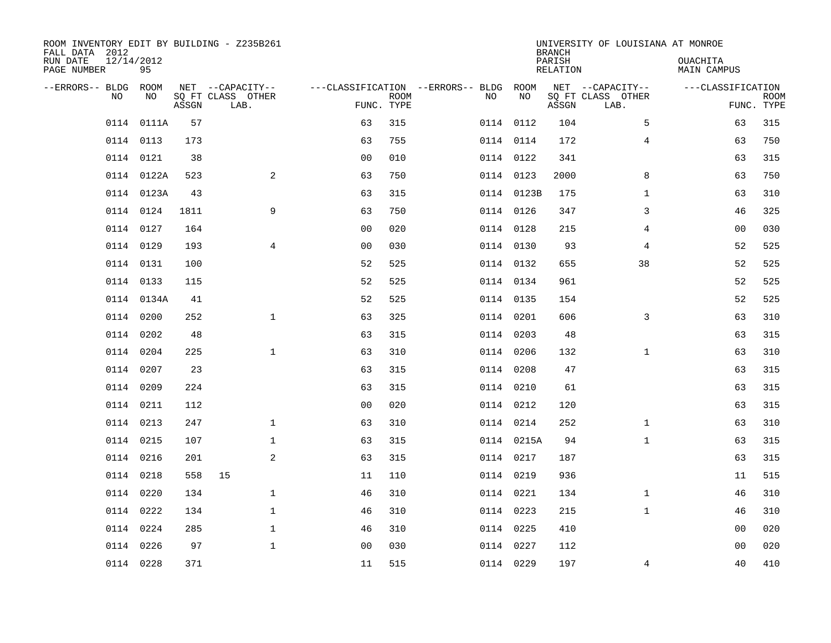| ROOM INVENTORY EDIT BY BUILDING - Z235B261<br>FALL DATA 2012 |                  |       |                           |                |             |                                   |            | <b>BRANCH</b>      | UNIVERSITY OF LOUISIANA AT MONROE |                         |                           |
|--------------------------------------------------------------|------------------|-------|---------------------------|----------------|-------------|-----------------------------------|------------|--------------------|-----------------------------------|-------------------------|---------------------------|
| RUN DATE<br>PAGE NUMBER                                      | 12/14/2012<br>95 |       |                           |                |             |                                   |            | PARISH<br>RELATION |                                   | OUACHITA<br>MAIN CAMPUS |                           |
| --ERRORS-- BLDG                                              | ROOM             |       | NET --CAPACITY--          |                |             | ---CLASSIFICATION --ERRORS-- BLDG | ROOM       |                    | NET --CAPACITY--                  | ---CLASSIFICATION       |                           |
| N <sub>O</sub>                                               | NO.              | ASSGN | SO FT CLASS OTHER<br>LAB. | FUNC. TYPE     | <b>ROOM</b> | NO.                               | NO         | ASSGN              | SQ FT CLASS OTHER<br>LAB.         |                         | <b>ROOM</b><br>FUNC. TYPE |
| 0114                                                         | 0111A            | 57    |                           | 63             | 315         |                                   | 0114 0112  | 104                | 5                                 | 63                      | 315                       |
|                                                              | 0114 0113        | 173   |                           | 63             | 755         |                                   | 0114 0114  | 172                | $\overline{4}$                    | 63                      | 750                       |
|                                                              | 0114 0121        | 38    |                           | 0 <sub>0</sub> | 010         |                                   | 0114 0122  | 341                |                                   | 63                      | 315                       |
|                                                              | 0114 0122A       | 523   | 2                         | 63             | 750         |                                   | 0114 0123  | 2000               | 8                                 | 63                      | 750                       |
|                                                              | 0114 0123A       | 43    |                           | 63             | 315         |                                   | 0114 0123B | 175                | $\mathbf{1}$                      | 63                      | 310                       |
|                                                              | 0114 0124        | 1811  | 9                         | 63             | 750         |                                   | 0114 0126  | 347                | 3                                 | 46                      | 325                       |
|                                                              | 0114 0127        | 164   |                           | 0 <sub>0</sub> | 020         |                                   | 0114 0128  | 215                | 4                                 | 00                      | 030                       |
|                                                              | 0114 0129        | 193   | $\overline{4}$            | 0 <sub>0</sub> | 030         |                                   | 0114 0130  | 93                 | 4                                 | 52                      | 525                       |
|                                                              | 0114 0131        | 100   |                           | 52             | 525         |                                   | 0114 0132  | 655                | 38                                | 52                      | 525                       |
|                                                              | 0114 0133        | 115   |                           | 52             | 525         |                                   | 0114 0134  | 961                |                                   | 52                      | 525                       |
|                                                              | 0114 0134A       | 41    |                           | 52             | 525         |                                   | 0114 0135  | 154                |                                   | 52                      | 525                       |
|                                                              | 0114 0200        | 252   | $\mathbf 1$               | 63             | 325         |                                   | 0114 0201  | 606                | 3                                 | 63                      | 310                       |
| 0114                                                         | 0202             | 48    |                           | 63             | 315         |                                   | 0114 0203  | 48                 |                                   | 63                      | 315                       |
| 0114                                                         | 0204             | 225   | $\mathbf{1}$              | 63             | 310         |                                   | 0114 0206  | 132                | $\mathbf{1}$                      | 63                      | 310                       |
|                                                              | 0114 0207        | 23    |                           | 63             | 315         |                                   | 0114 0208  | 47                 |                                   | 63                      | 315                       |
|                                                              | 0114 0209        | 224   |                           | 63             | 315         |                                   | 0114 0210  | 61                 |                                   | 63                      | 315                       |
|                                                              | 0114 0211        | 112   |                           | 0 <sub>0</sub> | 020         |                                   | 0114 0212  | 120                |                                   | 63                      | 315                       |
|                                                              | 0114 0213        | 247   | $\mathbf{1}$              | 63             | 310         |                                   | 0114 0214  | 252                | $\mathbf{1}$                      | 63                      | 310                       |
|                                                              | 0114 0215        | 107   | $\mathbf{1}$              | 63             | 315         |                                   | 0114 0215A | 94                 | $\mathbf{1}$                      | 63                      | 315                       |
|                                                              | 0114 0216        | 201   | 2                         | 63             | 315         |                                   | 0114 0217  | 187                |                                   | 63                      | 315                       |
|                                                              | 0114 0218        | 558   | 15                        | 11             | 110         |                                   | 0114 0219  | 936                |                                   | 11                      | 515                       |
| 0114                                                         | 0220             | 134   | $\mathbf{1}$              | 46             | 310         |                                   | 0114 0221  | 134                | $\mathbf{1}$                      | 46                      | 310                       |
|                                                              | 0114 0222        | 134   | $\mathbf 1$               | 46             | 310         |                                   | 0114 0223  | 215                | $\mathbf{1}$                      | 46                      | 310                       |
| 0114                                                         | 0224             | 285   | $\mathbf 1$               | 46             | 310         |                                   | 0114 0225  | 410                |                                   | 00                      | 020                       |
|                                                              | 0114 0226        | 97    | $\mathbf{1}$              | 0 <sub>0</sub> | 030         |                                   | 0114 0227  | 112                |                                   | 0 <sub>0</sub>          | 020                       |
|                                                              | 0114 0228        | 371   |                           | 11             | 515         |                                   | 0114 0229  | 197                | 4                                 | 40                      | 410                       |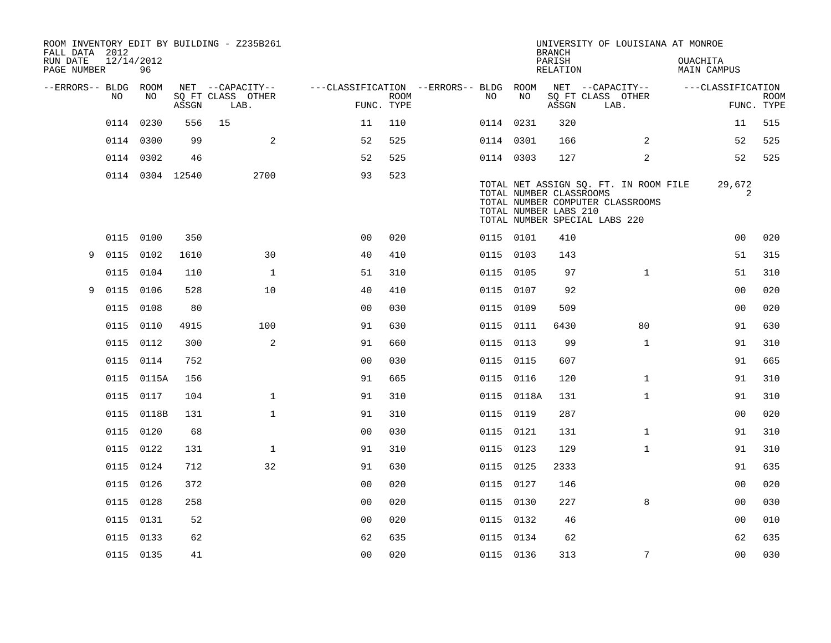| FALL DATA 2012          |            |                 |       | ROOM INVENTORY EDIT BY BUILDING - Z235B261    |                                                      |             |           |            | <b>BRANCH</b>                                    | UNIVERSITY OF LOUISIANA AT MONROE                                                                          |                         |                           |
|-------------------------|------------|-----------------|-------|-----------------------------------------------|------------------------------------------------------|-------------|-----------|------------|--------------------------------------------------|------------------------------------------------------------------------------------------------------------|-------------------------|---------------------------|
| RUN DATE<br>PAGE NUMBER | 12/14/2012 | 96              |       |                                               |                                                      |             |           |            | PARISH<br>RELATION                               |                                                                                                            | OUACHITA<br>MAIN CAMPUS |                           |
| --ERRORS-- BLDG ROOM    | NO         | NO              | ASSGN | NET --CAPACITY--<br>SQ FT CLASS OTHER<br>LAB. | ---CLASSIFICATION --ERRORS-- BLDG ROOM<br>FUNC. TYPE | <b>ROOM</b> | NO        | NO         | ASSGN                                            | NET --CAPACITY--<br>SQ FT CLASS OTHER<br>LAB.                                                              | ---CLASSIFICATION       | <b>ROOM</b><br>FUNC. TYPE |
|                         | 0114       | 0230            | 556   | 15                                            | 11                                                   | 110         | 0114 0231 |            | 320                                              |                                                                                                            | 11                      | 515                       |
|                         |            | 0114 0300       | 99    | 2                                             | 52                                                   | 525         | 0114 0301 |            | 166                                              | 2                                                                                                          | 52                      | 525                       |
|                         | 0114 0302  |                 | 46    |                                               | 52                                                   | 525         | 0114 0303 |            | 127                                              | 2                                                                                                          | 52                      | 525                       |
|                         |            | 0114 0304 12540 |       | 2700                                          | 93                                                   | 523         |           |            | TOTAL NUMBER CLASSROOMS<br>TOTAL NUMBER LABS 210 | TOTAL NET ASSIGN SQ. FT. IN ROOM FILE<br>TOTAL NUMBER COMPUTER CLASSROOMS<br>TOTAL NUMBER SPECIAL LABS 220 | 29,672<br>2             |                           |
|                         | 0115 0100  |                 | 350   |                                               | 0 <sub>0</sub>                                       | 020         | 0115 0101 |            | 410                                              |                                                                                                            | 0 <sub>0</sub>          | 020                       |
| 9                       | 0115       | 0102            | 1610  | 30                                            | 40                                                   | 410         | 0115 0103 |            | 143                                              |                                                                                                            | 51                      | 315                       |
|                         | 0115       | 0104            | 110   | $\mathbf{1}$                                  | 51                                                   | 310         | 0115 0105 |            | 97                                               | $\mathbf{1}$                                                                                               | 51                      | 310                       |
| 9                       | 0115       | 0106            | 528   | 10                                            | 40                                                   | 410         | 0115 0107 |            | 92                                               |                                                                                                            | 0 <sub>0</sub>          | 020                       |
|                         | 0115       | 0108            | 80    |                                               | 0 <sub>0</sub>                                       | 030         | 0115 0109 |            | 509                                              |                                                                                                            | 0 <sub>0</sub>          | 020                       |
|                         | 0115       | 0110            | 4915  | 100                                           | 91                                                   | 630         | 0115 0111 |            | 6430                                             | 80                                                                                                         | 91                      | 630                       |
|                         | 0115       | 0112            | 300   | $\mathbf{2}$                                  | 91                                                   | 660         | 0115 0113 |            | 99                                               | $\mathbf{1}$                                                                                               | 91                      | 310                       |
|                         | 0115 0114  |                 | 752   |                                               | 0 <sub>0</sub>                                       | 030         | 0115 0115 |            | 607                                              |                                                                                                            | 91                      | 665                       |
|                         |            | 0115 0115A      | 156   |                                               | 91                                                   | 665         | 0115 0116 |            | 120                                              | $\mathbf{1}$                                                                                               | 91                      | 310                       |
|                         | 0115 0117  |                 | 104   | $\mathbf 1$                                   | 91                                                   | 310         |           | 0115 0118A | 131                                              | $\mathbf{1}$                                                                                               | 91                      | 310                       |
|                         |            | 0115 0118B      | 131   | $\mathbf{1}$                                  | 91                                                   | 310         | 0115 0119 |            | 287                                              |                                                                                                            | 0 <sub>0</sub>          | 020                       |
|                         | 0115 0120  |                 | 68    |                                               | 0 <sub>0</sub>                                       | 030         | 0115 0121 |            | 131                                              | $\mathbf{1}$                                                                                               | 91                      | 310                       |
|                         | 0115 0122  |                 | 131   | $\mathbf{1}$                                  | 91                                                   | 310         | 0115 0123 |            | 129                                              | $\mathbf{1}$                                                                                               | 91                      | 310                       |
|                         | 0115 0124  |                 | 712   | 32                                            | 91                                                   | 630         | 0115 0125 |            | 2333                                             |                                                                                                            | 91                      | 635                       |
|                         | 0115 0126  |                 | 372   |                                               | 0 <sub>0</sub>                                       | 020         | 0115 0127 |            | 146                                              |                                                                                                            | 0 <sub>0</sub>          | 020                       |
|                         | 0115 0128  |                 | 258   |                                               | 0 <sub>0</sub>                                       | 020         | 0115 0130 |            | 227                                              | 8                                                                                                          | 0 <sub>0</sub>          | 030                       |
|                         | 0115 0131  |                 | 52    |                                               | 0 <sub>0</sub>                                       | 020         | 0115 0132 |            | 46                                               |                                                                                                            | 00                      | 010                       |
|                         | 0115 0133  |                 | 62    |                                               | 62                                                   | 635         | 0115 0134 |            | 62                                               |                                                                                                            | 62                      | 635                       |
|                         | 0115 0135  |                 | 41    |                                               | 0 <sub>0</sub>                                       | 020         | 0115 0136 |            | 313                                              | $7\phantom{.0}$                                                                                            | 0 <sub>0</sub>          | 030                       |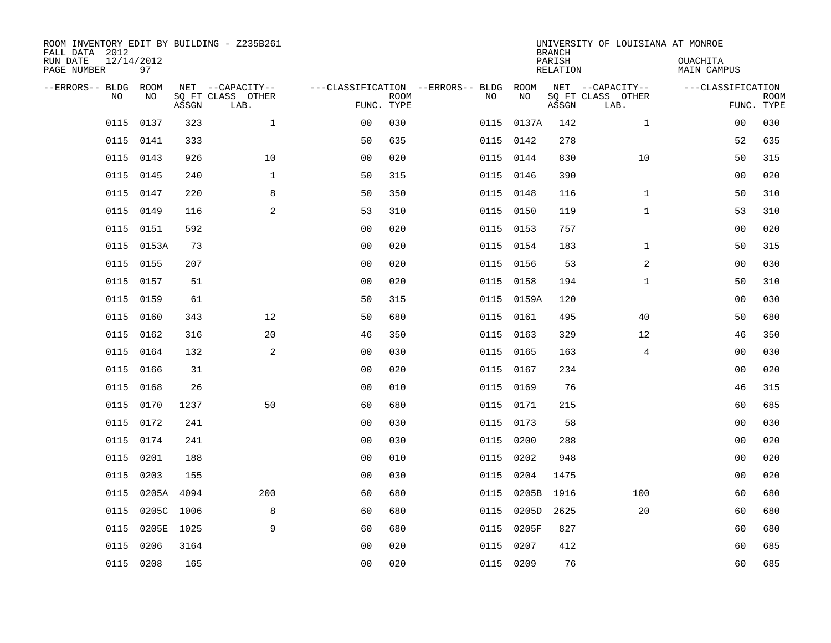| ROOM INVENTORY EDIT BY BUILDING - Z235B261<br>FALL DATA 2012<br>RUN DATE<br>PAGE NUMBER | 12/14/2012<br>97 |       |                                               |                                                 |             |           |            | <b>BRANCH</b><br>PARISH<br><b>RELATION</b> | UNIVERSITY OF LOUISIANA AT MONROE             | OUACHITA<br><b>MAIN CAMPUS</b>  |             |
|-----------------------------------------------------------------------------------------|------------------|-------|-----------------------------------------------|-------------------------------------------------|-------------|-----------|------------|--------------------------------------------|-----------------------------------------------|---------------------------------|-------------|
| --ERRORS-- BLDG<br>NO                                                                   | ROOM<br>NO       | ASSGN | NET --CAPACITY--<br>SQ FT CLASS OTHER<br>LAB. | ---CLASSIFICATION --ERRORS-- BLDG<br>FUNC. TYPE | <b>ROOM</b> | NO        | ROOM<br>NO | ASSGN                                      | NET --CAPACITY--<br>SQ FT CLASS OTHER<br>LAB. | ---CLASSIFICATION<br>FUNC. TYPE | <b>ROOM</b> |
| 0115                                                                                    | 0137             | 323   | $\mathbf{1}$                                  | 00                                              | 030         | 0115      | 0137A      | 142                                        | $\mathbf{1}$                                  | 00                              | 030         |
| 0115                                                                                    | 0141             | 333   |                                               | 50                                              | 635         | 0115 0142 |            | 278                                        |                                               | 52                              | 635         |
| 0115                                                                                    | 0143             | 926   | 10                                            | 0 <sub>0</sub>                                  | 020         | 0115 0144 |            | 830                                        | 10                                            | 50                              | 315         |
| 0115                                                                                    | 0145             | 240   | $\mathbf{1}$                                  | 50                                              | 315         | 0115 0146 |            | 390                                        |                                               | 00                              | 020         |
| 0115                                                                                    | 0147             | 220   | 8                                             | 50                                              | 350         | 0115 0148 |            | 116                                        | $\mathbf{1}$                                  | 50                              | 310         |
| 0115                                                                                    | 0149             | 116   | 2                                             | 53                                              | 310         | 0115 0150 |            | 119                                        | $\mathbf{1}$                                  | 53                              | 310         |
| 0115                                                                                    | 0151             | 592   |                                               | 0 <sub>0</sub>                                  | 020         | 0115 0153 |            | 757                                        |                                               | 0 <sub>0</sub>                  | 020         |
| 0115                                                                                    | 0153A            | 73    |                                               | 0 <sub>0</sub>                                  | 020         | 0115 0154 |            | 183                                        | $\mathbf{1}$                                  | 50                              | 315         |
| 0115                                                                                    | 0155             | 207   |                                               | 0 <sub>0</sub>                                  | 020         | 0115      | 0156       | 53                                         | 2                                             | 0 <sub>0</sub>                  | 030         |
| 0115                                                                                    | 0157             | 51    |                                               | 0 <sub>0</sub>                                  | 020         | 0115 0158 |            | 194                                        | $\mathbf{1}$                                  | 50                              | 310         |
| 0115                                                                                    | 0159             | 61    |                                               | 50                                              | 315         |           | 0115 0159A | 120                                        |                                               | 00                              | 030         |
| 0115                                                                                    | 0160             | 343   | 12                                            | 50                                              | 680         | 0115 0161 |            | 495                                        | 40                                            | 50                              | 680         |
| 0115                                                                                    | 0162             | 316   | 20                                            | 46                                              | 350         | 0115      | 0163       | 329                                        | 12                                            | 46                              | 350         |
| 0115                                                                                    | 0164             | 132   | 2                                             | 0 <sub>0</sub>                                  | 030         | 0115 0165 |            | 163                                        | 4                                             | 00                              | 030         |
| 0115                                                                                    | 0166             | 31    |                                               | 0 <sub>0</sub>                                  | 020         | 0115      | 0167       | 234                                        |                                               | 00                              | 020         |
| 0115                                                                                    | 0168             | 26    |                                               | 0 <sub>0</sub>                                  | 010         | 0115 0169 |            | 76                                         |                                               | 46                              | 315         |
| 0115                                                                                    | 0170             | 1237  | 50                                            | 60                                              | 680         | 0115 0171 |            | 215                                        |                                               | 60                              | 685         |
| 0115                                                                                    | 0172             | 241   |                                               | 0 <sub>0</sub>                                  | 030         | 0115 0173 |            | 58                                         |                                               | 00                              | 030         |
|                                                                                         | 0115 0174        | 241   |                                               | 0 <sub>0</sub>                                  | 030         | 0115 0200 |            | 288                                        |                                               | 0 <sub>0</sub>                  | 020         |
| 0115                                                                                    | 0201             | 188   |                                               | 0 <sub>0</sub>                                  | 010         | 0115 0202 |            | 948                                        |                                               | 00                              | 020         |
| 0115                                                                                    | 0203             | 155   |                                               | 0 <sub>0</sub>                                  | 030         | 0115 0204 |            | 1475                                       |                                               | 00                              | 020         |
| 0115                                                                                    | 0205A            | 4094  | 200                                           | 60                                              | 680         | 0115      | 0205B      | 1916                                       | 100                                           | 60                              | 680         |
| 0115                                                                                    | 0205C 1006       |       | 8                                             | 60                                              | 680         |           | 0115 0205D | 2625                                       | 20                                            | 60                              | 680         |
| 0115                                                                                    | 0205E            | 1025  | 9                                             | 60                                              | 680         | 0115      | 0205F      | 827                                        |                                               | 60                              | 680         |
| 0115                                                                                    | 0206             | 3164  |                                               | 0 <sub>0</sub>                                  | 020         | 0115      | 0207       | 412                                        |                                               | 60                              | 685         |
|                                                                                         | 0115 0208        | 165   |                                               | 0 <sub>0</sub>                                  | 020         | 0115 0209 |            | 76                                         |                                               | 60                              | 685         |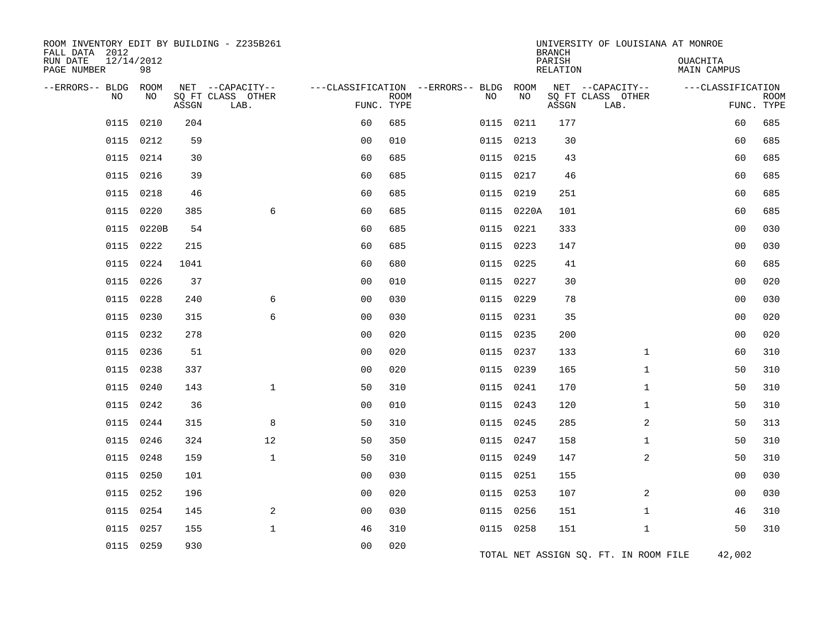| ROOM INVENTORY EDIT BY BUILDING - Z235B261<br>FALL DATA 2012 |                  |       |                           |                                        |             |      |            | <b>BRANCH</b>             | UNIVERSITY OF LOUISIANA AT MONROE     |                                |                           |
|--------------------------------------------------------------|------------------|-------|---------------------------|----------------------------------------|-------------|------|------------|---------------------------|---------------------------------------|--------------------------------|---------------------------|
| RUN DATE<br>PAGE NUMBER                                      | 12/14/2012<br>98 |       |                           |                                        |             |      |            | PARISH<br><b>RELATION</b> |                                       | OUACHITA<br><b>MAIN CAMPUS</b> |                           |
| --ERRORS-- BLDG                                              | ROOM             |       | NET --CAPACITY--          | ---CLASSIFICATION --ERRORS-- BLDG ROOM |             |      |            |                           | NET --CAPACITY--                      | ---CLASSIFICATION              |                           |
| <b>NO</b>                                                    | NO               | ASSGN | SQ FT CLASS OTHER<br>LAB. | FUNC. TYPE                             | <b>ROOM</b> | NO   | NO         | ASSGN                     | SQ FT CLASS OTHER<br>LAB.             |                                | <b>ROOM</b><br>FUNC. TYPE |
| 0115                                                         | 0210             | 204   |                           | 60                                     | 685         | 0115 | 0211       | 177                       |                                       | 60                             | 685                       |
| 0115                                                         | 0212             | 59    |                           | 0 <sub>0</sub>                         | 010         | 0115 | 0213       | 30                        |                                       | 60                             | 685                       |
|                                                              | 0115 0214        | 30    |                           | 60                                     | 685         |      | 0115 0215  | 43                        |                                       | 60                             | 685                       |
| 0115                                                         | 0216             | 39    |                           | 60                                     | 685         | 0115 | 0217       | 46                        |                                       | 60                             | 685                       |
| 0115                                                         | 0218             | 46    |                           | 60                                     | 685         |      | 0115 0219  | 251                       |                                       | 60                             | 685                       |
| 0115                                                         | 0220             | 385   | 6                         | 60                                     | 685         |      | 0115 0220A | 101                       |                                       | 60                             | 685                       |
| 0115                                                         | 0220B            | 54    |                           | 60                                     | 685         |      | 0115 0221  | 333                       |                                       | 0 <sub>0</sub>                 | 030                       |
| 0115                                                         | 0222             | 215   |                           | 60                                     | 685         | 0115 | 0223       | 147                       |                                       | 0 <sub>0</sub>                 | 030                       |
| 0115                                                         | 0224             | 1041  |                           | 60                                     | 680         |      | 0115 0225  | 41                        |                                       | 60                             | 685                       |
| 0115                                                         | 0226             | 37    |                           | 0 <sub>0</sub>                         | 010         |      | 0115 0227  | 30                        |                                       | 0 <sub>0</sub>                 | 020                       |
| 0115                                                         | 0228             | 240   | 6                         | 0 <sub>0</sub>                         | 030         |      | 0115 0229  | 78                        |                                       | 0 <sub>0</sub>                 | 030                       |
| 0115                                                         | 0230             | 315   | 6                         | 00                                     | 030         |      | 0115 0231  | 35                        |                                       | 00                             | 020                       |
| 0115                                                         | 0232             | 278   |                           | 0 <sub>0</sub>                         | 020         |      | 0115 0235  | 200                       |                                       | 0 <sub>0</sub>                 | 020                       |
| 0115                                                         | 0236             | 51    |                           | 0 <sub>0</sub>                         | 020         |      | 0115 0237  | 133                       | $\mathbf{1}$                          | 60                             | 310                       |
|                                                              | 0115 0238        | 337   |                           | 0 <sub>0</sub>                         | 020         |      | 0115 0239  | 165                       | $\mathbf{1}$                          | 50                             | 310                       |
| 0115                                                         | 0240             | 143   | $\mathbf{1}$              | 50                                     | 310         |      | 0115 0241  | 170                       | $\mathbf{1}$                          | 50                             | 310                       |
| 0115                                                         | 0242             | 36    |                           | 0 <sub>0</sub>                         | 010         |      | 0115 0243  | 120                       | $\mathbf{1}$                          | 50                             | 310                       |
| 0115                                                         | 0244             | 315   | 8                         | 50                                     | 310         |      | 0115 0245  | 285                       | 2                                     | 50                             | 313                       |
| 0115                                                         | 0246             | 324   | 12                        | 50                                     | 350         | 0115 | 0247       | 158                       | $\mathbf{1}$                          | 50                             | 310                       |
| 0115                                                         | 0248             | 159   | $\mathbf 1$               | 50                                     | 310         |      | 0115 0249  | 147                       | $\overline{a}$                        | 50                             | 310                       |
| 0115                                                         | 0250             | 101   |                           | 0 <sub>0</sub>                         | 030         |      | 0115 0251  | 155                       |                                       | 0 <sub>0</sub>                 | 030                       |
| 0115                                                         | 0252             | 196   |                           | 0 <sub>0</sub>                         | 020         |      | 0115 0253  | 107                       | 2                                     | 00                             | 030                       |
| 0115                                                         | 0254             | 145   | 2                         | 0 <sub>0</sub>                         | 030         |      | 0115 0256  | 151                       | $\mathbf{1}$                          | 46                             | 310                       |
| 0115                                                         | 0257             | 155   | $\mathbf{1}$              | 46                                     | 310         |      | 0115 0258  | 151                       | $\mathbf{1}$                          | 50                             | 310                       |
| 0115                                                         | 0259             | 930   |                           | 0 <sub>0</sub>                         | 020         |      |            |                           | TOTAL NET ASSIGN SQ. FT. IN ROOM FILE | 42,002                         |                           |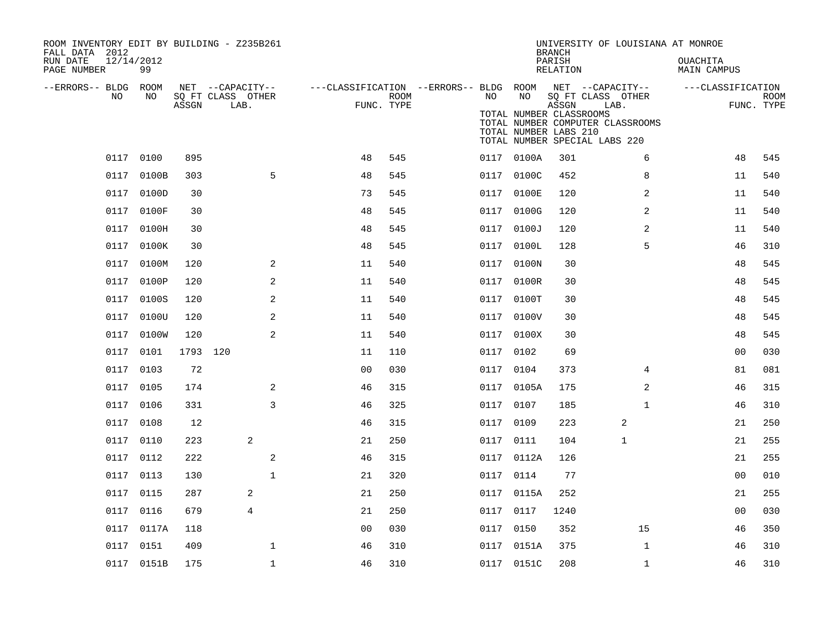| ROOM INVENTORY EDIT BY BUILDING - Z235B261<br>FALL DATA 2012 |            |          |                                       |                                        |      |           |                                                  | <b>BRANCH</b>      | UNIVERSITY OF LOUISIANA AT MONROE                                         |                                |             |
|--------------------------------------------------------------|------------|----------|---------------------------------------|----------------------------------------|------|-----------|--------------------------------------------------|--------------------|---------------------------------------------------------------------------|--------------------------------|-------------|
| 12/14/2012<br>RUN DATE<br>PAGE NUMBER                        | 99         |          |                                       |                                        |      |           |                                                  | PARISH<br>RELATION |                                                                           | <b>OUACHITA</b><br>MAIN CAMPUS |             |
| --ERRORS-- BLDG ROOM<br>NO                                   | NO         |          | NET --CAPACITY--<br>SQ FT CLASS OTHER | ---CLASSIFICATION --ERRORS-- BLDG ROOM | ROOM | NO.       | NO                                               |                    | NET --CAPACITY--<br>SQ FT CLASS OTHER                                     | ---CLASSIFICATION              | <b>ROOM</b> |
|                                                              |            | ASSGN    | LAB.                                  | FUNC. TYPE                             |      |           | TOTAL NUMBER CLASSROOMS<br>TOTAL NUMBER LABS 210 | ASSGN              | LAB.<br>TOTAL NUMBER COMPUTER CLASSROOMS<br>TOTAL NUMBER SPECIAL LABS 220 |                                | FUNC. TYPE  |
| 0117                                                         | 0100       | 895      |                                       | 48                                     | 545  |           | 0117 0100A                                       | 301                | 6                                                                         | 48                             | 545         |
| 0117                                                         | 0100B      | 303      | 5                                     | 48                                     | 545  |           | 0117 0100C                                       | 452                | 8                                                                         | 11                             | 540         |
| 0117                                                         | 0100D      | 30       |                                       | 73                                     | 545  | 0117      | 0100E                                            | 120                | 2                                                                         | 11                             | 540         |
| 0117                                                         | 0100F      | 30       |                                       | 48                                     | 545  |           | 0117 0100G                                       | 120                | 2                                                                         | 11                             | 540         |
| 0117                                                         | 0100H      | 30       |                                       | 48                                     | 545  | 0117      | 0100J                                            | 120                | $\overline{a}$                                                            | 11                             | 540         |
|                                                              | 0117 0100K | 30       |                                       | 48                                     | 545  |           | 0117 0100L                                       | 128                | 5                                                                         | 46                             | 310         |
| 0117                                                         | 0100M      | 120      | 2                                     | 11                                     | 540  | 0117      | 0100N                                            | 30                 |                                                                           | 48                             | 545         |
|                                                              | 0117 0100P | 120      | 2                                     | 11                                     | 540  |           | 0117 0100R                                       | 30                 |                                                                           | 48                             | 545         |
| 0117                                                         | 0100S      | 120      | 2                                     | 11                                     | 540  | 0117      | $0100$ T                                         | 30                 |                                                                           | 48                             | 545         |
|                                                              | 0117 0100U | 120      | 2                                     | 11                                     | 540  |           | 0117 0100V                                       | 30                 |                                                                           | 48                             | 545         |
| 0117                                                         | 0100W      | 120      | 2                                     | 11                                     | 540  |           | 0117 0100X                                       | 30                 |                                                                           | 48                             | 545         |
| 0117                                                         | 0101       | 1793 120 |                                       | 11                                     | 110  | 0117 0102 |                                                  | 69                 |                                                                           | 00                             | 030         |
| 0117                                                         | 0103       | 72       |                                       | 0 <sub>0</sub>                         | 030  | 0117      | 0104                                             | 373                | 4                                                                         | 81                             | 081         |
| 0117                                                         | 0105       | 174      | 2                                     | 46                                     | 315  |           | 0117 0105A                                       | 175                | $\overline{a}$                                                            | 46                             | 315         |
|                                                              | 0117 0106  | 331      | 3                                     | 46                                     | 325  | 0117 0107 |                                                  | 185                | $\mathbf{1}$                                                              | 46                             | 310         |
| 0117                                                         | 0108       | 12       |                                       | 46                                     | 315  | 0117 0109 |                                                  | 223                | 2                                                                         | 21                             | 250         |
|                                                              | 0117 0110  | 223      | 2                                     | 21                                     | 250  | 0117 0111 |                                                  | 104                | $\mathbf{1}$                                                              | 21                             | 255         |
| 0117                                                         | 0112       | 222      | 2                                     | 46                                     | 315  |           | 0117 0112A                                       | 126                |                                                                           | 21                             | 255         |
|                                                              | 0117 0113  | 130      | $\mathbf{1}$                          | 21                                     | 320  | 0117 0114 |                                                  | 77                 |                                                                           | 0 <sub>0</sub>                 | 010         |
| 0117                                                         | 0115       | 287      | 2                                     | 21                                     | 250  |           | 0117 0115A                                       | 252                |                                                                           | 21                             | 255         |
|                                                              | 0117 0116  | 679      | $\overline{4}$                        | 21                                     | 250  | 0117 0117 |                                                  | 1240               |                                                                           | 0 <sub>0</sub>                 | 030         |
| 0117                                                         | 0117A      | 118      |                                       | 0 <sub>0</sub>                         | 030  | 0117      | 0150                                             | 352                | 15                                                                        | 46                             | 350         |
|                                                              | 0117 0151  | 409      | $\mathbf{1}$                          | 46                                     | 310  |           | 0117 0151A                                       | 375                | $\mathbf{1}$                                                              | 46                             | 310         |
|                                                              | 0117 0151B | 175      | $\mathbf{1}$                          | 46                                     | 310  |           | 0117 0151C                                       | 208                | $\mathbf{1}$                                                              | 46                             | 310         |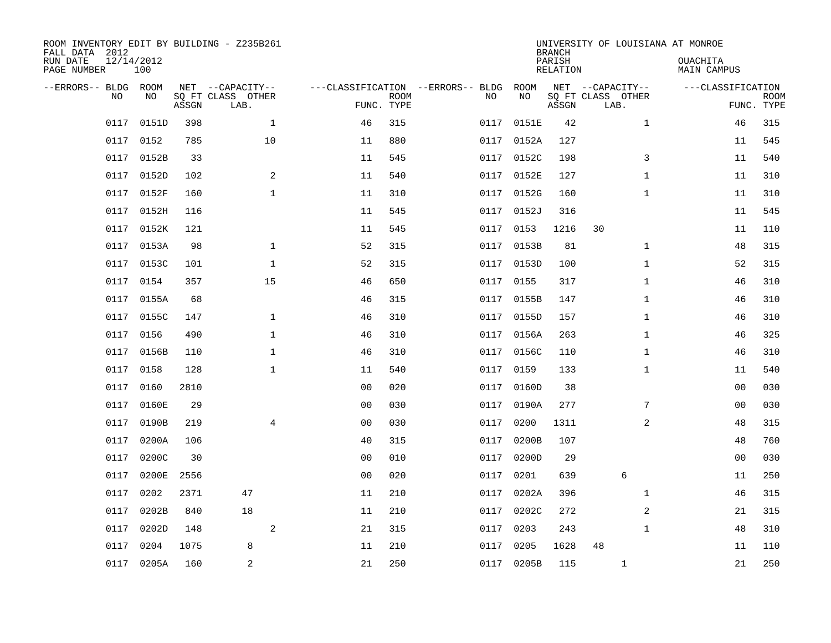| ROOM INVENTORY EDIT BY BUILDING - Z235B261<br>FALL DATA 2012<br>RUN DATE<br>PAGE NUMBER | 12/14/2012<br>100 |       |                                               |                                                 |             |      |            | <b>BRANCH</b><br>PARISH<br>RELATION | UNIVERSITY OF LOUISIANA AT MONROE             | <b>OUACHITA</b><br>MAIN CAMPUS |                           |
|-----------------------------------------------------------------------------------------|-------------------|-------|-----------------------------------------------|-------------------------------------------------|-------------|------|------------|-------------------------------------|-----------------------------------------------|--------------------------------|---------------------------|
| --ERRORS-- BLDG ROOM<br><b>NO</b>                                                       | NO.               | ASSGN | NET --CAPACITY--<br>SO FT CLASS OTHER<br>LAB. | ---CLASSIFICATION --ERRORS-- BLDG<br>FUNC. TYPE | <b>ROOM</b> | NO   | ROOM<br>NO | ASSGN                               | NET --CAPACITY--<br>SQ FT CLASS OTHER<br>LAB. | ---CLASSIFICATION              | <b>ROOM</b><br>FUNC. TYPE |
| 0117                                                                                    | 0151D             | 398   | $\mathbf{1}$                                  | 46                                              | 315         | 0117 | 0151E      | 42                                  | $\mathbf{1}$                                  | 46                             | 315                       |
| 0117                                                                                    | 0152              | 785   | 10                                            | 11                                              | 880         | 0117 | 0152A      | 127                                 |                                               | 11                             | 545                       |
| 0117                                                                                    | 0152B             | 33    |                                               | 11                                              | 545         | 0117 | 0152C      | 198                                 | 3                                             | 11                             | 540                       |
| 0117                                                                                    | 0152D             | 102   | 2                                             | 11                                              | 540         |      | 0117 0152E | 127                                 | $\mathbf{1}$                                  | 11                             | 310                       |
| 0117                                                                                    | 0152F             | 160   | $\mathbf{1}$                                  | 11                                              | 310         | 0117 | 0152G      | 160                                 | $\mathbf{1}$                                  | 11                             | 310                       |
| 0117                                                                                    | 0152H             | 116   |                                               | 11                                              | 545         |      | 0117 0152J | 316                                 |                                               | 11                             | 545                       |
| 0117                                                                                    | 0152K             | 121   |                                               | 11                                              | 545         | 0117 | 0153       | 1216                                | 30                                            | 11                             | 110                       |
| 0117                                                                                    | 0153A             | 98    | $\mathbf{1}$                                  | 52                                              | 315         |      | 0117 0153B | 81                                  | $\mathbf{1}$                                  | 48                             | 315                       |
| 0117                                                                                    | 0153C             | 101   | $\mathbf{1}$                                  | 52                                              | 315         | 0117 | 0153D      | 100                                 | $\mathbf{1}$                                  | 52                             | 315                       |
| 0117                                                                                    | 0154              | 357   | 15                                            | 46                                              | 650         |      | 0117 0155  | 317                                 | $\mathbf{1}$                                  | 46                             | 310                       |
| 0117                                                                                    | 0155A             | 68    |                                               | 46                                              | 315         | 0117 | 0155B      | 147                                 | $\mathbf{1}$                                  | 46                             | 310                       |
| 0117                                                                                    | 0155C             | 147   | $\mathbf 1$                                   | 46                                              | 310         |      | 0117 0155D | 157                                 | $\mathbf{1}$                                  | 46                             | 310                       |
| 0117                                                                                    | 0156              | 490   | $\mathbf 1$                                   | 46                                              | 310         | 0117 | 0156A      | 263                                 | $\mathbf{1}$                                  | 46                             | 325                       |
| 0117                                                                                    | 0156B             | 110   | 1                                             | 46                                              | 310         | 0117 | 0156C      | 110                                 | $\mathbf{1}$                                  | 46                             | 310                       |
| 0117                                                                                    | 0158              | 128   | $\mathbf{1}$                                  | 11                                              | 540         | 0117 | 0159       | 133                                 | $\mathbf{1}$                                  | 11                             | 540                       |
| 0117                                                                                    | 0160              | 2810  |                                               | 0 <sub>0</sub>                                  | 020         | 0117 | 0160D      | 38                                  |                                               | 0 <sub>0</sub>                 | 030                       |
| 0117                                                                                    | 0160E             | 29    |                                               | 0 <sub>0</sub>                                  | 030         | 0117 | 0190A      | 277                                 | 7                                             | 00                             | 030                       |
| 0117                                                                                    | 0190B             | 219   | $\overline{4}$                                | 0 <sub>0</sub>                                  | 030         | 0117 | 0200       | 1311                                | 2                                             | 48                             | 315                       |
| 0117                                                                                    | 0200A             | 106   |                                               | 40                                              | 315         | 0117 | 0200B      | 107                                 |                                               | 48                             | 760                       |
| 0117                                                                                    | 0200C             | 30    |                                               | 0 <sub>0</sub>                                  | 010         | 0117 | 0200D      | 29                                  |                                               | 0 <sub>0</sub>                 | 030                       |
| 0117                                                                                    | 0200E             | 2556  |                                               | 0 <sub>0</sub>                                  | 020         | 0117 | 0201       | 639                                 | 6                                             | 11                             | 250                       |
| 0117                                                                                    | 0202              | 2371  | 47                                            | 11                                              | 210         | 0117 | 0202A      | 396                                 | $\mathbf{1}$                                  | 46                             | 315                       |
| 0117                                                                                    | 0202B             | 840   | 18                                            | 11                                              | 210         | 0117 | 0202C      | 272                                 | 2                                             | 21                             | 315                       |
| 0117                                                                                    | 0202D             | 148   | 2                                             | 21                                              | 315         | 0117 | 0203       | 243                                 | $\mathbf{1}$                                  | 48                             | 310                       |
| 0117                                                                                    | 0204              | 1075  | 8                                             | 11                                              | 210         | 0117 | 0205       | 1628                                | 48                                            | 11                             | 110                       |
|                                                                                         | 0117 0205A        | 160   | 2                                             | 21                                              | 250         |      | 0117 0205B | 115                                 | $\mathbf 1$                                   | 21                             | 250                       |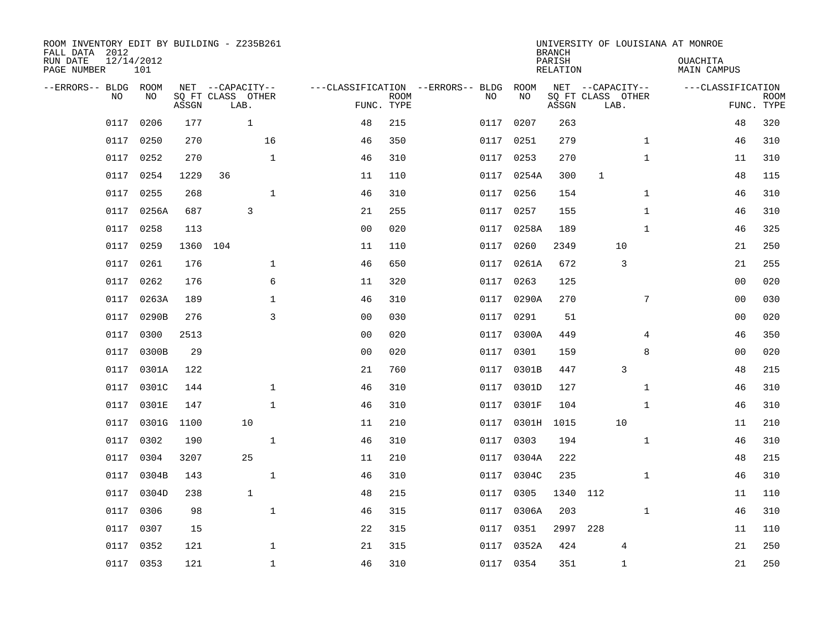| ROOM INVENTORY EDIT BY BUILDING - Z235B261<br>FALL DATA 2012 |                   |          |                           |                |                           |                                   |            | <b>BRANCH</b>      |                           | UNIVERSITY OF LOUISIANA AT MONROE |    |                           |
|--------------------------------------------------------------|-------------------|----------|---------------------------|----------------|---------------------------|-----------------------------------|------------|--------------------|---------------------------|-----------------------------------|----|---------------------------|
| RUN DATE<br>PAGE NUMBER                                      | 12/14/2012<br>101 |          |                           |                |                           |                                   |            | PARISH<br>RELATION |                           | OUACHITA<br><b>MAIN CAMPUS</b>    |    |                           |
| --ERRORS-- BLDG ROOM                                         |                   |          | NET --CAPACITY--          |                |                           | ---CLASSIFICATION --ERRORS-- BLDG | ROOM       |                    | NET --CAPACITY--          | ---CLASSIFICATION                 |    |                           |
| N <sub>O</sub>                                               | NO.               | ASSGN    | SO FT CLASS OTHER<br>LAB. |                | <b>ROOM</b><br>FUNC. TYPE | NO.                               | NO         | ASSGN              | SQ FT CLASS OTHER<br>LAB. |                                   |    | <b>ROOM</b><br>FUNC. TYPE |
| 0117                                                         | 0206              | 177      | $\mathbf{1}$              | 48             | 215                       | 0117                              | 0207       | 263                |                           |                                   | 48 | 320                       |
| 0117                                                         | 0250              | 270      | 16                        | 46             | 350                       | 0117                              | 0251       | 279                |                           | $\mathbf{1}$                      | 46 | 310                       |
| 0117                                                         | 0252              | 270      | $\mathbf{1}$              | 46             | 310                       | 0117                              | 0253       | 270                |                           | $\mathbf{1}$                      | 11 | 310                       |
| 0117                                                         | 0254              | 1229     | 36                        | 11             | 110                       |                                   | 0117 0254A | 300                | $\mathbf{1}$              |                                   | 48 | 115                       |
| 0117                                                         | 0255              | 268      | $\mathbf 1$               | 46             | 310                       | 0117                              | 0256       | 154                |                           | $\mathbf{1}$                      | 46 | 310                       |
| 0117                                                         | 0256A             | 687      | 3                         | 21             | 255                       | 0117                              | 0257       | 155                |                           | $\mathbf{1}$                      | 46 | 310                       |
| 0117                                                         | 0258              | 113      |                           | 0 <sub>0</sub> | 020                       | 0117                              | 0258A      | 189                |                           | $\mathbf{1}$                      | 46 | 325                       |
| 0117                                                         | 0259              | 1360 104 |                           | 11             | 110                       | 0117                              | 0260       | 2349               | 10                        |                                   | 21 | 250                       |
| 0117                                                         | 0261              | 176      | $\mathbf{1}$              | 46             | 650                       | 0117                              | 0261A      | 672                | 3                         |                                   | 21 | 255                       |
| 0117                                                         | 0262              | 176      | 6                         | 11             | 320                       | 0117                              | 0263       | 125                |                           |                                   | 00 | 020                       |
| 0117                                                         | 0263A             | 189      | 1                         | 46             | 310                       | 0117                              | 0290A      | 270                |                           | $7\phantom{.0}$                   | 00 | 030                       |
| 0117                                                         | 0290B             | 276      | 3                         | 0 <sub>0</sub> | 030                       | 0117                              | 0291       | 51                 |                           |                                   | 00 | 020                       |
| 0117                                                         | 0300              | 2513     |                           | 0 <sub>0</sub> | 020                       | 0117                              | 0300A      | 449                |                           | 4                                 | 46 | 350                       |
| 0117                                                         | 0300B             | 29       |                           | 0 <sub>0</sub> | 020                       | 0117                              | 0301       | 159                |                           | 8                                 | 00 | 020                       |
| 0117                                                         | 0301A             | 122      |                           | 21             | 760                       | 0117                              | 0301B      | 447                | $\overline{3}$            |                                   | 48 | 215                       |
| 0117                                                         | 0301C             | 144      | $\mathbf 1$               | 46             | 310                       | 0117                              | 0301D      | 127                |                           | $\mathbf{1}$                      | 46 | 310                       |
| 0117                                                         | 0301E             | 147      | $\mathbf{1}$              | 46             | 310                       | 0117                              | 0301F      | 104                |                           | $\mathbf{1}$                      | 46 | 310                       |
| 0117                                                         | 0301G             | 1100     | 10                        | 11             | 210                       | 0117                              | 0301H      | 1015               | 10                        |                                   | 11 | 210                       |
| 0117                                                         | 0302              | 190      | $\mathbf{1}$              | 46             | 310                       | 0117                              | 0303       | 194                |                           | $\mathbf{1}$                      | 46 | 310                       |
| 0117                                                         | 0304              | 3207     | 25                        | 11             | 210                       | 0117                              | 0304A      | 222                |                           |                                   | 48 | 215                       |
| 0117                                                         | 0304B             | 143      | $\mathbf{1}$              | 46             | 310                       | 0117                              | 0304C      | 235                |                           | $\mathbf{1}$                      | 46 | 310                       |
| 0117                                                         | 0304D             | 238      | $\mathbf{1}$              | 48             | 215                       | 0117                              | 0305       | 1340               | 112                       |                                   | 11 | 110                       |
| 0117                                                         | 0306              | 98       | $\mathbf{1}$              | 46             | 315                       | 0117                              | 0306A      | 203                |                           | $\mathbf{1}$                      | 46 | 310                       |
| 0117                                                         | 0307              | 15       |                           | 22             | 315                       | 0117                              | 0351       | 2997               | 228                       |                                   | 11 | 110                       |
| 0117                                                         | 0352              | 121      | 1                         | 21             | 315                       |                                   | 0117 0352A | 424                | 4                         |                                   | 21 | 250                       |
|                                                              | 0117 0353         | 121      | $\mathbf{1}$              | 46             | 310                       |                                   | 0117 0354  | 351                | $\mathbf{1}$              |                                   | 21 | 250                       |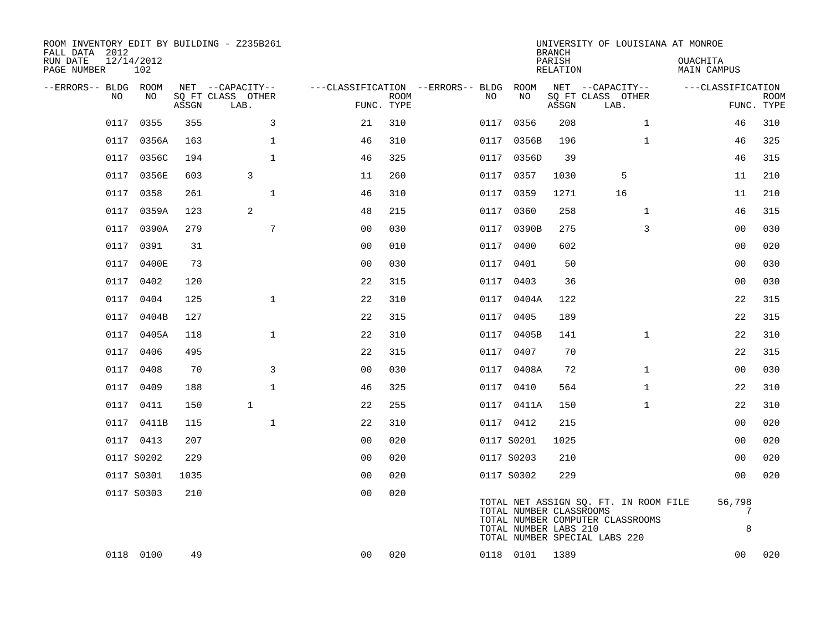| ROOM INVENTORY EDIT BY BUILDING - Z235B261<br>FALL DATA 2012 |                   |       |                                       |                |             |                                         |                                                  | <b>BRANCH</b>      | UNIVERSITY OF LOUISIANA AT MONROE                                                                          |                                |                           |
|--------------------------------------------------------------|-------------------|-------|---------------------------------------|----------------|-------------|-----------------------------------------|--------------------------------------------------|--------------------|------------------------------------------------------------------------------------------------------------|--------------------------------|---------------------------|
| RUN DATE<br>PAGE NUMBER                                      | 12/14/2012<br>102 |       |                                       |                |             |                                         |                                                  | PARISH<br>RELATION |                                                                                                            | <b>OUACHITA</b><br>MAIN CAMPUS |                           |
| --ERRORS-- BLDG ROOM<br>NO                                   | NO                |       | NET --CAPACITY--<br>SQ FT CLASS OTHER |                | <b>ROOM</b> | ---CLASSIFICATION --ERRORS-- BLDG<br>NO | ROOM<br>NO                                       |                    | NET --CAPACITY--<br>SQ FT CLASS OTHER                                                                      | ---CLASSIFICATION              |                           |
|                                                              |                   | ASSGN | LAB.                                  |                | FUNC. TYPE  |                                         |                                                  | ASSGN              | LAB.                                                                                                       |                                | <b>ROOM</b><br>FUNC. TYPE |
| 0117                                                         | 0355              | 355   | 3                                     | 21             | 310         |                                         | 0117 0356                                        | 208                | $\mathbf{1}$                                                                                               | 46                             | 310                       |
|                                                              | 0117 0356A        | 163   | $\mathbf{1}$                          | 46             | 310         | 0117                                    | 0356B                                            | 196                | $\mathbf{1}$                                                                                               | 46                             | 325                       |
|                                                              | 0117 0356C        | 194   | $\mathbf{1}$                          | 46             | 325         |                                         | 0117 0356D                                       | 39                 |                                                                                                            | 46                             | 315                       |
|                                                              | 0117 0356E        | 603   | 3                                     | 11             | 260         | 0117                                    | 0357                                             | 1030               | 5                                                                                                          | 11                             | 210                       |
|                                                              | 0117 0358         | 261   | $\mathbf 1$                           | 46             | 310         |                                         | 0117 0359                                        | 1271               | 16                                                                                                         | 11                             | 210                       |
| 0117                                                         | 0359A             | 123   | 2                                     | 48             | 215         | 0117                                    | 0360                                             | 258                | $\mathbf{1}$                                                                                               | 46                             | 315                       |
|                                                              | 0117 0390A        | 279   | 7                                     | 0 <sub>0</sub> | 030         |                                         | 0117 0390B                                       | 275                | 3                                                                                                          | 0 <sub>0</sub>                 | 030                       |
| 0117                                                         | 0391              | 31    |                                       | 0 <sub>0</sub> | 010         | 0117                                    | 0400                                             | 602                |                                                                                                            | 0 <sub>0</sub>                 | 020                       |
|                                                              | 0117 0400E        | 73    |                                       | 0 <sub>0</sub> | 030         |                                         | 0117 0401                                        | 50                 |                                                                                                            | 00                             | 030                       |
|                                                              | 0117 0402         | 120   |                                       | 22             | 315         | 0117                                    | 0403                                             | 36                 |                                                                                                            | 0 <sub>0</sub>                 | 030                       |
|                                                              | 0117 0404         | 125   | $\mathbf{1}$                          | 22             | 310         |                                         | 0117 0404A                                       | 122                |                                                                                                            | 22                             | 315                       |
| 0117                                                         | 0404B             | 127   |                                       | 22             | 315         | 0117                                    | 0405                                             | 189                |                                                                                                            | 22                             | 315                       |
|                                                              | 0117 0405A        | 118   | $\mathbf{1}$                          | 22             | 310         |                                         | 0117 0405B                                       | 141                | $\mathbf{1}$                                                                                               | 22                             | 310                       |
| 0117                                                         | 0406              | 495   |                                       | 22             | 315         |                                         | 0117 0407                                        | 70                 |                                                                                                            | 22                             | 315                       |
|                                                              | 0117 0408         | 70    | 3                                     | 0 <sub>0</sub> | 030         |                                         | 0117 0408A                                       | 72                 | $\mathbf{1}$                                                                                               | 0 <sub>0</sub>                 | 030                       |
| 0117                                                         | 0409              | 188   | $\mathbf 1$                           | 46             | 325         |                                         | 0117 0410                                        | 564                | $\mathbf{1}$                                                                                               | 22                             | 310                       |
|                                                              | 0117 0411         | 150   | $\mathbf{1}$                          | 22             | 255         |                                         | 0117 0411A                                       | 150                | $\mathbf{1}$                                                                                               | 22                             | 310                       |
|                                                              | 0117 0411B        | 115   | $\mathbf 1$                           | 22             | 310         |                                         | 0117 0412                                        | 215                |                                                                                                            | 0 <sub>0</sub>                 | 020                       |
|                                                              | 0117 0413         | 207   |                                       | 0 <sub>0</sub> | 020         |                                         | 0117 S0201                                       | 1025               |                                                                                                            | 0 <sub>0</sub>                 | 020                       |
|                                                              | 0117 S0202        | 229   |                                       | 0 <sub>0</sub> | 020         |                                         | 0117 S0203                                       | 210                |                                                                                                            | 00                             | 020                       |
|                                                              | 0117 S0301        | 1035  |                                       | 0 <sub>0</sub> | 020         |                                         | 0117 S0302                                       | 229                |                                                                                                            | 00                             | 020                       |
|                                                              | 0117 S0303        | 210   |                                       | 0 <sub>0</sub> | 020         |                                         | TOTAL NUMBER CLASSROOMS<br>TOTAL NUMBER LABS 210 |                    | TOTAL NET ASSIGN SQ. FT. IN ROOM FILE<br>TOTAL NUMBER COMPUTER CLASSROOMS<br>TOTAL NUMBER SPECIAL LABS 220 | 56,798<br>7<br>8               |                           |
|                                                              | 0118 0100         | 49    |                                       | 00             | 020         |                                         | 0118 0101                                        | 1389               |                                                                                                            | 00                             | 020                       |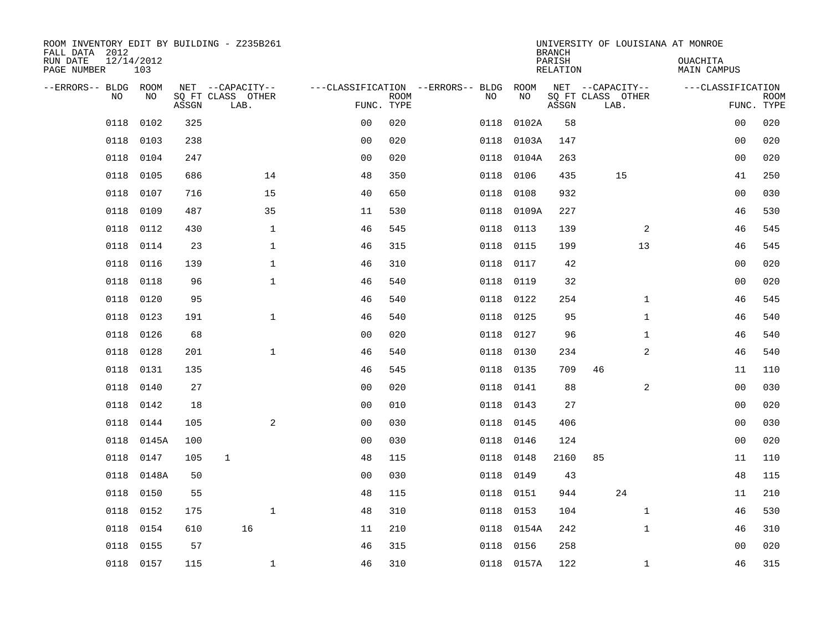| ROOM INVENTORY EDIT BY BUILDING - Z235B261<br>FALL DATA 2012 |                   |       |                           |                |             |                                   |            | <b>BRANCH</b>      | UNIVERSITY OF LOUISIANA AT MONROE |                         |                           |
|--------------------------------------------------------------|-------------------|-------|---------------------------|----------------|-------------|-----------------------------------|------------|--------------------|-----------------------------------|-------------------------|---------------------------|
| RUN DATE<br>PAGE NUMBER                                      | 12/14/2012<br>103 |       |                           |                |             |                                   |            | PARISH<br>RELATION |                                   | OUACHITA<br>MAIN CAMPUS |                           |
| --ERRORS-- BLDG ROOM                                         |                   |       | NET --CAPACITY--          |                |             | ---CLASSIFICATION --ERRORS-- BLDG | ROOM       |                    | NET --CAPACITY--                  | ---CLASSIFICATION       |                           |
| N <sub>O</sub>                                               | NO.               | ASSGN | SO FT CLASS OTHER<br>LAB. | FUNC. TYPE     | <b>ROOM</b> | NO.                               | NO         | ASSGN              | SQ FT CLASS OTHER<br>LAB.         |                         | <b>ROOM</b><br>FUNC. TYPE |
| 0118                                                         | 0102              | 325   |                           | 0 <sub>0</sub> | 020         | 0118                              | 0102A      | 58                 |                                   | 00                      | 020                       |
| 0118                                                         | 0103              | 238   |                           | 0 <sub>0</sub> | 020         | 0118                              | 0103A      | 147                |                                   | 0 <sub>0</sub>          | 020                       |
| 0118                                                         | 0104              | 247   |                           | 0 <sub>0</sub> | 020         | 0118                              | 0104A      | 263                |                                   | 0 <sub>0</sub>          | 020                       |
| 0118                                                         | 0105              | 686   | 14                        | 48             | 350         | 0118                              | 0106       | 435                | 15                                | 41                      | 250                       |
| 0118                                                         | 0107              | 716   | 15                        | 40             | 650         | 0118                              | 0108       | 932                |                                   | 00                      | 030                       |
| 0118                                                         | 0109              | 487   | 35                        | 11             | 530         |                                   | 0118 0109A | 227                |                                   | 46                      | 530                       |
| 0118                                                         | 0112              | 430   | $\mathbf{1}$              | 46             | 545         | 0118                              | 0113       | 139                | 2                                 | 46                      | 545                       |
| 0118                                                         | 0114              | 23    | $\mathbf{1}$              | 46             | 315         | 0118                              | 0115       | 199                | 13                                | 46                      | 545                       |
| 0118                                                         | 0116              | 139   | $\mathbf{1}$              | 46             | 310         | 0118                              | 0117       | 42                 |                                   | 0 <sub>0</sub>          | 020                       |
| 0118                                                         | 0118              | 96    | $\mathbf{1}$              | 46             | 540         | 0118                              | 0119       | 32                 |                                   | 00                      | 020                       |
| 0118                                                         | 0120              | 95    |                           | 46             | 540         | 0118                              | 0122       | 254                | $\mathbf{1}$                      | 46                      | 545                       |
| 0118                                                         | 0123              | 191   | $\mathbf{1}$              | 46             | 540         | 0118                              | 0125       | 95                 | $\mathbf{1}$                      | 46                      | 540                       |
| 0118                                                         | 0126              | 68    |                           | 0 <sub>0</sub> | 020         | 0118                              | 0127       | 96                 | $\mathbf{1}$                      | 46                      | 540                       |
| 0118                                                         | 0128              | 201   | $\mathbf{1}$              | 46             | 540         | 0118                              | 0130       | 234                | $\overline{a}$                    | 46                      | 540                       |
| 0118                                                         | 0131              | 135   |                           | 46             | 545         | 0118                              | 0135       | 709                | 46                                | 11                      | 110                       |
| 0118                                                         | 0140              | 27    |                           | 0 <sub>0</sub> | 020         | 0118                              | 0141       | 88                 | 2                                 | 00                      | 030                       |
| 0118                                                         | 0142              | 18    |                           | 0 <sub>0</sub> | 010         | 0118                              | 0143       | 27                 |                                   | 00                      | 020                       |
| 0118                                                         | 0144              | 105   | 2                         | 0 <sub>0</sub> | 030         | 0118                              | 0145       | 406                |                                   | 00                      | 030                       |
| 0118                                                         | 0145A             | 100   |                           | 0 <sub>0</sub> | 030         | 0118                              | 0146       | 124                |                                   | 0 <sub>0</sub>          | 020                       |
| 0118                                                         | 0147              | 105   | $\mathbf{1}$              | 48             | 115         | 0118                              | 0148       | 2160               | 85                                | 11                      | 110                       |
| 0118                                                         | 0148A             | 50    |                           | 0 <sub>0</sub> | 030         | 0118                              | 0149       | 43                 |                                   | 48                      | 115                       |
| 0118                                                         | 0150              | 55    |                           | 48             | 115         | 0118                              | 0151       | 944                | 24                                | 11                      | 210                       |
| 0118                                                         | 0152              | 175   | $\mathbf{1}$              | 48             | 310         | 0118                              | 0153       | 104                | $\mathbf{1}$                      | 46                      | 530                       |
| 0118                                                         | 0154              | 610   | 16                        | 11             | 210         | 0118                              | 0154A      | 242                | $\mathbf{1}$                      | 46                      | 310                       |
| 0118                                                         | 0155              | 57    |                           | 46             | 315         | 0118                              | 0156       | 258                |                                   | 0 <sub>0</sub>          | 020                       |
|                                                              | 0118 0157         | 115   | $\mathbf{1}$              | 46             | 310         |                                   | 0118 0157A | 122                | $\mathbf{1}$                      | 46                      | 315                       |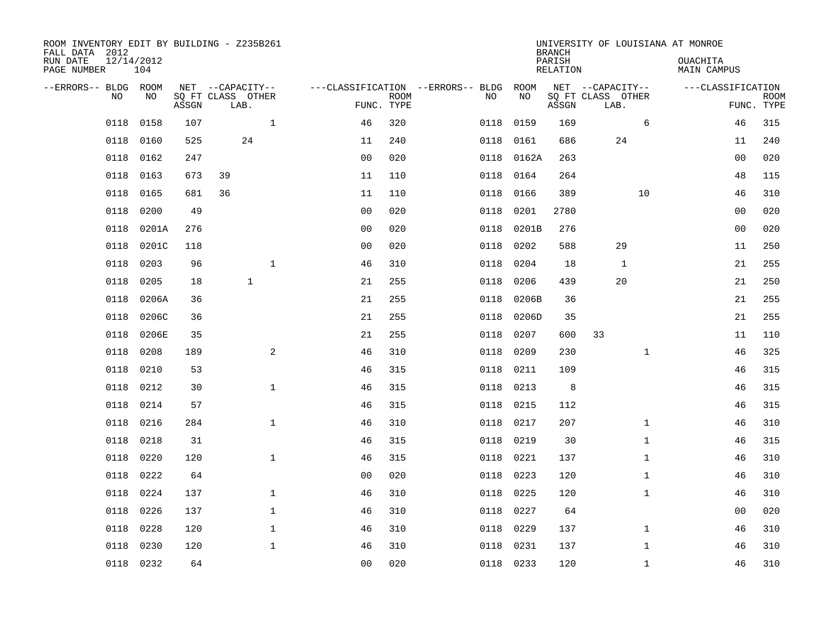| ROOM INVENTORY EDIT BY BUILDING - Z235B261<br>FALL DATA 2012 |                   |       |                           |                |                                        |             |           |       | <b>BRANCH</b>      |                           |              | UNIVERSITY OF LOUISIANA AT MONROE |                           |
|--------------------------------------------------------------|-------------------|-------|---------------------------|----------------|----------------------------------------|-------------|-----------|-------|--------------------|---------------------------|--------------|-----------------------------------|---------------------------|
| RUN DATE<br>PAGE NUMBER                                      | 12/14/2012<br>104 |       |                           |                |                                        |             |           |       | PARISH<br>RELATION |                           |              | <b>OUACHITA</b><br>MAIN CAMPUS    |                           |
| --ERRORS-- BLDG ROOM                                         |                   |       | NET --CAPACITY--          |                | ---CLASSIFICATION --ERRORS-- BLDG ROOM |             |           |       |                    | NET --CAPACITY--          |              | ---CLASSIFICATION                 |                           |
| NO.                                                          | NO.               | ASSGN | SQ FT CLASS OTHER<br>LAB. |                | FUNC. TYPE                             | <b>ROOM</b> | NO.       | NO    | ASSGN              | SQ FT CLASS OTHER<br>LAB. |              |                                   | <b>ROOM</b><br>FUNC. TYPE |
| 0118                                                         | 0158              | 107   |                           | $\mathbf{1}$   | 46                                     | 320         | 0118      | 0159  | 169                |                           | 6            | 46                                | 315                       |
| 0118                                                         | 0160              | 525   | 24                        |                | 11                                     | 240         | 0118      | 0161  | 686                | 24                        |              | 11                                | 240                       |
| 0118                                                         | 0162              | 247   |                           |                | 0 <sub>0</sub>                         | 020         | 0118      | 0162A | 263                |                           |              | 0 <sub>0</sub>                    | 020                       |
| 0118                                                         | 0163              | 673   | 39                        |                | 11                                     | 110         | 0118 0164 |       | 264                |                           |              | 48                                | 115                       |
| 0118                                                         | 0165              | 681   | 36                        |                | 11                                     | 110         | 0118      | 0166  | 389                |                           | 10           | 46                                | 310                       |
| 0118                                                         | 0200              | 49    |                           |                | 0 <sub>0</sub>                         | 020         | 0118      | 0201  | 2780               |                           |              | 00                                | 020                       |
| 0118                                                         | 0201A             | 276   |                           |                | 0 <sub>0</sub>                         | 020         | 0118      | 0201B | 276                |                           |              | 0 <sub>0</sub>                    | 020                       |
| 0118                                                         | 0201C             | 118   |                           |                | 0 <sub>0</sub>                         | 020         | 0118      | 0202  | 588                | 29                        |              | 11                                | 250                       |
| 0118                                                         | 0203              | 96    |                           | $\mathbf{1}$   | 46                                     | 310         | 0118      | 0204  | 18                 | $\mathbf{1}$              |              | 21                                | 255                       |
| 0118                                                         | 0205              | 18    | $\mathbf{1}$              |                | 21                                     | 255         | 0118      | 0206  | 439                | 20                        |              | 21                                | 250                       |
| 0118                                                         | 0206A             | 36    |                           |                | 21                                     | 255         | 0118      | 0206B | 36                 |                           |              | 21                                | 255                       |
| 0118                                                         | 0206C             | 36    |                           |                | 21                                     | 255         | 0118      | 0206D | 35                 |                           |              | 21                                | 255                       |
| 0118                                                         | 0206E             | 35    |                           |                | 21                                     | 255         | 0118      | 0207  | 600                | 33                        |              | 11                                | 110                       |
| 0118                                                         | 0208              | 189   |                           | $\overline{a}$ | 46                                     | 310         | 0118      | 0209  | 230                |                           | $\mathbf{1}$ | 46                                | 325                       |
| 0118                                                         | 0210              | 53    |                           |                | 46                                     | 315         | 0118      | 0211  | 109                |                           |              | 46                                | 315                       |
| 0118                                                         | 0212              | 30    |                           | $\mathbf{1}$   | 46                                     | 315         | 0118      | 0213  | 8                  |                           |              | 46                                | 315                       |
| 0118                                                         | 0214              | 57    |                           |                | 46                                     | 315         | 0118      | 0215  | 112                |                           |              | 46                                | 315                       |
| 0118                                                         | 0216              | 284   |                           | $\mathbf{1}$   | 46                                     | 310         | 0118      | 0217  | 207                |                           | $\mathbf{1}$ | 46                                | 310                       |
| 0118                                                         | 0218              | 31    |                           |                | 46                                     | 315         | 0118 0219 |       | 30                 |                           | $\mathbf{1}$ | 46                                | 315                       |
| 0118                                                         | 0220              | 120   |                           | $\mathbf{1}$   | 46                                     | 315         | 0118      | 0221  | 137                |                           | $\mathbf{1}$ | 46                                | 310                       |
| 0118                                                         | 0222              | 64    |                           |                | 00                                     | 020         | 0118 0223 |       | 120                |                           | $\mathbf{1}$ | 46                                | 310                       |
| 0118                                                         | 0224              | 137   |                           | $\mathbf{1}$   | 46                                     | 310         | 0118      | 0225  | 120                |                           | $\mathbf{1}$ | 46                                | 310                       |
| 0118                                                         | 0226              | 137   |                           | $\mathbf 1$    | 46                                     | 310         | 0118 0227 |       | 64                 |                           |              | 00                                | 020                       |
| 0118                                                         | 0228              | 120   |                           | $\mathbf 1$    | 46                                     | 310         | 0118      | 0229  | 137                |                           | $\mathbf{1}$ | 46                                | 310                       |
| 0118                                                         | 0230              | 120   |                           | $\mathbf{1}$   | 46                                     | 310         | 0118      | 0231  | 137                |                           | $\mathbf{1}$ | 46                                | 310                       |
|                                                              | 0118 0232         | 64    |                           |                | 0 <sub>0</sub>                         | 020         | 0118 0233 |       | 120                |                           | $\mathbf{1}$ | 46                                | 310                       |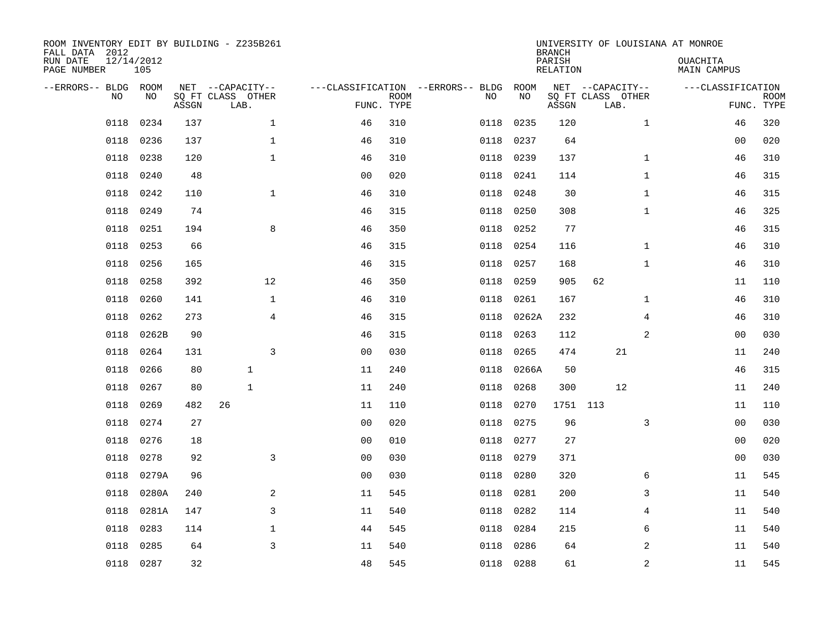| ROOM INVENTORY EDIT BY BUILDING - Z235B261<br>FALL DATA 2012<br>RUN DATE<br>PAGE NUMBER | 12/14/2012<br>105 |       |                                               |                |                           |                                         |            | <b>BRANCH</b><br>PARISH<br><b>RELATION</b> | UNIVERSITY OF LOUISIANA AT MONROE             | OUACHITA<br><b>MAIN CAMPUS</b> |                           |
|-----------------------------------------------------------------------------------------|-------------------|-------|-----------------------------------------------|----------------|---------------------------|-----------------------------------------|------------|--------------------------------------------|-----------------------------------------------|--------------------------------|---------------------------|
| --ERRORS-- BLDG ROOM<br>NO.                                                             | NO                | ASSGN | NET --CAPACITY--<br>SQ FT CLASS OTHER<br>LAB. |                | <b>ROOM</b><br>FUNC. TYPE | ---CLASSIFICATION --ERRORS-- BLDG<br>NO | ROOM<br>NO | ASSGN                                      | NET --CAPACITY--<br>SQ FT CLASS OTHER<br>LAB. | ---CLASSIFICATION              | <b>ROOM</b><br>FUNC. TYPE |
| 0118                                                                                    | 0234              | 137   | $\mathbf{1}$                                  | 46             | 310                       | 0118                                    | 0235       | 120                                        | $\mathbf{1}$                                  | 46                             | 320                       |
| 0118                                                                                    | 0236              | 137   | $\mathbf 1$                                   | 46             | 310                       | 0118                                    | 0237       | 64                                         |                                               | 00                             | 020                       |
| 0118                                                                                    | 0238              | 120   | $\mathbf{1}$                                  | 46             | 310                       | 0118                                    | 0239       | 137                                        | $\mathbf{1}$                                  | 46                             | 310                       |
| 0118                                                                                    | 0240              | 48    |                                               | 0 <sub>0</sub> | 020                       | 0118                                    | 0241       | 114                                        | $\mathbf{1}$                                  | 46                             | 315                       |
| 0118                                                                                    | 0242              | 110   | $\mathbf{1}$                                  | 46             | 310                       | 0118                                    | 0248       | 30                                         | $\mathbf{1}$                                  | 46                             | 315                       |
| 0118                                                                                    | 0249              | 74    |                                               | 46             | 315                       | 0118                                    | 0250       | 308                                        | $\mathbf{1}$                                  | 46                             | 325                       |
| 0118                                                                                    | 0251              | 194   | 8                                             | 46             | 350                       | 0118                                    | 0252       | 77                                         |                                               | 46                             | 315                       |
| 0118                                                                                    | 0253              | 66    |                                               | 46             | 315                       | 0118                                    | 0254       | 116                                        | $\mathbf{1}$                                  | 46                             | 310                       |
| 0118                                                                                    | 0256              | 165   |                                               | 46             | 315                       | 0118                                    | 0257       | 168                                        | $\mathbf{1}$                                  | 46                             | 310                       |
| 0118                                                                                    | 0258              | 392   | 12                                            | 46             | 350                       | 0118                                    | 0259       | 905                                        | 62                                            | 11                             | 110                       |
| 0118                                                                                    | 0260              | 141   | $\mathbf{1}$                                  | 46             | 310                       | 0118                                    | 0261       | 167                                        | $\mathbf{1}$                                  | 46                             | 310                       |
| 0118                                                                                    | 0262              | 273   | $\overline{4}$                                | 46             | 315                       | 0118                                    | 0262A      | 232                                        | 4                                             | 46                             | 310                       |
| 0118                                                                                    | 0262B             | 90    |                                               | 46             | 315                       | 0118                                    | 0263       | 112                                        | 2                                             | 0 <sub>0</sub>                 | 030                       |
| 0118                                                                                    | 0264              | 131   | 3                                             | 0 <sub>0</sub> | 030                       | 0118                                    | 0265       | 474                                        | 21                                            | 11                             | 240                       |
| 0118                                                                                    | 0266              | 80    | $\mathbf{1}$                                  | 11             | 240                       | 0118                                    | 0266A      | 50                                         |                                               | 46                             | 315                       |
| 0118                                                                                    | 0267              | 80    | $\mathbf{1}$                                  | 11             | 240                       | 0118                                    | 0268       | 300                                        | 12                                            | 11                             | 240                       |
| 0118                                                                                    | 0269              | 482   | 26                                            | 11             | 110                       | 0118                                    | 0270       |                                            | 1751 113                                      | 11                             | 110                       |
| 0118                                                                                    | 0274              | 27    |                                               | 0 <sub>0</sub> | 020                       | 0118                                    | 0275       | 96                                         | 3                                             | 0 <sub>0</sub>                 | 030                       |
| 0118                                                                                    | 0276              | 18    |                                               | 0 <sub>0</sub> | 010                       | 0118                                    | 0277       | 27                                         |                                               | 0 <sub>0</sub>                 | 020                       |
| 0118                                                                                    | 0278              | 92    | 3                                             | 00             | 030                       | 0118                                    | 0279       | 371                                        |                                               | 0 <sub>0</sub>                 | 030                       |
| 0118                                                                                    | 0279A             | 96    |                                               | 0 <sub>0</sub> | 030                       | 0118                                    | 0280       | 320                                        | 6                                             | 11                             | 545                       |
| 0118                                                                                    | 0280A             | 240   | 2                                             | 11             | 545                       | 0118                                    | 0281       | 200                                        | 3                                             | 11                             | 540                       |
| 0118                                                                                    | 0281A             | 147   | 3                                             | 11             | 540                       | 0118                                    | 0282       | 114                                        | 4                                             | 11                             | 540                       |
| 0118                                                                                    | 0283              | 114   | $\mathbf 1$                                   | 44             | 545                       | 0118                                    | 0284       | 215                                        | 6                                             | 11                             | 540                       |
| 0118                                                                                    | 0285              | 64    | 3                                             | 11             | 540                       | 0118                                    | 0286       | 64                                         | 2                                             | 11                             | 540                       |
| 0118                                                                                    | 0287              | 32    |                                               | 48             | 545                       |                                         | 0118 0288  | 61                                         | 2                                             | 11                             | 545                       |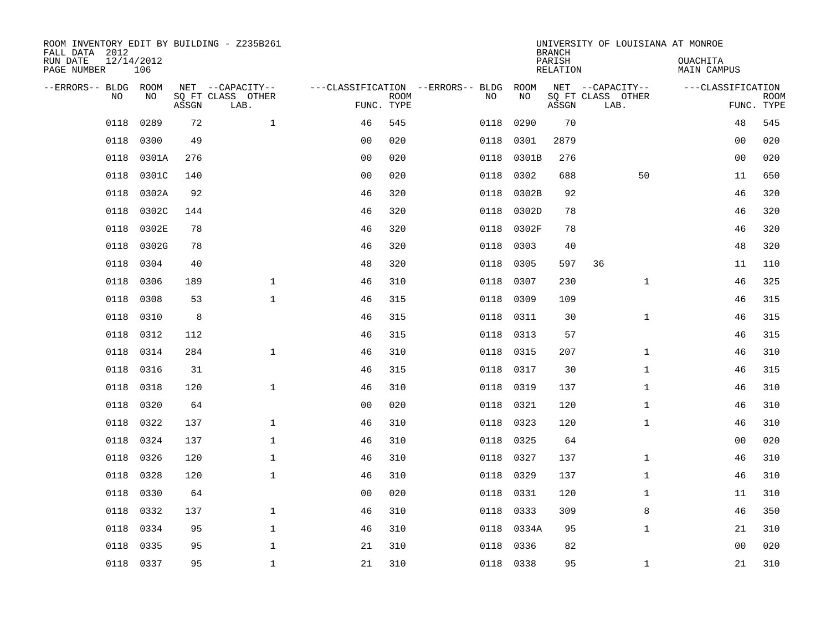| ROOM INVENTORY EDIT BY BUILDING - Z235B261<br>FALL DATA 2012 |                   |       |                           |                |             |                                        |           | <b>BRANCH</b>      | UNIVERSITY OF LOUISIANA AT MONROE |                                |             |
|--------------------------------------------------------------|-------------------|-------|---------------------------|----------------|-------------|----------------------------------------|-----------|--------------------|-----------------------------------|--------------------------------|-------------|
| RUN DATE<br>PAGE NUMBER                                      | 12/14/2012<br>106 |       |                           |                |             |                                        |           | PARISH<br>RELATION |                                   | <b>OUACHITA</b><br>MAIN CAMPUS |             |
| --ERRORS-- BLDG ROOM                                         |                   |       | NET --CAPACITY--          |                |             | ---CLASSIFICATION --ERRORS-- BLDG ROOM |           |                    | NET --CAPACITY--                  | ---CLASSIFICATION              |             |
| NO                                                           | NO                | ASSGN | SQ FT CLASS OTHER<br>LAB. | FUNC. TYPE     | <b>ROOM</b> | NO                                     | NO        | ASSGN              | SQ FT CLASS OTHER<br>LAB.         | FUNC. TYPE                     | <b>ROOM</b> |
| 0118                                                         | 0289              | 72    | $\mathbf{1}$              | 46             | 545         | 0118                                   | 0290      | 70                 |                                   | 48                             | 545         |
| 0118                                                         | 0300              | 49    |                           | 0 <sub>0</sub> | 020         | 0118                                   | 0301      | 2879               |                                   | 00                             | 020         |
| 0118                                                         | 0301A             | 276   |                           | 0 <sub>0</sub> | 020         | 0118                                   | 0301B     | 276                |                                   | 0 <sub>0</sub>                 | 020         |
| 0118                                                         | 0301C             | 140   |                           | 0 <sub>0</sub> | 020         | 0118                                   | 0302      | 688                | 50                                | 11                             | 650         |
| 0118                                                         | 0302A             | 92    |                           | 46             | 320         | 0118                                   | 0302B     | 92                 |                                   | 46                             | 320         |
| 0118                                                         | 0302C             | 144   |                           | 46             | 320         | 0118                                   | 0302D     | 78                 |                                   | 46                             | 320         |
| 0118                                                         | 0302E             | 78    |                           | 46             | 320         | 0118                                   | 0302F     | 78                 |                                   | 46                             | 320         |
| 0118                                                         | 0302G             | 78    |                           | 46             | 320         | 0118                                   | 0303      | 40                 |                                   | 48                             | 320         |
| 0118                                                         | 0304              | 40    |                           | 48             | 320         | 0118                                   | 0305      | 597                | 36                                | 11                             | 110         |
| 0118                                                         | 0306              | 189   | $\mathbf{1}$              | 46             | 310         | 0118                                   | 0307      | 230                | $\mathbf{1}$                      | 46                             | 325         |
| 0118                                                         | 0308              | 53    | $\mathbf{1}$              | 46             | 315         | 0118                                   | 0309      | 109                |                                   | 46                             | 315         |
| 0118                                                         | 0310              | 8     |                           | 46             | 315         | 0118                                   | 0311      | 30                 | $\mathbf{1}$                      | 46                             | 315         |
| 0118                                                         | 0312              | 112   |                           | 46             | 315         | 0118                                   | 0313      | 57                 |                                   | 46                             | 315         |
| 0118                                                         | 0314              | 284   | $\mathbf{1}$              | 46             | 310         | 0118                                   | 0315      | 207                | $\mathbf{1}$                      | 46                             | 310         |
| 0118                                                         | 0316              | 31    |                           | 46             | 315         | 0118                                   | 0317      | 30                 | $\mathbf{1}$                      | 46                             | 315         |
| 0118                                                         | 0318              | 120   | $\mathbf 1$               | 46             | 310         | 0118                                   | 0319      | 137                | $\mathbf{1}$                      | 46                             | 310         |
| 0118                                                         | 0320              | 64    |                           | 0 <sub>0</sub> | 020         |                                        | 0118 0321 | 120                | $\mathbf{1}$                      | 46                             | 310         |
| 0118                                                         | 0322              | 137   | $\mathbf{1}$              | 46             | 310         | 0118                                   | 0323      | 120                | $\mathbf{1}$                      | 46                             | 310         |
| 0118                                                         | 0324              | 137   | $\mathbf{1}$              | 46             | 310         |                                        | 0118 0325 | 64                 |                                   | 0 <sub>0</sub>                 | 020         |
| 0118                                                         | 0326              | 120   | $\mathbf 1$               | 46             | 310         | 0118                                   | 0327      | 137                | $\mathbf{1}$                      | 46                             | 310         |
| 0118                                                         | 0328              | 120   | $\mathbf{1}$              | 46             | 310         |                                        | 0118 0329 | 137                | $\mathbf{1}$                      | 46                             | 310         |
| 0118                                                         | 0330              | 64    |                           | 0 <sub>0</sub> | 020         | 0118                                   | 0331      | 120                | $\mathbf{1}$                      | 11                             | 310         |
| 0118                                                         | 0332              | 137   | $\mathbf{1}$              | 46             | 310         |                                        | 0118 0333 | 309                | 8                                 | 46                             | 350         |
| 0118                                                         | 0334              | 95    | $\mathbf{1}$              | 46             | 310         | 0118                                   | 0334A     | 95                 | $\mathbf{1}$                      | 21                             | 310         |
| 0118                                                         | 0335              | 95    | $\mathbf{1}$              | 21             | 310         | 0118                                   | 0336      | 82                 |                                   | 0 <sub>0</sub>                 | 020         |
|                                                              | 0118 0337         | 95    | $\mathbf{1}$              | 21             | 310         |                                        | 0118 0338 | 95                 | $\mathbf{1}$                      | 21                             | 310         |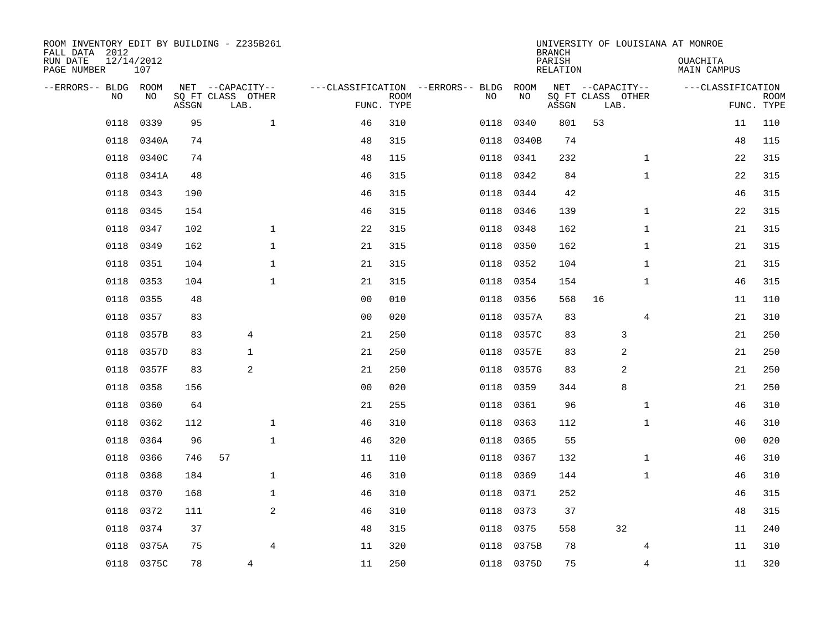| ROOM INVENTORY EDIT BY BUILDING - Z235B261<br>FALL DATA 2012<br>RUN DATE<br>PAGE NUMBER | 12/14/2012<br>107 |       |                                               |                |                |                           |                                   |      |            | <b>BRANCH</b><br>PARISH<br><b>RELATION</b> |                                               |                | UNIVERSITY OF LOUISIANA AT MONROE<br>OUACHITA<br><b>MAIN CAMPUS</b> |                           |
|-----------------------------------------------------------------------------------------|-------------------|-------|-----------------------------------------------|----------------|----------------|---------------------------|-----------------------------------|------|------------|--------------------------------------------|-----------------------------------------------|----------------|---------------------------------------------------------------------|---------------------------|
| --ERRORS-- BLDG ROOM<br>NO                                                              | NO                | ASSGN | NET --CAPACITY--<br>SQ FT CLASS OTHER<br>LAB. |                |                | <b>ROOM</b><br>FUNC. TYPE | ---CLASSIFICATION --ERRORS-- BLDG | NO   | ROOM<br>NO | ASSGN                                      | NET --CAPACITY--<br>SQ FT CLASS OTHER<br>LAB. |                | ---CLASSIFICATION                                                   | <b>ROOM</b><br>FUNC. TYPE |
| 0118                                                                                    | 0339              | 95    |                                               | $\mathbf{1}$   | 46             | 310                       |                                   | 0118 | 0340       | 801                                        | 53                                            |                | 11                                                                  | 110                       |
| 0118                                                                                    | 0340A             | 74    |                                               |                | 48             | 315                       |                                   | 0118 | 0340B      | 74                                         |                                               |                | 48                                                                  | 115                       |
| 0118                                                                                    | 0340C             | 74    |                                               |                | 48             | 115                       |                                   | 0118 | 0341       | 232                                        |                                               | $\mathbf{1}$   | 22                                                                  | 315                       |
| 0118                                                                                    | 0341A             | 48    |                                               |                | 46             | 315                       |                                   | 0118 | 0342       | 84                                         |                                               | $\mathbf{1}$   | 22                                                                  | 315                       |
| 0118                                                                                    | 0343              | 190   |                                               |                | 46             | 315                       |                                   | 0118 | 0344       | 42                                         |                                               |                | 46                                                                  | 315                       |
| 0118                                                                                    | 0345              | 154   |                                               |                | 46             | 315                       |                                   | 0118 | 0346       | 139                                        |                                               | $\mathbf{1}$   | 22                                                                  | 315                       |
| 0118                                                                                    | 0347              | 102   |                                               | $\mathbf{1}$   | 22             | 315                       |                                   | 0118 | 0348       | 162                                        |                                               | $\mathbf{1}$   | 21                                                                  | 315                       |
| 0118                                                                                    | 0349              | 162   |                                               | $\mathbf{1}$   | 21             | 315                       |                                   | 0118 | 0350       | 162                                        |                                               | $\mathbf{1}$   | 21                                                                  | 315                       |
| 0118                                                                                    | 0351              | 104   |                                               | $\mathbf{1}$   | 21             | 315                       |                                   | 0118 | 0352       | 104                                        |                                               | $\mathbf{1}$   | 21                                                                  | 315                       |
| 0118                                                                                    | 0353              | 104   |                                               | $\mathbf{1}$   | 21             | 315                       |                                   | 0118 | 0354       | 154                                        |                                               | $\mathbf{1}$   | 46                                                                  | 315                       |
| 0118                                                                                    | 0355              | 48    |                                               |                | 0 <sub>0</sub> | 010                       |                                   | 0118 | 0356       | 568                                        | 16                                            |                | 11                                                                  | 110                       |
| 0118                                                                                    | 0357              | 83    |                                               |                | 0 <sub>0</sub> | 020                       |                                   | 0118 | 0357A      | 83                                         |                                               | $\overline{4}$ | 21                                                                  | 310                       |
| 0118                                                                                    | 0357B             | 83    | 4                                             |                | 21             | 250                       |                                   | 0118 | 0357C      | 83                                         | 3                                             |                | 21                                                                  | 250                       |
| 0118                                                                                    | 0357D             | 83    | $\mathbf{1}$                                  |                | 21             | 250                       |                                   | 0118 | 0357E      | 83                                         | $\overline{a}$                                |                | 21                                                                  | 250                       |
| 0118                                                                                    | 0357F             | 83    | 2                                             |                | 21             | 250                       |                                   | 0118 | 0357G      | 83                                         | 2                                             |                | 21                                                                  | 250                       |
| 0118                                                                                    | 0358              | 156   |                                               |                | 0 <sub>0</sub> | 020                       |                                   | 0118 | 0359       | 344                                        | 8                                             |                | 21                                                                  | 250                       |
| 0118                                                                                    | 0360              | 64    |                                               |                | 21             | 255                       |                                   | 0118 | 0361       | 96                                         |                                               | $\mathbf{1}$   | 46                                                                  | 310                       |
| 0118                                                                                    | 0362              | 112   |                                               | $\mathbf{1}$   | 46             | 310                       |                                   | 0118 | 0363       | 112                                        |                                               | $\mathbf{1}$   | 46                                                                  | 310                       |
| 0118                                                                                    | 0364              | 96    |                                               | $\mathbf{1}$   | 46             | 320                       |                                   | 0118 | 0365       | 55                                         |                                               |                | 0 <sub>0</sub>                                                      | 020                       |
| 0118                                                                                    | 0366              | 746   | 57                                            |                | 11             | 110                       |                                   | 0118 | 0367       | 132                                        |                                               | $\mathbf{1}$   | 46                                                                  | 310                       |
| 0118                                                                                    | 0368              | 184   |                                               | $\mathbf 1$    | 46             | 310                       |                                   | 0118 | 0369       | 144                                        |                                               | $\mathbf{1}$   | 46                                                                  | 310                       |
| 0118                                                                                    | 0370              | 168   |                                               | $\mathbf 1$    | 46             | 310                       |                                   | 0118 | 0371       | 252                                        |                                               |                | 46                                                                  | 315                       |
| 0118                                                                                    | 0372              | 111   |                                               | 2              | 46             | 310                       |                                   | 0118 | 0373       | 37                                         |                                               |                | 48                                                                  | 315                       |
| 0118                                                                                    | 0374              | 37    |                                               |                | 48             | 315                       |                                   | 0118 | 0375       | 558                                        | 32                                            |                | 11                                                                  | 240                       |
| 0118                                                                                    | 0375A             | 75    |                                               | $\overline{4}$ | 11             | 320                       |                                   | 0118 | 0375B      | 78                                         |                                               | 4              | 11                                                                  | 310                       |
|                                                                                         | 0118 0375C        | 78    | 4                                             |                | 11             | 250                       |                                   |      | 0118 0375D | 75                                         |                                               | 4              | 11                                                                  | 320                       |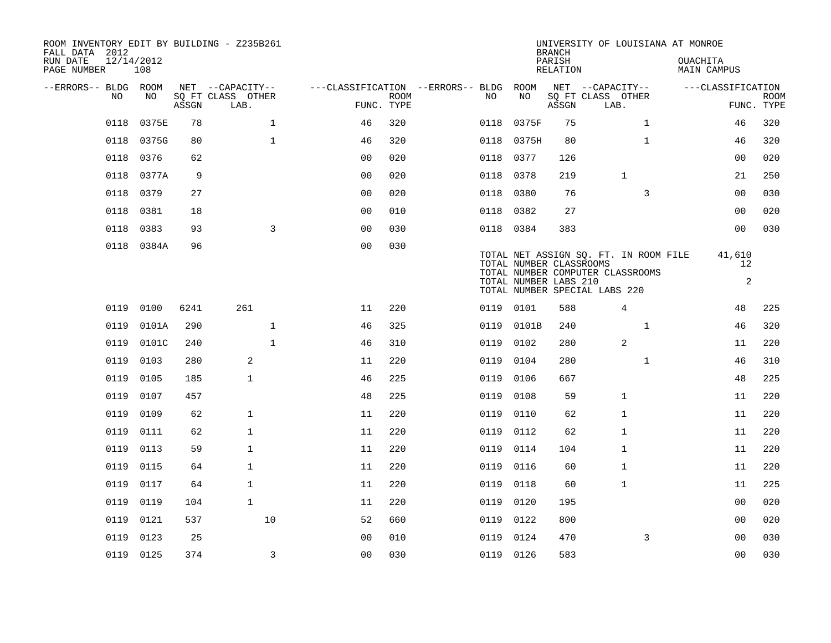| FALL DATA 2012          |      |                   |       | ROOM INVENTORY EDIT BY BUILDING - Z235B261 |                                        |             |           |       | <b>BRANCH</b>                                                                     | UNIVERSITY OF LOUISIANA AT MONROE                                         |                                |                           |
|-------------------------|------|-------------------|-------|--------------------------------------------|----------------------------------------|-------------|-----------|-------|-----------------------------------------------------------------------------------|---------------------------------------------------------------------------|--------------------------------|---------------------------|
| RUN DATE<br>PAGE NUMBER |      | 12/14/2012<br>108 |       |                                            |                                        |             |           |       | PARISH<br><b>RELATION</b>                                                         |                                                                           | OUACHITA<br>MAIN CAMPUS        |                           |
| --ERRORS-- BLDG ROOM    |      |                   |       | NET --CAPACITY--                           | ---CLASSIFICATION --ERRORS-- BLDG ROOM |             |           |       |                                                                                   | NET --CAPACITY--                                                          | ---CLASSIFICATION              |                           |
|                         | NO   | NO                | ASSGN | SQ FT CLASS OTHER<br>LAB.                  | FUNC. TYPE                             | <b>ROOM</b> | NO.       | NO    | ASSGN                                                                             | SQ FT CLASS OTHER<br>LAB.                                                 |                                | <b>ROOM</b><br>FUNC. TYPE |
|                         | 0118 | 0375E             | 78    | $\mathbf{1}$                               | 46                                     | 320         | 0118      | 0375F | 75                                                                                | $\mathbf{1}$                                                              | 46                             | 320                       |
|                         | 0118 | 0375G             | 80    | $\mathbf{1}$                               | 46                                     | 320         | 0118      | 0375H | 80                                                                                | $\mathbf{1}$                                                              | 46                             | 320                       |
|                         | 0118 | 0376              | 62    |                                            | 0 <sub>0</sub>                         | 020         | 0118 0377 |       | 126                                                                               |                                                                           | 00                             | 020                       |
|                         | 0118 | 0377A             | 9     |                                            | 0 <sub>0</sub>                         | 020         | 0118      | 0378  | 219                                                                               | $\mathbf{1}$                                                              | 21                             | 250                       |
|                         | 0118 | 0379              | 27    |                                            | 0 <sub>0</sub>                         | 020         | 0118      | 0380  | 76                                                                                | 3                                                                         | 00                             | 030                       |
|                         | 0118 | 0381              | 18    |                                            | 0 <sub>0</sub>                         | 010         | 0118      | 0382  | 27                                                                                |                                                                           | 0 <sub>0</sub>                 | 020                       |
|                         | 0118 | 0383              | 93    | 3                                          | 0 <sub>0</sub>                         | 030         | 0118 0384 |       | 383                                                                               |                                                                           | 00                             | 030                       |
|                         |      | 0118 0384A        | 96    |                                            | 0 <sub>0</sub>                         | 030         |           |       | TOTAL NUMBER CLASSROOMS<br>TOTAL NUMBER LABS 210<br>TOTAL NUMBER SPECIAL LABS 220 | TOTAL NET ASSIGN SO. FT. IN ROOM FILE<br>TOTAL NUMBER COMPUTER CLASSROOMS | 41,610<br>12<br>$\overline{a}$ |                           |
|                         | 0119 | 0100              | 6241  | 261                                        | 11                                     | 220         | 0119 0101 |       | 588                                                                               | $\overline{4}$                                                            | 48                             | 225                       |
|                         | 0119 | 0101A             | 290   | $\mathbf{1}$                               | 46                                     | 325         | 0119      | 0101B | 240                                                                               | $\mathbf{1}$                                                              | 46                             | 320                       |
|                         | 0119 | 0101C             | 240   | $\mathbf{1}$                               | 46                                     | 310         | 0119      | 0102  | 280                                                                               | 2                                                                         | 11                             | 220                       |
|                         | 0119 | 0103              | 280   | 2                                          | 11                                     | 220         | 0119      | 0104  | 280                                                                               | $\mathbf{1}$                                                              | 46                             | 310                       |
|                         | 0119 | 0105              | 185   | $\mathbf{1}$                               | 46                                     | 225         | 0119      | 0106  | 667                                                                               |                                                                           | 48                             | 225                       |
|                         | 0119 | 0107              | 457   |                                            | 48                                     | 225         | 0119      | 0108  | 59                                                                                | $\mathbf{1}$                                                              | 11                             | 220                       |
|                         | 0119 | 0109              | 62    | $\mathbf{1}$                               | 11                                     | 220         | 0119      | 0110  | 62                                                                                | $\mathbf{1}$                                                              | 11                             | 220                       |
|                         | 0119 | 0111              | 62    | $\mathbf 1$                                | 11                                     | 220         | 0119      | 0112  | 62                                                                                | 1                                                                         | 11                             | 220                       |
|                         | 0119 | 0113              | 59    | $\mathbf{1}$                               | 11                                     | 220         | 0119      | 0114  | 104                                                                               | 1                                                                         | 11                             | 220                       |
|                         | 0119 | 0115              | 64    | $\mathbf 1$                                | 11                                     | 220         | 0119 0116 |       | 60                                                                                | $\mathbf{1}$                                                              | 11                             | 220                       |
|                         | 0119 | 0117              | 64    | $\mathbf{1}$                               | 11                                     | 220         | 0119      | 0118  | 60                                                                                | $\mathbf 1$                                                               | 11                             | 225                       |
|                         | 0119 | 0119              | 104   | $\mathbf{1}$                               | 11                                     | 220         | 0119      | 0120  | 195                                                                               |                                                                           | 0 <sub>0</sub>                 | 020                       |
|                         | 0119 | 0121              | 537   | 10                                         | 52                                     | 660         | 0119      | 0122  | 800                                                                               |                                                                           | 00                             | 020                       |
|                         | 0119 | 0123              | 25    |                                            | 0 <sub>0</sub>                         | 010         | 0119      | 0124  | 470                                                                               | 3                                                                         | 0 <sub>0</sub>                 | 030                       |
|                         |      | 0119 0125         | 374   | 3                                          | 0 <sub>0</sub>                         | 030         | 0119 0126 |       | 583                                                                               |                                                                           | 0 <sub>0</sub>                 | 030                       |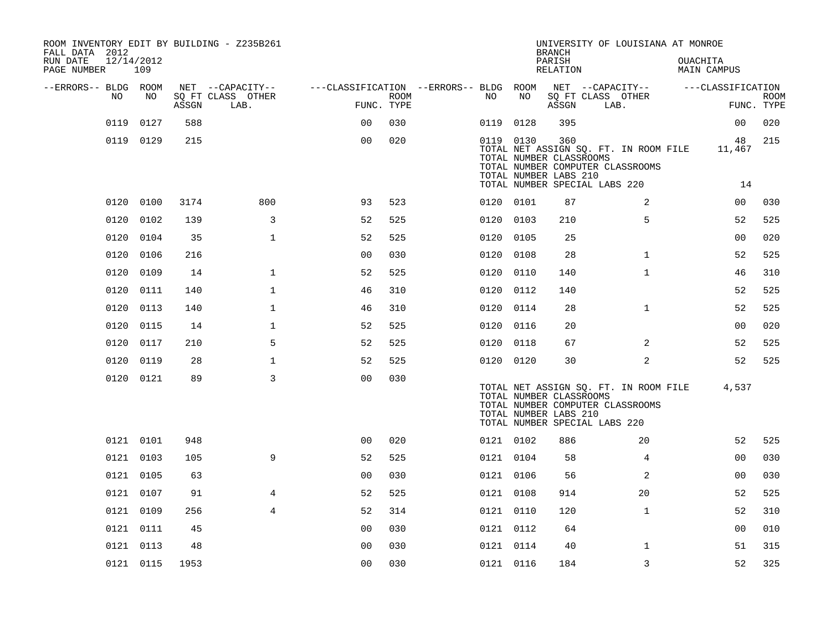| ROOM INVENTORY EDIT BY BUILDING - Z235B261<br>FALL DATA 2012 |                   |           |                           |                                        |            |                        |                                                               | <b>BRANCH</b>      | UNIVERSITY OF LOUISIANA AT MONROE                                                                          |                                |                           |
|--------------------------------------------------------------|-------------------|-----------|---------------------------|----------------------------------------|------------|------------------------|---------------------------------------------------------------|--------------------|------------------------------------------------------------------------------------------------------------|--------------------------------|---------------------------|
| RUN DATE<br>PAGE NUMBER                                      | 12/14/2012<br>109 |           |                           |                                        |            |                        |                                                               | PARISH<br>RELATION |                                                                                                            | <b>OUACHITA</b><br>MAIN CAMPUS |                           |
| --ERRORS-- BLDG ROOM                                         | NO.               |           | NET --CAPACITY--          | ---CLASSIFICATION --ERRORS-- BLDG ROOM |            |                        | NO                                                            |                    | NET --CAPACITY--                                                                                           | ---CLASSIFICATION              |                           |
| NO.                                                          |                   | ASSGN     | SO FT CLASS OTHER<br>LAB. | FUNC. TYPE                             | ROOM       | NO.                    |                                                               | ASSGN              | SQ FT CLASS OTHER<br>LAB.                                                                                  |                                | <b>ROOM</b><br>FUNC. TYPE |
| 0119                                                         | 0127              | 588       |                           | 0 <sup>0</sup>                         | 030        | 0119 0128              |                                                               | 395                |                                                                                                            | 00                             | 020                       |
|                                                              | 0119 0129         | 215       |                           | 0 <sub>0</sub>                         | 020        |                        | 0119 0130<br>TOTAL NUMBER CLASSROOMS<br>TOTAL NUMBER LABS 210 | 360                | TOTAL NET ASSIGN SQ. FT. IN ROOM FILE<br>TOTAL NUMBER COMPUTER CLASSROOMS<br>TOTAL NUMBER SPECIAL LABS 220 | 48<br>11,467<br>14             | 215                       |
|                                                              |                   |           |                           |                                        |            |                        |                                                               |                    |                                                                                                            |                                |                           |
|                                                              | 0120 0100<br>0102 | 3174      | 800                       | 93                                     | 523        | 0120 0101              |                                                               | 87                 | 2<br>5                                                                                                     | 00<br>52                       | 030<br>525                |
| 0120<br>0120                                                 | 0104              | 139<br>35 | 3<br>$\mathbf{1}$         | 52<br>52                               | 525<br>525 | 0120 0103<br>0120 0105 |                                                               | 210<br>25          |                                                                                                            | 0 <sub>0</sub>                 | 020                       |
| 0120                                                         | 0106              | 216       |                           | 00                                     | 030        | 0120 0108              |                                                               | 28                 | $\mathbf{1}$                                                                                               | 52                             | 525                       |
| 0120                                                         | 0109              | 14        | $\mathbf{1}$              | 52                                     | 525        | 0120 0110              |                                                               | 140                | $\mathbf{1}$                                                                                               | 46                             | 310                       |
| 0120                                                         | 0111              | 140       | $\mathbf 1$               | 46                                     | 310        | 0120 0112              |                                                               | 140                |                                                                                                            | 52                             | 525                       |
| 0120                                                         | 0113              | 140       | $\mathbf{1}$              | 46                                     | 310        | 0120 0114              |                                                               | 28                 | $\mathbf{1}$                                                                                               | 52                             | 525                       |
|                                                              | 0120 0115         | 14        | $\mathbf{1}$              | 52                                     | 525        | 0120 0116              |                                                               | 20                 |                                                                                                            | 0 <sub>0</sub>                 | 020                       |
|                                                              | 0120 0117         | 210       | 5                         | 52                                     | 525        | 0120 0118              |                                                               | 67                 | $\overline{2}$                                                                                             | 52                             | 525                       |
|                                                              | 0120 0119         | 28        | $\mathbf{1}$              | 52                                     | 525        | 0120 0120              |                                                               | 30                 | $\overline{2}$                                                                                             | 52                             | 525                       |
|                                                              | 0120 0121         | 89        | 3                         | 0 <sub>0</sub>                         | 030        |                        | TOTAL NUMBER CLASSROOMS<br>TOTAL NUMBER LABS 210              |                    | TOTAL NET ASSIGN SQ. FT. IN ROOM FILE<br>TOTAL NUMBER COMPUTER CLASSROOMS<br>TOTAL NUMBER SPECIAL LABS 220 | 4,537                          |                           |
|                                                              | 0121 0101         | 948       |                           | 0 <sub>0</sub>                         | 020        | 0121 0102              |                                                               | 886                | 20                                                                                                         | 52                             | 525                       |
|                                                              | 0121 0103         | 105       | 9                         | 52                                     | 525        | 0121 0104              |                                                               | 58                 | 4                                                                                                          | 0 <sub>0</sub>                 | 030                       |
|                                                              | 0121 0105         | 63        |                           | 0 <sub>0</sub>                         | 030        | 0121 0106              |                                                               | 56                 | 2                                                                                                          | 0 <sub>0</sub>                 | 030                       |
|                                                              | 0121 0107         | 91        | 4                         | 52                                     | 525        | 0121 0108              |                                                               | 914                | 20                                                                                                         | 52                             | 525                       |
|                                                              | 0121 0109         | 256       | $\overline{4}$            | 52                                     | 314        | 0121 0110              |                                                               | 120                | $\mathbf{1}$                                                                                               | 52                             | 310                       |
|                                                              | 0121 0111         | 45        |                           | 0 <sub>0</sub>                         | 030        | 0121 0112              |                                                               | 64                 |                                                                                                            | 00                             | 010                       |
|                                                              | 0121 0113         | 48        |                           | 0 <sub>0</sub>                         | 030        | 0121 0114              |                                                               | 40                 | $\mathbf{1}$                                                                                               | 51                             | 315                       |
|                                                              | 0121 0115         | 1953      |                           | 0 <sub>0</sub>                         | 030        | 0121 0116              |                                                               | 184                | 3                                                                                                          | 52                             | 325                       |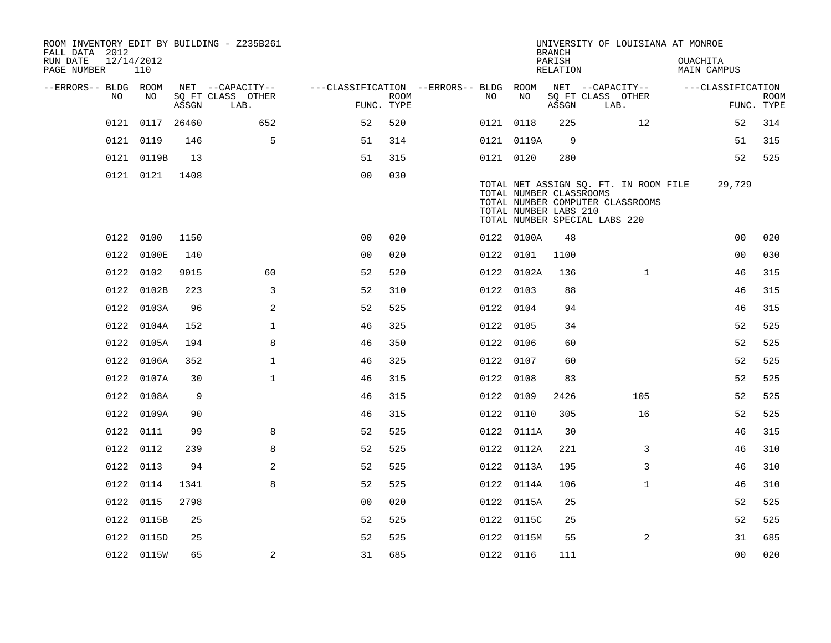| FALL DATA 2012          |            |                 |       | ROOM INVENTORY EDIT BY BUILDING - Z235B261    |                                                      |             |           |                                                  | <b>BRANCH</b>      | UNIVERSITY OF LOUISIANA AT MONROE                                                                          |                         |                           |
|-------------------------|------------|-----------------|-------|-----------------------------------------------|------------------------------------------------------|-------------|-----------|--------------------------------------------------|--------------------|------------------------------------------------------------------------------------------------------------|-------------------------|---------------------------|
| RUN DATE<br>PAGE NUMBER | 12/14/2012 | 110             |       |                                               |                                                      |             |           |                                                  | PARISH<br>RELATION |                                                                                                            | OUACHITA<br>MAIN CAMPUS |                           |
| --ERRORS-- BLDG ROOM    | NO.        | NO              | ASSGN | NET --CAPACITY--<br>SQ FT CLASS OTHER<br>LAB. | ---CLASSIFICATION --ERRORS-- BLDG ROOM<br>FUNC. TYPE | <b>ROOM</b> | NO .      | NO                                               | ASSGN              | NET --CAPACITY--<br>SQ FT CLASS OTHER<br>LAB.                                                              | ---CLASSIFICATION       | <b>ROOM</b><br>FUNC. TYPE |
|                         |            | 0121 0117 26460 |       | 652                                           | 52                                                   | 520         | 0121 0118 |                                                  | 225                | 12                                                                                                         | 52                      | 314                       |
|                         | 0121 0119  |                 | 146   | 5                                             | 51                                                   | 314         |           | 0121 0119A                                       | 9                  |                                                                                                            | 51                      | 315                       |
|                         |            | 0121 0119B      | 13    |                                               | 51                                                   | 315         | 0121 0120 |                                                  | 280                |                                                                                                            | 52                      | 525                       |
|                         |            | 0121 0121       | 1408  |                                               | 0 <sub>0</sub>                                       | 030         |           | TOTAL NUMBER CLASSROOMS<br>TOTAL NUMBER LABS 210 |                    | TOTAL NET ASSIGN SQ. FT. IN ROOM FILE<br>TOTAL NUMBER COMPUTER CLASSROOMS<br>TOTAL NUMBER SPECIAL LABS 220 | 29,729                  |                           |
|                         |            | 0122 0100       | 1150  |                                               | 0 <sub>0</sub>                                       | 020         |           | 0122 0100A                                       | 48                 |                                                                                                            | 0 <sub>0</sub>          | 020                       |
|                         |            | 0122 0100E      | 140   |                                               | 0 <sub>0</sub>                                       | 020         | 0122 0101 |                                                  | 1100               |                                                                                                            | 0 <sub>0</sub>          | 030                       |
|                         |            | 0122 0102       | 9015  | 60                                            | 52                                                   | 520         |           | 0122 0102A                                       | 136                | $\mathbf{1}$                                                                                               | 46                      | 315                       |
|                         |            | 0122 0102B      | 223   | 3                                             | 52                                                   | 310         | 0122 0103 |                                                  | 88                 |                                                                                                            | 46                      | 315                       |
|                         |            | 0122 0103A      | 96    | 2                                             | 52                                                   | 525         | 0122 0104 |                                                  | 94                 |                                                                                                            | 46                      | 315                       |
|                         |            | 0122 0104A      | 152   | $\mathbf 1$                                   | 46                                                   | 325         | 0122 0105 |                                                  | 34                 |                                                                                                            | 52                      | 525                       |
|                         | 0122       | 0105A           | 194   | 8                                             | 46                                                   | 350         | 0122 0106 |                                                  | 60                 |                                                                                                            | 52                      | 525                       |
|                         |            | 0122 0106A      | 352   | $\mathbf 1$                                   | 46                                                   | 325         | 0122 0107 |                                                  | 60                 |                                                                                                            | 52                      | 525                       |
|                         |            | 0122 0107A      | 30    | $\mathbf 1$                                   | 46                                                   | 315         | 0122 0108 |                                                  | 83                 |                                                                                                            | 52                      | 525                       |
|                         |            | 0122 0108A      | 9     |                                               | 46                                                   | 315         | 0122 0109 |                                                  | 2426               | 105                                                                                                        | 52                      | 525                       |
|                         |            | 0122 0109A      | 90    |                                               | 46                                                   | 315         | 0122 0110 |                                                  | 305                | 16                                                                                                         | 52                      | 525                       |
|                         |            | 0122 0111       | 99    | 8                                             | 52                                                   | 525         |           | 0122 0111A                                       | 30                 |                                                                                                            | 46                      | 315                       |
|                         | 0122 0112  |                 | 239   | 8                                             | 52                                                   | 525         |           | 0122 0112A                                       | 221                | 3                                                                                                          | 46                      | 310                       |
|                         | 0122 0113  |                 | 94    | 2                                             | 52                                                   | 525         |           | 0122 0113A                                       | 195                | 3                                                                                                          | 46                      | 310                       |
|                         | 0122 0114  |                 | 1341  | 8                                             | 52                                                   | 525         |           | 0122 0114A                                       | 106                | $\mathbf{1}$                                                                                               | 46                      | 310                       |
|                         | 0122 0115  |                 | 2798  |                                               | 0 <sub>0</sub>                                       | 020         |           | 0122 0115A                                       | 25                 |                                                                                                            | 52                      | 525                       |
|                         |            | 0122 0115B      | 25    |                                               | 52                                                   | 525         |           | 0122 0115C                                       | 25                 |                                                                                                            | 52                      | 525                       |
|                         |            | 0122 0115D      | 25    |                                               | 52                                                   | 525         |           | 0122 0115M                                       | 55                 | 2                                                                                                          | 31                      | 685                       |
|                         |            | 0122 0115W      | 65    | 2                                             | 31                                                   | 685         | 0122 0116 |                                                  | 111                |                                                                                                            | 0 <sub>0</sub>          | 020                       |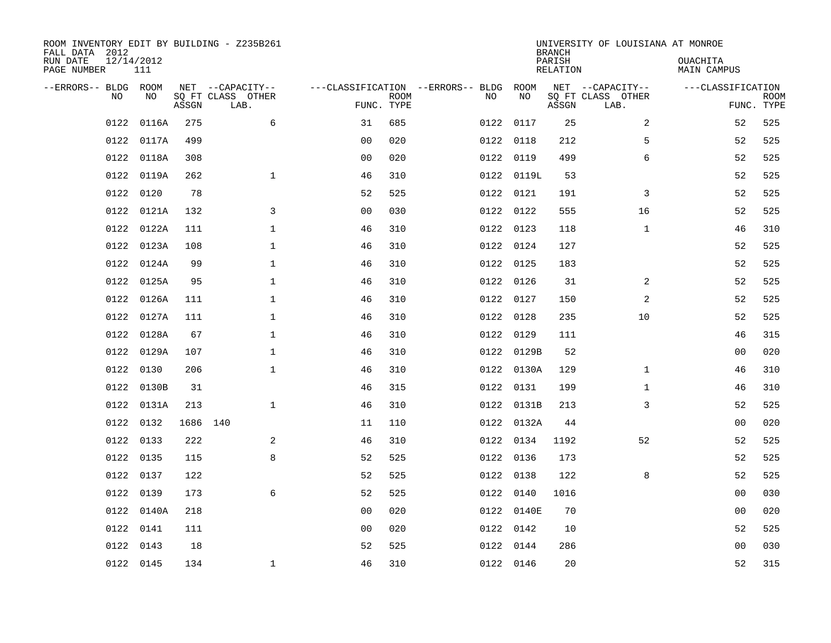| ROOM INVENTORY EDIT BY BUILDING - Z235B261<br>FALL DATA 2012<br>RUN DATE<br>PAGE NUMBER | 12/14/2012<br>111 |          |                                               |                                                      |             |           |            | <b>BRANCH</b><br>PARISH<br><b>RELATION</b> | UNIVERSITY OF LOUISIANA AT MONROE             | OUACHITA<br><b>MAIN CAMPUS</b> |                           |
|-----------------------------------------------------------------------------------------|-------------------|----------|-----------------------------------------------|------------------------------------------------------|-------------|-----------|------------|--------------------------------------------|-----------------------------------------------|--------------------------------|---------------------------|
| --ERRORS-- BLDG ROOM<br>NO                                                              | NO                | ASSGN    | NET --CAPACITY--<br>SQ FT CLASS OTHER<br>LAB. | ---CLASSIFICATION --ERRORS-- BLDG ROOM<br>FUNC. TYPE | <b>ROOM</b> | NO        | NO         | ASSGN                                      | NET --CAPACITY--<br>SQ FT CLASS OTHER<br>LAB. | ---CLASSIFICATION              | <b>ROOM</b><br>FUNC. TYPE |
| 0122                                                                                    | 0116A             | 275      | 6                                             | 31                                                   | 685         | 0122 0117 |            | 25                                         | 2                                             | 52                             | 525                       |
| 0122                                                                                    | 0117A             | 499      |                                               | 0 <sub>0</sub>                                       | 020         | 0122 0118 |            | 212                                        | 5                                             | 52                             | 525                       |
| 0122                                                                                    | 0118A             | 308      |                                               | 0 <sub>0</sub>                                       | 020         | 0122 0119 |            | 499                                        | 6                                             | 52                             | 525                       |
| 0122                                                                                    | 0119A             | 262      | $\mathbf{1}$                                  | 46                                                   | 310         |           | 0122 0119L | 53                                         |                                               | 52                             | 525                       |
| 0122                                                                                    | 0120              | 78       |                                               | 52                                                   | 525         | 0122 0121 |            | 191                                        | 3                                             | 52                             | 525                       |
| 0122                                                                                    | 0121A             | 132      | 3                                             | 0 <sub>0</sub>                                       | 030         | 0122 0122 |            | 555                                        | 16                                            | 52                             | 525                       |
| 0122                                                                                    | 0122A             | 111      | $\mathbf{1}$                                  | 46                                                   | 310         | 0122 0123 |            | 118                                        | $\mathbf{1}$                                  | 46                             | 310                       |
| 0122                                                                                    | 0123A             | 108      | $\mathbf 1$                                   | 46                                                   | 310         | 0122 0124 |            | 127                                        |                                               | 52                             | 525                       |
| 0122                                                                                    | 0124A             | 99       | $\mathbf{1}$                                  | 46                                                   | 310         | 0122 0125 |            | 183                                        |                                               | 52                             | 525                       |
| 0122                                                                                    | 0125A             | 95       | $\mathbf 1$                                   | 46                                                   | 310         | 0122 0126 |            | 31                                         | 2                                             | 52                             | 525                       |
| 0122                                                                                    | 0126A             | 111      | $\mathbf 1$                                   | 46                                                   | 310         | 0122 0127 |            | 150                                        | 2                                             | 52                             | 525                       |
| 0122                                                                                    | 0127A             | 111      | $\mathbf{1}$                                  | 46                                                   | 310         | 0122 0128 |            | 235                                        | 10                                            | 52                             | 525                       |
| 0122                                                                                    | 0128A             | 67       | $\mathbf 1$                                   | 46                                                   | 310         | 0122 0129 |            | 111                                        |                                               | 46                             | 315                       |
| 0122                                                                                    | 0129A             | 107      | $\mathbf 1$                                   | 46                                                   | 310         |           | 0122 0129B | 52                                         |                                               | 00                             | 020                       |
| 0122                                                                                    | 0130              | 206      | $\mathbf 1$                                   | 46                                                   | 310         |           | 0122 0130A | 129                                        | $\mathbf{1}$                                  | 46                             | 310                       |
| 0122                                                                                    | 0130B             | 31       |                                               | 46                                                   | 315         | 0122 0131 |            | 199                                        | $\mathbf{1}$                                  | 46                             | 310                       |
| 0122                                                                                    | 0131A             | 213      | $\mathbf{1}$                                  | 46                                                   | 310         |           | 0122 0131B | 213                                        | 3                                             | 52                             | 525                       |
| 0122                                                                                    | 0132              | 1686 140 |                                               | 11                                                   | 110         |           | 0122 0132A | 44                                         |                                               | 0 <sub>0</sub>                 | 020                       |
| 0122                                                                                    | 0133              | 222      | 2                                             | 46                                                   | 310         | 0122 0134 |            | 1192                                       | 52                                            | 52                             | 525                       |
| 0122                                                                                    | 0135              | 115      | 8                                             | 52                                                   | 525         | 0122 0136 |            | 173                                        |                                               | 52                             | 525                       |
|                                                                                         | 0122 0137         | 122      |                                               | 52                                                   | 525         | 0122 0138 |            | 122                                        | 8                                             | 52                             | 525                       |
| 0122                                                                                    | 0139              | 173      | 6                                             | 52                                                   | 525         | 0122 0140 |            | 1016                                       |                                               | 00                             | 030                       |
|                                                                                         | 0122 0140A        | 218      |                                               | 0 <sub>0</sub>                                       | 020         |           | 0122 0140E | 70                                         |                                               | 0 <sub>0</sub>                 | 020                       |
| 0122                                                                                    | 0141              | 111      |                                               | 0 <sub>0</sub>                                       | 020         | 0122 0142 |            | 10                                         |                                               | 52                             | 525                       |
| 0122                                                                                    | 0143              | 18       |                                               | 52                                                   | 525         | 0122 0144 |            | 286                                        |                                               | 0 <sub>0</sub>                 | 030                       |
|                                                                                         | 0122 0145         | 134      | $\mathbf{1}$                                  | 46                                                   | 310         | 0122 0146 |            | 20                                         |                                               | 52                             | 315                       |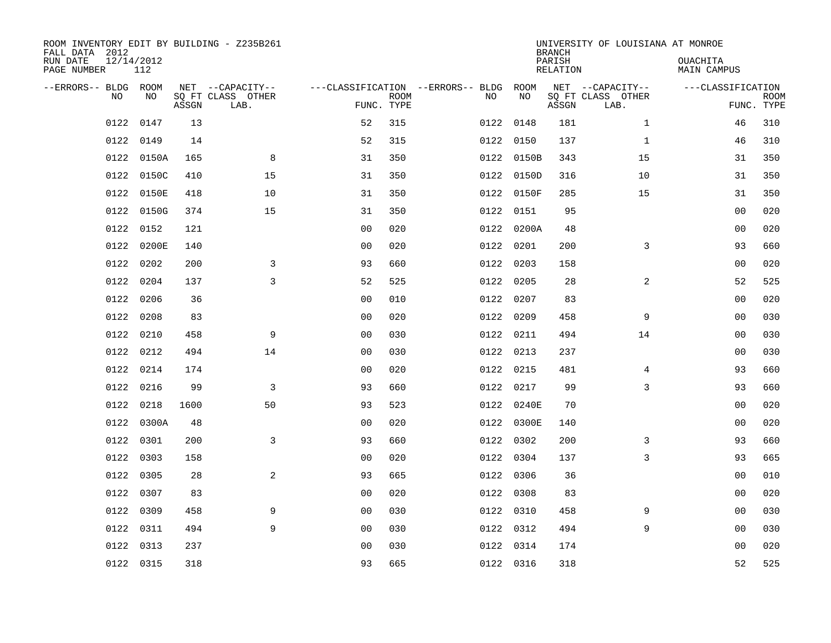| ROOM INVENTORY EDIT BY BUILDING - Z235B261<br>FALL DATA 2012 |                   |       |                           |                                        |             |           |            | <b>BRANCH</b>      | UNIVERSITY OF LOUISIANA AT MONROE |                                |                           |
|--------------------------------------------------------------|-------------------|-------|---------------------------|----------------------------------------|-------------|-----------|------------|--------------------|-----------------------------------|--------------------------------|---------------------------|
| RUN DATE<br>PAGE NUMBER                                      | 12/14/2012<br>112 |       |                           |                                        |             |           |            | PARISH<br>RELATION |                                   | <b>OUACHITA</b><br>MAIN CAMPUS |                           |
| --ERRORS-- BLDG ROOM                                         |                   |       | NET --CAPACITY--          | ---CLASSIFICATION --ERRORS-- BLDG ROOM |             |           |            |                    | NET --CAPACITY--                  | ---CLASSIFICATION              |                           |
| NO.                                                          | NO.               | ASSGN | SQ FT CLASS OTHER<br>LAB. | FUNC. TYPE                             | <b>ROOM</b> | NO.       | NO         | ASSGN              | SQ FT CLASS OTHER<br>LAB.         |                                | <b>ROOM</b><br>FUNC. TYPE |
| 0122                                                         | 0147              | 13    |                           | 52                                     | 315         | 0122 0148 |            | 181                | $\mathbf{1}$                      | 46                             | 310                       |
| 0122                                                         | 0149              | 14    |                           | 52                                     | 315         | 0122 0150 |            | 137                | $\mathbf{1}$                      | 46                             | 310                       |
|                                                              | 0122 0150A        | 165   | 8                         | 31                                     | 350         |           | 0122 0150B | 343                | 15                                | 31                             | 350                       |
| 0122                                                         | 0150C             | 410   | 15                        | 31                                     | 350         |           | 0122 0150D | 316                | 10                                | 31                             | 350                       |
| 0122                                                         | 0150E             | 418   | 10                        | 31                                     | 350         |           | 0122 0150F | 285                | 15                                | 31                             | 350                       |
| 0122                                                         | 0150G             | 374   | 15                        | 31                                     | 350         | 0122 0151 |            | 95                 |                                   | 00                             | 020                       |
| 0122                                                         | 0152              | 121   |                           | 0 <sub>0</sub>                         | 020         |           | 0122 0200A | 48                 |                                   | 0 <sub>0</sub>                 | 020                       |
| 0122                                                         | 0200E             | 140   |                           | 0 <sub>0</sub>                         | 020         | 0122 0201 |            | 200                | 3                                 | 93                             | 660                       |
| 0122                                                         | 0202              | 200   | 3                         | 93                                     | 660         | 0122 0203 |            | 158                |                                   | 0 <sub>0</sub>                 | 020                       |
| 0122                                                         | 0204              | 137   | 3                         | 52                                     | 525         | 0122 0205 |            | 28                 | 2                                 | 52                             | 525                       |
| 0122                                                         | 0206              | 36    |                           | 0 <sub>0</sub>                         | 010         | 0122 0207 |            | 83                 |                                   | 0 <sub>0</sub>                 | 020                       |
| 0122                                                         | 0208              | 83    |                           | 0 <sub>0</sub>                         | 020         | 0122 0209 |            | 458                | 9                                 | 00                             | 030                       |
| 0122                                                         | 0210              | 458   | 9                         | 0 <sub>0</sub>                         | 030         | 0122 0211 |            | 494                | 14                                | 00                             | 030                       |
|                                                              | 0122 0212         | 494   | 14                        | 0 <sub>0</sub>                         | 030         | 0122 0213 |            | 237                |                                   | 00                             | 030                       |
| 0122                                                         | 0214              | 174   |                           | 0 <sub>0</sub>                         | 020         | 0122 0215 |            | 481                | 4                                 | 93                             | 660                       |
| 0122                                                         | 0216              | 99    | 3                         | 93                                     | 660         | 0122 0217 |            | 99                 | 3                                 | 93                             | 660                       |
| 0122                                                         | 0218              | 1600  | 50                        | 93                                     | 523         |           | 0122 0240E | 70                 |                                   | 00                             | 020                       |
| 0122                                                         | 0300A             | 48    |                           | 0 <sub>0</sub>                         | 020         |           | 0122 0300E | 140                |                                   | 00                             | 020                       |
|                                                              | 0122 0301         | 200   | 3                         | 93                                     | 660         | 0122 0302 |            | 200                | 3                                 | 93                             | 660                       |
|                                                              | 0122 0303         | 158   |                           | 0 <sub>0</sub>                         | 020         | 0122 0304 |            | 137                | $\overline{3}$                    | 93                             | 665                       |
|                                                              | 0122 0305         | 28    | 2                         | 93                                     | 665         | 0122 0306 |            | 36                 |                                   | 0 <sub>0</sub>                 | 010                       |
| 0122                                                         | 0307              | 83    |                           | 0 <sub>0</sub>                         | 020         | 0122 0308 |            | 83                 |                                   | 00                             | 020                       |
| 0122                                                         | 0309              | 458   | 9                         | 0 <sub>0</sub>                         | 030         | 0122 0310 |            | 458                | 9                                 | 00                             | 030                       |
| 0122                                                         | 0311              | 494   | 9                         | 00                                     | 030         | 0122 0312 |            | 494                | 9                                 | 0 <sub>0</sub>                 | 030                       |
| 0122                                                         | 0313              | 237   |                           | 0 <sub>0</sub>                         | 030         | 0122 0314 |            | 174                |                                   | 0 <sub>0</sub>                 | 020                       |
|                                                              | 0122 0315         | 318   |                           | 93                                     | 665         | 0122 0316 |            | 318                |                                   | 52                             | 525                       |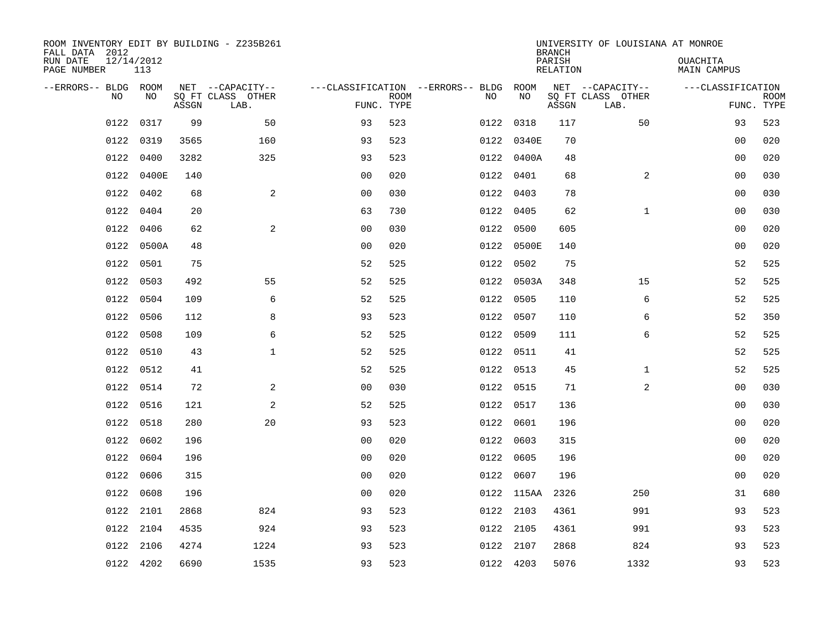| ROOM INVENTORY EDIT BY BUILDING - Z235B261<br>FALL DATA 2012 |                   |       |                                       |                                        |             |           |            | <b>BRANCH</b>             | UNIVERSITY OF LOUISIANA AT MONROE     |                                |             |
|--------------------------------------------------------------|-------------------|-------|---------------------------------------|----------------------------------------|-------------|-----------|------------|---------------------------|---------------------------------------|--------------------------------|-------------|
| RUN DATE<br>PAGE NUMBER                                      | 12/14/2012<br>113 |       |                                       |                                        |             |           |            | PARISH<br><b>RELATION</b> |                                       | OUACHITA<br><b>MAIN CAMPUS</b> |             |
| --ERRORS-- BLDG ROOM<br>NO                                   | NO                |       | NET --CAPACITY--<br>SQ FT CLASS OTHER | ---CLASSIFICATION --ERRORS-- BLDG ROOM | <b>ROOM</b> | NO        | NO         |                           | NET --CAPACITY--<br>SQ FT CLASS OTHER | ---CLASSIFICATION              | <b>ROOM</b> |
|                                                              |                   | ASSGN | LAB.                                  | FUNC. TYPE                             |             |           |            | ASSGN                     | LAB.                                  | FUNC. TYPE                     |             |
| 0122                                                         | 0317              | 99    | 50                                    | 93                                     | 523         | 0122 0318 |            | 117                       | 50                                    | 93                             | 523         |
| 0122                                                         | 0319              | 3565  | 160                                   | 93                                     | 523         |           | 0122 0340E | 70                        |                                       | 00                             | 020         |
| 0122                                                         | 0400              | 3282  | 325                                   | 93                                     | 523         |           | 0122 0400A | 48                        |                                       | 00                             | 020         |
| 0122                                                         | 0400E             | 140   |                                       | 0 <sub>0</sub>                         | 020         | 0122 0401 |            | 68                        | 2                                     | 00                             | 030         |
| 0122                                                         | 0402              | 68    | 2                                     | 00                                     | 030         | 0122 0403 |            | 78                        |                                       | 0 <sub>0</sub>                 | 030         |
| 0122                                                         | 0404              | 20    |                                       | 63                                     | 730         | 0122 0405 |            | 62                        | $\mathbf{1}$                          | 00                             | 030         |
| 0122                                                         | 0406              | 62    | 2                                     | 0 <sub>0</sub>                         | 030         | 0122 0500 |            | 605                       |                                       | 0 <sub>0</sub>                 | 020         |
| 0122                                                         | 0500A             | 48    |                                       | 0 <sub>0</sub>                         | 020         |           | 0122 0500E | 140                       |                                       | 0 <sub>0</sub>                 | 020         |
| 0122                                                         | 0501              | 75    |                                       | 52                                     | 525         | 0122 0502 |            | 75                        |                                       | 52                             | 525         |
| 0122                                                         | 0503              | 492   | 55                                    | 52                                     | 525         |           | 0122 0503A | 348                       | 15                                    | 52                             | 525         |
| 0122                                                         | 0504              | 109   | 6                                     | 52                                     | 525         | 0122      | 0505       | 110                       | 6                                     | 52                             | 525         |
| 0122                                                         | 0506              | 112   | 8                                     | 93                                     | 523         | 0122 0507 |            | 110                       | 6                                     | 52                             | 350         |
| 0122                                                         | 0508              | 109   | 6                                     | 52                                     | 525         | 0122      | 0509       | 111                       | 6                                     | 52                             | 525         |
| 0122                                                         | 0510              | 43    | $\mathbf 1$                           | 52                                     | 525         | 0122 0511 |            | 41                        |                                       | 52                             | 525         |
| 0122                                                         | 0512              | 41    |                                       | 52                                     | 525         | 0122 0513 |            | 45                        | $\mathbf{1}$                          | 52                             | 525         |
| 0122                                                         | 0514              | 72    | 2                                     | 00                                     | 030         | 0122 0515 |            | 71                        | $\overline{a}$                        | 00                             | 030         |
| 0122                                                         | 0516              | 121   | $\overline{a}$                        | 52                                     | 525         | 0122      | 0517       | 136                       |                                       | 0 <sub>0</sub>                 | 030         |
| 0122                                                         | 0518              | 280   | 20                                    | 93                                     | 523         | 0122 0601 |            | 196                       |                                       | 00                             | 020         |
| 0122                                                         | 0602              | 196   |                                       | 0 <sub>0</sub>                         | 020         | 0122 0603 |            | 315                       |                                       | 00                             | 020         |
| 0122                                                         | 0604              | 196   |                                       | 0 <sub>0</sub>                         | 020         | 0122 0605 |            | 196                       |                                       | 00                             | 020         |
| 0122                                                         | 0606              | 315   |                                       | 0 <sub>0</sub>                         | 020         | 0122 0607 |            | 196                       |                                       | 0 <sub>0</sub>                 | 020         |
| 0122                                                         | 0608              | 196   |                                       | 00                                     | 020         |           | 0122 115AA | 2326                      | 250                                   | 31                             | 680         |
|                                                              | 0122 2101         | 2868  | 824                                   | 93                                     | 523         | 0122 2103 |            | 4361                      | 991                                   | 93                             | 523         |
| 0122                                                         | 2104              | 4535  | 924                                   | 93                                     | 523         | 0122 2105 |            | 4361                      | 991                                   | 93                             | 523         |
|                                                              | 0122 2106         | 4274  | 1224                                  | 93                                     | 523         | 0122 2107 |            | 2868                      | 824                                   | 93                             | 523         |
|                                                              | 0122 4202         | 6690  | 1535                                  | 93                                     | 523         | 0122 4203 |            | 5076                      | 1332                                  | 93                             | 523         |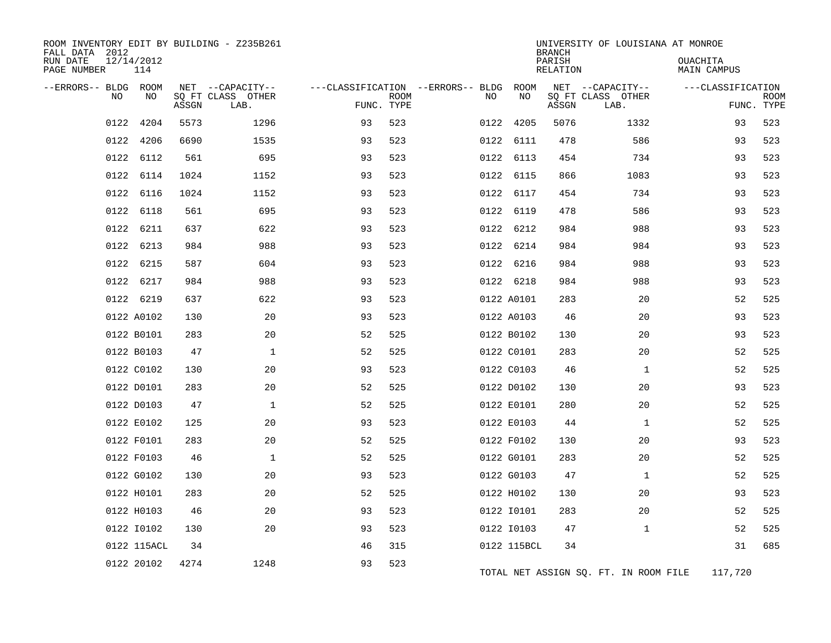| ROOM INVENTORY EDIT BY BUILDING - Z235B261<br>FALL DATA 2012<br>RUN DATE<br>PAGE NUMBER | 12/14/2012<br>114 |       |                                               |            |             |                                         |             | <b>BRANCH</b><br>PARISH<br>RELATION | UNIVERSITY OF LOUISIANA AT MONROE             | OUACHITA<br>MAIN CAMPUS |                           |
|-----------------------------------------------------------------------------------------|-------------------|-------|-----------------------------------------------|------------|-------------|-----------------------------------------|-------------|-------------------------------------|-----------------------------------------------|-------------------------|---------------------------|
| --ERRORS-- BLDG<br>NO                                                                   | ROOM<br>NO.       | ASSGN | NET --CAPACITY--<br>SQ FT CLASS OTHER<br>LAB. | FUNC. TYPE | <b>ROOM</b> | ---CLASSIFICATION --ERRORS-- BLDG<br>NO | ROOM<br>NO  | ASSGN                               | NET --CAPACITY--<br>SQ FT CLASS OTHER<br>LAB. | ---CLASSIFICATION       | <b>ROOM</b><br>FUNC. TYPE |
| 0122                                                                                    | 4204              | 5573  | 1296                                          | 93         | 523         | 0122                                    | 4205        | 5076                                | 1332                                          | 93                      | 523                       |
| 0122                                                                                    | 4206              | 6690  | 1535                                          | 93         | 523         |                                         | 0122 6111   | 478                                 | 586                                           | 93                      | 523                       |
| 0122                                                                                    | 6112              | 561   | 695                                           | 93         | 523         |                                         | 0122 6113   | 454                                 | 734                                           | 93                      | 523                       |
| 0122                                                                                    | 6114              | 1024  | 1152                                          | 93         | 523         |                                         | 0122 6115   | 866                                 | 1083                                          | 93                      | 523                       |
|                                                                                         | 0122 6116         | 1024  | 1152                                          | 93         | 523         |                                         | 0122 6117   | 454                                 | 734                                           | 93                      | 523                       |
| 0122                                                                                    | 6118              | 561   | 695                                           | 93         | 523         |                                         | 0122 6119   | 478                                 | 586                                           | 93                      | 523                       |
| 0122                                                                                    | 6211              | 637   | 622                                           | 93         | 523         |                                         | 0122 6212   | 984                                 | 988                                           | 93                      | 523                       |
| 0122                                                                                    | 6213              | 984   | 988                                           | 93         | 523         |                                         | 0122 6214   | 984                                 | 984                                           | 93                      | 523                       |
|                                                                                         | 0122 6215         | 587   | 604                                           | 93         | 523         |                                         | 0122 6216   | 984                                 | 988                                           | 93                      | 523                       |
| 0122                                                                                    | 6217              | 984   | 988                                           | 93         | 523         |                                         | 0122 6218   | 984                                 | 988                                           | 93                      | 523                       |
|                                                                                         | 0122 6219         | 637   | 622                                           | 93         | 523         |                                         | 0122 A0101  | 283                                 | 20                                            | 52                      | 525                       |
|                                                                                         | 0122 A0102        | 130   | 20                                            | 93         | 523         |                                         | 0122 A0103  | 46                                  | 20                                            | 93                      | 523                       |
|                                                                                         | 0122 B0101        | 283   | 20                                            | 52         | 525         |                                         | 0122 B0102  | 130                                 | 20                                            | 93                      | 523                       |
|                                                                                         | 0122 B0103        | 47    | $\mathbf 1$                                   | 52         | 525         |                                         | 0122 C0101  | 283                                 | 20                                            | 52                      | 525                       |
|                                                                                         | 0122 C0102        | 130   | 20                                            | 93         | 523         |                                         | 0122 C0103  | 46                                  | $\mathbf{1}$                                  | 52                      | 525                       |
|                                                                                         | 0122 D0101        | 283   | 20                                            | 52         | 525         |                                         | 0122 D0102  | 130                                 | 20                                            | 93                      | 523                       |
|                                                                                         | 0122 D0103        | 47    | $\mathbf 1$                                   | 52         | 525         |                                         | 0122 E0101  | 280                                 | 20                                            | 52                      | 525                       |
|                                                                                         | 0122 E0102        | 125   | 20                                            | 93         | 523         |                                         | 0122 E0103  | 44                                  | $\mathbf{1}$                                  | 52                      | 525                       |
|                                                                                         | 0122 F0101        | 283   | 20                                            | 52         | 525         |                                         | 0122 F0102  | 130                                 | 20                                            | 93                      | 523                       |
|                                                                                         | 0122 F0103        | 46    | $\mathbf{1}$                                  | 52         | 525         |                                         | 0122 G0101  | 283                                 | 20                                            | 52                      | 525                       |
|                                                                                         | 0122 G0102        | 130   | 20                                            | 93         | 523         |                                         | 0122 G0103  | 47                                  | $\mathbf{1}$                                  | 52                      | 525                       |
|                                                                                         | 0122 H0101        | 283   | 20                                            | 52         | 525         |                                         | 0122 H0102  | 130                                 | 20                                            | 93                      | 523                       |
|                                                                                         | 0122 H0103        | 46    | 20                                            | 93         | 523         |                                         | 0122 I0101  | 283                                 | 20                                            | 52                      | 525                       |
|                                                                                         | 0122 I0102        | 130   | 20                                            | 93         | 523         |                                         | 0122 I0103  | 47                                  | $\mathbf{1}$                                  | 52                      | 525                       |
|                                                                                         | 0122 115ACL       | 34    |                                               | 46         | 315         |                                         | 0122 115BCL | 34                                  |                                               | 31                      | 685                       |
|                                                                                         | 0122 20102        | 4274  | 1248                                          | 93         | 523         |                                         |             |                                     | TOTAL NET ASSIGN SQ. FT. IN ROOM FILE         | 117,720                 |                           |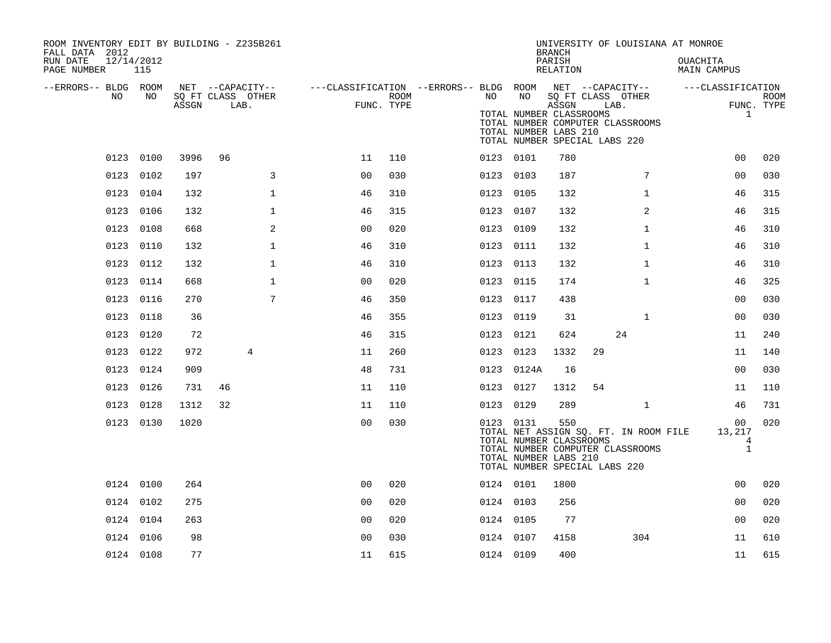| ROOM INVENTORY EDIT BY BUILDING - Z235B261<br>FALL DATA 2012 |           |       |                           |                |            |           |            | <b>BRANCH</b>                                             | UNIVERSITY OF LOUISIANA AT MONROE                                                                          |                                   |                           |
|--------------------------------------------------------------|-----------|-------|---------------------------|----------------|------------|-----------|------------|-----------------------------------------------------------|------------------------------------------------------------------------------------------------------------|-----------------------------------|---------------------------|
| 12/14/2012<br>RUN DATE<br>PAGE NUMBER                        | 115       |       |                           |                |            |           |            | PARISH<br>RELATION                                        |                                                                                                            | OUACHITA<br>MAIN CAMPUS           |                           |
| --ERRORS-- BLDG ROOM<br>NO.                                  | NO        |       | NET --CAPACITY--          |                | ROOM       | NO        | NO         |                                                           | ---CLASSIFICATION --ERRORS-- BLDG ROOM NET --CAPACITY--                                                    | ---CLASSIFICATION                 |                           |
|                                                              |           | ASSGN | SQ FT CLASS OTHER<br>LAB. |                | FUNC. TYPE |           |            | ASSGN<br>TOTAL NUMBER CLASSROOMS<br>TOTAL NUMBER LABS 210 | SQ FT CLASS OTHER<br>LAB.<br>TOTAL NUMBER COMPUTER CLASSROOMS<br>TOTAL NUMBER SPECIAL LABS 220             | $\mathbf{1}$                      | <b>ROOM</b><br>FUNC. TYPE |
|                                                              | 0123 0100 | 3996  | 96                        | 11             | 110        | 0123 0101 |            | 780                                                       |                                                                                                            | 0 <sub>0</sub>                    | 020                       |
|                                                              | 0123 0102 | 197   | 3                         | 0 <sub>0</sub> | 030        | 0123 0103 |            | 187                                                       | 7                                                                                                          | 0 <sub>0</sub>                    | 030                       |
|                                                              | 0123 0104 | 132   | $\mathbf 1$               | 46             | 310        | 0123 0105 |            | 132                                                       | $\mathbf{1}$                                                                                               | 46                                | 315                       |
|                                                              | 0123 0106 | 132   | $\mathbf{1}$              | 46             | 315        | 0123 0107 |            | 132                                                       | $\overline{2}$                                                                                             | 46                                | 315                       |
|                                                              | 0123 0108 | 668   | 2                         | 0 <sub>0</sub> | 020        | 0123 0109 |            | 132                                                       | $\mathbf{1}$                                                                                               | 46                                | 310                       |
|                                                              | 0123 0110 | 132   | $\mathbf{1}$              | 46             | 310        | 0123 0111 |            | 132                                                       | $\mathbf{1}$                                                                                               | 46                                | 310                       |
|                                                              | 0123 0112 | 132   | $\mathbf 1$               | 46             | 310        | 0123 0113 |            | 132                                                       | $\mathbf{1}$                                                                                               | 46                                | 310                       |
|                                                              | 0123 0114 | 668   | $\mathbf 1$               | 0 <sub>0</sub> | 020        | 0123 0115 |            | 174                                                       | $\mathbf{1}$                                                                                               | 46                                | 325                       |
|                                                              | 0123 0116 | 270   | $7\overline{ }$           | 46             | 350        | 0123 0117 |            | 438                                                       |                                                                                                            | 0 <sub>0</sub>                    | 030                       |
|                                                              | 0123 0118 | 36    |                           | 46             | 355        | 0123 0119 |            | 31                                                        | $\mathbf{1}$                                                                                               | 0 <sub>0</sub>                    | 030                       |
|                                                              | 0123 0120 | 72    |                           | 46             | 315        | 0123 0121 |            | 624                                                       | 24                                                                                                         | 11                                | 240                       |
|                                                              | 0123 0122 | 972   | $\overline{4}$            | 11             | 260        | 0123 0123 |            | 1332                                                      | 29                                                                                                         | 11                                | 140                       |
|                                                              | 0123 0124 | 909   |                           | 48             | 731        |           | 0123 0124A | 16                                                        |                                                                                                            | 0 <sub>0</sub>                    | 030                       |
|                                                              | 0123 0126 | 731   | 46                        | 11             | 110        | 0123 0127 |            | 1312                                                      | 54                                                                                                         | 11                                | 110                       |
|                                                              | 0123 0128 | 1312  | 32                        | 11             | 110        | 0123 0129 |            | 289                                                       | $\mathbf{1}$                                                                                               | 46                                | 731                       |
|                                                              | 0123 0130 | 1020  |                           | 0 <sup>0</sup> | 030        |           | 0123 0131  | 550<br>TOTAL NUMBER CLASSROOMS<br>TOTAL NUMBER LABS 210   | TOTAL NET ASSIGN SQ. FT. IN ROOM FILE<br>TOTAL NUMBER COMPUTER CLASSROOMS<br>TOTAL NUMBER SPECIAL LABS 220 | 00<br>13,217<br>4<br>$\mathbf{1}$ | 020                       |
|                                                              | 0124 0100 | 264   |                           | 0 <sup>0</sup> | 020        | 0124 0101 |            | 1800                                                      |                                                                                                            | 0 <sub>0</sub>                    | 020                       |
|                                                              | 0124 0102 | 275   |                           | 0 <sub>0</sub> | 020        | 0124 0103 |            | 256                                                       |                                                                                                            | 0 <sub>0</sub>                    | 020                       |
|                                                              | 0124 0104 | 263   |                           | 0 <sub>0</sub> | 020        | 0124 0105 |            | 77                                                        |                                                                                                            | 0 <sub>0</sub>                    | 020                       |
|                                                              | 0124 0106 | 98    |                           | 0 <sub>0</sub> | 030        | 0124 0107 |            | 4158                                                      | 304                                                                                                        | 11                                | 610                       |
|                                                              | 0124 0108 | 77    |                           | 11             | 615        | 0124 0109 |            | 400                                                       |                                                                                                            | 11                                | 615                       |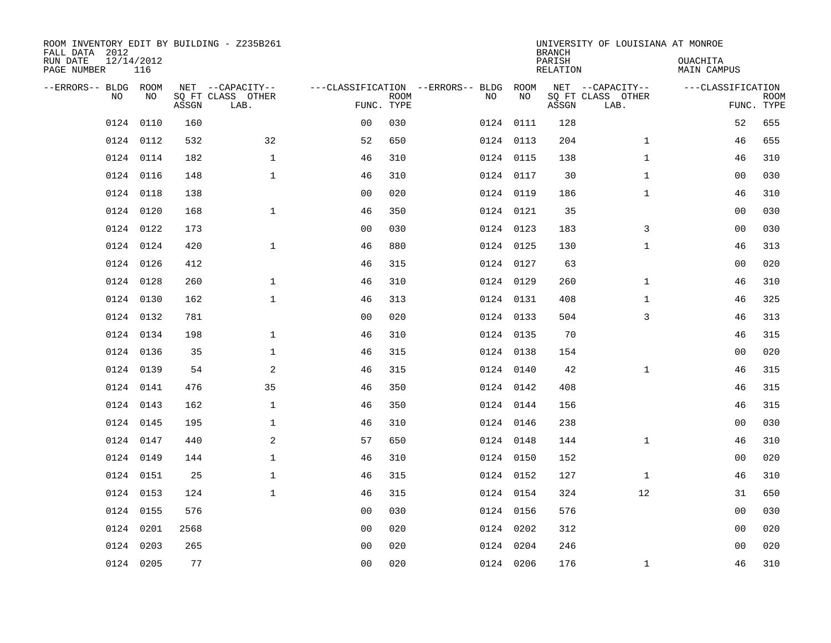| ROOM INVENTORY EDIT BY BUILDING - Z235B261<br>FALL DATA 2012<br>RUN DATE<br>PAGE NUMBER | 12/14/2012<br>116 |       |                                               |                |             |                                              |           | <b>BRANCH</b><br>PARISH<br>RELATION | UNIVERSITY OF LOUISIANA AT MONROE             | OUACHITA<br>MAIN CAMPUS |                           |
|-----------------------------------------------------------------------------------------|-------------------|-------|-----------------------------------------------|----------------|-------------|----------------------------------------------|-----------|-------------------------------------|-----------------------------------------------|-------------------------|---------------------------|
| --ERRORS-- BLDG ROOM<br>NO                                                              | NO                | ASSGN | NET --CAPACITY--<br>SQ FT CLASS OTHER<br>LAB. | FUNC. TYPE     | <b>ROOM</b> | ---CLASSIFICATION --ERRORS-- BLDG ROOM<br>NO | NO        | ASSGN                               | NET --CAPACITY--<br>SQ FT CLASS OTHER<br>LAB. | ---CLASSIFICATION       | <b>ROOM</b><br>FUNC. TYPE |
| 0124                                                                                    | 0110              | 160   |                                               | 0 <sub>0</sub> | 030         |                                              | 0124 0111 | 128                                 |                                               | 52                      | 655                       |
|                                                                                         | 0124 0112         | 532   | 32                                            | 52             | 650         |                                              | 0124 0113 | 204                                 | $\mathbf{1}$                                  | 46                      | 655                       |
|                                                                                         | 0124 0114         | 182   | $\mathbf{1}$                                  | 46             | 310         |                                              | 0124 0115 | 138                                 | $\mathbf{1}$                                  | 46                      | 310                       |
|                                                                                         | 0124 0116         | 148   | $\mathbf{1}$                                  | 46             | 310         |                                              | 0124 0117 | 30                                  | $\mathbf{1}$                                  | 0 <sub>0</sub>          | 030                       |
|                                                                                         | 0124 0118         | 138   |                                               | 0 <sub>0</sub> | 020         |                                              | 0124 0119 | 186                                 | $\mathbf{1}$                                  | 46                      | 310                       |
|                                                                                         | 0124 0120         | 168   | $\mathbf{1}$                                  | 46             | 350         |                                              | 0124 0121 | 35                                  |                                               | 00                      | 030                       |
|                                                                                         | 0124 0122         | 173   |                                               | 0 <sub>0</sub> | 030         |                                              | 0124 0123 | 183                                 | 3                                             | 0 <sub>0</sub>          | 030                       |
|                                                                                         | 0124 0124         | 420   | $\mathbf{1}$                                  | 46             | 880         |                                              | 0124 0125 | 130                                 | $\mathbf{1}$                                  | 46                      | 313                       |
|                                                                                         | 0124 0126         | 412   |                                               | 46             | 315         |                                              | 0124 0127 | 63                                  |                                               | 0 <sub>0</sub>          | 020                       |
|                                                                                         | 0124 0128         | 260   | $\mathbf{1}$                                  | 46             | 310         |                                              | 0124 0129 | 260                                 | $\mathbf{1}$                                  | 46                      | 310                       |
|                                                                                         | 0124 0130         | 162   | $\mathbf{1}$                                  | 46             | 313         |                                              | 0124 0131 | 408                                 | $\mathbf{1}$                                  | 46                      | 325                       |
|                                                                                         | 0124 0132         | 781   |                                               | 0 <sub>0</sub> | 020         |                                              | 0124 0133 | 504                                 | 3                                             | 46                      | 313                       |
|                                                                                         | 0124 0134         | 198   | $\mathbf{1}$                                  | 46             | 310         |                                              | 0124 0135 | 70                                  |                                               | 46                      | 315                       |
|                                                                                         | 0124 0136         | 35    | $\mathbf{1}$                                  | 46             | 315         |                                              | 0124 0138 | 154                                 |                                               | 0 <sub>0</sub>          | 020                       |
| 0124                                                                                    | 0139              | 54    | $\mathbf{2}$                                  | 46             | 315         |                                              | 0124 0140 | 42                                  | $\mathbf{1}$                                  | 46                      | 315                       |
|                                                                                         | 0124 0141         | 476   | 35                                            | 46             | 350         |                                              | 0124 0142 | 408                                 |                                               | 46                      | 315                       |
| 0124                                                                                    | 0143              | 162   | $\mathbf 1$                                   | 46             | 350         |                                              | 0124 0144 | 156                                 |                                               | 46                      | 315                       |
|                                                                                         | 0124 0145         | 195   | $\mathbf 1$                                   | 46             | 310         |                                              | 0124 0146 | 238                                 |                                               | 00                      | 030                       |
|                                                                                         | 0124 0147         | 440   | 2                                             | 57             | 650         |                                              | 0124 0148 | 144                                 | $\mathbf{1}$                                  | 46                      | 310                       |
|                                                                                         | 0124 0149         | 144   | $\mathbf 1$                                   | 46             | 310         |                                              | 0124 0150 | 152                                 |                                               | 0 <sub>0</sub>          | 020                       |
|                                                                                         | 0124 0151         | 25    | $\mathbf{1}$                                  | 46             | 315         |                                              | 0124 0152 | 127                                 | $\mathbf{1}$                                  | 46                      | 310                       |
|                                                                                         | 0124 0153         | 124   | $\mathbf{1}$                                  | 46             | 315         |                                              | 0124 0154 | 324                                 | 12                                            | 31                      | 650                       |
|                                                                                         | 0124 0155         | 576   |                                               | 0 <sub>0</sub> | 030         |                                              | 0124 0156 | 576                                 |                                               | 0 <sub>0</sub>          | 030                       |
|                                                                                         | 0124 0201         | 2568  |                                               | 0 <sub>0</sub> | 020         |                                              | 0124 0202 | 312                                 |                                               | 0 <sub>0</sub>          | 020                       |
|                                                                                         | 0124 0203         | 265   |                                               | 0 <sub>0</sub> | 020         |                                              | 0124 0204 | 246                                 |                                               | 0 <sub>0</sub>          | 020                       |
|                                                                                         | 0124 0205         | 77    |                                               | 00             | 020         |                                              | 0124 0206 | 176                                 | $\mathbf{1}$                                  | 46                      | 310                       |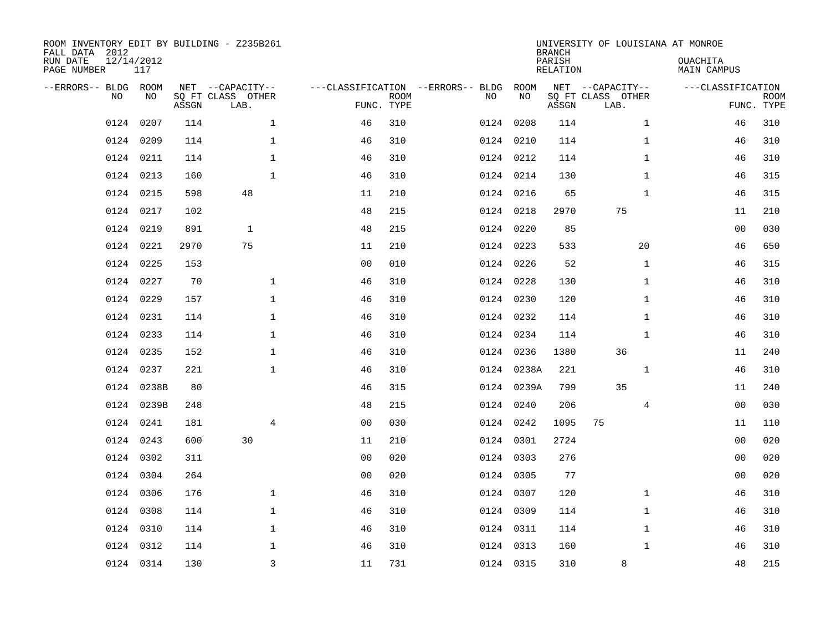| ROOM INVENTORY EDIT BY BUILDING - Z235B261<br>FALL DATA 2012<br>RUN DATE<br>PAGE NUMBER | 12/14/2012<br>117 |       |                                               |                |                           |                                         |            | <b>BRANCH</b><br>PARISH<br><b>RELATION</b> | UNIVERSITY OF LOUISIANA AT MONROE             | OUACHITA<br><b>MAIN CAMPUS</b> |                           |
|-----------------------------------------------------------------------------------------|-------------------|-------|-----------------------------------------------|----------------|---------------------------|-----------------------------------------|------------|--------------------------------------------|-----------------------------------------------|--------------------------------|---------------------------|
| --ERRORS-- BLDG ROOM<br>NO                                                              | NO                | ASSGN | NET --CAPACITY--<br>SQ FT CLASS OTHER<br>LAB. |                | <b>ROOM</b><br>FUNC. TYPE | ---CLASSIFICATION --ERRORS-- BLDG<br>NO | ROOM<br>NO | ASSGN                                      | NET --CAPACITY--<br>SQ FT CLASS OTHER<br>LAB. | ---CLASSIFICATION              | <b>ROOM</b><br>FUNC. TYPE |
| 0124                                                                                    | 0207              | 114   | $\mathbf 1$                                   | 46             | 310                       |                                         | 0124 0208  | 114                                        | $\mathbf{1}$                                  | 46                             | 310                       |
| 0124                                                                                    | 0209              | 114   | $\mathbf 1$                                   | 46             | 310                       |                                         | 0124 0210  | 114                                        | $\mathbf{1}$                                  | 46                             | 310                       |
| 0124                                                                                    | 0211              | 114   | $\mathbf{1}$                                  | 46             | 310                       |                                         | 0124 0212  | 114                                        | $\mathbf{1}$                                  | 46                             | 310                       |
|                                                                                         | 0124 0213         | 160   | $\mathbf{1}$                                  | 46             | 310                       |                                         | 0124 0214  | 130                                        | $\mathbf{1}$                                  | 46                             | 315                       |
| 0124                                                                                    | 0215              | 598   | 48                                            | 11             | 210                       |                                         | 0124 0216  | 65                                         | $\mathbf{1}$                                  | 46                             | 315                       |
|                                                                                         | 0124 0217         | 102   |                                               | 48             | 215                       |                                         | 0124 0218  | 2970                                       | 75                                            | 11                             | 210                       |
| 0124                                                                                    | 0219              | 891   | $\mathbf{1}$                                  | 48             | 215                       |                                         | 0124 0220  | 85                                         |                                               | 00                             | 030                       |
|                                                                                         | 0124 0221         | 2970  | 75                                            | 11             | 210                       |                                         | 0124 0223  | 533                                        | 20                                            | 46                             | 650                       |
| 0124                                                                                    | 0225              | 153   |                                               | 0 <sub>0</sub> | 010                       |                                         | 0124 0226  | 52                                         | $\mathbf{1}$                                  | 46                             | 315                       |
| 0124                                                                                    | 0227              | 70    | $\mathbf 1$                                   | 46             | 310                       |                                         | 0124 0228  | 130                                        | $\mathbf{1}$                                  | 46                             | 310                       |
| 0124                                                                                    | 0229              | 157   | $\mathbf{1}$                                  | 46             | 310                       |                                         | 0124 0230  | 120                                        | $\mathbf{1}$                                  | 46                             | 310                       |
| 0124                                                                                    | 0231              | 114   | $\mathbf 1$                                   | 46             | 310                       |                                         | 0124 0232  | 114                                        | $\mathbf{1}$                                  | 46                             | 310                       |
| 0124                                                                                    | 0233              | 114   | $\mathbf 1$                                   | 46             | 310                       |                                         | 0124 0234  | 114                                        | $\mathbf{1}$                                  | 46                             | 310                       |
| 0124                                                                                    | 0235              | 152   | $\mathbf{1}$                                  | 46             | 310                       |                                         | 0124 0236  | 1380                                       | 36                                            | 11                             | 240                       |
|                                                                                         | 0124 0237         | 221   | $\mathbf{1}$                                  | 46             | 310                       |                                         | 0124 0238A | 221                                        | $\mathbf{1}$                                  | 46                             | 310                       |
| 0124                                                                                    | 0238B             | 80    |                                               | 46             | 315                       |                                         | 0124 0239A | 799                                        | 35                                            | 11                             | 240                       |
|                                                                                         | 0124 0239B        | 248   |                                               | 48             | 215                       |                                         | 0124 0240  | 206                                        | 4                                             | 00                             | 030                       |
| 0124                                                                                    | 0241              | 181   | 4                                             | 0 <sub>0</sub> | 030                       |                                         | 0124 0242  | 1095                                       | 75                                            | 11                             | 110                       |
|                                                                                         | 0124 0243         | 600   | 30                                            | 11             | 210                       |                                         | 0124 0301  | 2724                                       |                                               | 00                             | 020                       |
| 0124                                                                                    | 0302              | 311   |                                               | 0 <sub>0</sub> | 020                       |                                         | 0124 0303  | 276                                        |                                               | 00                             | 020                       |
| 0124                                                                                    | 0304              | 264   |                                               | 0 <sub>0</sub> | 020                       |                                         | 0124 0305  | 77                                         |                                               | 0 <sub>0</sub>                 | 020                       |
| 0124                                                                                    | 0306              | 176   | $\mathbf 1$                                   | 46             | 310                       |                                         | 0124 0307  | 120                                        | $\mathbf{1}$                                  | 46                             | 310                       |
| 0124                                                                                    | 0308              | 114   | $\mathbf 1$                                   | 46             | 310                       |                                         | 0124 0309  | 114                                        | $\mathbf{1}$                                  | 46                             | 310                       |
| 0124                                                                                    | 0310              | 114   | $\mathbf{1}$                                  | 46             | 310                       |                                         | 0124 0311  | 114                                        | $\mathbf{1}$                                  | 46                             | 310                       |
|                                                                                         | 0124 0312         | 114   | $\mathbf{1}$                                  | 46             | 310                       |                                         | 0124 0313  | 160                                        | $\mathbf{1}$                                  | 46                             | 310                       |
|                                                                                         | 0124 0314         | 130   | $\overline{3}$                                | 11             | 731                       |                                         | 0124 0315  | 310                                        | 8                                             | 48                             | 215                       |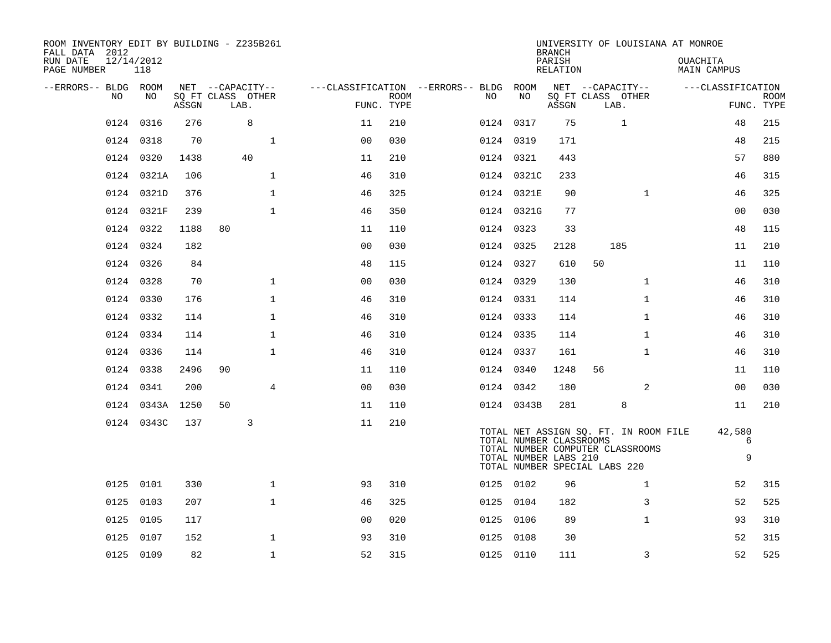| ROOM INVENTORY EDIT BY BUILDING - Z235B261<br>FALL DATA 2012 |                   |       |                           |                |                |             |                                        |                                                  | <b>BRANCH</b>      | UNIVERSITY OF LOUISIANA AT MONROE                                                                          |                                       |                           |
|--------------------------------------------------------------|-------------------|-------|---------------------------|----------------|----------------|-------------|----------------------------------------|--------------------------------------------------|--------------------|------------------------------------------------------------------------------------------------------------|---------------------------------------|---------------------------|
| RUN DATE<br>PAGE NUMBER                                      | 12/14/2012<br>118 |       |                           |                |                |             |                                        |                                                  | PARISH<br>RELATION |                                                                                                            | <b>OUACHITA</b><br><b>MAIN CAMPUS</b> |                           |
| --ERRORS-- BLDG ROOM                                         |                   |       | NET --CAPACITY--          |                |                |             | ---CLASSIFICATION --ERRORS-- BLDG ROOM |                                                  |                    | NET --CAPACITY--                                                                                           | ---CLASSIFICATION                     |                           |
| NO                                                           | NO                | ASSGN | SO FT CLASS OTHER<br>LAB. |                | FUNC. TYPE     | <b>ROOM</b> | NO                                     | NO                                               | ASSGN              | SQ FT CLASS OTHER<br>LAB.                                                                                  |                                       | <b>ROOM</b><br>FUNC. TYPE |
|                                                              | 0124 0316         | 276   | 8                         |                | 11             | 210         |                                        | 0124 0317                                        | 75                 | $\mathbf{1}$                                                                                               | 48                                    | 215                       |
|                                                              | 0124 0318         | 70    |                           | $\mathbf{1}$   | 0 <sub>0</sub> | 030         |                                        | 0124 0319                                        | 171                |                                                                                                            | 48                                    | 215                       |
|                                                              | 0124 0320         | 1438  | 40                        |                | 11             | 210         |                                        | 0124 0321                                        | 443                |                                                                                                            | 57                                    | 880                       |
|                                                              | 0124 0321A        | 106   |                           | $\mathbf{1}$   | 46             | 310         |                                        | 0124 0321C                                       | 233                |                                                                                                            | 46                                    | 315                       |
|                                                              | 0124 0321D        | 376   |                           | $\mathbf{1}$   | 46             | 325         |                                        | 0124 0321E                                       | 90                 | $\mathbf{1}$                                                                                               | 46                                    | 325                       |
|                                                              | 0124 0321F        | 239   |                           | $\mathbf{1}$   | 46             | 350         |                                        | 0124 0321G                                       | 77                 |                                                                                                            | 0 <sub>0</sub>                        | 030                       |
|                                                              | 0124 0322         | 1188  | 80                        |                | 11             | 110         |                                        | 0124 0323                                        | 33                 |                                                                                                            | 48                                    | 115                       |
|                                                              | 0124 0324         | 182   |                           |                | 0 <sub>0</sub> | 030         |                                        | 0124 0325                                        | 2128               | 185                                                                                                        | 11                                    | 210                       |
|                                                              | 0124 0326         | 84    |                           |                | 48             | 115         |                                        | 0124 0327                                        | 610                | 50                                                                                                         | 11                                    | 110                       |
|                                                              | 0124 0328         | 70    |                           | $\mathbf{1}$   | 0 <sub>0</sub> | 030         |                                        | 0124 0329                                        | 130                | $\mathbf{1}$                                                                                               | 46                                    | 310                       |
|                                                              | 0124 0330         | 176   |                           | $\mathbf{1}$   | 46             | 310         |                                        | 0124 0331                                        | 114                | $\mathbf{1}$                                                                                               | 46                                    | 310                       |
|                                                              | 0124 0332         | 114   |                           | $\mathbf{1}$   | 46             | 310         |                                        | 0124 0333                                        | 114                | $\mathbf{1}$                                                                                               | 46                                    | 310                       |
|                                                              | 0124 0334         | 114   |                           | $\mathbf 1$    | 46             | 310         |                                        | 0124 0335                                        | 114                | $\mathbf{1}$                                                                                               | 46                                    | 310                       |
|                                                              | 0124 0336         | 114   |                           | $\mathbf{1}$   | 46             | 310         |                                        | 0124 0337                                        | 161                | $\mathbf{1}$                                                                                               | 46                                    | 310                       |
|                                                              | 0124 0338         | 2496  | 90                        |                | 11             | 110         |                                        | 0124 0340                                        | 1248               | 56                                                                                                         | 11                                    | 110                       |
|                                                              | 0124 0341         | 200   |                           | $\overline{4}$ | 0 <sub>0</sub> | 030         |                                        | 0124 0342                                        | 180                | 2                                                                                                          | 0 <sub>0</sub>                        | 030                       |
|                                                              | 0124 0343A 1250   |       | 50                        |                | 11             | 110         |                                        | 0124 0343B                                       | 281                | 8                                                                                                          | 11                                    | 210                       |
|                                                              | 0124 0343C        | 137   | 3                         |                | 11             | 210         |                                        | TOTAL NUMBER CLASSROOMS<br>TOTAL NUMBER LABS 210 |                    | TOTAL NET ASSIGN SQ. FT. IN ROOM FILE<br>TOTAL NUMBER COMPUTER CLASSROOMS<br>TOTAL NUMBER SPECIAL LABS 220 | 42,580<br>6<br>9                      |                           |
|                                                              | 0125 0101         | 330   |                           | $\mathbf{1}$   | 93             | 310         |                                        | 0125 0102                                        | 96                 | $\mathbf{1}$                                                                                               | 52                                    | 315                       |
|                                                              | 0125 0103         | 207   |                           | $\mathbf{1}$   | 46             | 325         |                                        | 0125 0104                                        | 182                | 3                                                                                                          | 52                                    | 525                       |
| 0125                                                         | 0105              | 117   |                           |                | 0 <sub>0</sub> | 020         | 0125                                   | 0106                                             | 89                 | $\mathbf{1}$                                                                                               | 93                                    | 310                       |
| 0125                                                         | 0107              | 152   |                           | $\mathbf 1$    | 93             | 310         |                                        | 0125 0108                                        | 30                 |                                                                                                            | 52                                    | 315                       |
|                                                              | 0125 0109         | 82    |                           | $\mathbf 1$    | 52             | 315         |                                        | 0125 0110                                        | 111                | 3                                                                                                          | 52                                    | 525                       |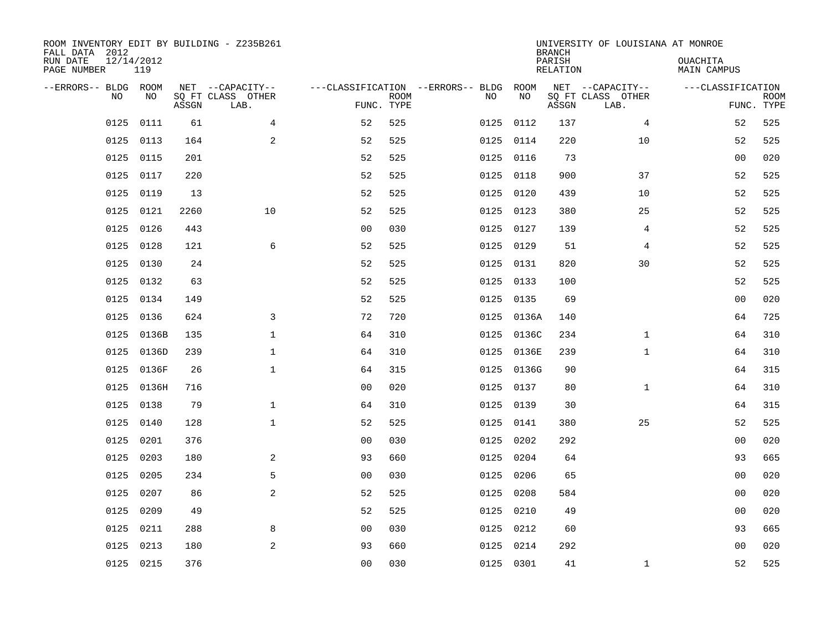| ROOM INVENTORY EDIT BY BUILDING - Z235B261<br>FALL DATA 2012<br>RUN DATE<br>PAGE NUMBER | 12/14/2012<br>119 |       |                                               |                                                      |             |           |            | <b>BRANCH</b><br>PARISH<br><b>RELATION</b> | UNIVERSITY OF LOUISIANA AT MONROE             | OUACHITA<br><b>MAIN CAMPUS</b>  |             |
|-----------------------------------------------------------------------------------------|-------------------|-------|-----------------------------------------------|------------------------------------------------------|-------------|-----------|------------|--------------------------------------------|-----------------------------------------------|---------------------------------|-------------|
| --ERRORS-- BLDG ROOM<br>NO                                                              | NO                | ASSGN | NET --CAPACITY--<br>SQ FT CLASS OTHER<br>LAB. | ---CLASSIFICATION --ERRORS-- BLDG ROOM<br>FUNC. TYPE | <b>ROOM</b> | NO        | NO         | ASSGN                                      | NET --CAPACITY--<br>SQ FT CLASS OTHER<br>LAB. | ---CLASSIFICATION<br>FUNC. TYPE | <b>ROOM</b> |
| 0125                                                                                    | 0111              | 61    | 4                                             | 52                                                   | 525         | 0125      | 0112       | 137                                        | 4                                             | 52                              | 525         |
| 0125                                                                                    | 0113              | 164   | 2                                             | 52                                                   | 525         | 0125 0114 |            | 220                                        | 10                                            | 52                              | 525         |
| 0125                                                                                    | 0115              | 201   |                                               | 52                                                   | 525         | 0125 0116 |            | 73                                         |                                               | 00                              | 020         |
| 0125                                                                                    | 0117              | 220   |                                               | 52                                                   | 525         | 0125 0118 |            | 900                                        | 37                                            | 52                              | 525         |
| 0125                                                                                    | 0119              | 13    |                                               | 52                                                   | 525         | 0125 0120 |            | 439                                        | 10                                            | 52                              | 525         |
| 0125                                                                                    | 0121              | 2260  | 10                                            | 52                                                   | 525         | 0125 0123 |            | 380                                        | 25                                            | 52                              | 525         |
| 0125                                                                                    | 0126              | 443   |                                               | 0 <sub>0</sub>                                       | 030         | 0125 0127 |            | 139                                        | 4                                             | 52                              | 525         |
| 0125                                                                                    | 0128              | 121   | 6                                             | 52                                                   | 525         | 0125 0129 |            | 51                                         | 4                                             | 52                              | 525         |
| 0125                                                                                    | 0130              | 24    |                                               | 52                                                   | 525         | 0125      | 0131       | 820                                        | 30                                            | 52                              | 525         |
| 0125                                                                                    | 0132              | 63    |                                               | 52                                                   | 525         |           | 0125 0133  | 100                                        |                                               | 52                              | 525         |
| 0125                                                                                    | 0134              | 149   |                                               | 52                                                   | 525         | 0125      | 0135       | 69                                         |                                               | 0 <sub>0</sub>                  | 020         |
| 0125                                                                                    | 0136              | 624   | 3                                             | 72                                                   | 720         |           | 0125 0136A | 140                                        |                                               | 64                              | 725         |
| 0125                                                                                    | 0136B             | 135   | $\mathbf 1$                                   | 64                                                   | 310         | 0125      | 0136C      | 234                                        | $\mathbf{1}$                                  | 64                              | 310         |
| 0125                                                                                    | 0136D             | 239   | $\mathbf 1$                                   | 64                                                   | 310         | 0125      | 0136E      | 239                                        | $\mathbf{1}$                                  | 64                              | 310         |
| 0125                                                                                    | 0136F             | 26    | $\mathbf 1$                                   | 64                                                   | 315         | 0125      | 0136G      | 90                                         |                                               | 64                              | 315         |
| 0125                                                                                    | 0136H             | 716   |                                               | 0 <sub>0</sub>                                       | 020         | 0125      | 0137       | 80                                         | $\mathbf{1}$                                  | 64                              | 310         |
| 0125                                                                                    | 0138              | 79    | $\mathbf{1}$                                  | 64                                                   | 310         | 0125      | 0139       | 30                                         |                                               | 64                              | 315         |
| 0125                                                                                    | 0140              | 128   | $\mathbf{1}$                                  | 52                                                   | 525         | 0125      | 0141       | 380                                        | 25                                            | 52                              | 525         |
| 0125                                                                                    | 0201              | 376   |                                               | 0 <sub>0</sub>                                       | 030         | 0125 0202 |            | 292                                        |                                               | 0 <sub>0</sub>                  | 020         |
| 0125                                                                                    | 0203              | 180   | 2                                             | 93                                                   | 660         | 0125 0204 |            | 64                                         |                                               | 93                              | 665         |
| 0125                                                                                    | 0205              | 234   | 5                                             | 0 <sub>0</sub>                                       | 030         | 0125 0206 |            | 65                                         |                                               | 00                              | 020         |
| 0125                                                                                    | 0207              | 86    | 2                                             | 52                                                   | 525         | 0125      | 0208       | 584                                        |                                               | 00                              | 020         |
| 0125                                                                                    | 0209              | 49    |                                               | 52                                                   | 525         | 0125 0210 |            | 49                                         |                                               | 0 <sub>0</sub>                  | 020         |
| 0125                                                                                    | 0211              | 288   | 8                                             | 0 <sub>0</sub>                                       | 030         | 0125 0212 |            | 60                                         |                                               | 93                              | 665         |
| 0125                                                                                    | 0213              | 180   | 2                                             | 93                                                   | 660         | 0125 0214 |            | 292                                        |                                               | 0 <sub>0</sub>                  | 020         |
|                                                                                         | 0125 0215         | 376   |                                               | 0 <sub>0</sub>                                       | 030         | 0125 0301 |            | 41                                         | $\mathbf{1}$                                  | 52                              | 525         |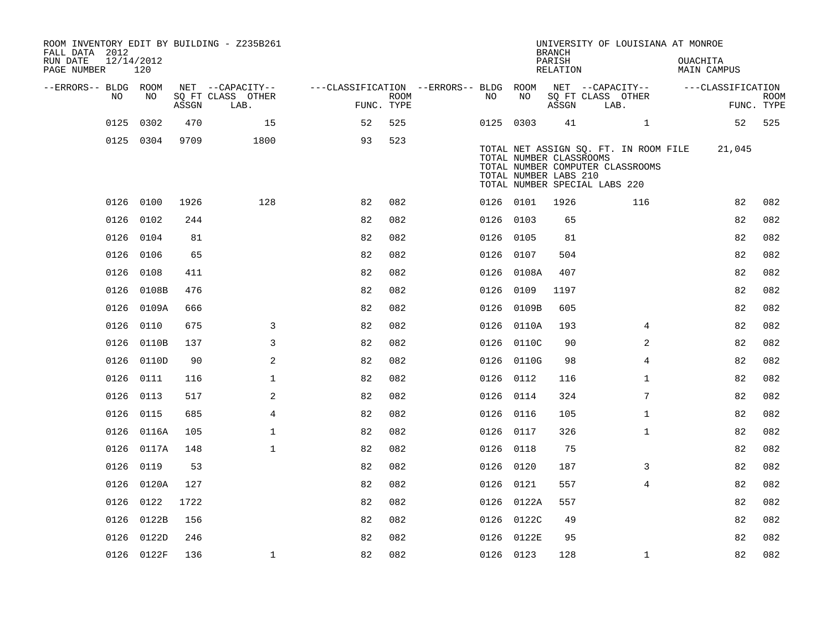| ROOM INVENTORY EDIT BY BUILDING - Z235B261<br>FALL DATA 2012<br>RUN DATE<br>PAGE NUMBER | 12/14/2012<br>120 |       |                           |                                                         |                    |           |                                                                                   | <b>BRANCH</b><br>PARISH<br>RELATION |      | UNIVERSITY OF LOUISIANA AT MONROE                                         | OUACHITA | MAIN CAMPUS       |                           |
|-----------------------------------------------------------------------------------------|-------------------|-------|---------------------------|---------------------------------------------------------|--------------------|-----------|-----------------------------------------------------------------------------------|-------------------------------------|------|---------------------------------------------------------------------------|----------|-------------------|---------------------------|
| --ERRORS-- BLDG ROOM                                                                    |                   |       | NET --CAPACITY--          | ---CLASSIFICATION --ERRORS-- BLDG ROOM NET --CAPACITY-- |                    |           |                                                                                   |                                     |      |                                                                           |          | ---CLASSIFICATION |                           |
| NO                                                                                      | NO.               | ASSGN | SO FT CLASS OTHER<br>LAB. |                                                         | ROOM<br>FUNC. TYPE | NO        | NO                                                                                | ASSGN                               | LAB. | SQ FT CLASS OTHER                                                         |          |                   | <b>ROOM</b><br>FUNC. TYPE |
| 0125                                                                                    | 0302              | 470   | 15                        | 52                                                      | 525                |           | 0125 0303                                                                         | 41                                  |      | $\mathbf{1}$                                                              |          |                   | 52 525                    |
|                                                                                         | 0125 0304         | 9709  | 1800                      | 93                                                      | 523                |           | TOTAL NUMBER CLASSROOMS<br>TOTAL NUMBER LABS 210<br>TOTAL NUMBER SPECIAL LABS 220 |                                     |      | TOTAL NET ASSIGN SQ. FT. IN ROOM FILE<br>TOTAL NUMBER COMPUTER CLASSROOMS |          | 21,045            |                           |
|                                                                                         | 0126 0100         | 1926  | 128                       | 82                                                      | 082                |           | 0126 0101                                                                         | 1926                                |      | 116                                                                       |          | 82                | 082                       |
| 0126                                                                                    | 0102              | 244   |                           | 82                                                      | 082                | 0126 0103 |                                                                                   | 65                                  |      |                                                                           |          | 82                | 082                       |
|                                                                                         | 0126 0104         | 81    |                           | 82                                                      | 082                | 0126 0105 |                                                                                   | 81                                  |      |                                                                           |          | 82                | 082                       |
|                                                                                         | 0126 0106         | 65    |                           | 82                                                      | 082                | 0126 0107 |                                                                                   | 504                                 |      |                                                                           |          | 82                | 082                       |
| 0126                                                                                    | 0108              | 411   |                           | 82                                                      | 082                |           | 0126 0108A                                                                        | 407                                 |      |                                                                           |          | 82                | 082                       |
|                                                                                         | 0126 0108B        | 476   |                           | 82                                                      | 082                | 0126 0109 |                                                                                   | 1197                                |      |                                                                           |          | 82                | 082                       |
|                                                                                         | 0126 0109A        | 666   |                           | 82                                                      | 082                |           | 0126 0109B                                                                        | 605                                 |      |                                                                           |          | 82                | 082                       |
|                                                                                         | 0126 0110         | 675   | 3                         | 82                                                      | 082                |           | 0126 0110A                                                                        | 193                                 |      | 4                                                                         |          | 82                | 082                       |
| 0126                                                                                    | 0110B             | 137   | $\overline{3}$            | 82                                                      | 082                |           | 0126 0110C                                                                        | 90                                  |      | $\overline{a}$                                                            |          | 82                | 082                       |
|                                                                                         | 0126 0110D        | 90    | 2                         | 82                                                      | 082                |           | 0126 0110G                                                                        | 98                                  |      | 4                                                                         |          | 82                | 082                       |
|                                                                                         | 0126 0111         | 116   | $\mathbf 1$               | 82                                                      | 082                | 0126 0112 |                                                                                   | 116                                 |      | $\mathbf{1}$                                                              |          | 82                | 082                       |
|                                                                                         | 0126 0113         | 517   | 2                         | 82                                                      | 082                | 0126 0114 |                                                                                   | 324                                 |      | 7                                                                         |          | 82                | 082                       |
|                                                                                         | 0126 0115         | 685   | 4                         | 82                                                      | 082                | 0126 0116 |                                                                                   | 105                                 |      | $\mathbf{1}$                                                              |          | 82                | 082                       |
|                                                                                         | 0126 0116A        | 105   | $\mathbf 1$               | 82                                                      | 082                | 0126 0117 |                                                                                   | 326                                 |      | $\mathbf{1}$                                                              |          | 82                | 082                       |
|                                                                                         | 0126 0117A        | 148   | $\mathbf{1}$              | 82                                                      | 082                | 0126 0118 |                                                                                   | 75                                  |      |                                                                           |          | 82                | 082                       |
|                                                                                         | 0126 0119         | 53    |                           | 82                                                      | 082                | 0126 0120 |                                                                                   | 187                                 |      | 3                                                                         |          | 82                | 082                       |
|                                                                                         | 0126 0120A        | 127   |                           | 82                                                      | 082                | 0126 0121 |                                                                                   | 557                                 |      | $\overline{4}$                                                            |          | 82                | 082                       |
|                                                                                         | 0126 0122         | 1722  |                           | 82                                                      | 082                |           | 0126 0122A                                                                        | 557                                 |      |                                                                           |          | 82                | 082                       |
|                                                                                         | 0126 0122B        | 156   |                           | 82                                                      | 082                |           | 0126 0122C                                                                        | 49                                  |      |                                                                           |          | 82                | 082                       |
|                                                                                         | 0126 0122D        | 246   |                           | 82                                                      | 082                |           | 0126 0122E                                                                        | 95                                  |      |                                                                           |          | 82                | 082                       |
|                                                                                         | 0126 0122F        | 136   | 1                         | 82                                                      | 082                | 0126 0123 |                                                                                   | 128                                 |      | $\mathbf{1}$                                                              |          | 82                | 082                       |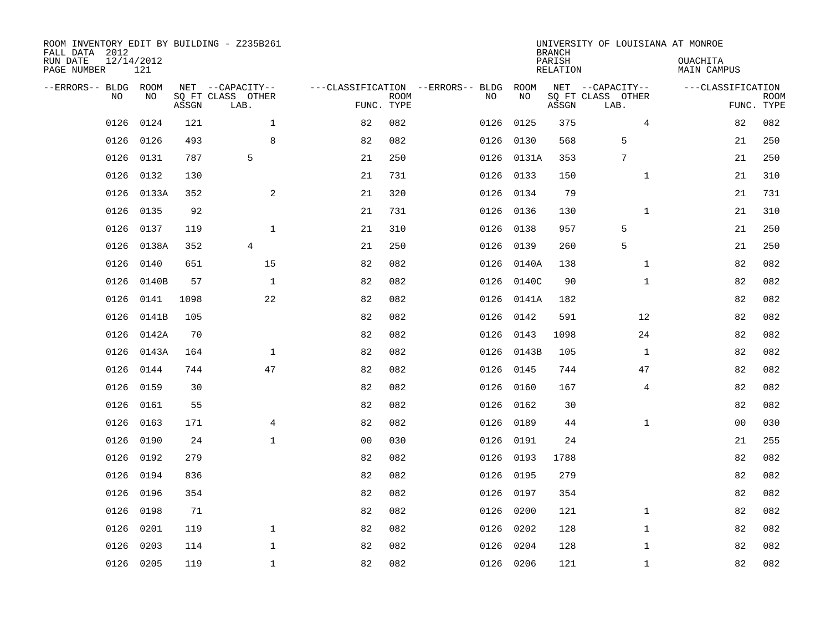| ROOM INVENTORY EDIT BY BUILDING - Z235B261<br>FALL DATA 2012<br>RUN DATE<br>PAGE NUMBER | 12/14/2012<br>121 |       |                                               |                                                 |             |           |            | <b>BRANCH</b><br>PARISH<br><b>RELATION</b> | UNIVERSITY OF LOUISIANA AT MONROE             | OUACHITA<br><b>MAIN CAMPUS</b>  |             |
|-----------------------------------------------------------------------------------------|-------------------|-------|-----------------------------------------------|-------------------------------------------------|-------------|-----------|------------|--------------------------------------------|-----------------------------------------------|---------------------------------|-------------|
| --ERRORS-- BLDG ROOM<br>NO                                                              | NO                | ASSGN | NET --CAPACITY--<br>SQ FT CLASS OTHER<br>LAB. | ---CLASSIFICATION --ERRORS-- BLDG<br>FUNC. TYPE | <b>ROOM</b> | NO        | ROOM<br>NO | ASSGN                                      | NET --CAPACITY--<br>SQ FT CLASS OTHER<br>LAB. | ---CLASSIFICATION<br>FUNC. TYPE | <b>ROOM</b> |
| 0126                                                                                    | 0124              | 121   | $\mathbf 1$                                   | 82                                              | 082         | 0126      | 0125       | 375                                        | 4                                             | 82                              | 082         |
| 0126                                                                                    | 0126              | 493   | 8                                             | 82                                              | 082         | 0126      | 0130       | 568                                        | 5                                             | 21                              | 250         |
| 0126                                                                                    | 0131              | 787   | 5                                             | 21                                              | 250         |           | 0126 0131A | 353                                        | 7                                             | 21                              | 250         |
| 0126                                                                                    | 0132              | 130   |                                               | 21                                              | 731         | 0126 0133 |            | 150                                        | $\mathbf{1}$                                  | 21                              | 310         |
| 0126                                                                                    | 0133A             | 352   | 2                                             | 21                                              | 320         | 0126 0134 |            | 79                                         |                                               | 21                              | 731         |
| 0126                                                                                    | 0135              | 92    |                                               | 21                                              | 731         | 0126 0136 |            | 130                                        | $\mathbf{1}$                                  | 21                              | 310         |
| 0126                                                                                    | 0137              | 119   | $\mathbf{1}$                                  | 21                                              | 310         | 0126 0138 |            | 957                                        | 5                                             | 21                              | 250         |
| 0126                                                                                    | 0138A             | 352   | $\overline{4}$                                | 21                                              | 250         | 0126 0139 |            | 260                                        | 5                                             | 21                              | 250         |
| 0126                                                                                    | 0140              | 651   | 15                                            | 82                                              | 082         | 0126      | 0140A      | 138                                        | $\mathbf{1}$                                  | 82                              | 082         |
| 0126                                                                                    | 0140B             | 57    | $\mathbf{1}$                                  | 82                                              | 082         |           | 0126 0140C | 90                                         | $\mathbf{1}$                                  | 82                              | 082         |
| 0126                                                                                    | 0141              | 1098  | 22                                            | 82                                              | 082         | 0126      | 0141A      | 182                                        |                                               | 82                              | 082         |
| 0126                                                                                    | 0141B             | 105   |                                               | 82                                              | 082         | 0126      | 0142       | 591                                        | 12                                            | 82                              | 082         |
| 0126                                                                                    | 0142A             | 70    |                                               | 82                                              | 082         | 0126      | 0143       | 1098                                       | 24                                            | 82                              | 082         |
| 0126                                                                                    | 0143A             | 164   | $\mathbf 1$                                   | 82                                              | 082         |           | 0126 0143B | 105                                        | $\mathbf{1}$                                  | 82                              | 082         |
| 0126                                                                                    | 0144              | 744   | 47                                            | 82                                              | 082         | 0126      | 0145       | 744                                        | 47                                            | 82                              | 082         |
| 0126                                                                                    | 0159              | 30    |                                               | 82                                              | 082         | 0126      | 0160       | 167                                        | $\overline{4}$                                | 82                              | 082         |
| 0126                                                                                    | 0161              | 55    |                                               | 82                                              | 082         | 0126      | 0162       | 30                                         |                                               | 82                              | 082         |
| 0126                                                                                    | 0163              | 171   | $\overline{4}$                                | 82                                              | 082         | 0126      | 0189       | 44                                         | $\mathbf{1}$                                  | 0 <sub>0</sub>                  | 030         |
| 0126                                                                                    | 0190              | 24    | $\mathbf{1}$                                  | 0 <sub>0</sub>                                  | 030         | 0126 0191 |            | 24                                         |                                               | 21                              | 255         |
| 0126                                                                                    | 0192              | 279   |                                               | 82                                              | 082         | 0126      | 0193       | 1788                                       |                                               | 82                              | 082         |
| 0126                                                                                    | 0194              | 836   |                                               | 82                                              | 082         | 0126 0195 |            | 279                                        |                                               | 82                              | 082         |
| 0126                                                                                    | 0196              | 354   |                                               | 82                                              | 082         | 0126      | 0197       | 354                                        |                                               | 82                              | 082         |
| 0126                                                                                    | 0198              | 71    |                                               | 82                                              | 082         | 0126      | 0200       | 121                                        | $\mathbf{1}$                                  | 82                              | 082         |
| 0126                                                                                    | 0201              | 119   | $\mathbf{1}$                                  | 82                                              | 082         | 0126      | 0202       | 128                                        | $\mathbf{1}$                                  | 82                              | 082         |
| 0126                                                                                    | 0203              | 114   | $\mathbf 1$                                   | 82                                              | 082         | 0126      | 0204       | 128                                        | $\mathbf{1}$                                  | 82                              | 082         |
|                                                                                         | 0126 0205         | 119   | $\mathbf{1}$                                  | 82                                              | 082         | 0126 0206 |            | 121                                        | $\mathbf{1}$                                  | 82                              | 082         |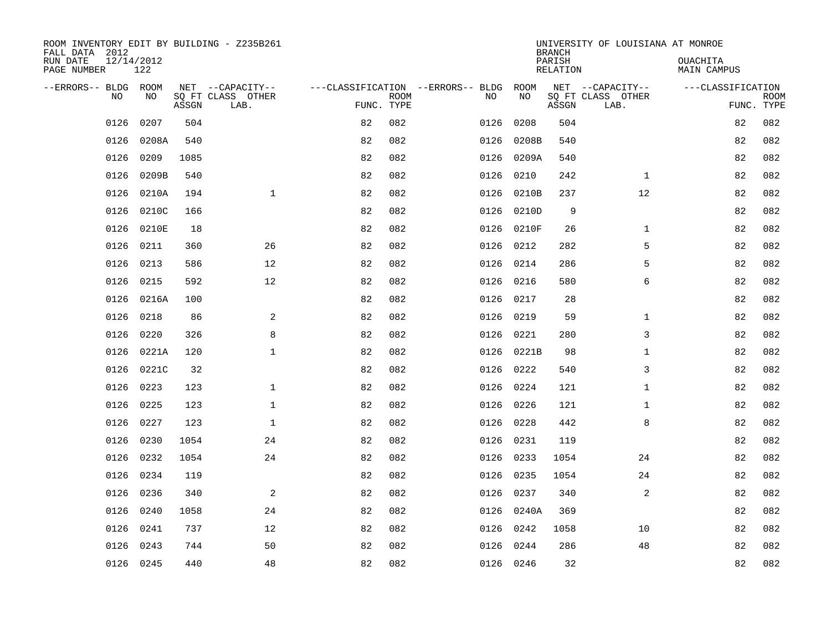| ROOM INVENTORY EDIT BY BUILDING - Z235B261<br>FALL DATA 2012 |                   |       |                           |                                        |             |           |            | <b>BRANCH</b>      | UNIVERSITY OF LOUISIANA AT MONROE |                         |             |
|--------------------------------------------------------------|-------------------|-------|---------------------------|----------------------------------------|-------------|-----------|------------|--------------------|-----------------------------------|-------------------------|-------------|
| RUN DATE<br>PAGE NUMBER                                      | 12/14/2012<br>122 |       |                           |                                        |             |           |            | PARISH<br>RELATION |                                   | OUACHITA<br>MAIN CAMPUS |             |
| --ERRORS-- BLDG ROOM                                         |                   |       | NET --CAPACITY--          | ---CLASSIFICATION --ERRORS-- BLDG ROOM |             |           |            |                    | NET --CAPACITY--                  | ---CLASSIFICATION       |             |
| NO.                                                          | NO.               | ASSGN | SQ FT CLASS OTHER<br>LAB. | FUNC. TYPE                             | <b>ROOM</b> | NO.       | NO         | ASSGN              | SQ FT CLASS OTHER<br>LAB.         | FUNC. TYPE              | <b>ROOM</b> |
| 0126                                                         | 0207              | 504   |                           | 82                                     | 082         | 0126      | 0208       | 504                |                                   | 82                      | 082         |
| 0126                                                         | 0208A             | 540   |                           | 82                                     | 082         | 0126      | 0208B      | 540                |                                   | 82                      | 082         |
| 0126                                                         | 0209              | 1085  |                           | 82                                     | 082         | 0126      | 0209A      | 540                |                                   | 82                      | 082         |
| 0126                                                         | 0209B             | 540   |                           | 82                                     | 082         | 0126 0210 |            | 242                | $\mathbf{1}$                      | 82                      | 082         |
| 0126                                                         | 0210A             | 194   | $\mathbf{1}$              | 82                                     | 082         | 0126      | 0210B      | 237                | 12                                | 82                      | 082         |
| 0126                                                         | 0210C             | 166   |                           | 82                                     | 082         |           | 0126 0210D | 9                  |                                   | 82                      | 082         |
| 0126                                                         | 0210E             | 18    |                           | 82                                     | 082         |           | 0126 0210F | 26                 | $\mathbf{1}$                      | 82                      | 082         |
| 0126                                                         | 0211              | 360   | 26                        | 82                                     | 082         | 0126 0212 |            | 282                | 5                                 | 82                      | 082         |
| 0126                                                         | 0213              | 586   | 12                        | 82                                     | 082         | 0126      | 0214       | 286                | 5                                 | 82                      | 082         |
| 0126                                                         | 0215              | 592   | 12                        | 82                                     | 082         | 0126 0216 |            | 580                | 6                                 | 82                      | 082         |
| 0126                                                         | 0216A             | 100   |                           | 82                                     | 082         | 0126      | 0217       | 28                 |                                   | 82                      | 082         |
| 0126                                                         | 0218              | 86    | 2                         | 82                                     | 082         | 0126 0219 |            | 59                 | $\mathbf{1}$                      | 82                      | 082         |
| 0126                                                         | 0220              | 326   | 8                         | 82                                     | 082         | 0126      | 0221       | 280                | 3                                 | 82                      | 082         |
| 0126                                                         | 0221A             | 120   | $\mathbf 1$               | 82                                     | 082         |           | 0126 0221B | 98                 | $\mathbf{1}$                      | 82                      | 082         |
| 0126                                                         | 0221C             | 32    |                           | 82                                     | 082         | 0126      | 0222       | 540                | 3                                 | 82                      | 082         |
| 0126                                                         | 0223              | 123   | $\mathbf{1}$              | 82                                     | 082         | 0126 0224 |            | 121                | $\mathbf{1}$                      | 82                      | 082         |
| 0126                                                         | 0225              | 123   | $\mathbf 1$               | 82                                     | 082         | 0126      | 0226       | 121                | $\mathbf{1}$                      | 82                      | 082         |
| 0126                                                         | 0227              | 123   | $\mathbf 1$               | 82                                     | 082         | 0126 0228 |            | 442                | 8                                 | 82                      | 082         |
| 0126                                                         | 0230              | 1054  | 24                        | 82                                     | 082         | 0126 0231 |            | 119                |                                   | 82                      | 082         |
| 0126                                                         | 0232              | 1054  | 24                        | 82                                     | 082         | 0126 0233 |            | 1054               | 24                                | 82                      | 082         |
| 0126                                                         | 0234              | 119   |                           | 82                                     | 082         | 0126 0235 |            | 1054               | 24                                | 82                      | 082         |
| 0126                                                         | 0236              | 340   | 2                         | 82                                     | 082         | 0126      | 0237       | 340                | 2                                 | 82                      | 082         |
| 0126                                                         | 0240              | 1058  | 24                        | 82                                     | 082         |           | 0126 0240A | 369                |                                   | 82                      | 082         |
| 0126                                                         | 0241              | 737   | 12                        | 82                                     | 082         | 0126 0242 |            | 1058               | 10                                | 82                      | 082         |
| 0126                                                         | 0243              | 744   | 50                        | 82                                     | 082         | 0126      | 0244       | 286                | 48                                | 82                      | 082         |
|                                                              | 0126 0245         | 440   | 48                        | 82                                     | 082         | 0126 0246 |            | 32                 |                                   | 82                      | 082         |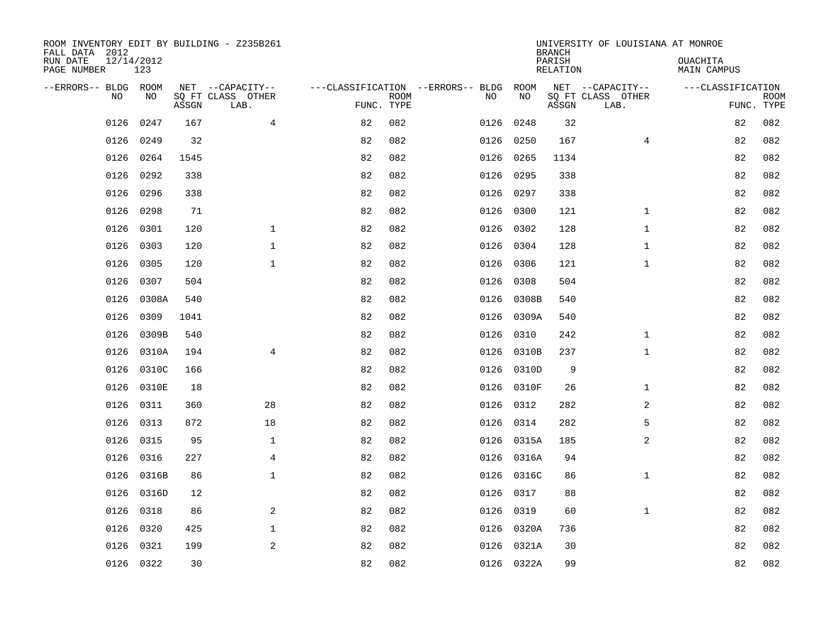| ROOM INVENTORY EDIT BY BUILDING - Z235B261<br>FALL DATA 2012 |                   |       |                           |            |             |                                   |            | <b>BRANCH</b>      | UNIVERSITY OF LOUISIANA AT MONROE |                                |                           |
|--------------------------------------------------------------|-------------------|-------|---------------------------|------------|-------------|-----------------------------------|------------|--------------------|-----------------------------------|--------------------------------|---------------------------|
| RUN DATE<br>PAGE NUMBER                                      | 12/14/2012<br>123 |       |                           |            |             |                                   |            | PARISH<br>RELATION |                                   | <b>OUACHITA</b><br>MAIN CAMPUS |                           |
| --ERRORS-- BLDG ROOM                                         |                   |       | NET --CAPACITY--          |            |             | ---CLASSIFICATION --ERRORS-- BLDG | ROOM       |                    | NET --CAPACITY--                  | ---CLASSIFICATION              |                           |
| N <sub>O</sub>                                               | NO.               | ASSGN | SO FT CLASS OTHER<br>LAB. | FUNC. TYPE | <b>ROOM</b> | NO.                               | NO         | ASSGN              | SQ FT CLASS OTHER<br>LAB.         |                                | <b>ROOM</b><br>FUNC. TYPE |
| 0126                                                         | 0247              | 167   | $\overline{4}$            | 82         | 082         | 0126                              | 0248       | 32                 |                                   | 82                             | 082                       |
| 0126                                                         | 0249              | 32    |                           | 82         | 082         | 0126                              | 0250       | 167                | $\overline{4}$                    | 82                             | 082                       |
| 0126                                                         | 0264              | 1545  |                           | 82         | 082         | 0126                              | 0265       | 1134               |                                   | 82                             | 082                       |
| 0126                                                         | 0292              | 338   |                           | 82         | 082         | 0126                              | 0295       | 338                |                                   | 82                             | 082                       |
| 0126                                                         | 0296              | 338   |                           | 82         | 082         | 0126                              | 0297       | 338                |                                   | 82                             | 082                       |
| 0126                                                         | 0298              | 71    |                           | 82         | 082         |                                   | 0126 0300  | 121                | $\mathbf{1}$                      | 82                             | 082                       |
| 0126                                                         | 0301              | 120   | $\mathbf{1}$              | 82         | 082         | 0126                              | 0302       | 128                | $\mathbf{1}$                      | 82                             | 082                       |
| 0126                                                         | 0303              | 120   | $\mathbf{1}$              | 82         | 082         |                                   | 0126 0304  | 128                | $\mathbf{1}$                      | 82                             | 082                       |
| 0126                                                         | 0305              | 120   | $\mathbf{1}$              | 82         | 082         | 0126                              | 0306       | 121                | $\mathbf{1}$                      | 82                             | 082                       |
| 0126                                                         | 0307              | 504   |                           | 82         | 082         |                                   | 0126 0308  | 504                |                                   | 82                             | 082                       |
| 0126                                                         | 0308A             | 540   |                           | 82         | 082         | 0126                              | 0308B      | 540                |                                   | 82                             | 082                       |
| 0126                                                         | 0309              | 1041  |                           | 82         | 082         |                                   | 0126 0309A | 540                |                                   | 82                             | 082                       |
| 0126                                                         | 0309B             | 540   |                           | 82         | 082         | 0126                              | 0310       | 242                | $\mathbf{1}$                      | 82                             | 082                       |
| 0126                                                         | 0310A             | 194   | $\overline{4}$            | 82         | 082         | 0126                              | 0310B      | 237                | $\mathbf{1}$                      | 82                             | 082                       |
| 0126                                                         | 0310C             | 166   |                           | 82         | 082         | 0126                              | 0310D      | 9                  |                                   | 82                             | 082                       |
| 0126                                                         | 0310E             | 18    |                           | 82         | 082         |                                   | 0126 0310F | 26                 | $\mathbf{1}$                      | 82                             | 082                       |
| 0126                                                         | 0311              | 360   | 28                        | 82         | 082         | 0126                              | 0312       | 282                | 2                                 | 82                             | 082                       |
| 0126                                                         | 0313              | 872   | 18                        | 82         | 082         | 0126                              | 0314       | 282                | 5                                 | 82                             | 082                       |
| 0126                                                         | 0315              | 95    | $\mathbf{1}$              | 82         | 082         |                                   | 0126 0315A | 185                | 2                                 | 82                             | 082                       |
| 0126                                                         | 0316              | 227   | $\overline{4}$            | 82         | 082         |                                   | 0126 0316A | 94                 |                                   | 82                             | 082                       |
|                                                              | 0126 0316B        | 86    | $\mathbf 1$               | 82         | 082         |                                   | 0126 0316C | 86                 | $\mathbf{1}$                      | 82                             | 082                       |
| 0126                                                         | 0316D             | 12    |                           | 82         | 082         | 0126                              | 0317       | 88                 |                                   | 82                             | 082                       |
| 0126                                                         | 0318              | 86    | 2                         | 82         | 082         |                                   | 0126 0319  | 60                 | $\mathbf{1}$                      | 82                             | 082                       |
| 0126                                                         | 0320              | 425   | $\mathbf 1$               | 82         | 082         |                                   | 0126 0320A | 736                |                                   | 82                             | 082                       |
| 0126                                                         | 0321              | 199   | 2                         | 82         | 082         |                                   | 0126 0321A | 30                 |                                   | 82                             | 082                       |
|                                                              | 0126 0322         | 30    |                           | 82         | 082         |                                   | 0126 0322A | 99                 |                                   | 82                             | 082                       |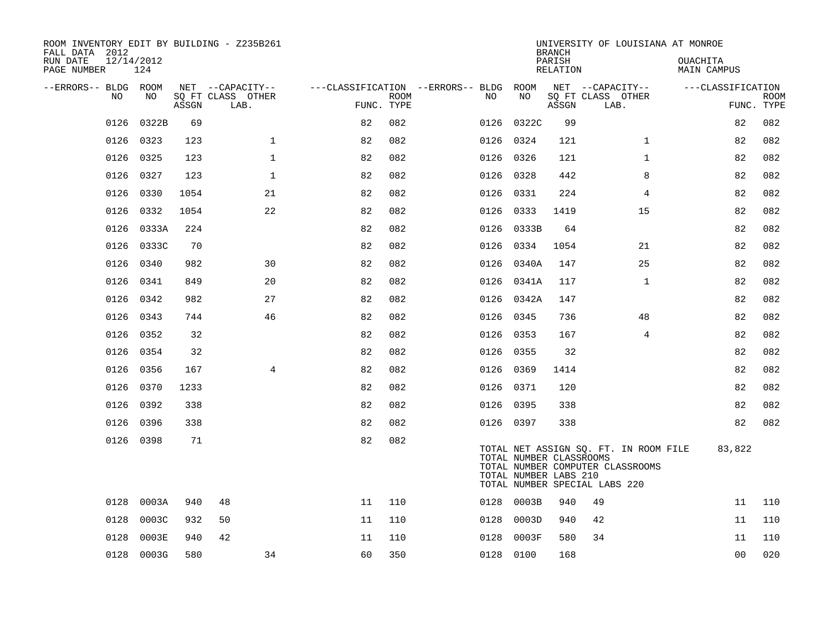| ROOM INVENTORY EDIT BY BUILDING - Z235B261<br>FALL DATA 2012<br>RUN DATE<br>PAGE NUMBER | 12/14/2012<br>124 |       |                                               |            |      |                                              |                                                  | <b>BRANCH</b><br>PARISH<br>RELATION | UNIVERSITY OF LOUISIANA AT MONROE                                                                          | OUACHITA<br><b>MAIN CAMPUS</b> |                           |
|-----------------------------------------------------------------------------------------|-------------------|-------|-----------------------------------------------|------------|------|----------------------------------------------|--------------------------------------------------|-------------------------------------|------------------------------------------------------------------------------------------------------------|--------------------------------|---------------------------|
| --ERRORS-- BLDG ROOM<br>NO                                                              | NO                | ASSGN | NET --CAPACITY--<br>SQ FT CLASS OTHER<br>LAB. | FUNC. TYPE | ROOM | ---CLASSIFICATION --ERRORS-- BLDG ROOM<br>NO | NO                                               | ASSGN                               | NET --CAPACITY--<br>SQ FT CLASS OTHER<br>LAB.                                                              | ---CLASSIFICATION              | <b>ROOM</b><br>FUNC. TYPE |
| 0126                                                                                    | 0322B             | 69    |                                               | 82         | 082  |                                              | 0126 0322C                                       | 99                                  |                                                                                                            | 82                             | 082                       |
| 0126                                                                                    | 0323              | 123   | $\mathbf{1}$                                  | 82         | 082  |                                              | 0126 0324                                        | 121                                 | $\mathbf{1}$                                                                                               | 82                             | 082                       |
|                                                                                         | 0126 0325         | 123   | $\mathbf{1}$                                  | 82         | 082  |                                              | 0126 0326                                        | 121                                 | $\mathbf{1}$                                                                                               | 82                             | 082                       |
| 0126                                                                                    | 0327              | 123   | $\mathbf{1}$                                  | 82         | 082  | 0126                                         | 0328                                             | 442                                 | 8                                                                                                          | 82                             | 082                       |
|                                                                                         | 0126 0330         | 1054  | 21                                            | 82         | 082  |                                              | 0126 0331                                        | 224                                 | 4                                                                                                          | 82                             | 082                       |
| 0126                                                                                    | 0332              | 1054  | 22                                            | 82         | 082  |                                              | 0126 0333                                        | 1419                                | 15                                                                                                         | 82                             | 082                       |
|                                                                                         | 0126 0333A        | 224   |                                               | 82         | 082  |                                              | 0126 0333B                                       | 64                                  |                                                                                                            | 82                             | 082                       |
| 0126                                                                                    | 0333C             | 70    |                                               | 82         | 082  |                                              | 0126 0334                                        | 1054                                | 21                                                                                                         | 82                             | 082                       |
|                                                                                         | 0126 0340         | 982   | 30                                            | 82         | 082  |                                              | 0126 0340A                                       | 147                                 | 25                                                                                                         | 82                             | 082                       |
| 0126                                                                                    | 0341              | 849   | 20                                            | 82         | 082  |                                              | 0126 0341A                                       | 117                                 | $\mathbf{1}$                                                                                               | 82                             | 082                       |
| 0126                                                                                    | 0342              | 982   | 27                                            | 82         | 082  |                                              | 0126 0342A                                       | 147                                 |                                                                                                            | 82                             | 082                       |
| 0126                                                                                    | 0343              | 744   | 46                                            | 82         | 082  |                                              | 0126 0345                                        | 736                                 | 48                                                                                                         | 82                             | 082                       |
| 0126                                                                                    | 0352              | 32    |                                               | 82         | 082  |                                              | 0126 0353                                        | 167                                 | $\overline{4}$                                                                                             | 82                             | 082                       |
| 0126                                                                                    | 0354              | 32    |                                               | 82         | 082  |                                              | 0126 0355                                        | 32                                  |                                                                                                            | 82                             | 082                       |
| 0126                                                                                    | 0356              | 167   | $\overline{4}$                                | 82         | 082  |                                              | 0126 0369                                        | 1414                                |                                                                                                            | 82                             | 082                       |
| 0126                                                                                    | 0370              | 1233  |                                               | 82         | 082  |                                              | 0126 0371                                        | 120                                 |                                                                                                            | 82                             | 082                       |
|                                                                                         | 0126 0392         | 338   |                                               | 82         | 082  |                                              | 0126 0395                                        | 338                                 |                                                                                                            | 82                             | 082                       |
|                                                                                         | 0126 0396         | 338   |                                               | 82         | 082  |                                              | 0126 0397                                        | 338                                 |                                                                                                            | 82                             | 082                       |
|                                                                                         | 0126 0398         | 71    |                                               | 82         | 082  |                                              | TOTAL NUMBER CLASSROOMS<br>TOTAL NUMBER LABS 210 |                                     | TOTAL NET ASSIGN SQ. FT. IN ROOM FILE<br>TOTAL NUMBER COMPUTER CLASSROOMS<br>TOTAL NUMBER SPECIAL LABS 220 | 83,822                         |                           |
| 0128                                                                                    | 0003A             | 940   | 48                                            | 11         | 110  |                                              | 0128 0003B                                       | 940                                 | 49                                                                                                         | 11                             | 110                       |
| 0128                                                                                    | 0003C             | 932   | 50                                            | 11         | 110  | 0128                                         | 0003D                                            | 940                                 | 42                                                                                                         | 11                             | 110                       |
| 0128                                                                                    | 0003E             | 940   | 42                                            | 11         | 110  | 0128                                         | 0003F                                            | 580                                 | 34                                                                                                         | 11                             | 110                       |
|                                                                                         | 0128 0003G        | 580   | 34                                            | 60         | 350  |                                              | 0128 0100                                        | 168                                 |                                                                                                            | 0 <sub>0</sub>                 | 020                       |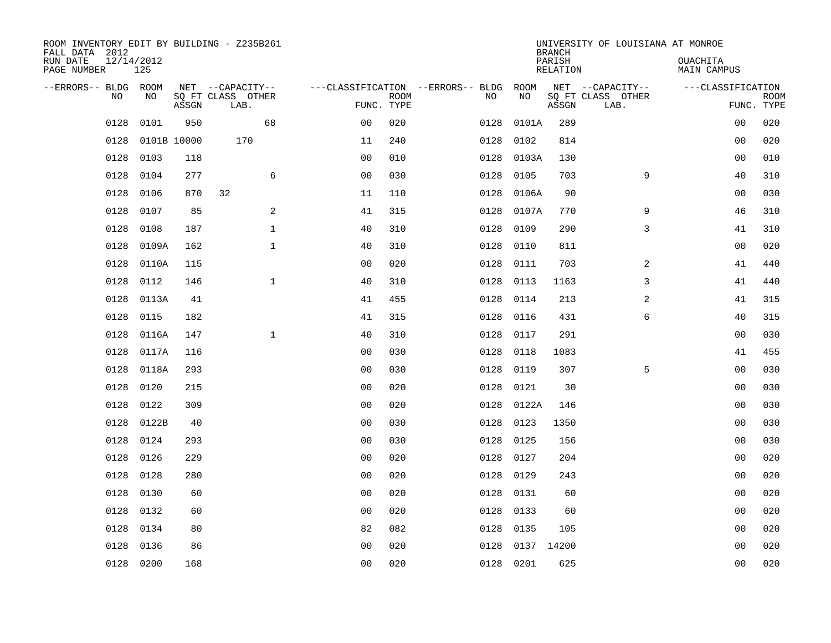| ROOM INVENTORY EDIT BY BUILDING - Z235B261<br>FALL DATA 2012 |                   |             |                           |                |             |                                        | <b>BRANCH</b> | UNIVERSITY OF LOUISIANA AT MONROE |                           |                                |             |
|--------------------------------------------------------------|-------------------|-------------|---------------------------|----------------|-------------|----------------------------------------|---------------|-----------------------------------|---------------------------|--------------------------------|-------------|
| RUN DATE<br>PAGE NUMBER                                      | 12/14/2012<br>125 |             |                           |                |             |                                        |               | PARISH<br><b>RELATION</b>         |                           | OUACHITA<br><b>MAIN CAMPUS</b> |             |
| --ERRORS-- BLDG ROOM                                         |                   |             | NET --CAPACITY--          |                |             | ---CLASSIFICATION --ERRORS-- BLDG ROOM |               |                                   | NET --CAPACITY--          | ---CLASSIFICATION              |             |
| NO                                                           | NO                | ASSGN       | SQ FT CLASS OTHER<br>LAB. | FUNC. TYPE     | <b>ROOM</b> | NO                                     | NO            | ASSGN                             | SQ FT CLASS OTHER<br>LAB. | FUNC. TYPE                     | <b>ROOM</b> |
| 0128                                                         | 0101              | 950         | 68                        | 0 <sup>0</sup> | 020         | 0128                                   | 0101A         | 289                               |                           | 0 <sub>0</sub>                 | 020         |
| 0128                                                         |                   | 0101B 10000 | 170                       | 11             | 240         | 0128                                   | 0102          | 814                               |                           | 00                             | 020         |
| 0128                                                         | 0103              | 118         |                           | 0 <sub>0</sub> | 010         | 0128                                   | 0103A         | 130                               |                           | 00                             | 010         |
| 0128                                                         | 0104              | 277         | 6                         | 0 <sub>0</sub> | 030         | 0128                                   | 0105          | 703                               | 9                         | 40                             | 310         |
| 0128                                                         | 0106              | 870         | 32                        | 11             | 110         | 0128                                   | 0106A         | 90                                |                           | 0 <sub>0</sub>                 | 030         |
| 0128                                                         | 0107              | 85          | 2                         | 41             | 315         | 0128                                   | 0107A         | 770                               | 9                         | 46                             | 310         |
| 0128                                                         | 0108              | 187         | $\mathbf{1}$              | 40             | 310         | 0128                                   | 0109          | 290                               | 3                         | 41                             | 310         |
| 0128                                                         | 0109A             | 162         | $\mathbf{1}$              | 40             | 310         | 0128                                   | 0110          | 811                               |                           | 0 <sub>0</sub>                 | 020         |
| 0128                                                         | 0110A             | 115         |                           | 0 <sub>0</sub> | 020         | 0128                                   | 0111          | 703                               | 2                         | 41                             | 440         |
| 0128                                                         | 0112              | 146         | $\mathbf{1}$              | 40             | 310         | 0128                                   | 0113          | 1163                              | 3                         | 41                             | 440         |
| 0128                                                         | 0113A             | 41          |                           | 41             | 455         | 0128                                   | 0114          | 213                               | 2                         | 41                             | 315         |
| 0128                                                         | 0115              | 182         |                           | 41             | 315         | 0128                                   | 0116          | 431                               | 6                         | 40                             | 315         |
| 0128                                                         | 0116A             | 147         | $\mathbf{1}$              | 40             | 310         | 0128                                   | 0117          | 291                               |                           | 0 <sub>0</sub>                 | 030         |
| 0128                                                         | 0117A             | 116         |                           | 0 <sub>0</sub> | 030         | 0128                                   | 0118          | 1083                              |                           | 41                             | 455         |
| 0128                                                         | 0118A             | 293         |                           | 0 <sub>0</sub> | 030         | 0128                                   | 0119          | 307                               | 5                         | 0 <sub>0</sub>                 | 030         |
| 0128                                                         | 0120              | 215         |                           | 00             | 020         | 0128                                   | 0121          | 30                                |                           | 00                             | 030         |
| 0128                                                         | 0122              | 309         |                           | 0 <sub>0</sub> | 020         | 0128                                   | 0122A         | 146                               |                           | 0 <sub>0</sub>                 | 030         |
| 0128                                                         | 0122B             | 40          |                           | 0 <sub>0</sub> | 030         | 0128                                   | 0123          | 1350                              |                           | 00                             | 030         |
| 0128                                                         | 0124              | 293         |                           | 0 <sub>0</sub> | 030         |                                        | 0128 0125     | 156                               |                           | 00                             | 030         |
| 0128                                                         | 0126              | 229         |                           | 0 <sub>0</sub> | 020         | 0128                                   | 0127          | 204                               |                           | 00                             | 020         |
| 0128                                                         | 0128              | 280         |                           | 0 <sub>0</sub> | 020         |                                        | 0128 0129     | 243                               |                           | 0 <sub>0</sub>                 | 020         |
| 0128                                                         | 0130              | 60          |                           | 00             | 020         | 0128                                   | 0131          | 60                                |                           | 0 <sub>0</sub>                 | 020         |
| 0128                                                         | 0132              | 60          |                           | 0 <sub>0</sub> | 020         |                                        | 0128 0133     | 60                                |                           | 0 <sub>0</sub>                 | 020         |
| 0128                                                         | 0134              | 80          |                           | 82             | 082         | 0128                                   | 0135          | 105                               |                           | 0 <sub>0</sub>                 | 020         |
| 0128                                                         | 0136              | 86          |                           | 0 <sub>0</sub> | 020         | 0128                                   | 0137 14200    |                                   |                           | 0 <sub>0</sub>                 | 020         |
|                                                              | 0128 0200         | 168         |                           | 00             | 020         |                                        | 0128 0201     | 625                               |                           | 0 <sub>0</sub>                 | 020         |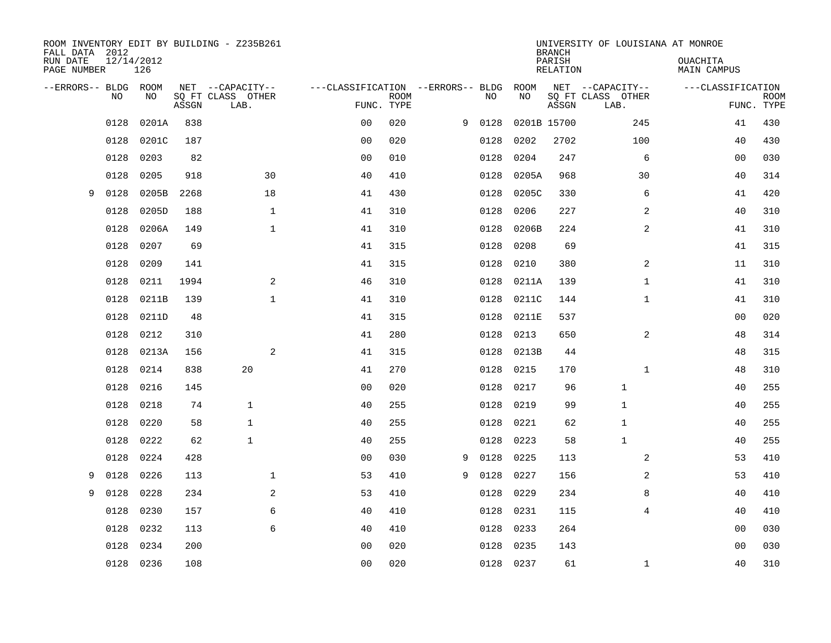| FALL DATA 2012          |            |       |       | ROOM INVENTORY EDIT BY BUILDING - Z235B261 |                                   |             |   |      |           | <b>BRANCH</b>      | UNIVERSITY OF LOUISIANA AT MONROE |                                |                           |
|-------------------------|------------|-------|-------|--------------------------------------------|-----------------------------------|-------------|---|------|-----------|--------------------|-----------------------------------|--------------------------------|---------------------------|
| RUN DATE<br>PAGE NUMBER | 12/14/2012 | 126   |       |                                            |                                   |             |   |      |           | PARISH<br>RELATION |                                   | <b>OUACHITA</b><br>MAIN CAMPUS |                           |
| --ERRORS-- BLDG ROOM    |            |       |       | NET --CAPACITY--                           | ---CLASSIFICATION --ERRORS-- BLDG |             |   |      | ROOM      |                    | NET --CAPACITY--                  | ---CLASSIFICATION              |                           |
|                         | NO         | NO    | ASSGN | SQ FT CLASS OTHER<br>LAB.                  | FUNC. TYPE                        | <b>ROOM</b> |   | NO   | NO        | ASSGN              | SQ FT CLASS OTHER<br>LAB.         |                                | <b>ROOM</b><br>FUNC. TYPE |
|                         | 0128       | 0201A | 838   |                                            | 0 <sub>0</sub>                    | 020         | 9 | 0128 |           | 0201B 15700        | 245                               | 41                             | 430                       |
|                         | 0128       | 0201C | 187   |                                            | 0 <sub>0</sub>                    | 020         |   | 0128 | 0202      | 2702               | 100                               | 40                             | 430                       |
|                         | 0128       | 0203  | 82    |                                            | 0 <sub>0</sub>                    | 010         |   | 0128 | 0204      | 247                | 6                                 | 0 <sub>0</sub>                 | 030                       |
|                         | 0128       | 0205  | 918   | 30                                         | 40                                | 410         |   | 0128 | 0205A     | 968                | 30                                | 40                             | 314                       |
| 9                       | 0128       | 0205B | 2268  | 18                                         | 41                                | 430         |   | 0128 | 0205C     | 330                | 6                                 | 41                             | 420                       |
|                         | 0128       | 0205D | 188   | $\mathbf 1$                                | 41                                | 310         |   | 0128 | 0206      | 227                | 2                                 | 40                             | 310                       |
|                         | 0128       | 0206A | 149   | $\mathbf{1}$                               | 41                                | 310         |   | 0128 | 0206B     | 224                | 2                                 | 41                             | 310                       |
|                         | 0128       | 0207  | 69    |                                            | 41                                | 315         |   | 0128 | 0208      | 69                 |                                   | 41                             | 315                       |
|                         | 0128       | 0209  | 141   |                                            | 41                                | 315         |   | 0128 | 0210      | 380                | 2                                 | 11                             | 310                       |
|                         | 0128       | 0211  | 1994  | 2                                          | 46                                | 310         |   | 0128 | 0211A     | 139                | $\mathbf{1}$                      | 41                             | 310                       |
|                         | 0128       | 0211B | 139   | $\mathbf{1}$                               | 41                                | 310         |   | 0128 | 0211C     | 144                | $\mathbf{1}$                      | 41                             | 310                       |
|                         | 0128       | 0211D | 48    |                                            | 41                                | 315         |   | 0128 | 0211E     | 537                |                                   | 0 <sub>0</sub>                 | 020                       |
|                         | 0128       | 0212  | 310   |                                            | 41                                | 280         |   | 0128 | 0213      | 650                | 2                                 | 48                             | 314                       |
|                         | 0128       | 0213A | 156   | 2                                          | 41                                | 315         |   | 0128 | 0213B     | 44                 |                                   | 48                             | 315                       |
|                         | 0128       | 0214  | 838   | 20                                         | 41                                | 270         |   | 0128 | 0215      | 170                | $\mathbf{1}$                      | 48                             | 310                       |
|                         | 0128       | 0216  | 145   |                                            | 0 <sub>0</sub>                    | 020         |   | 0128 | 0217      | 96                 | 1                                 | 40                             | 255                       |
|                         | 0128       | 0218  | 74    | $\mathbf{1}$                               | 40                                | 255         |   | 0128 | 0219      | 99                 | $\mathbf{1}$                      | 40                             | 255                       |
|                         | 0128       | 0220  | 58    | $\mathbf{1}$                               | 40                                | 255         |   | 0128 | 0221      | 62                 | 1                                 | 40                             | 255                       |
|                         | 0128       | 0222  | 62    | $\mathbf{1}$                               | 40                                | 255         |   | 0128 | 0223      | 58                 | $\mathbf{1}$                      | 40                             | 255                       |
|                         | 0128       | 0224  | 428   |                                            | 00                                | 030         | 9 | 0128 | 0225      | 113                | 2                                 | 53                             | 410                       |
| 9                       | 0128       | 0226  | 113   | $\mathbf 1$                                | 53                                | 410         | 9 | 0128 | 0227      | 156                | 2                                 | 53                             | 410                       |
| 9                       | 0128       | 0228  | 234   | 2                                          | 53                                | 410         |   | 0128 | 0229      | 234                | 8                                 | 40                             | 410                       |
|                         | 0128       | 0230  | 157   | 6                                          | 40                                | 410         |   | 0128 | 0231      | 115                | $\overline{4}$                    | 40                             | 410                       |
|                         | 0128       | 0232  | 113   | 6                                          | 40                                | 410         |   | 0128 | 0233      | 264                |                                   | 00                             | 030                       |
|                         | 0128       | 0234  | 200   |                                            | 0 <sub>0</sub>                    | 020         |   | 0128 | 0235      | 143                |                                   | 0 <sub>0</sub>                 | 030                       |
|                         | 0128 0236  |       | 108   |                                            | 0 <sub>0</sub>                    | 020         |   |      | 0128 0237 | 61                 | $\mathbf{1}$                      | 40                             | 310                       |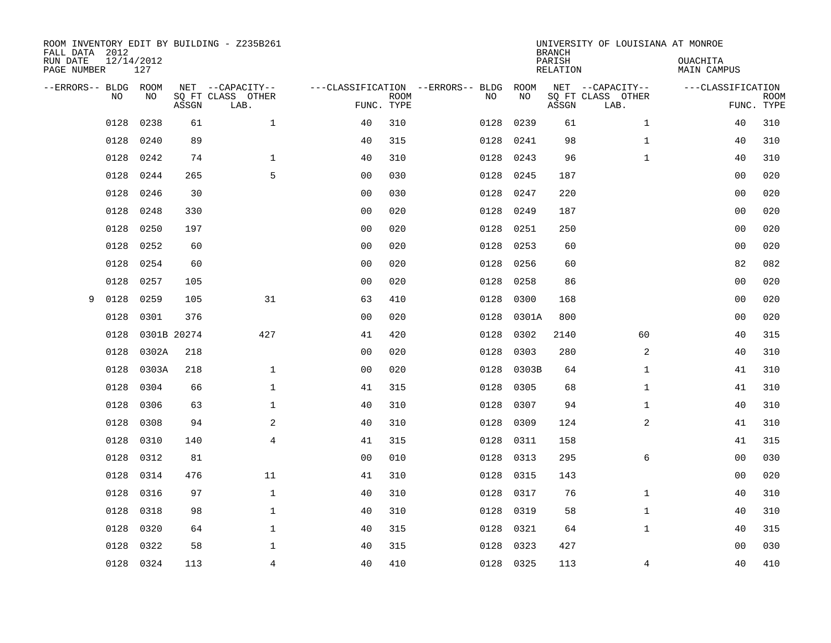| ROOM INVENTORY EDIT BY BUILDING - Z235B261<br>FALL DATA 2012<br>RUN DATE<br>PAGE NUMBER | 12/14/2012<br>127 |       |                                               |                |             |                                         |            | <b>BRANCH</b><br>PARISH<br><b>RELATION</b> | UNIVERSITY OF LOUISIANA AT MONROE             | OUACHITA<br><b>MAIN CAMPUS</b>  |             |
|-----------------------------------------------------------------------------------------|-------------------|-------|-----------------------------------------------|----------------|-------------|-----------------------------------------|------------|--------------------------------------------|-----------------------------------------------|---------------------------------|-------------|
| --ERRORS-- BLDG ROOM<br>NO                                                              | NO                | ASSGN | NET --CAPACITY--<br>SQ FT CLASS OTHER<br>LAB. | FUNC. TYPE     | <b>ROOM</b> | ---CLASSIFICATION --ERRORS-- BLDG<br>NO | ROOM<br>NO | ASSGN                                      | NET --CAPACITY--<br>SQ FT CLASS OTHER<br>LAB. | ---CLASSIFICATION<br>FUNC. TYPE | <b>ROOM</b> |
| 0128                                                                                    | 0238              | 61    | $\mathbf{1}$                                  | 40             | 310         | 0128                                    | 0239       | 61                                         | $\mathbf{1}$                                  | 40                              | 310         |
| 0128                                                                                    | 0240              | 89    |                                               | 40             | 315         | 0128                                    | 0241       | 98                                         | $\mathbf{1}$                                  | 40                              | 310         |
| 0128                                                                                    | 0242              | 74    | $\mathbf 1$                                   | 40             | 310         | 0128                                    | 0243       | 96                                         | $\mathbf{1}$                                  | 40                              | 310         |
| 0128                                                                                    | 0244              | 265   | 5                                             | 0 <sub>0</sub> | 030         | 0128                                    | 0245       | 187                                        |                                               | 0 <sub>0</sub>                  | 020         |
| 0128                                                                                    | 0246              | 30    |                                               | 0 <sub>0</sub> | 030         | 0128                                    | 0247       | 220                                        |                                               | 0 <sub>0</sub>                  | 020         |
| 0128                                                                                    | 0248              | 330   |                                               | 0 <sub>0</sub> | 020         | 0128                                    | 0249       | 187                                        |                                               | 0 <sub>0</sub>                  | 020         |
| 0128                                                                                    | 0250              | 197   |                                               | 0 <sub>0</sub> | 020         | 0128                                    | 0251       | 250                                        |                                               | 00                              | 020         |
| 0128                                                                                    | 0252              | 60    |                                               | 0 <sub>0</sub> | 020         | 0128                                    | 0253       | 60                                         |                                               | 0 <sub>0</sub>                  | 020         |
| 0128                                                                                    | 0254              | 60    |                                               | 0 <sub>0</sub> | 020         | 0128                                    | 0256       | 60                                         |                                               | 82                              | 082         |
| 0128                                                                                    | 0257              | 105   |                                               | 0 <sub>0</sub> | 020         | 0128                                    | 0258       | 86                                         |                                               | 0 <sub>0</sub>                  | 020         |
| 0128<br>9                                                                               | 0259              | 105   | 31                                            | 63             | 410         | 0128                                    | 0300       | 168                                        |                                               | 0 <sub>0</sub>                  | 020         |
| 0128                                                                                    | 0301              | 376   |                                               | 0 <sub>0</sub> | 020         | 0128                                    | 0301A      | 800                                        |                                               | 0 <sub>0</sub>                  | 020         |
| 0128                                                                                    | 0301B 20274       |       | 427                                           | 41             | 420         | 0128                                    | 0302       | 2140                                       | 60                                            | 40                              | 315         |
| 0128                                                                                    | 0302A             | 218   |                                               | 0 <sub>0</sub> | 020         | 0128                                    | 0303       | 280                                        | 2                                             | 40                              | 310         |
| 0128                                                                                    | 0303A             | 218   | $\mathbf 1$                                   | 0 <sub>0</sub> | 020         | 0128                                    | 0303B      | 64                                         | $\mathbf{1}$                                  | 41                              | 310         |
| 0128                                                                                    | 0304              | 66    | $\mathbf{1}$                                  | 41             | 315         | 0128                                    | 0305       | 68                                         | $\mathbf{1}$                                  | 41                              | 310         |
| 0128                                                                                    | 0306              | 63    | $\mathbf 1$                                   | 40             | 310         | 0128                                    | 0307       | 94                                         | $\mathbf{1}$                                  | 40                              | 310         |
| 0128                                                                                    | 0308              | 94    | 2                                             | 40             | 310         | 0128                                    | 0309       | 124                                        | $\overline{a}$                                | 41                              | 310         |
| 0128                                                                                    | 0310              | 140   | $\overline{4}$                                | 41             | 315         | 0128                                    | 0311       | 158                                        |                                               | 41                              | 315         |
| 0128                                                                                    | 0312              | 81    |                                               | 0 <sub>0</sub> | 010         | 0128                                    | 0313       | 295                                        | 6                                             | 00                              | 030         |
| 0128                                                                                    | 0314              | 476   | 11                                            | 41             | 310         | 0128                                    | 0315       | 143                                        |                                               | 00                              | 020         |
| 0128                                                                                    | 0316              | 97    | $\mathbf{1}$                                  | 40             | 310         | 0128                                    | 0317       | 76                                         | $\mathbf{1}$                                  | 40                              | 310         |
| 0128                                                                                    | 0318              | 98    | $\mathbf{1}$                                  | 40             | 310         | 0128                                    | 0319       | 58                                         | $\mathbf{1}$                                  | 40                              | 310         |
| 0128                                                                                    | 0320              | 64    | $\mathbf{1}$                                  | 40             | 315         | 0128                                    | 0321       | 64                                         | $\mathbf{1}$                                  | 40                              | 315         |
| 0128                                                                                    | 0322              | 58    | $\mathbf 1$                                   | 40             | 315         | 0128                                    | 0323       | 427                                        |                                               | 00                              | 030         |
|                                                                                         | 0128 0324         | 113   | $\overline{4}$                                | 40             | 410         |                                         | 0128 0325  | 113                                        | 4                                             | 40                              | 410         |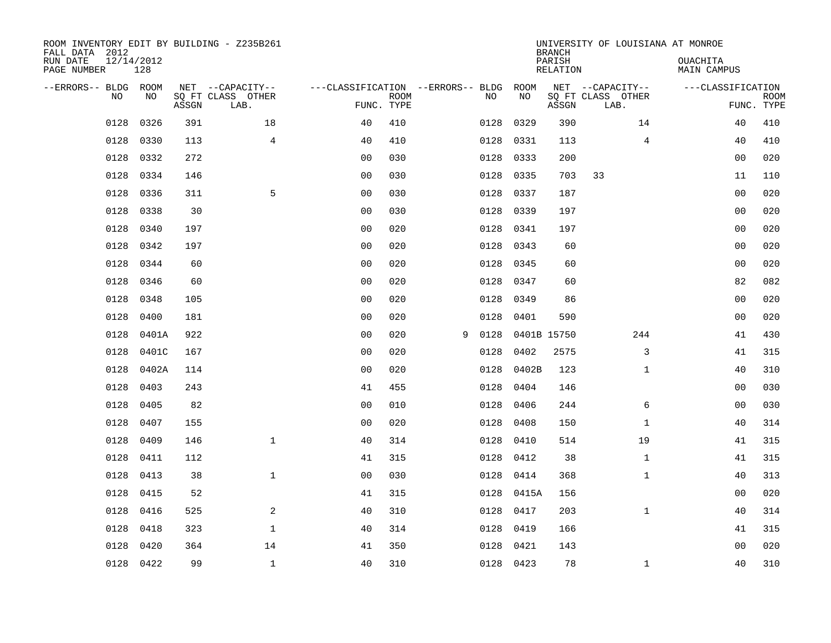| ROOM INVENTORY EDIT BY BUILDING - Z235B261<br>FALL DATA 2012<br>RUN DATE<br>PAGE NUMBER | 12/14/2012<br>128 |       |                                               |                                                      |             |   |           |             | <b>BRANCH</b><br>PARISH<br><b>RELATION</b> | UNIVERSITY OF LOUISIANA AT MONROE             | OUACHITA<br><b>MAIN CAMPUS</b> |                           |
|-----------------------------------------------------------------------------------------|-------------------|-------|-----------------------------------------------|------------------------------------------------------|-------------|---|-----------|-------------|--------------------------------------------|-----------------------------------------------|--------------------------------|---------------------------|
| --ERRORS-- BLDG ROOM<br>NO                                                              | NO                | ASSGN | NET --CAPACITY--<br>SQ FT CLASS OTHER<br>LAB. | ---CLASSIFICATION --ERRORS-- BLDG ROOM<br>FUNC. TYPE | <b>ROOM</b> |   | NO        | NO          | ASSGN                                      | NET --CAPACITY--<br>SQ FT CLASS OTHER<br>LAB. | ---CLASSIFICATION              | <b>ROOM</b><br>FUNC. TYPE |
| 0128                                                                                    | 0326              | 391   | 18                                            | 40                                                   | 410         |   | 0128      | 0329        | 390                                        | 14                                            | 40                             | 410                       |
| 0128                                                                                    | 0330              | 113   | $\overline{4}$                                | 40                                                   | 410         |   | 0128      | 0331        | 113                                        | $\overline{4}$                                | 40                             | 410                       |
| 0128                                                                                    | 0332              | 272   |                                               | 0 <sub>0</sub>                                       | 030         |   | 0128      | 0333        | 200                                        |                                               | 0 <sub>0</sub>                 | 020                       |
| 0128                                                                                    | 0334              | 146   |                                               | 0 <sub>0</sub>                                       | 030         |   | 0128      | 0335        | 703                                        | 33                                            | 11                             | 110                       |
| 0128                                                                                    | 0336              | 311   | 5                                             | 00                                                   | 030         |   | 0128      | 0337        | 187                                        |                                               | 0 <sub>0</sub>                 | 020                       |
| 0128                                                                                    | 0338              | 30    |                                               | 0 <sub>0</sub>                                       | 030         |   | 0128 0339 |             | 197                                        |                                               | 0 <sub>0</sub>                 | 020                       |
| 0128                                                                                    | 0340              | 197   |                                               | 0 <sub>0</sub>                                       | 020         |   | 0128      | 0341        | 197                                        |                                               | 0 <sub>0</sub>                 | 020                       |
| 0128                                                                                    | 0342              | 197   |                                               | 0 <sub>0</sub>                                       | 020         |   |           | 0128 0343   | 60                                         |                                               | 0 <sub>0</sub>                 | 020                       |
| 0128                                                                                    | 0344              | 60    |                                               | 0 <sub>0</sub>                                       | 020         |   | 0128      | 0345        | 60                                         |                                               | 00                             | 020                       |
| 0128                                                                                    | 0346              | 60    |                                               | 0 <sub>0</sub>                                       | 020         |   | 0128      | 0347        | 60                                         |                                               | 82                             | 082                       |
| 0128                                                                                    | 0348              | 105   |                                               | 0 <sub>0</sub>                                       | 020         |   | 0128      | 0349        | 86                                         |                                               | 0 <sub>0</sub>                 | 020                       |
| 0128                                                                                    | 0400              | 181   |                                               | 0 <sub>0</sub>                                       | 020         |   | 0128      | 0401        | 590                                        |                                               | 00                             | 020                       |
| 0128                                                                                    | 0401A             | 922   |                                               | 0 <sub>0</sub>                                       | 020         | 9 | 0128      | 0401B 15750 |                                            | 244                                           | 41                             | 430                       |
| 0128                                                                                    | 0401C             | 167   |                                               | 0 <sub>0</sub>                                       | 020         |   | 0128      | 0402        | 2575                                       | 3                                             | 41                             | 315                       |
| 0128                                                                                    | 0402A             | 114   |                                               | 0 <sub>0</sub>                                       | 020         |   |           | 0128 0402B  | 123                                        | $\mathbf{1}$                                  | 40                             | 310                       |
| 0128                                                                                    | 0403              | 243   |                                               | 41                                                   | 455         |   | 0128      | 0404        | 146                                        |                                               | 0 <sub>0</sub>                 | 030                       |
| 0128                                                                                    | 0405              | 82    |                                               | 0 <sub>0</sub>                                       | 010         |   | 0128      | 0406        | 244                                        | 6                                             | 0 <sub>0</sub>                 | 030                       |
| 0128                                                                                    | 0407              | 155   |                                               | 0 <sub>0</sub>                                       | 020         |   | 0128      | 0408        | 150                                        | $\mathbf{1}$                                  | 40                             | 314                       |
| 0128                                                                                    | 0409              | 146   | $\mathbf{1}$                                  | 40                                                   | 314         |   |           | 0128 0410   | 514                                        | 19                                            | 41                             | 315                       |
| 0128                                                                                    | 0411              | 112   |                                               | 41                                                   | 315         |   | 0128      | 0412        | 38                                         | $\mathbf{1}$                                  | 41                             | 315                       |
| 0128                                                                                    | 0413              | 38    | $\mathbf{1}$                                  | 0 <sub>0</sub>                                       | 030         |   | 0128 0414 |             | 368                                        | $\mathbf{1}$                                  | 40                             | 313                       |
| 0128                                                                                    | 0415              | 52    |                                               | 41                                                   | 315         |   | 0128      | 0415A       | 156                                        |                                               | 0 <sub>0</sub>                 | 020                       |
| 0128                                                                                    | 0416              | 525   | 2                                             | 40                                                   | 310         |   |           | 0128 0417   | 203                                        | $\mathbf{1}$                                  | 40                             | 314                       |
| 0128                                                                                    | 0418              | 323   | $\mathbf{1}$                                  | 40                                                   | 314         |   | 0128      | 0419        | 166                                        |                                               | 41                             | 315                       |
| 0128                                                                                    | 0420              | 364   | 14                                            | 41                                                   | 350         |   | 0128      | 0421        | 143                                        |                                               | 0 <sub>0</sub>                 | 020                       |
|                                                                                         | 0128 0422         | 99    | $\mathbf{1}$                                  | 40                                                   | 310         |   |           | 0128 0423   | 78                                         | $\mathbf{1}$                                  | 40                             | 310                       |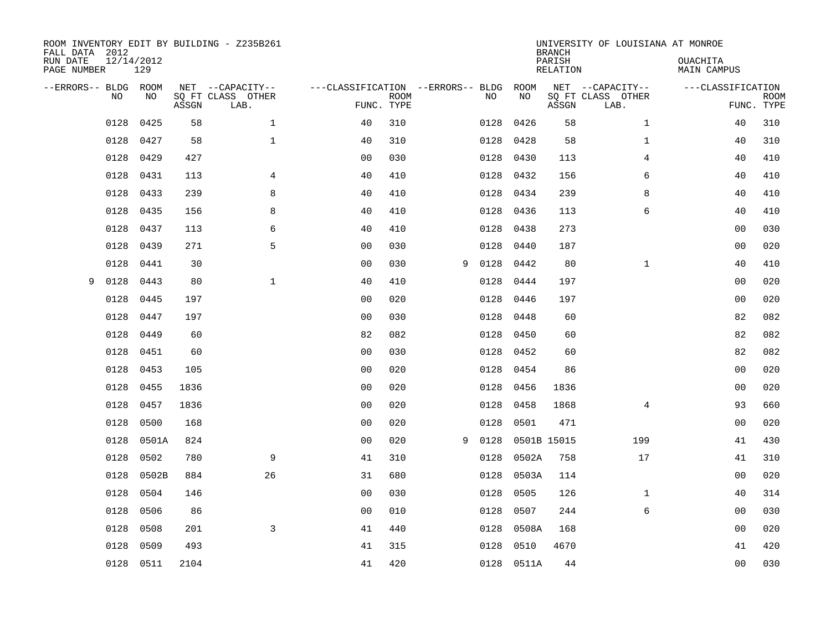| ROOM INVENTORY EDIT BY BUILDING - Z235B261<br>FALL DATA 2012 |                   |       |                           |                                        |             |   |      |             | <b>BRANCH</b>             | UNIVERSITY OF LOUISIANA AT MONROE |                                |             |
|--------------------------------------------------------------|-------------------|-------|---------------------------|----------------------------------------|-------------|---|------|-------------|---------------------------|-----------------------------------|--------------------------------|-------------|
| RUN DATE<br>PAGE NUMBER                                      | 12/14/2012<br>129 |       |                           |                                        |             |   |      |             | PARISH<br><b>RELATION</b> |                                   | OUACHITA<br><b>MAIN CAMPUS</b> |             |
| --ERRORS-- BLDG ROOM<br>NO                                   | NO                |       | NET --CAPACITY--          | ---CLASSIFICATION --ERRORS-- BLDG ROOM | <b>ROOM</b> |   |      | NO          |                           | NET --CAPACITY--                  | ---CLASSIFICATION              |             |
|                                                              |                   | ASSGN | SQ FT CLASS OTHER<br>LAB. | FUNC. TYPE                             |             |   | NO   |             | ASSGN                     | SQ FT CLASS OTHER<br>LAB.         | FUNC. TYPE                     | <b>ROOM</b> |
| 0128                                                         | 0425              | 58    | $\mathbf 1$               | 40                                     | 310         |   | 0128 | 0426        | 58                        | $\mathbf{1}$                      | 40                             | 310         |
| 0128                                                         | 0427              | 58    | $\mathbf{1}$              | 40                                     | 310         |   | 0128 | 0428        | 58                        | $\mathbf{1}$                      | 40                             | 310         |
| 0128                                                         | 0429              | 427   |                           | 0 <sub>0</sub>                         | 030         |   | 0128 | 0430        | 113                       | 4                                 | 40                             | 410         |
| 0128                                                         | 0431              | 113   | 4                         | 40                                     | 410         |   | 0128 | 0432        | 156                       | 6                                 | 40                             | 410         |
| 0128                                                         | 0433              | 239   | 8                         | 40                                     | 410         |   | 0128 | 0434        | 239                       | 8                                 | 40                             | 410         |
| 0128                                                         | 0435              | 156   | 8                         | 40                                     | 410         |   | 0128 | 0436        | 113                       | 6                                 | 40                             | 410         |
| 0128                                                         | 0437              | 113   | 6                         | 40                                     | 410         |   | 0128 | 0438        | 273                       |                                   | 00                             | 030         |
| 0128                                                         | 0439              | 271   | 5                         | 0 <sub>0</sub>                         | 030         |   | 0128 | 0440        | 187                       |                                   | 0 <sub>0</sub>                 | 020         |
| 0128                                                         | 0441              | 30    |                           | 0 <sub>0</sub>                         | 030         | 9 | 0128 | 0442        | 80                        | $\mathbf{1}$                      | 40                             | 410         |
| 0128<br>9                                                    | 0443              | 80    | $\mathbf{1}$              | 40                                     | 410         |   | 0128 | 0444        | 197                       |                                   | 0 <sub>0</sub>                 | 020         |
| 0128                                                         | 0445              | 197   |                           | 0 <sub>0</sub>                         | 020         |   | 0128 | 0446        | 197                       |                                   | 0 <sub>0</sub>                 | 020         |
| 0128                                                         | 0447              | 197   |                           | 0 <sub>0</sub>                         | 030         |   | 0128 | 0448        | 60                        |                                   | 82                             | 082         |
| 0128                                                         | 0449              | 60    |                           | 82                                     | 082         |   | 0128 | 0450        | 60                        |                                   | 82                             | 082         |
| 0128                                                         | 0451              | 60    |                           | 0 <sub>0</sub>                         | 030         |   | 0128 | 0452        | 60                        |                                   | 82                             | 082         |
| 0128                                                         | 0453              | 105   |                           | 0 <sub>0</sub>                         | 020         |   | 0128 | 0454        | 86                        |                                   | 0 <sub>0</sub>                 | 020         |
| 0128                                                         | 0455              | 1836  |                           | 0 <sub>0</sub>                         | 020         |   | 0128 | 0456        | 1836                      |                                   | 0 <sub>0</sub>                 | 020         |
| 0128                                                         | 0457              | 1836  |                           | 0 <sub>0</sub>                         | 020         |   | 0128 | 0458        | 1868                      | 4                                 | 93                             | 660         |
| 0128                                                         | 0500              | 168   |                           | 0 <sub>0</sub>                         | 020         |   | 0128 | 0501        | 471                       |                                   | 0 <sub>0</sub>                 | 020         |
| 0128                                                         | 0501A             | 824   |                           | 0 <sub>0</sub>                         | 020         | 9 | 0128 | 0501B 15015 |                           | 199                               | 41                             | 430         |
| 0128                                                         | 0502              | 780   | 9                         | 41                                     | 310         |   | 0128 | 0502A       | 758                       | 17                                | 41                             | 310         |
| 0128                                                         | 0502B             | 884   | 26                        | 31                                     | 680         |   | 0128 | 0503A       | 114                       |                                   | 00                             | 020         |
| 0128                                                         | 0504              | 146   |                           | 0 <sub>0</sub>                         | 030         |   | 0128 | 0505        | 126                       | $\mathbf{1}$                      | 40                             | 314         |
| 0128                                                         | 0506              | 86    |                           | 0 <sub>0</sub>                         | 010         |   | 0128 | 0507        | 244                       | 6                                 | 00                             | 030         |
| 0128                                                         | 0508              | 201   | 3                         | 41                                     | 440         |   | 0128 | 0508A       | 168                       |                                   | 0 <sub>0</sub>                 | 020         |
| 0128                                                         | 0509              | 493   |                           | 41                                     | 315         |   | 0128 | 0510        | 4670                      |                                   | 41                             | 420         |
|                                                              | 0128 0511         | 2104  |                           | 41                                     | 420         |   |      | 0128 0511A  | 44                        |                                   | 0 <sub>0</sub>                 | 030         |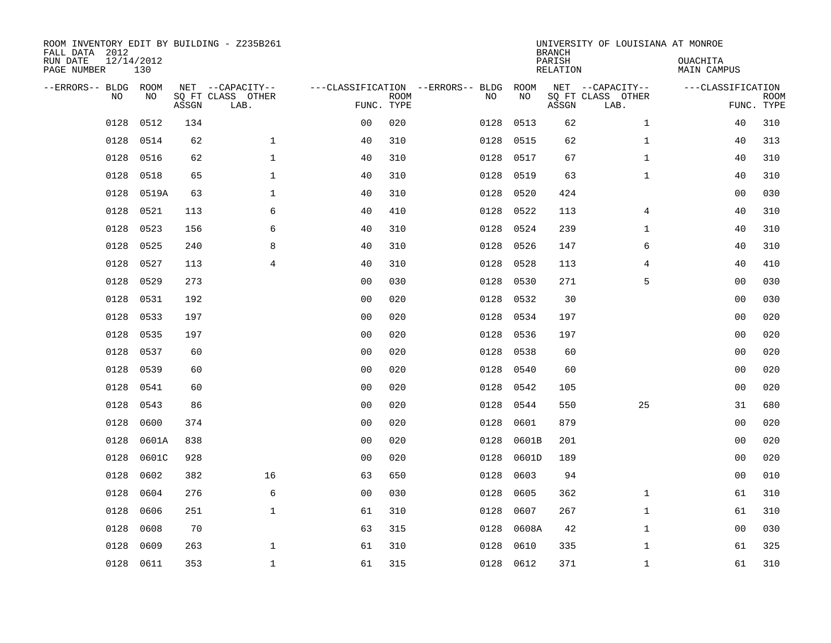| ROOM INVENTORY EDIT BY BUILDING - Z235B261<br>FALL DATA 2012<br>RUN DATE<br>PAGE NUMBER | 12/14/2012<br>130 |       |                                               |                |             |                                              |           | <b>BRANCH</b><br>PARISH<br><b>RELATION</b> | UNIVERSITY OF LOUISIANA AT MONROE             | OUACHITA<br><b>MAIN CAMPUS</b> |                           |
|-----------------------------------------------------------------------------------------|-------------------|-------|-----------------------------------------------|----------------|-------------|----------------------------------------------|-----------|--------------------------------------------|-----------------------------------------------|--------------------------------|---------------------------|
| --ERRORS-- BLDG ROOM<br>NO                                                              | NO                | ASSGN | NET --CAPACITY--<br>SQ FT CLASS OTHER<br>LAB. | FUNC. TYPE     | <b>ROOM</b> | ---CLASSIFICATION --ERRORS-- BLDG ROOM<br>NO | NO        | ASSGN                                      | NET --CAPACITY--<br>SQ FT CLASS OTHER<br>LAB. | ---CLASSIFICATION              | <b>ROOM</b><br>FUNC. TYPE |
| 0128                                                                                    | 0512              | 134   |                                               | 0 <sub>0</sub> | 020         | 0128                                         | 0513      | 62                                         | $\mathbf{1}$                                  | 40                             | 310                       |
| 0128                                                                                    | 0514              | 62    | $\mathbf{1}$                                  | 40             | 310         | 0128                                         | 0515      | 62                                         | $\mathbf{1}$                                  | 40                             | 313                       |
| 0128                                                                                    | 0516              | 62    | $\mathbf 1$                                   | 40             | 310         | 0128                                         | 0517      | 67                                         | $\mathbf{1}$                                  | 40                             | 310                       |
| 0128                                                                                    | 0518              | 65    | $\mathbf 1$                                   | 40             | 310         | 0128                                         | 0519      | 63                                         | $\mathbf{1}$                                  | 40                             | 310                       |
| 0128                                                                                    | 0519A             | 63    | $\mathbf 1$                                   | 40             | 310         | 0128                                         | 0520      | 424                                        |                                               | 0 <sub>0</sub>                 | 030                       |
| 0128                                                                                    | 0521              | 113   | 6                                             | 40             | 410         | 0128                                         | 0522      | 113                                        | 4                                             | 40                             | 310                       |
| 0128                                                                                    | 0523              | 156   | 6                                             | 40             | 310         | 0128                                         | 0524      | 239                                        | $\mathbf{1}$                                  | 40                             | 310                       |
| 0128                                                                                    | 0525              | 240   | 8                                             | 40             | 310         | 0128                                         | 0526      | 147                                        | 6                                             | 40                             | 310                       |
| 0128                                                                                    | 0527              | 113   | $\overline{4}$                                | 40             | 310         | 0128                                         | 0528      | 113                                        | $\overline{4}$                                | 40                             | 410                       |
| 0128                                                                                    | 0529              | 273   |                                               | 00             | 030         | 0128                                         | 0530      | 271                                        | 5                                             | 0 <sub>0</sub>                 | 030                       |
| 0128                                                                                    | 0531              | 192   |                                               | 0 <sub>0</sub> | 020         | 0128                                         | 0532      | 30                                         |                                               | 00                             | 030                       |
| 0128                                                                                    | 0533              | 197   |                                               | 0 <sub>0</sub> | 020         | 0128                                         | 0534      | 197                                        |                                               | 00                             | 020                       |
| 0128                                                                                    | 0535              | 197   |                                               | 0 <sub>0</sub> | 020         | 0128                                         | 0536      | 197                                        |                                               | 00                             | 020                       |
| 0128                                                                                    | 0537              | 60    |                                               | 0 <sub>0</sub> | 020         | 0128                                         | 0538      | 60                                         |                                               | 00                             | 020                       |
| 0128                                                                                    | 0539              | 60    |                                               | 0 <sub>0</sub> | 020         | 0128                                         | 0540      | 60                                         |                                               | 0 <sub>0</sub>                 | 020                       |
| 0128                                                                                    | 0541              | 60    |                                               | 0 <sub>0</sub> | 020         | 0128                                         | 0542      | 105                                        |                                               | 00                             | 020                       |
| 0128                                                                                    | 0543              | 86    |                                               | 0 <sub>0</sub> | 020         | 0128                                         | 0544      | 550                                        | 25                                            | 31                             | 680                       |
| 0128                                                                                    | 0600              | 374   |                                               | 0 <sub>0</sub> | 020         | 0128                                         | 0601      | 879                                        |                                               | 0 <sub>0</sub>                 | 020                       |
| 0128                                                                                    | 0601A             | 838   |                                               | 0 <sub>0</sub> | 020         | 0128                                         | 0601B     | 201                                        |                                               | 0 <sub>0</sub>                 | 020                       |
| 0128                                                                                    | 0601C             | 928   |                                               | 0 <sub>0</sub> | 020         | 0128                                         | 0601D     | 189                                        |                                               | 0 <sub>0</sub>                 | 020                       |
| 0128                                                                                    | 0602              | 382   | 16                                            | 63             | 650         | 0128                                         | 0603      | 94                                         |                                               | 0 <sub>0</sub>                 | 010                       |
| 0128                                                                                    | 0604              | 276   | 6                                             | 00             | 030         | 0128                                         | 0605      | 362                                        | $\mathbf{1}$                                  | 61                             | 310                       |
| 0128                                                                                    | 0606              | 251   | $\mathbf 1$                                   | 61             | 310         | 0128                                         | 0607      | 267                                        | $\mathbf{1}$                                  | 61                             | 310                       |
| 0128                                                                                    | 0608              | 70    |                                               | 63             | 315         | 0128                                         | 0608A     | 42                                         | $\mathbf{1}$                                  | 00                             | 030                       |
| 0128                                                                                    | 0609              | 263   | $\mathbf 1$                                   | 61             | 310         | 0128                                         | 0610      | 335                                        | $\mathbf{1}$                                  | 61                             | 325                       |
|                                                                                         | 0128 0611         | 353   | $\mathbf{1}$                                  | 61             | 315         |                                              | 0128 0612 | 371                                        | $\mathbf{1}$                                  | 61                             | 310                       |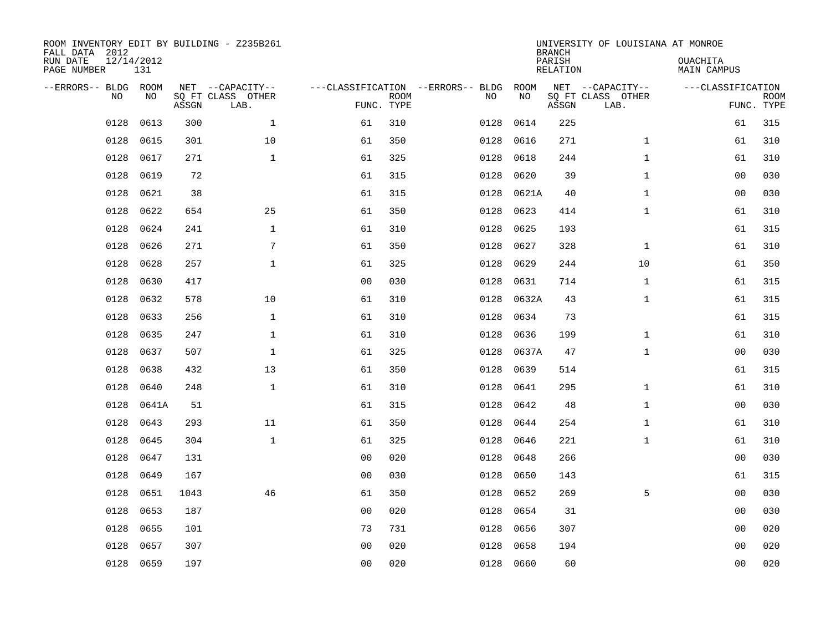| ROOM INVENTORY EDIT BY BUILDING - Z235B261<br>FALL DATA 2012<br>RUN DATE<br>PAGE NUMBER | 12/14/2012<br>131 |       |                                               |                |                           |                                         |            | <b>BRANCH</b><br>PARISH<br>RELATION | UNIVERSITY OF LOUISIANA AT MONROE             | OUACHITA<br><b>MAIN CAMPUS</b> |                           |
|-----------------------------------------------------------------------------------------|-------------------|-------|-----------------------------------------------|----------------|---------------------------|-----------------------------------------|------------|-------------------------------------|-----------------------------------------------|--------------------------------|---------------------------|
| --ERRORS-- BLDG ROOM<br>NO                                                              | NO                | ASSGN | NET --CAPACITY--<br>SQ FT CLASS OTHER<br>LAB. |                | <b>ROOM</b><br>FUNC. TYPE | ---CLASSIFICATION --ERRORS-- BLDG<br>NO | ROOM<br>NO | ASSGN                               | NET --CAPACITY--<br>SQ FT CLASS OTHER<br>LAB. | ---CLASSIFICATION              | <b>ROOM</b><br>FUNC. TYPE |
| 0128                                                                                    | 0613              | 300   | $\mathbf{1}$                                  | 61             | 310                       | 0128                                    | 0614       | 225                                 |                                               | 61                             | 315                       |
| 0128                                                                                    | 0615              | 301   | 10                                            | 61             | 350                       | 0128                                    | 0616       | 271                                 | $\mathbf{1}$                                  | 61                             | 310                       |
| 0128                                                                                    | 0617              | 271   | $\mathbf{1}$                                  | 61             | 325                       | 0128                                    | 0618       | 244                                 | $\mathbf{1}$                                  | 61                             | 310                       |
| 0128                                                                                    | 0619              | 72    |                                               | 61             | 315                       | 0128                                    | 0620       | 39                                  | $\mathbf{1}$                                  | 0 <sub>0</sub>                 | 030                       |
| 0128                                                                                    | 0621              | 38    |                                               | 61             | 315                       | 0128                                    | 0621A      | 40                                  | $\mathbf{1}$                                  | 00                             | 030                       |
| 0128                                                                                    | 0622              | 654   | 25                                            | 61             | 350                       | 0128                                    | 0623       | 414                                 | $\mathbf{1}$                                  | 61                             | 310                       |
| 0128                                                                                    | 0624              | 241   | $\mathbf{1}$                                  | 61             | 310                       | 0128                                    | 0625       | 193                                 |                                               | 61                             | 315                       |
| 0128                                                                                    | 0626              | 271   | 7                                             | 61             | 350                       | 0128                                    | 0627       | 328                                 | $\mathbf{1}$                                  | 61                             | 310                       |
| 0128                                                                                    | 0628              | 257   | $\mathbf{1}$                                  | 61             | 325                       | 0128                                    | 0629       | 244                                 | 10                                            | 61                             | 350                       |
| 0128                                                                                    | 0630              | 417   |                                               | 0 <sub>0</sub> | 030                       | 0128                                    | 0631       | 714                                 | $\mathbf{1}$                                  | 61                             | 315                       |
| 0128                                                                                    | 0632              | 578   | 10                                            | 61             | 310                       | 0128                                    | 0632A      | 43                                  | $\mathbf{1}$                                  | 61                             | 315                       |
| 0128                                                                                    | 0633              | 256   | $\mathbf{1}$                                  | 61             | 310                       | 0128                                    | 0634       | 73                                  |                                               | 61                             | 315                       |
| 0128                                                                                    | 0635              | 247   | $\mathbf{1}$                                  | 61             | 310                       | 0128                                    | 0636       | 199                                 | $\mathbf{1}$                                  | 61                             | 310                       |
| 0128                                                                                    | 0637              | 507   | $\mathbf{1}$                                  | 61             | 325                       | 0128                                    | 0637A      | 47                                  | $\mathbf{1}$                                  | 00                             | 030                       |
| 0128                                                                                    | 0638              | 432   | 13                                            | 61             | 350                       | 0128                                    | 0639       | 514                                 |                                               | 61                             | 315                       |
| 0128                                                                                    | 0640              | 248   | $\mathbf 1$                                   | 61             | 310                       | 0128                                    | 0641       | 295                                 | $\mathbf{1}$                                  | 61                             | 310                       |
| 0128                                                                                    | 0641A             | 51    |                                               | 61             | 315                       | 0128                                    | 0642       | 48                                  | $\mathbf{1}$                                  | 00                             | 030                       |
| 0128                                                                                    | 0643              | 293   | 11                                            | 61             | 350                       | 0128                                    | 0644       | 254                                 | $\mathbf{1}$                                  | 61                             | 310                       |
| 0128                                                                                    | 0645              | 304   | $\mathbf{1}$                                  | 61             | 325                       | 0128                                    | 0646       | 221                                 | $\mathbf{1}$                                  | 61                             | 310                       |
| 0128                                                                                    | 0647              | 131   |                                               | 0 <sub>0</sub> | 020                       | 0128                                    | 0648       | 266                                 |                                               | 00                             | 030                       |
| 0128                                                                                    | 0649              | 167   |                                               | 0 <sub>0</sub> | 030                       | 0128                                    | 0650       | 143                                 |                                               | 61                             | 315                       |
| 0128                                                                                    | 0651              | 1043  | 46                                            | 61             | 350                       | 0128                                    | 0652       | 269                                 | 5                                             | 0 <sub>0</sub>                 | 030                       |
| 0128                                                                                    | 0653              | 187   |                                               | 0 <sub>0</sub> | 020                       | 0128                                    | 0654       | 31                                  |                                               | 0 <sub>0</sub>                 | 030                       |
| 0128                                                                                    | 0655              | 101   |                                               | 73             | 731                       | 0128                                    | 0656       | 307                                 |                                               | 0 <sub>0</sub>                 | 020                       |
| 0128                                                                                    | 0657              | 307   |                                               | 0 <sub>0</sub> | 020                       | 0128                                    | 0658       | 194                                 |                                               | 0 <sub>0</sub>                 | 020                       |
|                                                                                         | 0128 0659         | 197   |                                               | 00             | 020                       |                                         | 0128 0660  | 60                                  |                                               | 00                             | 020                       |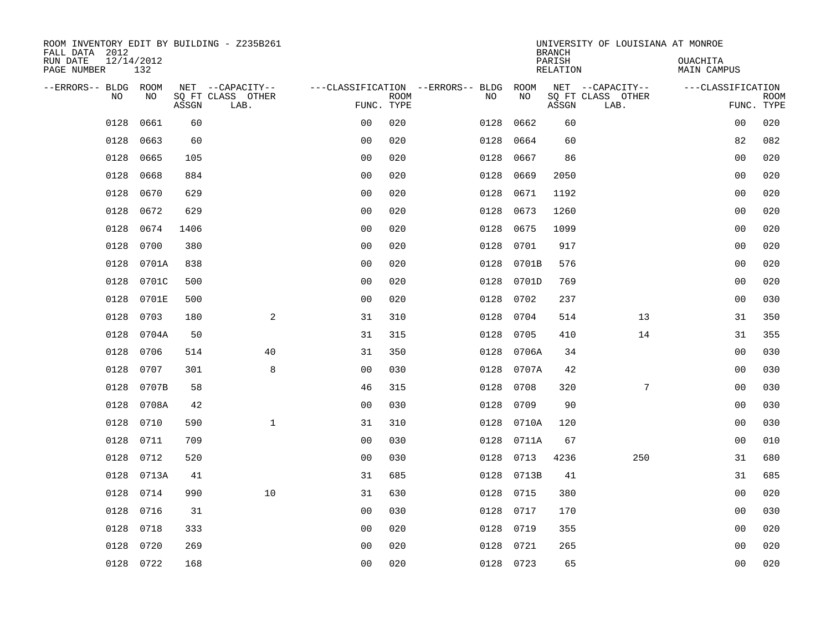| ROOM INVENTORY EDIT BY BUILDING - Z235B261<br>FALL DATA 2012 |                   |       |                           |                                   |             |      |            | <b>BRANCH</b>      | UNIVERSITY OF LOUISIANA AT MONROE |                         |                           |
|--------------------------------------------------------------|-------------------|-------|---------------------------|-----------------------------------|-------------|------|------------|--------------------|-----------------------------------|-------------------------|---------------------------|
| RUN DATE<br>PAGE NUMBER                                      | 12/14/2012<br>132 |       |                           |                                   |             |      |            | PARISH<br>RELATION |                                   | OUACHITA<br>MAIN CAMPUS |                           |
| --ERRORS-- BLDG ROOM                                         |                   |       | NET --CAPACITY--          | ---CLASSIFICATION --ERRORS-- BLDG |             |      | ROOM       |                    | NET --CAPACITY--                  | ---CLASSIFICATION       |                           |
| NO                                                           | NO                | ASSGN | SQ FT CLASS OTHER<br>LAB. | FUNC. TYPE                        | <b>ROOM</b> | NO   | NO         | ASSGN              | SQ FT CLASS OTHER<br>LAB.         |                         | <b>ROOM</b><br>FUNC. TYPE |
| 0128                                                         | 0661              | 60    |                           | 00                                | 020         | 0128 | 0662       | 60                 |                                   | 0 <sub>0</sub>          | 020                       |
| 0128                                                         | 0663              | 60    |                           | 0 <sub>0</sub>                    | 020         | 0128 | 0664       | 60                 |                                   | 82                      | 082                       |
| 0128                                                         | 0665              | 105   |                           | 0 <sub>0</sub>                    | 020         | 0128 | 0667       | 86                 |                                   | 0 <sub>0</sub>          | 020                       |
| 0128                                                         | 0668              | 884   |                           | 0 <sub>0</sub>                    | 020         | 0128 | 0669       | 2050               |                                   | 0 <sub>0</sub>          | 020                       |
| 0128                                                         | 0670              | 629   |                           | 0 <sub>0</sub>                    | 020         | 0128 | 0671       | 1192               |                                   | 0 <sub>0</sub>          | 020                       |
| 0128                                                         | 0672              | 629   |                           | 0 <sub>0</sub>                    | 020         | 0128 | 0673       | 1260               |                                   | 0 <sub>0</sub>          | 020                       |
| 0128                                                         | 0674              | 1406  |                           | 0 <sub>0</sub>                    | 020         | 0128 | 0675       | 1099               |                                   | 0 <sub>0</sub>          | 020                       |
| 0128                                                         | 0700              | 380   |                           | 0 <sub>0</sub>                    | 020         | 0128 | 0701       | 917                |                                   | 0 <sub>0</sub>          | 020                       |
| 0128                                                         | 0701A             | 838   |                           | 0 <sub>0</sub>                    | 020         | 0128 | 0701B      | 576                |                                   | 0 <sub>0</sub>          | 020                       |
| 0128                                                         | 0701C             | 500   |                           | 0 <sub>0</sub>                    | 020         | 0128 | 0701D      | 769                |                                   | 0 <sub>0</sub>          | 020                       |
| 0128                                                         | 0701E             | 500   |                           | 0 <sub>0</sub>                    | 020         | 0128 | 0702       | 237                |                                   | 00                      | 030                       |
| 0128                                                         | 0703              | 180   | 2                         | 31                                | 310         | 0128 | 0704       | 514                | 13                                | 31                      | 350                       |
| 0128                                                         | 0704A             | 50    |                           | 31                                | 315         | 0128 | 0705       | 410                | 14                                | 31                      | 355                       |
| 0128                                                         | 0706              | 514   | 40                        | 31                                | 350         | 0128 | 0706A      | 34                 |                                   | 00                      | 030                       |
| 0128                                                         | 0707              | 301   | 8                         | 0 <sub>0</sub>                    | 030         | 0128 | 0707A      | 42                 |                                   | 00                      | 030                       |
| 0128                                                         | 0707B             | 58    |                           | 46                                | 315         | 0128 | 0708       | 320                | $7\phantom{.0}$                   | 0 <sub>0</sub>          | 030                       |
| 0128                                                         | 0708A             | 42    |                           | 0 <sub>0</sub>                    | 030         | 0128 | 0709       | 90                 |                                   | 0 <sub>0</sub>          | 030                       |
| 0128                                                         | 0710              | 590   | $\mathbf{1}$              | 31                                | 310         | 0128 | 0710A      | 120                |                                   | 00                      | 030                       |
| 0128                                                         | 0711              | 709   |                           | 0 <sub>0</sub>                    | 030         |      | 0128 0711A | 67                 |                                   | 00                      | 010                       |
| 0128                                                         | 0712              | 520   |                           | 0 <sub>0</sub>                    | 030         | 0128 | 0713       | 4236               | 250                               | 31                      | 680                       |
| 0128                                                         | 0713A             | 41    |                           | 31                                | 685         |      | 0128 0713B | 41                 |                                   | 31                      | 685                       |
| 0128                                                         | 0714              | 990   | 10                        | 31                                | 630         | 0128 | 0715       | 380                |                                   | 0 <sub>0</sub>          | 020                       |
| 0128                                                         | 0716              | 31    |                           | 0 <sub>0</sub>                    | 030         | 0128 | 0717       | 170                |                                   | 0 <sub>0</sub>          | 030                       |
| 0128                                                         | 0718              | 333   |                           | 0 <sub>0</sub>                    | 020         | 0128 | 0719       | 355                |                                   | 0 <sub>0</sub>          | 020                       |
| 0128                                                         | 0720              | 269   |                           | 0 <sub>0</sub>                    | 020         | 0128 | 0721       | 265                |                                   | 0 <sub>0</sub>          | 020                       |
|                                                              | 0128 0722         | 168   |                           | 0 <sub>0</sub>                    | 020         |      | 0128 0723  | 65                 |                                   | 0 <sub>0</sub>          | 020                       |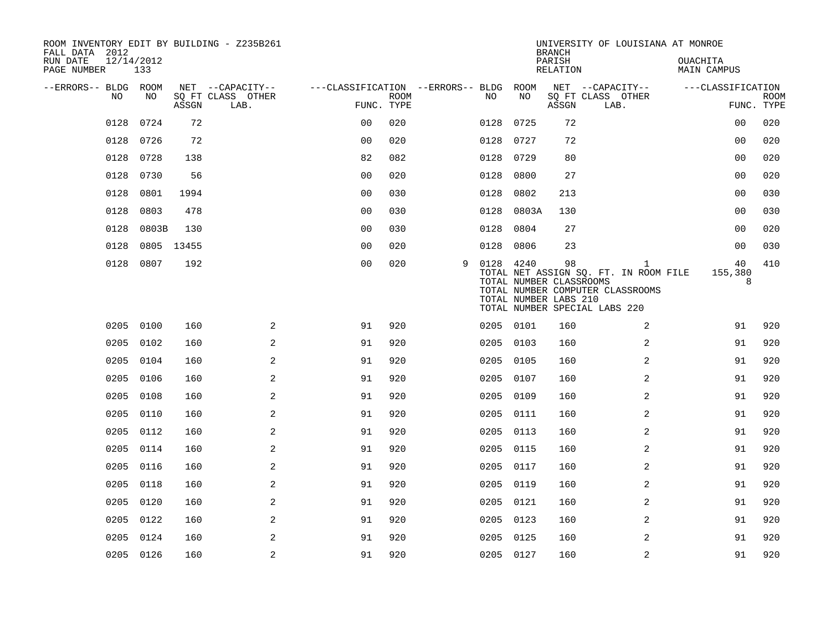| FALL DATA 2012          |                   |            | ROOM INVENTORY EDIT BY BUILDING - Z235B261 |                                        |             |   |           |       | <b>BRANCH</b>                                          | UNIVERSITY OF LOUISIANA AT MONROE                                                                                          |                                |                           |
|-------------------------|-------------------|------------|--------------------------------------------|----------------------------------------|-------------|---|-----------|-------|--------------------------------------------------------|----------------------------------------------------------------------------------------------------------------------------|--------------------------------|---------------------------|
| RUN DATE<br>PAGE NUMBER | 12/14/2012<br>133 |            |                                            |                                        |             |   |           |       | PARISH<br><b>RELATION</b>                              |                                                                                                                            | OUACHITA<br><b>MAIN CAMPUS</b> |                           |
| --ERRORS-- BLDG ROOM    |                   |            | NET --CAPACITY--                           | ---CLASSIFICATION --ERRORS-- BLDG ROOM |             |   |           |       |                                                        | NET --CAPACITY--                                                                                                           | ---CLASSIFICATION              |                           |
| NO.                     | NO                | ASSGN      | SQ FT CLASS OTHER<br>LAB.                  | FUNC. TYPE                             | <b>ROOM</b> |   | NO.       | NO    | ASSGN                                                  | SQ FT CLASS OTHER<br>LAB.                                                                                                  |                                | <b>ROOM</b><br>FUNC. TYPE |
| 0128                    | 0724              | 72         |                                            | 0 <sub>0</sub>                         | 020         |   | 0128      | 0725  | 72                                                     |                                                                                                                            | 00                             | 020                       |
| 0128                    | 0726              | 72         |                                            | 0 <sub>0</sub>                         | 020         |   | 0128      | 0727  | 72                                                     |                                                                                                                            | 0 <sub>0</sub>                 | 020                       |
| 0128                    | 0728              | 138        |                                            | 82                                     | 082         |   | 0128 0729 |       | 80                                                     |                                                                                                                            | 0 <sub>0</sub>                 | 020                       |
| 0128                    | 0730              | 56         |                                            | 0 <sub>0</sub>                         | 020         |   | 0128      | 0800  | 27                                                     |                                                                                                                            | 0 <sub>0</sub>                 | 020                       |
| 0128                    | 0801              | 1994       |                                            | 0 <sub>0</sub>                         | 030         |   | 0128      | 0802  | 213                                                    |                                                                                                                            | 0 <sub>0</sub>                 | 030                       |
| 0128                    | 0803              | 478        |                                            | 0 <sub>0</sub>                         | 030         |   | 0128      | 0803A | 130                                                    |                                                                                                                            | 0 <sub>0</sub>                 | 030                       |
| 0128                    | 0803B             | 130        |                                            | 0 <sub>0</sub>                         | 030         |   | 0128      | 0804  | 27                                                     |                                                                                                                            | 00                             | 020                       |
| 0128                    |                   | 0805 13455 |                                            | 00                                     | 020         |   | 0128      | 0806  | 23                                                     |                                                                                                                            | 00                             | 030                       |
| 0128                    | 0807              | 192        |                                            | 0 <sub>0</sub>                         | 020         | 9 | 0128 4240 |       | 98<br>TOTAL NUMBER CLASSROOMS<br>TOTAL NUMBER LABS 210 | $\mathbf{1}$<br>TOTAL NET ASSIGN SO. FT. IN ROOM FILE<br>TOTAL NUMBER COMPUTER CLASSROOMS<br>TOTAL NUMBER SPECIAL LABS 220 | 40<br>155,380<br>8             | 410                       |
|                         | 0205 0100         | 160        | 2                                          | 91                                     | 920         |   | 0205 0101 |       | 160                                                    | 2                                                                                                                          | 91                             | 920                       |
| 0205                    | 0102              | 160        | $\overline{2}$                             | 91                                     | 920         |   | 0205      | 0103  | 160                                                    | 2                                                                                                                          | 91                             | 920                       |
| 0205                    | 0104              | 160        | 2                                          | 91                                     | 920         |   | 0205 0105 |       | 160                                                    | 2                                                                                                                          | 91                             | 920                       |
| 0205                    | 0106              | 160        | 2                                          | 91                                     | 920         |   | 0205 0107 |       | 160                                                    | 2                                                                                                                          | 91                             | 920                       |
| 0205                    | 0108              | 160        | $\overline{a}$                             | 91                                     | 920         |   | 0205 0109 |       | 160                                                    | 2                                                                                                                          | 91                             | 920                       |
| 0205                    | 0110              | 160        | 2                                          | 91                                     | 920         |   | 0205 0111 |       | 160                                                    | 2                                                                                                                          | 91                             | 920                       |
| 0205                    | 0112              | 160        | $\mathbf{2}$                               | 91                                     | 920         |   | 0205 0113 |       | 160                                                    | $\overline{a}$                                                                                                             | 91                             | 920                       |
| 0205                    | 0114              | 160        | $\mathbf{2}$                               | 91                                     | 920         |   | 0205 0115 |       | 160                                                    | $\overline{a}$                                                                                                             | 91                             | 920                       |
| 0205                    | 0116              | 160        | $\sqrt{2}$                                 | 91                                     | 920         |   | 0205 0117 |       | 160                                                    | 2                                                                                                                          | 91                             | 920                       |
| 0205                    | 0118              | 160        | $\mathbf{2}$                               | 91                                     | 920         |   | 0205      | 0119  | 160                                                    | 2                                                                                                                          | 91                             | 920                       |
| 0205                    | 0120              | 160        | 2                                          | 91                                     | 920         |   | 0205 0121 |       | 160                                                    | 2                                                                                                                          | 91                             | 920                       |
| 0205                    | 0122              | 160        | 2                                          | 91                                     | 920         |   | 0205 0123 |       | 160                                                    | 2                                                                                                                          | 91                             | 920                       |
| 0205                    | 0124              | 160        | 2                                          | 91                                     | 920         |   | 0205 0125 |       | 160                                                    | 2                                                                                                                          | 91                             | 920                       |
|                         | 0205 0126         | 160        | 2                                          | 91                                     | 920         |   | 0205 0127 |       | 160                                                    | $\overline{2}$                                                                                                             | 91                             | 920                       |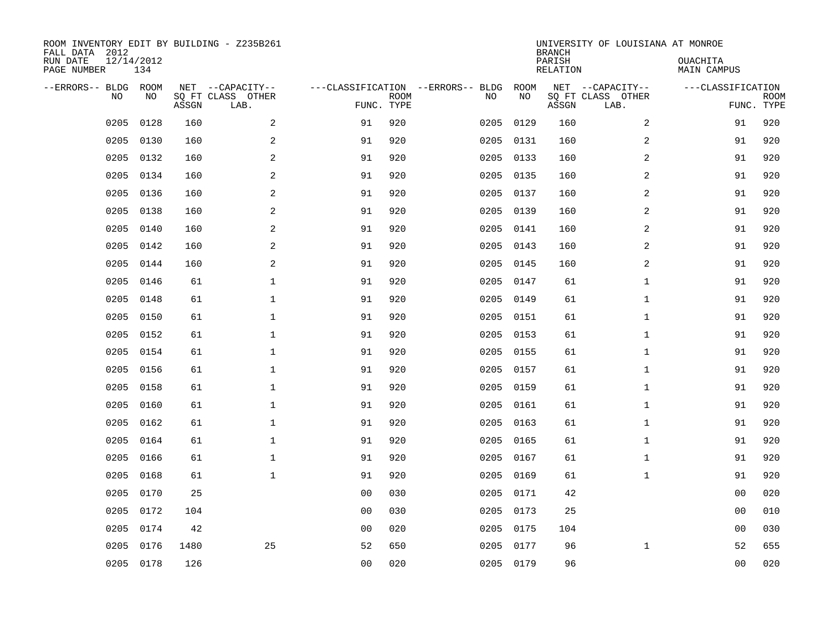| ROOM INVENTORY EDIT BY BUILDING - Z235B261<br>FALL DATA 2012<br>RUN DATE | 12/14/2012 |       |                                       |                |             |                                         |            | <b>BRANCH</b><br>PARISH | UNIVERSITY OF LOUISIANA AT MONROE     | OUACHITA           |             |
|--------------------------------------------------------------------------|------------|-------|---------------------------------------|----------------|-------------|-----------------------------------------|------------|-------------------------|---------------------------------------|--------------------|-------------|
| PAGE NUMBER                                                              | 134        |       |                                       |                |             |                                         |            | <b>RELATION</b>         |                                       | <b>MAIN CAMPUS</b> |             |
| --ERRORS-- BLDG ROOM<br>NO                                               | NO         |       | NET --CAPACITY--<br>SQ FT CLASS OTHER |                | <b>ROOM</b> | ---CLASSIFICATION --ERRORS-- BLDG<br>NO | ROOM<br>NO |                         | NET --CAPACITY--<br>SQ FT CLASS OTHER | ---CLASSIFICATION  | <b>ROOM</b> |
|                                                                          |            | ASSGN | LAB.                                  | FUNC. TYPE     |             |                                         |            | ASSGN                   | LAB.                                  | FUNC. TYPE         |             |
| 0205                                                                     | 0128       | 160   | 2                                     | 91             | 920         | 0205                                    | 0129       | 160                     | 2                                     | 91                 | 920         |
| 0205                                                                     | 0130       | 160   | 2                                     | 91             | 920         | 0205                                    | 0131       | 160                     | 2                                     | 91                 | 920         |
| 0205                                                                     | 0132       | 160   | 2                                     | 91             | 920         | 0205                                    | 0133       | 160                     | 2                                     | 91                 | 920         |
| 0205                                                                     | 0134       | 160   | 2                                     | 91             | 920         |                                         | 0205 0135  | 160                     | 2                                     | 91                 | 920         |
| 0205                                                                     | 0136       | 160   | 2                                     | 91             | 920         | 0205                                    | 0137       | 160                     | $\overline{a}$                        | 91                 | 920         |
| 0205                                                                     | 0138       | 160   | $\overline{a}$                        | 91             | 920         |                                         | 0205 0139  | 160                     | 2                                     | 91                 | 920         |
| 0205                                                                     | 0140       | 160   | 2                                     | 91             | 920         |                                         | 0205 0141  | 160                     | $\overline{a}$                        | 91                 | 920         |
| 0205                                                                     | 0142       | 160   | $\overline{a}$                        | 91             | 920         |                                         | 0205 0143  | 160                     | 2                                     | 91                 | 920         |
| 0205                                                                     | 0144       | 160   | 2                                     | 91             | 920         | 0205                                    | 0145       | 160                     | 2                                     | 91                 | 920         |
| 0205                                                                     | 0146       | 61    | $\mathbf 1$                           | 91             | 920         |                                         | 0205 0147  | 61                      | $\mathbf{1}$                          | 91                 | 920         |
| 0205                                                                     | 0148       | 61    | $\mathbf 1$                           | 91             | 920         | 0205                                    | 0149       | 61                      | $\mathbf{1}$                          | 91                 | 920         |
| 0205                                                                     | 0150       | 61    | $\mathbf 1$                           | 91             | 920         |                                         | 0205 0151  | 61                      | $\mathbf{1}$                          | 91                 | 920         |
| 0205                                                                     | 0152       | 61    | $\mathbf{1}$                          | 91             | 920         | 0205                                    | 0153       | 61                      | $\mathbf{1}$                          | 91                 | 920         |
| 0205                                                                     | 0154       | 61    | $\mathbf 1$                           | 91             | 920         | 0205                                    | 0155       | 61                      | $\mathbf{1}$                          | 91                 | 920         |
| 0205                                                                     | 0156       | 61    | $\mathbf{1}$                          | 91             | 920         | 0205                                    | 0157       | 61                      | $\mathbf{1}$                          | 91                 | 920         |
| 0205                                                                     | 0158       | 61    | $\mathbf 1$                           | 91             | 920         | 0205                                    | 0159       | 61                      | $\mathbf{1}$                          | 91                 | 920         |
| 0205                                                                     | 0160       | 61    | $\mathbf{1}$                          | 91             | 920         | 0205                                    | 0161       | 61                      | $\mathbf{1}$                          | 91                 | 920         |
| 0205                                                                     | 0162       | 61    | $\mathbf 1$                           | 91             | 920         | 0205                                    | 0163       | 61                      | $\mathbf{1}$                          | 91                 | 920         |
| 0205                                                                     | 0164       | 61    | $\mathbf 1$                           | 91             | 920         | 0205                                    | 0165       | 61                      | $\mathbf{1}$                          | 91                 | 920         |
| 0205                                                                     | 0166       | 61    | $\mathbf{1}$                          | 91             | 920         | 0205                                    | 0167       | 61                      | $\mathbf{1}$                          | 91                 | 920         |
| 0205                                                                     | 0168       | 61    | $\mathbf{1}$                          | 91             | 920         |                                         | 0205 0169  | 61                      | $\mathbf{1}$                          | 91                 | 920         |
| 0205                                                                     | 0170       | 25    |                                       | 0 <sub>0</sub> | 030         | 0205                                    | 0171       | 42                      |                                       | 0 <sub>0</sub>     | 020         |
| 0205                                                                     | 0172       | 104   |                                       | 0 <sub>0</sub> | 030         |                                         | 0205 0173  | 25                      |                                       | 0 <sub>0</sub>     | 010         |
| 0205                                                                     | 0174       | 42    |                                       | 0 <sub>0</sub> | 020         | 0205                                    | 0175       | 104                     |                                       | 0 <sub>0</sub>     | 030         |
| 0205                                                                     | 0176       | 1480  | 25                                    | 52             | 650         |                                         | 0205 0177  | 96                      | $\mathbf{1}$                          | 52                 | 655         |
|                                                                          | 0205 0178  | 126   |                                       | 0 <sub>0</sub> | 020         |                                         | 0205 0179  | 96                      |                                       | 00                 | 020         |
|                                                                          |            |       |                                       |                |             |                                         |            |                         |                                       |                    |             |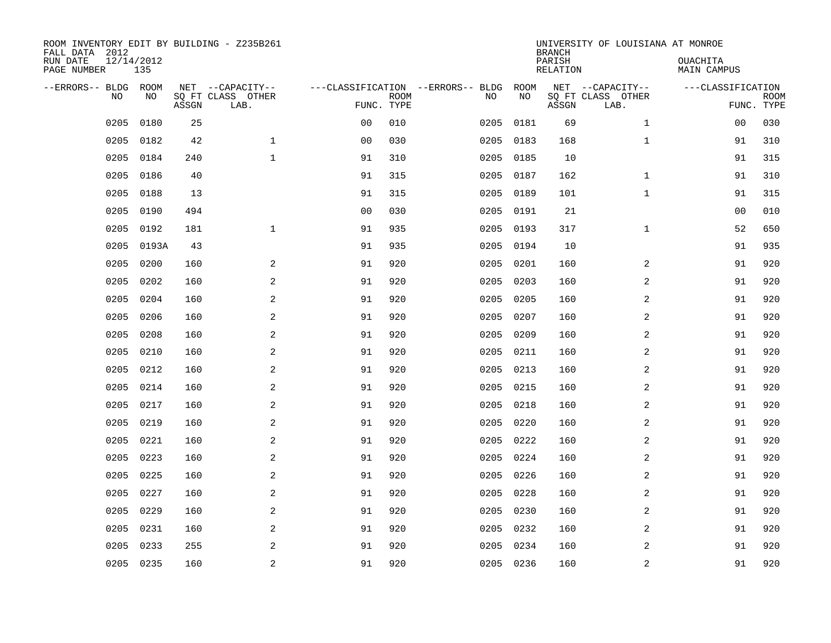| FALL DATA 2012<br>RUN DATE<br>PAGE NUMBER | 12/14/2012 | 135         |       | ROOM INVENTORY EDIT BY BUILDING - Z235B261    |                                                 |             |      |            | <b>BRANCH</b><br>PARISH<br>RELATION | UNIVERSITY OF LOUISIANA AT MONROE             | <b>OUACHITA</b><br>MAIN CAMPUS  |             |
|-------------------------------------------|------------|-------------|-------|-----------------------------------------------|-------------------------------------------------|-------------|------|------------|-------------------------------------|-----------------------------------------------|---------------------------------|-------------|
| --ERRORS-- BLDG                           | <b>NO</b>  | ROOM<br>NO. | ASSGN | NET --CAPACITY--<br>SQ FT CLASS OTHER<br>LAB. | ---CLASSIFICATION --ERRORS-- BLDG<br>FUNC. TYPE | <b>ROOM</b> | NO   | ROOM<br>NO | ASSGN                               | NET --CAPACITY--<br>SQ FT CLASS OTHER<br>LAB. | ---CLASSIFICATION<br>FUNC. TYPE | <b>ROOM</b> |
|                                           | 0205       | 0180        | 25    |                                               | 0 <sub>0</sub>                                  | 010         | 0205 | 0181       | 69                                  | $\mathbf{1}$                                  | 00                              | 030         |
|                                           | 0205       | 0182        | 42    | $\mathbf{1}$                                  | 0 <sub>0</sub>                                  | 030         | 0205 | 0183       | 168                                 | $\mathbf{1}$                                  | 91                              | 310         |
|                                           | 0205       | 0184        | 240   | $\mathbf{1}$                                  | 91                                              | 310         | 0205 | 0185       | 10                                  |                                               | 91                              | 315         |
|                                           | 0205       | 0186        | 40    |                                               | 91                                              | 315         | 0205 | 0187       | 162                                 | $\mathbf{1}$                                  | 91                              | 310         |
|                                           | 0205       | 0188        | 13    |                                               | 91                                              | 315         | 0205 | 0189       | 101                                 | $\mathbf{1}$                                  | 91                              | 315         |
|                                           | 0205       | 0190        | 494   |                                               | 0 <sub>0</sub>                                  | 030         |      | 0205 0191  | 21                                  |                                               | 00                              | 010         |
|                                           | 0205       | 0192        | 181   | $\mathbf{1}$                                  | 91                                              | 935         | 0205 | 0193       | 317                                 | $\mathbf{1}$                                  | 52                              | 650         |
|                                           | 0205       | 0193A       | 43    |                                               | 91                                              | 935         |      | 0205 0194  | 10                                  |                                               | 91                              | 935         |
|                                           | 0205       | 0200        | 160   | 2                                             | 91                                              | 920         | 0205 | 0201       | 160                                 | 2                                             | 91                              | 920         |
|                                           | 0205       | 0202        | 160   | 2                                             | 91                                              | 920         | 0205 | 0203       | 160                                 | 2                                             | 91                              | 920         |
|                                           | 0205       | 0204        | 160   | 2                                             | 91                                              | 920         | 0205 | 0205       | 160                                 | 2                                             | 91                              | 920         |
|                                           | 0205       | 0206        | 160   | 2                                             | 91                                              | 920         | 0205 | 0207       | 160                                 | $\overline{a}$                                | 91                              | 920         |
|                                           | 0205       | 0208        | 160   | 2                                             | 91                                              | 920         | 0205 | 0209       | 160                                 | $\overline{a}$                                | 91                              | 920         |
|                                           | 0205       | 0210        | 160   | 2                                             | 91                                              | 920         | 0205 | 0211       | 160                                 | $\overline{a}$                                | 91                              | 920         |
|                                           | 0205       | 0212        | 160   | $\mathbf{2}$                                  | 91                                              | 920         | 0205 | 0213       | 160                                 | 2                                             | 91                              | 920         |
|                                           | 0205       | 0214        | 160   | $\mathbf{2}$                                  | 91                                              | 920         | 0205 | 0215       | 160                                 | $\overline{a}$                                | 91                              | 920         |
|                                           | 0205       | 0217        | 160   | 2                                             | 91                                              | 920         | 0205 | 0218       | 160                                 | 2                                             | 91                              | 920         |
|                                           | 0205       | 0219        | 160   | 2                                             | 91                                              | 920         | 0205 | 0220       | 160                                 | 2                                             | 91                              | 920         |
|                                           | 0205       | 0221        | 160   | 2                                             | 91                                              | 920         |      | 0205 0222  | 160                                 | 2                                             | 91                              | 920         |
|                                           | 0205       | 0223        | 160   | 2                                             | 91                                              | 920         | 0205 | 0224       | 160                                 | 2                                             | 91                              | 920         |
|                                           | 0205       | 0225        | 160   | 2                                             | 91                                              | 920         | 0205 | 0226       | 160                                 | 2                                             | 91                              | 920         |
|                                           | 0205       | 0227        | 160   | 2                                             | 91                                              | 920         | 0205 | 0228       | 160                                 | 2                                             | 91                              | 920         |
|                                           | 0205       | 0229        | 160   | 2                                             | 91                                              | 920         | 0205 | 0230       | 160                                 | 2                                             | 91                              | 920         |
|                                           | 0205       | 0231        | 160   | 2                                             | 91                                              | 920         | 0205 | 0232       | 160                                 | 2                                             | 91                              | 920         |
|                                           | 0205       | 0233        | 255   | 2                                             | 91                                              | 920         | 0205 | 0234       | 160                                 | 2                                             | 91                              | 920         |
|                                           | 0205 0235  |             | 160   | $\overline{c}$                                | 91                                              | 920         |      | 0205 0236  | 160                                 | $\overline{\mathbf{c}}$                       | 91                              | 920         |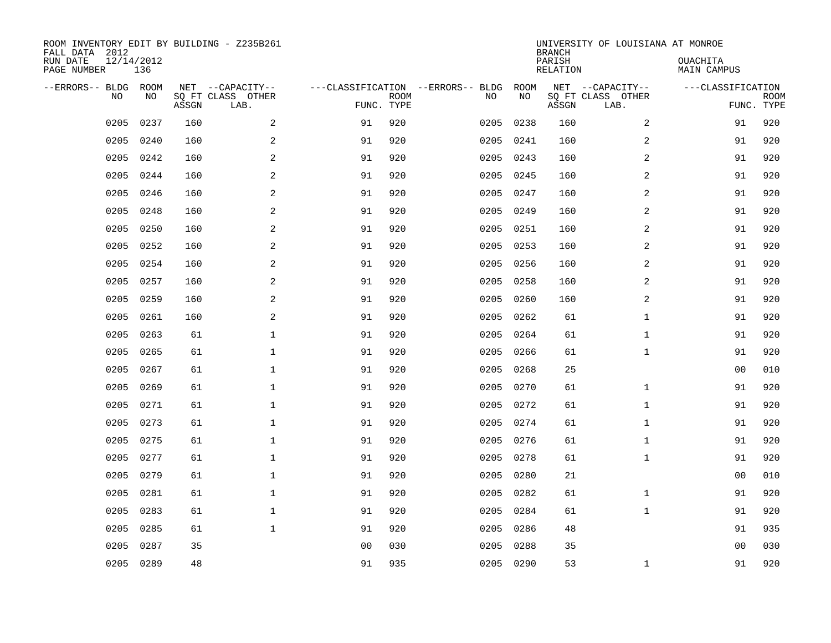| ROOM INVENTORY EDIT BY BUILDING - Z235B261<br>FALL DATA 2012<br>RUN DATE | 12/14/2012 |       |                                       |                |             |                                         |            | <b>BRANCH</b><br>PARISH | UNIVERSITY OF LOUISIANA AT MONROE     | OUACHITA           |             |
|--------------------------------------------------------------------------|------------|-------|---------------------------------------|----------------|-------------|-----------------------------------------|------------|-------------------------|---------------------------------------|--------------------|-------------|
| PAGE NUMBER                                                              | 136        |       |                                       |                |             |                                         |            | <b>RELATION</b>         |                                       | <b>MAIN CAMPUS</b> |             |
| --ERRORS-- BLDG ROOM<br>NO                                               | NO         |       | NET --CAPACITY--<br>SQ FT CLASS OTHER |                | <b>ROOM</b> | ---CLASSIFICATION --ERRORS-- BLDG<br>NO | ROOM<br>NO |                         | NET --CAPACITY--<br>SQ FT CLASS OTHER | ---CLASSIFICATION  | <b>ROOM</b> |
|                                                                          |            | ASSGN | LAB.                                  | FUNC. TYPE     |             |                                         |            | ASSGN                   | LAB.                                  | FUNC. TYPE         |             |
| 0205                                                                     | 0237       | 160   | 2                                     | 91             | 920         | 0205                                    | 0238       | 160                     | 2                                     | 91                 | 920         |
| 0205                                                                     | 0240       | 160   | 2                                     | 91             | 920         | 0205                                    | 0241       | 160                     | 2                                     | 91                 | 920         |
| 0205                                                                     | 0242       | 160   | 2                                     | 91             | 920         | 0205                                    | 0243       | 160                     | 2                                     | 91                 | 920         |
| 0205                                                                     | 0244       | 160   | $\mathbf{2}$                          | 91             | 920         |                                         | 0205 0245  | 160                     | $\overline{a}$                        | 91                 | 920         |
| 0205                                                                     | 0246       | 160   | 2                                     | 91             | 920         | 0205                                    | 0247       | 160                     | $\overline{a}$                        | 91                 | 920         |
| 0205                                                                     | 0248       | 160   | 2                                     | 91             | 920         | 0205                                    | 0249       | 160                     | $\overline{a}$                        | 91                 | 920         |
| 0205                                                                     | 0250       | 160   | $\overline{a}$                        | 91             | 920         | 0205                                    | 0251       | 160                     | $\overline{a}$                        | 91                 | 920         |
| 0205                                                                     | 0252       | 160   | 2                                     | 91             | 920         | 0205                                    | 0253       | 160                     | 2                                     | 91                 | 920         |
| 0205                                                                     | 0254       | 160   | 2                                     | 91             | 920         | 0205                                    | 0256       | 160                     | 2                                     | 91                 | 920         |
| 0205                                                                     | 0257       | 160   | 2                                     | 91             | 920         | 0205                                    | 0258       | 160                     | 2                                     | 91                 | 920         |
| 0205                                                                     | 0259       | 160   | 2                                     | 91             | 920         | 0205                                    | 0260       | 160                     | 2                                     | 91                 | 920         |
| 0205                                                                     | 0261       | 160   | 2                                     | 91             | 920         | 0205                                    | 0262       | 61                      | $\mathbf{1}$                          | 91                 | 920         |
| 0205                                                                     | 0263       | 61    | $\mathbf 1$                           | 91             | 920         | 0205                                    | 0264       | 61                      | $\mathbf{1}$                          | 91                 | 920         |
| 0205                                                                     | 0265       | 61    | $\mathbf 1$                           | 91             | 920         | 0205                                    | 0266       | 61                      | $\mathbf{1}$                          | 91                 | 920         |
| 0205                                                                     | 0267       | 61    | $\mathbf 1$                           | 91             | 920         | 0205                                    | 0268       | 25                      |                                       | 00                 | 010         |
| 0205                                                                     | 0269       | 61    | $\mathbf{1}$                          | 91             | 920         | 0205                                    | 0270       | 61                      | $\mathbf{1}$                          | 91                 | 920         |
| 0205                                                                     | 0271       | 61    | $\mathbf 1$                           | 91             | 920         | 0205                                    | 0272       | 61                      | $\mathbf{1}$                          | 91                 | 920         |
| 0205                                                                     | 0273       | 61    | $\mathbf{1}$                          | 91             | 920         | 0205                                    | 0274       | 61                      | $\mathbf{1}$                          | 91                 | 920         |
| 0205                                                                     | 0275       | 61    | $\mathbf{1}$                          | 91             | 920         | 0205                                    | 0276       | 61                      | $\mathbf{1}$                          | 91                 | 920         |
| 0205                                                                     | 0277       | 61    | $\mathbf 1$                           | 91             | 920         | 0205                                    | 0278       | 61                      | $\mathbf{1}$                          | 91                 | 920         |
| 0205                                                                     | 0279       | 61    | $\mathbf 1$                           | 91             | 920         | 0205                                    | 0280       | 21                      |                                       | 00                 | 010         |
| 0205                                                                     | 0281       | 61    | $\mathbf{1}$                          | 91             | 920         | 0205                                    | 0282       | 61                      | $\mathbf{1}$                          | 91                 | 920         |
| 0205                                                                     | 0283       | 61    | $\mathbf{1}$                          | 91             | 920         | 0205                                    | 0284       | 61                      | $\mathbf{1}$                          | 91                 | 920         |
| 0205                                                                     | 0285       | 61    | $\mathbf{1}$                          | 91             | 920         | 0205                                    | 0286       | 48                      |                                       | 91                 | 935         |
| 0205                                                                     | 0287       | 35    |                                       | 0 <sub>0</sub> | 030         | 0205                                    | 0288       | 35                      |                                       | 0 <sub>0</sub>     | 030         |
|                                                                          | 0205 0289  | 48    |                                       | 91             | 935         |                                         | 0205 0290  | 53                      | $\mathbf{1}$                          | 91                 | 920         |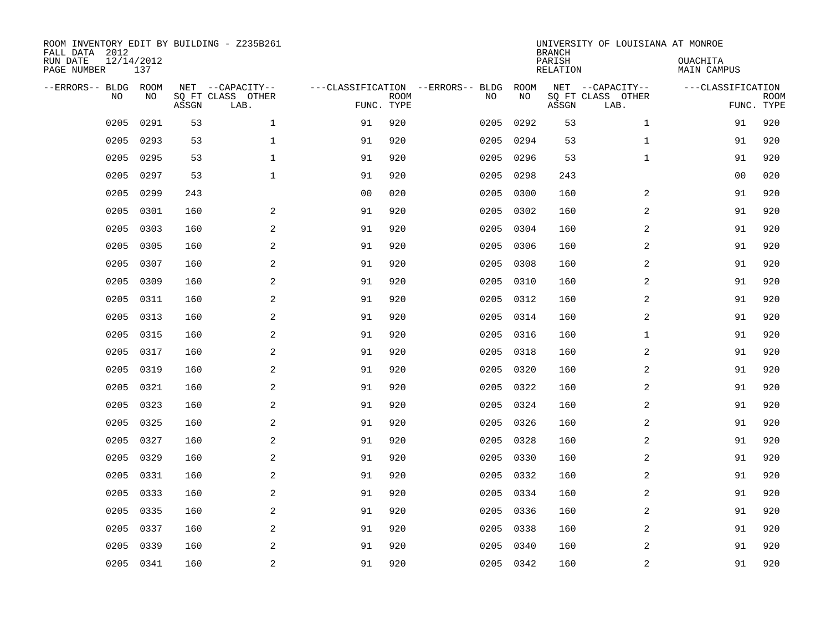| ROOM INVENTORY EDIT BY BUILDING - Z235B261<br>FALL DATA 2012<br>RUN DATE<br>PAGE NUMBER | 12/14/2012<br>137 |       |                                               |                |             |                                         |            | <b>BRANCH</b><br>PARISH<br><b>RELATION</b> | UNIVERSITY OF LOUISIANA AT MONROE             | OUACHITA<br><b>MAIN CAMPUS</b>  |             |
|-----------------------------------------------------------------------------------------|-------------------|-------|-----------------------------------------------|----------------|-------------|-----------------------------------------|------------|--------------------------------------------|-----------------------------------------------|---------------------------------|-------------|
| --ERRORS-- BLDG ROOM<br>NO                                                              | NO                | ASSGN | NET --CAPACITY--<br>SQ FT CLASS OTHER<br>LAB. | FUNC. TYPE     | <b>ROOM</b> | ---CLASSIFICATION --ERRORS-- BLDG<br>NO | ROOM<br>NO | ASSGN                                      | NET --CAPACITY--<br>SQ FT CLASS OTHER<br>LAB. | ---CLASSIFICATION<br>FUNC. TYPE | <b>ROOM</b> |
| 0205                                                                                    | 0291              | 53    | $\mathbf 1$                                   | 91             | 920         | 0205                                    | 0292       | 53                                         | $\mathbf{1}$                                  | 91                              | 920         |
| 0205                                                                                    | 0293              | 53    | $\mathbf 1$                                   | 91             | 920         | 0205                                    | 0294       | 53                                         | $\mathbf{1}$                                  | 91                              | 920         |
| 0205                                                                                    | 0295              | 53    | $\mathbf 1$                                   | 91             | 920         | 0205                                    | 0296       | 53                                         | $\mathbf{1}$                                  | 91                              | 920         |
| 0205                                                                                    | 0297              | 53    | $\mathbf 1$                                   | 91             | 920         | 0205                                    | 0298       | 243                                        |                                               | 0 <sub>0</sub>                  | 020         |
| 0205                                                                                    | 0299              | 243   |                                               | 0 <sub>0</sub> | 020         | 0205                                    | 0300       | 160                                        | 2                                             | 91                              | 920         |
| 0205                                                                                    | 0301              | 160   | 2                                             | 91             | 920         | 0205                                    | 0302       | 160                                        | $\overline{a}$                                | 91                              | 920         |
| 0205                                                                                    | 0303              | 160   | $\mathbf{2}$                                  | 91             | 920         | 0205                                    | 0304       | 160                                        | $\overline{a}$                                | 91                              | 920         |
| 0205                                                                                    | 0305              | 160   | 2                                             | 91             | 920         | 0205                                    | 0306       | 160                                        | 2                                             | 91                              | 920         |
| 0205                                                                                    | 0307              | 160   | 2                                             | 91             | 920         | 0205                                    | 0308       | 160                                        | 2                                             | 91                              | 920         |
| 0205                                                                                    | 0309              | 160   | 2                                             | 91             | 920         | 0205                                    | 0310       | 160                                        | 2                                             | 91                              | 920         |
| 0205                                                                                    | 0311              | 160   | 2                                             | 91             | 920         | 0205                                    | 0312       | 160                                        | 2                                             | 91                              | 920         |
| 0205                                                                                    | 0313              | 160   | 2                                             | 91             | 920         | 0205                                    | 0314       | 160                                        | 2                                             | 91                              | 920         |
| 0205                                                                                    | 0315              | 160   | 2                                             | 91             | 920         | 0205                                    | 0316       | 160                                        | $\mathbf{1}$                                  | 91                              | 920         |
| 0205                                                                                    | 0317              | 160   | $\mathbf{2}$                                  | 91             | 920         | 0205                                    | 0318       | 160                                        | 2                                             | 91                              | 920         |
| 0205                                                                                    | 0319              | 160   | 2                                             | 91             | 920         | 0205                                    | 0320       | 160                                        | 2                                             | 91                              | 920         |
| 0205                                                                                    | 0321              | 160   | 2                                             | 91             | 920         | 0205                                    | 0322       | 160                                        | 2                                             | 91                              | 920         |
| 0205                                                                                    | 0323              | 160   | 2                                             | 91             | 920         | 0205                                    | 0324       | 160                                        | 2                                             | 91                              | 920         |
| 0205                                                                                    | 0325              | 160   | 2                                             | 91             | 920         | 0205                                    | 0326       | 160                                        | $\overline{a}$                                | 91                              | 920         |
| 0205                                                                                    | 0327              | 160   | 2                                             | 91             | 920         |                                         | 0205 0328  | 160                                        | 2                                             | 91                              | 920         |
| 0205                                                                                    | 0329              | 160   | $\overline{a}$                                | 91             | 920         | 0205                                    | 0330       | 160                                        | 2                                             | 91                              | 920         |
| 0205                                                                                    | 0331              | 160   | 2                                             | 91             | 920         |                                         | 0205 0332  | 160                                        | 2                                             | 91                              | 920         |
| 0205                                                                                    | 0333              | 160   | 2                                             | 91             | 920         | 0205                                    | 0334       | 160                                        | 2                                             | 91                              | 920         |
| 0205                                                                                    | 0335              | 160   | 2                                             | 91             | 920         | 0205                                    | 0336       | 160                                        | 2                                             | 91                              | 920         |
| 0205                                                                                    | 0337              | 160   | 2                                             | 91             | 920         | 0205                                    | 0338       | 160                                        | 2                                             | 91                              | 920         |
| 0205                                                                                    | 0339              | 160   | 2                                             | 91             | 920         | 0205                                    | 0340       | 160                                        | 2                                             | 91                              | 920         |
|                                                                                         | 0205 0341         | 160   | $\overline{c}$                                | 91             | 920         |                                         | 0205 0342  | 160                                        | $\overline{\mathbf{c}}$                       | 91                              | 920         |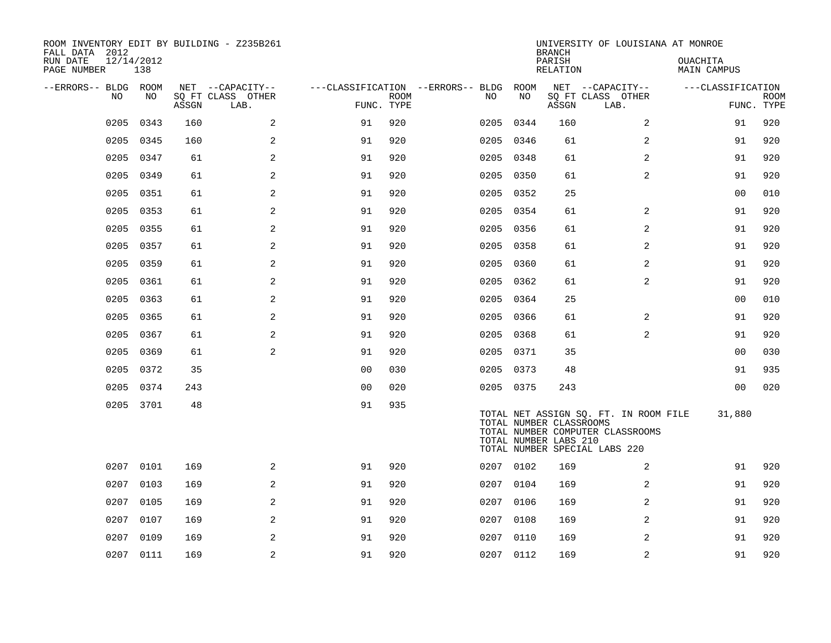| ROOM INVENTORY EDIT BY BUILDING - Z235B261<br>FALL DATA 2012<br>RUN DATE<br>PAGE NUMBER | 12/14/2012<br>138 |       |                           |                |             |                                   |           | <b>BRANCH</b><br>PARISH<br>RELATION              | UNIVERSITY OF LOUISIANA AT MONROE                                                                          | <b>OUACHITA</b><br><b>MAIN CAMPUS</b> |                           |
|-----------------------------------------------------------------------------------------|-------------------|-------|---------------------------|----------------|-------------|-----------------------------------|-----------|--------------------------------------------------|------------------------------------------------------------------------------------------------------------|---------------------------------------|---------------------------|
| --ERRORS-- BLDG ROOM                                                                    |                   |       | NET --CAPACITY--          |                |             | ---CLASSIFICATION --ERRORS-- BLDG | ROOM      |                                                  | NET --CAPACITY--                                                                                           | ---CLASSIFICATION                     |                           |
| NO                                                                                      | NO                | ASSGN | SQ FT CLASS OTHER<br>LAB. | FUNC. TYPE     | <b>ROOM</b> | NO.                               | NO        | ASSGN                                            | SQ FT CLASS OTHER<br>LAB.                                                                                  |                                       | <b>ROOM</b><br>FUNC. TYPE |
| 0205                                                                                    | 0343              | 160   | 2                         | 91             | 920         | 0205                              | 0344      | 160                                              | 2                                                                                                          | 91                                    | 920                       |
| 0205                                                                                    | 0345              | 160   | 2                         | 91             | 920         | 0205                              | 0346      | 61                                               | $\overline{2}$                                                                                             | 91                                    | 920                       |
| 0205                                                                                    | 0347              | 61    | 2                         | 91             | 920         |                                   | 0205 0348 | 61                                               | 2                                                                                                          | 91                                    | 920                       |
| 0205                                                                                    | 0349              | 61    | 2                         | 91             | 920         | 0205                              | 0350      | 61                                               | $\overline{2}$                                                                                             | 91                                    | 920                       |
| 0205                                                                                    | 0351              | 61    | 2                         | 91             | 920         |                                   | 0205 0352 | 25                                               |                                                                                                            | 0 <sub>0</sub>                        | 010                       |
| 0205                                                                                    | 0353              | 61    | 2                         | 91             | 920         | 0205                              | 0354      | 61                                               | 2                                                                                                          | 91                                    | 920                       |
| 0205                                                                                    | 0355              | 61    | 2                         | 91             | 920         |                                   | 0205 0356 | 61                                               | 2                                                                                                          | 91                                    | 920                       |
| 0205                                                                                    | 0357              | 61    | 2                         | 91             | 920         | 0205                              | 0358      | 61                                               | 2                                                                                                          | 91                                    | 920                       |
| 0205                                                                                    | 0359              | 61    | $\overline{a}$            | 91             | 920         |                                   | 0205 0360 | 61                                               | $\overline{a}$                                                                                             | 91                                    | 920                       |
| 0205                                                                                    | 0361              | 61    | 2                         | 91             | 920         |                                   | 0205 0362 | 61                                               | 2                                                                                                          | 91                                    | 920                       |
| 0205                                                                                    | 0363              | 61    | 2                         | 91             | 920         |                                   | 0205 0364 | 25                                               |                                                                                                            | 0 <sub>0</sub>                        | 010                       |
| 0205                                                                                    | 0365              | 61    | 2                         | 91             | 920         | 0205                              | 0366      | 61                                               | 2                                                                                                          | 91                                    | 920                       |
| 0205                                                                                    | 0367              | 61    | 2                         | 91             | 920         |                                   | 0205 0368 | 61                                               | 2                                                                                                          | 91                                    | 920                       |
| 0205                                                                                    | 0369              | 61    | 2                         | 91             | 920         |                                   | 0205 0371 | 35                                               |                                                                                                            | 0 <sub>0</sub>                        | 030                       |
| 0205                                                                                    | 0372              | 35    |                           | 0 <sub>0</sub> | 030         |                                   | 0205 0373 | 48                                               |                                                                                                            | 91                                    | 935                       |
| 0205                                                                                    | 0374              | 243   |                           | 0 <sub>0</sub> | 020         |                                   | 0205 0375 | 243                                              |                                                                                                            | 0 <sub>0</sub>                        | 020                       |
|                                                                                         | 0205 3701         | 48    |                           | 91             | 935         |                                   |           | TOTAL NUMBER CLASSROOMS<br>TOTAL NUMBER LABS 210 | TOTAL NET ASSIGN SQ. FT. IN ROOM FILE<br>TOTAL NUMBER COMPUTER CLASSROOMS<br>TOTAL NUMBER SPECIAL LABS 220 | 31,880                                |                           |
|                                                                                         | 0207 0101         | 169   | 2                         | 91             | 920         |                                   | 0207 0102 | 169                                              | 2                                                                                                          | 91                                    | 920                       |
| 0207                                                                                    | 0103              | 169   | 2                         | 91             | 920         | 0207                              | 0104      | 169                                              | 2                                                                                                          | 91                                    | 920                       |
|                                                                                         | 0207 0105         | 169   | 2                         | 91             | 920         |                                   | 0207 0106 | 169                                              | 2                                                                                                          | 91                                    | 920                       |
| 0207                                                                                    | 0107              | 169   | 2                         | 91             | 920         | 0207                              | 0108      | 169                                              | 2                                                                                                          | 91                                    | 920                       |
| 0207                                                                                    | 0109              | 169   | 2                         | 91             | 920         |                                   | 0207 0110 | 169                                              | 2                                                                                                          | 91                                    | 920                       |
|                                                                                         | 0207 0111         | 169   | 2                         | 91             | 920         |                                   | 0207 0112 | 169                                              | 2                                                                                                          | 91                                    | 920                       |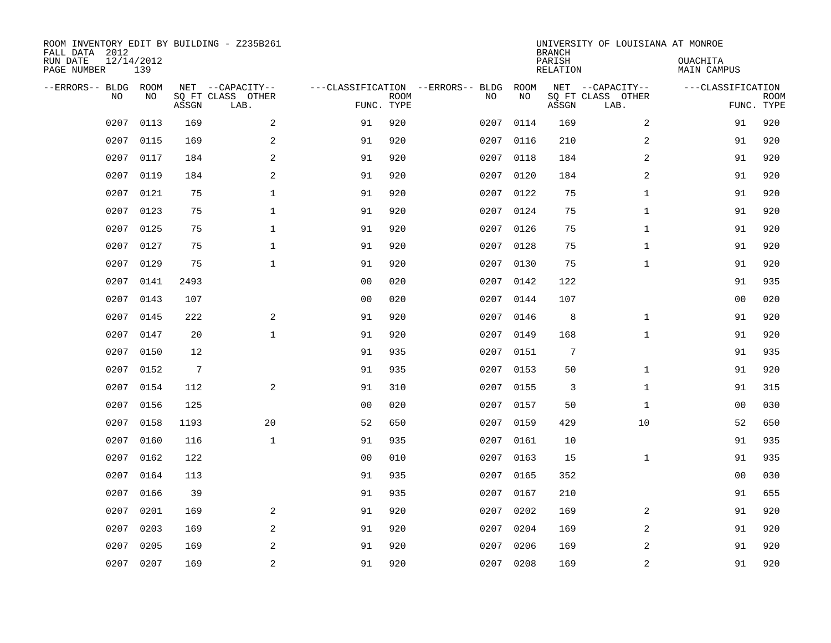| ROOM INVENTORY EDIT BY BUILDING - Z235B261<br>FALL DATA 2012<br>RUN DATE | 12/14/2012 |       |                                       |                |             |                                         |            | <b>BRANCH</b><br>PARISH | UNIVERSITY OF LOUISIANA AT MONROE     | OUACHITA           |             |
|--------------------------------------------------------------------------|------------|-------|---------------------------------------|----------------|-------------|-----------------------------------------|------------|-------------------------|---------------------------------------|--------------------|-------------|
| PAGE NUMBER                                                              | 139        |       |                                       |                |             |                                         |            | <b>RELATION</b>         |                                       | <b>MAIN CAMPUS</b> |             |
| --ERRORS-- BLDG ROOM<br>NO                                               | NO         |       | NET --CAPACITY--<br>SQ FT CLASS OTHER |                | <b>ROOM</b> | ---CLASSIFICATION --ERRORS-- BLDG<br>NO | ROOM<br>NO |                         | NET --CAPACITY--<br>SQ FT CLASS OTHER | ---CLASSIFICATION  | <b>ROOM</b> |
|                                                                          |            | ASSGN | LAB.                                  | FUNC. TYPE     |             |                                         |            | ASSGN                   | LAB.                                  | FUNC. TYPE         |             |
| 0207                                                                     | 0113       | 169   | 2                                     | 91             | 920         | 0207                                    | 0114       | 169                     | 2                                     | 91                 | 920         |
| 0207                                                                     | 0115       | 169   | 2                                     | 91             | 920         | 0207                                    | 0116       | 210                     | 2                                     | 91                 | 920         |
| 0207                                                                     | 0117       | 184   | 2                                     | 91             | 920         | 0207                                    | 0118       | 184                     | 2                                     | 91                 | 920         |
| 0207                                                                     | 0119       | 184   | $\overline{a}$                        | 91             | 920         |                                         | 0207 0120  | 184                     | $\overline{a}$                        | 91                 | 920         |
| 0207                                                                     | 0121       | 75    | $\mathbf{1}$                          | 91             | 920         | 0207                                    | 0122       | 75                      | $\mathbf{1}$                          | 91                 | 920         |
| 0207                                                                     | 0123       | 75    | $\mathbf{1}$                          | 91             | 920         | 0207                                    | 0124       | 75                      | $\mathbf{1}$                          | 91                 | 920         |
| 0207                                                                     | 0125       | 75    | $\mathbf{1}$                          | 91             | 920         | 0207                                    | 0126       | 75                      | $\mathbf{1}$                          | 91                 | 920         |
| 0207                                                                     | 0127       | 75    | $\mathbf{1}$                          | 91             | 920         | 0207                                    | 0128       | 75                      | $\mathbf{1}$                          | 91                 | 920         |
| 0207                                                                     | 0129       | 75    | $\mathbf{1}$                          | 91             | 920         | 0207                                    | 0130       | 75                      | $\mathbf{1}$                          | 91                 | 920         |
| 0207                                                                     | 0141       | 2493  |                                       | 0 <sub>0</sub> | 020         |                                         | 0207 0142  | 122                     |                                       | 91                 | 935         |
| 0207                                                                     | 0143       | 107   |                                       | 0 <sub>0</sub> | 020         | 0207                                    | 0144       | 107                     |                                       | 0 <sub>0</sub>     | 020         |
| 0207                                                                     | 0145       | 222   | 2                                     | 91             | 920         |                                         | 0207 0146  | 8                       | $\mathbf{1}$                          | 91                 | 920         |
| 0207                                                                     | 0147       | 20    | $\mathbf{1}$                          | 91             | 920         | 0207                                    | 0149       | 168                     | $\mathbf{1}$                          | 91                 | 920         |
| 0207                                                                     | 0150       | 12    |                                       | 91             | 935         |                                         | 0207 0151  | $7\phantom{.0}$         |                                       | 91                 | 935         |
| 0207                                                                     | 0152       | 7     |                                       | 91             | 935         | 0207                                    | 0153       | 50                      | $\mathbf{1}$                          | 91                 | 920         |
| 0207                                                                     | 0154       | 112   | 2                                     | 91             | 310         | 0207                                    | 0155       | 3                       | $\mathbf{1}$                          | 91                 | 315         |
| 0207                                                                     | 0156       | 125   |                                       | 0 <sub>0</sub> | 020         | 0207                                    | 0157       | 50                      | $\mathbf{1}$                          | 00                 | 030         |
| 0207                                                                     | 0158       | 1193  | 20                                    | 52             | 650         | 0207                                    | 0159       | 429                     | 10                                    | 52                 | 650         |
| 0207                                                                     | 0160       | 116   | $\mathbf{1}$                          | 91             | 935         | 0207                                    | 0161       | 10                      |                                       | 91                 | 935         |
| 0207                                                                     | 0162       | 122   |                                       | 0 <sub>0</sub> | 010         | 0207                                    | 0163       | 15                      | $\mathbf{1}$                          | 91                 | 935         |
| 0207                                                                     | 0164       | 113   |                                       | 91             | 935         |                                         | 0207 0165  | 352                     |                                       | 00                 | 030         |
| 0207                                                                     | 0166       | 39    |                                       | 91             | 935         | 0207                                    | 0167       | 210                     |                                       | 91                 | 655         |
| 0207                                                                     | 0201       | 169   | 2                                     | 91             | 920         | 0207                                    | 0202       | 169                     | 2                                     | 91                 | 920         |
| 0207                                                                     | 0203       | 169   | 2                                     | 91             | 920         | 0207                                    | 0204       | 169                     | $\overline{a}$                        | 91                 | 920         |
| 0207                                                                     | 0205       | 169   | 2                                     | 91             | 920         | 0207                                    | 0206       | 169                     | 2                                     | 91                 | 920         |
| 0207                                                                     | 0207       | 169   | $\overline{c}$                        | 91             | 920         |                                         | 0207 0208  | 169                     | $\overline{\mathbf{c}}$               | 91                 | 920         |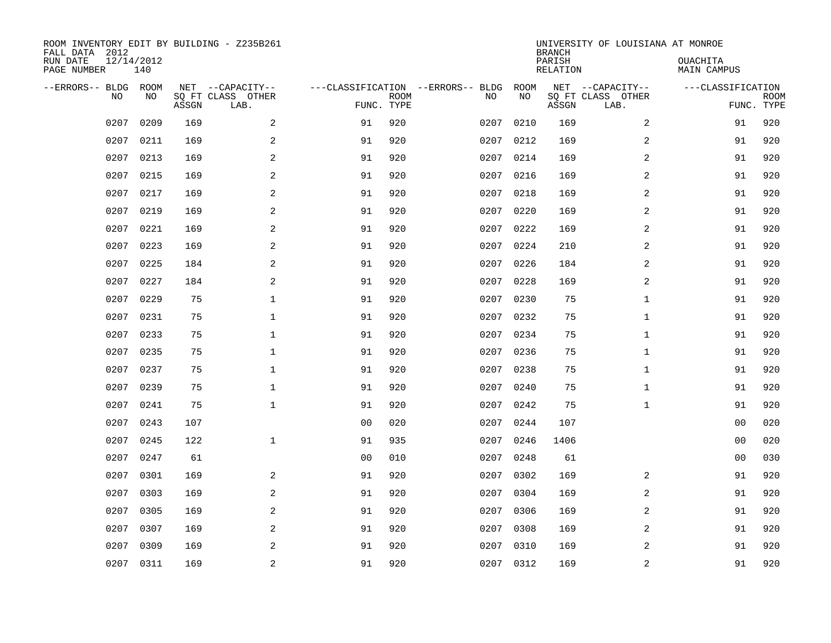| ROOM INVENTORY EDIT BY BUILDING - Z235B261<br>FALL DATA 2012<br>RUN DATE | 12/14/2012 |       |                                       |                |             |                                         |            | <b>BRANCH</b><br>PARISH | UNIVERSITY OF LOUISIANA AT MONROE     | OUACHITA           |             |
|--------------------------------------------------------------------------|------------|-------|---------------------------------------|----------------|-------------|-----------------------------------------|------------|-------------------------|---------------------------------------|--------------------|-------------|
| PAGE NUMBER                                                              | 140        |       |                                       |                |             |                                         |            | <b>RELATION</b>         |                                       | <b>MAIN CAMPUS</b> |             |
| --ERRORS-- BLDG ROOM<br>NO                                               | NO         |       | NET --CAPACITY--<br>SQ FT CLASS OTHER |                | <b>ROOM</b> | ---CLASSIFICATION --ERRORS-- BLDG<br>NO | ROOM<br>NO |                         | NET --CAPACITY--<br>SQ FT CLASS OTHER | ---CLASSIFICATION  | <b>ROOM</b> |
|                                                                          |            | ASSGN | LAB.                                  | FUNC. TYPE     |             |                                         |            | ASSGN                   | LAB.                                  |                    | FUNC. TYPE  |
| 0207                                                                     | 0209       | 169   | 2                                     | 91             | 920         | 0207                                    | 0210       | 169                     | 2                                     | 91                 | 920         |
| 0207                                                                     | 0211       | 169   | 2                                     | 91             | 920         | 0207                                    | 0212       | 169                     | 2                                     | 91                 | 920         |
| 0207                                                                     | 0213       | 169   | 2                                     | 91             | 920         | 0207                                    | 0214       | 169                     | 2                                     | 91                 | 920         |
| 0207                                                                     | 0215       | 169   | $\overline{a}$                        | 91             | 920         | 0207                                    | 0216       | 169                     | 2                                     | 91                 | 920         |
| 0207                                                                     | 0217       | 169   | 2                                     | 91             | 920         | 0207                                    | 0218       | 169                     | $\overline{a}$                        | 91                 | 920         |
| 0207                                                                     | 0219       | 169   | 2                                     | 91             | 920         | 0207                                    | 0220       | 169                     | $\overline{a}$                        | 91                 | 920         |
| 0207                                                                     | 0221       | 169   | $\overline{a}$                        | 91             | 920         | 0207                                    | 0222       | 169                     | $\overline{a}$                        | 91                 | 920         |
| 0207                                                                     | 0223       | 169   | 2                                     | 91             | 920         | 0207                                    | 0224       | 210                     | 2                                     | 91                 | 920         |
| 0207                                                                     | 0225       | 184   | 2                                     | 91             | 920         | 0207                                    | 0226       | 184                     | 2                                     | 91                 | 920         |
| 0207                                                                     | 0227       | 184   | 2                                     | 91             | 920         | 0207                                    | 0228       | 169                     | 2                                     | 91                 | 920         |
| 0207                                                                     | 0229       | 75    | $\mathbf 1$                           | 91             | 920         | 0207                                    | 0230       | 75                      | $\mathbf{1}$                          | 91                 | 920         |
| 0207                                                                     | 0231       | 75    | $\mathbf{1}$                          | 91             | 920         |                                         | 0207 0232  | 75                      | $\mathbf{1}$                          | 91                 | 920         |
| 0207                                                                     | 0233       | 75    | $\mathbf 1$                           | 91             | 920         | 0207                                    | 0234       | 75                      | $\mathbf{1}$                          | 91                 | 920         |
| 0207                                                                     | 0235       | 75    | $\mathbf 1$                           | 91             | 920         | 0207                                    | 0236       | 75                      | $\mathbf{1}$                          | 91                 | 920         |
| 0207                                                                     | 0237       | 75    | $\mathbf 1$                           | 91             | 920         | 0207                                    | 0238       | 75                      | $\mathbf{1}$                          | 91                 | 920         |
| 0207                                                                     | 0239       | 75    | $\mathbf{1}$                          | 91             | 920         | 0207                                    | 0240       | 75                      | $\mathbf{1}$                          | 91                 | 920         |
| 0207                                                                     | 0241       | 75    | $\mathbf{1}$                          | 91             | 920         | 0207                                    | 0242       | 75                      | $\mathbf{1}$                          | 91                 | 920         |
| 0207                                                                     | 0243       | 107   |                                       | 0 <sub>0</sub> | 020         | 0207                                    | 0244       | 107                     |                                       | 0 <sub>0</sub>     | 020         |
| 0207                                                                     | 0245       | 122   | $\mathbf{1}$                          | 91             | 935         | 0207                                    | 0246       | 1406                    |                                       | 0 <sub>0</sub>     | 020         |
| 0207                                                                     | 0247       | 61    |                                       | 0 <sub>0</sub> | 010         | 0207                                    | 0248       | 61                      |                                       | 00                 | 030         |
| 0207                                                                     | 0301       | 169   | 2                                     | 91             | 920         | 0207                                    | 0302       | 169                     | 2                                     | 91                 | 920         |
| 0207                                                                     | 0303       | 169   | 2                                     | 91             | 920         | 0207                                    | 0304       | 169                     | 2                                     | 91                 | 920         |
| 0207                                                                     | 0305       | 169   | 2                                     | 91             | 920         | 0207                                    | 0306       | 169                     | 2                                     | 91                 | 920         |
| 0207                                                                     | 0307       | 169   | 2                                     | 91             | 920         | 0207                                    | 0308       | 169                     | 2                                     | 91                 | 920         |
| 0207                                                                     | 0309       | 169   | 2                                     | 91             | 920         | 0207                                    | 0310       | 169                     | 2                                     | 91                 | 920         |
|                                                                          | 0207 0311  | 169   | $\overline{c}$                        | 91             | 920         |                                         | 0207 0312  | 169                     | $\overline{\mathbf{c}}$               | 91                 | 920         |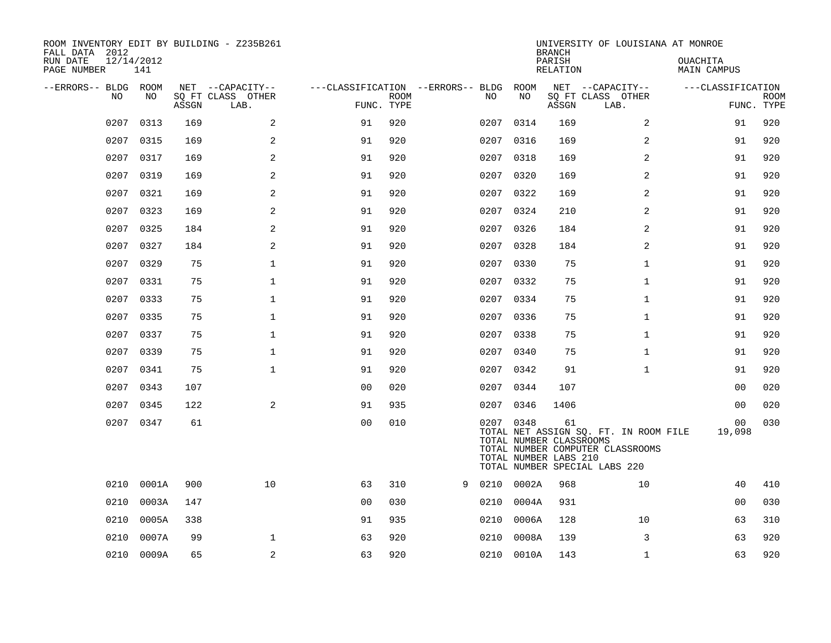| ROOM INVENTORY EDIT BY BUILDING - Z235B261<br>FALL DATA 2012<br>RUN DATE<br>PAGE NUMBER | 12/14/2012<br>141 |       |                           |                                        |             |   |           |            | <b>BRANCH</b><br>PARISH<br>RELATION                    | UNIVERSITY OF LOUISIANA AT MONROE                                                                          | <b>OUACHITA</b><br>MAIN CAMPUS |                           |
|-----------------------------------------------------------------------------------------|-------------------|-------|---------------------------|----------------------------------------|-------------|---|-----------|------------|--------------------------------------------------------|------------------------------------------------------------------------------------------------------------|--------------------------------|---------------------------|
| --ERRORS-- BLDG ROOM                                                                    |                   |       | NET --CAPACITY--          | ---CLASSIFICATION --ERRORS-- BLDG ROOM |             |   |           |            |                                                        | NET --CAPACITY--                                                                                           | ---CLASSIFICATION              |                           |
| NO.                                                                                     | NO                | ASSGN | SQ FT CLASS OTHER<br>LAB. | FUNC. TYPE                             | <b>ROOM</b> |   | NO.       | NO         | ASSGN                                                  | SQ FT CLASS OTHER<br>LAB.                                                                                  |                                | <b>ROOM</b><br>FUNC. TYPE |
| 0207                                                                                    | 0313              | 169   | 2                         | 91                                     | 920         |   | 0207 0314 |            | 169                                                    | 2                                                                                                          | 91                             | 920                       |
| 0207                                                                                    | 0315              | 169   | 2                         | 91                                     | 920         |   | 0207 0316 |            | 169                                                    | 2                                                                                                          | 91                             | 920                       |
|                                                                                         | 0207 0317         | 169   | 2                         | 91                                     | 920         |   |           | 0207 0318  | 169                                                    | 2                                                                                                          | 91                             | 920                       |
| 0207                                                                                    | 0319              | 169   | 2                         | 91                                     | 920         |   | 0207      | 0320       | 169                                                    | 2                                                                                                          | 91                             | 920                       |
|                                                                                         | 0207 0321         | 169   | 2                         | 91                                     | 920         |   | 0207 0322 |            | 169                                                    | 2                                                                                                          | 91                             | 920                       |
|                                                                                         | 0207 0323         | 169   | 2                         | 91                                     | 920         |   | 0207 0324 |            | 210                                                    | 2                                                                                                          | 91                             | 920                       |
|                                                                                         | 0207 0325         | 184   | $\overline{2}$            | 91                                     | 920         |   | 0207 0326 |            | 184                                                    | $\overline{2}$                                                                                             | 91                             | 920                       |
| 0207                                                                                    | 0327              | 184   | 2                         | 91                                     | 920         |   | 0207      | 0328       | 184                                                    | 2                                                                                                          | 91                             | 920                       |
|                                                                                         | 0207 0329         | 75    | $\mathbf 1$               | 91                                     | 920         |   | 0207 0330 |            | 75                                                     | $\mathbf{1}$                                                                                               | 91                             | 920                       |
| 0207                                                                                    | 0331              | 75    | $\mathbf{1}$              | 91                                     | 920         |   | 0207      | 0332       | 75                                                     | $\mathbf{1}$                                                                                               | 91                             | 920                       |
| 0207                                                                                    | 0333              | 75    | $\mathbf{1}$              | 91                                     | 920         |   | 0207 0334 |            | 75                                                     | $\mathbf{1}$                                                                                               | 91                             | 920                       |
| 0207                                                                                    | 0335              | 75    | $\mathbf{1}$              | 91                                     | 920         |   | 0207      | 0336       | 75                                                     | $\mathbf{1}$                                                                                               | 91                             | 920                       |
| 0207                                                                                    | 0337              | 75    | $\mathbf 1$               | 91                                     | 920         |   | 0207      | 0338       | 75                                                     | $\mathbf{1}$                                                                                               | 91                             | 920                       |
| 0207                                                                                    | 0339              | 75    | $\mathbf 1$               | 91                                     | 920         |   | 0207      | 0340       | 75                                                     | $\mathbf{1}$                                                                                               | 91                             | 920                       |
| 0207                                                                                    | 0341              | 75    | $\mathbf{1}$              | 91                                     | 920         |   |           | 0207 0342  | 91                                                     | $\mathbf{1}$                                                                                               | 91                             | 920                       |
| 0207                                                                                    | 0343              | 107   |                           | 0 <sub>0</sub>                         | 020         |   | 0207      | 0344       | 107                                                    |                                                                                                            | 00                             | 020                       |
| 0207                                                                                    | 0345              | 122   | 2                         | 91                                     | 935         |   | 0207 0346 |            | 1406                                                   |                                                                                                            | 0 <sub>0</sub>                 | 020                       |
|                                                                                         | 0207 0347         | 61    |                           | 0 <sub>0</sub>                         | 010         |   |           | 0207 0348  | 61<br>TOTAL NUMBER CLASSROOMS<br>TOTAL NUMBER LABS 210 | TOTAL NET ASSIGN SQ. FT. IN ROOM FILE<br>TOTAL NUMBER COMPUTER CLASSROOMS<br>TOTAL NUMBER SPECIAL LABS 220 | 00<br>19,098                   | 030                       |
| 0210                                                                                    | 0001A             | 900   | 10                        | 63                                     | 310         | 9 | 0210      | 0002A      | 968                                                    | 10                                                                                                         | 40                             | 410                       |
| 0210                                                                                    | 0003A             | 147   |                           | 0 <sub>0</sub>                         | 030         |   | 0210      | 0004A      | 931                                                    |                                                                                                            | 0 <sub>0</sub>                 | 030                       |
| 0210                                                                                    | 0005A             | 338   |                           | 91                                     | 935         |   | 0210      | 0006A      | 128                                                    | 10                                                                                                         | 63                             | 310                       |
| 0210                                                                                    | 0007A             | 99    | $\mathbf 1$               | 63                                     | 920         |   | 0210      | 0008A      | 139                                                    | 3                                                                                                          | 63                             | 920                       |
|                                                                                         | 0210 0009A        | 65    | $\mathbf{2}$              | 63                                     | 920         |   |           | 0210 0010A | 143                                                    | $\mathbf{1}$                                                                                               | 63                             | 920                       |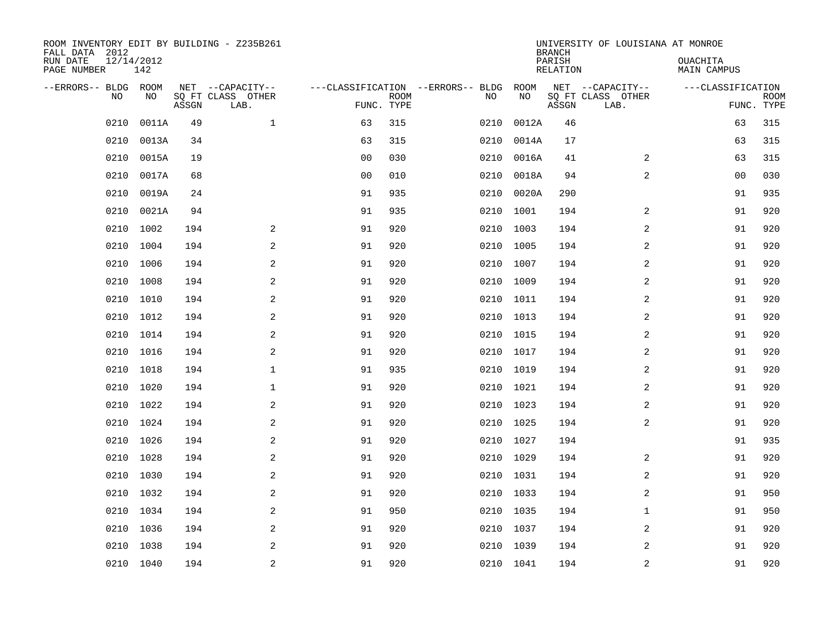| ROOM INVENTORY EDIT BY BUILDING - Z235B261<br>FALL DATA 2012 |                   |       |                           |                                   |                           |      |           | <b>BRANCH</b>             | UNIVERSITY OF LOUISIANA AT MONROE |                                |                           |
|--------------------------------------------------------------|-------------------|-------|---------------------------|-----------------------------------|---------------------------|------|-----------|---------------------------|-----------------------------------|--------------------------------|---------------------------|
| RUN DATE<br>PAGE NUMBER                                      | 12/14/2012<br>142 |       |                           |                                   |                           |      |           | PARISH<br><b>RELATION</b> |                                   | OUACHITA<br><b>MAIN CAMPUS</b> |                           |
| --ERRORS-- BLDG ROOM                                         |                   |       | NET --CAPACITY--          | ---CLASSIFICATION --ERRORS-- BLDG |                           |      | ROOM      |                           | NET --CAPACITY--                  | ---CLASSIFICATION              |                           |
| NO                                                           | NO                | ASSGN | SQ FT CLASS OTHER<br>LAB. |                                   | <b>ROOM</b><br>FUNC. TYPE | NO   | NO        | ASSGN                     | SQ FT CLASS OTHER<br>LAB.         |                                | <b>ROOM</b><br>FUNC. TYPE |
| 0210                                                         | 0011A             | 49    | $\mathbf 1$               | 63                                | 315                       | 0210 | 0012A     | 46                        |                                   | 63                             | 315                       |
| 0210                                                         | 0013A             | 34    |                           | 63                                | 315                       | 0210 | 0014A     | 17                        |                                   | 63                             | 315                       |
| 0210                                                         | 0015A             | 19    |                           | 0 <sub>0</sub>                    | 030                       | 0210 | 0016A     | 41                        | 2                                 | 63                             | 315                       |
| 0210                                                         | 0017A             | 68    |                           | 0 <sub>0</sub>                    | 010                       | 0210 | 0018A     | 94                        | $\overline{a}$                    | 0 <sub>0</sub>                 | 030                       |
| 0210                                                         | 0019A             | 24    |                           | 91                                | 935                       | 0210 | 0020A     | 290                       |                                   | 91                             | 935                       |
| 0210                                                         | 0021A             | 94    |                           | 91                                | 935                       | 0210 | 1001      | 194                       | $\overline{a}$                    | 91                             | 920                       |
| 0210                                                         | 1002              | 194   | $\mathbf{2}$              | 91                                | 920                       | 0210 | 1003      | 194                       | $\overline{a}$                    | 91                             | 920                       |
| 0210                                                         | 1004              | 194   | 2                         | 91                                | 920                       | 0210 | 1005      | 194                       | 2                                 | 91                             | 920                       |
| 0210                                                         | 1006              | 194   | 2                         | 91                                | 920                       | 0210 | 1007      | 194                       | 2                                 | 91                             | 920                       |
| 0210                                                         | 1008              | 194   | 2                         | 91                                | 920                       |      | 0210 1009 | 194                       | 2                                 | 91                             | 920                       |
| 0210                                                         | 1010              | 194   | 2                         | 91                                | 920                       | 0210 | 1011      | 194                       | 2                                 | 91                             | 920                       |
| 0210                                                         | 1012              | 194   | 2                         | 91                                | 920                       |      | 0210 1013 | 194                       | $\overline{2}$                    | 91                             | 920                       |
| 0210                                                         | 1014              | 194   | 2                         | 91                                | 920                       | 0210 | 1015      | 194                       | 2                                 | 91                             | 920                       |
| 0210                                                         | 1016              | 194   | $\mathbf{2}$              | 91                                | 920                       | 0210 | 1017      | 194                       | 2                                 | 91                             | 920                       |
| 0210                                                         | 1018              | 194   | 1                         | 91                                | 935                       | 0210 | 1019      | 194                       | 2                                 | 91                             | 920                       |
| 0210                                                         | 1020              | 194   | $\mathbf 1$               | 91                                | 920                       | 0210 | 1021      | 194                       | 2                                 | 91                             | 920                       |
| 0210                                                         | 1022              | 194   | 2                         | 91                                | 920                       | 0210 | 1023      | 194                       | 2                                 | 91                             | 920                       |
| 0210                                                         | 1024              | 194   | 2                         | 91                                | 920                       | 0210 | 1025      | 194                       | $\overline{a}$                    | 91                             | 920                       |
| 0210                                                         | 1026              | 194   | 2                         | 91                                | 920                       |      | 0210 1027 | 194                       |                                   | 91                             | 935                       |
| 0210                                                         | 1028              | 194   | $\overline{a}$            | 91                                | 920                       |      | 0210 1029 | 194                       | 2                                 | 91                             | 920                       |
| 0210                                                         | 1030              | 194   | 2                         | 91                                | 920                       |      | 0210 1031 | 194                       | 2                                 | 91                             | 920                       |
| 0210                                                         | 1032              | 194   | 2                         | 91                                | 920                       |      | 0210 1033 | 194                       | 2                                 | 91                             | 950                       |
| 0210                                                         | 1034              | 194   | 2                         | 91                                | 950                       |      | 0210 1035 | 194                       | $\mathbf{1}$                      | 91                             | 950                       |
| 0210                                                         | 1036              | 194   | 2                         | 91                                | 920                       |      | 0210 1037 | 194                       | 2                                 | 91                             | 920                       |
|                                                              | 0210 1038         | 194   | 2                         | 91                                | 920                       |      | 0210 1039 | 194                       | 2                                 | 91                             | 920                       |
|                                                              | 0210 1040         | 194   | $\overline{c}$            | 91                                | 920                       |      | 0210 1041 | 194                       | $\overline{\mathbf{c}}$           | 91                             | 920                       |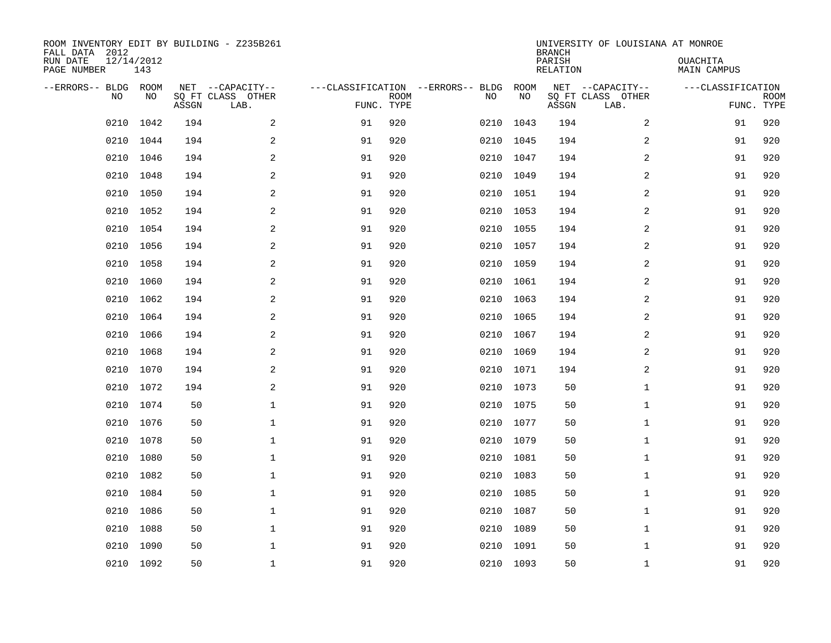| ROOM INVENTORY EDIT BY BUILDING - Z235B261<br>FALL DATA 2012<br>RUN DATE | 12/14/2012 |       |                                       |            |             |                                         |            | <b>BRANCH</b><br>PARISH | UNIVERSITY OF LOUISIANA AT MONROE     | OUACHITA           |             |
|--------------------------------------------------------------------------|------------|-------|---------------------------------------|------------|-------------|-----------------------------------------|------------|-------------------------|---------------------------------------|--------------------|-------------|
| PAGE NUMBER                                                              | 143        |       |                                       |            |             |                                         |            | <b>RELATION</b>         |                                       | <b>MAIN CAMPUS</b> |             |
| --ERRORS-- BLDG ROOM<br>NO                                               | NO         |       | NET --CAPACITY--<br>SQ FT CLASS OTHER |            | <b>ROOM</b> | ---CLASSIFICATION --ERRORS-- BLDG<br>NO | ROOM<br>NO |                         | NET --CAPACITY--<br>SQ FT CLASS OTHER | ---CLASSIFICATION  | <b>ROOM</b> |
|                                                                          |            | ASSGN | LAB.                                  | FUNC. TYPE |             |                                         |            | ASSGN                   | LAB.                                  | FUNC. TYPE         |             |
| 0210                                                                     | 1042       | 194   | 2                                     | 91         | 920         | 0210                                    | 1043       | 194                     | 2                                     | 91                 | 920         |
| 0210                                                                     | 1044       | 194   | 2                                     | 91         | 920         | 0210                                    | 1045       | 194                     | 2                                     | 91                 | 920         |
| 0210                                                                     | 1046       | 194   | 2                                     | 91         | 920         | 0210                                    | 1047       | 194                     | 2                                     | 91                 | 920         |
| 0210                                                                     | 1048       | 194   | $\mathbf{2}$                          | 91         | 920         | 0210                                    | 1049       | 194                     | 2                                     | 91                 | 920         |
| 0210                                                                     | 1050       | 194   | 2                                     | 91         | 920         | 0210                                    | 1051       | 194                     | $\overline{a}$                        | 91                 | 920         |
| 0210                                                                     | 1052       | 194   | 2                                     | 91         | 920         | 0210                                    | 1053       | 194                     | $\overline{a}$                        | 91                 | 920         |
| 0210                                                                     | 1054       | 194   | $\mathbf{2}$                          | 91         | 920         | 0210                                    | 1055       | 194                     | $\overline{a}$                        | 91                 | 920         |
|                                                                          | 0210 1056  | 194   | 2                                     | 91         | 920         |                                         | 0210 1057  | 194                     | 2                                     | 91                 | 920         |
| 0210                                                                     | 1058       | 194   | 2                                     | 91         | 920         | 0210                                    | 1059       | 194                     | 2                                     | 91                 | 920         |
| 0210                                                                     | 1060       | 194   | 2                                     | 91         | 920         |                                         | 0210 1061  | 194                     | 2                                     | 91                 | 920         |
| 0210                                                                     | 1062       | 194   | 2                                     | 91         | 920         | 0210                                    | 1063       | 194                     | 2                                     | 91                 | 920         |
| 0210                                                                     | 1064       | 194   | 2                                     | 91         | 920         |                                         | 0210 1065  | 194                     | $\overline{2}$                        | 91                 | 920         |
| 0210                                                                     | 1066       | 194   | 2                                     | 91         | 920         | 0210                                    | 1067       | 194                     | 2                                     | 91                 | 920         |
| 0210                                                                     | 1068       | 194   | $\overline{a}$                        | 91         | 920         | 0210                                    | 1069       | 194                     | 2                                     | 91                 | 920         |
| 0210                                                                     | 1070       | 194   | 2                                     | 91         | 920         | 0210                                    | 1071       | 194                     | 2                                     | 91                 | 920         |
| 0210                                                                     | 1072       | 194   | 2                                     | 91         | 920         | 0210                                    | 1073       | 50                      | $\mathbf{1}$                          | 91                 | 920         |
| 0210                                                                     | 1074       | 50    | $\mathbf 1$                           | 91         | 920         | 0210                                    | 1075       | 50                      | $\mathbf{1}$                          | 91                 | 920         |
| 0210                                                                     | 1076       | 50    | $\mathbf{1}$                          | 91         | 920         | 0210                                    | 1077       | 50                      | $\mathbf{1}$                          | 91                 | 920         |
| 0210                                                                     | 1078       | 50    | $\mathbf{1}$                          | 91         | 920         |                                         | 0210 1079  | 50                      | $\mathbf{1}$                          | 91                 | 920         |
| 0210                                                                     | 1080       | 50    | $\mathbf 1$                           | 91         | 920         |                                         | 0210 1081  | 50                      | $\mathbf{1}$                          | 91                 | 920         |
| 0210                                                                     | 1082       | 50    | $\mathbf 1$                           | 91         | 920         |                                         | 0210 1083  | 50                      | $\mathbf{1}$                          | 91                 | 920         |
| 0210                                                                     | 1084       | 50    | $\mathbf 1$                           | 91         | 920         | 0210                                    | 1085       | 50                      | $\mathbf{1}$                          | 91                 | 920         |
| 0210                                                                     | 1086       | 50    | $\mathbf 1$                           | 91         | 920         | 0210                                    | 1087       | 50                      | $\mathbf{1}$                          | 91                 | 920         |
| 0210                                                                     | 1088       | 50    | $\mathbf 1$                           | 91         | 920         | 0210                                    | 1089       | 50                      | $\mathbf{1}$                          | 91                 | 920         |
| 0210                                                                     | 1090       | 50    | $\mathbf 1$                           | 91         | 920         | 0210                                    | 1091       | 50                      | $\mathbf{1}$                          | 91                 | 920         |
|                                                                          | 0210 1092  | 50    | $\mathbf{1}$                          | 91         | 920         |                                         | 0210 1093  | 50                      | $\mathbf{1}$                          | 91                 | 920         |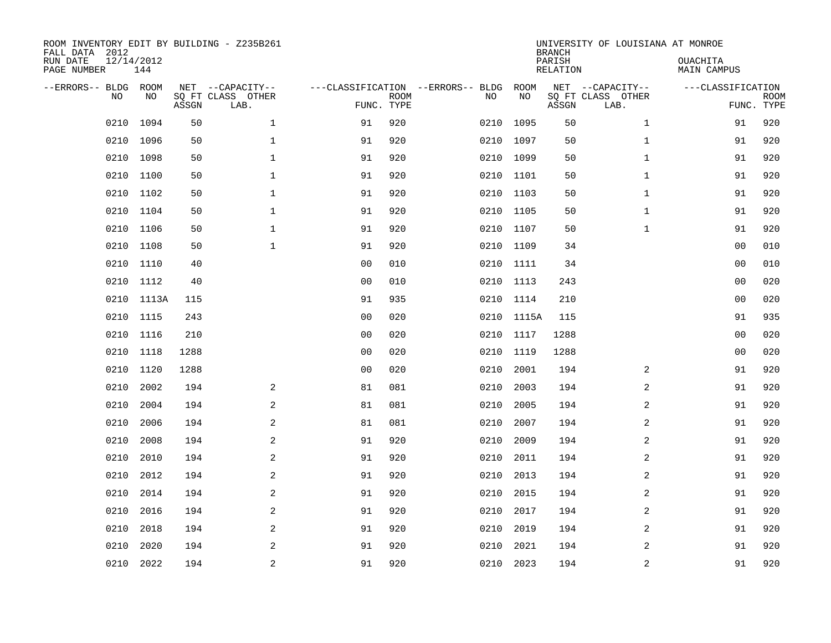| ROOM INVENTORY EDIT BY BUILDING - Z235B261<br>FALL DATA 2012<br>RUN DATE<br>PAGE NUMBER | 12/14/2012<br>144 |       |                                               |                                                 |             |           |            | <b>BRANCH</b><br>PARISH<br><b>RELATION</b> | UNIVERSITY OF LOUISIANA AT MONROE             | OUACHITA<br><b>MAIN CAMPUS</b>  |             |
|-----------------------------------------------------------------------------------------|-------------------|-------|-----------------------------------------------|-------------------------------------------------|-------------|-----------|------------|--------------------------------------------|-----------------------------------------------|---------------------------------|-------------|
| --ERRORS-- BLDG ROOM<br>NO                                                              | NO                | ASSGN | NET --CAPACITY--<br>SQ FT CLASS OTHER<br>LAB. | ---CLASSIFICATION --ERRORS-- BLDG<br>FUNC. TYPE | <b>ROOM</b> | NO        | ROOM<br>NO | ASSGN                                      | NET --CAPACITY--<br>SQ FT CLASS OTHER<br>LAB. | ---CLASSIFICATION<br>FUNC. TYPE | <b>ROOM</b> |
| 0210                                                                                    | 1094              | 50    | $\mathbf 1$                                   | 91                                              | 920         | 0210      | 1095       | 50                                         | $\mathbf{1}$                                  | 91                              | 920         |
| 0210                                                                                    | 1096              | 50    | $\mathbf{1}$                                  | 91                                              | 920         | 0210      | 1097       | 50                                         | $\mathbf{1}$                                  | 91                              | 920         |
| 0210                                                                                    | 1098              | 50    | $\mathbf{1}$                                  | 91                                              | 920         | 0210      | 1099       | 50                                         | $\mathbf{1}$                                  | 91                              | 920         |
| 0210                                                                                    | 1100              | 50    | $\mathbf 1$                                   | 91                                              | 920         | 0210      | 1101       | 50                                         | $\mathbf{1}$                                  | 91                              | 920         |
| 0210                                                                                    | 1102              | 50    | $\mathbf{1}$                                  | 91                                              | 920         | 0210      | 1103       | 50                                         | $\mathbf{1}$                                  | 91                              | 920         |
| 0210                                                                                    | 1104              | 50    | $\mathbf 1$                                   | 91                                              | 920         | 0210 1105 |            | 50                                         | $\mathbf{1}$                                  | 91                              | 920         |
| 0210                                                                                    | 1106              | 50    | $\mathbf{1}$                                  | 91                                              | 920         | 0210      | 1107       | 50                                         | $\mathbf{1}$                                  | 91                              | 920         |
| 0210                                                                                    | 1108              | 50    | $\mathbf{1}$                                  | 91                                              | 920         |           | 0210 1109  | 34                                         |                                               | 00                              | 010         |
| 0210                                                                                    | 1110              | 40    |                                               | 0 <sub>0</sub>                                  | 010         | 0210      | 1111       | 34                                         |                                               | 00                              | 010         |
| 0210                                                                                    | 1112              | 40    |                                               | 0 <sub>0</sub>                                  | 010         | 0210      | 1113       | 243                                        |                                               | 0 <sub>0</sub>                  | 020         |
| 0210                                                                                    | 1113A             | 115   |                                               | 91                                              | 935         | 0210      | 1114       | 210                                        |                                               | 00                              | 020         |
| 0210                                                                                    | 1115              | 243   |                                               | 0 <sub>0</sub>                                  | 020         | 0210      | 1115A      | 115                                        |                                               | 91                              | 935         |
| 0210                                                                                    | 1116              | 210   |                                               | 00                                              | 020         | 0210      | 1117       | 1288                                       |                                               | 0 <sub>0</sub>                  | 020         |
| 0210                                                                                    | 1118              | 1288  |                                               | 0 <sub>0</sub>                                  | 020         | 0210      | 1119       | 1288                                       |                                               | 0 <sub>0</sub>                  | 020         |
| 0210                                                                                    | 1120              | 1288  |                                               | 0 <sub>0</sub>                                  | 020         | 0210      | 2001       | 194                                        | 2                                             | 91                              | 920         |
| 0210                                                                                    | 2002              | 194   | 2                                             | 81                                              | 081         | 0210      | 2003       | 194                                        | 2                                             | 91                              | 920         |
| 0210                                                                                    | 2004              | 194   | 2                                             | 81                                              | 081         | 0210      | 2005       | 194                                        | 2                                             | 91                              | 920         |
| 0210                                                                                    | 2006              | 194   | 2                                             | 81                                              | 081         | 0210      | 2007       | 194                                        | 2                                             | 91                              | 920         |
| 0210                                                                                    | 2008              | 194   | 2                                             | 91                                              | 920         | 0210      | 2009       | 194                                        | 2                                             | 91                              | 920         |
| 0210                                                                                    | 2010              | 194   | 2                                             | 91                                              | 920         | 0210      | 2011       | 194                                        | 2                                             | 91                              | 920         |
| 0210                                                                                    | 2012              | 194   | 2                                             | 91                                              | 920         | 0210      | 2013       | 194                                        | 2                                             | 91                              | 920         |
| 0210                                                                                    | 2014              | 194   | 2                                             | 91                                              | 920         | 0210      | 2015       | 194                                        | 2                                             | 91                              | 920         |
| 0210                                                                                    | 2016              | 194   | 2                                             | 91                                              | 920         | 0210      | 2017       | 194                                        | 2                                             | 91                              | 920         |
| 0210                                                                                    | 2018              | 194   | $\mathbf{2}$                                  | 91                                              | 920         | 0210      | 2019       | 194                                        | $\overline{a}$                                | 91                              | 920         |
| 0210                                                                                    | 2020              | 194   | $\mathbf{2}$                                  | 91                                              | 920         | 0210      | 2021       | 194                                        | 2                                             | 91                              | 920         |
| 0210                                                                                    | 2022              | 194   | 2                                             | 91                                              | 920         | 0210 2023 |            | 194                                        | 2                                             | 91                              | 920         |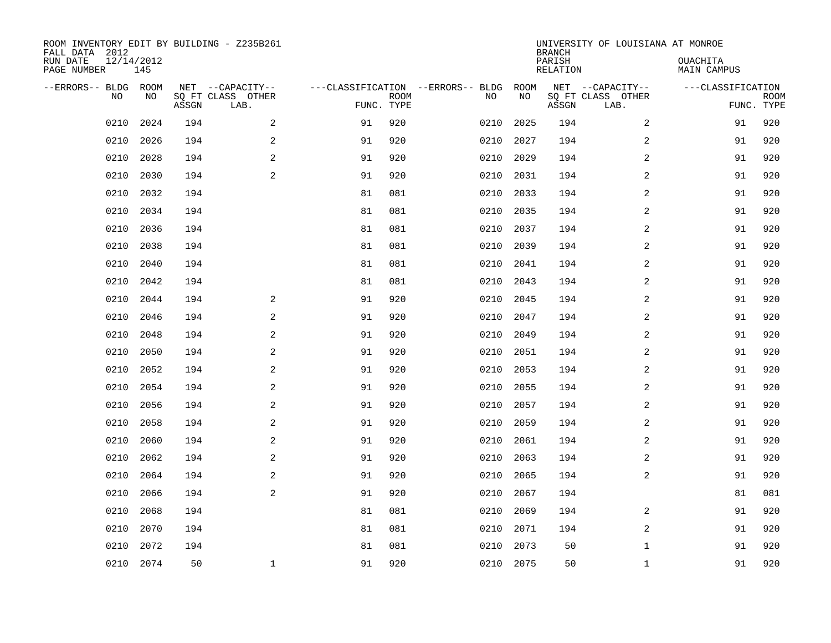| ROOM INVENTORY EDIT BY BUILDING - Z235B261<br>FALL DATA 2012<br>RUN DATE<br>PAGE NUMBER | 12/14/2012<br>145 |       |                                               |            |             |                                         |            | <b>BRANCH</b><br>PARISH<br><b>RELATION</b> | UNIVERSITY OF LOUISIANA AT MONROE             | OUACHITA<br><b>MAIN CAMPUS</b>  |             |
|-----------------------------------------------------------------------------------------|-------------------|-------|-----------------------------------------------|------------|-------------|-----------------------------------------|------------|--------------------------------------------|-----------------------------------------------|---------------------------------|-------------|
| --ERRORS-- BLDG ROOM<br>NO                                                              | NO                | ASSGN | NET --CAPACITY--<br>SQ FT CLASS OTHER<br>LAB. | FUNC. TYPE | <b>ROOM</b> | ---CLASSIFICATION --ERRORS-- BLDG<br>NO | ROOM<br>NO | ASSGN                                      | NET --CAPACITY--<br>SQ FT CLASS OTHER<br>LAB. | ---CLASSIFICATION<br>FUNC. TYPE | <b>ROOM</b> |
| 0210                                                                                    | 2024              | 194   | 2                                             | 91         | 920         | 0210                                    | 2025       | 194                                        | 2                                             | 91                              | 920         |
| 0210                                                                                    | 2026              | 194   | 2                                             | 91         | 920         | 0210                                    | 2027       | 194                                        | 2                                             | 91                              | 920         |
| 0210                                                                                    | 2028              | 194   | 2                                             | 91         | 920         | 0210                                    | 2029       | 194                                        | 2                                             | 91                              | 920         |
| 0210                                                                                    | 2030              | 194   | 2                                             | 91         | 920         | 0210                                    | 2031       | 194                                        | $\overline{a}$                                | 91                              | 920         |
| 0210                                                                                    | 2032              | 194   |                                               | 81         | 081         | 0210                                    | 2033       | 194                                        | 2                                             | 91                              | 920         |
| 0210                                                                                    | 2034              | 194   |                                               | 81         | 081         | 0210                                    | 2035       | 194                                        | 2                                             | 91                              | 920         |
| 0210                                                                                    | 2036              | 194   |                                               | 81         | 081         | 0210                                    | 2037       | 194                                        | 2                                             | 91                              | 920         |
| 0210                                                                                    | 2038              | 194   |                                               | 81         | 081         | 0210                                    | 2039       | 194                                        | 2                                             | 91                              | 920         |
| 0210                                                                                    | 2040              | 194   |                                               | 81         | 081         | 0210                                    | 2041       | 194                                        | 2                                             | 91                              | 920         |
| 0210                                                                                    | 2042              | 194   |                                               | 81         | 081         | 0210                                    | 2043       | 194                                        | 2                                             | 91                              | 920         |
| 0210                                                                                    | 2044              | 194   | 2                                             | 91         | 920         | 0210                                    | 2045       | 194                                        | 2                                             | 91                              | 920         |
| 0210                                                                                    | 2046              | 194   | 2                                             | 91         | 920         | 0210                                    | 2047       | 194                                        | 2                                             | 91                              | 920         |
| 0210                                                                                    | 2048              | 194   | 2                                             | 91         | 920         | 0210                                    | 2049       | 194                                        | 2                                             | 91                              | 920         |
| 0210                                                                                    | 2050              | 194   | 2                                             | 91         | 920         | 0210                                    | 2051       | 194                                        | 2                                             | 91                              | 920         |
| 0210                                                                                    | 2052              | 194   | 2                                             | 91         | 920         | 0210                                    | 2053       | 194                                        | $\overline{a}$                                | 91                              | 920         |
| 0210                                                                                    | 2054              | 194   | $\overline{a}$                                | 91         | 920         | 0210                                    | 2055       | 194                                        | $\overline{a}$                                | 91                              | 920         |
| 0210                                                                                    | 2056              | 194   | 2                                             | 91         | 920         | 0210                                    | 2057       | 194                                        | 2                                             | 91                              | 920         |
| 0210                                                                                    | 2058              | 194   | 2                                             | 91         | 920         | 0210                                    | 2059       | 194                                        | 2                                             | 91                              | 920         |
| 0210                                                                                    | 2060              | 194   | 2                                             | 91         | 920         | 0210                                    | 2061       | 194                                        | 2                                             | 91                              | 920         |
| 0210                                                                                    | 2062              | 194   | 2                                             | 91         | 920         | 0210                                    | 2063       | 194                                        | 2                                             | 91                              | 920         |
| 0210                                                                                    | 2064              | 194   | 2                                             | 91         | 920         | 0210                                    | 2065       | 194                                        | 2                                             | 91                              | 920         |
| 0210                                                                                    | 2066              | 194   | 2                                             | 91         | 920         | 0210                                    | 2067       | 194                                        |                                               | 81                              | 081         |
| 0210                                                                                    | 2068              | 194   |                                               | 81         | 081         | 0210                                    | 2069       | 194                                        | 2                                             | 91                              | 920         |
| 0210                                                                                    | 2070              | 194   |                                               | 81         | 081         | 0210                                    | 2071       | 194                                        | 2                                             | 91                              | 920         |
| 0210                                                                                    | 2072              | 194   |                                               | 81         | 081         | 0210                                    | 2073       | 50                                         | $\mathbf{1}$                                  | 91                              | 920         |
|                                                                                         | 0210 2074         | 50    | $\mathbf{1}$                                  | 91         | 920         |                                         | 0210 2075  | 50                                         | $\mathbf{1}$                                  | 91                              | 920         |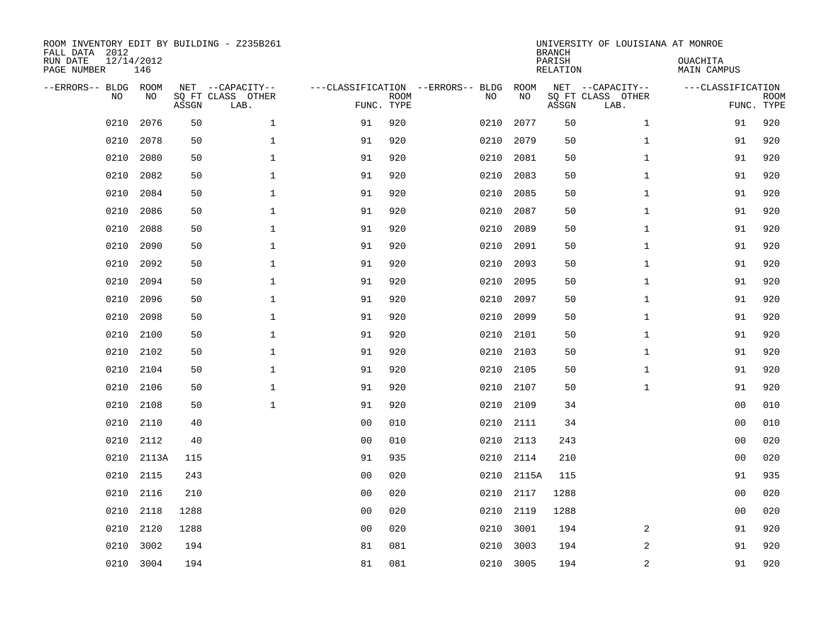| ROOM INVENTORY EDIT BY BUILDING - Z235B261<br>FALL DATA 2012<br>RUN DATE<br>PAGE NUMBER | 12/14/2012<br>146 |       |                                               |                                   |                           |      |            | <b>BRANCH</b><br>PARISH<br><b>RELATION</b> | UNIVERSITY OF LOUISIANA AT MONROE             | OUACHITA<br><b>MAIN CAMPUS</b>  |             |
|-----------------------------------------------------------------------------------------|-------------------|-------|-----------------------------------------------|-----------------------------------|---------------------------|------|------------|--------------------------------------------|-----------------------------------------------|---------------------------------|-------------|
| --ERRORS-- BLDG ROOM<br>NO                                                              | NO                | ASSGN | NET --CAPACITY--<br>SQ FT CLASS OTHER<br>LAB. | ---CLASSIFICATION --ERRORS-- BLDG | <b>ROOM</b><br>FUNC. TYPE | NO   | ROOM<br>NO | ASSGN                                      | NET --CAPACITY--<br>SQ FT CLASS OTHER<br>LAB. | ---CLASSIFICATION<br>FUNC. TYPE | <b>ROOM</b> |
| 0210                                                                                    | 2076              | 50    | $\mathbf{1}$                                  | 91                                | 920                       | 0210 | 2077       | 50                                         | $\mathbf{1}$                                  | 91                              | 920         |
| 0210                                                                                    | 2078              | 50    | $\mathbf{1}$                                  | 91                                | 920                       | 0210 | 2079       | 50                                         | $\mathbf{1}$                                  | 91                              | 920         |
| 0210                                                                                    | 2080              | 50    | $\mathbf 1$                                   | 91                                | 920                       | 0210 | 2081       | 50                                         | $\mathbf{1}$                                  | 91                              | 920         |
| 0210                                                                                    | 2082              | 50    | $\mathbf 1$                                   | 91                                | 920                       | 0210 | 2083       | 50                                         | $\mathbf{1}$                                  | 91                              | 920         |
| 0210                                                                                    | 2084              | 50    | $\mathbf{1}$                                  | 91                                | 920                       | 0210 | 2085       | 50                                         | $\mathbf{1}$                                  | 91                              | 920         |
| 0210                                                                                    | 2086              | 50    | $\mathbf{1}$                                  | 91                                | 920                       | 0210 | 2087       | 50                                         | $\mathbf{1}$                                  | 91                              | 920         |
| 0210                                                                                    | 2088              | 50    | $\mathbf{1}$                                  | 91                                | 920                       | 0210 | 2089       | 50                                         | $\mathbf{1}$                                  | 91                              | 920         |
| 0210                                                                                    | 2090              | 50    | $\mathbf 1$                                   | 91                                | 920                       | 0210 | 2091       | 50                                         | $\mathbf{1}$                                  | 91                              | 920         |
| 0210                                                                                    | 2092              | 50    | $\mathbf{1}$                                  | 91                                | 920                       | 0210 | 2093       | 50                                         | $\mathbf{1}$                                  | 91                              | 920         |
| 0210                                                                                    | 2094              | 50    | $\mathbf{1}$                                  | 91                                | 920                       | 0210 | 2095       | 50                                         | $\mathbf{1}$                                  | 91                              | 920         |
| 0210                                                                                    | 2096              | 50    | $\mathbf 1$                                   | 91                                | 920                       | 0210 | 2097       | 50                                         | $\mathbf{1}$                                  | 91                              | 920         |
| 0210                                                                                    | 2098              | 50    | $\mathbf 1$                                   | 91                                | 920                       | 0210 | 2099       | 50                                         | $\mathbf{1}$                                  | 91                              | 920         |
| 0210                                                                                    | 2100              | 50    | $\mathbf 1$                                   | 91                                | 920                       | 0210 | 2101       | 50                                         | $\mathbf{1}$                                  | 91                              | 920         |
| 0210                                                                                    | 2102              | 50    | $\mathbf{1}$                                  | 91                                | 920                       | 0210 | 2103       | 50                                         | $\mathbf{1}$                                  | 91                              | 920         |
| 0210                                                                                    | 2104              | 50    | $\mathbf 1$                                   | 91                                | 920                       | 0210 | 2105       | 50                                         | $\mathbf{1}$                                  | 91                              | 920         |
| 0210                                                                                    | 2106              | 50    | $\mathbf{1}$                                  | 91                                | 920                       | 0210 | 2107       | 50                                         | $\mathbf{1}$                                  | 91                              | 920         |
| 0210                                                                                    | 2108              | 50    | $\mathbf{1}$                                  | 91                                | 920                       | 0210 | 2109       | 34                                         |                                               | 0 <sub>0</sub>                  | 010         |
| 0210                                                                                    | 2110              | 40    |                                               | 0 <sub>0</sub>                    | 010                       | 0210 | 2111       | 34                                         |                                               | 0 <sub>0</sub>                  | 010         |
| 0210                                                                                    | 2112              | 40    |                                               | 0 <sub>0</sub>                    | 010                       | 0210 | 2113       | 243                                        |                                               | 0 <sub>0</sub>                  | 020         |
| 0210                                                                                    | 2113A             | 115   |                                               | 91                                | 935                       | 0210 | 2114       | 210                                        |                                               | 00                              | 020         |
| 0210                                                                                    | 2115              | 243   |                                               | 0 <sub>0</sub>                    | 020                       | 0210 | 2115A      | 115                                        |                                               | 91                              | 935         |
| 0210                                                                                    | 2116              | 210   |                                               | 0 <sub>0</sub>                    | 020                       | 0210 | 2117       | 1288                                       |                                               | 00                              | 020         |
| 0210                                                                                    | 2118              | 1288  |                                               | 0 <sub>0</sub>                    | 020                       | 0210 | 2119       | 1288                                       |                                               | 0 <sub>0</sub>                  | 020         |
| 0210                                                                                    | 2120              | 1288  |                                               | 0 <sub>0</sub>                    | 020                       | 0210 | 3001       | 194                                        | 2                                             | 91                              | 920         |
| 0210                                                                                    | 3002              | 194   |                                               | 81                                | 081                       | 0210 | 3003       | 194                                        | 2                                             | 91                              | 920         |
|                                                                                         | 0210 3004         | 194   |                                               | 81                                | 081                       |      | 0210 3005  | 194                                        | $\boldsymbol{2}$                              | 91                              | 920         |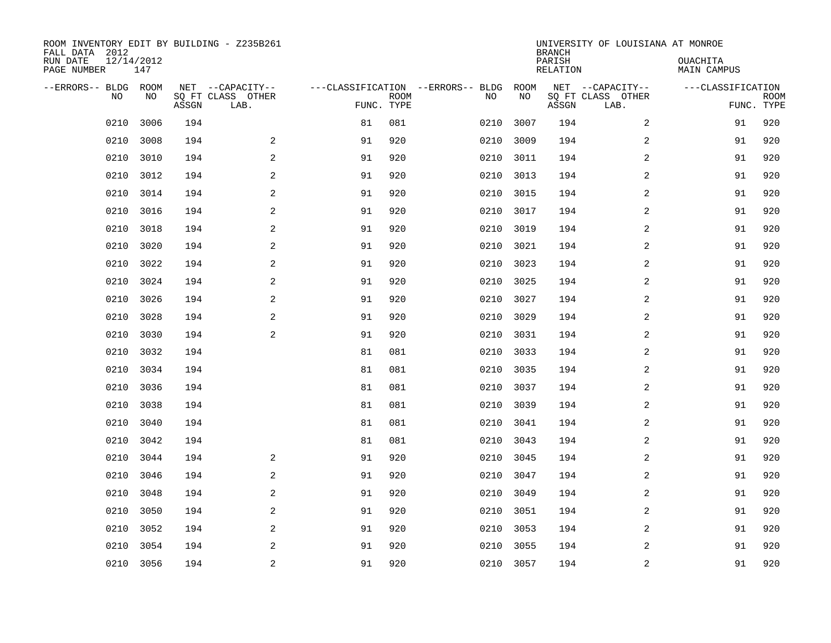| ROOM INVENTORY EDIT BY BUILDING - Z235B261<br>FALL DATA 2012<br>RUN DATE | 12/14/2012 |       |                                       |            |             |                                         |            | <b>BRANCH</b><br>PARISH | UNIVERSITY OF LOUISIANA AT MONROE     | OUACHITA           |             |
|--------------------------------------------------------------------------|------------|-------|---------------------------------------|------------|-------------|-----------------------------------------|------------|-------------------------|---------------------------------------|--------------------|-------------|
| PAGE NUMBER                                                              | 147        |       |                                       |            |             |                                         |            | <b>RELATION</b>         |                                       | <b>MAIN CAMPUS</b> |             |
| --ERRORS-- BLDG ROOM<br>NO                                               | NO         |       | NET --CAPACITY--<br>SQ FT CLASS OTHER |            | <b>ROOM</b> | ---CLASSIFICATION --ERRORS-- BLDG<br>NO | ROOM<br>NO |                         | NET --CAPACITY--<br>SQ FT CLASS OTHER | ---CLASSIFICATION  | <b>ROOM</b> |
|                                                                          |            | ASSGN | LAB.                                  | FUNC. TYPE |             |                                         |            | ASSGN                   | LAB.                                  |                    | FUNC. TYPE  |
| 0210                                                                     | 3006       | 194   |                                       | 81         | 081         | 0210                                    | 3007       | 194                     | 2                                     | 91                 | 920         |
| 0210                                                                     | 3008       | 194   | 2                                     | 91         | 920         | 0210                                    | 3009       | 194                     | 2                                     | 91                 | 920         |
| 0210                                                                     | 3010       | 194   | 2                                     | 91         | 920         | 0210                                    | 3011       | 194                     | 2                                     | 91                 | 920         |
| 0210                                                                     | 3012       | 194   | $\overline{a}$                        | 91         | 920         | 0210                                    | 3013       | 194                     | 2                                     | 91                 | 920         |
| 0210                                                                     | 3014       | 194   | 2                                     | 91         | 920         | 0210                                    | 3015       | 194                     | $\overline{a}$                        | 91                 | 920         |
| 0210                                                                     | 3016       | 194   | 2                                     | 91         | 920         | 0210                                    | 3017       | 194                     | $\overline{a}$                        | 91                 | 920         |
| 0210                                                                     | 3018       | 194   | $\overline{a}$                        | 91         | 920         | 0210                                    | 3019       | 194                     | $\overline{a}$                        | 91                 | 920         |
| 0210                                                                     | 3020       | 194   | 2                                     | 91         | 920         | 0210                                    | 3021       | 194                     | 2                                     | 91                 | 920         |
| 0210                                                                     | 3022       | 194   | 2                                     | 91         | 920         | 0210                                    | 3023       | 194                     | 2                                     | 91                 | 920         |
| 0210                                                                     | 3024       | 194   | 2                                     | 91         | 920         | 0210                                    | 3025       | 194                     | 2                                     | 91                 | 920         |
| 0210                                                                     | 3026       | 194   | 2                                     | 91         | 920         | 0210                                    | 3027       | 194                     | 2                                     | 91                 | 920         |
| 0210                                                                     | 3028       | 194   | 2                                     | 91         | 920         | 0210                                    | 3029       | 194                     | 2                                     | 91                 | 920         |
| 0210                                                                     | 3030       | 194   | 2                                     | 91         | 920         | 0210                                    | 3031       | 194                     | 2                                     | 91                 | 920         |
| 0210                                                                     | 3032       | 194   |                                       | 81         | 081         | 0210                                    | 3033       | 194                     | 2                                     | 91                 | 920         |
| 0210                                                                     | 3034       | 194   |                                       | 81         | 081         | 0210                                    | 3035       | 194                     | 2                                     | 91                 | 920         |
| 0210                                                                     | 3036       | 194   |                                       | 81         | 081         | 0210                                    | 3037       | 194                     | $\overline{a}$                        | 91                 | 920         |
| 0210                                                                     | 3038       | 194   |                                       | 81         | 081         | 0210                                    | 3039       | 194                     | 2                                     | 91                 | 920         |
| 0210                                                                     | 3040       | 194   |                                       | 81         | 081         | 0210                                    | 3041       | 194                     | $\overline{a}$                        | 91                 | 920         |
| 0210                                                                     | 3042       | 194   |                                       | 81         | 081         | 0210                                    | 3043       | 194                     | 2                                     | 91                 | 920         |
| 0210                                                                     | 3044       | 194   | 2                                     | 91         | 920         | 0210                                    | 3045       | 194                     | 2                                     | 91                 | 920         |
| 0210                                                                     | 3046       | 194   | 2                                     | 91         | 920         | 0210                                    | 3047       | 194                     | 2                                     | 91                 | 920         |
| 0210                                                                     | 3048       | 194   | 2                                     | 91         | 920         | 0210                                    | 3049       | 194                     | 2                                     | 91                 | 920         |
| 0210                                                                     | 3050       | 194   | 2                                     | 91         | 920         | 0210                                    | 3051       | 194                     | 2                                     | 91                 | 920         |
| 0210                                                                     | 3052       | 194   | 2                                     | 91         | 920         | 0210                                    | 3053       | 194                     | $\overline{a}$                        | 91                 | 920         |
| 0210                                                                     | 3054       | 194   | 2                                     | 91         | 920         | 0210                                    | 3055       | 194                     | 2                                     | 91                 | 920         |
|                                                                          | 0210 3056  | 194   | $\overline{c}$                        | 91         | 920         |                                         | 0210 3057  | 194                     | $\overline{c}$                        | 91                 | 920         |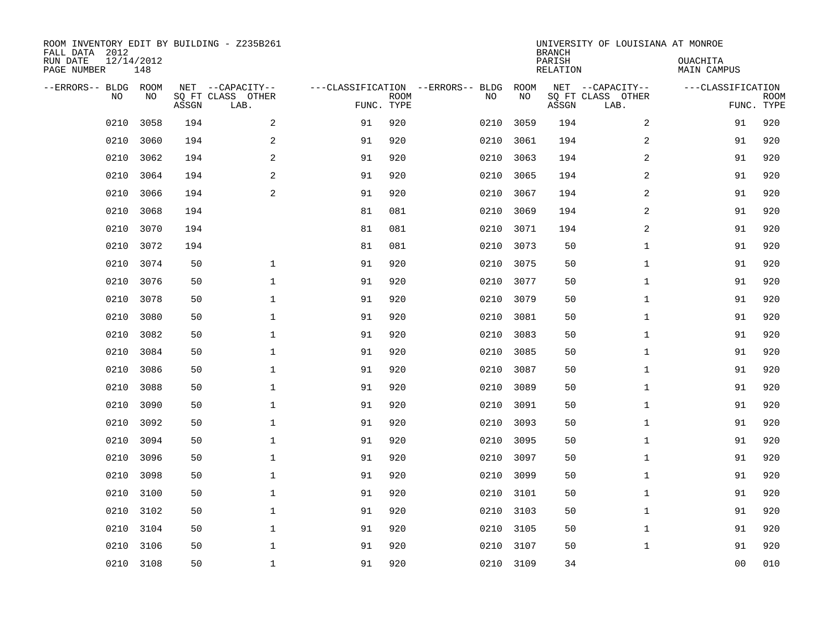| ROOM INVENTORY EDIT BY BUILDING - Z235B261<br>FALL DATA 2012<br>RUN DATE | 12/14/2012<br>148 |       |                                               |            |             |                                         |            | <b>BRANCH</b><br>PARISH<br><b>RELATION</b> | UNIVERSITY OF LOUISIANA AT MONROE             | OUACHITA<br><b>MAIN CAMPUS</b> |                           |
|--------------------------------------------------------------------------|-------------------|-------|-----------------------------------------------|------------|-------------|-----------------------------------------|------------|--------------------------------------------|-----------------------------------------------|--------------------------------|---------------------------|
| PAGE NUMBER                                                              |                   |       |                                               |            |             |                                         |            |                                            |                                               |                                |                           |
| --ERRORS-- BLDG ROOM<br>NO                                               | NO                | ASSGN | NET --CAPACITY--<br>SQ FT CLASS OTHER<br>LAB. | FUNC. TYPE | <b>ROOM</b> | ---CLASSIFICATION --ERRORS-- BLDG<br>NO | ROOM<br>NO | ASSGN                                      | NET --CAPACITY--<br>SQ FT CLASS OTHER<br>LAB. | ---CLASSIFICATION              | <b>ROOM</b><br>FUNC. TYPE |
| 0210                                                                     | 3058              | 194   | 2                                             | 91         | 920         | 0210                                    | 3059       | 194                                        | 2                                             | 91                             | 920                       |
| 0210                                                                     | 3060              | 194   | 2                                             | 91         | 920         | 0210                                    | 3061       | 194                                        | 2                                             | 91                             | 920                       |
| 0210                                                                     | 3062              | 194   | 2                                             | 91         | 920         | 0210                                    | 3063       | 194                                        | $\overline{a}$                                | 91                             | 920                       |
| 0210                                                                     | 3064              | 194   | $\overline{a}$                                | 91         | 920         | 0210                                    | 3065       | 194                                        | 2                                             | 91                             | 920                       |
| 0210                                                                     | 3066              | 194   | 2                                             | 91         | 920         | 0210                                    | 3067       | 194                                        | 2                                             | 91                             | 920                       |
| 0210                                                                     | 3068              | 194   |                                               | 81         | 081         | 0210                                    | 3069       | 194                                        | 2                                             | 91                             | 920                       |
| 0210                                                                     | 3070              | 194   |                                               | 81         | 081         | 0210                                    | 3071       | 194                                        | 2                                             | 91                             | 920                       |
| 0210                                                                     | 3072              | 194   |                                               | 81         | 081         | 0210                                    | 3073       | 50                                         | $\mathbf{1}$                                  | 91                             | 920                       |
| 0210                                                                     | 3074              | 50    | $\mathbf 1$                                   | 91         | 920         | 0210                                    | 3075       | 50                                         | $\mathbf{1}$                                  | 91                             | 920                       |
| 0210                                                                     | 3076              | 50    | $\mathbf 1$                                   | 91         | 920         | 0210                                    | 3077       | 50                                         | $\mathbf{1}$                                  | 91                             | 920                       |
| 0210                                                                     | 3078              | 50    | $\mathbf 1$                                   | 91         | 920         | 0210                                    | 3079       | 50                                         | $\mathbf{1}$                                  | 91                             | 920                       |
| 0210                                                                     | 3080              | 50    | $\mathbf 1$                                   | 91         | 920         | 0210                                    | 3081       | 50                                         | $\mathbf{1}$                                  | 91                             | 920                       |
| 0210                                                                     | 3082              | 50    | $\mathbf 1$                                   | 91         | 920         | 0210                                    | 3083       | 50                                         | $\mathbf{1}$                                  | 91                             | 920                       |
| 0210                                                                     | 3084              | 50    | $\mathbf{1}$                                  | 91         | 920         | 0210                                    | 3085       | 50                                         | $\mathbf{1}$                                  | 91                             | 920                       |
| 0210                                                                     | 3086              | 50    | $\mathbf 1$                                   | 91         | 920         | 0210                                    | 3087       | 50                                         | $\mathbf{1}$                                  | 91                             | 920                       |
| 0210                                                                     | 3088              | 50    | $\mathbf{1}$                                  | 91         | 920         | 0210                                    | 3089       | 50                                         | $\mathbf{1}$                                  | 91                             | 920                       |
| 0210                                                                     | 3090              | 50    | $\mathbf{1}$                                  | 91         | 920         | 0210                                    | 3091       | 50                                         | $\mathbf{1}$                                  | 91                             | 920                       |
| 0210                                                                     | 3092              | 50    | $\mathbf 1$                                   | 91         | 920         | 0210                                    | 3093       | 50                                         | $\mathbf{1}$                                  | 91                             | 920                       |
| 0210                                                                     | 3094              | 50    | $\mathbf 1$                                   | 91         | 920         | 0210                                    | 3095       | 50                                         | $\mathbf{1}$                                  | 91                             | 920                       |
| 0210                                                                     | 3096              | 50    | $\mathbf 1$                                   | 91         | 920         | 0210                                    | 3097       | 50                                         | $\mathbf{1}$                                  | 91                             | 920                       |
| 0210                                                                     | 3098              | 50    | $\mathbf{1}$                                  | 91         | 920         | 0210                                    | 3099       | 50                                         | $\mathbf{1}$                                  | 91                             | 920                       |
| 0210                                                                     | 3100              | 50    | $\mathbf 1$                                   | 91         | 920         | 0210                                    | 3101       | 50                                         | $\mathbf{1}$                                  | 91                             | 920                       |
| 0210                                                                     | 3102              | 50    | 1                                             | 91         | 920         | 0210                                    | 3103       | 50                                         | $\mathbf{1}$                                  | 91                             | 920                       |
| 0210                                                                     | 3104              | 50    | $\mathbf{1}$                                  | 91         | 920         | 0210                                    | 3105       | 50                                         | $\mathbf{1}$                                  | 91                             | 920                       |
| 0210                                                                     | 3106              | 50    | $\mathbf{1}$                                  | 91         | 920         | 0210                                    | 3107       | 50                                         | $\mathbf{1}$                                  | 91                             | 920                       |
|                                                                          | 0210 3108         | 50    | $\mathbf{1}$                                  | 91         | 920         |                                         | 0210 3109  | 34                                         |                                               | 0 <sub>0</sub>                 | 010                       |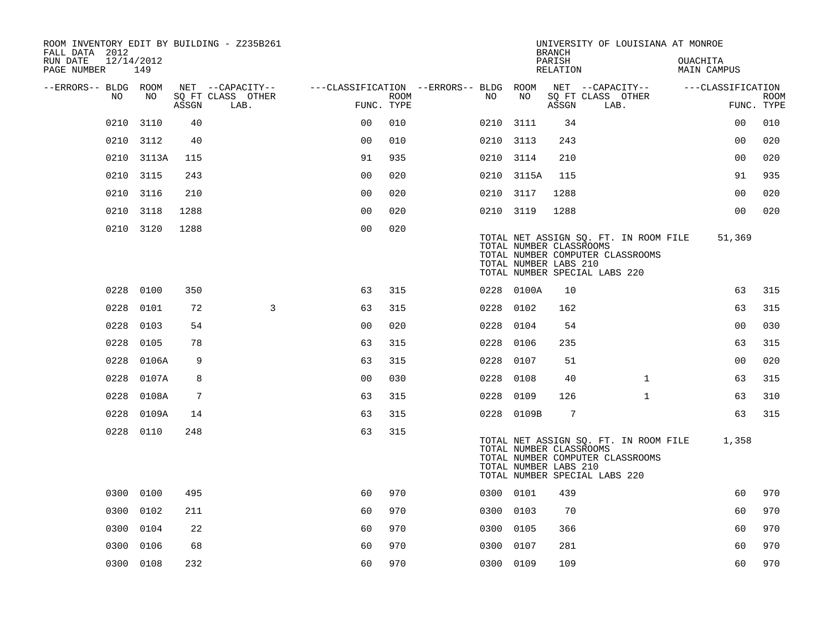| ROOM INVENTORY EDIT BY BUILDING - Z235B261<br>FALL DATA 2012 |            |       |                           |                                        |      | <b>BRANCH</b> | UNIVERSITY OF LOUISIANA AT MONROE                |                    |                                                                                                            |                         |                           |
|--------------------------------------------------------------|------------|-------|---------------------------|----------------------------------------|------|---------------|--------------------------------------------------|--------------------|------------------------------------------------------------------------------------------------------------|-------------------------|---------------------------|
| RUN DATE<br>12/14/2012<br>PAGE NUMBER                        | 149        |       |                           |                                        |      |               |                                                  | PARISH<br>RELATION |                                                                                                            | OUACHITA<br>MAIN CAMPUS |                           |
| --ERRORS-- BLDG ROOM                                         |            |       | NET --CAPACITY--          | ---CLASSIFICATION --ERRORS-- BLDG ROOM |      |               |                                                  |                    | NET --CAPACITY--                                                                                           | ---CLASSIFICATION       |                           |
| NO                                                           | NO         | ASSGN | SQ FT CLASS OTHER<br>LAB. | FUNC. TYPE                             | ROOM | NO.           | NO                                               | ASSGN              | SQ FT CLASS OTHER<br>LAB.                                                                                  |                         | <b>ROOM</b><br>FUNC. TYPE |
| 0210                                                         | 3110       | 40    |                           | 0 <sub>0</sub>                         | 010  |               | 0210 3111                                        | 34                 |                                                                                                            | 0 <sub>0</sub>          | 010                       |
|                                                              | 0210 3112  | 40    |                           | 0 <sub>0</sub>                         | 010  | 0210 3113     |                                                  | 243                |                                                                                                            | 00                      | 020                       |
|                                                              | 0210 3113A | 115   |                           | 91                                     | 935  | 0210 3114     |                                                  | 210                |                                                                                                            | 0 <sub>0</sub>          | 020                       |
|                                                              | 0210 3115  | 243   |                           | 0 <sub>0</sub>                         | 020  |               | 0210 3115A                                       | 115                |                                                                                                            | 91                      | 935                       |
| 0210                                                         | 3116       | 210   |                           | 0 <sub>0</sub>                         | 020  | 0210 3117     |                                                  | 1288               |                                                                                                            | 0 <sub>0</sub>          | 020                       |
|                                                              | 0210 3118  | 1288  |                           | 0 <sub>0</sub>                         | 020  | 0210 3119     |                                                  | 1288               |                                                                                                            | 0 <sub>0</sub>          | 020                       |
|                                                              | 0210 3120  | 1288  |                           | 0 <sub>0</sub>                         | 020  |               | TOTAL NUMBER CLASSROOMS<br>TOTAL NUMBER LABS 210 |                    | TOTAL NET ASSIGN SQ. FT. IN ROOM FILE<br>TOTAL NUMBER COMPUTER CLASSROOMS<br>TOTAL NUMBER SPECIAL LABS 220 | 51,369                  |                           |
|                                                              | 0228 0100  | 350   |                           | 63                                     | 315  |               | 0228 0100A                                       | 10                 |                                                                                                            | 63                      | 315                       |
| 0228                                                         | 0101       | 72    | 3                         | 63                                     | 315  | 0228 0102     |                                                  | 162                |                                                                                                            | 63                      | 315                       |
| 0228                                                         | 0103       | 54    |                           | 0 <sub>0</sub>                         | 020  | 0228 0104     |                                                  | 54                 |                                                                                                            | 0 <sub>0</sub>          | 030                       |
| 0228                                                         | 0105       | 78    |                           | 63                                     | 315  | 0228 0106     |                                                  | 235                |                                                                                                            | 63                      | 315                       |
| 0228                                                         | 0106A      | 9     |                           | 63                                     | 315  | 0228          | 0107                                             | 51                 |                                                                                                            | 0 <sub>0</sub>          | 020                       |
| 0228                                                         | 0107A      | 8     |                           | 0 <sub>0</sub>                         | 030  | 0228          | 0108                                             | 40                 | $\mathbf{1}$                                                                                               | 63                      | 315                       |
| 0228                                                         | 0108A      | 7     |                           | 63                                     | 315  | 0228          | 0109                                             | 126                | $\mathbf{1}$                                                                                               | 63                      | 310                       |
|                                                              | 0228 0109A | 14    |                           | 63                                     | 315  |               | 0228 0109B                                       | $7\phantom{.0}$    |                                                                                                            | 63                      | 315                       |
|                                                              | 0228 0110  | 248   |                           | 63                                     | 315  |               | TOTAL NUMBER CLASSROOMS<br>TOTAL NUMBER LABS 210 |                    | TOTAL NET ASSIGN SQ. FT. IN ROOM FILE<br>TOTAL NUMBER COMPUTER CLASSROOMS<br>TOTAL NUMBER SPECIAL LABS 220 | 1,358                   |                           |
|                                                              | 0300 0100  | 495   |                           | 60                                     | 970  | 0300 0101     |                                                  | 439                |                                                                                                            | 60                      | 970                       |
| 0300                                                         | 0102       | 211   |                           | 60                                     | 970  | 0300 0103     |                                                  | 70                 |                                                                                                            | 60                      | 970                       |
| 0300                                                         | 0104       | 22    |                           | 60                                     | 970  | 0300          | 0105                                             | 366                |                                                                                                            | 60                      | 970                       |
| 0300                                                         | 0106       | 68    |                           | 60                                     | 970  | 0300 0107     |                                                  | 281                |                                                                                                            | 60                      | 970                       |
|                                                              | 0300 0108  | 232   |                           | 60                                     | 970  | 0300 0109     |                                                  | 109                |                                                                                                            | 60                      | 970                       |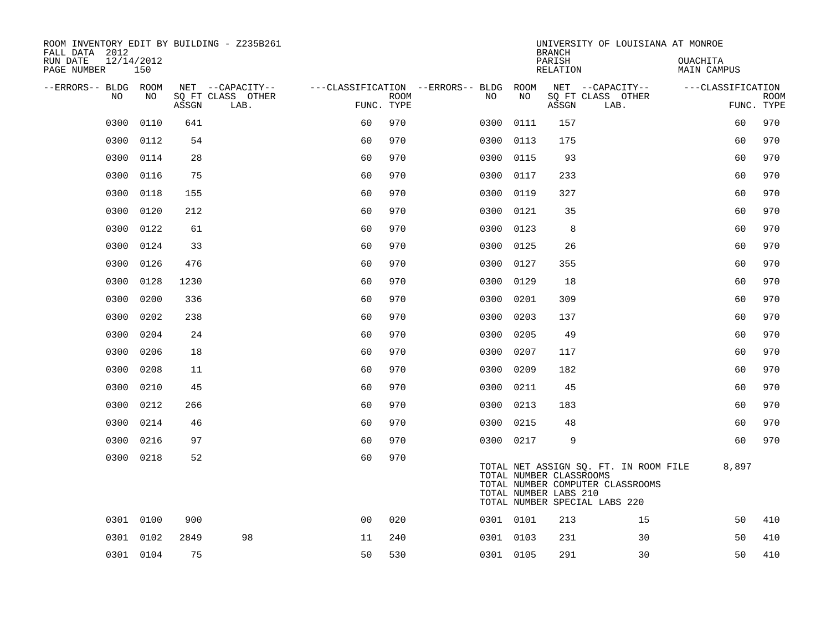| ROOM INVENTORY EDIT BY BUILDING - Z235B261<br>FALL DATA 2012 |                   |       |                           |                                        |             |           |      | <b>BRANCH</b>                                    | UNIVERSITY OF LOUISIANA AT MONROE                                                                          |                         |                           |
|--------------------------------------------------------------|-------------------|-------|---------------------------|----------------------------------------|-------------|-----------|------|--------------------------------------------------|------------------------------------------------------------------------------------------------------------|-------------------------|---------------------------|
| RUN DATE<br>PAGE NUMBER                                      | 12/14/2012<br>150 |       |                           |                                        |             |           |      | PARISH<br>RELATION                               |                                                                                                            | OUACHITA<br>MAIN CAMPUS |                           |
| --ERRORS-- BLDG ROOM                                         |                   |       | NET --CAPACITY--          | ---CLASSIFICATION --ERRORS-- BLDG ROOM |             |           |      |                                                  | NET --CAPACITY--                                                                                           | ---CLASSIFICATION       |                           |
| NO.                                                          | NO.               | ASSGN | SO FT CLASS OTHER<br>LAB. | FUNC. TYPE                             | <b>ROOM</b> | NO.       | NO   | ASSGN                                            | SQ FT CLASS OTHER<br>LAB.                                                                                  |                         | <b>ROOM</b><br>FUNC. TYPE |
| 0300                                                         | 0110              | 641   |                           | 60                                     | 970         | 0300      | 0111 | 157                                              |                                                                                                            | 60                      | 970                       |
| 0300                                                         | 0112              | 54    |                           | 60                                     | 970         | 0300      | 0113 | 175                                              |                                                                                                            | 60                      | 970                       |
| 0300                                                         | 0114              | 28    |                           | 60                                     | 970         | 0300 0115 |      | 93                                               |                                                                                                            | 60                      | 970                       |
| 0300                                                         | 0116              | 75    |                           | 60                                     | 970         | 0300      | 0117 | 233                                              |                                                                                                            | 60                      | 970                       |
| 0300                                                         | 0118              | 155   |                           | 60                                     | 970         | 0300 0119 |      | 327                                              |                                                                                                            | 60                      | 970                       |
| 0300                                                         | 0120              | 212   |                           | 60                                     | 970         | 0300      | 0121 | 35                                               |                                                                                                            | 60                      | 970                       |
| 0300                                                         | 0122              | 61    |                           | 60                                     | 970         | 0300 0123 |      | 8                                                |                                                                                                            | 60                      | 970                       |
| 0300                                                         | 0124              | 33    |                           | 60                                     | 970         | 0300      | 0125 | 26                                               |                                                                                                            | 60                      | 970                       |
| 0300                                                         | 0126              | 476   |                           | 60                                     | 970         | 0300 0127 |      | 355                                              |                                                                                                            | 60                      | 970                       |
| 0300                                                         | 0128              | 1230  |                           | 60                                     | 970         | 0300      | 0129 | 18                                               |                                                                                                            | 60                      | 970                       |
| 0300                                                         | 0200              | 336   |                           | 60                                     | 970         | 0300      | 0201 | 309                                              |                                                                                                            | 60                      | 970                       |
| 0300                                                         | 0202              | 238   |                           | 60                                     | 970         | 0300      | 0203 | 137                                              |                                                                                                            | 60                      | 970                       |
| 0300                                                         | 0204              | 24    |                           | 60                                     | 970         | 0300      | 0205 | 49                                               |                                                                                                            | 60                      | 970                       |
| 0300                                                         | 0206              | 18    |                           | 60                                     | 970         | 0300      | 0207 | 117                                              |                                                                                                            | 60                      | 970                       |
| 0300                                                         | 0208              | 11    |                           | 60                                     | 970         | 0300      | 0209 | 182                                              |                                                                                                            | 60                      | 970                       |
| 0300                                                         | 0210              | 45    |                           | 60                                     | 970         | 0300      | 0211 | 45                                               |                                                                                                            | 60                      | 970                       |
| 0300                                                         | 0212              | 266   |                           | 60                                     | 970         | 0300 0213 |      | 183                                              |                                                                                                            | 60                      | 970                       |
| 0300                                                         | 0214              | 46    |                           | 60                                     | 970         | 0300      | 0215 | 48                                               |                                                                                                            | 60                      | 970                       |
| 0300                                                         | 0216              | 97    |                           | 60                                     | 970         | 0300 0217 |      | 9                                                |                                                                                                            | 60                      | 970                       |
| 0300                                                         | 0218              | 52    |                           | 60                                     | 970         |           |      | TOTAL NUMBER CLASSROOMS<br>TOTAL NUMBER LABS 210 | TOTAL NET ASSIGN SQ. FT. IN ROOM FILE<br>TOTAL NUMBER COMPUTER CLASSROOMS<br>TOTAL NUMBER SPECIAL LABS 220 | 8,897                   |                           |
|                                                              | 0301 0100         | 900   |                           | 0 <sub>0</sub>                         | 020         | 0301 0101 |      | 213                                              | 15                                                                                                         | 50                      | 410                       |
|                                                              | 0301 0102         | 2849  | 98                        | 11                                     | 240         | 0301 0103 |      | 231                                              | 30                                                                                                         | 50                      | 410                       |
|                                                              | 0301 0104         | 75    |                           | 50                                     | 530         | 0301 0105 |      | 291                                              | 30                                                                                                         | 50                      | 410                       |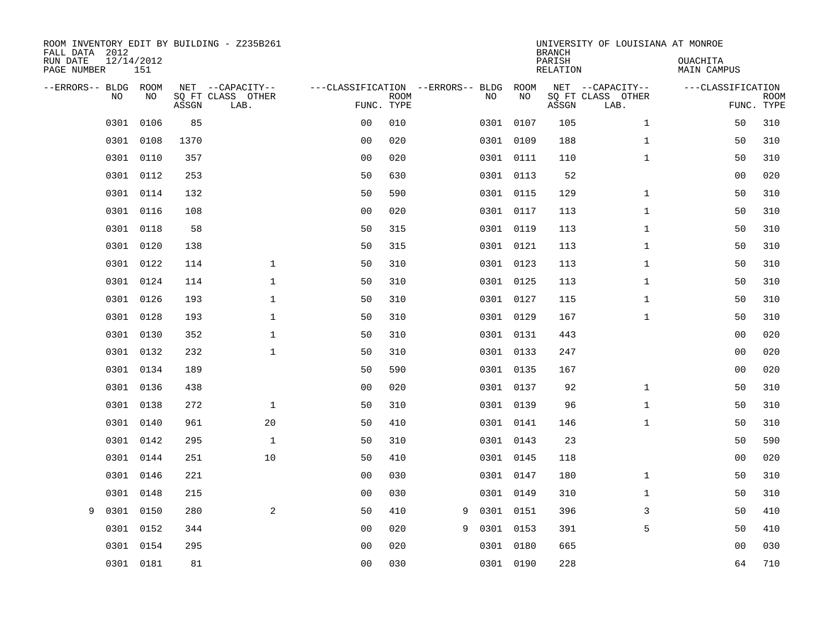| ROOM INVENTORY EDIT BY BUILDING - Z235B261<br>FALL DATA 2012<br>RUN DATE<br>PAGE NUMBER | 12/14/2012<br>151 |       |                                               |                                                 |             |   |           |            | <b>BRANCH</b><br>PARISH<br>RELATION | UNIVERSITY OF LOUISIANA AT MONROE             | OUACHITA<br>MAIN CAMPUS         |             |
|-----------------------------------------------------------------------------------------|-------------------|-------|-----------------------------------------------|-------------------------------------------------|-------------|---|-----------|------------|-------------------------------------|-----------------------------------------------|---------------------------------|-------------|
| --ERRORS-- BLDG ROOM<br>NO                                                              | NO                | ASSGN | NET --CAPACITY--<br>SO FT CLASS OTHER<br>LAB. | ---CLASSIFICATION --ERRORS-- BLDG<br>FUNC. TYPE | <b>ROOM</b> |   | NO        | ROOM<br>NO | ASSGN                               | NET --CAPACITY--<br>SO FT CLASS OTHER<br>LAB. | ---CLASSIFICATION<br>FUNC. TYPE | <b>ROOM</b> |
| 0301                                                                                    | 0106              | 85    |                                               | 0 <sub>0</sub>                                  | 010         |   |           | 0301 0107  | 105                                 | $\mathbf{1}$                                  | 50                              | 310         |
| 0301                                                                                    | 0108              | 1370  |                                               | 0 <sub>0</sub>                                  | 020         |   | 0301 0109 |            | 188                                 | $\mathbf{1}$                                  | 50                              | 310         |
|                                                                                         | 0301 0110         | 357   |                                               | 0 <sub>0</sub>                                  | 020         |   |           | 0301 0111  | 110                                 | $\mathbf{1}$                                  | 50                              | 310         |
| 0301                                                                                    | 0112              | 253   |                                               | 50                                              | 630         |   | 0301 0113 |            | 52                                  |                                               | 0 <sub>0</sub>                  | 020         |
| 0301                                                                                    | 0114              | 132   |                                               | 50                                              | 590         |   | 0301 0115 |            | 129                                 | $\mathbf{1}$                                  | 50                              | 310         |
| 0301                                                                                    | 0116              | 108   |                                               | 0 <sub>0</sub>                                  | 020         |   | 0301 0117 |            | 113                                 | $\mathbf{1}$                                  | 50                              | 310         |
| 0301                                                                                    | 0118              | 58    |                                               | 50                                              | 315         |   | 0301 0119 |            | 113                                 | $\mathbf{1}$                                  | 50                              | 310         |
| 0301                                                                                    | 0120              | 138   |                                               | 50                                              | 315         |   | 0301 0121 |            | 113                                 | $\mathbf{1}$                                  | 50                              | 310         |
| 0301                                                                                    | 0122              | 114   | $\mathbf{1}$                                  | 50                                              | 310         |   | 0301 0123 |            | 113                                 | $\mathbf{1}$                                  | 50                              | 310         |
|                                                                                         | 0301 0124         | 114   | $\mathbf{1}$                                  | 50                                              | 310         |   | 0301 0125 |            | 113                                 | $\mathbf{1}$                                  | 50                              | 310         |
| 0301                                                                                    | 0126              | 193   | $\mathbf{1}$                                  | 50                                              | 310         |   | 0301 0127 |            | 115                                 | $\mathbf{1}$                                  | 50                              | 310         |
|                                                                                         | 0301 0128         | 193   | $\mathbf{1}$                                  | 50                                              | 310         |   | 0301 0129 |            | 167                                 | $\mathbf{1}$                                  | 50                              | 310         |
| 0301                                                                                    | 0130              | 352   | $\mathbf{1}$                                  | 50                                              | 310         |   |           | 0301 0131  | 443                                 |                                               | 0 <sub>0</sub>                  | 020         |
|                                                                                         | 0301 0132         | 232   | $\mathbf{1}$                                  | 50                                              | 310         |   |           | 0301 0133  | 247                                 |                                               | 0 <sub>0</sub>                  | 020         |
| 0301                                                                                    | 0134              | 189   |                                               | 50                                              | 590         |   |           | 0301 0135  | 167                                 |                                               | 0 <sub>0</sub>                  | 020         |
|                                                                                         | 0301 0136         | 438   |                                               | 0 <sub>0</sub>                                  | 020         |   |           | 0301 0137  | 92                                  | $\mathbf{1}$                                  | 50                              | 310         |
| 0301                                                                                    | 0138              | 272   | $\mathbf 1$                                   | 50                                              | 310         |   | 0301 0139 |            | 96                                  | $\mathbf{1}$                                  | 50                              | 310         |
| 0301                                                                                    | 0140              | 961   | 20                                            | 50                                              | 410         |   |           | 0301 0141  | 146                                 | $\mathbf{1}$                                  | 50                              | 310         |
| 0301                                                                                    | 0142              | 295   | $\mathbf 1$                                   | 50                                              | 310         |   |           | 0301 0143  | 23                                  |                                               | 50                              | 590         |
| 0301                                                                                    | 0144              | 251   | 10                                            | 50                                              | 410         |   |           | 0301 0145  | 118                                 |                                               | 00                              | 020         |
| 0301                                                                                    | 0146              | 221   |                                               | 0 <sub>0</sub>                                  | 030         |   |           | 0301 0147  | 180                                 | $\mathbf{1}$                                  | 50                              | 310         |
| 0301                                                                                    | 0148              | 215   |                                               | 0 <sub>0</sub>                                  | 030         |   |           | 0301 0149  | 310                                 | $\mathbf{1}$                                  | 50                              | 310         |
| 0301<br>9                                                                               | 0150              | 280   | 2                                             | 50                                              | 410         | 9 | 0301 0151 |            | 396                                 | 3                                             | 50                              | 410         |
| 0301                                                                                    | 0152              | 344   |                                               | 0 <sub>0</sub>                                  | 020         | 9 | 0301 0153 |            | 391                                 | 5                                             | 50                              | 410         |
| 0301                                                                                    | 0154              | 295   |                                               | 0 <sub>0</sub>                                  | 020         |   | 0301 0180 |            | 665                                 |                                               | 00                              | 030         |
|                                                                                         | 0301 0181         | 81    |                                               | 0 <sub>0</sub>                                  | 030         |   |           | 0301 0190  | 228                                 |                                               | 64                              | 710         |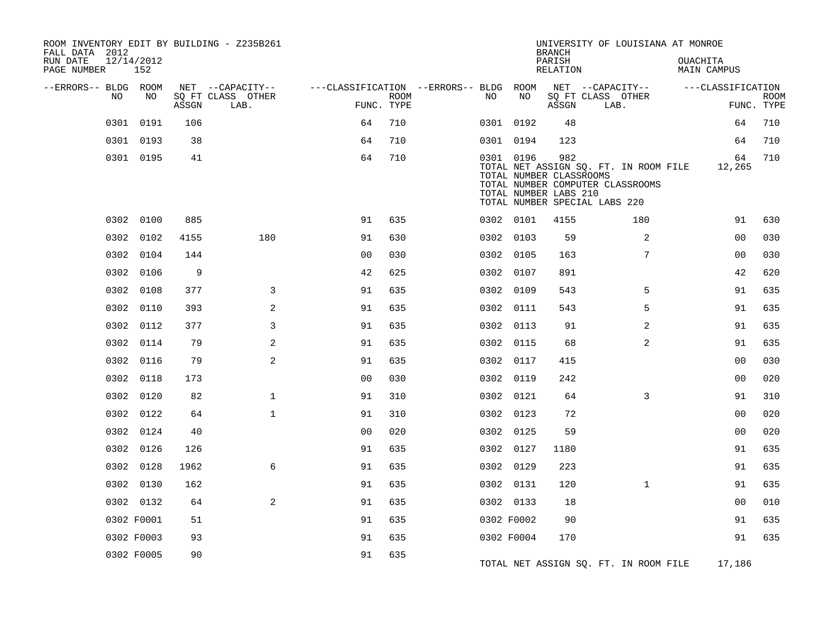| ROOM INVENTORY EDIT BY BUILDING - Z235B261<br>FALL DATA 2012 |                   |       |                           |                                   |             |            |      | <b>BRANCH</b>                                           | UNIVERSITY OF LOUISIANA AT MONROE                                                                          |                                       |                           |
|--------------------------------------------------------------|-------------------|-------|---------------------------|-----------------------------------|-------------|------------|------|---------------------------------------------------------|------------------------------------------------------------------------------------------------------------|---------------------------------------|---------------------------|
| RUN DATE<br>PAGE NUMBER                                      | 12/14/2012<br>152 |       |                           |                                   |             |            |      | PARISH<br>RELATION                                      |                                                                                                            | <b>OUACHITA</b><br><b>MAIN CAMPUS</b> |                           |
| --ERRORS-- BLDG ROOM                                         |                   |       | NET --CAPACITY--          | ---CLASSIFICATION --ERRORS-- BLDG |             |            | ROOM |                                                         | NET --CAPACITY--                                                                                           | ---CLASSIFICATION                     |                           |
| NO                                                           | NO                | ASSGN | SQ FT CLASS OTHER<br>LAB. | FUNC. TYPE                        | <b>ROOM</b> | NO         | NO   | ASSGN                                                   | SQ FT CLASS OTHER<br>LAB.                                                                                  |                                       | <b>ROOM</b><br>FUNC. TYPE |
| 0301                                                         | 0191              | 106   |                           | 64                                | 710         | 0301 0192  |      | 48                                                      |                                                                                                            | 64                                    | 710                       |
|                                                              | 0301 0193         | 38    |                           | 64                                | 710         | 0301 0194  |      | 123                                                     |                                                                                                            | 64                                    | 710                       |
|                                                              | 0301 0195         | 41    |                           | 64                                | 710         | 0301 0196  |      | 982<br>TOTAL NUMBER CLASSROOMS<br>TOTAL NUMBER LABS 210 | TOTAL NET ASSIGN SQ. FT. IN ROOM FILE<br>TOTAL NUMBER COMPUTER CLASSROOMS<br>TOTAL NUMBER SPECIAL LABS 220 | 64<br>12,265                          | 710                       |
|                                                              | 0302 0100         | 885   |                           | 91                                | 635         | 0302 0101  |      | 4155                                                    | 180                                                                                                        | 91                                    | 630                       |
| 0302                                                         | 0102              | 4155  | 180                       | 91                                | 630         | 0302 0103  |      | 59                                                      | $\overline{2}$                                                                                             | 00                                    | 030                       |
| 0302                                                         | 0104              | 144   |                           | 0 <sub>0</sub>                    | 030         | 0302 0105  |      | 163                                                     | 7                                                                                                          | 00                                    | 030                       |
| 0302                                                         | 0106              | 9     |                           | 42                                | 625         | 0302 0107  |      | 891                                                     |                                                                                                            | 42                                    | 620                       |
| 0302                                                         | 0108              | 377   | 3                         | 91                                | 635         | 0302 0109  |      | 543                                                     | 5                                                                                                          | 91                                    | 635                       |
| 0302                                                         | 0110              | 393   | 2                         | 91                                | 635         | 0302 0111  |      | 543                                                     | 5                                                                                                          | 91                                    | 635                       |
| 0302                                                         | 0112              | 377   | 3                         | 91                                | 635         | 0302 0113  |      | 91                                                      | 2                                                                                                          | 91                                    | 635                       |
| 0302                                                         | 0114              | 79    | 2                         | 91                                | 635         | 0302 0115  |      | 68                                                      | 2                                                                                                          | 91                                    | 635                       |
|                                                              | 0302 0116         | 79    | 2                         | 91                                | 635         | 0302 0117  |      | 415                                                     |                                                                                                            | 0 <sub>0</sub>                        | 030                       |
| 0302                                                         | 0118              | 173   |                           | 0 <sub>0</sub>                    | 030         | 0302 0119  |      | 242                                                     |                                                                                                            | 0 <sub>0</sub>                        | 020                       |
| 0302                                                         | 0120              | 82    | $\mathbf 1$               | 91                                | 310         | 0302 0121  |      | 64                                                      | 3                                                                                                          | 91                                    | 310                       |
| 0302                                                         | 0122              | 64    | $\mathbf{1}$              | 91                                | 310         | 0302 0123  |      | 72                                                      |                                                                                                            | 0 <sub>0</sub>                        | 020                       |
|                                                              | 0302 0124         | 40    |                           | 0 <sub>0</sub>                    | 020         | 0302 0125  |      | 59                                                      |                                                                                                            | 0 <sub>0</sub>                        | 020                       |
|                                                              | 0302 0126         | 126   |                           | 91                                | 635         | 0302 0127  |      | 1180                                                    |                                                                                                            | 91                                    | 635                       |
| 0302                                                         | 0128              | 1962  | 6                         | 91                                | 635         | 0302 0129  |      | 223                                                     |                                                                                                            | 91                                    | 635                       |
|                                                              | 0302 0130         | 162   |                           | 91                                | 635         | 0302 0131  |      | 120                                                     | $\mathbf{1}$                                                                                               | 91                                    | 635                       |
|                                                              | 0302 0132         | 64    | 2                         | 91                                | 635         | 0302 0133  |      | 18                                                      |                                                                                                            | 00                                    | 010                       |
|                                                              | 0302 F0001        | 51    |                           | 91                                | 635         | 0302 F0002 |      | 90                                                      |                                                                                                            | 91                                    | 635                       |
|                                                              | 0302 F0003        | 93    |                           | 91                                | 635         | 0302 F0004 |      | 170                                                     |                                                                                                            | 91                                    | 635                       |
|                                                              | 0302 F0005        | 90    |                           | 91                                | 635         |            |      |                                                         | TOTAL NET ASSIGN SQ. FT. IN ROOM FILE                                                                      | 17,186                                |                           |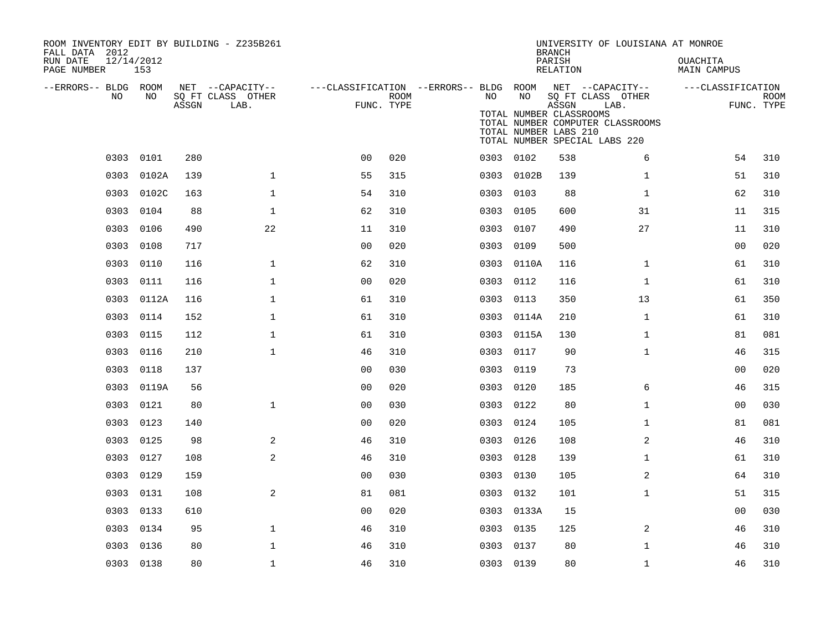| ROOM INVENTORY EDIT BY BUILDING - Z235B261<br>FALL DATA 2012<br>RUN DATE | 12/14/2012 |       |                                       |                                        |      |           |                                                  | <b>BRANCH</b><br>PARISH | UNIVERSITY OF LOUISIANA AT MONROE                                 | <b>OUACHITA</b>   |             |
|--------------------------------------------------------------------------|------------|-------|---------------------------------------|----------------------------------------|------|-----------|--------------------------------------------------|-------------------------|-------------------------------------------------------------------|-------------------|-------------|
| PAGE NUMBER                                                              | 153        |       |                                       |                                        |      |           |                                                  | RELATION                |                                                                   | MAIN CAMPUS       |             |
| --ERRORS-- BLDG ROOM<br>NO.                                              | NO.        |       | NET --CAPACITY--<br>SO FT CLASS OTHER | ---CLASSIFICATION --ERRORS-- BLDG ROOM | ROOM | NO.       | NO                                               |                         | NET --CAPACITY--                                                  | ---CLASSIFICATION | <b>ROOM</b> |
|                                                                          |            | ASSGN | LAB.                                  | FUNC. TYPE                             |      |           |                                                  | ASSGN                   | SQ FT CLASS OTHER<br>LAB.                                         |                   | FUNC. TYPE  |
|                                                                          |            |       |                                       |                                        |      |           | TOTAL NUMBER CLASSROOMS<br>TOTAL NUMBER LABS 210 |                         | TOTAL NUMBER COMPUTER CLASSROOMS<br>TOTAL NUMBER SPECIAL LABS 220 |                   |             |
| 0303                                                                     | 0101       | 280   |                                       | 0 <sub>0</sub>                         | 020  | 0303 0102 |                                                  | 538                     | 6                                                                 | 54                | 310         |
| 0303                                                                     | 0102A      | 139   | $\mathbf{1}$                          | 55                                     | 315  |           | 0303 0102B                                       | 139                     | $\mathbf{1}$                                                      | 51                | 310         |
| 0303                                                                     | 0102C      | 163   | $\mathbf{1}$                          | 54                                     | 310  | 0303      | 0103                                             | 88                      | $\mathbf{1}$                                                      | 62                | 310         |
| 0303                                                                     | 0104       | 88    | $\mathbf{1}$                          | 62                                     | 310  | 0303 0105 |                                                  | 600                     | 31                                                                | 11                | 315         |
| 0303                                                                     | 0106       | 490   | 22                                    | 11                                     | 310  | 0303      | 0107                                             | 490                     | 27                                                                | 11                | 310         |
| 0303                                                                     | 0108       | 717   |                                       | 0 <sub>0</sub>                         | 020  | 0303      | 0109                                             | 500                     |                                                                   | 0 <sub>0</sub>    | 020         |
| 0303                                                                     | 0110       | 116   | $\mathbf{1}$                          | 62                                     | 310  | 0303      | 0110A                                            | 116                     | $\mathbf{1}$                                                      | 61                | 310         |
| 0303                                                                     | 0111       | 116   | $\mathbf{1}$                          | 0 <sub>0</sub>                         | 020  |           | 0303 0112                                        | 116                     | $\mathbf{1}$                                                      | 61                | 310         |
| 0303                                                                     | 0112A      | 116   | $\mathbf 1$                           | 61                                     | 310  | 0303      | 0113                                             | 350                     | 13                                                                | 61                | 350         |
| 0303                                                                     | 0114       | 152   | $\mathbf 1$                           | 61                                     | 310  |           | 0303 0114A                                       | 210                     | $\mathbf{1}$                                                      | 61                | 310         |
| 0303                                                                     | 0115       | 112   | $\mathbf{1}$                          | 61                                     | 310  | 0303      | 0115A                                            | 130                     | $\mathbf{1}$                                                      | 81                | 081         |
| 0303                                                                     | 0116       | 210   | $\mathbf{1}$                          | 46                                     | 310  | 0303      | 0117                                             | 90                      | $\mathbf{1}$                                                      | 46                | 315         |
| 0303                                                                     | 0118       | 137   |                                       | 0 <sub>0</sub>                         | 030  | 0303      | 0119                                             | 73                      |                                                                   | 00                | 020         |
| 0303                                                                     | 0119A      | 56    |                                       | 0 <sub>0</sub>                         | 020  | 0303 0120 |                                                  | 185                     | 6                                                                 | 46                | 315         |
|                                                                          | 0303 0121  | 80    | $\mathbf{1}$                          | 0 <sub>0</sub>                         | 030  | 0303 0122 |                                                  | 80                      | $\mathbf{1}$                                                      | 0 <sub>0</sub>    | 030         |
| 0303                                                                     | 0123       | 140   |                                       | 0 <sub>0</sub>                         | 020  | 0303      | 0124                                             | 105                     | $\mathbf{1}$                                                      | 81                | 081         |
| 0303                                                                     | 0125       | 98    | 2                                     | 46                                     | 310  | 0303 0126 |                                                  | 108                     | 2                                                                 | 46                | 310         |
| 0303                                                                     | 0127       | 108   | 2                                     | 46                                     | 310  | 0303      | 0128                                             | 139                     | $\mathbf{1}$                                                      | 61                | 310         |
| 0303                                                                     | 0129       | 159   |                                       | 0 <sub>0</sub>                         | 030  |           | 0303 0130                                        | 105                     | 2                                                                 | 64                | 310         |
| 0303                                                                     | 0131       | 108   | $\sqrt{2}$                            | 81                                     | 081  | 0303      | 0132                                             | 101                     | $\mathbf{1}$                                                      | 51                | 315         |
| 0303                                                                     | 0133       | 610   |                                       | 0 <sub>0</sub>                         | 020  |           | 0303 0133A                                       | 15                      |                                                                   | 00                | 030         |
| 0303                                                                     | 0134       | 95    | $\mathbf{1}$                          | 46                                     | 310  | 0303      | 0135                                             | 125                     | 2                                                                 | 46                | 310         |
| 0303                                                                     | 0136       | 80    | $\mathbf{1}$                          | 46                                     | 310  | 0303      | 0137                                             | 80                      | $\mathbf{1}$                                                      | 46                | 310         |
|                                                                          | 0303 0138  | 80    | $\mathbf 1$                           | 46                                     | 310  | 0303 0139 |                                                  | 80                      | $\mathbf{1}$                                                      | 46                | 310         |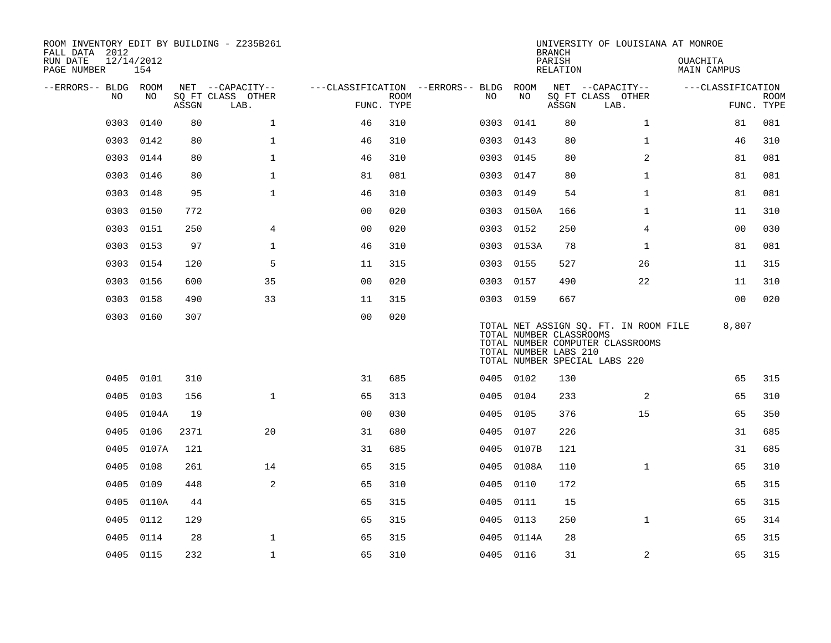| ROOM INVENTORY EDIT BY BUILDING - Z235B261<br>FALL DATA 2012<br>RUN DATE | 12/14/2012 |                                 |                                       |                                        |             |           |                                                  | <b>BRANCH</b><br>PARISH | UNIVERSITY OF LOUISIANA AT MONROE                                                                          | OUACHITA           |             |
|--------------------------------------------------------------------------|------------|---------------------------------|---------------------------------------|----------------------------------------|-------------|-----------|--------------------------------------------------|-------------------------|------------------------------------------------------------------------------------------------------------|--------------------|-------------|
| PAGE NUMBER                                                              | 154        |                                 |                                       |                                        |             |           |                                                  | RELATION                |                                                                                                            | <b>MAIN CAMPUS</b> |             |
| --ERRORS-- BLDG ROOM<br>NO                                               | NO         |                                 | NET --CAPACITY--<br>SQ FT CLASS OTHER | ---CLASSIFICATION --ERRORS-- BLDG ROOM | <b>ROOM</b> | NO.       | NO                                               |                         | NET --CAPACITY--<br>SQ FT CLASS OTHER                                                                      | ---CLASSIFICATION  | <b>ROOM</b> |
|                                                                          |            | $\operatorname{\mathsf{ASSGN}}$ | LAB.                                  | FUNC. TYPE                             |             |           |                                                  | ASSGN                   | LAB.                                                                                                       |                    | FUNC. TYPE  |
| 0303                                                                     | 0140       | 80                              | $\mathbf{1}$                          | 46                                     | 310         | 0303      | 0141                                             | 80                      | $\mathbf{1}$                                                                                               | 81                 | 081         |
| 0303                                                                     | 0142       | 80                              | $\mathbf{1}$                          | 46                                     | 310         | 0303      | 0143                                             | 80                      | $\mathbf{1}$                                                                                               | 46                 | 310         |
|                                                                          | 0303 0144  | 80                              | $\mathbf 1$                           | 46                                     | 310         | 0303 0145 |                                                  | 80                      | 2                                                                                                          | 81                 | 081         |
| 0303                                                                     | 0146       | 80                              | $\mathbf{1}$                          | 81                                     | 081         | 0303      | 0147                                             | 80                      | $\mathbf{1}$                                                                                               | 81                 | 081         |
| 0303                                                                     | 0148       | 95                              | $\mathbf{1}$                          | 46                                     | 310         | 0303 0149 |                                                  | 54                      | $\mathbf{1}$                                                                                               | 81                 | 081         |
| 0303                                                                     | 0150       | 772                             |                                       | 0 <sub>0</sub>                         | 020         |           | 0303 0150A                                       | 166                     | $\mathbf{1}$                                                                                               | 11                 | 310         |
| 0303                                                                     | 0151       | 250                             | 4                                     | 0 <sub>0</sub>                         | 020         | 0303 0152 |                                                  | 250                     | $\overline{4}$                                                                                             | 0 <sub>0</sub>     | 030         |
| 0303                                                                     | 0153       | 97                              | $\mathbf 1$                           | 46                                     | 310         | 0303      | 0153A                                            | 78                      | $\mathbf{1}$                                                                                               | 81                 | 081         |
| 0303                                                                     | 0154       | 120                             | 5                                     | 11                                     | 315         | 0303 0155 |                                                  | 527                     | 26                                                                                                         | 11                 | 315         |
| 0303                                                                     | 0156       | 600                             | 35                                    | 0 <sub>0</sub>                         | 020         | 0303 0157 |                                                  | 490                     | 22                                                                                                         | 11                 | 310         |
| 0303                                                                     | 0158       | 490                             | 33                                    | 11                                     | 315         | 0303 0159 |                                                  | 667                     |                                                                                                            | 0 <sub>0</sub>     | 020         |
|                                                                          | 0303 0160  | 307                             |                                       | 0 <sub>0</sub>                         | 020         |           | TOTAL NUMBER CLASSROOMS<br>TOTAL NUMBER LABS 210 |                         | TOTAL NET ASSIGN SQ. FT. IN ROOM FILE<br>TOTAL NUMBER COMPUTER CLASSROOMS<br>TOTAL NUMBER SPECIAL LABS 220 | 8,807              |             |
| 0405                                                                     | 0101       | 310                             |                                       | 31                                     | 685         | 0405 0102 |                                                  | 130                     |                                                                                                            | 65                 | 315         |
| 0405                                                                     | 0103       | 156                             | $\mathbf{1}$                          | 65                                     | 313         | 0405 0104 |                                                  | 233                     | 2                                                                                                          | 65                 | 310         |
| 0405                                                                     | 0104A      | 19                              |                                       | 0 <sub>0</sub>                         | 030         | 0405      | 0105                                             | 376                     | 15                                                                                                         | 65                 | 350         |
| 0405                                                                     | 0106       | 2371                            | 20                                    | 31                                     | 680         | 0405 0107 |                                                  | 226                     |                                                                                                            | 31                 | 685         |
| 0405                                                                     | 0107A      | 121                             |                                       | 31                                     | 685         |           | 0405 0107B                                       | 121                     |                                                                                                            | 31                 | 685         |
| 0405                                                                     | 0108       | 261                             | 14                                    | 65                                     | 315         |           | 0405 0108A                                       | 110                     | $\mathbf{1}$                                                                                               | 65                 | 310         |
| 0405                                                                     | 0109       | 448                             | $\mathbf{2}$                          | 65                                     | 310         | 0405      | 0110                                             | 172                     |                                                                                                            | 65                 | 315         |
| 0405                                                                     | 0110A      | 44                              |                                       | 65                                     | 315         | 0405 0111 |                                                  | 15                      |                                                                                                            | 65                 | 315         |
| 0405                                                                     | 0112       | 129                             |                                       | 65                                     | 315         | 0405 0113 |                                                  | 250                     | $\mathbf{1}$                                                                                               | 65                 | 314         |
| 0405                                                                     | 0114       | 28                              | $\mathbf{1}$                          | 65                                     | 315         |           | 0405 0114A                                       | 28                      |                                                                                                            | 65                 | 315         |
|                                                                          | 0405 0115  | 232                             | $\mathbf 1$                           | 65                                     | 310         | 0405 0116 |                                                  | 31                      | 2                                                                                                          | 65                 | 315         |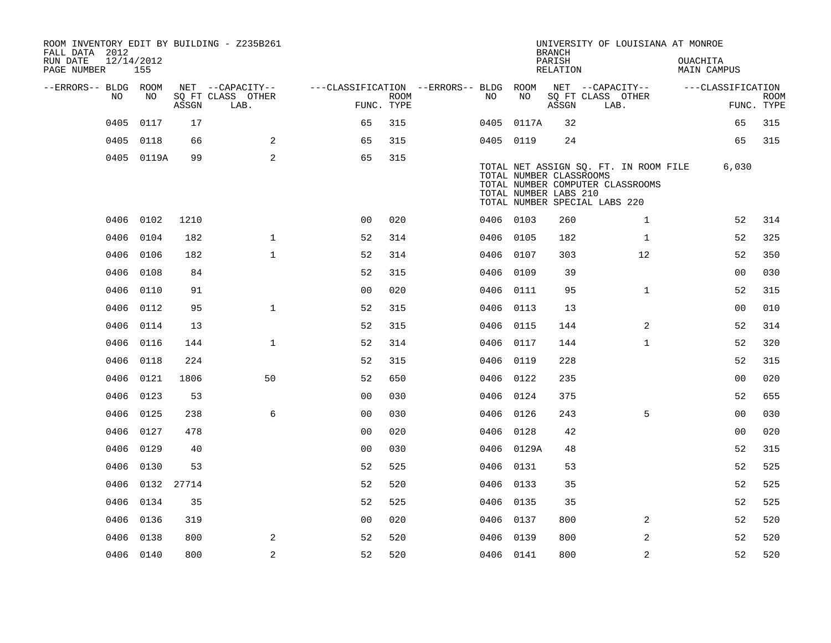| FALL DATA 2012          |      |                   |                                 | ROOM INVENTORY EDIT BY BUILDING - Z235B261 |                                        |             |           |            | <b>BRANCH</b>                                    | UNIVERSITY OF LOUISIANA AT MONROE                                                                          |          |                    |                           |
|-------------------------|------|-------------------|---------------------------------|--------------------------------------------|----------------------------------------|-------------|-----------|------------|--------------------------------------------------|------------------------------------------------------------------------------------------------------------|----------|--------------------|---------------------------|
| RUN DATE<br>PAGE NUMBER |      | 12/14/2012<br>155 |                                 |                                            |                                        |             |           |            | PARISH<br>RELATION                               |                                                                                                            | OUACHITA | <b>MAIN CAMPUS</b> |                           |
| --ERRORS-- BLDG ROOM    |      |                   |                                 | NET --CAPACITY--                           | ---CLASSIFICATION --ERRORS-- BLDG ROOM |             |           | NO         |                                                  | NET --CAPACITY--                                                                                           |          | ---CLASSIFICATION  |                           |
|                         | NO   | NO                | $\operatorname{\mathsf{ASSGN}}$ | SQ FT CLASS OTHER<br>LAB.                  | FUNC. TYPE                             | <b>ROOM</b> | NO        |            | ASSGN                                            | SQ FT CLASS OTHER<br>LAB.                                                                                  |          |                    | <b>ROOM</b><br>FUNC. TYPE |
|                         | 0405 | 0117              | 17                              |                                            | 65                                     | 315         |           | 0405 0117A | 32                                               |                                                                                                            |          | 65                 | 315                       |
|                         | 0405 | 0118              | 66                              | 2                                          | 65                                     | 315         | 0405 0119 |            | 24                                               |                                                                                                            |          | 65                 | 315                       |
|                         |      | 0405 0119A        | 99                              | $\mathbf{2}$                               | 65                                     | 315         |           |            | TOTAL NUMBER CLASSROOMS<br>TOTAL NUMBER LABS 210 | TOTAL NET ASSIGN SQ. FT. IN ROOM FILE<br>TOTAL NUMBER COMPUTER CLASSROOMS<br>TOTAL NUMBER SPECIAL LABS 220 |          | 6,030              |                           |
|                         |      | 0406 0102         | 1210                            |                                            | 00                                     | 020         | 0406 0103 |            | 260                                              | $\mathbf{1}$                                                                                               |          | 52                 | 314                       |
|                         | 0406 | 0104              | 182                             | $\mathbf{1}$                               | 52                                     | 314         | 0406 0105 |            | 182                                              | $\mathbf{1}$                                                                                               |          | 52                 | 325                       |
|                         | 0406 | 0106              | 182                             | $\mathbf{1}$                               | 52                                     | 314         | 0406 0107 |            | 303                                              | 12                                                                                                         |          | 52                 | 350                       |
|                         | 0406 | 0108              | 84                              |                                            | 52                                     | 315         | 0406      | 0109       | 39                                               |                                                                                                            |          | 0 <sub>0</sub>     | 030                       |
|                         | 0406 | 0110              | 91                              |                                            | 0 <sub>0</sub>                         | 020         | 0406 0111 |            | 95                                               | $\mathbf{1}$                                                                                               |          | 52                 | 315                       |
|                         | 0406 | 0112              | 95                              | $\mathbf{1}$                               | 52                                     | 315         | 0406      | 0113       | 13                                               |                                                                                                            |          | 0 <sub>0</sub>     | 010                       |
|                         | 0406 | 0114              | 13                              |                                            | 52                                     | 315         | 0406 0115 |            | 144                                              | 2                                                                                                          |          | 52                 | 314                       |
|                         | 0406 | 0116              | 144                             | $\mathbf{1}$                               | 52                                     | 314         | 0406      | 0117       | 144                                              | $\mathbf{1}$                                                                                               |          | 52                 | 320                       |
|                         | 0406 | 0118              | 224                             |                                            | 52                                     | 315         | 0406 0119 |            | 228                                              |                                                                                                            |          | 52                 | 315                       |
|                         | 0406 | 0121              | 1806                            | 50                                         | 52                                     | 650         | 0406 0122 |            | 235                                              |                                                                                                            |          | 0 <sub>0</sub>     | 020                       |
|                         | 0406 | 0123              | 53                              |                                            | 0 <sub>0</sub>                         | 030         | 0406 0124 |            | 375                                              |                                                                                                            |          | 52                 | 655                       |
|                         | 0406 | 0125              | 238                             | 6                                          | 00                                     | 030         | 0406      | 0126       | 243                                              | 5                                                                                                          |          | 0 <sub>0</sub>     | 030                       |
|                         | 0406 | 0127              | 478                             |                                            | 0 <sub>0</sub>                         | 020         | 0406 0128 |            | 42                                               |                                                                                                            |          | 0 <sub>0</sub>     | 020                       |
|                         | 0406 | 0129              | 40                              |                                            | 0 <sub>0</sub>                         | 030         |           | 0406 0129A | 48                                               |                                                                                                            |          | 52                 | 315                       |
|                         | 0406 | 0130              | 53                              |                                            | 52                                     | 525         | 0406 0131 |            | 53                                               |                                                                                                            |          | 52                 | 525                       |
|                         | 0406 | 0132 27714        |                                 |                                            | 52                                     | 520         | 0406      | 0133       | 35                                               |                                                                                                            |          | 52                 | 525                       |
|                         | 0406 | 0134              | 35                              |                                            | 52                                     | 525         | 0406 0135 |            | 35                                               |                                                                                                            |          | 52                 | 525                       |
|                         | 0406 | 0136              | 319                             |                                            | 0 <sub>0</sub>                         | 020         | 0406 0137 |            | 800                                              | $\overline{2}$                                                                                             |          | 52                 | 520                       |
|                         | 0406 | 0138              | 800                             | 2                                          | 52                                     | 520         | 0406 0139 |            | 800                                              | 2                                                                                                          |          | 52                 | 520                       |
|                         |      | 0406 0140         | 800                             | 2                                          | 52                                     | 520         | 0406 0141 |            | 800                                              | 2                                                                                                          |          | 52                 | 520                       |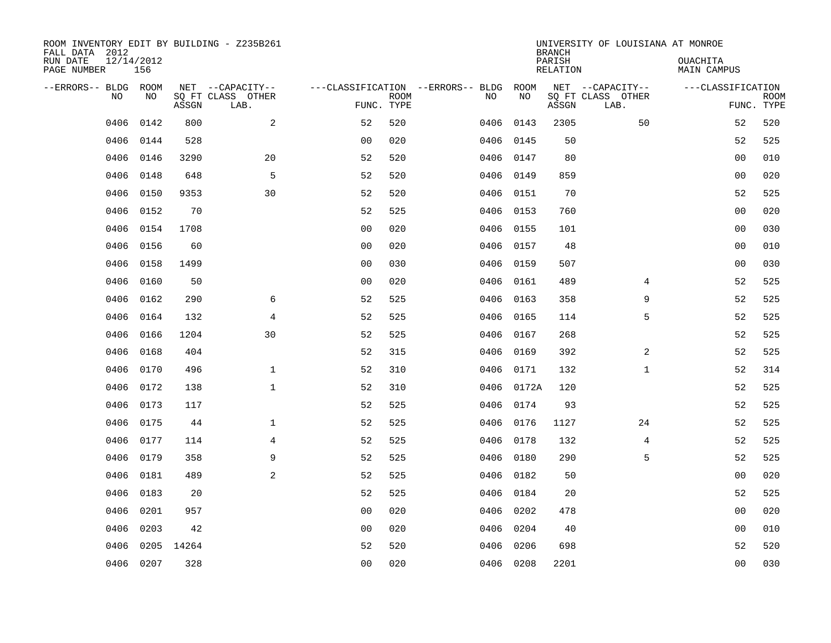| ROOM INVENTORY EDIT BY BUILDING - Z235B261<br>FALL DATA 2012 |                   |            |                           |                                   |             |           |            | <b>BRANCH</b>             | UNIVERSITY OF LOUISIANA AT MONROE |                                |                           |
|--------------------------------------------------------------|-------------------|------------|---------------------------|-----------------------------------|-------------|-----------|------------|---------------------------|-----------------------------------|--------------------------------|---------------------------|
| RUN DATE<br>PAGE NUMBER                                      | 12/14/2012<br>156 |            |                           |                                   |             |           |            | PARISH<br><b>RELATION</b> |                                   | OUACHITA<br><b>MAIN CAMPUS</b> |                           |
| --ERRORS-- BLDG ROOM                                         |                   |            | NET --CAPACITY--          | ---CLASSIFICATION --ERRORS-- BLDG |             |           | ROOM       |                           | NET --CAPACITY--                  | ---CLASSIFICATION              |                           |
| NO                                                           | NO                | ASSGN      | SQ FT CLASS OTHER<br>LAB. | FUNC. TYPE                        | <b>ROOM</b> | NO        | NO         | ASSGN                     | SQ FT CLASS OTHER<br>LAB.         |                                | <b>ROOM</b><br>FUNC. TYPE |
| 0406                                                         | 0142              | 800        | $\mathbf{2}$              | 52                                | 520         | 0406      | 0143       | 2305                      | 50                                | 52                             | 520                       |
| 0406                                                         | 0144              | 528        |                           | 0 <sub>0</sub>                    | 020         | 0406 0145 |            | 50                        |                                   | 52                             | 525                       |
| 0406                                                         | 0146              | 3290       | 20                        | 52                                | 520         | 0406      | 0147       | 80                        |                                   | 00                             | 010                       |
| 0406                                                         | 0148              | 648        | 5                         | 52                                | 520         | 0406 0149 |            | 859                       |                                   | 0 <sub>0</sub>                 | 020                       |
| 0406                                                         | 0150              | 9353       | 30                        | 52                                | 520         | 0406      | 0151       | 70                        |                                   | 52                             | 525                       |
| 0406                                                         | 0152              | 70         |                           | 52                                | 525         | 0406 0153 |            | 760                       |                                   | 0 <sub>0</sub>                 | 020                       |
| 0406                                                         | 0154              | 1708       |                           | 0 <sub>0</sub>                    | 020         | 0406      | 0155       | 101                       |                                   | 0 <sub>0</sub>                 | 030                       |
| 0406                                                         | 0156              | 60         |                           | 0 <sub>0</sub>                    | 020         | 0406 0157 |            | 48                        |                                   | 0 <sub>0</sub>                 | 010                       |
| 0406                                                         | 0158              | 1499       |                           | 0 <sub>0</sub>                    | 030         | 0406      | 0159       | 507                       |                                   | 0 <sub>0</sub>                 | 030                       |
| 0406                                                         | 0160              | 50         |                           | 0 <sub>0</sub>                    | 020         | 0406 0161 |            | 489                       | 4                                 | 52                             | 525                       |
| 0406                                                         | 0162              | 290        | 6                         | 52                                | 525         | 0406      | 0163       | 358                       | 9                                 | 52                             | 525                       |
| 0406                                                         | 0164              | 132        | $\overline{4}$            | 52                                | 525         | 0406 0165 |            | 114                       | 5                                 | 52                             | 525                       |
| 0406                                                         | 0166              | 1204       | 30                        | 52                                | 525         | 0406      | 0167       | 268                       |                                   | 52                             | 525                       |
| 0406                                                         | 0168              | 404        |                           | 52                                | 315         | 0406      | 0169       | 392                       | 2                                 | 52                             | 525                       |
| 0406                                                         | 0170              | 496        | $\mathbf{1}$              | 52                                | 310         | 0406      | 0171       | 132                       | $\mathbf{1}$                      | 52                             | 314                       |
| 0406                                                         | 0172              | 138        | $\mathbf{1}$              | 52                                | 310         |           | 0406 0172A | 120                       |                                   | 52                             | 525                       |
| 0406                                                         | 0173              | 117        |                           | 52                                | 525         | 0406      | 0174       | 93                        |                                   | 52                             | 525                       |
| 0406                                                         | 0175              | 44         | $\mathbf 1$               | 52                                | 525         | 0406      | 0176       | 1127                      | 24                                | 52                             | 525                       |
| 0406                                                         | 0177              | 114        | 4                         | 52                                | 525         | 0406      | 0178       | 132                       | 4                                 | 52                             | 525                       |
| 0406                                                         | 0179              | 358        | 9                         | 52                                | 525         | 0406      | 0180       | 290                       | 5                                 | 52                             | 525                       |
| 0406                                                         | 0181              | 489        | 2                         | 52                                | 525         | 0406      | 0182       | 50                        |                                   | 0 <sub>0</sub>                 | 020                       |
| 0406                                                         | 0183              | 20         |                           | 52                                | 525         | 0406      | 0184       | 20                        |                                   | 52                             | 525                       |
| 0406                                                         | 0201              | 957        |                           | 0 <sub>0</sub>                    | 020         | 0406      | 0202       | 478                       |                                   | 0 <sub>0</sub>                 | 020                       |
| 0406                                                         | 0203              | 42         |                           | 0 <sub>0</sub>                    | 020         | 0406      | 0204       | 40                        |                                   | 0 <sub>0</sub>                 | 010                       |
| 0406                                                         |                   | 0205 14264 |                           | 52                                | 520         | 0406      | 0206       | 698                       |                                   | 52                             | 520                       |
|                                                              | 0406 0207         | 328        |                           | 00                                | 020         | 0406 0208 |            | 2201                      |                                   | 0 <sub>0</sub>                 | 030                       |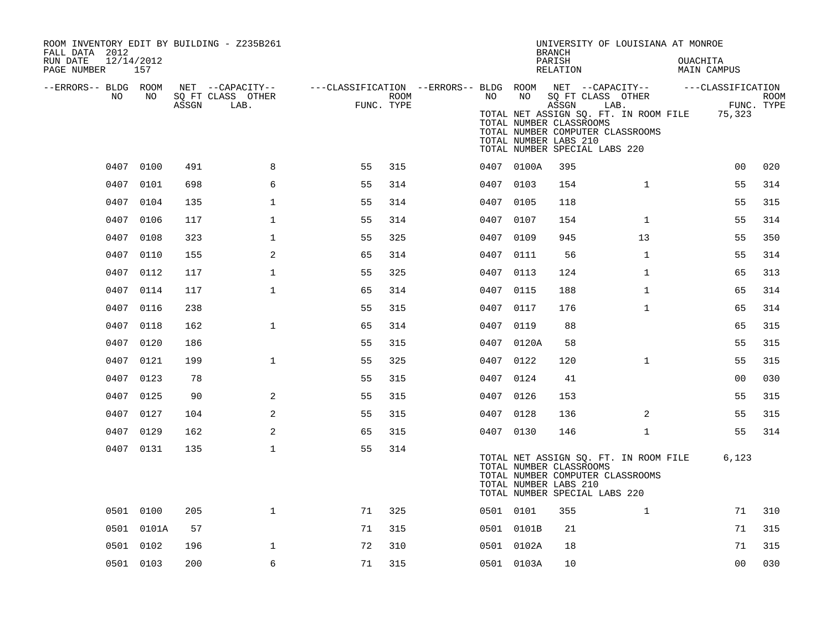| ROOM INVENTORY EDIT BY BUILDING - Z235B261<br>FALL DATA 2012 |            |       |                                       |    |            |           |            | <b>BRANCH</b>                                             | UNIVERSITY OF LOUISIANA AT MONROE                                                                                         |                         |             |
|--------------------------------------------------------------|------------|-------|---------------------------------------|----|------------|-----------|------------|-----------------------------------------------------------|---------------------------------------------------------------------------------------------------------------------------|-------------------------|-------------|
| 12/14/2012<br>RUN DATE<br>PAGE NUMBER                        | 157        |       |                                       |    |            |           |            | PARISH<br>RELATION                                        |                                                                                                                           | OUACHITA<br>MAIN CAMPUS |             |
| --ERRORS-- BLDG ROOM<br>NO.                                  | NO         |       | NET --CAPACITY--<br>SQ FT CLASS OTHER |    | ROOM       | NO        | NO         |                                                           | ---CLASSIFICATION --ERRORS-- BLDG ROOM NET --CAPACITY--    ---CLASSIFICATION<br>SQ FT CLASS OTHER                         |                         | <b>ROOM</b> |
|                                                              |            | ASSGN | LAB.                                  |    | FUNC. TYPE |           |            | ASSGN<br>TOTAL NUMBER CLASSROOMS<br>TOTAL NUMBER LABS 210 | LAB.<br>TOTAL NET ASSIGN SQ. FT. IN ROOM FILE 75,323<br>TOTAL NUMBER COMPUTER CLASSROOMS<br>TOTAL NUMBER SPECIAL LABS 220 |                         | FUNC. TYPE  |
|                                                              | 0407 0100  | 491   | 8                                     | 55 | 315        |           | 0407 0100A | 395                                                       |                                                                                                                           | 0 <sub>0</sub>          | 020         |
|                                                              | 0407 0101  | 698   | 6                                     | 55 | 314        | 0407 0103 |            | 154                                                       | $\mathbf{1}$                                                                                                              | 55                      | 314         |
|                                                              | 0407 0104  | 135   | $\mathbf 1$                           | 55 | 314        | 0407 0105 |            | 118                                                       |                                                                                                                           | 55                      | 315         |
|                                                              | 0407 0106  | 117   | $\mathbf 1$                           | 55 | 314        | 0407 0107 |            | 154                                                       | $\mathbf{1}$                                                                                                              | 55                      | 314         |
| 0407                                                         | 0108       | 323   | $\mathbf{1}$                          | 55 | 325        | 0407 0109 |            | 945                                                       | 13                                                                                                                        | 55                      | 350         |
|                                                              | 0407 0110  | 155   | 2                                     | 65 | 314        | 0407 0111 |            | 56                                                        | $\mathbf{1}$                                                                                                              | 55                      | 314         |
|                                                              | 0407 0112  | 117   | $\mathbf 1$                           | 55 | 325        | 0407 0113 |            | 124                                                       | $\mathbf{1}$                                                                                                              | 65                      | 313         |
|                                                              | 0407 0114  | 117   | $\mathbf{1}$                          | 65 | 314        | 0407 0115 |            | 188                                                       | $\mathbf{1}$                                                                                                              | 65                      | 314         |
|                                                              | 0407 0116  | 238   |                                       | 55 | 315        | 0407 0117 |            | 176                                                       | $\mathbf{1}$                                                                                                              | 65                      | 314         |
|                                                              | 0407 0118  | 162   | $\mathbf{1}$                          | 65 | 314        | 0407 0119 |            | 88                                                        |                                                                                                                           | 65                      | 315         |
|                                                              | 0407 0120  | 186   |                                       | 55 | 315        |           | 0407 0120A | 58                                                        |                                                                                                                           | 55                      | 315         |
|                                                              | 0407 0121  | 199   | $\mathbf{1}$                          | 55 | 325        | 0407 0122 |            | 120                                                       | $\mathbf{1}$                                                                                                              | 55                      | 315         |
|                                                              | 0407 0123  | 78    |                                       | 55 | 315        | 0407      | 0124       | 41                                                        |                                                                                                                           | 0 <sub>0</sub>          | 030         |
|                                                              | 0407 0125  | 90    | 2                                     | 55 | 315        | 0407 0126 |            | 153                                                       |                                                                                                                           | 55                      | 315         |
|                                                              | 0407 0127  | 104   | 2                                     | 55 | 315        | 0407 0128 |            | 136                                                       | 2                                                                                                                         | 55                      | 315         |
|                                                              | 0407 0129  | 162   | 2                                     | 65 | 315        | 0407 0130 |            | 146                                                       | $\mathbf{1}$                                                                                                              | 55                      | 314         |
|                                                              | 0407 0131  | 135   | $\mathbf{1}$                          | 55 | 314        |           |            | TOTAL NUMBER CLASSROOMS<br>TOTAL NUMBER LABS 210          | TOTAL NET ASSIGN SQ. FT. IN ROOM FILE<br>TOTAL NUMBER COMPUTER CLASSROOMS<br>TOTAL NUMBER SPECIAL LABS 220                | 6,123                   |             |
|                                                              | 0501 0100  | 205   | $\mathbf{1}$                          | 71 | 325        | 0501 0101 |            | 355                                                       | $\mathbf{1}$                                                                                                              | 71                      | 310         |
|                                                              | 0501 0101A | 57    |                                       | 71 | 315        |           | 0501 0101B | 21                                                        |                                                                                                                           | 71                      | 315         |
|                                                              | 0501 0102  | 196   | $\mathbf 1$                           | 72 | 310        |           | 0501 0102A | 18                                                        |                                                                                                                           | 71                      | 315         |
|                                                              | 0501 0103  | 200   | 6                                     | 71 | 315        |           | 0501 0103A | 10                                                        |                                                                                                                           | 00                      | 030         |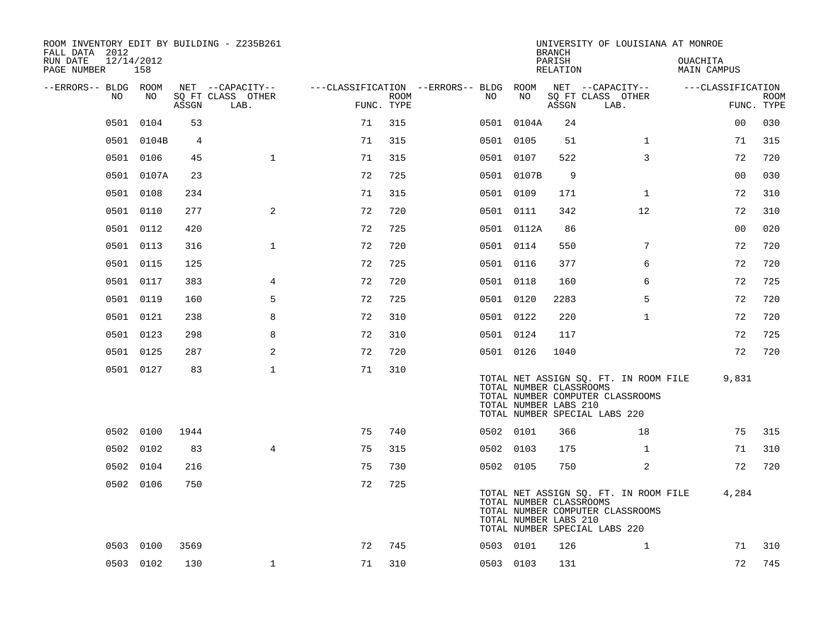| ROOM INVENTORY EDIT BY BUILDING - Z235B261<br>FALL DATA 2012 |                   |       |                           |                                        |      |           |            | <b>BRANCH</b>                                    | UNIVERSITY OF LOUISIANA AT MONROE                                                                          |                         |                           |
|--------------------------------------------------------------|-------------------|-------|---------------------------|----------------------------------------|------|-----------|------------|--------------------------------------------------|------------------------------------------------------------------------------------------------------------|-------------------------|---------------------------|
| RUN DATE<br>PAGE NUMBER                                      | 12/14/2012<br>158 |       |                           |                                        |      |           |            | PARISH<br>RELATION                               |                                                                                                            | OUACHITA<br>MAIN CAMPUS |                           |
| --ERRORS-- BLDG ROOM                                         |                   |       | NET --CAPACITY--          | ---CLASSIFICATION --ERRORS-- BLDG ROOM |      |           |            |                                                  | NET --CAPACITY--                                                                                           | ---CLASSIFICATION       |                           |
| NO                                                           | NO.               | ASSGN | SQ FT CLASS OTHER<br>LAB. | FUNC. TYPE                             | ROOM | NO.       | NO         | ASSGN                                            | SQ FT CLASS OTHER<br>LAB.                                                                                  |                         | <b>ROOM</b><br>FUNC. TYPE |
| 0501                                                         | 0104              | 53    |                           | 71                                     | 315  |           | 0501 0104A | 24                                               |                                                                                                            | 0 <sub>0</sub>          | 030                       |
|                                                              | 0501 0104B        | 4     |                           | 71                                     | 315  | 0501 0105 |            | 51                                               | $\mathbf{1}$                                                                                               | 71                      | 315                       |
|                                                              | 0501 0106         | 45    | $\mathbf{1}$              | 71                                     | 315  | 0501 0107 |            | 522                                              | 3                                                                                                          | 72                      | 720                       |
|                                                              | 0501 0107A        | 23    |                           | 72                                     | 725  |           | 0501 0107B | 9                                                |                                                                                                            | 0 <sub>0</sub>          | 030                       |
|                                                              | 0501 0108         | 234   |                           | 71                                     | 315  | 0501 0109 |            | 171                                              | $\mathbf{1}$                                                                                               | 72                      | 310                       |
|                                                              | 0501 0110         | 277   | 2                         | 72                                     | 720  | 0501 0111 |            | 342                                              | 12                                                                                                         | 72                      | 310                       |
|                                                              | 0501 0112         | 420   |                           | 72                                     | 725  |           | 0501 0112A | 86                                               |                                                                                                            | 0 <sub>0</sub>          | 020                       |
|                                                              | 0501 0113         | 316   | $\mathbf{1}$              | 72                                     | 720  | 0501 0114 |            | 550                                              | 7                                                                                                          | 72                      | 720                       |
|                                                              | 0501 0115         | 125   |                           | 72                                     | 725  | 0501 0116 |            | 377                                              | 6                                                                                                          | 72                      | 720                       |
|                                                              | 0501 0117         | 383   | 4                         | 72                                     | 720  | 0501 0118 |            | 160                                              | 6                                                                                                          | 72                      | 725                       |
|                                                              | 0501 0119         | 160   | 5                         | 72                                     | 725  | 0501 0120 |            | 2283                                             | 5                                                                                                          | 72                      | 720                       |
|                                                              | 0501 0121         | 238   | 8                         | 72                                     | 310  | 0501 0122 |            | 220                                              | $\mathbf{1}$                                                                                               | 72                      | 720                       |
|                                                              | 0501 0123         | 298   | 8                         | 72                                     | 310  | 0501 0124 |            | 117                                              |                                                                                                            | 72                      | 725                       |
|                                                              | 0501 0125         | 287   | 2                         | 72                                     | 720  | 0501 0126 |            | 1040                                             |                                                                                                            | 72                      | 720                       |
|                                                              | 0501 0127         | 83    | $\mathbf 1$               | 71                                     | 310  |           |            | TOTAL NUMBER CLASSROOMS<br>TOTAL NUMBER LABS 210 | TOTAL NET ASSIGN SQ. FT. IN ROOM FILE<br>TOTAL NUMBER COMPUTER CLASSROOMS<br>TOTAL NUMBER SPECIAL LABS 220 | 9,831                   |                           |
|                                                              | 0502 0100         | 1944  |                           | 75                                     | 740  | 0502 0101 |            | 366                                              | 18                                                                                                         | 75                      | 315                       |
|                                                              | 0502 0102         | 83    | $\overline{4}$            | 75                                     | 315  | 0502 0103 |            | 175                                              | $\mathbf{1}$                                                                                               | 71                      | 310                       |
|                                                              | 0502 0104         | 216   |                           | 75                                     | 730  | 0502 0105 |            | 750                                              | 2                                                                                                          | 72                      | 720                       |
|                                                              | 0502 0106         | 750   |                           | 72                                     | 725  |           |            | TOTAL NUMBER CLASSROOMS<br>TOTAL NUMBER LABS 210 | TOTAL NET ASSIGN SQ. FT. IN ROOM FILE<br>TOTAL NUMBER COMPUTER CLASSROOMS<br>TOTAL NUMBER SPECIAL LABS 220 | 4,284                   |                           |
|                                                              | 0503 0100         | 3569  |                           | 72                                     | 745  | 0503 0101 |            | 126                                              | $\mathbf{1}$                                                                                               | 71                      | 310                       |
|                                                              | 0503 0102         | 130   | $\mathbf 1$               | 71                                     | 310  | 0503 0103 |            | 131                                              |                                                                                                            | 72                      | 745                       |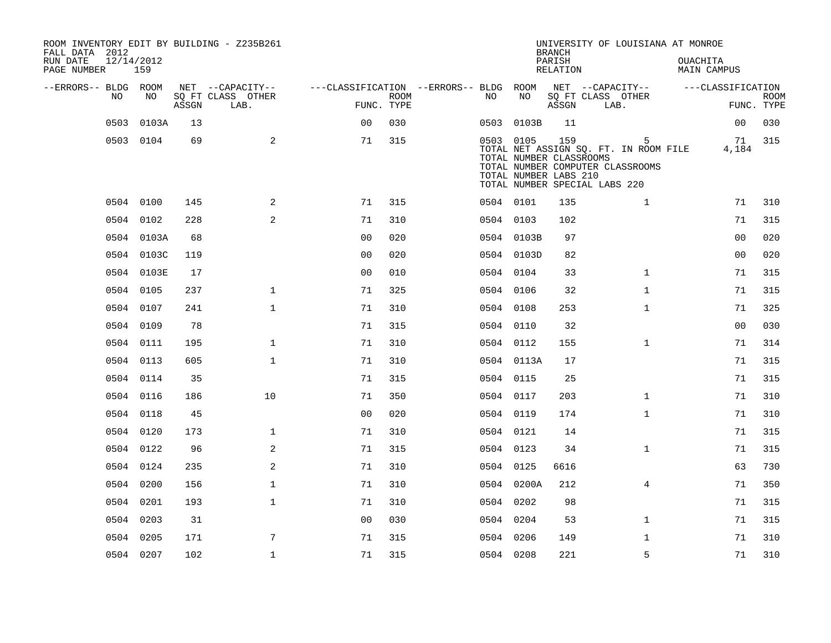| FALL DATA 2012          |            |            |       | ROOM INVENTORY EDIT BY BUILDING - Z235B261 |                                                         |                           |           |                                                               | <b>BRANCH</b>      |                               | UNIVERSITY OF LOUISIANA AT MONROE                                              |                                |                           |
|-------------------------|------------|------------|-------|--------------------------------------------|---------------------------------------------------------|---------------------------|-----------|---------------------------------------------------------------|--------------------|-------------------------------|--------------------------------------------------------------------------------|--------------------------------|---------------------------|
| RUN DATE<br>PAGE NUMBER | 12/14/2012 | 159        |       |                                            |                                                         |                           |           |                                                               | PARISH<br>RELATION |                               |                                                                                | OUACHITA<br><b>MAIN CAMPUS</b> |                           |
| --ERRORS-- BLDG ROOM    |            |            |       | NET --CAPACITY--                           | ---CLASSIFICATION --ERRORS-- BLDG ROOM NET --CAPACITY-- |                           |           |                                                               |                    |                               |                                                                                | ---CLASSIFICATION              |                           |
|                         | NO         | NO         | ASSGN | SQ FT CLASS OTHER<br>LAB.                  |                                                         | <b>ROOM</b><br>FUNC. TYPE | NO        | NO                                                            | ASSGN              | SQ FT CLASS OTHER<br>LAB.     |                                                                                |                                | <b>ROOM</b><br>FUNC. TYPE |
|                         | 0503       | 0103A      | 13    |                                            | 0 <sup>0</sup>                                          | 030                       | 0503      | 0103B                                                         | 11                 |                               |                                                                                | 0 <sub>0</sub>                 | 030                       |
|                         |            | 0503 0104  | 69    | 2                                          | 71                                                      | 315                       |           | 0503 0105<br>TOTAL NUMBER CLASSROOMS<br>TOTAL NUMBER LABS 210 | 159                | TOTAL NUMBER SPECIAL LABS 220 | 5<br>TOTAL NET ASSIGN SQ. FT. IN ROOM FILE<br>TOTAL NUMBER COMPUTER CLASSROOMS | 71<br>4,184                    | 315                       |
|                         | 0504 0100  |            | 145   | 2                                          | 71                                                      | 315                       | 0504 0101 |                                                               | 135                |                               | $\mathbf{1}$                                                                   | 71                             | 310                       |
|                         | 0504 0102  |            | 228   | 2                                          | 71                                                      | 310                       | 0504 0103 |                                                               | 102                |                               |                                                                                | 71                             | 315                       |
|                         |            | 0504 0103A | 68    |                                            | 0 <sup>0</sup>                                          | 020                       |           | 0504 0103B                                                    | 97                 |                               |                                                                                | 0 <sub>0</sub>                 | 020                       |
|                         |            | 0504 0103C | 119   |                                            | 0 <sub>0</sub>                                          | 020                       |           | 0504 0103D                                                    | 82                 |                               |                                                                                | 0 <sub>0</sub>                 | 020                       |
|                         |            | 0504 0103E | 17    |                                            | 0 <sub>0</sub>                                          | 010                       | 0504 0104 |                                                               | 33                 |                               | $\mathbf{1}$                                                                   | 71                             | 315                       |
|                         | 0504 0105  |            | 237   | $\mathbf{1}$                               | 71                                                      | 325                       | 0504 0106 |                                                               | 32                 |                               | $\mathbf{1}$                                                                   | 71                             | 315                       |
|                         | 0504 0107  |            | 241   | $\mathbf{1}$                               | 71                                                      | 310                       | 0504 0108 |                                                               | 253                |                               | $\mathbf{1}$                                                                   | 71                             | 325                       |
|                         | 0504 0109  |            | 78    |                                            | 71                                                      | 315                       | 0504 0110 |                                                               | 32                 |                               |                                                                                | 0 <sub>0</sub>                 | 030                       |
|                         | 0504 0111  |            | 195   | $\mathbf{1}$                               | 71                                                      | 310                       | 0504 0112 |                                                               | 155                |                               | $\mathbf{1}$                                                                   | 71                             | 314                       |
|                         | 0504 0113  |            | 605   | $\mathbf{1}$                               | 71                                                      | 310                       |           | 0504 0113A                                                    | 17                 |                               |                                                                                | 71                             | 315                       |
|                         | 0504 0114  |            | 35    |                                            | 71                                                      | 315                       | 0504 0115 |                                                               | 25                 |                               |                                                                                | 71                             | 315                       |
|                         | 0504 0116  |            | 186   | 10                                         | 71                                                      | 350                       | 0504 0117 |                                                               | 203                |                               | $\mathbf{1}$                                                                   | 71                             | 310                       |
|                         | 0504 0118  |            | 45    |                                            | 0 <sub>0</sub>                                          | 020                       | 0504 0119 |                                                               | 174                |                               | $\mathbf{1}$                                                                   | 71                             | 310                       |
|                         | 0504 0120  |            | 173   | $\mathbf 1$                                | 71                                                      | 310                       | 0504 0121 |                                                               | 14                 |                               |                                                                                | 71                             | 315                       |
|                         | 0504 0122  |            | 96    | 2                                          | 71                                                      | 315                       | 0504 0123 |                                                               | 34                 |                               | $\mathbf{1}$                                                                   | 71                             | 315                       |
|                         | 0504 0124  |            | 235   | 2                                          | 71                                                      | 310                       | 0504 0125 |                                                               | 6616               |                               |                                                                                | 63                             | 730                       |
|                         | 0504 0200  |            | 156   | $\mathbf{1}$                               | 71                                                      | 310                       |           | 0504 0200A                                                    | 212                |                               | 4                                                                              | 71                             | 350                       |
|                         | 0504 0201  |            | 193   | $\mathbf 1$                                | 71                                                      | 310                       | 0504 0202 |                                                               | 98                 |                               |                                                                                | 71                             | 315                       |
|                         | 0504 0203  |            | 31    |                                            | 0 <sub>0</sub>                                          | 030                       | 0504 0204 |                                                               | 53                 |                               | $\mathbf{1}$                                                                   | 71                             | 315                       |
|                         | 0504       | 0205       | 171   | 7                                          | 71                                                      | 315                       | 0504 0206 |                                                               | 149                |                               | $\mathbf{1}$                                                                   | 71                             | 310                       |
|                         | 0504 0207  |            | 102   | $\mathbf{1}$                               | 71                                                      | 315                       | 0504 0208 |                                                               | 221                |                               | 5                                                                              | 71                             | 310                       |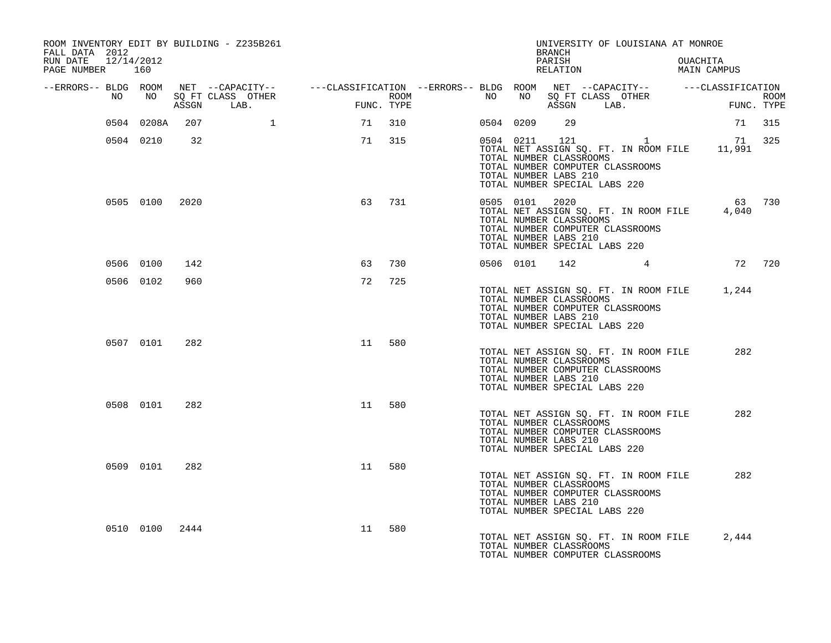| ROOM INVENTORY EDIT BY BUILDING - Z235B261<br>FALL DATA 2012<br>RUN DATE 12/14/2012<br>PAGE NUMBER 160 |                |     |                                                                                                                                                                                                                                      |        |  |                | BRANCH<br>PARISH                                                                  | UNIVERSITY OF LOUISIANA AT MONROE<br>RELATION                             | OUACHITA<br>MAIN CAMPUS                                |        |
|--------------------------------------------------------------------------------------------------------|----------------|-----|--------------------------------------------------------------------------------------------------------------------------------------------------------------------------------------------------------------------------------------|--------|--|----------------|-----------------------------------------------------------------------------------|---------------------------------------------------------------------------|--------------------------------------------------------|--------|
|                                                                                                        |                |     | ERRORS-- BLDG ROOM NET --CAPACITY--- --CLASSIFICATION --ERRORS-- BLDG ROOM NET --CAPACITY---------CLASSIFICATION--<br>NO NO SQ FT CLASS OTHER ROOM NO ROOM NO SQ FT CLASS OTHER ROOM NO ASSGN LAB.<br>ASSGN LAB. FUNC. TYPE ASSGN AS |        |  |                |                                                                                   |                                                                           | NO SQ FT CLASS OTHER THE ROOM ASSGN LAB. FUNC. TYPE    |        |
|                                                                                                        | 0504 0208A     | 207 |                                                                                                                                                                                                                                      | 71 310 |  | 0504 0209      | 29                                                                                |                                                                           |                                                        | 71 315 |
|                                                                                                        | 0504 0210      | 32  |                                                                                                                                                                                                                                      | 71 315 |  |                | TOTAL NUMBER CLASSROOMS<br>TOTAL NUMBER LABS 210<br>TOTAL NUMBER SPECIAL LABS 220 | 0504 0211 121 1<br>TOTAL NUMBER COMPUTER CLASSROOMS                       | 71 325<br>TOTAL NET ASSIGN SQ. FT. IN ROOM FILE 11,991 |        |
|                                                                                                        | 0505 0100 2020 |     | 63                                                                                                                                                                                                                                   | 731    |  | 0505 0101 2020 | TOTAL NUMBER CLASSROOMS<br>TOTAL NUMBER LABS 210<br>TOTAL NUMBER SPECIAL LABS 220 | TOTAL NET ASSIGN SQ. FT. IN ROOM FILE<br>TOTAL NUMBER COMPUTER CLASSROOMS | 63 730<br>4,040                                        |        |
|                                                                                                        | 0506 0100      | 142 | 63                                                                                                                                                                                                                                   | 730    |  |                |                                                                                   |                                                                           | 0506 0101 142 4 72 720                                 |        |
|                                                                                                        | 0506 0102      | 960 | 72                                                                                                                                                                                                                                   | 725    |  |                | TOTAL NUMBER CLASSROOMS<br>TOTAL NUMBER LABS 210<br>TOTAL NUMBER SPECIAL LABS 220 | TOTAL NUMBER COMPUTER CLASSROOMS                                          | TOTAL NET ASSIGN SQ. FT. IN ROOM FILE 1,244            |        |
|                                                                                                        | 0507 0101      | 282 | 11                                                                                                                                                                                                                                   | 580    |  |                | TOTAL NUMBER CLASSROOMS<br>TOTAL NUMBER LABS 210<br>TOTAL NUMBER SPECIAL LABS 220 | TOTAL NET ASSIGN SQ. FT. IN ROOM FILE<br>TOTAL NUMBER COMPUTER CLASSROOMS | 282                                                    |        |
|                                                                                                        | 0508 0101      | 282 | 11                                                                                                                                                                                                                                   | 580    |  |                | TOTAL NUMBER CLASSROOMS<br>TOTAL NUMBER LABS 210<br>TOTAL NUMBER SPECIAL LABS 220 | TOTAL NET ASSIGN SQ. FT. IN ROOM FILE<br>TOTAL NUMBER COMPUTER CLASSROOMS | 282                                                    |        |
|                                                                                                        | 0509 0101      | 282 | 11 580                                                                                                                                                                                                                               |        |  |                | TOTAL NUMBER CLASSROOMS<br>TOTAL NUMBER LABS 210<br>TOTAL NUMBER SPECIAL LABS 220 | TOTAL NET ASSIGN SO. FT. IN ROOM FILE<br>TOTAL NUMBER COMPUTER CLASSROOMS | 282                                                    |        |
|                                                                                                        | 0510 0100 2444 |     | 11                                                                                                                                                                                                                                   | 580    |  |                | TOTAL NUMBER CLASSROOMS                                                           | TOTAL NET ASSIGN SO. FT. IN ROOM FILE<br>TOTAL NUMBER COMPUTER CLASSROOMS | 2,444                                                  |        |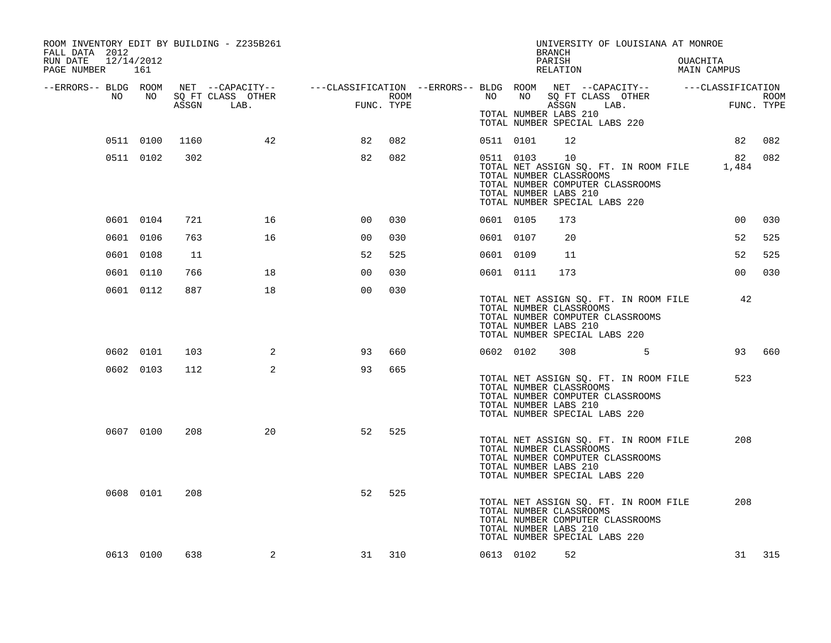| ROOM INVENTORY EDIT BY BUILDING - Z235B261<br>FALL DATA 2012 |           |      |    |                                                                                                                                                                                                    |        |           |           | UNIVERSITY OF LOUISIANA AT MONROE<br><b>BRANCH</b>                                                                                                                         |                |                         |     |        |
|--------------------------------------------------------------|-----------|------|----|----------------------------------------------------------------------------------------------------------------------------------------------------------------------------------------------------|--------|-----------|-----------|----------------------------------------------------------------------------------------------------------------------------------------------------------------------------|----------------|-------------------------|-----|--------|
| RUN DATE<br>12/14/2012<br>PAGE NUMBER 161                    |           |      |    |                                                                                                                                                                                                    |        |           |           | PARISH<br>RELATION                                                                                                                                                         |                | OUACHITA<br>MAIN CAMPUS |     |        |
| --ERRORS-- BLDG ROOM<br>NO                                   | NO        |      |    | NET --CAPACITY-- ----CLASSIFICATION --ERRORS--- BLDG ROOM NET --CAPACITY-- ------CLASSIFICATION<br>SQ FT CLASS OTHER ROOM NO SQ FT CLASS OTHER ROOM<br>ASSGN LAB. FUNC. TYPE ASSGN LAB. FUNC. TYPE |        |           |           |                                                                                                                                                                            |                |                         |     |        |
|                                                              |           |      |    |                                                                                                                                                                                                    |        |           |           | TOTAL NUMBER LABS 210<br>TOTAL NUMBER SPECIAL LABS 220                                                                                                                     |                |                         |     |        |
|                                                              | 0511 0100 | 1160 | 42 | 82                                                                                                                                                                                                 | 082    |           | 0511 0101 | 12                                                                                                                                                                         |                |                         | 82  | 082    |
|                                                              | 0511 0102 | 302  |    | 82                                                                                                                                                                                                 | 082    |           | 0511 0103 | 10<br>TOTAL NET ASSIGN SQ. FT. IN ROOM FILE 1,484<br>TOTAL NUMBER CLASSROOMS<br>TOTAL NUMBER COMPUTER CLASSROOMS<br>TOTAL NUMBER LABS 210<br>TOTAL NUMBER SPECIAL LABS 220 |                |                         | 82  | 082    |
|                                                              | 0601 0104 | 721  | 16 | 00                                                                                                                                                                                                 | 030    | 0601 0105 |           | 173                                                                                                                                                                        |                |                         | 00  | 030    |
|                                                              | 0601 0106 | 763  | 16 | 00                                                                                                                                                                                                 | 030    | 0601 0107 |           | 20                                                                                                                                                                         |                |                         | 52  | 525    |
|                                                              | 0601 0108 | 11   |    | 52                                                                                                                                                                                                 | 525    | 0601 0109 |           | 11                                                                                                                                                                         |                |                         | 52  | 525    |
|                                                              | 0601 0110 | 766  | 18 | 0 <sub>0</sub>                                                                                                                                                                                     | 030    | 0601 0111 |           | 173                                                                                                                                                                        |                |                         | 00  | 030    |
|                                                              | 0601 0112 | 887  | 18 | 0 <sup>0</sup>                                                                                                                                                                                     | 030    |           |           | TOTAL NET ASSIGN SQ. FT. IN ROOM FILE<br>TOTAL NUMBER CLASSROOMS<br>TOTAL NUMBER COMPUTER CLASSROOMS<br>TOTAL NUMBER LABS 210<br>TOTAL NUMBER SPECIAL LABS 220             |                |                         | 42  |        |
|                                                              | 0602 0101 | 103  | 2  | 93                                                                                                                                                                                                 | 660    |           | 0602 0102 | 308                                                                                                                                                                        | 5 <sub>1</sub> |                         |     | 93 660 |
|                                                              | 0602 0103 | 112  | 2  | 93                                                                                                                                                                                                 | 665    |           |           | TOTAL NET ASSIGN SQ. FT. IN ROOM FILE<br>TOTAL NUMBER CLASSROOMS<br>TOTAL NUMBER COMPUTER CLASSROOMS<br>TOTAL NUMBER LABS 210<br>TOTAL NUMBER SPECIAL LABS 220             |                |                         | 523 |        |
|                                                              | 0607 0100 | 208  | 20 | 52                                                                                                                                                                                                 | 525    |           |           | TOTAL NET ASSIGN SQ. FT. IN ROOM FILE<br>TOTAL NUMBER CLASSROOMS<br>TOTAL NUMBER COMPUTER CLASSROOMS<br>TOTAL NUMBER LABS 210<br>TOTAL NUMBER SPECIAL LABS 220             |                |                         | 208 |        |
|                                                              | 0608 0101 | 208  |    | 52                                                                                                                                                                                                 | 525    |           |           | TOTAL NET ASSIGN SQ. FT. IN ROOM FILE<br>TOTAL NUMBER CLASSROOMS<br>TOTAL NUMBER COMPUTER CLASSROOMS<br>TOTAL NUMBER LABS 210<br>TOTAL NUMBER SPECIAL LABS 220             |                |                         | 208 |        |
|                                                              | 0613 0100 | 638  | 2  |                                                                                                                                                                                                    | 31 310 | 0613 0102 |           | 52                                                                                                                                                                         |                |                         | 31  | 315    |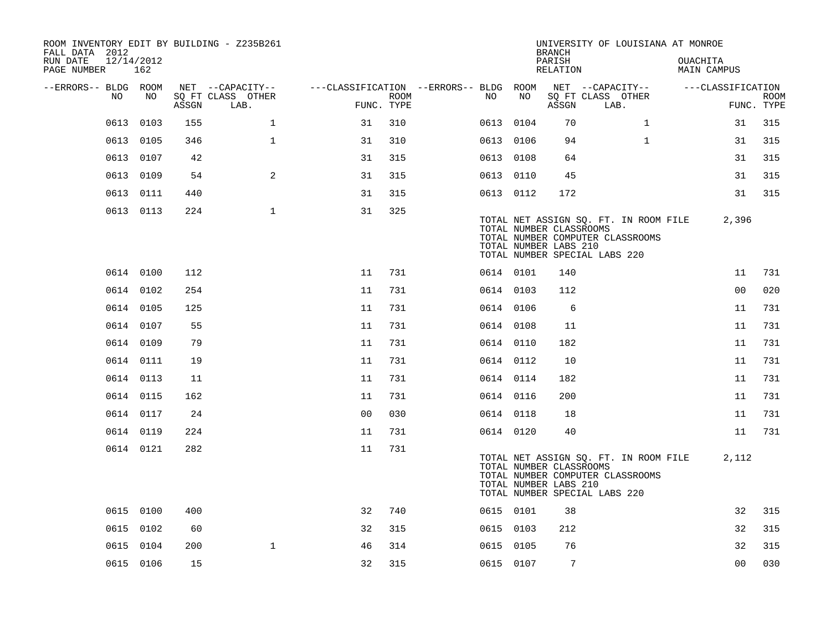| ROOM INVENTORY EDIT BY BUILDING - Z235B261<br>FALL DATA 2012 |                   |       |                           |                                        |      |           |    | <b>BRANCH</b>                                    | UNIVERSITY OF LOUISIANA AT MONROE                                                                          |                                |                           |
|--------------------------------------------------------------|-------------------|-------|---------------------------|----------------------------------------|------|-----------|----|--------------------------------------------------|------------------------------------------------------------------------------------------------------------|--------------------------------|---------------------------|
| RUN DATE<br>PAGE NUMBER                                      | 12/14/2012<br>162 |       |                           |                                        |      |           |    | PARISH<br>RELATION                               |                                                                                                            | OUACHITA<br><b>MAIN CAMPUS</b> |                           |
| --ERRORS-- BLDG ROOM                                         |                   |       | NET --CAPACITY--          | ---CLASSIFICATION --ERRORS-- BLDG ROOM |      |           |    |                                                  | NET --CAPACITY--                                                                                           | ---CLASSIFICATION              |                           |
| NO                                                           | NO                | ASSGN | SQ FT CLASS OTHER<br>LAB. | FUNC. TYPE                             | ROOM | NO        | NO | ASSGN                                            | SQ FT CLASS OTHER<br>LAB.                                                                                  |                                | <b>ROOM</b><br>FUNC. TYPE |
| 0613                                                         | 0103              | 155   | $\mathbf{1}$              | 31                                     | 310  | 0613 0104 |    | 70                                               | $\mathbf{1}$                                                                                               | 31                             | 315                       |
|                                                              | 0613 0105         | 346   | $\mathbf{1}$              | 31                                     | 310  | 0613 0106 |    | 94                                               | $\mathbf{1}$                                                                                               | 31                             | 315                       |
|                                                              | 0613 0107         | 42    |                           | 31                                     | 315  | 0613 0108 |    | 64                                               |                                                                                                            | 31                             | 315                       |
|                                                              | 0613 0109         | 54    | 2                         | 31                                     | 315  | 0613 0110 |    | 45                                               |                                                                                                            | 31                             | 315                       |
|                                                              | 0613 0111         | 440   |                           | 31                                     | 315  | 0613 0112 |    | 172                                              |                                                                                                            | 31                             | 315                       |
|                                                              | 0613 0113         | 224   | $\mathbf{1}$              | 31                                     | 325  |           |    | TOTAL NUMBER CLASSROOMS<br>TOTAL NUMBER LABS 210 | TOTAL NET ASSIGN SQ. FT. IN ROOM FILE<br>TOTAL NUMBER COMPUTER CLASSROOMS<br>TOTAL NUMBER SPECIAL LABS 220 | 2,396                          |                           |
|                                                              | 0614 0100         | 112   |                           | 11                                     | 731  | 0614 0101 |    | 140                                              |                                                                                                            | 11                             | 731                       |
|                                                              | 0614 0102         | 254   |                           | 11                                     | 731  | 0614 0103 |    | 112                                              |                                                                                                            | 0 <sub>0</sub>                 | 020                       |
|                                                              | 0614 0105         | 125   |                           | 11                                     | 731  | 0614 0106 |    | 6                                                |                                                                                                            | 11                             | 731                       |
|                                                              | 0614 0107         | 55    |                           | 11                                     | 731  | 0614 0108 |    | 11                                               |                                                                                                            | 11                             | 731                       |
|                                                              | 0614 0109         | 79    |                           | 11                                     | 731  | 0614 0110 |    | 182                                              |                                                                                                            | 11                             | 731                       |
|                                                              | 0614 0111         | 19    |                           | 11                                     | 731  | 0614 0112 |    | 10                                               |                                                                                                            | 11                             | 731                       |
|                                                              | 0614 0113         | 11    |                           | 11                                     | 731  | 0614 0114 |    | 182                                              |                                                                                                            | 11                             | 731                       |
|                                                              | 0614 0115         | 162   |                           | 11                                     | 731  | 0614 0116 |    | 200                                              |                                                                                                            | 11                             | 731                       |
|                                                              | 0614 0117         | 24    |                           | 0 <sub>0</sub>                         | 030  | 0614 0118 |    | 18                                               |                                                                                                            | 11                             | 731                       |
|                                                              | 0614 0119         | 224   |                           | 11                                     | 731  | 0614 0120 |    | 40                                               |                                                                                                            | 11                             | 731                       |
|                                                              | 0614 0121         | 282   |                           | 11                                     | 731  |           |    | TOTAL NUMBER CLASSROOMS<br>TOTAL NUMBER LABS 210 | TOTAL NET ASSIGN SQ. FT. IN ROOM FILE<br>TOTAL NUMBER COMPUTER CLASSROOMS<br>TOTAL NUMBER SPECIAL LABS 220 | 2,112                          |                           |
|                                                              | 0615 0100         | 400   |                           | 32                                     | 740  | 0615 0101 |    | 38                                               |                                                                                                            | 32                             | 315                       |
|                                                              | 0615 0102         | 60    |                           | 32                                     | 315  | 0615 0103 |    | 212                                              |                                                                                                            | 32                             | 315                       |
|                                                              | 0615 0104         | 200   | $\mathbf{1}$              | 46                                     | 314  | 0615 0105 |    | 76                                               |                                                                                                            | 32                             | 315                       |
|                                                              | 0615 0106         | 15    |                           | 32                                     | 315  | 0615 0107 |    | $7\phantom{.0}$                                  |                                                                                                            | 0 <sub>0</sub>                 | 030                       |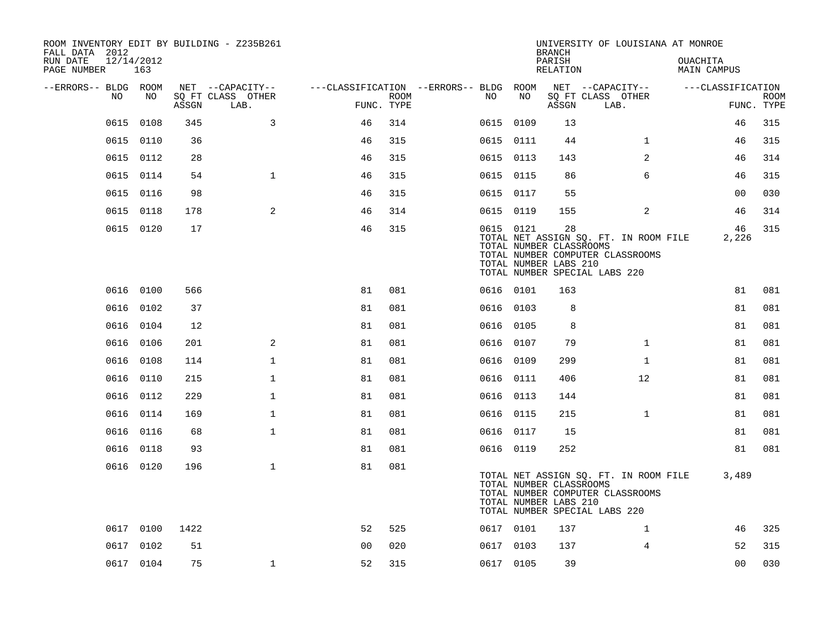| ROOM INVENTORY EDIT BY BUILDING - Z235B261<br>FALL DATA 2012 |                   |       |                           |                                        |             |           |    | <b>BRANCH</b>                                          | UNIVERSITY OF LOUISIANA AT MONROE                                                                          |                                |                           |
|--------------------------------------------------------------|-------------------|-------|---------------------------|----------------------------------------|-------------|-----------|----|--------------------------------------------------------|------------------------------------------------------------------------------------------------------------|--------------------------------|---------------------------|
| RUN DATE<br>PAGE NUMBER                                      | 12/14/2012<br>163 |       |                           |                                        |             |           |    | PARISH<br>RELATION                                     |                                                                                                            | OUACHITA<br><b>MAIN CAMPUS</b> |                           |
| --ERRORS-- BLDG ROOM                                         |                   |       | NET --CAPACITY--          | ---CLASSIFICATION --ERRORS-- BLDG ROOM |             |           |    |                                                        | NET --CAPACITY--                                                                                           | ---CLASSIFICATION              |                           |
| NO.                                                          | NO.               | ASSGN | SQ FT CLASS OTHER<br>LAB. | FUNC. TYPE                             | <b>ROOM</b> | NO.       | NO | ASSGN                                                  | SQ FT CLASS OTHER<br>LAB.                                                                                  |                                | <b>ROOM</b><br>FUNC. TYPE |
| 0615                                                         | 0108              | 345   | 3                         | 46                                     | 314         | 0615 0109 |    | 13                                                     |                                                                                                            | 46                             | 315                       |
|                                                              | 0615 0110         | 36    |                           | 46                                     | 315         | 0615 0111 |    | 44                                                     | $\mathbf{1}$                                                                                               | 46                             | 315                       |
|                                                              | 0615 0112         | 28    |                           | 46                                     | 315         | 0615 0113 |    | 143                                                    | $\overline{2}$                                                                                             | 46                             | 314                       |
|                                                              | 0615 0114         | 54    | $\mathbf{1}$              | 46                                     | 315         | 0615 0115 |    | 86                                                     | 6                                                                                                          | 46                             | 315                       |
|                                                              | 0615 0116         | 98    |                           | 46                                     | 315         | 0615 0117 |    | 55                                                     |                                                                                                            | 0 <sub>0</sub>                 | 030                       |
|                                                              | 0615 0118         | 178   | 2                         | 46                                     | 314         | 0615 0119 |    | 155                                                    | 2                                                                                                          | 46                             | 314                       |
|                                                              | 0615 0120         | 17    |                           | 46                                     | 315         | 0615 0121 |    | 28<br>TOTAL NUMBER CLASSROOMS<br>TOTAL NUMBER LABS 210 | TOTAL NET ASSIGN SQ. FT. IN ROOM FILE<br>TOTAL NUMBER COMPUTER CLASSROOMS<br>TOTAL NUMBER SPECIAL LABS 220 | 46<br>2,226                    | 315                       |
|                                                              | 0616 0100         | 566   |                           | 81                                     | 081         | 0616 0101 |    | 163                                                    |                                                                                                            | 81                             | 081                       |
|                                                              | 0616 0102         | 37    |                           | 81                                     | 081         | 0616 0103 |    | 8                                                      |                                                                                                            | 81                             | 081                       |
|                                                              | 0616 0104         | 12    |                           | 81                                     | 081         | 0616 0105 |    | 8                                                      |                                                                                                            | 81                             | 081                       |
|                                                              | 0616 0106         | 201   | 2                         | 81                                     | 081         | 0616 0107 |    | 79                                                     | $\mathbf{1}$                                                                                               | 81                             | 081                       |
|                                                              | 0616 0108         | 114   | $\mathbf 1$               | 81                                     | 081         | 0616 0109 |    | 299                                                    | $\mathbf{1}$                                                                                               | 81                             | 081                       |
| 0616                                                         | 0110              | 215   | $\mathbf{1}$              | 81                                     | 081         | 0616 0111 |    | 406                                                    | 12                                                                                                         | 81                             | 081                       |
|                                                              | 0616 0112         | 229   | $\mathbf 1$               | 81                                     | 081         | 0616 0113 |    | 144                                                    |                                                                                                            | 81                             | 081                       |
|                                                              | 0616 0114         | 169   | $\mathbf{1}$              | 81                                     | 081         | 0616 0115 |    | 215                                                    | $\mathbf{1}$                                                                                               | 81                             | 081                       |
|                                                              | 0616 0116         | 68    | $\mathbf{1}$              | 81                                     | 081         | 0616 0117 |    | 15                                                     |                                                                                                            | 81                             | 081                       |
| 0616                                                         | 0118              | 93    |                           | 81                                     | 081         | 0616 0119 |    | 252                                                    |                                                                                                            | 81                             | 081                       |
|                                                              | 0616 0120         | 196   | $\mathbf{1}$              | 81                                     | 081         |           |    | TOTAL NUMBER CLASSROOMS<br>TOTAL NUMBER LABS 210       | TOTAL NET ASSIGN SQ. FT. IN ROOM FILE<br>TOTAL NUMBER COMPUTER CLASSROOMS<br>TOTAL NUMBER SPECIAL LABS 220 | 3,489                          |                           |
|                                                              | 0617 0100         | 1422  |                           | 52                                     | 525         | 0617 0101 |    | 137                                                    | $\mathbf{1}$                                                                                               | 46                             | 325                       |
|                                                              | 0617 0102         | 51    |                           | 0 <sub>0</sub>                         | 020         | 0617 0103 |    | 137                                                    | 4                                                                                                          | 52                             | 315                       |
|                                                              | 0617 0104         | 75    | $\mathbf 1$               | 52                                     | 315         | 0617 0105 |    | 39                                                     |                                                                                                            | 0 <sub>0</sub>                 | 030                       |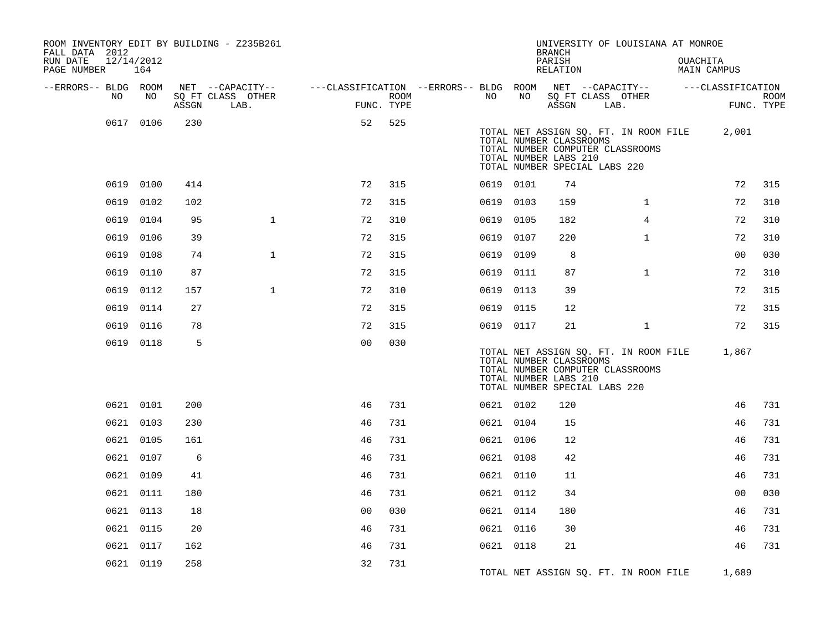| ROOM INVENTORY EDIT BY BUILDING - Z235B261<br>FALL DATA 2012 |                   |       |                           |                                        |      |           |      | <b>BRANCH</b>                                                                     | UNIVERSITY OF LOUISIANA AT MONROE                                         |          |                                    |                           |
|--------------------------------------------------------------|-------------------|-------|---------------------------|----------------------------------------|------|-----------|------|-----------------------------------------------------------------------------------|---------------------------------------------------------------------------|----------|------------------------------------|---------------------------|
| RUN DATE<br>PAGE NUMBER                                      | 12/14/2012<br>164 |       |                           |                                        |      |           |      | PARISH<br>RELATION                                                                |                                                                           | OUACHITA | <b>MAIN CAMPUS</b>                 |                           |
| --ERRORS-- BLDG ROOM                                         |                   |       | NET --CAPACITY--          | ---CLASSIFICATION --ERRORS-- BLDG ROOM |      |           |      |                                                                                   |                                                                           |          | NET --CAPACITY-- ---CLASSIFICATION |                           |
| NO                                                           | NO                | ASSGN | SQ FT CLASS OTHER<br>LAB. | FUNC. TYPE                             | ROOM | NO        | NO   | ASSGN                                                                             | SQ FT CLASS OTHER<br>LAB.                                                 |          |                                    | <b>ROOM</b><br>FUNC. TYPE |
|                                                              | 0617 0106         | 230   |                           | 52                                     | 525  |           |      |                                                                                   |                                                                           |          |                                    |                           |
|                                                              |                   |       |                           |                                        |      |           |      | TOTAL NUMBER CLASSROOMS<br>TOTAL NUMBER LABS 210<br>TOTAL NUMBER SPECIAL LABS 220 | TOTAL NET ASSIGN SQ. FT. IN ROOM FILE<br>TOTAL NUMBER COMPUTER CLASSROOMS |          | 2,001                              |                           |
|                                                              | 0619 0100         | 414   |                           | 72                                     | 315  | 0619 0101 |      | 74                                                                                |                                                                           |          | 72                                 | 315                       |
| 0619                                                         | 0102              | 102   |                           | 72                                     | 315  | 0619 0103 |      | 159                                                                               | $\mathbf{1}$                                                              |          | 72                                 | 310                       |
| 0619                                                         | 0104              | 95    | $\mathbf{1}$              | 72                                     | 310  | 0619 0105 |      | 182                                                                               | $\overline{4}$                                                            |          | 72                                 | 310                       |
| 0619                                                         | 0106              | 39    |                           | 72                                     | 315  | 0619      | 0107 | 220                                                                               | $\mathbf{1}$                                                              |          | 72                                 | 310                       |
| 0619                                                         | 0108              | 74    | $\mathbf{1}$              | 72                                     | 315  | 0619 0109 |      | 8                                                                                 |                                                                           |          | 0 <sub>0</sub>                     | 030                       |
| 0619                                                         | 0110              | 87    |                           | 72                                     | 315  | 0619 0111 |      | 87                                                                                | $\mathbf{1}$                                                              |          | 72                                 | 310                       |
| 0619                                                         | 0112              | 157   | $\mathbf{1}$              | 72                                     | 310  | 0619 0113 |      | 39                                                                                |                                                                           |          | 72                                 | 315                       |
| 0619                                                         | 0114              | 27    |                           | 72                                     | 315  | 0619 0115 |      | 12                                                                                |                                                                           |          | 72                                 | 315                       |
| 0619                                                         | 0116              | 78    |                           | 72                                     | 315  | 0619 0117 |      | 21                                                                                | $\mathbf{1}$                                                              |          | 72                                 | 315                       |
|                                                              | 0619 0118         | 5     |                           | 0 <sub>0</sub>                         | 030  |           |      | TOTAL NUMBER CLASSROOMS<br>TOTAL NUMBER LABS 210<br>TOTAL NUMBER SPECIAL LABS 220 | TOTAL NET ASSIGN SQ. FT. IN ROOM FILE<br>TOTAL NUMBER COMPUTER CLASSROOMS |          | 1,867                              |                           |
|                                                              | 0621 0101         | 200   |                           | 46                                     | 731  | 0621 0102 |      | 120                                                                               |                                                                           |          | 46                                 | 731                       |
|                                                              | 0621 0103         | 230   |                           | 46                                     | 731  | 0621 0104 |      | 15                                                                                |                                                                           |          | 46                                 | 731                       |
|                                                              | 0621 0105         | 161   |                           | 46                                     | 731  | 0621 0106 |      | 12                                                                                |                                                                           |          | 46                                 | 731                       |
|                                                              | 0621 0107         | 6     |                           | 46                                     | 731  | 0621 0108 |      | 42                                                                                |                                                                           |          | 46                                 | 731                       |
|                                                              | 0621 0109         | 41    |                           | 46                                     | 731  | 0621 0110 |      | 11                                                                                |                                                                           |          | 46                                 | 731                       |
|                                                              | 0621 0111         | 180   |                           | 46                                     | 731  | 0621 0112 |      | 34                                                                                |                                                                           |          | 0 <sub>0</sub>                     | 030                       |
|                                                              | 0621 0113         | 18    |                           | 0 <sub>0</sub>                         | 030  | 0621 0114 |      | 180                                                                               |                                                                           |          | 46                                 | 731                       |
|                                                              | 0621 0115         | 20    |                           | 46                                     | 731  | 0621 0116 |      | 30                                                                                |                                                                           |          | 46                                 | 731                       |
|                                                              | 0621 0117         | 162   |                           | 46                                     | 731  | 0621 0118 |      | 21                                                                                |                                                                           |          | 46                                 | 731                       |
|                                                              | 0621 0119         | 258   |                           | 32                                     | 731  |           |      |                                                                                   | TOTAL NET ASSIGN SQ. FT. IN ROOM FILE                                     |          | 1,689                              |                           |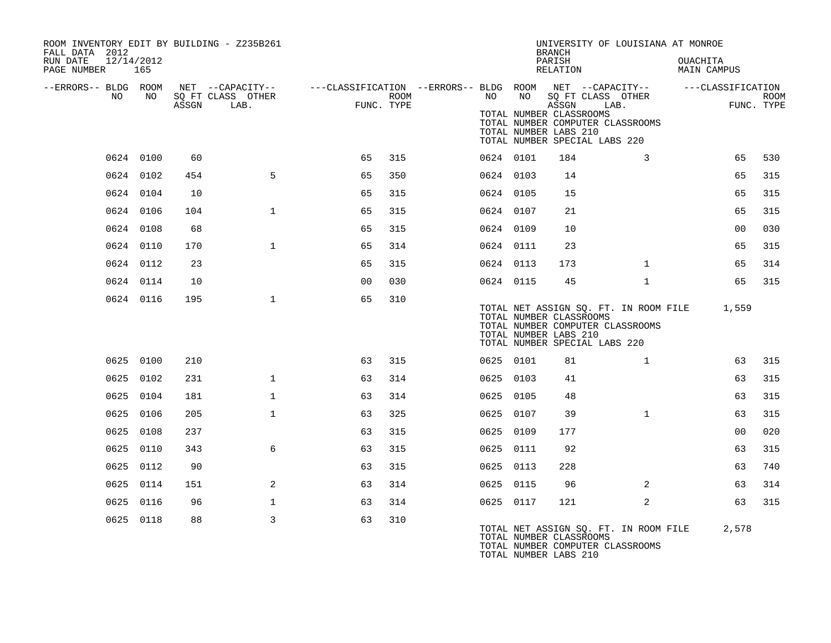| ROOM INVENTORY EDIT BY BUILDING - Z235B261<br>FALL DATA 2012 |           |       |                   |                |      | UNIVERSITY OF LOUISIANA AT MONROE<br><b>BRANCH</b>                                                                                                                   |      |
|--------------------------------------------------------------|-----------|-------|-------------------|----------------|------|----------------------------------------------------------------------------------------------------------------------------------------------------------------------|------|
| 12/14/2012<br>RUN DATE<br>PAGE NUMBER 165                    |           |       |                   |                |      | PARISH<br>OUACHITA<br>RELATION<br>MAIN CAMPUS                                                                                                                        |      |
| --ERRORS-- BLDG ROOM<br>NO                                   | NO        |       | SQ FT CLASS OTHER |                | ROOM | NET --CAPACITY-- - ---CLASSIFICATION --ERRORS-- BLDG ROOM NET --CAPACITY-- - ---CLASSIFICATION<br>NO <sub>1</sub><br>SQ FT CLASS OTHER<br>NO 1                       | ROOM |
|                                                              |           | ASSGN | LAB.              | FUNC. TYPE     |      | FUNC. TYPE<br>ASSGN LAB.<br>TOTAL NUMBER CLASSROOMS<br>TOTAL NUMBER COMPUTER CLASSROOMS<br>TOTAL NUMBER LABS 210<br>TOTAL NUMBER SPECIAL LABS 220                    |      |
|                                                              | 0624 0100 | 60    |                   | 65             | 315  | 0624 0101<br>184<br>65<br>3                                                                                                                                          | 530  |
|                                                              | 0624 0102 | 454   | 5                 | 65             | 350  | 65<br>0624 0103<br>14                                                                                                                                                | 315  |
|                                                              | 0624 0104 | 10    |                   | 65             | 315  | 65<br>0624 0105<br>15                                                                                                                                                | 315  |
|                                                              | 0624 0106 | 104   | $\mathbf{1}$      | 65             | 315  | 0624 0107<br>21<br>65                                                                                                                                                | 315  |
|                                                              | 0624 0108 | 68    |                   | 65             | 315  | 0624 0109<br>0 <sub>0</sub><br>10                                                                                                                                    | 030  |
|                                                              | 0624 0110 | 170   | $\mathbf{1}$      | 65             | 314  | 0624 0111<br>23<br>65                                                                                                                                                | 315  |
|                                                              | 0624 0112 | 23    |                   | 65             | 315  | 0624 0113<br>173<br>$\mathbf{1}$<br>65                                                                                                                               | 314  |
|                                                              | 0624 0114 | 10    |                   | 0 <sub>0</sub> | 030  | $\mathbf{1}$<br>65<br>0624 0115<br>45                                                                                                                                | 315  |
|                                                              | 0624 0116 | 195   | $\mathbf{1}$      | 65             | 310  | TOTAL NET ASSIGN SQ. FT. IN ROOM FILE 1,559<br>TOTAL NUMBER CLASSROOMS<br>TOTAL NUMBER COMPUTER CLASSROOMS<br>TOTAL NUMBER LABS 210<br>TOTAL NUMBER SPECIAL LABS 220 |      |
|                                                              | 0625 0100 | 210   |                   | 63             | 315  | 0625 0101<br>81<br>$\mathbf{1}$<br>63                                                                                                                                | 315  |
|                                                              | 0625 0102 | 231   | $\mathbf{1}$      | 63             | 314  | 0625 0103<br>63<br>41                                                                                                                                                | 315  |
|                                                              | 0625 0104 | 181   | $\mathbf 1$       | 63             | 314  | 0625 0105<br>48<br>63                                                                                                                                                | 315  |
|                                                              | 0625 0106 | 205   | $\mathbf{1}$      | 63             | 325  | $\mathbf{1}$<br>63<br>0625 0107<br>39                                                                                                                                | 315  |
|                                                              | 0625 0108 | 237   |                   | 63             | 315  | 0625 0109<br>177<br>00                                                                                                                                               | 020  |
|                                                              | 0625 0110 | 343   | 6                 | 63             | 315  | 92<br>0625 0111<br>63                                                                                                                                                | 315  |
|                                                              | 0625 0112 | 90    |                   | 63             | 315  | 0625 0113<br>228<br>63                                                                                                                                               | 740  |
|                                                              | 0625 0114 | 151   | 2                 | 63             | 314  | 2<br>0625 0115<br>96<br>63                                                                                                                                           | 314  |
|                                                              | 0625 0116 | 96    | $\mathbf{1}$      | 63             | 314  | 2<br>0625 0117<br>121<br>63                                                                                                                                          | 315  |
|                                                              | 0625 0118 | 88    | 3                 | 63             | 310  | 2,578<br>TOTAL NET ASSIGN SQ. FT. IN ROOM FILE<br>TOTAL NUMBER CLASSROOMS<br>TOTAL NUMBER COMPUTER CLASSROOMS<br>TOTAL NUMBER LABS 210                               |      |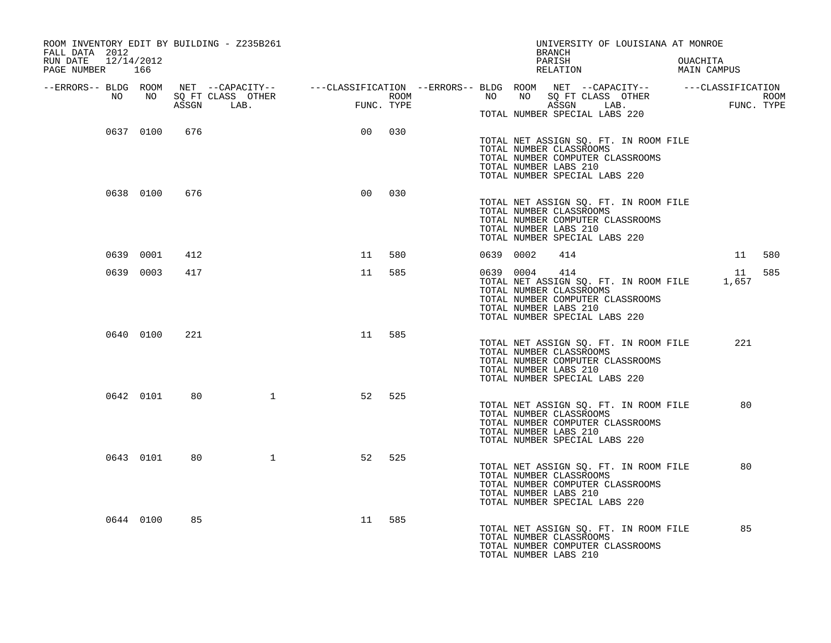| ROOM INVENTORY EDIT BY BUILDING - Z235B261<br>FALL DATA 2012 |           |     |              |                |     | UNIVERSITY OF LOUISIANA AT MONROE<br>BRANCH                                                                                                                                                                                                      |                         |
|--------------------------------------------------------------|-----------|-----|--------------|----------------|-----|--------------------------------------------------------------------------------------------------------------------------------------------------------------------------------------------------------------------------------------------------|-------------------------|
| RUN DATE 12/14/2012<br>PAGE NUMBER 166                       |           |     |              |                |     | PARISH<br>RELATION                                                                                                                                                                                                                               | OUACHITA<br>MAIN CAMPUS |
|                                                              |           |     |              |                |     | --ERRORS-- BLDG ROOM NET --CAPACITY---------CLASSIFICATION--ERRORS-- BLDG ROOM NET --CAPACITY----------------<br>NO NO SONT CLASS OTHER ROOM ROOM ROOM NO SONT CLASS OTHER ROOM RET CLASS OTHER ROOM ASSGN DAB.<br>TOTAL NUMBER SPECIAL LABS 220 |                         |
|                                                              | 0637 0100 | 676 |              | 00             | 030 | TOTAL NET ASSIGN SQ. FT. IN ROOM FILE<br>TOTAL NUMBER CLASSROOMS<br>TOTAL NUMBER COMPUTER CLASSROOMS<br>TOTAL NUMBER LABS 210<br>TOTAL NUMBER SPECIAL LABS 220                                                                                   |                         |
|                                                              | 0638 0100 | 676 |              | 0 <sub>0</sub> | 030 | TOTAL NET ASSIGN SQ. FT. IN ROOM FILE<br>TOTAL NUMBER CLASSROOMS<br>TOTAL NUMBER COMPUTER CLASSROOMS<br>TOTAL NUMBER LABS 210<br>TOTAL NUMBER SPECIAL LABS 220                                                                                   |                         |
|                                                              | 0639 0001 | 412 |              | 11 580         |     | 0639 0002<br>414                                                                                                                                                                                                                                 | 11 580                  |
|                                                              | 0639 0003 | 417 |              | 11             | 585 | 0639 0004<br>414<br>TOTAL NET ASSIGN SQ. FT. IN ROOM FILE<br>TOTAL NUMBER CLASSROOMS<br>TOTAL NUMBER COMPUTER CLASSROOMS<br>TOTAL NUMBER LABS 210<br>TOTAL NUMBER SPECIAL LABS 220                                                               | 585<br>11<br>1,657      |
|                                                              | 0640 0100 | 221 |              | 11             | 585 | TOTAL NET ASSIGN SQ. FT. IN ROOM FILE<br>TOTAL NUMBER CLASSROOMS<br>TOTAL NUMBER COMPUTER CLASSROOMS<br>TOTAL NUMBER LABS 210<br>TOTAL NUMBER SPECIAL LABS 220                                                                                   | 221                     |
|                                                              | 0642 0101 | 80  | $\mathbf{1}$ | 52             | 525 | TOTAL NET ASSIGN SQ. FT. IN ROOM FILE<br>TOTAL NUMBER CLASSROOMS<br>TOTAL NUMBER COMPUTER CLASSROOMS<br>TOTAL NUMBER LABS 210<br>TOTAL NUMBER SPECIAL LABS 220                                                                                   | 80                      |
|                                                              | 0643 0101 | 80  | $\mathbf{1}$ | 52             | 525 | TOTAL NET ASSIGN SQ. FT. IN ROOM FILE<br>TOTAL NUMBER CLASSROOMS<br>TOTAL NUMBER COMPUTER CLASSROOMS<br>TOTAL NUMBER LABS 210<br>TOTAL NUMBER SPECIAL LABS 220                                                                                   | 80                      |
|                                                              | 0644 0100 | 85  |              | 11             | 585 | TOTAL NET ASSIGN SQ. FT. IN ROOM FILE<br>TOTAL NUMBER CLASSROOMS<br>TOTAL NUMBER COMPUTER CLASSROOMS<br>TOTAL NUMBER LABS 210                                                                                                                    | 85                      |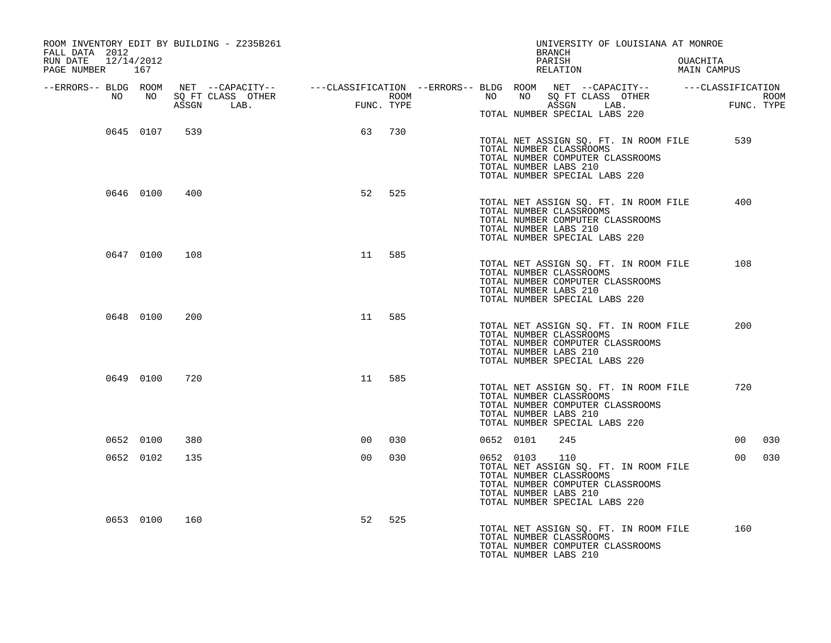| ROOM INVENTORY EDIT BY BUILDING - Z235B261<br>FALL DATA 2012<br>RUN DATE 12/14/2012 |           |     |                |        | UNIVERSITY OF LOUISIANA AT MONROE<br>BRANCH<br>PARISH                                                                                                                                                                                | OUACHITA              |
|-------------------------------------------------------------------------------------|-----------|-----|----------------|--------|--------------------------------------------------------------------------------------------------------------------------------------------------------------------------------------------------------------------------------------|-----------------------|
| PAGE NUMBER 167                                                                     |           |     |                |        | RELATION                                                                                                                                                                                                                             | MAIN CAMPUS           |
|                                                                                     |           |     |                |        | ERRORS-- BLDG ROOM NET --CAPACITY--- --CLASSIFICATION--ERRORS-- BLDG ROOM NET --CAPACITY----------CLASSIFICATION--<br>NO NO SQ FT CLASS OTHER ROOM NO ROOM NO SQ FT CLASS OTHER ROOM<br>ASSGN LAB. FUNC. TYPE ASSGN ASSGN LAB. FUNC. |                       |
|                                                                                     |           |     |                |        | TOTAL NUMBER SPECIAL LABS 220                                                                                                                                                                                                        |                       |
|                                                                                     | 0645 0107 | 539 | 63             | 730    | TOTAL NET ASSIGN SQ. FT. IN ROOM FILE<br>TOTAL NUMBER CLASSROOMS<br>TOTAL NUMBER COMPUTER CLASSROOMS<br>TOTAL NUMBER LABS 210<br>TOTAL NUMBER SPECIAL LABS 220                                                                       | 539                   |
|                                                                                     | 0646 0100 | 400 | 52             | 525    | TOTAL NET ASSIGN SQ. FT. IN ROOM FILE<br>TOTAL NUMBER CLASSROOMS<br>TOTAL NUMBER COMPUTER CLASSROOMS<br>TOTAL NUMBER LABS 210<br>TOTAL NUMBER SPECIAL LABS 220                                                                       | 400                   |
|                                                                                     | 0647 0100 | 108 |                | 11 585 | TOTAL NET ASSIGN SQ. FT. IN ROOM FILE<br>TOTAL NUMBER CLASSROOMS<br>TOTAL NUMBER COMPUTER CLASSROOMS<br>TOTAL NUMBER LABS 210<br>TOTAL NUMBER SPECIAL LABS 220                                                                       | 108                   |
|                                                                                     | 0648 0100 | 200 |                | 11 585 | TOTAL NET ASSIGN SQ. FT. IN ROOM FILE<br>TOTAL NUMBER CLASSROOMS<br>TOTAL NUMBER COMPUTER CLASSROOMS<br>TOTAL NUMBER LABS 210<br>TOTAL NUMBER SPECIAL LABS 220                                                                       | 200                   |
|                                                                                     | 0649 0100 | 720 | 11             | 585    | TOTAL NET ASSIGN SQ. FT. IN ROOM FILE<br>TOTAL NUMBER CLASSROOMS<br>TOTAL NUMBER COMPUTER CLASSROOMS<br>TOTAL NUMBER LABS 210<br>TOTAL NUMBER SPECIAL LABS 220                                                                       | 720                   |
|                                                                                     | 0652 0100 | 380 | 0 <sub>0</sub> | 030    | 0652 0101<br>245                                                                                                                                                                                                                     | 0 <sub>0</sub><br>030 |
|                                                                                     | 0652 0102 | 135 | 0 <sub>0</sub> | 030    | 0652 0103<br>110<br>TOTAL NET ASSIGN SQ. FT. IN ROOM FILE<br>TOTAL NUMBER CLASSROOMS<br>TOTAL NUMBER COMPUTER CLASSROOMS<br>TOTAL NUMBER LABS 210<br>TOTAL NUMBER SPECIAL LABS 220                                                   | 030<br>0 <sub>0</sub> |
|                                                                                     | 0653 0100 | 160 | 52             | 525    | TOTAL NET ASSIGN SQ. FT. IN ROOM FILE<br>TOTAL NUMBER CLASSROOMS<br>TOTAL NUMBER COMPUTER CLASSROOMS<br>TOTAL NUMBER LABS 210                                                                                                        | 160                   |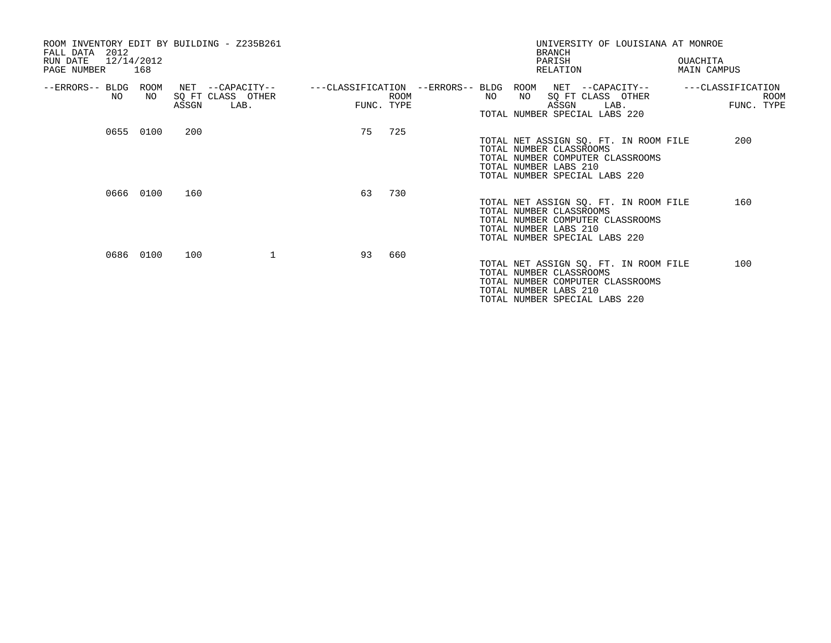| ROOM INVENTORY EDIT BY BUILDING - Z235B261<br>2012<br>FALL DATA<br>12/14/2012<br>RUN DATE<br>168<br>PAGE NUMBER |                                                        |    |                           |                                   |    | UNIVERSITY OF LOUISIANA AT MONROE<br><b>BRANCH</b><br>PARISH<br>RELATION                                                                                       |      | OUACHITA<br>MAIN CAMPUS |                    |
|-----------------------------------------------------------------------------------------------------------------|--------------------------------------------------------|----|---------------------------|-----------------------------------|----|----------------------------------------------------------------------------------------------------------------------------------------------------------------|------|-------------------------|--------------------|
| --ERRORS-- BLDG<br>ROOM<br>NO<br>NO                                                                             | NET --CAPACITY--<br>SQ FT CLASS OTHER<br>ASSGN<br>LAB. |    | <b>ROOM</b><br>FUNC. TYPE | ---CLASSIFICATION --ERRORS-- BLDG | NO | NET --CAPACITY--<br>ROOM<br>SQ FT CLASS OTHER<br>NO<br>ASSGN<br>TOTAL NUMBER SPECIAL LABS 220                                                                  | LAB. | ---CLASSIFICATION       | ROOM<br>FUNC. TYPE |
| 0655 0100                                                                                                       | 200                                                    | 75 | 725                       |                                   |    | TOTAL NET ASSIGN SQ. FT. IN ROOM FILE<br>TOTAL NUMBER CLASSROOMS<br>TOTAL NUMBER COMPUTER CLASSROOMS<br>TOTAL NUMBER LABS 210<br>TOTAL NUMBER SPECIAL LABS 220 |      | 200                     |                    |
| 0666 0100                                                                                                       | 160                                                    | 63 | 730                       |                                   |    | TOTAL NET ASSIGN SQ. FT. IN ROOM FILE<br>TOTAL NUMBER CLASSROOMS<br>TOTAL NUMBER COMPUTER CLASSROOMS<br>TOTAL NUMBER LABS 210<br>TOTAL NUMBER SPECIAL LABS 220 |      | 160                     |                    |
| 0686 0100                                                                                                       | 100                                                    | 93 | 660                       |                                   |    | TOTAL NET ASSIGN SQ. FT. IN ROOM FILE<br>TOTAL NUMBER CLASSROOMS<br>TOTAL NUMBER COMPUTER CLASSROOMS<br>TOTAL NUMBER LABS 210<br>TOTAL NUMBER SPECIAL LABS 220 |      | 100                     |                    |